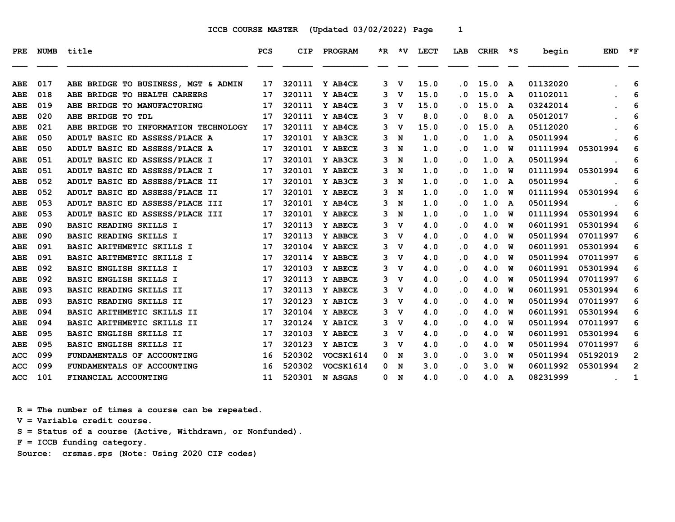| <b>PRE</b> | <b>NUMB</b> | title                                | <b>PCS</b> | <b>CIP</b> | PROGRAM   |    |             | *R *V LECT | LAB       | CRHR | $\star$ s | begin    | <b>END</b> | $*_{\mathbf{F}}$ |
|------------|-------------|--------------------------------------|------------|------------|-----------|----|-------------|------------|-----------|------|-----------|----------|------------|------------------|
|            |             |                                      |            |            |           |    |             |            |           |      |           |          |            |                  |
| ABE        | 017         | ABE BRIDGE TO BUSINESS, MGT & ADMIN  | 17         | 320111     | Y AB4CE   | 3  | v           | 15.0       | . 0       | 15.0 | A         | 01132020 |            | 6                |
| ABE        | 018         | ABE BRIDGE TO HEALTH CAREERS         | 17         | 320111     | Y AB4CE   | 3  | v           | 15.0       | . 0       | 15.0 | A         | 01102011 |            | 6                |
| ABE        | 019         | ABE BRIDGE TO MANUFACTURING          | 17         | 320111     | Y AB4CE   | 3  | v           | 15.0       | . 0       | 15.0 | A         | 03242014 |            | 6                |
| ABE        | 020         | ABE BRIDGE TO TDL                    | 17         | 320111     | Y AB4CE   | 3  | v           | 8.0        | . 0       | 8.0  | A         | 05012017 |            | 6                |
| ABE        | 021         | ABE BRIDGE TO INFORMATION TECHNOLOGY | 17         | 320111     | Y AB4CE   | 3. | v           | 15.0       | $\cdot$ 0 | 15.0 | A         | 05112020 |            | 6                |
| ABE        | 050         | ADULT BASIC ED ASSESS/PLACE A        | 17         | 320101     | Y AB3CE   | 3  | N           | 1.0        | . 0       | 1.0  | A         | 05011994 |            | 6                |
| ABE        | 050         | ADULT BASIC ED ASSESS/PLACE A        | 17         | 320101     | Y ABECE   | 3  | N           | 1.0        | . 0       | 1.0  | W         | 01111994 | 05301994   | 6                |
| ABE        | 051         | ADULT BASIC ED ASSESS/PLACE I        | 17         | 320101     | Y AB3CE   | 3  | N           | 1.0        | $\cdot$ 0 | 1.0  | A         | 05011994 |            | 6                |
| ABE        | 051         | ADULT BASIC ED ASSESS/PLACE I        | 17         | 320101     | Y ABECE   | 3  | N           | 1.0        | . 0       | 1.0  | w         | 01111994 | 05301994   | 6                |
| ABE        | 052         | ADULT BASIC ED ASSESS/PLACE II       | 17         | 320101     | Y AB3CE   | 3  | N           | 1.0        | $\cdot$ 0 | 1.0  | A         | 05011994 |            | 6                |
| ABE        | 052         | ADULT BASIC ED ASSESS/PLACE II       | 17         | 320101     | Y ABECE   | 3  | N           | 1.0        | . 0       | 1.0  | w         | 01111994 | 05301994   | 6                |
| ABE        | 053         | ADULT BASIC ED ASSESS/PLACE III      | 17         | 320101     | Y AB4CE   | 3  | N           | 1.0        | $\cdot$ 0 | 1.0  | A         | 05011994 |            | 6                |
| ABE        | 053         | ADULT BASIC ED ASSESS/PLACE III      | 17         | 320101     | Y ABECE   | 3  | N           | 1.0        | . 0       | 1.0  | พ         | 01111994 | 05301994   | 6                |
| ABE        | 090         | <b>BASIC READING SKILLS I</b>        | 17         | 320113     | Y ABECE   | 3  | v           | 4.0        | . 0       | 4.0  | W         | 06011991 | 05301994   | 6                |
| ABE        | 090         | BASIC READING SKILLS I               | 17         | 320113     | Y ABBCE   | 3  | v           | 4.0        | $\cdot$ 0 | 4.0  | w         | 05011994 | 07011997   | 6                |
| ABE        | 091         | BASIC ARITHMETIC SKILLS I            | 17         | 320104     | Y ABECE   | 3  | $\mathbf v$ | 4.0        | $\cdot$ 0 | 4.0  | พ         | 06011991 | 05301994   | 6                |
| ABE        | 091         | BASIC ARITHMETIC SKILLS I            | 17         | 320114     | Y ABBCE   | 3  | v           | 4.0        | $\cdot$ 0 | 4.0  | พ         | 05011994 | 07011997   | 6                |
| ABE        | 092         | <b>BASIC ENGLISH SKILLS I</b>        | 17         | 320103     | Y ABECE   | 3. | v           | 4.0        | $\cdot$ 0 | 4.0  | พ         | 06011991 | 05301994   | 6                |
| ABE        | 092         | BASIC ENGLISH SKILLS I               | 17         | 320113     | Y ABBCE   | 3  | v           | 4.0        | . 0       | 4.0  | w         | 05011994 | 07011997   | 6                |
| ABE        | 093         | <b>BASIC READING SKILLS II</b>       | 17         | 320113     | Y ABECE   | 3  | v           | 4.0        | . 0       | 4.0  | พ         | 06011991 | 05301994   | 6                |
| ABE        | 093         | BASIC READING SKILLS II              | 17         | 320123     | Y ABICE   | 3  | $\mathbf v$ | 4.0        | $\cdot$ 0 | 4.0  | W         | 05011994 | 07011997   | 6                |
| ABE        | 094         | BASIC ARITHMETIC SKILLS II           | 17         | 320104     | Y ABECE   | 3  | v           | 4.0        | . 0       | 4.0  | w         | 06011991 | 05301994   | 6                |
| ABE        | 094         | BASIC ARITHMETIC SKILLS II           | 17         | 320124     | Y ABICE   | 3  | v           | 4.0        | $\cdot$ 0 | 4.0  | พ         | 05011994 | 07011997   | 6                |
| ABE        | 095         | <b>BASIC ENGLISH SKILLS II</b>       | 17         | 320103     | Y ABECE   | 3  | v           | 4.0        | . 0       | 4.0  | W         | 06011991 | 05301994   | 6                |
| ABE        | 095         | <b>BASIC ENGLISH SKILLS II</b>       | 17         | 320123     | Y ABICE   | 3  | v           | 4.0        | $\cdot$ 0 | 4.0  | พ         | 05011994 | 07011997   | 6                |
| ACC        | 099         | FUNDAMENTALS OF ACCOUNTING           | 16         | 520302     | VOCSK1614 | 0  | N           | 3.0        | $\cdot$ 0 | 3.0  | พ         | 05011994 | 05192019   | 2                |
| <b>ACC</b> | 099         | FUNDAMENTALS OF ACCOUNTING           | 16         | 520302     | VOCSK1614 | 0  | N           | 3.0        | $\cdot$ 0 | 3.0  | พ         | 06011992 | 05301994   | $\overline{2}$   |
| ACC        | 101         | FINANCIAL ACCOUNTING                 | 11         | 520301     | N ASGAS   | 0  | $\mathbf N$ | 4.0        | . 0       | 4.0  | A         | 08231999 |            | 1                |

 **R = The number of times a course can be repeated.**

 **V = Variable credit course.**

 **S = Status of a course (Active, Withdrawn, or Nonfunded).**

 **F = ICCB funding category.**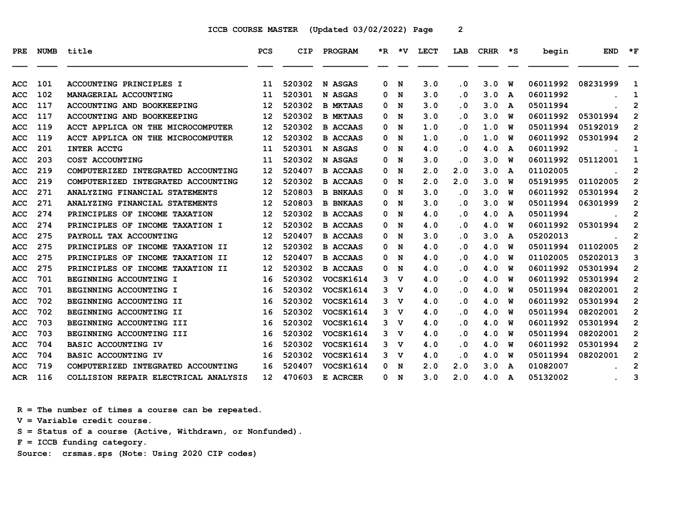| PRE        |     | NUMB title                           | <b>PCS</b>        | <b>CIP</b> | <b>PROGRAM</b>   |   |   | *R *V LECT | LAB                     | CRHR | יי≭ | begin    | <b>END</b> | $*_{\mathbf{F}}$ |
|------------|-----|--------------------------------------|-------------------|------------|------------------|---|---|------------|-------------------------|------|-----|----------|------------|------------------|
| ACC        | 101 | ACCOUNTING PRINCIPLES I              | 11                | 520302     | N ASGAS          | 0 | N | 3.0        | . 0                     | 3.0  | W   | 06011992 | 08231999   | 1                |
| ACC        | 102 | MANAGERIAL ACCOUNTING                | 11                | 520301     | N ASGAS          | 0 | N | 3.0        | . 0                     | 3.0  | A   | 06011992 |            | 1                |
| ACC        | 117 | ACCOUNTING AND BOOKKEEPING           | 12                | 520302     | <b>B MKTAAS</b>  | 0 | N | 3.0        | . 0                     | 3.0  | A   | 05011994 |            | $\mathbf{2}$     |
| ACC        | 117 | ACCOUNTING AND BOOKKEEPING           | 12                | 520302     | <b>B MKTAAS</b>  | 0 | N | 3.0        | $\overline{\mathbf{0}}$ | 3.0  | W   | 06011992 | 05301994   | $\overline{2}$   |
| ACC        | 119 | ACCT APPLICA ON THE MICROCOMPUTER    | 12                | 520302     | <b>B ACCAAS</b>  | 0 | N | 1.0        | . 0                     | 1.0  | W   | 05011994 | 05192019   | $\overline{2}$   |
| <b>ACC</b> | 119 | ACCT APPLICA ON THE MICROCOMPUTER    | $12 \overline{ }$ | 520302     | <b>B ACCAAS</b>  | 0 | N | 1.0        | . 0                     | 1.0  | W   | 06011992 | 05301994   | $\overline{2}$   |
| ACC        | 201 | <b>INTER ACCTG</b>                   | 11                | 520301     | N ASGAS          | 0 | N | 4.0        | $\overline{\mathbf{0}}$ | 4.0  | A   | 06011992 |            | $\mathbf{1}$     |
| ACC        | 203 | COST ACCOUNTING                      | 11                | 520302     | N ASGAS          | 0 | N | 3.0        | . 0                     | 3.0  | W   | 06011992 | 05112001   | 1                |
| ACC        | 219 | COMPUTERIZED INTEGRATED ACCOUNTING   | 12                | 520407     | <b>B ACCAAS</b>  | 0 | N | 2.0        | 2.0                     | 3.0  | A   | 01102005 |            | 2                |
| ACC        | 219 | COMPUTERIZED INTEGRATED ACCOUNTING   | 12                | 520302     | <b>B ACCAAS</b>  | 0 | N | 2.0        | 2.0                     | 3.0  | W   | 05191995 | 01102005   | 2                |
| ACC        | 271 | ANALYZING FINANCIAL STATEMENTS       | 12                | 520803     | <b>B BNKAAS</b>  | 0 | N | 3.0        | $\overline{\mathbf{0}}$ | 3.0  | W   | 06011992 | 05301994   | $\overline{2}$   |
| ACC        | 271 | ANALYZING FINANCIAL STATEMENTS       | 12                | 520803     | <b>B BNKAAS</b>  | 0 | N | 3.0        | . 0                     | 3.0  | w   | 05011994 | 06301999   | $\mathbf{2}$     |
| ACC        | 274 | PRINCIPLES OF INCOME TAXATION        | 12                | 520302     | <b>B ACCAAS</b>  | 0 | N | 4.0        | $\cdot$ 0               | 4.0  | A   | 05011994 |            | 2                |
| ACC        | 274 | PRINCIPLES OF INCOME TAXATION I      | 12                | 520302     | <b>B ACCAAS</b>  | 0 | N | 4.0        | $\overline{\mathbf{0}}$ | 4.0  | W   | 06011992 | 05301994   | $\overline{2}$   |
| ACC        | 275 | PAYROLL TAX ACCOUNTING               | 12                | 520407     | <b>B ACCAAS</b>  | 0 | N | 3.0        | . 0                     | 3.0  | A   | 05202013 |            | $\mathbf{2}$     |
| <b>ACC</b> | 275 | PRINCIPLES OF INCOME TAXATION II     | 12                | 520302     | <b>B ACCAAS</b>  | 0 | N | 4.0        | . 0                     | 4.0  | W   | 05011994 | 01102005   | $\overline{2}$   |
| ACC        | 275 | PRINCIPLES OF INCOME TAXATION II     | 12                | 520407     | <b>B ACCAAS</b>  | 0 | N | 4.0        | . 0                     | 4.0  | w   | 01102005 | 05202013   | 3                |
| ACC        | 275 | PRINCIPLES OF INCOME TAXATION II     | 12                | 520302     | <b>B ACCAAS</b>  | 0 | N | 4.0        | . 0                     | 4.0  | W   | 06011992 | 05301994   | $\overline{2}$   |
| ACC        | 701 | BEGINNING ACCOUNTING I               | 16                | 520302     | VOCSK1614        | 3 | v | 4.0        | . 0                     | 4.0  | W   | 06011992 | 05301994   | $\overline{2}$   |
| ACC        | 701 | BEGINNING ACCOUNTING I               | 16                | 520302     | VOCSK1614        | 3 | v | 4.0        | . 0                     | 4.0  | W   | 05011994 | 08202001   | $\overline{2}$   |
| ACC        | 702 | BEGINNING ACCOUNTING II              | 16                | 520302     | VOCSK1614        | 3 | v | 4.0        | $\overline{\mathbf{0}}$ | 4.0  | w   | 06011992 | 05301994   | $\mathbf{2}$     |
| ACC        | 702 | BEGINNING ACCOUNTING II              | 16                | 520302     | VOCSK1614        | 3 | v | 4.0        | . 0                     | 4.0  | W   | 05011994 | 08202001   | $\mathbf{2}$     |
| ACC        | 703 | BEGINNING ACCOUNTING III             | 16                | 520302     | VOCSK1614        | 3 | v | 4.0        | $\overline{\mathbf{0}}$ | 4.0  | W   | 06011992 | 05301994   | $\mathbf{2}$     |
| ACC        | 703 | BEGINNING ACCOUNTING III             | 16                | 520302     | <b>VOCSK1614</b> | 3 | v | 4.0        | . 0                     | 4.0  | W   | 05011994 | 08202001   | $\mathbf{2}$     |
| ACC        | 704 | <b>BASIC ACCOUNTING IV</b>           | 16                | 520302     | VOCSK1614        | 3 | v | 4.0        | . 0                     | 4.0  | W   | 06011992 | 05301994   | 2                |
| ACC        | 704 | BASIC ACCOUNTING IV                  | 16                | 520302     | VOCSK1614        | 3 | v | 4.0        | $\cdot$ 0               | 4.0  | W   | 05011994 | 08202001   | $\overline{2}$   |
| ACC        | 719 | COMPUTERIZED INTEGRATED ACCOUNTING   | 16                | 520407     | <b>VOCSK1614</b> | 0 | N | 2.0        | 2.0                     | 3.0  | A   | 01082007 |            | $\mathbf{2}$     |
| <b>ACR</b> | 116 | COLLISION REPAIR ELECTRICAL ANALYSIS | 12 <sup>12</sup>  | 470603     | E ACRCER         | 0 | N | 3.0        | 2.0                     | 4.0  | A   | 05132002 |            | 3                |

 **R = The number of times a course can be repeated.**

 **V = Variable credit course.**

 **S = Status of a course (Active, Withdrawn, or Nonfunded).**

 **F = ICCB funding category.**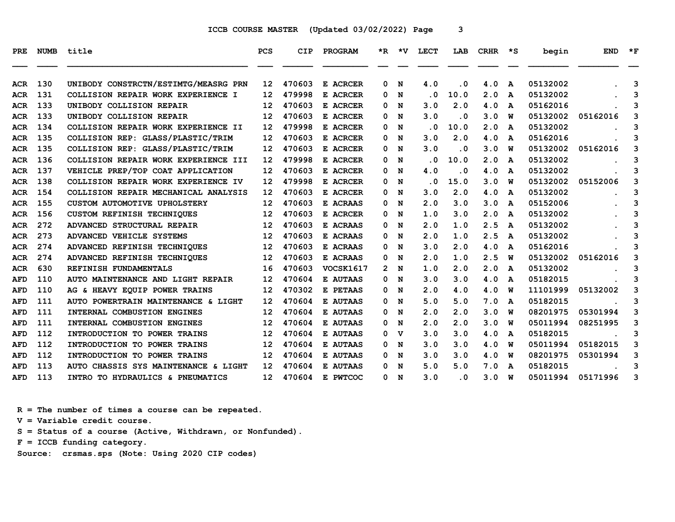| PRE        | <b>NUMB</b> | title                                | <b>PCS</b>        | CIP    | PROGRAM          |              | $*R$ $*V$ | <b>LECT</b>             | LAB       | CRHR | — *S         | begin    | <b>END</b> | $*_{\mathbf{F}}$ |
|------------|-------------|--------------------------------------|-------------------|--------|------------------|--------------|-----------|-------------------------|-----------|------|--------------|----------|------------|------------------|
| ACR        | 130         | UNIBODY CONSTRCTN/ESTIMTG/MEASRG PRN | 12 <sup>2</sup>   | 470603 | E ACRCER         | 0            | N         | 4.0                     | . 0       | 4.0  | $\mathbf{A}$ | 05132002 |            | 3                |
| <b>ACR</b> | 131         | COLLISION REPAIR WORK EXPERIENCE I   | 12                | 479998 | E ACRCER         | 0            | N         | $\overline{\mathbf{0}}$ | 10.0      | 2.0  | A            | 05132002 |            | 3                |
| ACR        | 133         | UNIBODY COLLISION REPAIR             | 12                | 470603 | E ACRCER         | 0            | N         | 3.0                     | 2.0       | 4.0  | A            | 05162016 |            | 3                |
| ACR        | 133         | UNIBODY COLLISION REPAIR             | 12                | 470603 | E ACRCER         | 0            | N         | 3.0                     | $\cdot$ 0 | 3.0  | W            | 05132002 | 05162016   | 3                |
| <b>ACR</b> | 134         | COLLISION REPAIR WORK EXPERIENCE II  | 12                | 479998 | E ACRCER         | 0            | N         | . 0                     | 10.0      | 2.0  | A            | 05132002 |            | 3                |
| <b>ACR</b> | 135         | COLLISION REP: GLASS/PLASTIC/TRIM    | $12 \overline{ }$ | 470603 | E ACRCER         | 0            | N         | 3.0                     | 2.0       | 4.0  | A            | 05162016 |            | 3                |
| <b>ACR</b> | 135         | COLLISION REP: GLASS/PLASTIC/TRIM    | 12                | 470603 | E ACRCER         | 0            | N         | 3.0                     | $\cdot$ 0 | 3.0  | W            | 05132002 | 05162016   | 3                |
| ACR        | 136         | COLLISION REPAIR WORK EXPERIENCE III | 12                | 479998 | E ACRCER         | 0            | N         | . 0                     | 10.0      | 2.0  | A            | 05132002 |            | 3                |
| <b>ACR</b> | 137         | VEHICLE PREP/TOP COAT APPLICATION    | 12                | 470603 | E ACRCER         | 0            | N         | 4.0                     | $\cdot$ 0 | 4.0  | A            | 05132002 |            | 3                |
| ACR        | 138         | COLLISION REPAIR WORK EXPERIENCE IV  | 12                | 479998 | E ACRCER         | 0            | N         | . 0                     | 15.0      | 3.0  | W            | 05132002 | 05152006   | 3                |
| <b>ACR</b> | 154         | COLLISION REPAIR MECHANICAL ANALYSIS | $12 \overline{ }$ | 470603 | E ACRCER         | 0            | N         | 3.0                     | 2.0       | 4.0  | A            | 05132002 |            | 3                |
| ACR        | 155         | CUSTOM AUTOMOTIVE UPHOLSTERY         | 12                | 470603 | E ACRAAS         | 0            | N         | 2.0                     | 3.0       | 3.0  | A            | 05152006 |            | 3                |
| <b>ACR</b> | 156         | <b>CUSTOM REFINISH TECHNIQUES</b>    | 12                | 470603 | E ACRCER         | 0            | N         | 1.0                     | 3.0       | 2.0  | A            | 05132002 |            | 3                |
| ACR        | 272         | ADVANCED STRUCTURAL REPAIR           | 12                | 470603 | E ACRAAS         | 0            | N         | 2.0                     | 1.0       | 2.5  | A            | 05132002 |            | 3                |
| <b>ACR</b> | 273         | ADVANCED VEHICLE SYSTEMS             | 12                | 470603 | E ACRAAS         | 0            | N         | 2.0                     | 1.0       | 2.5  | A            | 05132002 |            | 3                |
| ACR        | 274         | ADVANCED REFINISH TECHNIQUES         | 12                | 470603 | E ACRAAS         | 0.           | N         | 3.0                     | 2.0       | 4.0  | A            | 05162016 |            | 3                |
| <b>ACR</b> | 274         | ADVANCED REFINISH TECHNIQUES         | $12 \overline{ }$ | 470603 | E ACRAAS         | 0            | N         | 2.0                     | 1.0       | 2.5  | W            | 05132002 | 05162016   | 3                |
| <b>ACR</b> | 630         | REFINISH FUNDAMENTALS                | 16                | 470603 | <b>VOCSK1617</b> | $\mathbf{2}$ | N         | 1.0                     | 2.0       | 2.0  | A            | 05132002 |            | 3                |
| <b>AFD</b> | 110         | AUTO MAINTENANCE AND LIGHT REPAIR    | 12                | 470604 | E AUTAAS         | 0.           | N         | 3.0                     | 3.0       | 4.0  | A            | 05182015 |            | 3                |
| AFD        | 110         | AG & HEAVY EQUIP POWER TRAINS        | 12                | 470302 | E PETAAS         | 0            | N         | 2.0                     | 4.0       | 4.0  | W            | 11101999 | 05132002   | 3                |
| AFD        | 111         | AUTO POWERTRAIN MAINTENANCE & LIGHT  | 12                | 470604 | E AUTAAS         | 0            | N         | 5.0                     | 5.0       | 7.0  | A            | 05182015 |            | 3                |
| <b>AFD</b> | 111         | INTERNAL COMBUSTION ENGINES          | 12                | 470604 | E AUTAAS         | 0            | N         | 2.0                     | 2.0       | 3.0  | W            | 08201975 | 05301994   | 3                |
| AFD        | 111         | INTERNAL COMBUSTION ENGINES          | 12                | 470604 | E AUTAAS         | 0            | N         | 2.0                     | 2.0       | 3.0  | W            | 05011994 | 08251995   | 3                |
| <b>AFD</b> | 112         | INTRODUCTION TO POWER TRAINS         | 12                | 470604 | E AUTAAS         | 0            | v         | 3.0                     | 3.0       | 4.0  | A            | 05182015 |            | 3                |
| AFD        | 112         | INTRODUCTION TO POWER TRAINS         | 12                | 470604 | E AUTAAS         | 0            | N         | 3.0                     | 3.0       | 4.0  | W            | 05011994 | 05182015   | 3                |
| <b>AFD</b> | 112         | INTRODUCTION TO POWER TRAINS         | 12                | 470604 | E AUTAAS         | 0            | N         | 3.0                     | 3.0       | 4.0  | W            | 08201975 | 05301994   | 3                |
| <b>AFD</b> | 113         | AUTO CHASSIS SYS MAINTENANCE & LIGHT | 12                | 470604 | E AUTAAS         | 0            | N         | 5.0                     | 5.0       | 7.0  | A            | 05182015 |            | 3                |
| AFD        | 113         | INTRO TO HYDRAULICS & PNEUMATICS     | 12                | 470604 | E PWTCOC         | 0            | N         | 3.0                     | $\cdot$ 0 | 3.0  | W            | 05011994 | 05171996   | 3                |

 **R = The number of times a course can be repeated.**

 **V = Variable credit course.**

 **S = Status of a course (Active, Withdrawn, or Nonfunded).**

 **F = ICCB funding category.**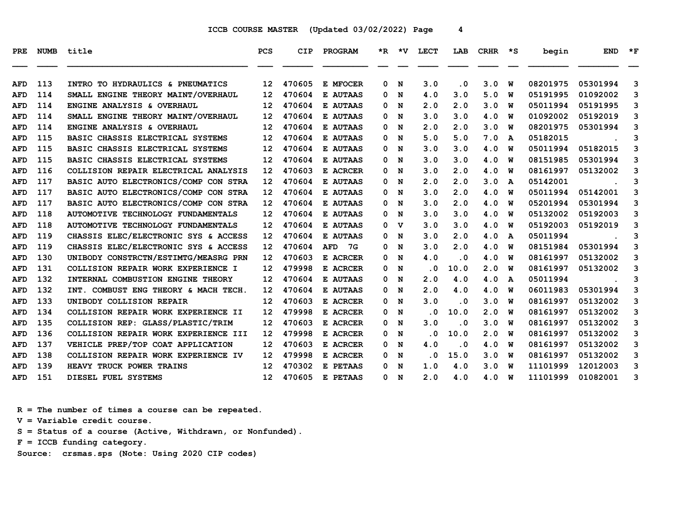| PRE        | <b>NUMB</b> | title                                     | <b>PCS</b>        | <b>CIP</b> | PROGRAM          |   | $*R$ $*V$ | LECT      | LAB       | <b>CRHR</b> | $\star$ s    | begin    | <b>END</b> | $*_{\mathbf{F}}$ |
|------------|-------------|-------------------------------------------|-------------------|------------|------------------|---|-----------|-----------|-----------|-------------|--------------|----------|------------|------------------|
|            |             |                                           |                   |            |                  |   |           |           |           |             |              |          |            |                  |
| <b>AFD</b> | 113         | INTRO TO HYDRAULICS & PNEUMATICS          | $12 \overline{ }$ | 470605     | E MFOCER         | 0 | N         | 3.0       | . 0       | 3.0         | W            | 08201975 | 05301994   | 3                |
| <b>AFD</b> | 114         | SMALL ENGINE THEORY MAINT/OVERHAUL        | 12                | 470604     | E AUTAAS         | 0 | N         | 4.0       | 3.0       | 5.0         | W            | 05191995 | 01092002   | 3                |
| <b>AFD</b> | 114         | ENGINE ANALYSIS & OVERHAUL                | 12                | 470604     | E AUTAAS         | 0 | N         | 2.0       | 2.0       | 3.0         | W            | 05011994 | 05191995   | 3                |
| <b>AFD</b> | 114         | SMALL ENGINE THEORY MAINT/OVERHAUL        | 12                | 470604     | E AUTAAS         | 0 | N         | 3.0       | 3.0       | 4.0         | W            | 01092002 | 05192019   | 3                |
| <b>AFD</b> | 114         | ENGINE ANALYSIS & OVERHAUL                | 12                | 470604     | E AUTAAS         | 0 | N         | 2.0       | 2.0       | 3.0         | W            | 08201975 | 05301994   | 3                |
| <b>AFD</b> | 115         | BASIC CHASSIS ELECTRICAL SYSTEMS          | 12                | 470604     | E AUTAAS         | 0 | N         | 5.0       | 5.0       | 7.0         | A            | 05182015 |            | 3                |
| <b>AFD</b> | 115         | BASIC CHASSIS ELECTRICAL SYSTEMS          | 12                | 470604     | E AUTAAS         | 0 | N         | 3.0       | 3.0       | 4.0         | W            | 05011994 | 05182015   | 3                |
| <b>AFD</b> | 115         | BASIC CHASSIS ELECTRICAL SYSTEMS          | 12                | 470604     | E AUTAAS         | 0 | N         | 3.0       | 3.0       | 4.0         | W            | 08151985 | 05301994   | 3                |
| <b>AFD</b> | 116         | COLLISION REPAIR ELECTRICAL ANALYSIS      | 12                | 470603     | E ACRCER         | 0 | N         | 3.0       | 2.0       | 4.0         | W            | 08161997 | 05132002   | 3                |
| <b>AFD</b> | 117         | BASIC AUTO ELECTRONICS/COMP CON STRA      | 12                | 470604     | E AUTAAS         | 0 | N         | 2.0       | 2.0       | 3.0         | A            | 05142001 |            | 3                |
| <b>AFD</b> | 117         | BASIC AUTO ELECTRONICS/COMP CON STRA      | 12                | 470604     | <b>E AUTAAS</b>  | 0 | N         | 3.0       | 2.0       | 4.0         | W            | 05011994 | 05142001   | 3                |
| <b>AFD</b> | 117         | BASIC AUTO ELECTRONICS/COMP CON STRA      | 12                | 470604     | E AUTAAS         | 0 | N         | 3.0       | 2.0       | 4.0         | W            | 05201994 | 05301994   | 3                |
| <b>AFD</b> | 118         | <b>AUTOMOTIVE TECHNOLOGY FUNDAMENTALS</b> | 12                | 470604     | E AUTAAS         | 0 | N         | 3.0       | 3.0       | 4.0         | W            | 05132002 | 05192003   | 3                |
| <b>AFD</b> | 118         | <b>AUTOMOTIVE TECHNOLOGY FUNDAMENTALS</b> | 12                | 470604     | E AUTAAS         | 0 | v         | 3.0       | 3.0       | 4.0         | W            | 05192003 | 05192019   | 3                |
| <b>AFD</b> | 119         | CHASSIS ELEC/ELECTRONIC SYS & ACCESS      | 12                | 470604     | E AUTAAS         | 0 | N         | 3.0       | 2.0       | 4.0         | $\mathbf{A}$ | 05011994 |            | 3                |
| <b>AFD</b> | 119         | CHASSIS ELEC/ELECTRONIC SYS & ACCESS      | $12 \overline{ }$ | 470604     | <b>AFD</b><br>7G | 0 | N         | 3.0       | 2.0       | 4.0         | W            | 08151984 | 05301994   | 3                |
| <b>AFD</b> | 130         | UNIBODY CONSTRCTN/ESTIMTG/MEASRG PRN      | 12                | 470603     | E ACRCER         | 0 | N         | 4.0       | $\cdot$ 0 | 4.0         | W            | 08161997 | 05132002   | 3                |
| <b>AFD</b> | 131         | COLLISION REPAIR WORK EXPERIENCE I        | 12                | 479998     | E ACRCER         | 0 | N         | $\cdot$ 0 | 10.0      | 2.0         | W            | 08161997 | 05132002   | 3                |
| <b>AFD</b> | 132         | INTERNAL COMBUSTION ENGINE THEORY         | 12                | 470604     | E AUTAAS         | 0 | N         | 2.0       | 4.0       | 4.0         | A            | 05011994 |            | 3                |
| <b>AFD</b> | 132         | INT. COMBUST ENG THEORY & MACH TECH.      | 12                | 470604     | E AUTAAS         | 0 | N         | 2.0       | 4.0       | 4.0         | W            | 06011983 | 05301994   | 3                |
| <b>AFD</b> | 133         | UNIBODY COLLISION REPAIR                  | 12                | 470603     | E ACRCER         | 0 | N         | 3.0       | $\cdot$ 0 | 3.0         | W            | 08161997 | 05132002   | 3                |
| <b>AFD</b> | 134         | COLLISION REPAIR WORK EXPERIENCE II       | 12                | 479998     | E ACRCER         | 0 | N         | . 0       | 10.0      | 2.0         | W            | 08161997 | 05132002   | 3                |
| <b>AFD</b> | 135         | COLLISION REP: GLASS/PLASTIC/TRIM         | 12                | 470603     | E ACRCER         | 0 | N         | 3.0       | $\cdot$ 0 | 3.0         | W            | 08161997 | 05132002   | 3                |
| <b>AFD</b> | 136         | COLLISION REPAIR WORK EXPERIENCE III      | 12                | 479998     | E ACRCER         | 0 | N         | $\cdot$ 0 | 10.0      | 2.0         | W            | 08161997 | 05132002   | 3                |
| <b>AFD</b> | 137         | VEHICLE PREP/TOP COAT APPLICATION         | 12                | 470603     | E ACRCER         | 0 | N         | 4.0       | . 0       | 4.0         | W            | 08161997 | 05132002   | 3                |
| <b>AFD</b> | 138         | COLLISION REPAIR WORK EXPERIENCE IV       | $12 \overline{ }$ | 479998     | E ACRCER         | 0 | N         | $\cdot$ 0 | 15.0      | 3.0         | W            | 08161997 | 05132002   | 3                |
| <b>AFD</b> | 139         | HEAVY TRUCK POWER TRAINS                  | 12                | 470302     | E PETAAS         | 0 | N         | 1.0       | 4.0       | 3.0         | W            | 11101999 | 12012003   | 3                |
| AFD        | 151         | DIESEL FUEL SYSTEMS                       | 12 <sub>1</sub>   | 470605     | E PETAAS         | 0 | N         | 2.0       | 4.0       | 4.0         | W            | 11101999 | 01082001   | 3                |

 **R = The number of times a course can be repeated.**

 **V = Variable credit course.**

 **S = Status of a course (Active, Withdrawn, or Nonfunded).**

 **F = ICCB funding category.**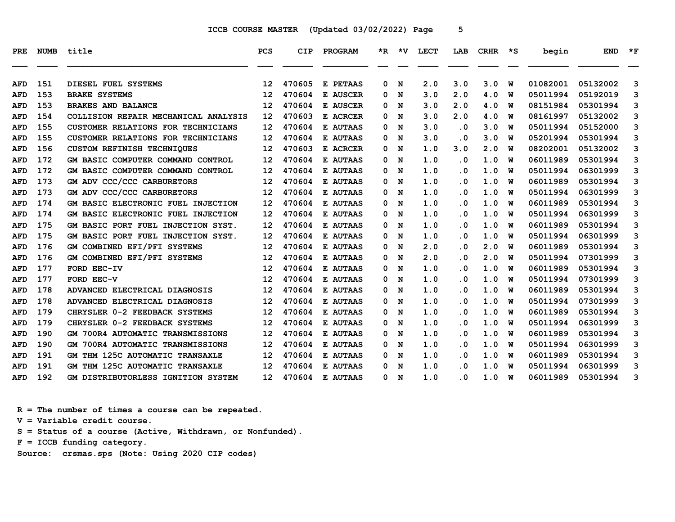| <b>PRE</b> | <b>NUMB</b> | title                                   | <b>PCS</b>        | CIP    | PROGRAM         |   | *R *V | LECT | LAB       | <b>CRHR</b> | — *S | begin    | <b>END</b> | $*_{\mathbf{F}}$ |
|------------|-------------|-----------------------------------------|-------------------|--------|-----------------|---|-------|------|-----------|-------------|------|----------|------------|------------------|
| AFD        | 151         | DIESEL FUEL SYSTEMS                     | 12                | 470605 | E PETAAS        | 0 | N     | 2.0  | 3.0       | 3.0         | W    | 01082001 | 05132002   | 3                |
| <b>AFD</b> | 153         | <b>BRAKE SYSTEMS</b>                    | $12 \overline{ }$ | 470604 | E AUSCER        | 0 | N     | 3.0  | 2.0       | 4.0         | W    | 05011994 | 05192019   | 3                |
| <b>AFD</b> | 153         | <b>BRAKES AND BALANCE</b>               | $12 \overline{ }$ | 470604 | E AUSCER        | 0 | N     | 3.0  | 2.0       | 4.0         | W    | 08151984 | 05301994   | 3                |
| <b>AFD</b> | 154         | COLLISION REPAIR MECHANICAL ANALYSIS    | 12                | 470603 | E ACRCER        | 0 | N     | 3.0  | 2.0       | 4.0         | W    | 08161997 | 05132002   | 3                |
| <b>AFD</b> | 155         | CUSTOMER RELATIONS FOR TECHNICIANS      | $12 \overline{ }$ | 470604 | E AUTAAS        | 0 | N     | 3.0  | $\cdot$ 0 | 3.0         | W    | 05011994 | 05152000   | 3                |
| <b>AFD</b> | 155         | CUSTOMER RELATIONS FOR TECHNICIANS      | $12 \overline{ }$ | 470604 | E AUTAAS        | 0 | N     | 3.0  | . 0       | 3.0         | W    | 05201994 | 05301994   | 3                |
| <b>AFD</b> | 156         | <b>CUSTOM REFINISH TECHNIOUES</b>       | 12                | 470603 | E ACRCER        | 0 | N     | 1.0  | 3.0       | 2.0         | W    | 08202001 | 05132002   | 3                |
| AFD        | 172         | GM BASIC COMPUTER COMMAND CONTROL       | 12                | 470604 | E AUTAAS        | 0 | N     | 1.0  | $\cdot$ 0 | 1.0         | W    | 06011989 | 05301994   | 3                |
| <b>AFD</b> | 172         | GM BASIC COMPUTER COMMAND CONTROL       | 12                | 470604 | E AUTAAS        | 0 | N     | 1.0  | . 0       | 1.0         | W    | 05011994 | 06301999   | 3                |
| <b>AFD</b> | 173         | GM ADV CCC/CCC CARBURETORS              | $12 \overline{ }$ | 470604 | E AUTAAS        | 0 | N     | 1.0  | $\cdot$ 0 | 1.0         | W    | 06011989 | 05301994   | 3                |
| AFD        | 173         | GM ADV CCC/CCC CARBURETORS              | 12                | 470604 | E AUTAAS        | 0 | N     | 1.0  | . 0       | 1.0         | W    | 05011994 | 06301999   | 3                |
| AFD        | 174         | GM BASIC ELECTRONIC FUEL INJECTION      | $12 \overline{ }$ | 470604 | E AUTAAS        | 0 | N     | 1.0  | $\cdot$ 0 | 1.0         | W    | 06011989 | 05301994   | 3                |
| AFD        | 174         | GM BASIC ELECTRONIC FUEL INJECTION      | $12 \overline{ }$ | 470604 | E AUTAAS        | 0 | N     | 1.0  | . 0       | 1.0         | W    | 05011994 | 06301999   | 3                |
| <b>AFD</b> | 175         | GM BASIC PORT FUEL INJECTION SYST.      | 12                | 470604 | E AUTAAS        | 0 | N     | 1.0  | . 0       | 1.0         | W    | 06011989 | 05301994   | 3                |
| AFD        | 175         | GM BASIC PORT FUEL INJECTION SYST.      | 12                | 470604 | E AUTAAS        | 0 | N     | 1.0  | . 0       | 1.0         | W    | 05011994 | 06301999   | 3                |
| <b>AFD</b> | 176         | GM COMBINED EFI/PFI SYSTEMS             | $12 \overline{ }$ | 470604 | E AUTAAS        | 0 | N     | 2.0  | . 0       | 2.0         | W    | 06011989 | 05301994   | 3                |
| AFD        | 176         | GM COMBINED EFI/PFI SYSTEMS             | 12                | 470604 | E AUTAAS        | 0 | N     | 2.0  | . 0       | 2.0         | W    | 05011994 | 07301999   | 3                |
| <b>AFD</b> | 177         | FORD EEC-IV                             | 12                | 470604 | E AUTAAS        | 0 | N     | 1.0  | . 0       | 1.0         | W    | 06011989 | 05301994   | 3                |
| <b>AFD</b> | 177         | FORD EEC-V                              | $12 \overline{ }$ | 470604 | E AUTAAS        | 0 | N     | 1.0  | . 0       | 1.0         | W    | 05011994 | 07301999   | 3                |
| AFD        | 178         | ADVANCED ELECTRICAL DIAGNOSIS           | 12                | 470604 | E AUTAAS        | 0 | N     | 1.0  | . 0       | 1.0         | W    | 06011989 | 05301994   | 3                |
| <b>AFD</b> | 178         | ADVANCED ELECTRICAL DIAGNOSIS           | 12                | 470604 | E AUTAAS        | 0 | N     | 1.0  | . 0       | 1.0         | W    | 05011994 | 07301999   | 3                |
| AFD        | 179         | CHRYSLER 0-2 FEEDBACK SYSTEMS           | 12                | 470604 | <b>E AUTAAS</b> | 0 | N     | 1.0  | $\cdot$ 0 | 1.0         | W    | 06011989 | 05301994   | 3                |
| <b>AFD</b> | 179         | CHRYSLER 0-2 FEEDBACK SYSTEMS           | 12                | 470604 | E AUTAAS        | 0 | N     | 1.0  | $\cdot$ 0 | 1.0         | W    | 05011994 | 06301999   | 3                |
| AFD        | 190         | GM 700R4 AUTOMATIC TRANSMISSIONS        | 12                | 470604 | E AUTAAS        | 0 | N     | 1.0  | . 0       | 1.0         | W    | 06011989 | 05301994   | 3                |
| AFD        | 190         | <b>GM 700R4 AUTOMATIC TRANSMISSIONS</b> | 12                | 470604 | E AUTAAS        | 0 | N     | 1.0  | . 0       | 1.0         | W    | 05011994 | 06301999   | 3                |
| <b>AFD</b> | 191         | GM THM 125C AUTOMATIC TRANSAXLE         | $12 \overline{ }$ | 470604 | <b>E AUTAAS</b> | 0 | N     | 1.0  | $\cdot$ 0 | 1.0         | W    | 06011989 | 05301994   | 3                |
| AFD        | 191         | GM THM 125C AUTOMATIC TRANSAXLE         | 12                | 470604 | E AUTAAS        | 0 | N     | 1.0  | . 0       | 1.0         | W    | 05011994 | 06301999   | 3                |
| <b>AFD</b> | 192         | GM DISTRIBUTORLESS IGNITION SYSTEM      | 12                | 470604 | E AUTAAS        | 0 | N     | 1.0  | . 0       | 1.0         | W    | 06011989 | 05301994   | 3                |

 **R = The number of times a course can be repeated.**

 **V = Variable credit course.**

 **S = Status of a course (Active, Withdrawn, or Nonfunded).**

 **F = ICCB funding category.**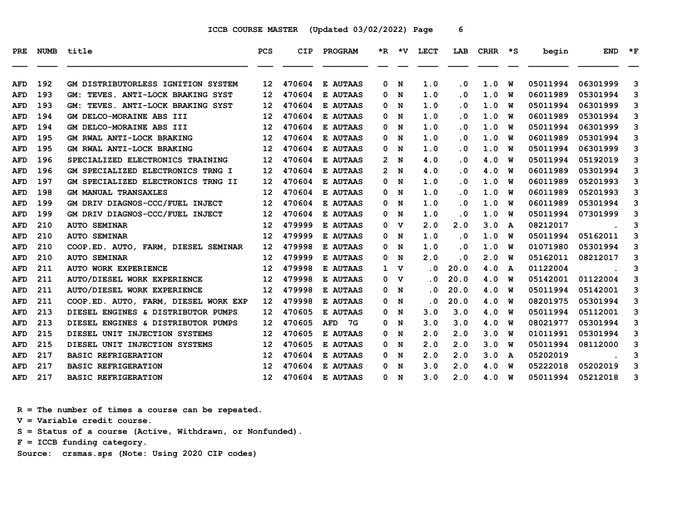| <b>PRE</b> | <b>NUMB</b> | title                                   | <b>PCS</b>        | <b>CIP</b> | PROGRAM          |                | *R *V       | <b>LECT</b>             | LAB       | <b>CRHR</b> | *S | begin    | <b>END</b> | $*_{\mathbf{F}}$ |
|------------|-------------|-----------------------------------------|-------------------|------------|------------------|----------------|-------------|-------------------------|-----------|-------------|----|----------|------------|------------------|
|            |             |                                         |                   |            |                  |                |             |                         |           |             |    |          |            |                  |
| AFD        | 192         | GM DISTRIBUTORLESS IGNITION SYSTEM      | 12 <sup>2</sup>   | 470604     | E AUTAAS         | 0              | N           | 1.0                     | $\cdot$ 0 | 1.0         | W  | 05011994 | 06301999   | 3                |
| AFD        | 193         | TEVES. ANTI-LOCK BRAKING SYST<br>GM :   | 12                | 470604     | E AUTAAS         | 0              | N           | 1.0                     | . 0       | 1.0         | W  | 06011989 | 05301994   | 3                |
| AFD        | 193         | TEVES. ANTI-LOCK BRAKING SYST<br>GM :   | 12                | 470604     | <b>E AUTAAS</b>  | $\Omega$       | N           | 1.0                     | . 0       | 1.0         | W  | 05011994 | 06301999   | 3                |
| <b>AFD</b> | 194         | <b>GM DELCO-MORAINE ABS III</b>         | 12                | 470604     | E AUTAAS         | 0              | N           | 1.0                     | . 0       | 1.0         | W  | 06011989 | 05301994   | 3                |
| AFD        | 194         | GM DELCO-MORAINE ABS III                | 12                | 470604     | E AUTAAS         | 0              | N           | 1.0                     | $\cdot$ 0 | 1.0         | W  | 05011994 | 06301999   | 3                |
| <b>AFD</b> | 195         | GM RWAL ANTI-LOCK BRAKING               | 12                | 470604     | <b>E AUTAAS</b>  | 0              | N           | 1.0                     | $\cdot$ 0 | 1.0         | W  | 06011989 | 05301994   | 3                |
| <b>AFD</b> | 195         | GM RWAL ANTI-LOCK BRAKING               | 12                | 470604     | E AUTAAS         | 0              | N           | 1.0                     | . 0       | 1.0         | W  | 05011994 | 06301999   | 3                |
| <b>AFD</b> | 196         | SPECIALIZED ELECTRONICS TRAINING        | 12                | 470604     | E AUTAAS         | 2              | N           | 4.0                     | . 0       | 4.0         | W  | 05011994 | 05192019   | 3                |
| AFD        | 196         | GM SPECIALIZED ELECTRONICS TRNG I       | 12                | 470604     | <b>E AUTAAS</b>  | $\mathbf{2}^-$ | N           | 4.0                     | . 0       | 4.0         | W  | 06011989 | 05301994   | 3                |
| AFD        | 197         | GM SPECIALIZED ELECTRONICS TRNG II      | 12                | 470604     | E AUTAAS         | 0              | N           | 1.0                     | . 0       | 1.0         | W  | 06011989 | 05201993   | 3                |
| <b>AFD</b> | 198         | <b>GM MANUAL TRANSAXLES</b>             | 12                | 470604     | E AUTAAS         | 0              | N           | 1.0                     | . 0       | 1.0         | w  | 06011989 | 05201993   | 3                |
| AFD        | 199         | GM DRIV DIAGNOS-CCC/FUEL INJECT         | 12                | 470604     | <b>E AUTAAS</b>  | 0              | N           | 1.0                     | . 0       | 1.0         | W  | 06011989 | 05301994   | 3                |
| <b>AFD</b> | 199         | GM DRIV DIAGNOS-CCC/FUEL INJECT         | $12 \overline{ }$ | 470604     | E AUTAAS         | 0              | N           | 1.0                     | $\cdot$ 0 | 1.0         | W  | 05011994 | 07301999   | 3                |
| <b>AFD</b> | 210         | <b>AUTO SEMINAR</b>                     | 12                | 479999     | E AUTAAS         | $\Omega$       | v           | 2.0                     | 2.0       | 3.0         | A  | 08212017 |            | 3                |
| <b>AFD</b> | 210         | <b>AUTO SEMINAR</b>                     | 12                | 479999     | E AUTAAS         | 0              | N           | 1.0                     | . 0       | 1.0         | W  | 05011994 | 05162011   | 3                |
| AFD        | 210         | COOP.ED. AUTO, FARM, DIESEL SEMINAR     | 12                | 479998     | E AUTAAS         | 0              | N           | 1.0                     | . 0       | 1.0         | w  | 01071980 | 05301994   | 3                |
| AFD        | 210         | <b>AUTO SEMINAR</b>                     | 12                | 479999     | E AUTAAS         | 0              | N           | 2.0                     | . 0       | 2.0         | W  | 05162011 | 08212017   | 3                |
| AFD        | 211         | <b>AUTO WORK EXPERIENCE</b>             | 12                | 479998     | E AUTAAS         | $\mathbf{1}$   | v           | $\overline{\mathbf{0}}$ | 20.0      | 4.0         | A  | 01122004 |            | 3                |
| <b>AFD</b> | 211         | AUTO/DIESEL WORK EXPERIENCE             | 12                | 479998     | E AUTAAS         | 0              | $\mathbf v$ | $\cdot$ 0               | 20.0      | 4.0         | W  | 05142001 | 01122004   | 3                |
| <b>AFD</b> | 211         | AUTO/DIESEL WORK EXPERIENCE             | 12                | 479998     | E AUTAAS         | 0              | N           | $\overline{\mathbf{0}}$ | 20.0      | 4.0         | W  | 05011994 | 05142001   | 3                |
| AFD        | 211         | COOP.ED. AUTO, FARM, DIESEL WORK EXP    | 12 <sup>2</sup>   | 479998     | E AUTAAS         | 0              | N           | . 0                     | 20.0      | 4.0         | w  | 08201975 | 05301994   | 3                |
| <b>AFD</b> | 213         | DIESEL ENGINES & DISTRIBUTOR PUMPS      | 12                | 470605     | E AUTAAS         | 0              | N           | 3.0                     | 3.0       | 4.0         | W  | 05011994 | 05112001   | 3                |
| AFD        | 213         | DIESEL ENGINES & DISTRIBUTOR PUMPS      | 12                | 470605     | <b>AFD</b><br>7G | 0              | N           | 3.0                     | 3.0       | 4.0         | W  | 08021977 | 05301994   | 3                |
| <b>AFD</b> | 215         | UNIT INJECTION SYSTEMS<br><b>DIESEL</b> | 12                | 470605     | <b>E AUTAAS</b>  | 0              | N           | 2.0                     | 2.0       | 3.0         | W  | 01011991 | 05301994   | 3                |
| <b>AFD</b> | 215         | DIESEL UNIT INJECTION SYSTEMS           | 12                | 470605     | E AUTAAS         | 0              | N           | 2.0                     | 2.0       | 3.0         | W  | 05011994 | 08112000   | 3                |
| <b>AFD</b> | 217         | <b>BASIC REFRIGERATION</b>              | 12                | 470604     | E AUTAAS         | 0              | N           | 2.0                     | 2.0       | 3.0         | A  | 05202019 |            | 3                |
| AFD        | 217         | <b>BASIC REFRIGERATION</b>              | 12                | 470604     | E AUTAAS         | 0              | N           | 3.0                     | 2.0       | 4.0         | W  | 05222018 | 05202019   | 3                |
| AFD        | 217         | <b>BASIC REFRIGERATION</b>              | 12                | 470604     | <b>E AUTAAS</b>  | 0              | N           | 3.0                     | 2.0       | 4.0         | W  | 05011994 | 05212018   | 3                |

 **R = The number of times a course can be repeated.**

 **V = Variable credit course.**

 **S = Status of a course (Active, Withdrawn, or Nonfunded).**

 **F = ICCB funding category.**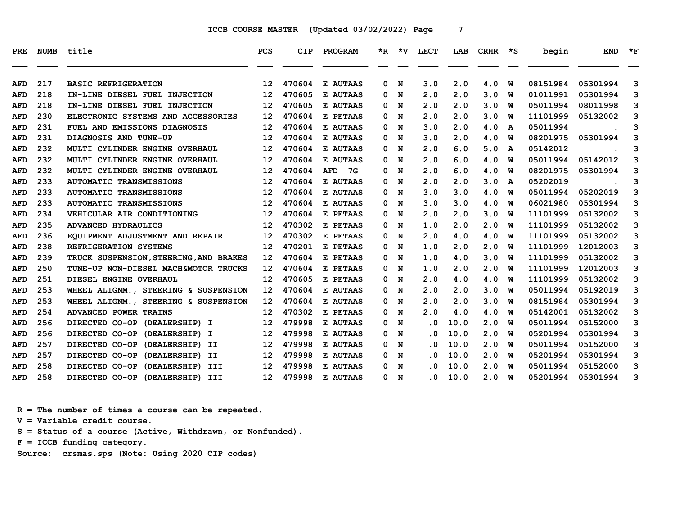| PRE.       | <b>NUMB</b> | title                                  | <b>PCS</b>        | CIP    | PROGRAM         | $*_{\mathbb{R}}$ | ∗v | LECT      | LAB  | <b>CRHR</b> | ∗s | begin    | <b>END</b> | $\star$ F |
|------------|-------------|----------------------------------------|-------------------|--------|-----------------|------------------|----|-----------|------|-------------|----|----------|------------|-----------|
| AFD        | 217         | <b>BASIC REFRIGERATION</b>             | $12 \overline{ }$ | 470604 | E AUTAAS        | 0                | N  | 3.0       | 2.0  | 4.0         | W  | 08151984 | 05301994   | 3         |
| <b>AFD</b> | 218         | IN-LINE DIESEL FUEL INJECTION          | $12 \overline{ }$ | 470605 | E AUTAAS        | 0                | N  | 2.0       | 2.0  | 3.0         | W  | 01011991 | 05301994   | 3         |
| AFD        | 218         | IN-LINE DIESEL FUEL INJECTION          | 12                | 470605 | <b>E AUTAAS</b> | 0                | N  | 2.0       | 2.0  | 3.0         | W  | 05011994 | 08011998   | 3         |
| <b>AFD</b> | 230         | ELECTRONIC SYSTEMS AND ACCESSORIES     | 12                | 470604 | E PETAAS        | 0                | N  | 2.0       | 2.0  | 3.0         | W  | 11101999 | 05132002   | 3         |
| <b>AFD</b> | 231         | FUEL AND EMISSIONS DIAGNOSIS           | 12                | 470604 | <b>E AUTAAS</b> | 0                | N  | 3.0       | 2.0  | 4.0         | A  | 05011994 |            | 3         |
| AFD        | 231         | DIAGNOSIS AND TUNE-UP                  | 12                | 470604 | E AUTAAS        | 0                | N  | 3.0       | 2.0  | 4.0         | w  | 08201975 | 05301994   | 3         |
| <b>AFD</b> | 232         | MULTI CYLINDER ENGINE OVERHAUL         | 12                | 470604 | <b>E AUTAAS</b> | 0                | N  | 2.0       | 6.0  | 5.0         | A  | 05142012 |            | 3         |
| <b>AFD</b> | 232         | MULTI CYLINDER ENGINE OVERHAUL         | 12                | 470604 | <b>E AUTAAS</b> | 0                | N  | 2.0       | 6.0  | 4.0         | W  | 05011994 | 05142012   | 3         |
| AFD        | 232         | MULTI CYLINDER ENGINE OVERHAUL         | 12                | 470604 | AFD<br>- 7G     | 0                | N  | 2.0       | 6.0  | 4.0         | w  | 08201975 | 05301994   | 3         |
| <b>AFD</b> | 233         | <b>AUTOMATIC TRANSMISSIONS</b>         | 12                | 470604 | <b>E AUTAAS</b> | 0                | N  | 2.0       | 2.0  | 3.0         | A  | 05202019 |            | 3         |
| <b>AFD</b> | 233         | <b>AUTOMATIC TRANSMISSIONS</b>         | 12                | 470604 | E AUTAAS        | 0                | N  | 3.0       | 3.0  | 4.0         | w  | 05011994 | 05202019   | 3         |
| AFD        | 233         | <b>AUTOMATIC TRANSMISSIONS</b>         | 12                | 470604 | <b>E AUTAAS</b> | 0                | N  | 3.0       | 3.0  | 4.0         | w  | 06021980 | 05301994   | 3         |
| AFD        | 234         | VEHICULAR AIR CONDITIONING             | 12                | 470604 | E PETAAS        | 0                | N  | 2.0       | 2.0  | 3.0         | W  | 11101999 | 05132002   | 3         |
| <b>AFD</b> | 235         | ADVANCED HYDRAULICS                    | $12 \overline{ }$ | 470302 | E PETAAS        | 0                | N  | 1.0       | 2.0  | 2.0         | W  | 11101999 | 05132002   | 3         |
| AFD        | 236         | EQUIPMENT ADJUSTMENT AND REPAIR        | 12                | 470302 | E PETAAS        | 0                | N  | 2.0       | 4.0  | 4.0         | W  | 11101999 | 05132002   | 3         |
| AFD        | 238         | REFRIGERATION SYSTEMS                  | 12                | 470201 | E PETAAS        | 0                | N  | 1.0       | 2.0  | 2.0         | w  | 11101999 | 12012003   | 3         |
| AFD        | 239         | TRUCK SUSPENSION, STEERING, AND BRAKES | 12                | 470604 | E PETAAS        | 0                | N  | 1.0       | 4.0  | 3.0         | W  | 11101999 | 05132002   | 3         |
| AFD        | 250         | TUNE-UP NON-DIESEL MACH&MOTOR TRUCKS   | 12                | 470604 | E PETAAS        | 0                | N  | 1.0       | 2.0  | 2.0         | W  | 11101999 | 12012003   | 3         |
| <b>AFD</b> | 251         | DIESEL ENGINE OVERHAUL                 | $12 \overline{ }$ | 470605 | E PETAAS        | 0                | N  | 2.0       | 4.0  | 4.0         | w  | 11101999 | 05132002   | 3         |
| <b>AFD</b> | 253         | WHEEL ALIGNM., STEERING & SUSPENSION   | 12                | 470604 | <b>E AUTAAS</b> | 0                | N  | 2.0       | 2.0  | 3.0         | W  | 05011994 | 05192019   | 3         |
| <b>AFD</b> | 253         | WHEEL ALIGNM., STEERING & SUSPENSION   | 12                | 470604 | E AUTAAS        | 0                | N  | 2.0       | 2.0  | 3.0         | W  | 08151984 | 05301994   | 3         |
| AFD        | 254         | ADVANCED POWER TRAINS                  | 12                | 470302 | E PETAAS        | 0                | N  | 2.0       | 4.0  | 4.0         | W  | 05142001 | 05132002   | 3         |
| <b>AFD</b> | 256         | DIRECTED CO-OP (DEALERSHIP) I          | 12                | 479998 | E AUTAAS        | 0                | N  | $\cdot$ 0 | 10.0 | 2.0         | พ  | 05011994 | 05152000   | 3         |
| <b>AFD</b> | 256         | DIRECTED CO-OP (DEALERSHIP) I          | 12                | 479998 | E AUTAAS        | 0                | N  | . 0       | 10.0 | 2.0         | W  | 05201994 | 05301994   | 3         |
| AFD        | 257         | DIRECTED CO-OP (DEALERSHIP) II         | 12                | 479998 | E AUTAAS        | 0                | N  | . 0       | 10.0 | 2.0         | w  | 05011994 | 05152000   | 3         |
| <b>AFD</b> | 257         | DIRECTED CO-OP (DEALERSHIP) II         | 12                | 479998 | E AUTAAS        | 0                | N  | . 0       | 10.0 | 2.0         | พ  | 05201994 | 05301994   | 3         |
| AFD        | 258         | DIRECTED CO-OP (DEALERSHIP) III        | 12                | 479998 | <b>E AUTAAS</b> | 0                | N  | . 0       | 10.0 | 2.0         | w  | 05011994 | 05152000   | 3         |
| <b>AFD</b> | 258         | DIRECTED CO-OP (DEALERSHIP) III        | 12 <sup>12</sup>  | 479998 | <b>E AUTAAS</b> | 0                | N  | . 0       | 10.0 | 2.0         | W  | 05201994 | 05301994   | 3         |

 **R = The number of times a course can be repeated.**

 **V = Variable credit course.**

 **S = Status of a course (Active, Withdrawn, or Nonfunded).**

 **F = ICCB funding category.**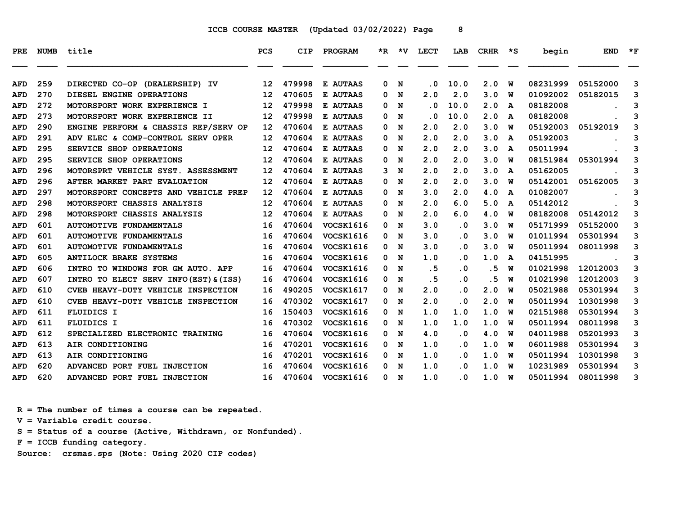| PRE.       | <b>NUMB</b> | title                                  | PCS               | <b>CIP</b> | PROGRAM          |   | $*R$ $*V$ | <b>LECT</b> | LAB                     | CRHR | ∗s | begin    | <b>END</b> | $*_{\mathbf{F}}$ |
|------------|-------------|----------------------------------------|-------------------|------------|------------------|---|-----------|-------------|-------------------------|------|----|----------|------------|------------------|
|            |             |                                        |                   |            |                  |   |           |             |                         |      |    |          |            |                  |
| AFD        | 259         | DIRECTED CO-OP (DEALERSHIP) IV         | $12 \overline{ }$ | 479998     | E AUTAAS         | 0 | N         | . 0         | 10.0                    | 2.0  | W  | 08231999 | 05152000   | 3                |
| <b>AFD</b> | 270         | DIESEL ENGINE OPERATIONS               | 12                | 470605     | E AUTAAS         | 0 | N         | 2.0         | 2.0                     | 3.0  | w  | 01092002 | 05182015   | 3                |
| <b>AFD</b> | 272         | MOTORSPORT WORK EXPERIENCE I           | 12                | 479998     | E AUTAAS         | 0 | N         | . 0         | 10.0                    | 2.0  | A  | 08182008 |            | 3                |
| <b>AFD</b> | 273         | MOTORSPORT WORK EXPERIENCE II          | $12 \overline{ }$ | 479998     | E AUTAAS         | 0 | N         | . 0         | 10.0                    | 2.0  | A  | 08182008 |            | 3                |
| <b>AFD</b> | 290         | ENGINE PERFORM & CHASSIS REP/SERV OP   | $12 \,$           | 470604     | E AUTAAS         | 0 | N         | 2.0         | 2.0                     | 3.0  | w  | 05192003 | 05192019   | 3                |
| <b>AFD</b> | 291         | ADV ELEC & COMP-CONTROL SERV OPER      | $12 \,$           | 470604     | E AUTAAS         | 0 | N         | 2.0         | 2.0                     | 3.0  | A  | 05192003 |            | 3                |
| AFD        | 295         | SERVICE SHOP OPERATIONS                | $12 \overline{ }$ | 470604     | <b>E AUTAAS</b>  | 0 | N         | 2.0         | 2.0                     | 3.0  | A  | 05011994 |            | 3                |
| <b>AFD</b> | 295         | SERVICE SHOP OPERATIONS                | 12                | 470604     | E AUTAAS         | 0 | N         | 2.0         | 2.0                     | 3.0  | W  | 08151984 | 05301994   | 3                |
| AFD        | 296         | MOTORSPRT VEHICLE SYST. ASSESSMENT     | 12                | 470604     | E AUTAAS         | 3 | N         | 2.0         | 2.0                     | 3.0  | A  | 05162005 |            | 3                |
| <b>AFD</b> | 296         | AFTER MARKET PART EVALUATION           | 12                | 470604     | E AUTAAS         | 0 | N         | 2.0         | 2.0                     | 3.0  | w  | 05142001 | 05162005   | 3                |
| AFD        | 297         | MOTORSPORT CONCEPTS AND VEHICLE PREP   | $12 \overline{ }$ | 470604     | E AUTAAS         | 0 | N         | 3.0         | 2.0                     | 4.0  | A  | 01082007 |            | 3                |
| <b>AFD</b> | 298         | MOTORSPORT CHASSIS ANALYSIS            | 12                | 470604     | E AUTAAS         | 0 | N         | 2.0         | 6.0                     | 5.0  | A  | 05142012 |            | 3                |
| AFD        | 298         | MOTORSPORT CHASSIS ANALYSIS            | 12                | 470604     | E AUTAAS         | 0 | N         | 2.0         | 6.0                     | 4.0  | W  | 08182008 | 05142012   | 3                |
| AFD        | 601         | <b>AUTOMOTIVE FUNDAMENTALS</b>         | 16                | 470604     | VOCSK1616        | 0 | N         | 3.0         | . 0                     | 3.0  | พ  | 05171999 | 05152000   | 3                |
| <b>AFD</b> | 601         | <b>AUTOMOTIVE FUNDAMENTALS</b>         | 16                | 470604     | VOCSK1616        | 0 | N         | 3.0         | . 0                     | 3.0  | W  | 01011994 | 05301994   | 3                |
| AFD        | 601         | <b>AUTOMOTIVE FUNDAMENTALS</b>         | 16                | 470604     | VOCSK1616        | 0 | N         | 3.0         | . 0                     | 3.0  | w  | 05011994 | 08011998   | 3                |
| <b>AFD</b> | 605         | <b>ANTILOCK BRAKE SYSTEMS</b>          | 16                | 470604     | VOCSK1616        | 0 | N         | 1.0         | $\overline{\mathbf{0}}$ | 1.0  | A  | 04151995 |            | 3                |
| AFD        | 606         | INTRO TO WINDOWS FOR GM AUTO. APP      | 16                | 470604     | <b>VOCSK1616</b> | 0 | N         | .5          | . 0                     | .5   | W  | 01021998 | 12012003   | 3                |
| <b>AFD</b> | 607         | INTRO TO ELECT SERV INFO (EST) & (ISS) | 16                | 470604     | VOCSK1616        | 0 | N         | .5          | $\overline{\mathbf{0}}$ | . 5  | W  | 01021998 | 12012003   | 3                |
| <b>AFD</b> | 610         | CVEB HEAVY-DUTY VEHICLE INSPECTION     | 16                | 490205     | <b>VOCSK1617</b> | 0 | N         | 2.0         | . 0                     | 2.0  | W  | 05021988 | 05301994   | 3                |
| AFD        | 610         | CVEB HEAVY-DUTY VEHICLE INSPECTION     | 16                | 470302     | <b>VOCSK1617</b> | 0 | N         | 2.0         | $\overline{\mathbf{0}}$ | 2.0  | W  | 05011994 | 10301998   | 3                |
| AFD        | 611         | <b>FLUIDICS I</b>                      | 16                | 150403     | VOCSK1616        | 0 | N         | 1.0         | 1.0                     | 1.0  | w  | 02151988 | 05301994   | 3                |
| AFD        | 611         | <b>FLUIDICS I</b>                      | 16                | 470302     | VOCSK1616        | 0 | N         | 1.0         | 1.0                     | 1.0  | W  | 05011994 | 08011998   | 3                |
| <b>AFD</b> | 612         | SPECIALIZED ELECTRONIC TRAINING        | 16                | 470604     | VOCSK1616        | 0 | N         | 4.0         | . 0                     | 4.0  | W  | 04011988 | 05201993   | 3                |
| AFD        | 613         | AIR CONDITIONING                       | 16                | 470201     | VOCSK1616        |   | 0 N       | 1.0         | . 0                     | 1.0  | w  | 06011988 | 05301994   | 3                |
| <b>AFD</b> | 613         | AIR CONDITIONING                       | 16                | 470201     | VOCSK1616        | 0 | N         | 1.0         | . 0                     | 1.0  | W  | 05011994 | 10301998   | 3                |
| AFD        | 620         | ADVANCED PORT FUEL INJECTION           | 16                | 470604     | VOCSK1616        | 0 | N         | 1.0         | . 0                     | 1.0  | W  | 10231989 | 05301994   | 3                |
| AFD        | 620         | ADVANCED PORT FUEL INJECTION           | 16                | 470604     | <b>VOCSK1616</b> |   | 0 N       | 1.0         | . 0                     | 1.0  | w  | 05011994 | 08011998   | 3                |

 **R = The number of times a course can be repeated.**

 **V = Variable credit course.**

 **S = Status of a course (Active, Withdrawn, or Nonfunded).**

 **F = ICCB funding category.**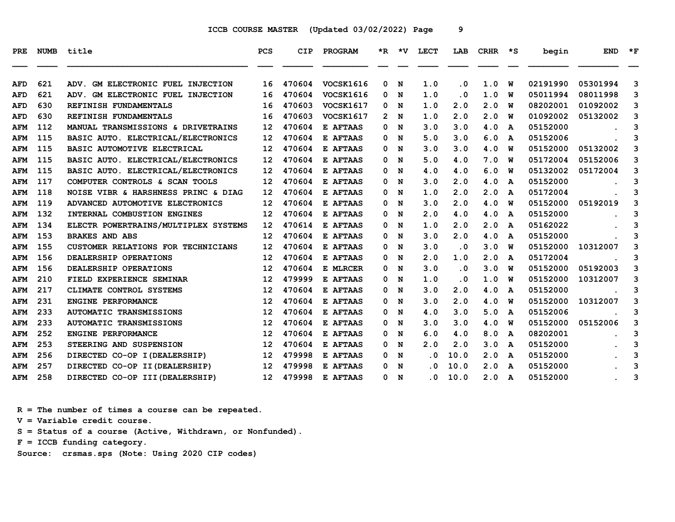| <b>PRE</b> | <b>NUMB</b> | title                                         | <b>PCS</b>        | CIP    | PROGRAM          | *R.            | *V | LECT | LAB       | <b>CRHR</b> | ∗s | begin    | <b>END</b> | $*_{\mathbf{F}}$ |
|------------|-------------|-----------------------------------------------|-------------------|--------|------------------|----------------|----|------|-----------|-------------|----|----------|------------|------------------|
| AFD        | 621         | GM ELECTRONIC FUEL INJECTION<br><b>ADV.</b>   | 16                | 470604 | VOCSK1616        | 0              | N  | 1.0  | . 0       | 1.0         | W  | 02191990 | 05301994   | 3                |
| <b>AFD</b> | 621         | ADV. GM ELECTRONIC FUEL INJECTION             | 16                | 470604 | VOCSK1616        | 0              | N  | 1.0  | . 0       | 1.0         | w  | 05011994 | 08011998   | 3                |
| <b>AFD</b> | 630         | REFINISH FUNDAMENTALS                         | 16                | 470603 | <b>VOCSK1617</b> | 0              | N  | 1.0  | 2.0       | 2.0         | w  | 08202001 | 01092002   | 3                |
| <b>AFD</b> | 630         | REFINISH FUNDAMENTALS                         | 16                | 470603 | VOCSK1617        | $\mathbf{2}^-$ | N  | 1.0  | 2.0       | 2.0         | พ  | 01092002 | 05132002   | 3                |
| <b>AFM</b> | 112         | <b>MANUAL TRANSMISSIONS &amp; DRIVETRAINS</b> | 12                | 470604 | E AFTAAS         | 0              | N  | 3.0  | 3.0       | 4.0         | A  | 05152000 |            | 3                |
| <b>AFM</b> | 115         | BASIC AUTO. ELECTRICAL/ELECTRONICS            | 12 <sup>2</sup>   | 470604 | E AFTAAS         | 0              | N  | 5.0  | 3.0       | 6.0         | A  | 05152006 |            | 3                |
| <b>AFM</b> | 115         | BASIC AUTOMOTIVE ELECTRICAL                   | $12 \overline{ }$ | 470604 | <b>E AFTAAS</b>  | 0              | N  | 3.0  | 3.0       | 4.0         | w  | 05152000 | 05132002   | 3                |
| <b>AFM</b> | 115         | BASIC AUTO. ELECTRICAL/ELECTRONICS            | 12                | 470604 | <b>E AFTAAS</b>  | 0              | N  | 5.0  | 4.0       | 7.0         | w  | 05172004 | 05152006   | 3                |
| <b>AFM</b> | 115         | BASIC AUTO. ELECTRICAL/ELECTRONICS            | 12                | 470604 | E AFTAAS         | 0              | N  | 4.0  | 4.0       | 6.0         | W  | 05132002 | 05172004   | 3                |
| <b>AFM</b> | 117         | COMPUTER CONTROLS & SCAN TOOLS                | 12                | 470604 | E AFTAAS         | 0              | N  | 3.0  | 2.0       | 4.0         | A  | 05152000 |            | 3                |
| <b>AFM</b> | 118         | NOISE VIBR & HARSHNESS PRINC & DIAG           | $12 \overline{ }$ | 470604 | E AFTAAS         | 0              | N  | 1.0  | 2.0       | 2.0         | A  | 05172004 |            | 3                |
| <b>AFM</b> | 119         | ADVANCED AUTOMOTIVE ELECTRONICS               | 12                | 470604 | E AFTAAS         | 0              | N  | 3.0  | 2.0       | 4.0         | w  | 05152000 | 05192019   | 3                |
| <b>AFM</b> | 132         | INTERNAL COMBUSTION ENGINES                   | 12                | 470604 | <b>E AFTAAS</b>  | 0              | N  | 2.0  | 4.0       | 4.0         | A  | 05152000 |            | 3                |
| <b>AFM</b> | 134         | ELECTR POWERTRAINS/MULTIPLEX SYSTEMS          | $12 \overline{ }$ | 470614 | E AFTAAS         | 0              | N  | 1.0  | 2.0       | 2.0         | A  | 05162022 |            | 3                |
| <b>AFM</b> | 153         | <b>BRAKES AND ABS</b>                         | $12 \overline{ }$ | 470604 | E AFTAAS         | 0              | N  | 3.0  | 2.0       | 4.0         | A  | 05152000 |            | 3                |
| <b>AFM</b> | 155         | CUSTOMER RELATIONS FOR TECHNICIANS            | $12 \overline{ }$ | 470604 | <b>E AFTAAS</b>  | 0              | N  | 3.0  | $\cdot$ 0 | 3.0         | W  | 05152000 | 10312007   | 3                |
| <b>AFM</b> | 156         | DEALERSHIP OPERATIONS                         | 12                | 470604 | E AFTAAS         | 0              | N  | 2.0  | 1.0       | 2.0         | A  | 05172004 |            | 3                |
| <b>AFM</b> | 156         | DEALERSHIP OPERATIONS                         | 12                | 470604 | E MLRCER         | 0              | N  | 3.0  | $\cdot$ 0 | 3.0         | W  | 05152000 | 05192003   | 3                |
| <b>AFM</b> | 210         | FIELD EXPERIENCE SEMINAR                      | 12                | 479999 | E AFTAAS         | 0              | N  | 1.0  | $\cdot$ 0 | 1.0         | w  | 05152000 | 10312007   | 3                |
| <b>AFM</b> | 217         | CLIMATE CONTROL SYSTEMS                       | 12                | 470604 | E AFTAAS         | 0              | N  | 3.0  | 2.0       | 4.0         | A  | 05152000 |            | 3                |
| AFM        | 231         | ENGINE PERFORMANCE                            | 12                | 470604 | E AFTAAS         | 0              | N  | 3.0  | 2.0       | 4.0         | W  | 05152000 | 10312007   | 3                |
| <b>AFM</b> | 233         | <b>AUTOMATIC TRANSMISSIONS</b>                | 12                | 470604 | E AFTAAS         | 0              | N  | 4.0  | 3.0       | 5.0         | A  | 05152006 |            | 3                |
| <b>AFM</b> | 233         | <b>AUTOMATIC TRANSMISSIONS</b>                | 12                | 470604 | E AFTAAS         | 0              | N  | 3.0  | 3.0       | 4.0         | W  | 05152000 | 05152006   | 3                |
| <b>AFM</b> | 252         | ENGINE PERFORMANCE                            | 12                | 470604 | E AFTAAS         | 0              | N  | 6.0  | 4.0       | 8.0         | A  | 08202001 |            | 3                |
| <b>AFM</b> | 253         | STEERING AND SUSPENSION                       | 12                | 470604 | E AFTAAS         | 0              | N  | 2.0  | 2.0       | 3.0         | A  | 05152000 |            | 3                |
| <b>AFM</b> | 256         | DIRECTED CO-OP I (DEALERSHIP)                 | 12                | 479998 | E AFTAAS         | 0              | N  | . 0  | 10.0      | 2.0         | A  | 05152000 |            | 3                |
| <b>AFM</b> | 257         | DIRECTED CO-OP II (DEALERSHIP)                | 12                | 479998 | E AFTAAS         | 0              | N  | . 0  | 10.0      | 2.0         | A  | 05152000 |            | 3                |
| AFM        | 258         | DIRECTED CO-OP III (DEALERSHIP)               | 12 <sup>12</sup>  | 479998 | E AFTAAS         | 0              | N  | . 0  | 10.0      | 2.0         | A  | 05152000 |            | 3                |

 **R = The number of times a course can be repeated.**

 **V = Variable credit course.**

 **S = Status of a course (Active, Withdrawn, or Nonfunded).**

 **F = ICCB funding category.**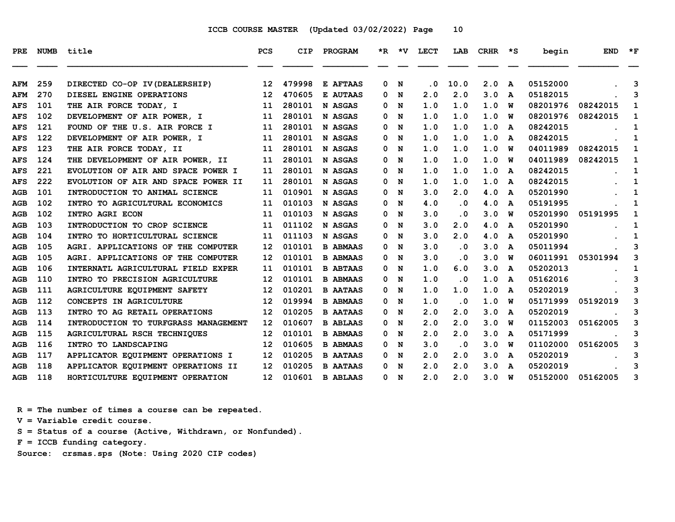| PRE        |     | NUMB title                           | <b>PCS</b>        | CIP    | PROGRAM         |              |     | *R *V LECT | LAB                     | CRHR | $\star$ s | begin    | <b>END</b> | $\star$ F |
|------------|-----|--------------------------------------|-------------------|--------|-----------------|--------------|-----|------------|-------------------------|------|-----------|----------|------------|-----------|
| AFM        | 259 | DIRECTED CO-OP IV (DEALERSHIP)       | 12                | 479998 | E AFTAAS        | $\mathbf{0}$ | N   | . 0        | 10.0                    | 2.0  | A         | 05152000 |            | 3         |
| AFM        | 270 | DIESEL ENGINE OPERATIONS             | 12                | 470605 | E AUTAAS        | 0            | N   | 2.0        | 2.0                     | 3.0  | A         | 05182015 |            | 3         |
| <b>AFS</b> | 101 | THE AIR FORCE TODAY, I               | 11                | 280101 | N ASGAS         | 0            | N   | 1.0        | 1.0                     | 1.0  | W         | 08201976 | 08242015   | 1         |
| AFS        | 102 | DEVELOPMENT OF AIR POWER, I          | 11                | 280101 | N ASGAS         | 0            | N   | 1.0        | 1.0                     | 1.0  | w         | 08201976 | 08242015   | 1         |
| <b>AFS</b> | 121 | FOUND OF THE U.S. AIR FORCE I        | 11                | 280101 | N ASGAS         | 0            | N   | 1.0        | 1.0                     | 1.0  | A         | 08242015 |            | 1         |
| <b>AFS</b> | 122 | DEVELOPMENT OF AIR POWER, I          | 11                | 280101 | N ASGAS         | 0            | N   | 1.0        | 1.0                     | 1.0  | A         | 08242015 |            | 1         |
| <b>AFS</b> | 123 | THE AIR FORCE TODAY, II              | 11                | 280101 | N ASGAS         |              | 0 N | 1.0        | 1.0                     | 1.0  | W         | 04011989 | 08242015   | 1         |
| <b>AFS</b> | 124 | THE DEVELOPMENT OF AIR POWER, II     | 11                | 280101 | N ASGAS         | 0            | N   | 1.0        | 1.0                     | 1.0  | w         | 04011989 | 08242015   | 1         |
| <b>AFS</b> | 221 | EVOLUTION OF AIR AND SPACE POWER I   | 11                | 280101 | N ASGAS         | 0            | N   | 1.0        | 1.0                     | 1.0  | A         | 08242015 |            | 1         |
| <b>AFS</b> | 222 | EVOLUTION OF AIR AND SPACE POWER II  | 11                | 280101 | N ASGAS         | 0            | N   | 1.0        | 1.0                     | 1.0  | A         | 08242015 |            | 1         |
| <b>AGB</b> | 101 | INTRODUCTION TO ANIMAL SCIENCE       | 11                | 010901 | N ASGAS         | 0            | N   | 3.0        | 2.0                     | 4.0  | A         | 05201990 |            | 1         |
| AGB        | 102 | INTRO TO AGRICULTURAL ECONOMICS      | 11                | 010103 | N ASGAS         |              | 0 N | 4.0        | $\overline{\mathbf{0}}$ | 4.0  | A         | 05191995 |            | 1         |
| <b>AGB</b> | 102 | <b>INTRO AGRI ECON</b>               | 11                | 010103 | N ASGAS         | 0            | N   | 3.0        | $\cdot$ 0               | 3.0  | W         | 05201990 | 05191995   | 1         |
| AGB        | 103 | INTRODUCTION TO CROP SCIENCE         | 11                | 011102 | N ASGAS         | 0            | N   | 3.0        | 2.0                     | 4.0  | A         | 05201990 |            | 1         |
| AGB        | 104 | INTRO TO HORTICULTURAL SCIENCE       | 11                | 011103 | N ASGAS         | 0            | N   | 3.0        | 2.0                     | 4.0  | A         | 05201990 |            | 1         |
| AGB        | 105 | AGRI. APPLICATIONS OF THE COMPUTER   | 12                | 010101 | <b>B ABMAAS</b> | 0            | N   | 3.0        | $\overline{\mathbf{0}}$ | 3.0  | A         | 05011994 |            | 3         |
| <b>AGB</b> | 105 | AGRI. APPLICATIONS OF THE COMPUTER   | $12 \overline{ }$ | 010101 | <b>B ABMAAS</b> |              | 0 N | 3.0        | $\overline{\mathbf{0}}$ | 3.0  | W         | 06011991 | 05301994   | 3         |
| AGB        | 106 | INTERNATL AGRICULTURAL FIELD EXPER   | 11                | 010101 | <b>B ABTAAS</b> | 0            | N   | 1.0        | 6.0                     | 3.0  | A         | 05202013 |            | 1         |
| AGB        | 110 | INTRO TO PRECISION AGRICULTURE       | 12                | 010101 | <b>B ABMAAS</b> | $\mathbf{0}$ | N   | 1.0        | $\cdot$ 0               | 1.0  | A         | 05162016 |            | 3         |
| AGB        | 111 | AGRICULTURE EQUIPMENT SAFETY         | $12 \overline{ }$ | 010201 | <b>B AATAAS</b> | 0            | N   | 1.0        | 1.0                     | 1.0  | A         | 05202019 |            | 3         |
| AGB        | 112 | CONCEPTS IN AGRICULTURE              | 12                | 019994 | <b>B ABMAAS</b> | 0            | N   | 1.0        | $\cdot$ 0               | 1.0  | W         | 05171999 | 05192019   | 3         |
| AGB        | 113 | INTRO TO AG RETAIL OPERATIONS        | $12 \overline{ }$ | 010205 | <b>B AATAAS</b> |              | 0 N | 2.0        | 2.0                     | 3.0  | A         | 05202019 |            | 3         |
| <b>AGB</b> | 114 | INTRODUCTION TO TURFGRASS MANAGEMENT | 12                | 010607 | <b>B ABLAAS</b> | 0            | N   | 2.0        | 2.0                     | 3.0  | W         | 01152003 | 05162005   | 3         |
| AGB        | 115 | AGRICULTURAL RSCH TECHNIQUES         | 12                | 010101 | <b>B ABMAAS</b> | 0            | N   | 2.0        | 2.0                     | 3.0  | A         | 05171999 |            | 3         |
| AGB        | 116 | INTRO TO LANDSCAPING                 | 12                | 010605 | <b>B ABMAAS</b> | 0            | N   | 3.0        | $\cdot$ 0               | 3.0  | W         | 01102000 | 05162005   | 3         |
| AGB        | 117 | APPLICATOR EQUIPMENT OPERATIONS I    | $12 \overline{ }$ | 010205 | <b>B AATAAS</b> | 0            | N   | 2.0        | 2.0                     | 3.0  | A         | 05202019 |            | 3         |
| <b>AGB</b> | 118 | APPLICATOR EQUIPMENT OPERATIONS II   | $12 \overline{ }$ | 010205 | <b>B AATAAS</b> |              | 0 N | 2.0        | 2.0                     | 3.0  | A         | 05202019 |            | 3         |
| AGB        | 118 | HORTICULTURE EQUIPMENT OPERATION     | 12 <sup>2</sup>   | 010601 | <b>B ABLAAS</b> | 0            | N   | 2.0        | 2.0                     | 3.0  | W         | 05152000 | 05162005   | 3         |

 **R = The number of times a course can be repeated.**

 **V = Variable credit course.**

 **S = Status of a course (Active, Withdrawn, or Nonfunded).**

 **F = ICCB funding category.**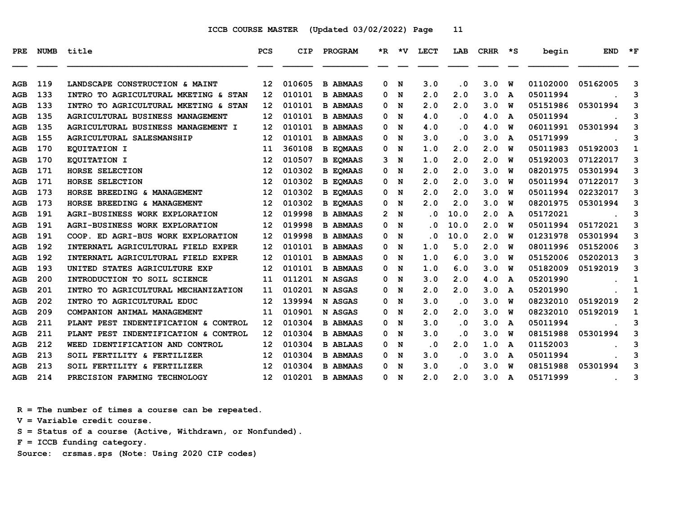| <b>PRE</b> | <b>NUMB</b> | title                                  | <b>PCS</b>        | <b>CIP</b> | PROGRAM         |    | $*R$ $*V$ | <b>LECT</b>             | LAB                     | <b>CRHR</b> | $\star$ s    | begin    | <b>END</b> | $\star$ F    |
|------------|-------------|----------------------------------------|-------------------|------------|-----------------|----|-----------|-------------------------|-------------------------|-------------|--------------|----------|------------|--------------|
|            |             |                                        |                   |            |                 |    |           |                         |                         |             |              |          |            |              |
| AGB        | 119         | LANDSCAPE CONSTRUCTION & MAINT         | 12                | 010605     | <b>B ABMAAS</b> | 0  | N         | 3.0                     | . 0                     | 3.0         | W            | 01102000 | 05162005   | 3            |
| AGB        | 133         | INTRO TO AGRICULTURAL MKETING & STAN   | 12                | 010101     | <b>B ABMAAS</b> | 0  | N         | 2.0                     | 2.0                     | 3.0         | A            | 05011994 |            | 3            |
| AGB        | 133         | INTRO TO AGRICULTURAL MKETING & STAN   | $12 \overline{ }$ | 010101     | <b>B ABMAAS</b> | 0  | N         | 2.0                     | 2.0                     | 3.0         | W            | 05151986 | 05301994   | 3            |
| <b>AGB</b> | 135         | AGRICULTURAL BUSINESS MANAGEMENT       | 12                | 010101     | <b>B ABMAAS</b> | 0  | N         | 4.0                     | $\cdot$ 0               | 4.0         | A            | 05011994 |            | 3            |
| AGB        | 135         | AGRICULTURAL BUSINESS MANAGEMENT I     | 12                | 010101     | <b>B ABMAAS</b> | 0  | N         | 4.0                     | $\overline{\mathbf{0}}$ | 4.0         | w            | 06011991 | 05301994   | 3            |
| AGB        | 155         | AGRICULTURAL SALESMANSHIP              | 12                | 010101     | <b>B ABMAAS</b> | 0  | N         | 3.0                     | $\overline{\mathbf{0}}$ | 3.0         | A            | 05171999 |            | 3            |
| <b>AGB</b> | 170         | EOUITATION I                           | 11                | 360108     | <b>B EOMAAS</b> | 0  | N         | 1.0                     | 2.0                     | 2.0         | w            | 05011983 | 05192003   | $\mathbf{1}$ |
| AGB        | 170         | EQUITATION I                           | 12                | 010507     | <b>B EOMAAS</b> | 3  | N         | 1.0                     | 2.0                     | 2.0         | W            | 05192003 | 07122017   | 3            |
| AGB        | 171         | HORSE SELECTION                        | 12                | 010302     | <b>B EOMAAS</b> | 0  | N         | 2.0                     | 2.0                     | 3.0         | พ            | 08201975 | 05301994   | 3            |
| <b>AGB</b> | 171         | HORSE SELECTION                        | 12                | 010302     | <b>B EOMAAS</b> | 0  | N         | 2.0                     | 2.0                     | 3.0         | w            | 05011994 | 07122017   | 3            |
| AGB        | 173         | HORSE BREEDING & MANAGEMENT            | 12                | 010302     | <b>B EOMAAS</b> | 0  | N         | 2.0                     | 2.0                     | 3.0         | W            | 05011994 | 02232017   | 3            |
| AGB        | 173         | HORSE BREEDING & MANAGEMENT            | 12                | 010302     | <b>B EQMAAS</b> | 0  | N         | 2.0                     | 2.0                     | 3.0         | W            | 08201975 | 05301994   | 3            |
| AGB        | 191         | <b>AGRI-BUSINESS WORK EXPLORATION</b>  | 12                | 019998     | <b>B ABMAAS</b> | 2. | N         | $\overline{\mathbf{0}}$ | 10.0                    | 2.0         | $\mathbf{A}$ | 05172021 |            | 3            |
| AGB        | 191         | <b>AGRI-BUSINESS WORK EXPLORATION</b>  | $12 \overline{ }$ | 019998     | <b>B ABMAAS</b> | 0  | N         | . 0                     | 10.0                    | 2.0         | w            | 05011994 | 05172021   | 3            |
| AGB        | 191         | COOP. ED AGRI-BUS WORK EXPLORATION     | $12 \overline{ }$ | 019998     | <b>B ABMAAS</b> | 0  | N         | . 0                     | 10.0                    | 2.0         | W            | 01231978 | 05301994   | 3            |
| AGB        | 192         | INTERNATL AGRICULTURAL FIELD EXPER     | 12                | 010101     | <b>B ABMAAS</b> | 0  | N         | 1.0                     | 5.0                     | 2.0         | w            | 08011996 | 05152006   | 3            |
| AGB        | 192         | INTERNATL AGRICULTURAL FIELD EXPER     | $12 \overline{ }$ | 010101     | <b>B ABMAAS</b> | 0  | N         | 1.0                     | 6.0                     | 3.0         | W            | 05152006 | 05202013   | 3            |
| <b>AGB</b> | 193         | UNITED STATES AGRICULTURE EXP          | 12                | 010101     | <b>B ABMAAS</b> | 0  | N         | 1.0                     | 6.0                     | 3.0         | W            | 05182009 | 05192019   | 3            |
| <b>AGB</b> | 200         | INTRODUCTION TO SOIL SCIENCE           | 11                | 011201     | N ASGAS         | 0  | N         | 3.0                     | 2.0                     | 4.0         | A            | 05201990 |            | 1            |
| AGB        | 201         | INTRO TO AGRICULTURAL MECHANIZATION    | 11                | 010201     | N ASGAS         | 0  | N         | 2.0                     | 2.0                     | 3.0         | A            | 05201990 |            | 1            |
| AGB        | 202         | INTRO TO AGRICULTURAL EDUC             | 12                | 139994     | N ASGAS         | 0  | N         | 3.0                     | $\cdot$ 0               | 3.0         | W            | 08232010 | 05192019   | $\mathbf{2}$ |
| <b>AGB</b> | 209         | COMPANION ANIMAL MANAGEMENT            | 11                | 010901     | N ASGAS         | 0  | N         | 2.0                     | 2.0                     | 3.0         | W            | 08232010 | 05192019   | 1            |
| AGB        | 211         | PLANT PEST INDENTIFICATION & CONTROL   | $12 \overline{ }$ | 010304     | <b>B ABMAAS</b> | 0  | N         | 3.0                     | . 0                     | 3.0         | A            | 05011994 |            | 3            |
| <b>AGB</b> | 211         | PLANT PEST INDENTIFICATION & CONTROL   | 12                | 010304     | <b>B ABMAAS</b> | 0  | N         | 3.0                     | . 0                     | 3.0         | W            | 08151988 | 05301994   | 3            |
| AGB        | 212         | WEED IDENTIFICATION AND CONTROL        | $12 \overline{ }$ | 010304     | <b>B ABLAAS</b> | 0  | N         | $\cdot$ 0               | 2.0                     | 1.0         | A            | 01152003 |            | 3            |
| AGB        | 213         | SOIL FERTILITY & FERTILIZER            | 12                | 010304     | <b>B ABMAAS</b> | 0  | N         | 3.0                     | $\cdot$ 0               | 3.0         | A            | 05011994 |            | 3            |
| <b>AGB</b> | 213         | <b>SOIL FERTILITY &amp; FERTILIZER</b> | 12                | 010304     | <b>B ABMAAS</b> | 0  | N         | 3.0                     | $\cdot$ 0               | 3.0         | พ            | 08151988 | 05301994   | 3            |
| AGB        | 214         | PRECISION FARMING TECHNOLOGY           | 12 <sup>2</sup>   | 010201     | <b>B ABMAAS</b> |    | 0 N       | 2.0                     | 2.0                     | 3.0         | A            | 05171999 |            | 3            |

 **R = The number of times a course can be repeated.**

 **V = Variable credit course.**

 **S = Status of a course (Active, Withdrawn, or Nonfunded).**

 **F = ICCB funding category.**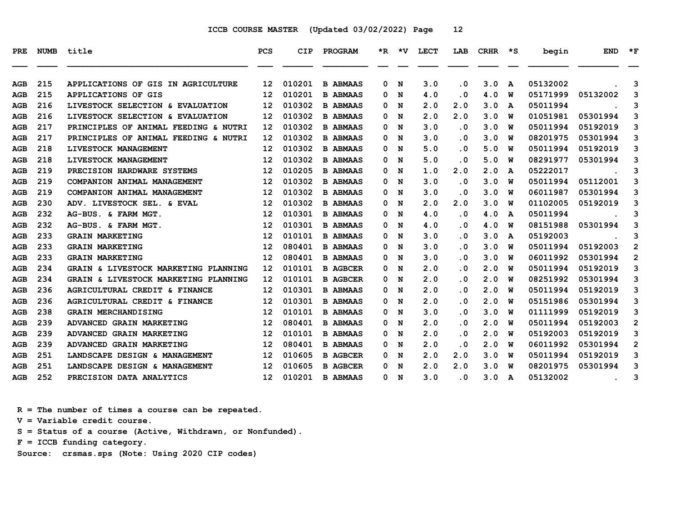| PRE        |     | NUMB title                           | <b>PCS</b>        | <b>CIP</b> | PROGRAM         |   |     | *R *V LECT | LAB                  | $CRHR$ *S        |              | begin    | $END$ *F                       |                |
|------------|-----|--------------------------------------|-------------------|------------|-----------------|---|-----|------------|----------------------|------------------|--------------|----------|--------------------------------|----------------|
| AGB        | 215 | APPLICATIONS OF GIS IN AGRICULTURE   | 12                | 010201     | <b>B ABMAAS</b> | 0 | N   | 3.0        | . 0                  | 3.0              | $\mathbf{A}$ | 05132002 |                                | 3              |
| <b>AGB</b> | 215 | <b>APPLICATIONS OF GIS</b>           | 12                | 010201     | <b>B ABMAAS</b> | 0 | N   | 4.0        | $\cdot$ 0            | 4.0              | W            | 05171999 | 05132002                       | 3              |
| AGB        | 216 | LIVESTOCK SELECTION & EVALUATION     | 12                | 010302     | <b>B ABMAAS</b> | 0 | N   | 2.0        | 2.0                  | 3.0              | A            | 05011994 |                                | 3              |
| AGB        | 216 | LIVESTOCK SELECTION & EVALUATION     | 12                | 010302     | <b>B ABMAAS</b> | 0 | N   | 2.0        | 2.0                  | 3.0              | W            | 01051981 | 05301994                       | 3              |
| AGB        | 217 | PRINCIPLES OF ANIMAL FEEDING & NUTRI | 12                | 010302     | <b>B ABMAAS</b> | 0 | N   | 3.0        | $\cdot$ 0            | 3.0              | W            | 05011994 | 05192019                       | 3              |
| <b>AGB</b> | 217 | PRINCIPLES OF ANIMAL FEEDING & NUTRI | 12                | 010302     | <b>B ABMAAS</b> | 0 | N   | 3.0        | . 0                  | 3.0              | W            | 08201975 | 05301994                       | 3              |
| AGB        | 218 | LIVESTOCK MANAGEMENT                 | 12                | 010302     | <b>B ABMAAS</b> | 0 | N   | 5.0        | . 0                  | 5.0              | W            | 05011994 | 05192019                       | 3              |
| AGB        | 218 | LIVESTOCK MANAGEMENT                 | $12 \overline{ }$ | 010302     | <b>B ABMAAS</b> | 0 | N   | 5.0        | . 0                  | 5.0              | W            | 08291977 | 05301994                       | 3              |
| <b>AGB</b> | 219 | PRECISION HARDWARE SYSTEMS           | $12 \overline{ }$ | 010205     | <b>B ABMAAS</b> | 0 | N   | 1.0        | 2.0                  | 2.0              | A            | 05222017 |                                | 3              |
| <b>AGB</b> | 219 | COMPANION ANIMAL MANAGEMENT          | $12 \overline{ }$ | 010302     | <b>B ABMAAS</b> | 0 | N   | 3.0        | $\cdot$ 0            | 3.0              | W            | 05011994 | 05112001                       | 3              |
| AGB        | 219 | COMPANION ANIMAL MANAGEMENT          | 12                | 010302     | <b>B ABMAAS</b> | 0 | N   | 3.0        | $\cdot$ 0            | 3.0              | W            | 06011987 | 05301994                       | 3              |
| AGB        | 230 | ADV. LIVESTOCK SEL. & EVAL           | $12 \overline{ }$ | 010302     | <b>B ABMAAS</b> | 0 | N   | 2.0        | 2.0                  | 3.0              | W            | 01102005 | 05192019                       | 3              |
| AGB        | 232 | AG-BUS. & FARM MGT.                  | 12                | 010301     | <b>B ABMAAS</b> | 0 | N   | 4.0        | $\cdot$ 0            | 4.0              | A            | 05011994 |                                | 3              |
| AGB        | 232 | AG-BUS. & FARM MGT.                  | 12                | 010301     | <b>B ABMAAS</b> | 0 | N   | 4.0        | . 0                  | 4.0              | W            | 08151988 | 05301994                       | 3              |
| <b>AGB</b> | 233 | <b>GRAIN MARKETING</b>               | $12 \overline{ }$ | 010101     | <b>B ABMAAS</b> | 0 | N   | 3.0        | . 0                  | 3.0              | A            | 05192003 |                                | 3              |
| AGB        | 233 | <b>GRAIN MARKETING</b>               | 12                | 080401     | <b>B ABMAAS</b> | 0 | N   | 3.0        | . 0                  | 3.0              | W            | 05011994 | 05192003                       | $\overline{2}$ |
| AGB        | 233 | <b>GRAIN MARKETING</b>               | $12 \overline{ }$ | 080401     | <b>B ABMAAS</b> | 0 | N   | 3.0        | . 0                  | 3.0              | W            | 06011992 | 05301994                       | $\mathbf{2}$   |
| <b>AGB</b> | 234 | GRAIN & LIVESTOCK MARKETING PLANNING | 12                | 010101     | <b>B AGBCER</b> | 0 | N   | 2.0        | . 0                  | 2.0              | W            | 05011994 | 05192019                       | 3              |
| AGB        | 234 | GRAIN & LIVESTOCK MARKETING PLANNING | 12                | 010101     | <b>B AGBCER</b> | 0 | N   | 2.0        | . 0                  | 2.0              | W            | 08251992 | 05301994                       | 3              |
| AGB        | 236 | AGRICULTURAL CREDIT & FINANCE        | $12 \overline{ }$ | 010301     | <b>B ABMAAS</b> | 0 | N   | 2.0        | . 0                  | 2.0              | W            | 05011994 | 05192019                       | 3              |
| AGB        | 236 | AGRICULTURAL CREDIT & FINANCE        | $12 \overline{ }$ | 010301     | <b>B ABMAAS</b> | 0 | N   | 2.0        | . 0                  | 2.0              | W            | 05151986 | 05301994                       | 3              |
| <b>AGB</b> | 238 | <b>GRAIN MERCHANDISING</b>           | 12                | 010101     | <b>B ABMAAS</b> | 0 | N   | 3.0        | . 0                  | 3.0              | W            | 01111999 | 05192019                       | 3              |
| AGB        | 239 | <b>ADVANCED GRAIN MARKETING</b>      | 12                | 080401     | <b>B ABMAAS</b> | 0 | N   | 2.0        | . 0                  | 2.0              | W            | 05011994 | 05192003                       | $\overline{2}$ |
| <b>AGB</b> | 239 | ADVANCED GRAIN MARKETING             | $12 \overline{ }$ | 010101     | <b>B ABMAAS</b> | 0 | N   | 2.0        | $\ddot{\phantom{0}}$ | 2.0              | W            | 05192003 | 05192019                       | 3              |
| AGB        | 239 | ADVANCED GRAIN MARKETING             | 12                | 080401     | <b>B ABMAAS</b> | 0 | N   | 2.0        | $\cdot$ 0            | 2.0              | W            | 06011992 | 05301994                       | $\mathbf{2}$   |
| <b>AGB</b> | 251 | LANDSCAPE DESIGN & MANAGEMENT        | $12 \overline{ }$ | 010605     | <b>B AGBCER</b> | 0 | N   | 2.0        | 2.0                  | 3.0              | W            | 05011994 | 05192019                       | 3              |
| <b>AGB</b> | 251 | LANDSCAPE DESIGN & MANAGEMENT        | 12                | 010605     | <b>B AGBCER</b> | 0 | N   | 2.0        | 2.0                  | 3.0              | w            | 08201975 | 05301994                       | 3              |
| AGB        | 252 | PRECISION DATA ANALYTICS             | 12 <sup>7</sup>   | 010201     | <b>B ABMAAS</b> |   | 0 N | 3.0        | $\cdot$ 0            | 3.0 <sub>A</sub> |              | 05132002 | <b>Contract Contract State</b> | 3              |

 **R = The number of times a course can be repeated.**

 **V = Variable credit course.**

 **S = Status of a course (Active, Withdrawn, or Nonfunded).**

 **F = ICCB funding category.**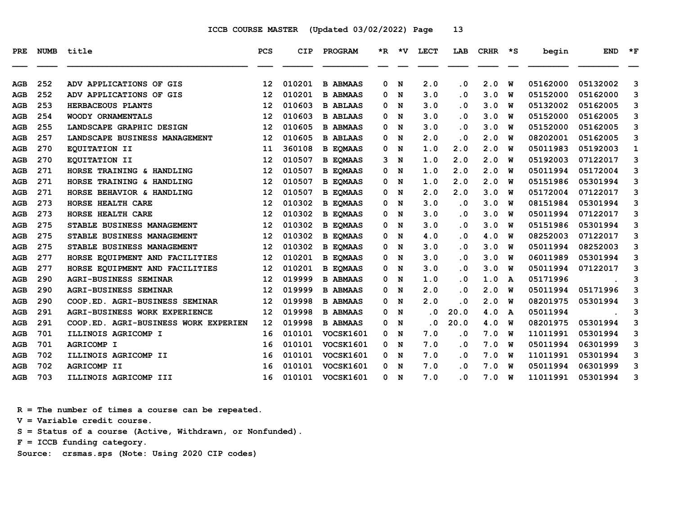| <b>PRE</b> | <b>NUMB</b> | title                                | PCS               | CIP    | PROGRAM          |   | *R *V       | <b>LECT</b> | LAB       | CRHR | ∗s | begin    | <b>END</b> | $*_{\mathbf{F}}$ |
|------------|-------------|--------------------------------------|-------------------|--------|------------------|---|-------------|-------------|-----------|------|----|----------|------------|------------------|
| AGB        | 252         | ADV APPLICATIONS OF GIS              | 12                | 010201 | <b>B ABMAAS</b>  | 0 | N           | 2.0         | $\cdot$ 0 | 2.0  | W  | 05162000 | 05132002   | 3                |
| <b>AGB</b> | 252         | ADV APPLICATIONS OF GIS              | $12 \overline{ }$ | 010201 | <b>B ABMAAS</b>  | 0 | N           | 3.0         | $\cdot$ 0 | 3.0  | พ  | 05152000 | 05162000   | 3                |
| AGB        | 253         | HERBACEOUS PLANTS                    | 12                | 010603 | <b>B ABLAAS</b>  | 0 | N           | 3.0         | $\cdot$ 0 | 3.0  | W  | 05132002 | 05162005   | 3                |
| AGB        | 254         | WOODY ORNAMENTALS                    | 12                | 010603 | <b>B ABLAAS</b>  | 0 | N           | 3.0         | $\cdot$ 0 | 3.0  | W  | 05152000 | 05162005   | 3                |
| <b>AGB</b> | 255         | LANDSCAPE GRAPHIC DESIGN             | 12                | 010605 | <b>B ABMAAS</b>  | 0 | N           | 3.0         | . 0       | 3.0  | W  | 05152000 | 05162005   | 3                |
| AGB        | 257         | LANDSCAPE BUSINESS MANAGEMENT        | 12                | 010605 | <b>B ABLAAS</b>  | 0 | N           | 2.0         | $\cdot$ 0 | 2.0  | W  | 08202001 | 05162005   | 3                |
| AGB        | 270         | EQUITATION II                        | 11                | 360108 | <b>B EOMAAS</b>  | 0 | N           | 1.0         | 2.0       | 2.0  | พ  | 05011983 | 05192003   | $\mathbf 1$      |
| AGB        | 270         | EQUITATION II                        | 12                | 010507 | <b>B EOMAAS</b>  | 3 | N           | 1.0         | 2.0       | 2.0  | W  | 05192003 | 07122017   | 3                |
| AGB        | 271         | HORSE TRAINING & HANDLING            | $12 \overline{ }$ | 010507 | <b>B EOMAAS</b>  | 0 | N           | 1.0         | 2.0       | 2.0  | W  | 05011994 | 05172004   | 3                |
| <b>AGB</b> | 271         | HORSE TRAINING & HANDLING            | 12                | 010507 | <b>B EOMAAS</b>  | 0 | N           | 1.0         | 2.0       | 2.0  | W  | 05151986 | 05301994   | 3                |
| <b>AGB</b> | 271         | HORSE BEHAVIOR & HANDLING            | 12                | 010507 | <b>B EOMAAS</b>  | 0 | N           | 2.0         | 2.0       | 3.0  | W  | 05172004 | 07122017   | 3                |
| AGB        | 273         | HORSE HEALTH CARE                    | 12                | 010302 | <b>B EOMAAS</b>  | 0 | N           | 3.0         | $\cdot$ 0 | 3.0  | พ  | 08151984 | 05301994   | 3                |
| <b>AGB</b> | 273         | HORSE HEALTH CARE                    | $12 \overline{ }$ | 010302 | <b>B EOMAAS</b>  | 0 | N           | 3.0         | $\cdot$ 0 | 3.0  | W  | 05011994 | 07122017   | 3                |
| AGB        | 275         | STABLE BUSINESS MANAGEMENT           | 12                | 010302 | <b>B EOMAAS</b>  | 0 | N           | 3.0         | . 0       | 3.0  | W  | 05151986 | 05301994   | 3                |
| <b>AGB</b> | 275         | STABLE BUSINESS MANAGEMENT           | 12                | 010302 | <b>B EOMAAS</b>  | 0 | N           | 4.0         | $\cdot$ 0 | 4.0  | W  | 08252003 | 07122017   | 3                |
| AGB        | 275         | STABLE BUSINESS MANAGEMENT           | 12                | 010302 | <b>B EOMAAS</b>  | 0 | N           | 3.0         | . 0       | 3.0  | W  | 05011994 | 08252003   | 3                |
| AGB        | 277         | HORSE EOUIPMENT AND FACILITIES       | $12 \overline{ }$ | 010201 | <b>B EOMAAS</b>  | 0 | N           | 3.0         | $\cdot$ 0 | 3.0  | W  | 06011989 | 05301994   | 3                |
| <b>AGB</b> | 277         | HORSE EQUIPMENT AND FACILITIES       | $12 \overline{ }$ | 010201 | <b>B EOMAAS</b>  | 0 | N           | 3.0         | . 0       | 3.0  | W  | 05011994 | 07122017   | 3                |
| <b>AGB</b> | 290         | AGRI-BUSINESS SEMINAR                | $12 \overline{ }$ | 019999 | <b>B ABMAAS</b>  | 0 | N           | 1.0         | . 0       | 1.0  | A  | 05171996 |            | 3                |
| <b>AGB</b> | 290         | <b>AGRI-BUSINESS SEMINAR</b>         | $12 \overline{ }$ | 019999 | <b>B ABMAAS</b>  | 0 | N           | 2.0         | $\cdot$ 0 | 2.0  | พ  | 05011994 | 05171996   | 3                |
| AGB        | 290         | COOP.ED. AGRI-BUSINESS SEMINAR       | 12                | 019998 | <b>B ABMAAS</b>  | 0 | N           | 2.0         | $\cdot$ 0 | 2.0  | W  | 08201975 | 05301994   | 3                |
| <b>AGB</b> | 291         | <b>AGRI-BUSINESS WORK EXPERIENCE</b> | $12 \overline{ }$ | 019998 | <b>B ABMAAS</b>  | 0 | N           | . 0         | 20.0      | 4.0  | A  | 05011994 |            | 3                |
| AGB        | 291         | COOP.ED. AGRI-BUSINESS WORK EXPERIEN | $12 \overline{ }$ | 019998 | <b>B ABMAAS</b>  | 0 | N           | . 0         | 20.0      | 4.0  | W  | 08201975 | 05301994   | 3                |
| <b>AGB</b> | 701         | ILLINOIS AGRICOMP I                  | 16                | 010101 | <b>VOCSK1601</b> | 0 | N           | 7.0         | $\cdot$ 0 | 7.0  | W  | 11011991 | 05301994   | 3                |
| AGB        | 701         | <b>AGRICOMP I</b>                    | 16                | 010101 | <b>VOCSK1601</b> | 0 | N           | 7.0         | $\cdot$ 0 | 7.0  | พ  | 05011994 | 06301999   | 3                |
| <b>AGB</b> | 702         | ILLINOIS AGRICOMP II                 | 16                | 010101 | VOCSK1601        | 0 | N           | 7.0         | $\cdot$ 0 | 7.0  | W  | 11011991 | 05301994   | 3                |
| <b>AGB</b> | 702         | <b>AGRICOMP II</b>                   | 16                | 010101 | <b>VOCSK1601</b> | 0 | N           | 7.0         | . 0       | 7.0  | W  | 05011994 | 06301999   | 3                |
| <b>AGB</b> | 703         | ILLINOIS AGRICOMP III                | 16                | 010101 | <b>VOCSK1601</b> | 0 | $\mathbf N$ | 7.0         | . 0       | 7.0  | พ  | 11011991 | 05301994   | 3                |

 **R = The number of times a course can be repeated.**

 **V = Variable credit course.**

 **S = Status of a course (Active, Withdrawn, or Nonfunded).**

 **F = ICCB funding category.**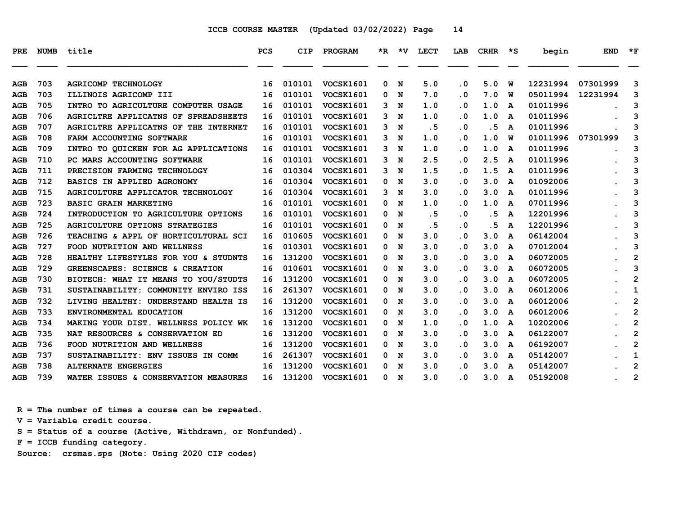| PRE        | <b>NUMB</b> | title                                 | <b>PCS</b> | CIP    | <b>PROGRAM</b>   |    | $*R$ $*V$   | LECT | LAB                     | CRHR | ∗s           | begin    | <b>END</b> | $*_{\mathbf{F}}$        |
|------------|-------------|---------------------------------------|------------|--------|------------------|----|-------------|------|-------------------------|------|--------------|----------|------------|-------------------------|
| AGB        | 703         | <b>AGRICOMP TECHNOLOGY</b>            | 16         | 010101 | <b>VOCSK1601</b> | 0  | N           | 5.0  | $\cdot$ 0               | 5.0  | W            | 12231994 | 07301999   | 3                       |
| AGB        | 703         | ILLINOIS AGRICOMP III                 | 16         | 010101 | <b>VOCSK1601</b> | 0  | N           | 7.0  | $\cdot$ 0               | 7.0  | พ            | 05011994 | 12231994   | з                       |
| AGB        | 705         | INTRO TO AGRICULTURE COMPUTER USAGE   | 16         | 010101 | VOCSK1601        | 3  | N           | 1.0  | $\cdot$ 0               | 1.0  | A            | 01011996 |            | 3                       |
| <b>AGB</b> | 706         | AGRICLTRE APPLICATNS OF SPREADSHEETS  | 16         | 010101 | <b>VOCSK1601</b> | 3  | N           | 1.0  | . 0                     | 1.0  | A            | 01011996 |            | 3                       |
| AGB        | 707         | AGRICLTRE APPLICATNS OF THE INTERNET  | 16         | 010101 | VOCSK1601        | 3  | N           | .5   | $\cdot$ 0               | . 5  | A            | 01011996 |            | 3                       |
| AGB        | 708         | FARM ACCOUNTING SOFTWARE              | 16         | 010101 | VOCSK1601        | 3  | N           | 1.0  | $\cdot$ 0               | 1.0  | W            | 01011996 | 07301999   | 3                       |
| AGB        | 709         | INTRO TO OUICKEN FOR AG APPLICATIONS  | 16         | 010101 | VOCSK1601        | 3  | N           | 1.0  | $\overline{\mathbf{0}}$ | 1.0  | A            | 01011996 |            | 3                       |
| AGB        | 710         | PC MARS ACCOUNTING SOFTWARE           | 16         | 010101 | <b>VOCSK1601</b> | 3  | N           | 2.5  | $\cdot$ 0               | 2.5  | A            | 01011996 |            | 3                       |
| AGB        | 711         | PRECISION FARMING TECHNOLOGY          | 16         | 010304 | VOCSK1601        | 3  | N           | 1.5  | $\cdot$ 0               | 1.5  | A            | 01011996 |            | 3                       |
| AGB        | 712         | BASICS IN APPLIED AGRONOMY            | 16         | 010304 | VOCSK1601        | 0  | N           | 3.0  | . 0                     | 3.0  | A            | 01092006 |            | 3                       |
| <b>AGB</b> | 715         | AGRICULTURE APPLICATOR TECHNOLOGY     | 16         | 010304 | <b>VOCSK1601</b> | 3  | N           | 3.0  | $\cdot$ 0               | 3.0  | A            | 01011996 |            | 3                       |
| AGB        | 723         | <b>BASIC GRAIN MARKETING</b>          | 16         | 010101 | VOCSK1601        | 0  | $\mathbf N$ | 1.0  | . 0                     | 1.0  | A            | 07011996 |            | 3                       |
| AGB        | 724         | INTRODUCTION TO AGRICULTURE OPTIONS   | 16         | 010101 | VOCSK1601        | 0  | N           | . 5  | $\cdot$ 0               | . 5  | A            | 12201996 |            | 3                       |
| <b>AGB</b> | 725         | <b>AGRICULTURE OPTIONS STRATEGIES</b> | 16         | 010101 | <b>VOCSK1601</b> | 0  | N           | .5   | $\cdot$ 0               | .5   | A            | 12201996 |            | 3                       |
| AGB        | 726         | TEACHING & APPL OF HORTICULTURAL SCI  | 16         | 010605 | VOCSK1601        | 0  | N           | 3.0  | $\cdot$ 0               | 3.0  | A            | 06142004 |            | 3                       |
| AGB        | 727         | FOOD NUTRITION AND WELLNESS           | 16         | 010301 | VOCSK1601        | 0  | N           | 3.0  | $\cdot$ 0               | 3.0  | A            | 07012004 |            | 3                       |
| <b>AGB</b> | 728         | HEALTHY LIFESTYLES FOR YOU & STUDNTS  | 16         | 131200 | VOCSK1601        | 0  | N           | 3.0  | $\cdot$ 0               | 3.0  | A            | 06072005 |            | $\overline{\mathbf{c}}$ |
| AGB        | 729         | GREENSCAPES: SCIENCE & CREATION       | 16         | 010601 | VOCSK1601        | 0  | N           | 3.0  | $\cdot$ 0               | 3.0  | A            | 06072005 |            | 3                       |
| AGB        | 730         | BIOTECH: WHAT IT MEANS TO YOU/STUDTS  | 16         | 131200 | VOCSK1601        | 0  | N           | 3.0  | $\cdot$ 0               | 3.0  | A            | 06072005 |            | $\overline{2}$          |
| AGB        | 731         | SUSTAINABILITY: COMMUNITY ENVIRO ISS  | 16         | 261307 | VOCSK1601        | 0  | N           | 3.0  | . 0                     | 3.0  | A            | 06012006 |            | 1                       |
| AGB        | 732         | LIVING HEALTHY: UNDERSTAND HEALTH IS  | 16         | 131200 | <b>VOCSK1601</b> | 0  | N           | 3.0  | $\cdot$ 0               | 3.0  | A            | 06012006 |            | 2                       |
| AGB        | 733         | ENVIRONMENTAL EDUCATION               | 16         | 131200 | VOCSK1601        | 0  | N           | 3.0  | $\cdot$ 0               | 3.0  | A            | 06012006 |            | $\overline{\mathbf{c}}$ |
| <b>AGB</b> | 734         | MAKING YOUR DIST. WELLNESS POLICY WK  | 16         | 131200 | VOCSK1601        | 0  | N           | 1.0  | $\overline{\mathbf{0}}$ | 1.0  | A            | 10202006 |            | $\mathbf{2}$            |
| AGB        | 735         | NAT RESOURCES & CONSERVATION ED       | 16         | 131200 | VOCSK1601        | 0  | N           | 3.0  | $\cdot$ 0               | 3.0  | A            | 06122007 |            | $\mathbf{2}$            |
| AGB        | 736         | FOOD NUTRITION AND WELLNESS           | 16         | 131200 | VOCSK1601        | 0  | N           | 3.0  | $\cdot$ 0               | 3.0  | A            | 06192007 |            | $\overline{2}$          |
| AGB        | 737         | SUSTAINABILITY: ENV ISSUES IN COMM    | 16         | 261307 | VOCSK1601        | 0  | N           | 3.0  | $\cdot$ 0               | 3.0  | A            | 05142007 |            | 1                       |
| AGB        | 738         | <b>ALTERNATE ENGERGIES</b>            | 16         | 131200 | VOCSK1601        | 0. | N           | 3.0  | . 0                     | 3.0  | A            | 05142007 |            | $\mathbf{2}$            |
| AGB        | 739         | WATER ISSUES & CONSERVATION MEASURES  | 16         | 131200 | <b>VOCSK1601</b> | 0  | N           | 3.0  | . 0                     | 3.0  | $\mathbf{A}$ | 05192008 |            | $\mathbf{2}$            |

 **R = The number of times a course can be repeated.**

 **V = Variable credit course.**

 **S = Status of a course (Active, Withdrawn, or Nonfunded).**

 **F = ICCB funding category.**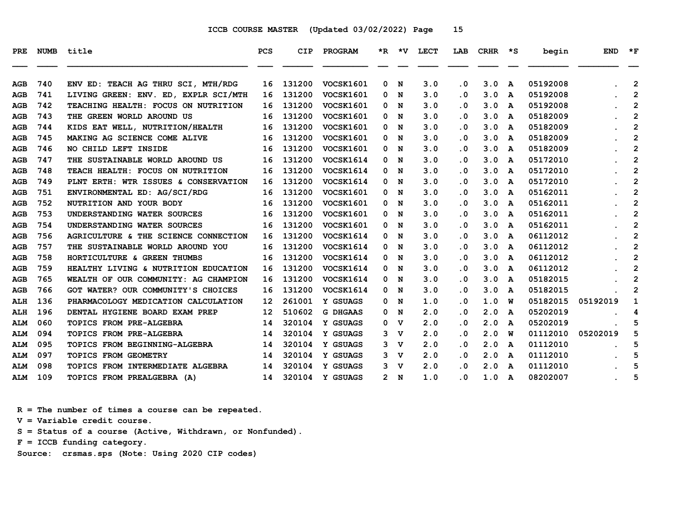| PRE        | <b>NUMB</b> | title                                | <b>PCS</b>        | CIP    | PROGRAM          |   |             | *R *V LECT | LAB                     | <b>CRHR</b> | ∗s | begin    | <b>END</b> | $*_{\mathbf{F}}$        |
|------------|-------------|--------------------------------------|-------------------|--------|------------------|---|-------------|------------|-------------------------|-------------|----|----------|------------|-------------------------|
| AGB        | 740         | ENV ED: TEACH AG THRU SCI, MTH/RDG   | 16                | 131200 | VOCSK1601        | 0 | N           | 3.0        | . 0                     | 3.0         | A  | 05192008 |            | $\overline{2}$          |
| <b>AGB</b> | 741         | LIVING GREEN: ENV. ED, EXPLR SCI/MTH | 16                | 131200 | <b>VOCSK1601</b> | 0 | N           | 3.0        | . 0                     | 3.0         | A  | 05192008 |            | $\mathbf{2}$            |
| AGB        | 742         | TEACHING HEALTH: FOCUS ON NUTRITION  | 16                | 131200 | <b>VOCSK1601</b> | 0 | N           | 3.0        | . 0                     | 3.0         | A  | 05192008 |            | $\mathbf{2}$            |
| AGB        | 743         | THE GREEN WORLD AROUND US            | 16                | 131200 | VOCSK1601        | 0 | N           | 3.0        | $\cdot$ 0               | 3.0         | A  | 05182009 |            | $\overline{2}$          |
| <b>AGB</b> | 744         | KIDS EAT WELL, NUTRITION/HEALTH      | 16                | 131200 | <b>VOCSK1601</b> | 0 | N           | 3.0        | $\overline{\mathbf{0}}$ | 3.0         | A  | 05182009 |            | $\overline{\mathbf{c}}$ |
| AGB        | 745         | MAKING AG SCIENCE COME ALIVE         | 16                | 131200 | <b>VOCSK1601</b> | 0 | N           | 3.0        | . 0                     | 3.0         | A  | 05182009 |            | $\mathbf{2}$            |
| AGB        | 746         | NO CHILD LEFT INSIDE                 | 16                | 131200 | VOCSK1601        |   | 0 N         | 3.0        | . 0                     | 3.0         | A  | 05182009 |            | $\overline{2}$          |
| AGB        | 747         | THE SUSTAINABLE WORLD AROUND US      | 16                | 131200 | <b>VOCSK1614</b> | 0 | N           | 3.0        | . 0                     | 3.0         | A  | 05172010 |            | $\mathbf{2}$            |
| AGB        | 748         | TEACH HEALTH: FOCUS ON NUTRITION     | 16                | 131200 | <b>VOCSK1614</b> | 0 | N           | 3.0        | . 0                     | 3.0         | A  | 05172010 |            | $\mathbf{2}$            |
| <b>AGB</b> | 749         | PLNT ERTH: WTR ISSUES & CONSERVATION | 16                | 131200 | VOCSK1614        | 0 | N           | 3.0        | . 0                     | 3.0         | A  | 05172010 |            | $\overline{2}$          |
| AGB        | 751         | ENVIRONMENTAL ED: AG/SCI/RDG         | 16                | 131200 | VOCSK1601        | 0 | N           | 3.0        | . 0                     | 3.0         | A  | 05162011 |            | $\mathbf{2}$            |
| <b>AGB</b> | 752         | NUTRITION AND YOUR BODY              | 16                | 131200 | <b>VOCSK1601</b> |   | 0 N         | 3.0        | $\overline{\mathbf{0}}$ | 3.0         | A  | 05162011 |            | $\overline{2}$          |
| AGB        | 753         | UNDERSTANDING WATER SOURCES          | 16                | 131200 | VOCSK1601        | 0 | N           | 3.0        | . 0                     | 3.0         | A  | 05162011 |            | $\mathbf{2}$            |
| AGB        | 754         | UNDERSTANDING WATER SOURCES          | 16                | 131200 | VOCSK1601        | 0 | N           | 3.0        | $\cdot$ 0               | 3.0         | A  | 05162011 |            | $\overline{2}$          |
| AGB        | 756         | AGRICULTURE & THE SCIENCE CONNECTION | 16                | 131200 | <b>VOCSK1614</b> | 0 | N           | 3.0        | $\overline{\mathbf{0}}$ | 3.0         | A  | 06112012 |            | $\overline{\mathbf{c}}$ |
| AGB        | 757         | THE SUSTAINABLE WORLD AROUND YOU     | 16                | 131200 | <b>VOCSK1614</b> | 0 | N           | 3.0        | . 0                     | 3.0         | A  | 06112012 |            | $\mathbf{2}$            |
| <b>AGB</b> | 758         | HORTICULTURE & GREEN THUMBS          | 16                | 131200 | VOCSK1614        | 0 | N           | 3.0        | $\cdot$ 0               | 3.0         | A  | 06112012 |            | $\overline{2}$          |
| AGB        | 759         | HEALTHY LIVING & NUTRITION EDUCATION | 16                | 131200 | <b>VOCSK1614</b> | 0 | N           | 3.0        | $\overline{\mathbf{0}}$ | 3.0         | A  | 06112012 |            | 2                       |
| AGB        | 765         | WEALTH OF OUR COMMUNITY: AG CHAMPION | 16                | 131200 | <b>VOCSK1614</b> | 0 | N           | 3.0        | $\overline{\mathbf{0}}$ | 3.0         | A  | 05182015 |            | $\overline{2}$          |
| AGB        | 766         | GOT WATER? OUR COMMUNITY'S CHOICES   | 16                | 131200 | VOCSK1614        |   | 0 N         | 3.0        | . 0                     | 3.0         | A  | 05182015 |            | $\mathbf{2}$            |
| ALH        | 136         | PHARMACOLOGY MEDICATION CALCULATION  | 12                | 261001 | Y GSUAGS         | 0 | N           | 1.0        | $\overline{\mathbf{0}}$ | 1.0         | W  | 05182015 | 05192019   | 1                       |
| ALH        | 196         | DENTAL HYGIENE BOARD EXAM PREP       | $12 \overline{ }$ | 510602 | <b>G DHGAAS</b>  | 0 | N           | 2.0        | . 0                     | 2.0         | A  | 05202019 |            | 4                       |
| <b>ALM</b> | 060         | TOPICS FROM PRE-ALGEBRA              | 14                | 320104 | Y GSUAGS         | 0 | v           | 2.0        | . 0                     | 2.0         | A  | 05202019 |            | 5                       |
| <b>ALM</b> | 094         | TOPICS FROM PRE-ALGEBRA              | 14                | 320104 | Y GSUAGS         | 3 | v           | 2.0        | $\overline{\mathbf{0}}$ | 2.0         | w  | 01112010 | 05202019   | 5                       |
| <b>ALM</b> | 095         | TOPICS FROM BEGINNING-ALGEBRA        | 14                | 320104 | Y GSUAGS         | 3 | <b>v</b>    | 2.0        | . 0                     | 2.0         | A  | 01112010 |            | 5                       |
| ALM        | 097         | TOPICS FROM GEOMETRY                 | 14                | 320104 | Y GSUAGS         | 3 | v           | 2.0        | . 0                     | 2.0         | A  | 01112010 |            | 5                       |
| <b>ALM</b> | 098         | TOPICS FROM INTERMEDIATE ALGEBRA     | 14                | 320104 | Y GSUAGS         | 3 | $\mathbf v$ | 2.0        | . 0                     | 2.0         | A  | 01112010 |            | 5                       |
| <b>ALM</b> | 109         | TOPICS FROM PREALGEBRA (A)           | 14                | 320104 | <b>Y GSUAGS</b>  |   | 2 N         | 1.0        | . 0                     | 1.0         | A  | 08202007 |            | 5                       |

 **R = The number of times a course can be repeated.**

 **V = Variable credit course.**

 **S = Status of a course (Active, Withdrawn, or Nonfunded).**

 **F = ICCB funding category.**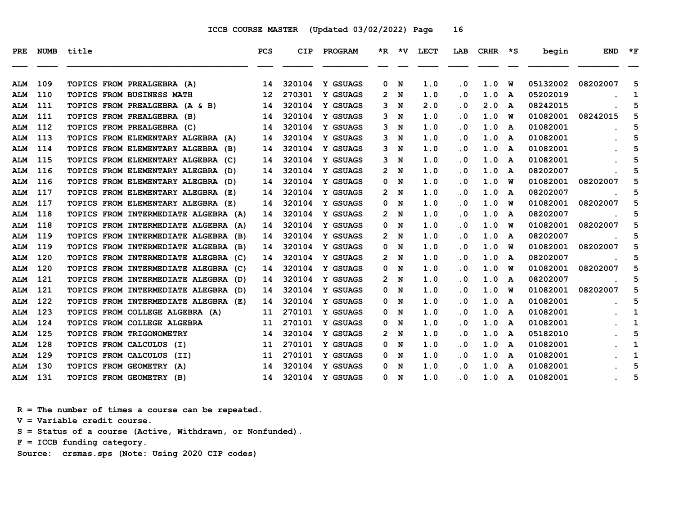| PRE        |     | NUMB title                              | <b>PCS</b>      | <b>CIP</b> | PROGRAM  |                       | $*R$ $*V$ | <b>LECT</b> | LAB       | CRHR |   | *S begin | <b>END</b> | $\star$ F |
|------------|-----|-----------------------------------------|-----------------|------------|----------|-----------------------|-----------|-------------|-----------|------|---|----------|------------|-----------|
|            |     |                                         |                 |            |          |                       |           |             |           |      |   |          |            |           |
| <b>ALM</b> | 109 | TOPICS FROM PREALGEBRA (A)              | 14              | 320104     | Y GSUAGS | 0                     | N         | 1.0         | . 0       | 1.0  | W | 05132002 | 08202007   | 5         |
| <b>ALM</b> | 110 | <b>TOPICS FROM BUSINESS MATH</b>        | 12 <sup>2</sup> | 270301     | Y GSUAGS | 2                     | N         | 1.0         | . 0       | 1.0  | A | 05202019 |            | 1         |
| <b>ALM</b> | 111 | TOPICS FROM PREALGEBRA (A & B)          | 14              | 320104     | Y GSUAGS | 3                     | N         | 2.0         | . 0       | 2.0  | A | 08242015 |            | 5         |
| <b>ALM</b> | 111 | TOPICS FROM PREALGEBRA (B)              | 14              | 320104     | Y GSUAGS | 3                     | N         | 1.0         | . 0       | 1.0  | พ | 01082001 | 08242015   | 5         |
| <b>ALM</b> | 112 | TOPICS FROM PREALGEBRA (C)              | 14              | 320104     | Y GSUAGS | 3.                    | N         | 1.0         | $\cdot$ 0 | 1.0  | A | 01082001 |            | 5         |
| <b>ALM</b> | 113 | TOPICS FROM ELEMENTARY ALGEBRA (A)      | 14              | 320104     | Y GSUAGS | 3                     | N         | 1.0         | $\cdot$ 0 | 1.0  | A | 01082001 |            | 5         |
| <b>ALM</b> | 114 | TOPICS FROM ELEMENTARY ALGEBRA (B)      | 14              | 320104     | Y GSUAGS | 3.                    | N         | 1.0         | $\cdot$ 0 | 1.0  | A | 01082001 |            | 5         |
| <b>ALM</b> | 115 | TOPICS FROM ELEMENTARY ALGEBRA (C)      | 14              | 320104     | Y GSUAGS | 3                     | N         | 1.0         | . 0       | 1.0  | A | 01082001 |            | 5         |
| <b>ALM</b> | 116 | TOPICS FROM ELEMENTARY ALEGBRA (D)      | 14              | 320104     | Y GSUAGS | 2.                    | N         | 1.0         | $\cdot$ 0 | 1.0  | A | 08202007 |            | 5         |
| <b>ALM</b> | 116 | TOPICS FROM ELEMENTARY ALEGBRA (D)      | 14              | 320104     | Y GSUAGS | 0                     | N         | 1.0         | . 0       | 1.0  | W | 01082001 | 08202007   | 5         |
| <b>ALM</b> | 117 | TOPICS FROM ELEMENTARY ALEGBRA (E)      | 14              | 320104     | Y GSUAGS | 2                     | N         | 1.0         | $\cdot$ 0 | 1.0  | A | 08202007 |            | 5         |
| <b>ALM</b> | 117 | TOPICS FROM ELEMENTARY ALEGBRA (E)      | 14              | 320104     | Y GSUAGS | 0                     | N         | 1.0         | $\cdot$ 0 | 1.0  | พ | 01082001 | 08202007   | 5         |
| <b>ALM</b> | 118 | TOPICS FROM INTERMEDIATE ALGEBRA (A)    | 14              | 320104     | Y GSUAGS | $\mathbf{2}^{\prime}$ | N         | 1.0         | $\cdot$ 0 | 1.0  | A | 08202007 |            | 5         |
| <b>ALM</b> | 118 | TOPICS FROM INTERMEDIATE ALGEBRA (A)    | 14              | 320104     | Y GSUAGS | 0                     | N         | 1.0         | . 0       | 1.0  | W | 01082001 | 08202007   | 5         |
| <b>ALM</b> | 119 | TOPICS FROM INTERMEDIATE ALGEBRA (B)    | 14              | 320104     | Y GSUAGS | 2.                    | N         | 1.0         | $\cdot$ 0 | 1.0  | A | 08202007 |            | 5         |
| <b>ALM</b> | 119 | TOPICS FROM INTERMEDIATE ALGEBRA (B)    | 14              | 320104     | Y GSUAGS | 0                     | N         | 1.0         | . 0       | 1.0  | W | 01082001 | 08202007   | 5         |
| <b>ALM</b> | 120 | TOPICS FROM INTERMEDIATE ALEGBRA (C)    | 14              | 320104     | Y GSUAGS | 2.                    | N         | 1.0         | . 0       | 1.0  | A | 08202007 |            | 5         |
| <b>ALM</b> | 120 | TOPICS FROM INTERMEDIATE ALEGBRA<br>(C) | 14              | 320104     | Y GSUAGS | 0                     | N         | 1.0         | $\cdot$ 0 | 1.0  | W | 01082001 | 08202007   | 5         |
| <b>ALM</b> | 121 | TOPICS FROM INTERMEDIATE ALEGBRA<br>(D) | 14              | 320104     | Y GSUAGS | 2                     | N         | 1.0         | . 0       | 1.0  | A | 08202007 |            | 5         |
| <b>ALM</b> | 121 | TOPICS FROM INTERMEDIATE ALEGBRA (D)    | 14              | 320104     | Y GSUAGS | 0                     | N         | 1.0         | $\cdot$ 0 | 1.0  | W | 01082001 | 08202007   | 5         |
| <b>ALM</b> | 122 | TOPICS FROM INTERMEDIATE ALEGBRA (E)    | 14              | 320104     | Y GSUAGS | 0                     | N         | 1.0         | . 0       | 1.0  | A | 01082001 |            | 5         |
| <b>ALM</b> | 123 | TOPICS FROM COLLEGE ALGEBRA (A)         | 11              | 270101     | Y GSUAGS | 0                     | N         | 1.0         | $\cdot$ 0 | 1.0  | A | 01082001 |            | 1         |
| <b>ALM</b> | 124 | TOPICS FROM COLLEGE ALGEBRA             | 11              | 270101     | Y GSUAGS | 0                     | N         | 1.0         | . 0       | 1.0  | A | 01082001 |            | 1         |
| <b>ALM</b> | 125 | TOPICS FROM TRIGONOMETRY                | 14              | 320104     | Y GSUAGS | $\mathbf{2}^{\prime}$ | N         | 1.0         | $\cdot$ 0 | 1.0  | A | 05182010 |            | 5         |
| <b>ALM</b> | 128 | <b>TOPICS FROM CALCULUS</b><br>(I)      | 11              | 270101     | Y GSUAGS | 0                     | N         | 1.0         | $\cdot$ 0 | 1.0  | A | 01082001 |            | 1         |
| <b>ALM</b> | 129 | <b>TOPICS FROM CALCULUS</b><br>(II)     | 11              | 270101     | Y GSUAGS | 0                     | N         | 1.0         | . 0       | 1.0  | A | 01082001 |            | 1         |
| <b>ALM</b> | 130 | TOPICS FROM GEOMETRY (A)                | 14              | 320104     | Y GSUAGS | 0                     | N         | 1.0         | . 0       | 1.0  | A | 01082001 |            | 5         |
| <b>ALM</b> | 131 | TOPICS FROM GEOMETRY (B)                | 14              | 320104     | Y GSUAGS | 0                     | N         | 1.0         | $\cdot$ 0 | 1.0  | A | 01082001 |            | 5         |

 **R = The number of times a course can be repeated.**

 **V = Variable credit course.**

 **S = Status of a course (Active, Withdrawn, or Nonfunded).**

 **F = ICCB funding category.**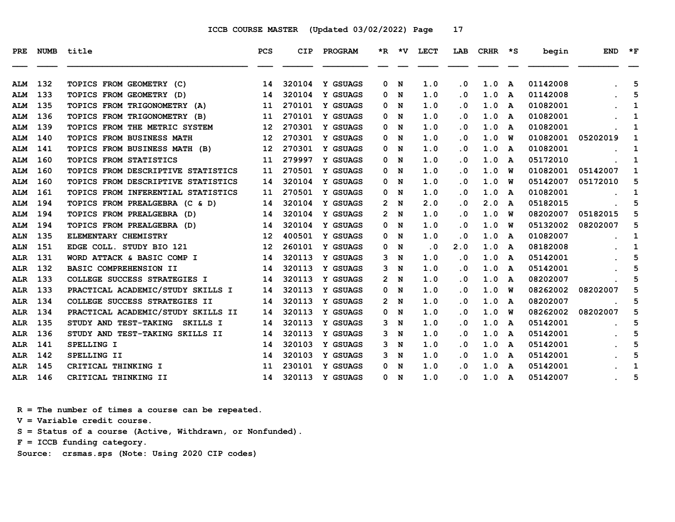| <b>PRE</b> | <b>NUMB</b> | title                              | <b>PCS</b>        | <b>CIP</b> | PROGRAM         |                           | $*R$ $*V$ | <b>LECT</b> | LAB       | CRHR | $\star$ s | begin    | <b>END</b> | $*_{\mathbf{F}}$ |
|------------|-------------|------------------------------------|-------------------|------------|-----------------|---------------------------|-----------|-------------|-----------|------|-----------|----------|------------|------------------|
|            |             |                                    |                   |            |                 |                           |           |             |           |      |           |          |            |                  |
| <b>ALM</b> | 132         | TOPICS FROM GEOMETRY (C)           | 14                | 320104     | Y GSUAGS        | 0                         | N         | 1.0         | $\cdot$ 0 | 1.0  | A         | 01142008 |            | 5                |
| <b>ALM</b> | 133         | TOPICS FROM GEOMETRY (D)           | 14                | 320104     | <b>Y GSUAGS</b> | 0                         | N         | 1.0         | . 0       | 1.0  | A         | 01142008 |            | 5                |
| <b>ALM</b> | 135         | TOPICS FROM TRIGONOMETRY (A)       | 11                | 270101     | Y GSUAGS        | 0                         | N         | 1.0         | $\cdot$ 0 | 1.0  | A         | 01082001 |            | 1                |
| <b>ALM</b> | 136         | TOPICS FROM TRIGONOMETRY (B)       | 11                | 270101     | Y GSUAGS        | 0                         | N         | 1.0         | $\cdot$ 0 | 1.0  | A         | 01082001 |            | 1                |
| <b>ALM</b> | 139         | TOPICS FROM THE METRIC SYSTEM      | 12                | 270301     | Y GSUAGS        | 0                         | N         | 1.0         | . 0       | 1.0  | A         | 01082001 |            | 1                |
| <b>ALM</b> | 140         | TOPICS FROM BUSINESS MATH          | 12                | 270301     | Y GSUAGS        | 0                         | N         | 1.0         | . 0       | 1.0  | พ         | 01082001 | 05202019   | 1                |
| <b>ALM</b> | 141         | TOPICS FROM BUSINESS MATH (B)      | 12                | 270301     | Y GSUAGS        | 0                         | N         | 1.0         | $\cdot$ 0 | 1.0  | A         | 01082001 |            | 1                |
| <b>ALM</b> | 160         | TOPICS FROM STATISTICS             | 11                | 279997     | Y GSUAGS        | 0                         | N         | 1.0         | $\cdot$ 0 | 1.0  | A         | 05172010 |            | 1                |
| <b>ALM</b> | 160         | TOPICS FROM DESCRIPTIVE STATISTICS | 11                | 270501     | Y GSUAGS        | 0                         | N         | 1.0         | . 0       | 1.0  | พ         | 01082001 | 05142007   | 1                |
| <b>ALM</b> | 160         | TOPICS FROM DESCRIPTIVE STATISTICS | 14                | 320104     | Y GSUAGS        | 0                         | N         | 1.0         | $\cdot$ 0 | 1.0  | w         | 05142007 | 05172010   | 5                |
| <b>ALM</b> | 161         | TOPICS FROM INFERENTIAL STATISTICS | 11                | 270501     | Y GSUAGS        | 0                         | N         | 1.0         | . 0       | 1.0  | A         | 01082001 |            | 1                |
| <b>ALM</b> | 194         | TOPICS FROM PREALGEBRA (C & D)     | 14                | 320104     | <b>Y GSUAGS</b> | $\mathbf{2}$              | N         | 2.0         | $\cdot$ 0 | 2.0  | A         | 05182015 |            | 5                |
| <b>ALM</b> | 194         | TOPICS FROM PREALGEBRA (D)         | 14                | 320104     | Y GSUAGS        | 2                         | N         | 1.0         | $\cdot$ 0 | 1.0  | W         | 08202007 | 05182015   | 5                |
| <b>ALM</b> | 194         | TOPICS FROM PREALGEBRA (D)         | 14                | 320104     | Y GSUAGS        | 0                         | N         | 1.0         | . 0       | 1.0  | W         | 05132002 | 08202007   | 5                |
| <b>ALN</b> | 135         | ELEMENTARY CHEMISTRY               | $12 \overline{ }$ | 400501     | Y GSUAGS        | 0                         | N         | 1.0         | $\cdot$ 0 | 1.0  | A         | 01082007 |            | 1                |
| <b>ALN</b> | 151         | EDGE COLL. STUDY BIO 121           | $12 \overline{ }$ | 260101     | Y GSUAGS        | 0                         | N         | $\cdot$ 0   | 2.0       | 1.0  | A         | 08182008 |            | 1                |
| ALR        | 131         | WORD ATTACK & BASIC COMP I         | 14                | 320113     | Y GSUAGS        | 3                         | N         | 1.0         | $\cdot$ 0 | 1.0  | A         | 05142001 |            | 5                |
| ALR        | 132         | BASIC COMPREHENSION II             | 14                | 320113     | Y GSUAGS        | 3.                        | N         | 1.0         | $\cdot$ 0 | 1.0  | A         | 05142001 |            | 5                |
| <b>ALR</b> | 133         | COLLEGE SUCCESS STRATEGIES I       | 14                | 320113     | Y GSUAGS        | $\mathbf{2}^{\mathsf{I}}$ | N         | 1.0         | . 0       | 1.0  | A         | 08202007 |            | 5                |
| <b>ALR</b> | 133         | PRACTICAL ACADEMIC/STUDY SKILLS I  | 14                | 320113     | Y GSUAGS        | 0                         | N         | 1.0         | $\cdot$ 0 | 1.0  | w         | 08262002 | 08202007   | 5                |
| ALR        | 134         | COLLEGE SUCCESS STRATEGIES II      | 14                | 320113     | Y GSUAGS        | 2                         | N         | 1.0         | $\cdot$ 0 | 1.0  | A         | 08202007 |            | 5                |
| ALR        | 134         | PRACTICAL ACADEMIC/STUDY SKILLS II | 14                | 320113     | Y GSUAGS        | 0                         | N         | 1.0         | $\cdot$ 0 | 1.0  | w         | 08262002 | 08202007   | 5                |
| <b>ALR</b> | 135         | STUDY AND TEST-TAKING SKILLS I     | 14                | 320113     | Y GSUAGS        | 3                         | N         | 1.0         | . 0       | 1.0  | A         | 05142001 |            | 5                |
| <b>ALR</b> | 136         | STUDY AND TEST-TAKING SKILLS II    | 14                | 320113     | Y GSUAGS        | 3                         | N         | 1.0         | $\cdot$ 0 | 1.0  | A         | 05142001 |            | 5                |
| ALR        | 141         | SPELLING I                         | 14                | 320103     | Y GSUAGS        | 3                         | N         | 1.0         | $\cdot$ 0 | 1.0  | A         | 05142001 |            | 5                |
| <b>ALR</b> | 142         | SPELLING II                        | 14                | 320103     | Y GSUAGS        | 3                         | N         | 1.0         | . 0       | 1.0  | A         | 05142001 |            | 5                |
| <b>ALR</b> | 145         | CRITICAL THINKING I                | 11                | 230101     | Y GSUAGS        | 0                         | N         | 1.0         | . 0       | 1.0  | A         | 05142001 |            | 1                |
| ALR        | 146         | CRITICAL THINKING II               | 14                | 320113     | Y GSUAGS        | 0                         | N         | 1.0         | . 0       | 1.0  | A         | 05142007 |            | 5                |

 **R = The number of times a course can be repeated.**

 **V = Variable credit course.**

 **S = Status of a course (Active, Withdrawn, or Nonfunded).**

 **F = ICCB funding category.**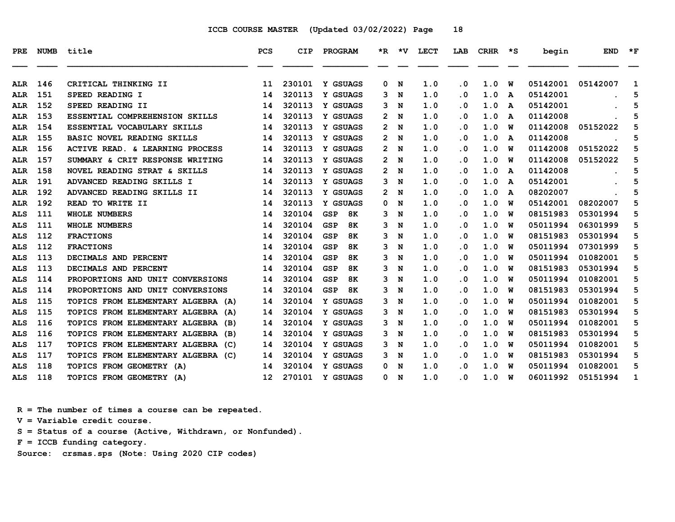| PRE        |     | NUMB title                         | <b>PCS</b>      | <b>CIP</b> | PROGRAM          |                       | $*R$ $*V$ | <b>LECT</b> | LAB       | CRHR | $\star$ s | begin    | <b>END</b> | $*_{\mathbf{F}}$ |
|------------|-----|------------------------------------|-----------------|------------|------------------|-----------------------|-----------|-------------|-----------|------|-----------|----------|------------|------------------|
| ALR        | 146 | CRITICAL THINKING II               | 11              | 230101     | <b>Y GSUAGS</b>  | 0                     | N         | 1.0         | $\cdot$ 0 | 1.0  | W         | 05142001 | 05142007   | 1                |
| <b>ALR</b> | 151 | SPEED READING I                    | 14              | 320113     | Y GSUAGS         | 3                     | N         | 1.0         | $\cdot$ 0 | 1.0  | A         | 05142001 |            | 5                |
| ALR        | 152 | SPEED READING II                   | 14              | 320113     | Y GSUAGS         | 3                     | N         | 1.0         | . 0       | 1.0  | A         | 05142001 |            | 5                |
| ALR        | 153 | ESSENTIAL COMPREHENSION SKILLS     | 14              | 320113     | Y GSUAGS         | 2.                    | N         | 1.0         | $\cdot$ 0 | 1.0  | A         | 01142008 |            | 5                |
| <b>ALR</b> | 154 | ESSENTIAL VOCABULARY SKILLS        | 14              | 320113     | Y GSUAGS         | $\mathbf{2}^{\circ}$  | N         | 1.0         | . 0       | 1.0  | W         | 01142008 | 05152022   | 5                |
| ALR        | 155 | BASIC NOVEL READING SKILLS         | 14              | 320113     | Y GSUAGS         | $\mathbf{2}^{\prime}$ | N         | 1.0         | . 0       | 1.0  | A         | 01142008 |            | 5                |
| <b>ALR</b> | 156 | ACTIVE READ. & LEARNING PROCESS    | 14              | 320113     | Y GSUAGS         | 2.                    | N         | 1.0         | . 0       | 1.0  | W         | 01142008 | 05152022   | 5                |
| <b>ALR</b> | 157 | SUMMARY & CRIT RESPONSE WRITING    | 14              | 320113     | Y GSUAGS         | 2                     | N         | 1.0         | $\cdot$ 0 | 1.0  | W         | 01142008 | 05152022   | 5                |
| <b>ALR</b> | 158 | NOVEL READING STRAT & SKILLS       | 14              | 320113     | Y GSUAGS         | $\mathbf{2}^{\prime}$ | N         | 1.0         | $\cdot$ 0 | 1.0  | A         | 01142008 |            | 5                |
| ALR        | 191 | ADVANCED READING SKILLS I          | 14              | 320113     | Y GSUAGS         | 3                     | N         | 1.0         | . 0       | 1.0  | A         | 05142001 |            | 5                |
| ALR        | 192 | ADVANCED READING SKILLS II         | 14              | 320113     | Y GSUAGS         | $\mathbf{2}^{\prime}$ | N         | 1.0         | . 0       | 1.0  | A         | 08202007 |            | 5                |
| ALR        | 192 | READ TO WRITE II                   | 14              | 320113     | Y GSUAGS         | 0                     | N         | 1.0         | . 0       | 1.0  | W         | 05142001 | 08202007   | 5                |
| <b>ALS</b> | 111 | <b>WHOLE NUMBERS</b>               | 14              | 320104     | <b>GSP</b><br>8K | 3                     | N         | 1.0         | $\cdot$ 0 | 1.0  | W         | 08151983 | 05301994   | 5                |
| <b>ALS</b> | 111 | <b>WHOLE NUMBERS</b>               | 14              | 320104     | <b>GSP</b><br>8K | 3                     | N         | 1.0         | . 0       | 1.0  | W         | 05011994 | 06301999   | 5                |
| ALS        | 112 | <b>FRACTIONS</b>                   | 14              | 320104     | <b>GSP</b><br>8K | 3                     | N         | 1.0         | . 0       | 1.0  | W         | 08151983 | 05301994   | 5                |
| ALS        | 112 | <b>FRACTIONS</b>                   | 14              | 320104     | <b>GSP</b><br>8K | 3                     | N         | 1.0         | . 0       | 1.0  | W         | 05011994 | 07301999   | 5                |
| <b>ALS</b> | 113 | DECIMALS AND PERCENT               | 14              | 320104     | <b>GSP</b><br>8K | 3                     | N         | 1.0         | $\cdot$ 0 | 1.0  | W         | 05011994 | 01082001   | 5                |
| <b>ALS</b> | 113 | DECIMALS AND PERCENT               | 14              | 320104     | <b>GSP</b><br>8K | 3                     | N         | 1.0         | $\cdot$ 0 | 1.0  | W         | 08151983 | 05301994   | 5                |
| <b>ALS</b> | 114 | PROPORTIONS AND UNIT CONVERSIONS   | 14              | 320104     | <b>GSP</b><br>8K | 3                     | N         | 1.0         | . 0       | 1.0  | W         | 05011994 | 01082001   | 5                |
| <b>ALS</b> | 114 | PROPORTIONS AND UNIT CONVERSIONS   | 14              | 320104     | <b>GSP</b><br>8K | 3                     | N         | 1.0         | $\cdot$ 0 | 1.0  | W         | 08151983 | 05301994   | 5                |
| <b>ALS</b> | 115 | TOPICS FROM ELEMENTARY ALGEBRA (A) | 14              | 320104     | Y GSUAGS         | 3                     | N         | 1.0         | . 0       | 1.0  | W         | 05011994 | 01082001   | 5                |
| <b>ALS</b> | 115 | TOPICS FROM ELEMENTARY ALGEBRA (A) | 14              | 320104     | Y GSUAGS         | 3                     | N         | 1.0         | $\cdot$ 0 | 1.0  | W         | 08151983 | 05301994   | 5                |
| <b>ALS</b> | 116 | TOPICS FROM ELEMENTARY ALGEBRA (B) | 14              | 320104     | Y GSUAGS         | 3                     | N         | 1.0         | . 0       | 1.0  | W         | 05011994 | 01082001   | 5                |
| <b>ALS</b> | 116 | TOPICS FROM ELEMENTARY ALGEBRA (B) | 14              | 320104     | Y GSUAGS         | 3                     | N         | 1.0         | . 0       | 1.0  | W         | 08151983 | 05301994   | 5                |
| <b>ALS</b> | 117 | TOPICS FROM ELEMENTARY ALGEBRA (C) | 14              | 320104     | Y GSUAGS         | 3.                    | N         | 1.0         | $\cdot$ 0 | 1.0  | W         | 05011994 | 01082001   | 5                |
| <b>ALS</b> | 117 | TOPICS FROM ELEMENTARY ALGEBRA (C) | 14              | 320104     | Y GSUAGS         | 3                     | N         | 1.0         | . 0       | 1.0  | W         | 08151983 | 05301994   | 5                |
| <b>ALS</b> | 118 | TOPICS FROM GEOMETRY (A)           | 14              | 320104     | Y GSUAGS         | 0                     | N         | 1.0         | . 0       | 1.0  | W         | 05011994 | 01082001   | 5                |
| ALS        | 118 | TOPICS FROM GEOMETRY (A)           | 12 <sup>2</sup> | 270101     | <b>Y GSUAGS</b>  | 0                     | N         | 1.0         | . 0       | 1.0  | W         | 06011992 | 05151994   | 1                |

 **R = The number of times a course can be repeated.**

 **V = Variable credit course.**

 **S = Status of a course (Active, Withdrawn, or Nonfunded).**

 **F = ICCB funding category.**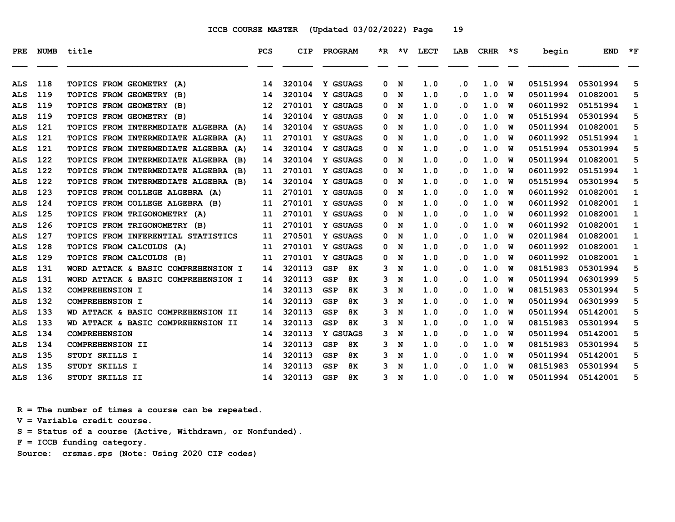| PRE        | <b>NUMB</b> | title                                   | <b>PCS</b> | CIP    | PROGRAM                 |   | *R *V | <b>LECT</b> | LAB       | <b>CRHR</b> | ∗s | begin    | <b>END</b> | $*_{\mathbf{F}}$ |
|------------|-------------|-----------------------------------------|------------|--------|-------------------------|---|-------|-------------|-----------|-------------|----|----------|------------|------------------|
|            |             |                                         |            |        |                         |   |       |             |           |             |    |          |            |                  |
| ALS        | 118         | TOPICS FROM GEOMETRY<br>(A)             | 14         | 320104 | Y GSUAGS                | 0 | N     | 1.0         | $\cdot$ 0 | 1.0         | W  | 05151994 | 05301994   | 5                |
| ALS        | 119         | TOPICS FROM GEOMETRY<br>(B)             | 14         | 320104 | Y GSUAGS                | 0 | N     | 1.0         | . 0       | 1.0         | W  | 05011994 | 01082001   | 5                |
| <b>ALS</b> | 119         | TOPICS FROM GEOMETRY<br>(B)             | 12         | 270101 | Y GSUAGS                | 0 | N     | 1.0         | . 0       | 1.0         | W  | 06011992 | 05151994   | 1                |
| <b>ALS</b> | 119         | TOPICS FROM GEOMETRY (B)                | 14         | 320104 | Y GSUAGS                | 0 | N     | 1.0         | . 0       | 1.0         | W  | 05151994 | 05301994   | 5                |
| <b>ALS</b> | 121         | TOPICS FROM INTERMEDIATE ALGEBRA (A)    | 14         | 320104 | Y GSUAGS                | 0 | N     | 1.0         | $\cdot$ 0 | 1.0         | W  | 05011994 | 01082001   | 5                |
| ALS        | 121         | TOPICS FROM INTERMEDIATE ALGEBRA (A)    | 11         | 270101 | Y GSUAGS                | 0 | N     | 1.0         | . 0       | 1.0         | W  | 06011992 | 05151994   | 1                |
| <b>ALS</b> | 121         | TOPICS FROM INTERMEDIATE ALGEBRA<br>(A) | 14         | 320104 | Y GSUAGS                | 0 | N     | 1.0         | . 0       | 1.0         | W  | 05151994 | 05301994   | 5                |
| <b>ALS</b> | 122         | TOPICS FROM INTERMEDIATE ALGEBRA<br>(B) | 14         | 320104 | Y GSUAGS                | 0 | N     | 1.0         | . 0       | 1.0         | W  | 05011994 | 01082001   | 5                |
| <b>ALS</b> | 122         | TOPICS FROM INTERMEDIATE ALGEBRA (B)    | 11         | 270101 | Y GSUAGS                | 0 | N     | 1.0         | . 0       | 1.0         | W  | 06011992 | 05151994   | 1                |
| <b>ALS</b> | 122         | TOPICS FROM INTERMEDIATE ALGEBRA (B)    | 14         | 320104 | Y GSUAGS                | 0 | N     | 1.0         | . 0       | 1.0         | W  | 05151994 | 05301994   | 5                |
| ALS        | 123         | TOPICS FROM COLLEGE ALGEBRA (A)         | 11         | 270101 | Y GSUAGS                | 0 | N     | 1.0         | . 0       | 1.0         | W  | 06011992 | 01082001   | 1                |
| ALS        | 124         | TOPICS FROM COLLEGE ALGEBRA (B)         | 11         | 270101 | Y GSUAGS                | 0 | N     | 1.0         | . 0       | 1.0         | W  | 06011992 | 01082001   | 1                |
| <b>ALS</b> | 125         | TOPICS FROM TRIGONOMETRY (A)            | 11         | 270101 | Y GSUAGS                | 0 | N     | 1.0         | . 0       | 1.0         | W  | 06011992 | 01082001   | 1                |
| <b>ALS</b> | 126         | TOPICS FROM TRIGONOMETRY (B)            | 11         | 270101 | Y GSUAGS                | 0 | N     | 1.0         | . 0       | 1.0         | W  | 06011992 | 01082001   | 1                |
| <b>ALS</b> | 127         | TOPICS FROM INFERENTIAL STATISTICS      | 11         | 270501 | Y GSUAGS                | 0 | N     | 1.0         | . 0       | 1.0         | W  | 02011984 | 01082001   | 1                |
| <b>ALS</b> | 128         | <b>TOPICS FROM CALCULUS</b><br>(A)      | 11         | 270101 | Y GSUAGS                | 0 | N     | 1.0         | . 0       | 1.0         | W  | 06011992 | 01082001   | 1                |
| <b>ALS</b> | 129         | <b>TOPICS FROM CALCULUS</b><br>(B)      | 11         | 270101 | Y GSUAGS                | 0 | N     | 1.0         | . 0       | 1.0         | W  | 06011992 | 01082001   | 1                |
| ALS        | 131         | WORD ATTACK & BASIC COMPREHENSION I     | 14         | 320113 | <b>GSP</b><br>8K        | 3 | N     | 1.0         | $\cdot$ 0 | 1.0         | W  | 08151983 | 05301994   | 5                |
| <b>ALS</b> | 131         | WORD ATTACK & BASIC COMPREHENSION I     | 14         | 320113 | <b>GSP</b><br>8K        | 3 | N     | 1.0         | . 0       | 1.0         | W  | 05011994 | 06301999   | 5                |
| <b>ALS</b> | 132         | COMPREHENSION I                         | 14         | 320113 | <b>GSP</b><br><b>8K</b> | 3 | N     | 1.0         | . 0       | 1.0         | W  | 08151983 | 05301994   | 5                |
| <b>ALS</b> | 132         | <b>COMPREHENSION I</b>                  | 14         | 320113 | <b>GSP</b><br>8K        | 3 | N     | 1.0         | . 0       | 1.0         | W  | 05011994 | 06301999   | 5                |
| <b>ALS</b> | 133         | WD ATTACK & BASIC COMPREHENSION II      | 14         | 320113 | <b>GSP</b><br><b>8K</b> | 3 | N     | 1.0         | . 0       | 1.0         | W  | 05011994 | 05142001   | 5                |
| ALS        | 133         | WD ATTACK & BASIC COMPREHENSION II      | 14         | 320113 | <b>GSP</b><br>8K        | 3 | N     | 1.0         | . 0       | 1.0         | W  | 08151983 | 05301994   | 5                |
| ALS        | 134         | <b>COMPREHENSION</b>                    | 14         | 320113 | Y GSUAGS                | 3 | N     | 1.0         | . 0       | 1.0         | W  | 05011994 | 05142001   | 5                |
| <b>ALS</b> | 134         | <b>COMPREHENSION II</b>                 | 14         | 320113 | 8K<br><b>GSP</b>        | 3 | N     | 1.0         | $\cdot$ 0 | 1.0         | W  | 08151983 | 05301994   | 5                |
| ALS        | 135         | STUDY SKILLS I                          | 14         | 320113 | <b>GSP</b><br>8K        | 3 | N     | 1.0         | . 0       | 1.0         | W  | 05011994 | 05142001   | 5                |
| <b>ALS</b> | 135         | STUDY SKILLS I                          | 14         | 320113 | <b>GSP</b><br>8К        | ٩ | N     | 1.0         | . 0       | 1.0         | W  | 08151983 | 05301994   | 5                |
| ALS        | 136         | STUDY SKILLS II                         | 14         | 320113 | <b>GSP</b><br>8K        | 3 | N     | 1.0         | . 0       | 1.0         | W  | 05011994 | 05142001   | 5                |

 **R = The number of times a course can be repeated.**

 **V = Variable credit course.**

 **S = Status of a course (Active, Withdrawn, or Nonfunded).**

 **F = ICCB funding category.**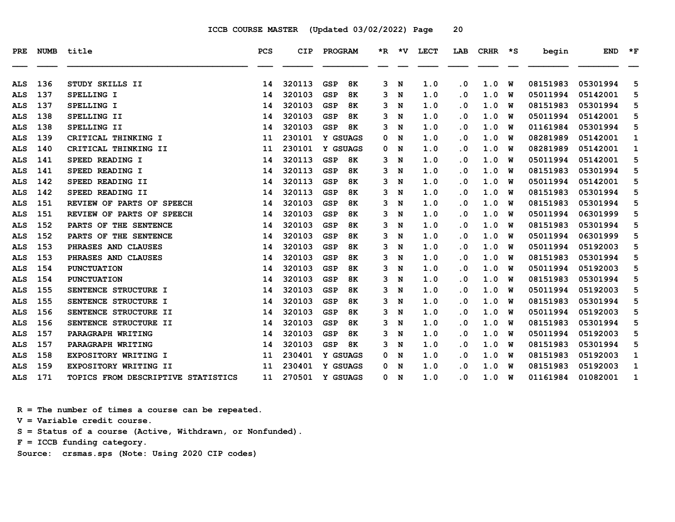| PRE        | <b>NUMB</b> | title                              | PCS | <b>CIP</b> | PROGRAM                 | *R. | *V. | LECT | LAB       | <b>CRHR</b> | ∗s | begin    | <b>END</b> | $*_{\mathbf{F}}$ |
|------------|-------------|------------------------------------|-----|------------|-------------------------|-----|-----|------|-----------|-------------|----|----------|------------|------------------|
| ALS        | 136         | STUDY SKILLS II                    | 14  | 320113     | <b>GSP</b><br>8K        | 3   | N   | 1.0  | $\cdot$ 0 | 1.0         | W  | 08151983 | 05301994   | 5                |
| ALS        | 137         | SPELLING I                         | 14  | 320103     | 8K<br><b>GSP</b>        | 3   | N   | 1.0  | $\cdot$ 0 | 1.0         | W  | 05011994 | 05142001   | 5                |
| <b>ALS</b> | 137         | SPELLING I                         | 14  | 320103     | <b>GSP</b><br>8K        | 3   | N   | 1.0  | $\cdot$ 0 | 1.0         | W  | 08151983 | 05301994   | 5                |
| <b>ALS</b> | 138         | SPELLING II                        | 14  | 320103     | <b>GSP</b><br>8K        | 3   | N   | 1.0  | $\cdot$ 0 | 1.0         | W  | 05011994 | 05142001   | 5                |
| ALS        | 138         | SPELLING II                        | 14  | 320103     | <b>8K</b><br><b>GSP</b> | 3   | N   | 1.0  | $\cdot$ 0 | 1.0         | W  | 01161984 | 05301994   | 5                |
| <b>ALS</b> | 139         | CRITICAL THINKING I                | 11  | 230101     | Y GSUAGS                | 0   | N   | 1.0  | $\cdot$ 0 | 1.0         | W  | 08281989 | 05142001   | 1                |
| <b>ALS</b> | 140         | CRITICAL THINKING II               | 11  | 230101     | Y GSUAGS                | 0   | N   | 1.0  | $\cdot$ 0 | 1.0         | W  | 08281989 | 05142001   | 1                |
| ALS        | 141         | SPEED READING I                    | 14  | 320113     | 8K<br><b>GSP</b>        | 3   | N   | 1.0  | $\cdot$ 0 | 1.0         | W  | 05011994 | 05142001   | 5                |
| <b>ALS</b> | 141         | SPEED READING I                    | 14  | 320113     | <b>GSP</b><br>8K        | 3   | N   | 1.0  | $\cdot$ 0 | 1.0         | W  | 08151983 | 05301994   | 5                |
| ALS        | 142         | SPEED READING II                   | 14  | 320113     | <b>GSP</b><br>8K        | 3   | N   | 1.0  | $\cdot$ 0 | 1.0         | W  | 05011994 | 05142001   | 5                |
| <b>ALS</b> | 142         | SPEED READING II                   | 14  | 320113     | <b>GSP</b><br>8K        | 3   | N   | 1.0  | $\cdot$ 0 | 1.0         | W  | 08151983 | 05301994   | 5                |
| <b>ALS</b> | 151         | REVIEW OF PARTS OF SPEECH          | 14  | 320103     | <b>GSP</b><br><b>8K</b> | 3   | N   | 1.0  | $\cdot$ 0 | 1.0         | W  | 08151983 | 05301994   | 5                |
| <b>ALS</b> | 151         | REVIEW OF PARTS OF SPEECH          | 14  | 320103     | <b>GSP</b><br>8K        | 3   | N   | 1.0  | $\cdot$ 0 | 1.0         | W  | 05011994 | 06301999   | 5                |
| <b>ALS</b> | 152         | PARTS OF THE SENTENCE              | 14  | 320103     | <b>GSP</b><br>8K        | з   | N   | 1.0  | $\cdot$ 0 | 1.0         | W  | 08151983 | 05301994   | 5                |
| <b>ALS</b> | 152         | PARTS OF THE SENTENCE              | 14  | 320103     | <b>GSP</b><br><b>8K</b> | 3   | N   | 1.0  | $\cdot$ 0 | 1.0         | W  | 05011994 | 06301999   | 5                |
| <b>ALS</b> | 153         | PHRASES AND CLAUSES                | 14  | 320103     | <b>GSP</b><br>8K        | 3   | N   | 1.0  | $\cdot$ 0 | 1.0         | W  | 05011994 | 05192003   | 5                |
| <b>ALS</b> | 153         | PHRASES AND CLAUSES                | 14  | 320103     | <b>8K</b><br><b>GSP</b> | 3   | N   | 1.0  | $\cdot$ 0 | 1.0         | W  | 08151983 | 05301994   | 5                |
| <b>ALS</b> | 154         | <b>PUNCTUATION</b>                 | 14  | 320103     | <b>GSP</b><br>8K        | 3   | N   | 1.0  | $\cdot$ 0 | 1.0         | W  | 05011994 | 05192003   | 5                |
| ALS        | 154         | <b>PUNCTUATION</b>                 | 14  | 320103     | <b>GSP</b><br>8K        | 3   | N   | 1.0  | . 0       | 1.0         | W  | 08151983 | 05301994   | 5                |
| <b>ALS</b> | 155         | SENTENCE STRUCTURE I               | 14  | 320103     | <b>GSP</b><br>8K        | 3   | N   | 1.0  | $\cdot$ 0 | 1.0         | W  | 05011994 | 05192003   | 5                |
| <b>ALS</b> | 155         | SENTENCE STRUCTURE I               | 14  | 320103     | <b>GSP</b><br>8K        | 3   | N   | 1.0  | $\cdot$ 0 | 1.0         | W  | 08151983 | 05301994   | 5                |
| ALS        | 156         | SENTENCE STRUCTURE II              | 14  | 320103     | <b>GSP</b><br><b>8K</b> | 3   | N   | 1.0  | $\cdot$ 0 | 1.0         | W  | 05011994 | 05192003   | 5                |
| <b>ALS</b> | 156         | SENTENCE STRUCTURE II              | 14  | 320103     | <b>GSP</b><br>8K        | 3   | N   | 1.0  | $\cdot$ 0 | 1.0         | W  | 08151983 | 05301994   | 5                |
| ALS        | 157         | PARAGRAPH WRITING                  | 14  | 320103     | <b>GSP</b><br>8K        | 3   | N   | 1.0  | . 0       | 1.0         | W  | 05011994 | 05192003   | 5                |
| ALS        | 157         | PARAGRAPH WRITING                  | 14  | 320103     | 8K<br><b>GSP</b>        | 3   | N   | 1.0  | $\cdot$ 0 | 1.0         | W  | 08151983 | 05301994   | 5                |
| <b>ALS</b> | 158         | EXPOSITORY WRITING I               | 11  | 230401     | Y GSUAGS                | 0   | N   | 1.0  | $\cdot$ 0 | 1.0         | W  | 08151983 | 05192003   | 1                |
| <b>ALS</b> | 159         | EXPOSITORY WRITING II              | 11  | 230401     | Y GSUAGS                | 0   | N   | 1.0  | $\cdot$ 0 | 1.0         | W  | 08151983 | 05192003   | 1                |
| ALS        | 171         | TOPICS FROM DESCRIPTIVE STATISTICS | 11  | 270501     | Y GSUAGS                | 0   | N   | 1.0  | . 0       | 1.0         | W  | 01161984 | 01082001   | 1                |

 **R = The number of times a course can be repeated.**

 **V = Variable credit course.**

 **S = Status of a course (Active, Withdrawn, or Nonfunded).**

 **F = ICCB funding category.**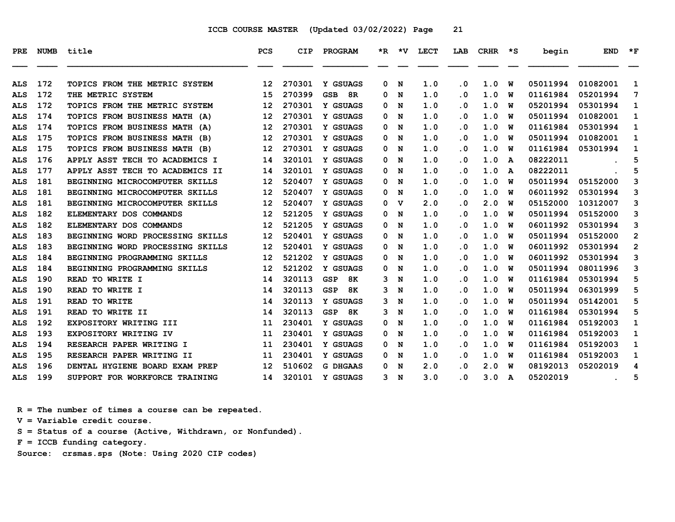| <b>PRE</b> | <b>NUMB</b> | title                            | <b>PCS</b>        | <b>CIP</b> | PROGRAM          |    | $*R$ $*V$ | <b>LECT</b> | LAB       | <b>CRHR</b> | $\star$ s | begin    | <b>END</b>    | $*_{\mathbf{F}}$ |
|------------|-------------|----------------------------------|-------------------|------------|------------------|----|-----------|-------------|-----------|-------------|-----------|----------|---------------|------------------|
|            |             |                                  |                   |            |                  |    |           |             |           |             |           |          |               |                  |
| <b>ALS</b> | 172         | TOPICS FROM THE METRIC SYSTEM    | $12 \overline{ }$ | 270301     | Y GSUAGS         | 0  | N         | 1.0         | $\cdot$ 0 | 1.0         | W         | 05011994 | 01082001      | 1                |
| <b>ALS</b> | 172         | THE METRIC SYSTEM                | 15                | 270399     | <b>GSB</b><br>8R | 0  | N         | 1.0         | . 0       | 1.0         | w         | 01161984 | 05201994      | 7                |
| <b>ALS</b> | 172         | TOPICS FROM THE METRIC SYSTEM    | $12 \overline{ }$ | 270301     | Y GSUAGS         | 0  | N         | 1.0         | . 0       | 1.0         | W         | 05201994 | 05301994      | 1                |
| <b>ALS</b> | 174         | TOPICS FROM BUSINESS MATH (A)    | 12                | 270301     | Y GSUAGS         | 0  | N         | 1.0         | . 0       | 1.0         | W         | 05011994 | 01082001      | $\mathbf{1}$     |
| <b>ALS</b> | 174         | TOPICS FROM BUSINESS MATH (A)    | 12                | 270301     | Y GSUAGS         | 0  | N         | 1.0         | $\cdot$ 0 | 1.0         | W         | 01161984 | 05301994      | 1                |
| ALS        | 175         | TOPICS FROM BUSINESS MATH (B)    | 12                | 270301     | Y GSUAGS         | 0  | N         | 1.0         | . 0       | 1.0         | W         | 05011994 | 01082001      | 1                |
| <b>ALS</b> | 175         | TOPICS FROM BUSINESS MATH (B)    | 12                | 270301     | Y GSUAGS         | 0  | N         | 1.0         | . 0       | 1.0         | W         | 01161984 | 05301994      | 1                |
| <b>ALS</b> | 176         | APPLY ASST TECH TO ACADEMICS I   | 14                | 320101     | Y GSUAGS         | 0  | N         | 1.0         | . 0       | 1.0         | A         | 08222011 |               | 5                |
| ALS        | 177         | APPLY ASST TECH TO ACADEMICS II  | 14                | 320101     | Y GSUAGS         | 0  | N         | 1.0         | . 0       | 1.0         | A         | 08222011 |               | 5                |
| ALS        | 181         | BEGINNING MICROCOMPUTER SKILLS   | 12                | 520407     | Y GSUAGS         | 0  | N         | 1.0         | . 0       | 1.0         | W         | 05011994 | 05152000      | 3                |
| <b>ALS</b> | 181         | BEGINNING MICROCOMPUTER SKILLS   | 12                | 520407     | Y GSUAGS         | 0  | N         | 1.0         | . 0       | 1.0         | W         | 06011992 | 05301994      | 3                |
| <b>ALS</b> | 181         | BEGINNING MICROCOMPUTER SKILLS   | 12                | 520407     | Y GSUAGS         | 0  | v         | 2.0         | . 0       | 2.0         | w         | 05152000 | 10312007      | 3                |
| ALS        | 182         | ELEMENTARY DOS COMMANDS          | 12                | 521205     | Y GSUAGS         | 0  | N         | 1.0         | . 0       | 1.0         | W         | 05011994 | 05152000      | 3                |
| <b>ALS</b> | 182         | ELEMENTARY DOS COMMANDS          | 12                | 521205     | Y GSUAGS         | 0  | N         | 1.0         | . 0       | 1.0         | W         | 06011992 | 05301994      | 3                |
| <b>ALS</b> | 183         | BEGINNING WORD PROCESSING SKILLS | 12                | 520401     | Y GSUAGS         | 0  | N         | 1.0         | . 0       | 1.0         | W         | 05011994 | 05152000      | $\overline{2}$   |
| <b>ALS</b> | 183         | BEGINNING WORD PROCESSING SKILLS | 12                | 520401     | Y GSUAGS         | 0  | N         | 1.0         | . 0       | 1.0         | W         | 06011992 | 05301994      | $\mathbf{2}$     |
| ALS        | 184         | BEGINNING PROGRAMMING SKILLS     | 12                | 521202     | Y GSUAGS         | 0  | N         | 1.0         | . 0       | 1.0         | W         | 06011992 | 05301994      | 3                |
| <b>ALS</b> | 184         | BEGINNING PROGRAMMING SKILLS     | 12                | 521202     | Y GSUAGS         | 0  | N         | 1.0         | . 0       | 1.0         | W         | 05011994 | 08011996      | 3                |
| ALS        | 190         | READ TO WRITE I                  | 14                | 320113     | 8K<br><b>GSP</b> | 3  | N         | 1.0         | . 0       | 1.0         | W         | 01161984 | 05301994      | 5                |
| ALS        | 190         | READ TO WRITE I                  | 14                | 320113     | <b>GSP</b><br>8K | 3  | N         | 1.0         | . 0       | 1.0         | W         | 05011994 | 06301999      | 5                |
| ALS        | 191         | READ TO WRITE                    | 14                | 320113     | Y GSUAGS         | 3  | N         | 1.0         | . 0       | 1.0         | W         | 05011994 | 05142001      | 5                |
| <b>ALS</b> | 191         | READ TO WRITE II                 | 14                | 320113     | <b>GSP</b><br>8K | 3  | N         | 1.0         | . 0       | 1.0         | W         | 01161984 | 05301994      | 5                |
| <b>ALS</b> | 192         | EXPOSITORY WRITING III           | 11                | 230401     | Y GSUAGS         | 0  | N         | 1.0         | . 0       | 1.0         | W         | 01161984 | 05192003      | 1                |
| ALS        | 193         | EXPOSITORY WRITING IV            | 11                | 230401     | Y GSUAGS         | 0  | N         | 1.0         | . 0       | 1.0         | W         | 01161984 | 05192003      | 1                |
| <b>ALS</b> | 194         | RESEARCH PAPER WRITING I         | 11                | 230401     | Y GSUAGS         | 0  | N         | 1.0         | . 0       | 1.0         | W         | 01161984 | 05192003      | 1                |
| <b>ALS</b> | 195         | RESEARCH PAPER WRITING II        | 11                | 230401     | Y GSUAGS         | 0  | N         | 1.0         | . 0       | 1.0         | w         | 01161984 | 05192003      | 1                |
| <b>ALS</b> | 196         | DENTAL HYGIENE BOARD EXAM PREP   | 12                | 510602     | <b>G DHGAAS</b>  | 0  | N         | 2.0         | . 0       | 2.0         | W         | 08192013 | 05202019      | 4                |
| ALS        | 199         | SUPPORT FOR WORKFORCE TRAINING   | 14                | 320101     | Y GSUAGS         | 3. | N         | 3.0         | . 0       | 3.0         | A         | 05202019 | $\sim$ $\sim$ | 5                |

 **R = The number of times a course can be repeated.**

 **V = Variable credit course.**

 **S = Status of a course (Active, Withdrawn, or Nonfunded).**

 **F = ICCB funding category.**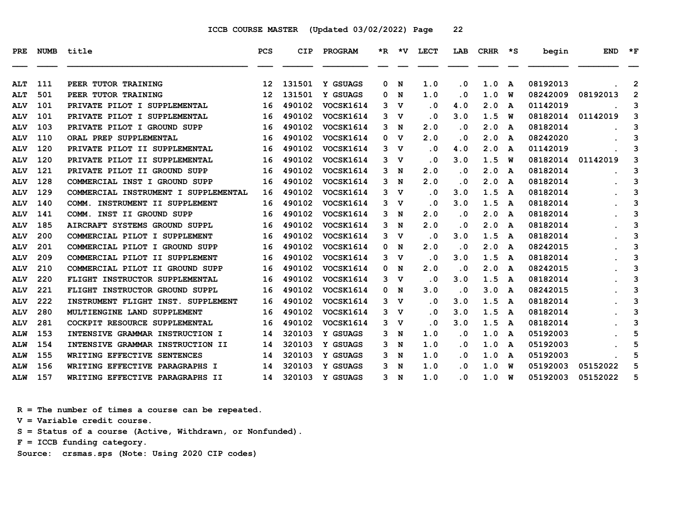| <b>PRE</b>               | <b>NUMB</b> | title                                                             | <b>PCS</b>              | CIP              | PROGRAM                       |        | *R *V            | <b>LECT</b>                       | LAB                            | $CRHR$ *S  |        | begin                | <b>END</b> | $*_{\mathbf{F}}$    |
|--------------------------|-------------|-------------------------------------------------------------------|-------------------------|------------------|-------------------------------|--------|------------------|-----------------------------------|--------------------------------|------------|--------|----------------------|------------|---------------------|
|                          |             |                                                                   |                         |                  |                               |        |                  |                                   |                                |            |        |                      |            |                     |
| <b>ALT</b>               | 111<br>501  | PEER TUTOR TRAINING<br>PEER TUTOR TRAINING                        | $12 \overline{ }$       | 131501<br>131501 | Y GSUAGS                      | 0      | N                | 1.0<br>1.0                        | $\cdot$ 0                      | 1.0<br>1.0 | A      | 08192013<br>08242009 | 08192013   | $\overline{2}$      |
| <b>ALT</b>               | 101         | PRIVATE PILOT I SUPPLEMENTAL                                      | $12 \overline{ }$<br>16 | 490102           | Y GSUAGS<br>VOCSK1614         | 0<br>3 | N<br>v           | $\cdot$ 0                         | . 0<br>4.0                     | 2.0        | พ      | 01142019             |            | $\overline{2}$<br>3 |
| <b>ALV</b>               | 101         | PRIVATE PILOT I SUPPLEMENTAL                                      | 16                      | 490102           |                               |        | $\mathbf v$      |                                   | 3.0                            | 1.5        | A      | 08182014             | 01142019   | 3                   |
| <b>ALV</b>               | 103         | PRIVATE PILOT I GROUND SUPP                                       |                         | 490102           | <b>VOCSK1614</b>              | 3      |                  | $\cdot$ 0<br>2.0                  | $\cdot$ 0                      | 2.0        | W      | 08182014             |            | 3                   |
| <b>ALV</b>               | 110         | ORAL PREP SUPPLEMENTAL                                            | 16<br>16                | 490102           | VOCSK1614<br><b>VOCSK1614</b> | 3      | N<br>v           | 2.0                               | $\cdot$ 0                      | 2.0        | A      | 08242020             |            |                     |
| <b>ALV</b>               | 120         |                                                                   | 16                      | 490102           | VOCSK1614                     | 0      |                  |                                   |                                | 2.0        | A      | 01142019             |            | 3<br>3              |
| <b>ALV</b>               | 120         | PRIVATE PILOT II SUPPLEMENTAL<br>PRIVATE PILOT II SUPPLEMENTAL    | 16                      | 490102           | VOCSK1614                     | 3      | $\mathbf v$<br>v | $\overline{\phantom{0}}$ .<br>. 0 | 4.0<br>3.0                     | 1.5        | A      | 08182014             | 01142019   | 3                   |
| <b>ALV</b>               | 121         |                                                                   | 16                      | 490102           | VOCSK1614                     | 3      |                  | 2.0                               |                                | 2.0        | W      | 08182014             |            | 3                   |
| <b>ALV</b><br><b>ALV</b> | 128         | PRIVATE PILOT II GROUND SUPP<br>COMMERCIAL INST I GROUND SUPP     | 16                      | 490102           | VOCSK1614                     | 3<br>3 | N<br>N           | 2.0                               | . 0<br>$\overline{\mathbf{0}}$ | 2.0        | A      | 08182014             |            | 3                   |
| <b>ALV</b>               | 129         | COMMERCIAL INSTRUMENT I SUPPLEMENTAL                              | 16                      | 490102           | VOCSK1614                     | 3      | $\mathbf v$      | $\cdot$ 0                         | 3.0                            | 1.5        | A      | 08182014             |            | 3                   |
|                          | 140         | COMM. INSTRUMENT II SUPPLEMENT                                    | 16                      | 490102           | VOCSK1614                     | 3      | $\mathbf v$      | . 0                               | 3.0                            | 1.5        | A<br>A | 08182014             |            | 3                   |
| <b>ALV</b>               | 141         | COMM. INST II GROUND SUPP                                         | 16                      | 490102           | VOCSK1614                     |        |                  | 2.0                               | $\cdot$ 0                      | 2.0        |        | 08182014             |            |                     |
| <b>ALV</b><br><b>ALV</b> | 185         | AIRCRAFT SYSTEMS GROUND SUPPL                                     | 16                      | 490102           | VOCSK1614                     | 3<br>3 | N<br>N           | 2.0                               | . 0                            | 2.0        | A      | 08182014             |            | 3<br>3              |
| <b>ALV</b>               | 200         | COMMERCIAL PILOT I SUPPLEMENT                                     | 16                      | 490102           | VOCSK1614                     | 3      | $\mathbf v$      | $\cdot$ 0                         | 3.0                            | 1.5        | A      | 08182014             |            | 3                   |
|                          | 201         |                                                                   |                         | 490102           | VOCSK1614                     |        |                  | 2.0                               |                                | 2.0        | A      | 08242015             |            |                     |
| <b>ALV</b>               | 209         | COMMERCIAL PILOT I GROUND SUPP                                    | 16                      | 490102           |                               | 0      | N                | $\cdot$ 0                         | $\cdot$ 0<br>3.0               | 1.5        | A      | 08182014             |            | 3<br>3              |
| <b>ALV</b>               | 210         | COMMERCIAL PILOT II SUPPLEMENT<br>COMMERCIAL PILOT II GROUND SUPP | 16                      | 490102           | VOCSK1614<br>VOCSK1614        | 3      | v                | 2.0                               | $\cdot$ 0                      | 2.0        | A      | 08242015             |            | 3                   |
| <b>ALV</b>               | 220         |                                                                   | 16<br>16                | 490102           | VOCSK1614                     | 0      | N                |                                   | 3.0                            | 1.5        | A      | 08182014             |            | 3                   |
| <b>ALV</b>               | 221         | FLIGHT INSTRUCTOR SUPPLEMENTAL                                    |                         | 490102           |                               | 3      | v                | $\cdot$ 0<br>3.0                  |                                | 3.0        | A      | 08242015             |            |                     |
| <b>ALV</b>               | 222         | FLIGHT INSTRUCTOR GROUND SUPPL                                    | 16                      | 490102           | VOCSK1614                     | 0      | N                |                                   | $\cdot$ 0                      | 1.5        | A      | 08182014             |            | 3                   |
| <b>ALV</b>               | 280         | INSTRUMENT FLIGHT INST. SUPPLEMENT                                | 16                      | 490102           | <b>VOCSK1614</b>              | 3      | v                | $\cdot$ 0                         | 3.0                            | 1.5        | A      |                      |            | 3                   |
| <b>ALV</b>               | 281         | MULTIENGINE LAND SUPPLEMENT                                       | 16                      |                  | VOCSK1614                     | 3      | $\mathbf v$      | $\cdot$ 0                         | 3.0                            |            | A      | 08182014             |            | 3                   |
| <b>ALV</b>               |             | COCKPIT RESOURCE SUPPLEMENTAL                                     | 16                      | 490102           | VOCSK1614                     | 3      | v                | $\cdot$ 0                         | 3.0                            | 1.5        | A      | 08182014             |            | 3                   |
| <b>ALW</b>               | 153         | INTENSIVE GRAMMAR INSTRUCTION I                                   | 14                      | 320103           | Y GSUAGS                      | 3      | N                | 1.0                               | $\cdot$ 0                      | 1.0        | A      | 05192003             |            | 5                   |
| <b>ALW</b>               | 154         | INTENSIVE GRAMMAR INSTRUCTION II                                  | 14                      | 320103           | Y GSUAGS                      | 3      | N                | 1.0                               | $\cdot$ 0                      | 1.0        | A      | 05192003             |            | 5                   |
| <b>ALW</b>               | 155         | WRITING EFFECTIVE SENTENCES                                       | 14                      | 320103           | Y GSUAGS                      | 3      | N                | 1.0                               | $\cdot$ 0                      | 1.0        | A      | 05192003             |            | 5                   |
| <b>ALW</b>               | 156         | WRITING EFFECTIVE PARAGRAPHS I                                    | 14                      | 320103           | Y GSUAGS                      | 3      | N                | 1.0                               | . 0                            | 1.0        | W      | 05192003             | 05152022   | 5                   |
| <b>ALW</b>               | 157         | WRITING EFFECTIVE PARAGRAPHS II                                   | 14                      | 320103           | Y GSUAGS                      | 3      | N                | 1.0                               | . 0                            | 1.0        | W      | 05192003             | 05152022   | 5                   |

 **R = The number of times a course can be repeated.**

 **V = Variable credit course.**

 **S = Status of a course (Active, Withdrawn, or Nonfunded).**

 **F = ICCB funding category.**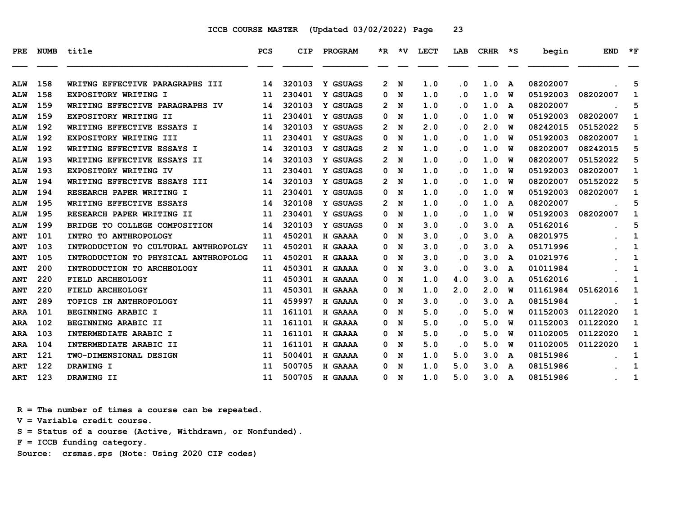| <b>PRE</b> | <b>NUMB</b> | title                                | <b>PCS</b> | <b>CIP</b> | PROGRAM        |              | $*R$ $*V$   | LECT | LAB       | <b>CRHR</b> | ∗s | begin    | END      | $*_{\mathbf{F}}$ |
|------------|-------------|--------------------------------------|------------|------------|----------------|--------------|-------------|------|-----------|-------------|----|----------|----------|------------------|
| <b>ALW</b> | 158         | WRITNG EFFECTIVE PARAGRAPHS III      | 14         | 320103     | Y GSUAGS       | $\mathbf{2}$ | N           | 1.0  | $\cdot$ 0 | 1.0         | A  | 08202007 |          | 5                |
| <b>ALW</b> | 158         | EXPOSITORY WRITING I                 | 11         | 230401     | Y GSUAGS       | 0            | N           | 1.0  | . 0       | 1.0         | W  | 05192003 | 08202007 | 1                |
| <b>ALW</b> | 159         | WRITING EFFECTIVE PARAGRAPHS IV      | 14         | 320103     | Y GSUAGS       | 2            | N           | 1.0  | . 0       | 1.0         | A  | 08202007 |          | 5                |
| <b>ALW</b> | 159         | EXPOSITORY WRITING II                | 11         | 230401     | Y GSUAGS       | 0            | N           | 1.0  | . 0       | 1.0         | W  | 05192003 | 08202007 | 1                |
| <b>ALW</b> | 192         | WRITING EFFECTIVE ESSAYS I           | 14         | 320103     | Y GSUAGS       | 2            | N           | 2.0  | . 0       | 2.0         | W  | 08242015 | 05152022 | 5                |
| <b>ALW</b> | 192         | EXPOSITORY WRITING III               | 11         | 230401     | Y GSUAGS       | 0            | N           | 1.0  | . 0       | 1.0         | W  | 05192003 | 08202007 | 1                |
| <b>ALW</b> | 192         | WRITING EFFECTIVE ESSAYS I           | 14         | 320103     | Y GSUAGS       | 2            | N           | 1.0  | . 0       | 1.0         | W  | 08202007 | 08242015 | 5                |
| <b>ALW</b> | 193         | WRITING EFFECTIVE ESSAYS II          | 14         | 320103     | Y GSUAGS       | 2            | N           | 1.0  | . 0       | 1.0         | W  | 08202007 | 05152022 | 5                |
| <b>ALW</b> | 193         | EXPOSITORY WRITING IV                | 11         | 230401     | Y GSUAGS       | 0            | N           | 1.0  | . 0       | 1.0         | W  | 05192003 | 08202007 | 1                |
| <b>ALW</b> | 194         | WRITING EFFECTIVE ESSAYS III         | 14         | 320103     | Y GSUAGS       | 2            | N           | 1.0  | . 0       | 1.0         | W  | 08202007 | 05152022 | 5                |
| <b>ALW</b> | 194         | RESEARCH PAPER WRITING I             | 11         | 230401     | Y GSUAGS       | 0            | N           | 1.0  | . 0       | 1.0         | W  | 05192003 | 08202007 | 1                |
| <b>ALW</b> | 195         | WRITING EFFECTIVE ESSAYS             | 14         | 320108     | Y GSUAGS       | 2.           | N           | 1.0  | . 0       | 1.0         | A  | 08202007 |          | 5                |
| <b>ALW</b> | 195         | RESEARCH PAPER WRITING II            | 11         | 230401     | Y GSUAGS       | 0            | N           | 1.0  | . 0       | 1.0         | W  | 05192003 | 08202007 | 1                |
| <b>ALW</b> | 199         | BRIDGE TO COLLEGE COMPOSITION        | 14         | 320103     | Y GSUAGS       | 0            | N           | 3.0  | . 0       | 3.0         | A  | 05162016 |          | 5                |
| <b>ANT</b> | 101         | INTRO TO ANTHROPOLOGY                | 11         | 450201     | H GAAAA        | 0            | N           | 3.0  | . 0       | 3.0         | A  | 08201975 |          | 1                |
| <b>ANT</b> | 103         | INTRODUCTION TO CULTURAL ANTHROPOLGY | 11         | 450201     | H GAAAA        | 0            | N           | 3.0  | . 0       | 3.0         | A  | 05171996 |          | 1                |
| <b>ANT</b> | 105         | INTRODUCTION TO PHYSICAL ANTHROPOLOG | 11         | 450201     | H GAAAA        | 0            | N           | 3.0  | . 0       | 3.0         | A  | 01021976 |          | 1                |
| <b>ANT</b> | 200         | INTRODUCTION TO ARCHEOLOGY           | 11         | 450301     | H GAAAA        | 0            | N           | 3.0  | . 0       | 3.0         | A  | 01011984 |          | 1                |
| <b>ANT</b> | 220         | FIELD ARCHEOLOGY                     | 11         | 450301     | H GAAAA        | 0            | N           | 1.0  | 4.0       | 3.0         | A  | 05162016 |          | 1                |
| <b>ANT</b> | 220         | FIELD ARCHEOLOGY                     | 11         | 450301     | H GAAAA        | 0            | N           | 1.0  | 2.0       | 2.0         | W  | 01161984 | 05162016 | 1                |
| <b>ANT</b> | 289         | <b>TOPICS IN ANTHROPOLOGY</b>        | 11         | 459997     | H GAAAA        | 0            | N           | 3.0  | . 0       | 3.0         | A  | 08151984 |          | 1                |
| ARA        | 101         | BEGINNING ARABIC I                   | 11         | 161101     | H GAAAA        | 0            | N           | 5.0  | . 0       | 5.0         | W  | 01152003 | 01122020 | 1                |
| ARA        | 102         | BEGINNING ARABIC II                  | 11         | 161101     | H GAAAA        | 0            | N           | 5.0  | $\cdot$ 0 | 5.0         | W  | 01152003 | 01122020 | 1                |
| ARA        | 103         | INTERMEDIATE ARABIC I                | 11         | 161101     | <b>H GAAAA</b> | 0            | N           | 5.0  | . 0       | 5.0         | W  | 01102005 | 01122020 | 1                |
| <b>ARA</b> | 104         | INTERMEDIATE ARABIC II               | 11         | 161101     | H GAAAA        | 0            | N           | 5.0  | $\cdot$ 0 | 5.0         | W  | 01102005 | 01122020 | 1                |
| <b>ART</b> | 121         | TWO-DIMENSIONAL DESIGN               | 11         | 500401     | H GAAAA        | 0            | N           | 1.0  | 5.0       | 3.0         | A  | 08151986 |          | 1                |
| <b>ART</b> | 122         | DRAWING I                            | 11         | 500705     | H GAAAA        | 0            | N           | 1.0  | 5.0       | 3.0         | A  | 08151986 |          | 1                |
| ART        | 123         | DRAWING II                           | 11         | 500705     | H GAAAA        | 0            | $\mathbf N$ | 1.0  | 5.0       | 3.0         | A  | 08151986 |          | 1                |

 **R = The number of times a course can be repeated.**

 **V = Variable credit course.**

 **S = Status of a course (Active, Withdrawn, or Nonfunded).**

 **F = ICCB funding category.**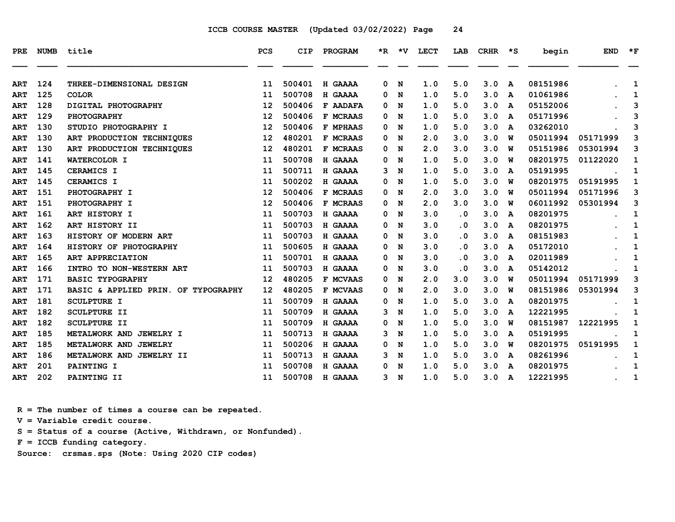| <b>PRE</b> | <b>NUMB</b> | title                               | PCS | CIP    | PROGRAM         |   | $*R$ $*V$ | <b>LECT</b> | LAB       | CRHR | ∗s           | begin    | <b>END</b> | $*_{\mathbf{F}}$ |
|------------|-------------|-------------------------------------|-----|--------|-----------------|---|-----------|-------------|-----------|------|--------------|----------|------------|------------------|
| <b>ART</b> | 124         | THREE-DIMENSIONAL DESIGN            | 11  | 500401 | H GAAAA         | 0 | N         | 1.0         | 5.0       | 3.0  | $\mathbf{A}$ | 08151986 |            | 1                |
| <b>ART</b> | 125         | <b>COLOR</b>                        | 11  | 500708 | H GAAAA         | 0 | N         | 1.0         | 5.0       | 3.0  | A            | 01061986 |            | 1                |
| <b>ART</b> | 128         | DIGITAL PHOTOGRAPHY                 | 12  | 500406 | <b>F AADAFA</b> | 0 | N         | 1.0         | 5.0       | 3.0  | A            | 05152006 |            | 3                |
| <b>ART</b> | 129         | PHOTOGRAPHY                         | 12  | 500406 | F MCRAAS        | 0 | N         | 1.0         | 5.0       | 3.0  | A            | 05171996 |            | 3                |
| <b>ART</b> | 130         | STUDIO PHOTOGRAPHY I                | 12  | 500406 | F MPHAAS        | 0 | N         | 1.0         | 5.0       | 3.0  | A            | 03262010 |            | 3                |
| <b>ART</b> | 130         | ART PRODUCTION TECHNIQUES           | 12  | 480201 | F MCRAAS        | 0 | N         | 2.0         | 3.0       | 3.0  | W            | 05011994 | 05171999   | 3                |
| ART        | 130         | ART PRODUCTION TECHNIQUES           | 12  | 480201 | F MCRAAS        | 0 | N         | 2.0         | 3.0       | 3.0  | พ            | 05151986 | 05301994   | 3                |
| <b>ART</b> | 141         | WATERCOLOR I                        | 11  | 500708 | H GAAAA         | 0 | N         | 1.0         | 5.0       | 3.0  | W            | 08201975 | 01122020   | 1                |
| <b>ART</b> | 145         | <b>CERAMICS I</b>                   | 11  | 500711 | H GAAAA         | 3 | N         | 1.0         | 5.0       | 3.0  | A            | 05191995 |            | 1                |
| <b>ART</b> | 145         | CERAMICS I                          | 11  | 500202 | H GAAAA         | 0 | N         | 1.0         | 5.0       | 3.0  | W            | 08201975 | 05191995   | 1                |
| <b>ART</b> | 151         | PHOTOGRAPHY I                       | 12  | 500406 | F MCRAAS        | 0 | N         | 2.0         | 3.0       | 3.0  | W            | 05011994 | 05171996   | 3                |
| <b>ART</b> | 151         | PHOTOGRAPHY I                       | 12  | 500406 | F MCRAAS        | 0 | N         | 2.0         | 3.0       | 3.0  | พ            | 06011992 | 05301994   | 3                |
| <b>ART</b> | 161         | ART HISTORY I                       | 11  | 500703 | H GAAAA         | 0 | N         | 3.0         | $\cdot$ 0 | 3.0  | A            | 08201975 |            | 1                |
| <b>ART</b> | 162         | ART HISTORY II                      | 11  | 500703 | H GAAAA         | 0 | N         | 3.0         | $\cdot$ 0 | 3.0  | A            | 08201975 |            | 1                |
| <b>ART</b> | 163         | HISTORY OF MODERN ART               | 11  | 500703 | H GAAAA         | 0 | N         | 3.0         | $\cdot$ 0 | 3.0  | A            | 08151983 |            | 1                |
| <b>ART</b> | 164         | HISTORY OF PHOTOGRAPHY              | 11  | 500605 | H GAAAA         | 0 | N         | 3.0         | . 0       | 3.0  | A            | 05172010 |            | 1                |
| <b>ART</b> | 165         | ART APPRECIATION                    | 11  | 500701 | H GAAAA         | 0 | N         | 3.0         | $\cdot$ 0 | 3.0  | A            | 02011989 |            | 1                |
| <b>ART</b> | 166         | INTRO TO NON-WESTERN ART            | 11  | 500703 | H GAAAA         | 0 | N         | 3.0         | . 0       | 3.0  | A            | 05142012 |            | 1                |
| <b>ART</b> | 171         | <b>BASIC TYPOGRAPHY</b>             | 12  | 480205 | F MCVAAS        | 0 | N         | 2.0         | 3.0       | 3.0  | W            | 05011994 | 05171999   | 3                |
| <b>ART</b> | 171         | BASIC & APPLIED PRIN. OF TYPOGRAPHY | 12  | 480205 | F MCVAAS        | 0 | N         | 2.0         | 3.0       | 3.0  | พ            | 08151986 | 05301994   | 3                |
| <b>ART</b> | 181         | <b>SCULPTURE I</b>                  | 11  | 500709 | H GAAAA         | 0 | N         | 1.0         | 5.0       | 3.0  | A            | 08201975 |            | 1                |
| <b>ART</b> | 182         | <b>SCULPTURE II</b>                 | 11  | 500709 | H GAAAA         | 3 | N         | 1.0         | 5.0       | 3.0  | A            | 12221995 |            | 1                |
| <b>ART</b> | 182         | <b>SCULPTURE II</b>                 | 11  | 500709 | H GAAAA         | 0 | N         | 1.0         | 5.0       | 3.0  | W            | 08151987 | 12221995   | 1                |
| <b>ART</b> | 185         | METALWORK AND JEWELRY I             | 11  | 500713 | H GAAAA         | 3 | N         | 1.0         | 5.0       | 3.0  | A            | 05191995 |            | 1                |
| <b>ART</b> | 185         | METALWORK AND JEWELRY               | 11  | 500206 | H GAAAA         | 0 | N         | 1.0         | 5.0       | 3.0  | พ            | 08201975 | 05191995   | 1                |
| <b>ART</b> | 186         | METALWORK AND JEWELRY II            | 11  | 500713 | H GAAAA         | 3 | N         | 1.0         | 5.0       | 3.0  | A            | 08261996 |            | 1                |
| <b>ART</b> | 201         | PAINTING I                          | 11  | 500708 | H GAAAA         | 0 | N         | 1.0         | 5.0       | 3.0  | A            | 08201975 |            | $\mathbf{1}$     |
| ART        | 202         | PAINTING II                         | 11  | 500708 | H GAAAA         | 3 | N         | 1.0         | 5.0       | 3.0  | A            | 12221995 |            | 1                |

 **R = The number of times a course can be repeated.**

 **V = Variable credit course.**

 **S = Status of a course (Active, Withdrawn, or Nonfunded).**

 **F = ICCB funding category.**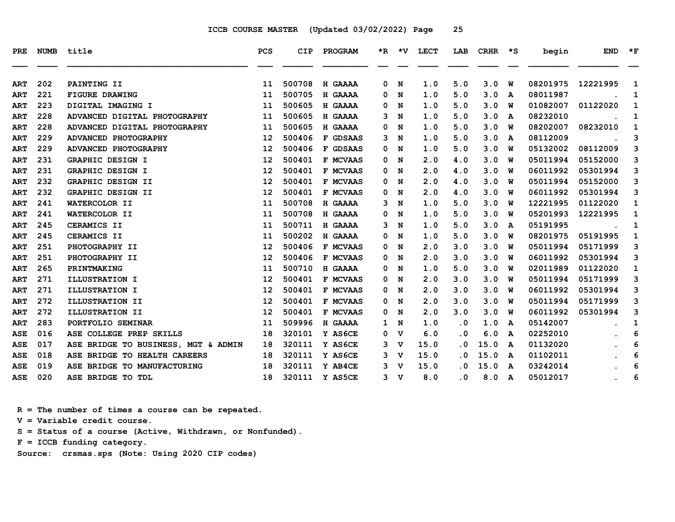| PRE.       | <b>NUMB</b> | title                               | PCS               | <b>CIP</b> | PROGRAM         |              |                | *R *V LECT | LAB       | CRHR *S |   | begin    | <b>END</b> | $*_{\mathbf{F}}$ |
|------------|-------------|-------------------------------------|-------------------|------------|-----------------|--------------|----------------|------------|-----------|---------|---|----------|------------|------------------|
| <b>ART</b> | 202         | PAINTING II                         | 11                | 500708     | H GAAAA         | 0            | N              | 1.0        | 5.0       | 3.0     | W | 08201975 | 12221995   | 1                |
| <b>ART</b> | 221         | <b>FIGURE DRAWING</b>               | 11                | 500705     | H GAAAA         | 0            | N              | 1.0        | 5.0       | 3.0     | A | 08011987 |            | 1                |
| <b>ART</b> | 223         | DIGITAL IMAGING I                   | 11                | 500605     | H GAAAA         | 0            | N              | 1.0        | 5.0       | 3.0     | W | 01082007 | 01122020   | 1                |
| <b>ART</b> | 228         | ADVANCED DIGITAL PHOTOGRAPHY        | 11                | 500605     | H GAAAA         | 3            | N              | 1.0        | 5.0       | 3.0     | A | 08232010 |            | 1                |
| <b>ART</b> | 228         | ADVANCED DIGITAL PHOTOGRAPHY        | 11                | 500605     | H GAAAA         | 0            | N              | 1.0        | 5.0       | 3.0     | W | 08202007 | 08232010   | 1                |
| <b>ART</b> | 229         | ADVANCED PHOTOGRAPHY                | 12                | 500406     | F GDSAAS        | 3            | N              | 1.0        | 5.0       | 3.0     | A | 08112009 |            | 3                |
| <b>ART</b> | 229         | ADVANCED PHOTOGRAPHY                | $12 \overline{ }$ | 500406     | F GDSAAS        | 0            | N              | 1.0        | 5.0       | 3.0     | W | 05132002 | 08112009   | 3                |
| <b>ART</b> | 231         | GRAPHIC DESIGN I                    | 12                | 500401     | F MCVAAS        | 0            | N              | 2.0        | 4.0       | 3.0     | W | 05011994 | 05152000   | 3                |
| <b>ART</b> | 231         | GRAPHIC DESIGN I                    | 12                | 500401     | F MCVAAS        | 0            | N              | 2.0        | 4.0       | 3.0     | W | 06011992 | 05301994   | 3                |
| <b>ART</b> | 232         | GRAPHIC DESIGN II                   | 12                | 500401     | <b>F MCVAAS</b> | 0            | N              | 2.0        | 4.0       | 3.0     | W | 05011994 | 05152000   | 3                |
| <b>ART</b> | 232         | GRAPHIC DESIGN II                   | 12                | 500401     | F MCVAAS        | 0            | N              | 2.0        | 4.0       | 3.0     | W | 06011992 | 05301994   | 3                |
| <b>ART</b> | 241         | WATERCOLOR II                       | 11                | 500708     | H GAAAA         | 3            | N              | 1.0        | 5.0       | 3.0     | W | 12221995 | 01122020   | $\mathbf 1$      |
| <b>ART</b> | 241         | WATERCOLOR II                       | 11                | 500708     | H GAAAA         | 0            | N              | 1.0        | 5.0       | 3.0     | W | 05201993 | 12221995   | 1                |
| <b>ART</b> | 245         | CERAMICS II                         | 11                | 500711     | H GAAAA         | 3            | N              | 1.0        | 5.0       | 3.0     | A | 05191995 |            | 1                |
| <b>ART</b> | 245         | CERAMICS II                         | 11                | 500202     | H GAAAA         | 0            | N              | 1.0        | 5.0       | 3.0     | W | 08201975 | 05191995   | 1                |
| <b>ART</b> | 251         | PHOTOGRAPHY II                      | 12                | 500406     | F MCVAAS        | 0            | N              | 2.0        | 3.0       | 3.0     | W | 05011994 | 05171999   | 3                |
| <b>ART</b> | 251         | PHOTOGRAPHY II                      | 12                | 500406     | <b>F MCVAAS</b> | 0            | N              | 2.0        | 3.0       | 3.0     | W | 06011992 | 05301994   | 3                |
| <b>ART</b> | 265         | PRINTMAKING                         | 11                | 500710     | H GAAAA         | 0            | N              | 1.0        | 5.0       | 3.0     | W | 02011989 | 01122020   | 1                |
| <b>ART</b> | 271         | ILLUSTRATION I                      | 12                | 500401     | F MCVAAS        | 0            | N              | 2.0        | 3.0       | 3.0     | W | 05011994 | 05171999   | 3                |
| <b>ART</b> | 271         | ILLUSTRATION I                      | 12                | 500401     | F MCVAAS        | 0            | N              | 2.0        | 3.0       | 3.0     | W | 06011992 | 05301994   | 3                |
| <b>ART</b> | 272         | ILLUSTRATION II                     | 12                | 500401     | <b>F MCVAAS</b> | 0            | N              | 2.0        | 3.0       | 3.0     | W | 05011994 | 05171999   | 3                |
| <b>ART</b> | 272         | ILLUSTRATION II                     | 12                | 500401     | F MCVAAS        | 0            | N              | 2.0        | 3.0       | 3.0     | W | 06011992 | 05301994   | 3                |
| <b>ART</b> | 283         | PORTFOLIO SEMINAR                   | 11                | 509996     | H GAAAA         | $\mathbf{1}$ | N              | 1.0        | $\cdot$ 0 | 1.0     | A | 05142007 |            | 1                |
| ASE        | 016         | ASE COLLEGE PREP SKILLS             | 18                | 320101     | Y AS6CE         | 0            | v              | 6.0        | . 0       | 6.0     | A | 02252010 |            | 6                |
| <b>ASE</b> | 017         | ASE BRIDGE TO BUSINESS, MGT & ADMIN | 18                | 320111     | Y AS6CE         | 3            | v              | 15.0       | $\cdot$ 0 | 15.0    | A | 01132020 |            | 6                |
| <b>ASE</b> | 018         | ASE BRIDGE TO HEALTH CAREERS        | 18                | 320111     | Y AS6CE         | 3            | v              | 15.0       | $\cdot$ 0 | 15.0    | A | 01102011 |            | 6                |
| ASE        | 019         | ASE BRIDGE TO MANUFACTURING         | 18                | 320111     | Y AB4CE         | 3            | v              | 15.0       | . 0       | 15.0    | A | 03242014 |            | 6                |
| ASE        | 020         | ASE BRIDGE TO TDL                   | 18                | 320111     | Y AS5CE         |              | 3 <sub>v</sub> | 8.0        | $\cdot$ 0 | 8.0     | A | 05012017 |            | 6                |

 **R = The number of times a course can be repeated. V = Variable credit course. S = Status of a course (Active, Withdrawn, or Nonfunded).**

 **F = ICCB funding category.**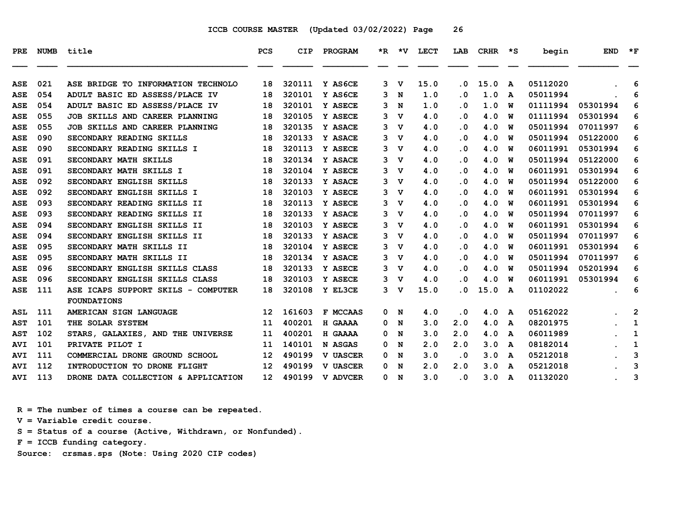| <b>PRE</b> | <b>NUMB</b> | title                               | <b>PCS</b>      | <b>CIP</b> | PROGRAM         |   |                | *R *V LECT | LAB                     | <b>CRHR</b> | $\star$ s | begin    | <b>END</b> | $*_{\mathbf{F}}$ |
|------------|-------------|-------------------------------------|-----------------|------------|-----------------|---|----------------|------------|-------------------------|-------------|-----------|----------|------------|------------------|
|            |             |                                     |                 |            |                 |   |                |            |                         |             |           |          |            |                  |
| <b>ASE</b> | 021         | ASE BRIDGE TO INFORMATION TECHNOLO  | 18              | 320111     | Y AS6CE         | 3 | v              | 15.0       | $\cdot$ 0               | 15.0        | A         | 05112020 |            | 6                |
| <b>ASE</b> | 054         | ADULT BASIC ED ASSESS/PLACE IV      | 18              | 320101     | Y AS6CE         | 3 | N              | 1.0        | . 0                     | 1.0         | A         | 05011994 |            | 6                |
| ASE        | 054         | ADULT BASIC ED ASSESS/PLACE IV      | 18              | 320101     | <b>Y ASECE</b>  | 3 | N              | 1.0        | . 0                     | 1.0         | W         | 01111994 | 05301994   | 6                |
| ASE        | 055         | JOB SKILLS AND CAREER PLANNING      | 18              | 320105     | Y ASECE         | 3 | $\mathbf v$    | 4.0        | . 0                     | 4.0         | W         | 01111994 | 05301994   | 6                |
| ASE        | 055         | JOB SKILLS AND CAREER PLANNING      | 18              | 320135     | Y ASACE         | 3 | v              | 4.0        | $\cdot$ 0               | 4.0         | W         | 05011994 | 07011997   | 6                |
| ASE        | 090         | SECONDARY READING SKILLS            | 18              | 320133     | Y ASACE         |   | $3 \nabla$     | 4.0        | $\cdot$ 0               | 4.0         | W         | 05011994 | 05122000   | 6                |
| <b>ASE</b> | 090         | SECONDARY READING SKILLS I          | 18              | 320113     | Y ASECE         | 3 | $\mathbf v$    | 4.0        | $\cdot$ 0               | 4.0         | W         | 06011991 | 05301994   | 6                |
| ASE        | 091         | SECONDARY MATH SKILLS               | 18              | 320134     | Y ASACE         | 3 | v              | 4.0        | . 0                     | 4.0         | W         | 05011994 | 05122000   | 6                |
| <b>ASE</b> | 091         | SECONDARY MATH SKILLS I             | 18              | 320104     | Y ASECE         |   | 3 <sub>v</sub> | 4.0        | . 0                     | 4.0         | W         | 06011991 | 05301994   | 6                |
| ASE        | 092         | SECONDARY ENGLISH SKILLS            | 18              | 320133     | Y ASACE         | 3 | v              | 4.0        | . 0                     | 4.0         | W         | 05011994 | 05122000   | 6                |
| ASE        | 092         | SECONDARY ENGLISH SKILLS I          | 18              | 320103     | Y ASECE         | 3 | v              | 4.0        | $\cdot$ 0               | 4.0         | W         | 06011991 | 05301994   | 6                |
| ASE        | 093         | SECONDARY READING SKILLS II         | 18              | 320113     | <b>Y ASECE</b>  |   | $3 \nabla$     | 4.0        | $\cdot$ 0               | 4.0         | W         | 06011991 | 05301994   | 6                |
| <b>ASE</b> | 093         | SECONDARY READING SKILLS II         | 18              | 320133     | Y ASACE         | 3 | v              | 4.0        | . 0                     | 4.0         | W         | 05011994 | 07011997   | 6                |
| <b>ASE</b> | 094         | SECONDARY ENGLISH SKILLS II         | 18              | 320103     | Y ASECE         |   | 3 <sub>v</sub> | 4.0        | $\overline{\mathbf{0}}$ | 4.0         | W         | 06011991 | 05301994   | 6                |
| ASE        | 094         | SECONDARY ENGLISH SKILLS II         | 18              | 320133     | Y ASACE         | 3 | v              | 4.0        | . 0                     | 4.0         | W         | 05011994 | 07011997   | 6                |
| ASE        | 095         | SECONDARY MATH SKILLS II            | 18              | 320104     | Y ASECE         | 3 | v              | 4.0        | $\cdot$ 0               | 4.0         | w         | 06011991 | 05301994   | 6                |
| ASE        | 095         | SECONDARY MATH SKILLS II            | 18              | 320134     | Y ASACE         |   | 3 <sub>v</sub> | 4.0        | . 0                     | 4.0         | W         | 05011994 | 07011997   | 6                |
| ASE        | 096         | SECONDARY ENGLISH SKILLS CLASS      | 18              | 320133     | Y ASECE         | 3 | v              | 4.0        | $\cdot$ 0               | 4.0         | W         | 05011994 | 05201994   | 6                |
| ASE        | 096         | SECONDARY ENGLISH SKILLS CLASS      | 18              | 320103     | Y ASECE         |   | 3 V            | 4.0        | . 0                     | 4.0         | W         | 06011991 | 05301994   | 6                |
| ASE        | 111         | ASE ICAPS SUPPORT SKILS - COMPUTER  | 18              | 320108     | Y EL3CE         |   | 3 <sub>v</sub> | 15.0       | . 0                     | 15.0 A      |           | 01102022 |            | 6                |
|            |             | <b>FOUNDATIONS</b>                  |                 |            |                 |   |                |            |                         |             |           |          |            |                  |
| <b>ASL</b> | 111         | AMERICAN SIGN LANGUAGE              | 12              | 161603     | F MCCAAS        |   | 0 N            | 4.0        | $\cdot$ 0               | 4.0         | A         | 05162022 |            | 2                |
| <b>AST</b> | 101         | THE SOLAR SYSTEM                    | 11              | 400201     | H GAAAA         | 0 | N              | 3.0        | 2.0                     | 4.0         | A         | 08201975 |            | 1                |
| <b>AST</b> | 102         | STARS, GALAXIES, AND THE UNIVERSE   | 11              | 400201     | H GAAAA         | 0 | N              | 3.0        | 2.0                     | 4.0         | A         | 06011989 |            | 1                |
| <b>AVI</b> | 101         | PRIVATE PILOT I                     | 11              | 140101     | N ASGAS         | 0 | N              | 2.0        | 2.0                     | 3.0         | A         | 08182014 |            | 1                |
| <b>AVI</b> | 111         | COMMERCIAL DRONE GROUND SCHOOL      | 12 <sup>2</sup> | 490199     | <b>V UASCER</b> | 0 | N              | 3.0        | $\cdot$ 0               | 3.0         | A         | 05212018 |            | 3                |
| <b>AVI</b> | 112         | INTRODUCTION TO DRONE FLIGHT        | 12 <sup>2</sup> | 490199     | <b>V UASCER</b> | 0 | N              | 2.0        | 2.0                     | 3.0         | A         | 05212018 |            | 3                |
| <b>AVI</b> | 113         | DRONE DATA COLLECTION & APPLICATION | 12 <sup>7</sup> | 490199     | <b>V ADVCER</b> | 0 | $\mathbf N$    | 3.0        | $\cdot$ 0               | 3.0         | A         | 01132020 |            | 3                |

 **R = The number of times a course can be repeated.**

 **V = Variable credit course.**

 **S = Status of a course (Active, Withdrawn, or Nonfunded).**

 **F = ICCB funding category.**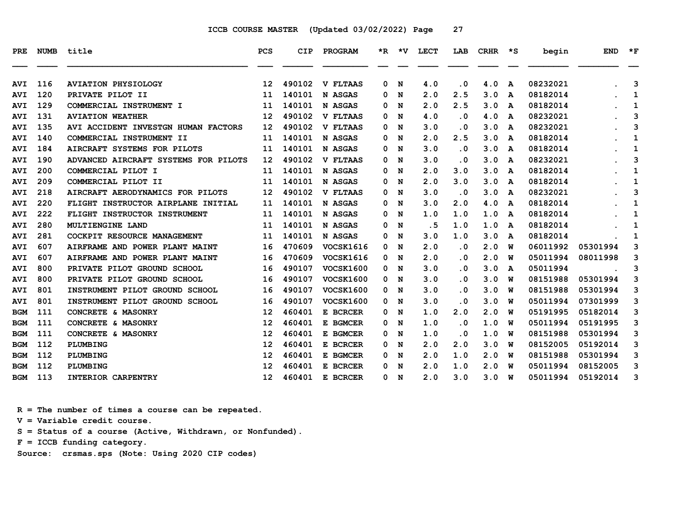| <b>PRE</b> | <b>NUMB</b> | title                                | <b>PCS</b>        | <b>CIP</b> | PROGRAM          |    |     | *R *V LECT | LAB                     | CRHR | $\star$ s | begin    | <b>END</b> | $\star$ F |
|------------|-------------|--------------------------------------|-------------------|------------|------------------|----|-----|------------|-------------------------|------|-----------|----------|------------|-----------|
| <b>AVI</b> | 116         | <b>AVIATION PHYSIOLOGY</b>           | 12                | 490102     | <b>V FLTAAS</b>  | 0  | N   | 4.0        | . 0                     | 4.0  | A         | 08232021 |            | 3         |
| <b>AVI</b> | 120         | PRIVATE PILOT II                     | 11                | 140101     | N ASGAS          | 0  | N   | 2.0        | 2.5                     | 3.0  | A         | 08182014 |            | 1         |
| <b>AVI</b> | 129         | COMMERCIAL INSTRUMENT I              | 11                | 140101     | N ASGAS          | 0  | N   | 2.0        | 2.5                     | 3.0  | A         | 08182014 |            | 1         |
| <b>AVI</b> | 131         | <b>AVIATION WEATHER</b>              | $12 \overline{ }$ | 490102     | <b>V FLTAAS</b>  | 0  | N   | 4.0        | . 0                     | 4.0  | A         | 08232021 |            | 3         |
| <b>AVI</b> | 135         | AVI ACCIDENT INVESTGN HUMAN FACTORS  | $12 \overline{ }$ | 490102     | <b>V FLTAAS</b>  | 0  | N   | 3.0        | . 0                     | 3.0  | A         | 08232021 |            | 3         |
| <b>AVI</b> | 140         | COMMERCIAL INSTRUMENT II             | 11                | 140101     | N ASGAS          | 0  | N   | 2.0        | 2.5                     | 3.0  | A         | 08182014 |            | 1         |
| <b>AVI</b> | 184         | AIRCRAFT SYSTEMS FOR PILOTS          | 11                | 140101     | N ASGAS          | 0  | N   | 3.0        | $\overline{\mathbf{0}}$ | 3.0  | A         | 08182014 |            | 1         |
| <b>AVI</b> | 190         | ADVANCED AIRCRAFT SYSTEMS FOR PILOTS | 12                | 490102     | <b>V FLTAAS</b>  | 0  | N   | 3.0        | . 0                     | 3.0  | A         | 08232021 |            | 3         |
| <b>AVI</b> | 200         | COMMERCIAL PILOT I                   | 11                | 140101     | N ASGAS          | 0  | N   | 2.0        | 3.0                     | 3.0  | A         | 08182014 |            | 1         |
| <b>AVI</b> | 209         | COMMERCIAL PILOT II                  | 11                | 140101     | N ASGAS          | 0  | N   | 2.0        | 3.0                     | 3.0  | A         | 08182014 |            | 1         |
| <b>AVI</b> | 218         | AIRCRAFT AERODYNAMICS FOR PILOTS     | 12                | 490102     | <b>V FLTAAS</b>  | 0  | N   | 3.0        | $\cdot$ 0               | 3.0  | A         | 08232021 |            | 3         |
| <b>AVI</b> | 220         | FLIGHT INSTRUCTOR AIRPLANE INITIAL   | 11                | 140101     | N ASGAS          | 0  | N   | 3.0        | 2.0                     | 4.0  | A         | 08182014 |            | 1         |
| <b>AVI</b> | 222         | FLIGHT INSTRUCTOR INSTRUMENT         | 11                | 140101     | N ASGAS          | 0  | N   | 1.0        | 1.0                     | 1.0  | A         | 08182014 |            | 1         |
| <b>AVI</b> | 280         | MULTIENGINE LAND                     | 11                | 140101     | N ASGAS          | 0  | N   | . 5        | 1.0                     | 1.0  | A         | 08182014 |            | 1         |
| <b>AVI</b> | 281         | COCKPIT RESOURCE MANAGEMENT          | 11                | 140101     | N ASGAS          | 0  | N   | 3.0        | 1.0                     | 3.0  | A         | 08182014 |            | 1         |
| <b>AVI</b> | 607         | AIRFRAME AND POWER PLANT MAINT       | 16                | 470609     | VOCSK1616        | 0  | N   | 2.0        | . 0                     | 2.0  | W         | 06011992 | 05301994   | 3         |
| <b>AVI</b> | 607         | AIRFRAME AND POWER PLANT MAINT       | 16                | 470609     | VOCSK1616        | 0  | N   | 2.0        | . 0                     | 2.0  | w         | 05011994 | 08011998   | 3         |
| <b>AVI</b> | 800         | PRIVATE PILOT GROUND SCHOOL          | 16                | 490107     | <b>VOCSK1600</b> | 0  | N   | 3.0        | . 0                     | 3.0  | A         | 05011994 |            | 3         |
| <b>AVI</b> | 800         | PRIVATE PILOT GROUND SCHOOL          | 16                | 490107     | <b>VOCSK1600</b> | 0  | N   | 3.0        | . 0                     | 3.0  | W         | 08151988 | 05301994   | 3         |
| <b>AVI</b> | 801         | INSTRUMENT PILOT GROUND SCHOOL       | 16                | 490107     | <b>VOCSK1600</b> |    | 0 N | 3.0        | $\overline{\mathbf{0}}$ | 3.0  | W         | 08151988 | 05301994   | 3         |
| <b>AVI</b> | 801         | INSTRUMENT PILOT GROUND SCHOOL       | 16                | 490107     | VOCSK1600        | 0  | N   | 3.0        | . 0                     | 3.0  | W         | 05011994 | 07301999   | 3         |
| <b>BGM</b> | 111         | CONCRETE & MASONRY                   | 12                | 460401     | E BCRCER         | 0  | N   | 1.0        | 2.0                     | 2.0  | w         | 05191995 | 05182014   | 3         |
| <b>BGM</b> | 111         | CONCRETE & MASONRY                   | 12                | 460401     | E BGMCER         | 0  | N   | 1.0        | . 0                     | 1.0  | w         | 05011994 | 05191995   | 3         |
| <b>BGM</b> | 111         | CONCRETE & MASONRY                   | 12                | 460401     | E BGMCER         | 0  | N   | 1.0        | $\overline{\mathbf{0}}$ | 1.0  | W         | 08151988 | 05301994   | 3         |
| <b>BGM</b> | 112         | PLUMBING                             | 12                | 460401     | E BCRCER         | 0  | N   | 2.0        | 2.0                     | 3.0  | W         | 08152005 | 05192014   | 3         |
| <b>BGM</b> | 112         | PLUMBING                             | 12                | 460401     | E BGMCER         | 0  | N   | 2.0        | 1.0                     | 2.0  | W         | 08151988 | 05301994   | 3         |
| <b>BGM</b> | 112         | PLUMBING                             | 12                | 460401     | E BCRCER         | 0  | N   | 2.0        | 1.0                     | 2.0  | W         | 05011994 | 08152005   | 3         |
| BGM        | 113         | INTERIOR CARPENTRY                   | 12 <sup>2</sup>   | 460401     | E BCRCER         | 0. | N   | 2.0        | 3.0                     | 3.0  | <b>W</b>  | 05011994 | 05192014   | 3         |

 **R = The number of times a course can be repeated.**

 **V = Variable credit course.**

 **S = Status of a course (Active, Withdrawn, or Nonfunded).**

 **F = ICCB funding category.**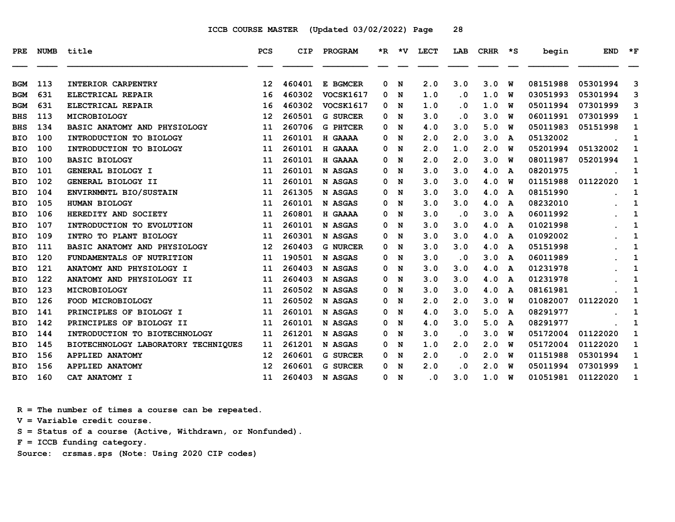| <b>PRE</b> | <b>NUMB</b> | title                               | <b>PCS</b>        | <b>CIP</b> | PROGRAM          | $*_{\mathbf{R}}$ | *V | <b>LECT</b>             | LAB       | <b>CRHR</b> | ∗s | begin    | <b>END</b> | $\star$ F    |
|------------|-------------|-------------------------------------|-------------------|------------|------------------|------------------|----|-------------------------|-----------|-------------|----|----------|------------|--------------|
| BGM        | 113         | INTERIOR CARPENTRY                  | 12                | 460401     | E BGMCER         | 0                | N  | 2.0                     | 3.0       | 3.0         | W  | 08151988 | 05301994   | 3            |
| <b>BGM</b> | 631         | ELECTRICAL REPAIR                   | 16                | 460302     | VOCSK1617        | 0                | N  | 1.0                     | $\cdot$ 0 | 1.0         | W  | 03051993 | 05301994   | 3            |
| <b>BGM</b> | 631         | ELECTRICAL REPAIR                   | 16                | 460302     | <b>VOCSK1617</b> | 0                | N  | 1.0                     | $\cdot$ 0 | 1.0         | W  | 05011994 | 07301999   | 3            |
| <b>BHS</b> | 113         | MICROBIOLOGY                        | 12                | 260501     | <b>G SURCER</b>  | 0                | N  | 3.0                     | . 0       | 3.0         | W  | 06011991 | 07301999   | 1            |
| <b>BHS</b> | 134         | BASIC ANATOMY AND PHYSIOLOGY        | 11                | 260706     | <b>G PHTCER</b>  | 0                | N  | 4.0                     | 3.0       | 5.0         | W  | 05011983 | 05151998   | 1            |
| <b>BIO</b> | 100         | INTRODUCTION TO BIOLOGY             | 11                | 260101     | H GAAAA          | 0                | N  | 2.0                     | 2.0       | 3.0         | A  | 05132002 |            | 1            |
| BIO        | 100         | INTRODUCTION TO BIOLOGY             | 11                | 260101     | H GAAAA          | 0                | N  | 2.0                     | 1.0       | 2.0         | W  | 05201994 | 05132002   | 1            |
| BIO        | 100         | <b>BASIC BIOLOGY</b>                | 11                | 260101     | H GAAAA          | 0                | N  | 2.0                     | 2.0       | 3.0         | W  | 08011987 | 05201994   | 1            |
| <b>BIO</b> | 101         | GENERAL BIOLOGY I                   | 11                | 260101     | N ASGAS          | 0                | N  | 3.0                     | 3.0       | 4.0         | A  | 08201975 |            | 1            |
| <b>BIO</b> | 102         | GENERAL BIOLOGY II                  | 11                | 260101     | N ASGAS          | 0                | N  | 3.0                     | 3.0       | 4.0         | W  | 01151988 | 01122020   | 1            |
| BIO        | 104         | ENVIRNMNTL BIO/SUSTAIN              | 11                | 261305     | N ASGAS          | 0                | N  | 3.0                     | 3.0       | 4.0         | A  | 08151990 |            | 1            |
| <b>BIO</b> | 105         | HUMAN BIOLOGY                       | 11                | 260101     | N ASGAS          | 0                | N  | 3.0                     | 3.0       | 4.0         | A  | 08232010 |            | 1            |
| <b>BIO</b> | 106         | HEREDITY AND SOCIETY                | 11                | 260801     | H GAAAA          | 0                | N  | 3.0                     | $\cdot$ 0 | 3.0         | A  | 06011992 |            | 1            |
| <b>BIO</b> | 107         | INTRODUCTION TO EVOLUTION           | 11                | 260101     | N ASGAS          | 0                | N  | 3.0                     | 3.0       | 4.0         | A  | 01021998 |            | 1            |
| <b>BIO</b> | 109         | INTRO TO PLANT BIOLOGY              | 11                | 260301     | N ASGAS          | 0                | N  | 3.0                     | 3.0       | 4.0         | A  | 01092002 |            | 1            |
| BIO        | 111         | BASIC ANATOMY AND PHYSIOLOGY        | 12                | 260403     | <b>G NURCER</b>  | 0                | N  | 3.0                     | 3.0       | 4.0         | A  | 05151998 |            | 1            |
| <b>BIO</b> | 120         | FUNDAMENTALS OF NUTRITION           | 11                | 190501     | N ASGAS          | 0                | N  | 3.0                     | $\cdot$ 0 | 3.0         | A  | 06011989 |            | 1            |
| <b>BIO</b> | 121         | ANATOMY AND PHYSIOLOGY I            | 11                | 260403     | N ASGAS          | 0                | N  | 3.0                     | 3.0       | 4.0         | A  | 01231978 |            | 1            |
| <b>BIO</b> | 122         | ANATOMY AND PHYSIOLOGY II           | 11                | 260403     | N ASGAS          | 0                | N  | 3.0                     | 3.0       | 4.0         | A  | 01231978 |            | 1            |
| BIO        | 123         | <b>MICROBIOLOGY</b>                 | 11                | 260502     | N ASGAS          | 0                | N  | 3.0                     | 3.0       | 4.0         | A  | 08161981 |            | 1            |
| BIO        | 126         | FOOD MICROBIOLOGY                   | 11                | 260502     | N ASGAS          | 0                | N  | 2.0                     | 2.0       | 3.0         | W  | 01082007 | 01122020   | 1            |
| <b>BIO</b> | 141         | PRINCIPLES OF BIOLOGY I             | 11                | 260101     | N ASGAS          | 0                | N  | 4.0                     | 3.0       | 5.0         | A  | 08291977 |            | 1            |
| <b>BIO</b> | 142         | PRINCIPLES OF BIOLOGY II            | 11                | 260101     | N ASGAS          | 0                | N  | 4.0                     | 3.0       | 5.0         | A  | 08291977 |            | 1            |
| BIO        | 144         | INTRODUCTION TO BIOTECHNOLOGY       | 11                | 261201     | N ASGAS          | 0                | N  | 3.0                     | . 0       | 3.0         | W  | 05172004 | 01122020   | $\mathbf{1}$ |
| <b>BIO</b> | 145         | BIOTECHNOLOGY LABORATORY TECHNIQUES | 11                | 261201     | N ASGAS          | 0                | N  | 1.0                     | 2.0       | 2.0         | W  | 05172004 | 01122020   | 1            |
| <b>BIO</b> | 156         | <b>APPLIED ANATOMY</b>              | 12                | 260601     | <b>G SURCER</b>  | 0                | N  | 2.0                     | $\cdot$ 0 | 2.0         | W  | 01151988 | 05301994   | 1            |
| BIO        | 156         | <b>APPLIED ANATOMY</b>              | $12 \overline{ }$ | 260601     | <b>G SURCER</b>  | 0                | N  | 2.0                     | $\cdot$ 0 | 2.0         | W  | 05011994 | 07301999   | 1            |
| <b>BIO</b> | 160         | CAT ANATOMY I                       | 11                | 260403     | N ASGAS          | 0                | N  | $\overline{\mathbf{0}}$ | 3.0       | 1.0         | W  | 01051981 | 01122020   | 1            |

 **R = The number of times a course can be repeated.**

 **V = Variable credit course.**

 **S = Status of a course (Active, Withdrawn, or Nonfunded).**

 **F = ICCB funding category.**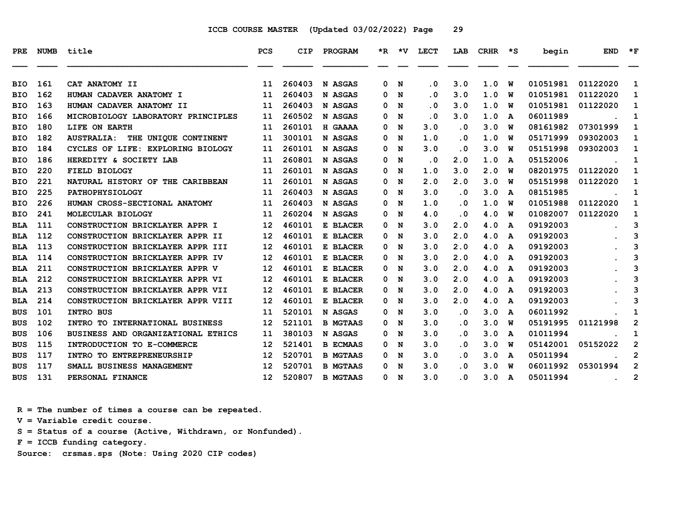| <b>PRE</b> | <b>NUMB</b> | title                                     | <b>PCS</b>        | CIP    | PROGRAM         |          | *R *V | LECT      | LAB       | $CRHR * S$ |              | begin    | <b>END</b>    | $*_{\mathbf{F}}$ |
|------------|-------------|-------------------------------------------|-------------------|--------|-----------------|----------|-------|-----------|-----------|------------|--------------|----------|---------------|------------------|
| <b>BIO</b> | 161         | CAT ANATOMY II                            | 11                | 260403 | N ASGAS         | 0        | N     | $\cdot$ 0 | 3.0       | 1.0        | W            | 01051981 | 01122020      | 1                |
| <b>BIO</b> | 162         | HUMAN CADAVER ANATOMY I                   | 11                | 260403 | N ASGAS         | 0        | N     | $\cdot$ 0 | 3.0       | 1.0        | W            | 01051981 | 01122020      | 1                |
| <b>BIO</b> | 163         | HUMAN CADAVER ANATOMY II                  | 11                | 260403 | N ASGAS         | 0        | N     | $\cdot$ 0 | 3.0       | 1.0        | W            | 01051981 | 01122020      | 1                |
| <b>BIO</b> | 166         | MICROBIOLOGY LABORATORY PRINCIPLES        | 11                | 260502 | N ASGAS         | 0        | N     | . 0       | 3.0       | 1.0        | A            | 06011989 |               | 1                |
| <b>BIO</b> | 180         | LIFE ON EARTH                             | 11                | 260101 | H GAAAA         | 0        | N     | 3.0       | $\cdot$ 0 | 3.0        | W            | 08161982 | 07301999      | 1                |
| <b>BIO</b> | 182         | THE UNIQUE CONTINENT<br><b>AUSTRALIA:</b> | 11                | 300101 | N ASGAS         | 0        | N     | 1.0       | $\cdot$ 0 | 1.0        | W            | 05171999 | 09302003      | 1                |
| <b>BIO</b> | 184         | CYCLES OF LIFE: EXPLORING BIOLOGY         | 11                | 260101 | N ASGAS         | 0        | N     | 3.0       | $\cdot$ 0 | 3.0        | W            | 05151998 | 09302003      | 1                |
| <b>BIO</b> | 186         | HEREDITY & SOCIETY LAB                    | 11                | 260801 | N ASGAS         | 0        | N     | $\cdot$ 0 | 2.0       | 1.0        | A            | 05152006 |               | 1                |
| <b>BIO</b> | 220         | <b>FIELD BIOLOGY</b>                      | 11                | 260101 | N ASGAS         | 0        | N     | 1.0       | 3.0       | 2.0        | W            | 08201975 | 01122020      | 1                |
| <b>BIO</b> | 221         | NATURAL HISTORY OF THE CARIBBEAN          | 11                | 260101 | N ASGAS         | 0        | N     | 2.0       | 2.0       | 3.0        | W            | 05151998 | 01122020      | 1                |
| <b>BIO</b> | 225         | PATHOPHYSIOLOGY                           | 11                | 260403 | N ASGAS         | 0        | N     | 3.0       | $\cdot$ 0 | 3.0        | A            | 08151985 |               | 1                |
| <b>BIO</b> | 226         | HUMAN CROSS-SECTIONAL ANATOMY             | 11                | 260403 | N ASGAS         | 0        | N     | 1.0       | $\cdot$ 0 | 1.0        | W            | 01051988 | 01122020      | 1                |
| <b>BIO</b> | 241         | MOLECULAR BIOLOGY                         | 11                | 260204 | N ASGAS         | 0        | N     | 4.0       | $\cdot$ 0 | 4.0        | W            | 01082007 | 01122020      | 1                |
| <b>BLA</b> | 111         | CONSTRUCTION BRICKLAYER APPR I            | 12                | 460101 | E BLACER        | 0        | N     | 3.0       | 2.0       | 4.0        | A            | 09192003 |               | 3                |
| <b>BLA</b> | 112         | CONSTRUCTION BRICKLAYER APPR II           | 12                | 460101 | E BLACER        | 0        | N     | 3.0       | 2.0       | 4.0        | $\mathbf{A}$ | 09192003 |               | 3                |
| <b>BLA</b> | 113         | CONSTRUCTION BRICKLAYER APPR III          | 12                | 460101 | E BLACER        | 0        | N     | 3.0       | 2.0       | 4.0        | A            | 09192003 |               | 3                |
| <b>BLA</b> | 114         | CONSTRUCTION BRICKLAYER APPR IV           | $12 \overline{ }$ | 460101 | E BLACER        | 0        | N     | 3.0       | 2.0       | 4.0        | A            | 09192003 |               | 3                |
| <b>BLA</b> | 211         | CONSTRUCTION BRICKLAYER APPR V            | $12 \overline{ }$ | 460101 | E BLACER        | 0        | N     | 3.0       | 2.0       | 4.0        | A            | 09192003 |               | 3                |
| <b>BLA</b> | 212         | CONSTRUCTION BRICKLAYER APPR VI           | 12                | 460101 | E BLACER        | 0        | N     | 3.0       | 2.0       | 4.0        | A            | 09192003 |               | 3                |
| <b>BLA</b> | 213         | CONSTRUCTION BRICKLAYER APPR VII          | 12                | 460101 | E BLACER        | 0        | N     | 3.0       | 2.0       | 4.0        | A            | 09192003 |               | 3                |
| <b>BLA</b> | 214         | CONSTRUCTION BRICKLAYER APPR VIII         | $12 \overline{ }$ | 460101 | E BLACER        | 0        | N     | 3.0       | 2.0       | 4.0        | A            | 09192003 |               | 3                |
| <b>BUS</b> | 101         | <b>INTRO BUS</b>                          | 11                | 520101 | N ASGAS         | 0        | N     | 3.0       | $\cdot$ 0 | 3.0        | A            | 06011992 |               | 1                |
| <b>BUS</b> | 102         | INTRO TO INTERNATIONAL BUSINESS           | 12                | 521101 | <b>B MGTAAS</b> | 0        | N     | 3.0       | $\cdot$ 0 | 3.0        | W            | 05191995 | 01121998      | $\overline{2}$   |
| <b>BUS</b> | 106         | BUSINESS AND ORGANIZATIONAL ETHICS        | 11                | 380103 | N ASGAS         | 0        | N     | 3.0       | $\cdot$ 0 | 3.0        | A            | 01011994 |               | 1                |
| <b>BUS</b> | 115         | INTRODUCTION TO E-COMMERCE                | 12                | 521401 | <b>B ECMAAS</b> | 0        | N     | 3.0       | . 0       | 3.0        | W            | 05142001 | 05152022      | $\overline{2}$   |
| <b>BUS</b> | 117         | INTRO TO ENTREPRENEURSHIP                 | $12 \overline{ }$ | 520701 | <b>B MGTAAS</b> | 0        | N     | 3.0       | $\cdot$ 0 | 3.0        | A            | 05011994 |               | $\mathbf{2}$     |
| <b>BUS</b> | 117         | SMALL BUSINESS MANAGEMENT                 | 12                | 520701 | <b>B MGTAAS</b> | $\Omega$ | N     | 3.0       | $\cdot$ 0 | 3.0        | w            | 06011992 | 05301994      | $\overline{2}$   |
| <b>BUS</b> | 131         | PERSONAL FINANCE                          | 12 <sup>2</sup>   | 520807 | <b>B MGTAAS</b> | 0        | N     | 3.0       | $\cdot$ 0 | 3.0        | A            | 05011994 | $\sim$ $\sim$ | $\overline{2}$   |

 **R = The number of times a course can be repeated.**

 **V = Variable credit course.**

 **S = Status of a course (Active, Withdrawn, or Nonfunded).**

 **F = ICCB funding category.**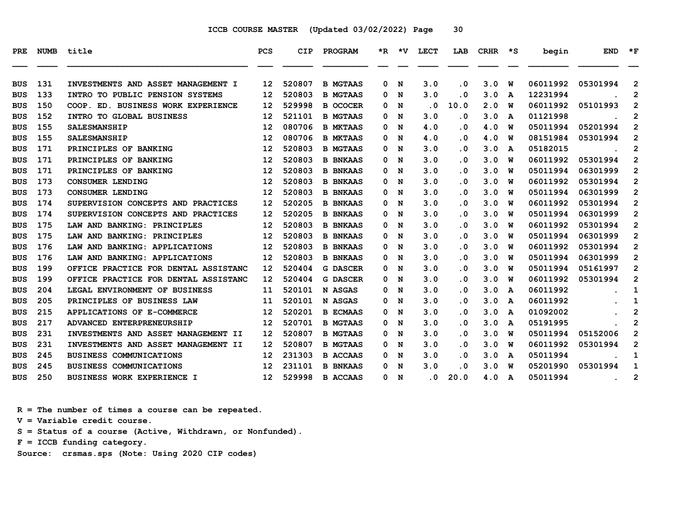| 131<br>3.0<br>06011992<br>INVESTMENTS AND ASSET MANAGEMENT I<br>12<br>520807<br><b>B MGTAAS</b><br>. 0<br>3.0<br><b>BUS</b><br>0<br>N<br>W<br>133<br>520803<br>12231994<br>3.0<br>3.0<br><b>BUS</b><br>INTRO TO PUBLIC PENSION SYSTEMS<br>12<br><b>B MGTAAS</b><br>N<br>. 0<br>0<br>A<br>150<br>529998<br>$\overline{\mathbf{0}}$<br>2.0<br>06011992<br>COOP. ED. BUSINESS WORK EXPERIENCE<br>12<br><b>B OCOCER</b><br>N<br>10.0<br>W<br>BUS<br>0<br>152<br>3.0<br>INTRO TO GLOBAL BUSINESS<br>521101<br>3.0<br>01121998<br><b>BUS</b><br>12<br><b>B MGTAAS</b><br>0<br>N<br>. 0<br>A<br>155<br>080706<br>4.0<br>05011994<br><b>SALESMANSHIP</b><br><b>B MKTAAS</b><br>4.0<br><b>BUS</b><br>12<br>N<br>$\cdot$ 0<br>W<br>0<br>080706<br>155<br>12<br>4.0<br>$\cdot$ 0<br>08151984<br><b>BUS</b><br><b>SALESMANSHIP</b><br><b>B MKTAAS</b><br>N<br>4.0<br>0<br>W<br>171<br>520803<br>05182015<br>3.0<br>3.0<br>PRINCIPLES OF BANKING<br>12<br><b>B MGTAAS</b><br>N<br>. 0<br><b>BUS</b><br>0<br>A<br>171<br>520803<br>3.0<br>06011992<br>PRINCIPLES OF BANKING<br>12<br><b>B BNKAAS</b><br>N<br>. 0<br>3.0<br>W<br><b>BUS</b><br>0<br>171<br>520803<br>3.0<br>3.0<br>05011994<br>06301999<br>PRINCIPLES OF BANKING<br>12<br><b>B BNKAAS</b><br>0<br>N<br>. 0<br><b>BUS</b><br>W<br>173<br>520803<br>3.0<br>3.0<br>06011992<br>05301994<br><b>CONSUMER LENDING</b><br>12<br><b>B BNKAAS</b><br>N<br>. 0<br>W<br>BUS<br>0<br>173<br>520803<br>3.0<br>05011994<br><b>CONSUMER LENDING</b><br>12<br><b>B BNKAAS</b><br>. 0<br>3.0<br>06301999<br><b>BUS</b><br>0<br>N<br>W<br>174<br>520205<br>3.0<br>06011992<br>12<br><b>B BNKAAS</b><br>N<br>3.0<br>. 0<br>05301994<br>SUPERVISION CONCEPTS AND PRACTICES<br>0<br>W<br>BUS<br>520205<br>05011994<br>174<br>SUPERVISION CONCEPTS AND PRACTICES<br>3.0<br>$\cdot$ 0<br>3.0<br><b>BUS</b><br>12<br><b>B BNKAAS</b><br>N<br>W<br>0<br>175<br>520803<br>3.0<br>3.0<br>06011992<br>LAW AND BANKING: PRINCIPLES<br>12<br>. 0<br><b>BUS</b><br><b>B BNKAAS</b><br>0<br>N<br>W<br>175<br>520803<br>3.0<br>05011994<br>LAW AND BANKING: PRINCIPLES<br>12<br><b>B BNKAAS</b><br>N<br>$\cdot$ 0<br>3.0<br><b>BUS</b><br>0<br>W<br>520803<br>3.0<br>06011992<br>176<br>12<br>. 0<br>3.0<br><b>BUS</b><br>LAW AND BANKING: APPLICATIONS<br><b>B BNKAAS</b><br>0<br>N<br>W<br>176<br>520803<br>3.0<br>. 0<br>3.0<br>05011994<br>LAW AND BANKING: APPLICATIONS<br>12<br><b>B BNKAAS</b><br>0<br>N<br>W<br>BUS<br>199<br>520404<br>3.0<br>3.0<br>05011994<br>OFFICE PRACTICE FOR DENTAL ASSISTANC<br>12<br>N<br>. 0<br><b>BUS</b><br>G DASCER<br>0<br>W | 05301994<br>$\mathbf{2}$<br>$\overline{2}$<br>05101993<br>$\mathbf{2}$<br>$\mathbf{2}$<br>05201994<br>$\overline{2}$<br>05301994<br>$\mathbf{2}$<br>$\mathbf{2}$<br>05301994<br>$\mathbf{2}$ |
|--------------------------------------------------------------------------------------------------------------------------------------------------------------------------------------------------------------------------------------------------------------------------------------------------------------------------------------------------------------------------------------------------------------------------------------------------------------------------------------------------------------------------------------------------------------------------------------------------------------------------------------------------------------------------------------------------------------------------------------------------------------------------------------------------------------------------------------------------------------------------------------------------------------------------------------------------------------------------------------------------------------------------------------------------------------------------------------------------------------------------------------------------------------------------------------------------------------------------------------------------------------------------------------------------------------------------------------------------------------------------------------------------------------------------------------------------------------------------------------------------------------------------------------------------------------------------------------------------------------------------------------------------------------------------------------------------------------------------------------------------------------------------------------------------------------------------------------------------------------------------------------------------------------------------------------------------------------------------------------------------------------------------------------------------------------------------------------------------------------------------------------------------------------------------------------------------------------------------------------------------------------------------------------------------------------------------------------------------------------------------------------------------------------------------------------------------------------------------------------------------------------------------------------------------------------------------------------|----------------------------------------------------------------------------------------------------------------------------------------------------------------------------------------------|
|                                                                                                                                                                                                                                                                                                                                                                                                                                                                                                                                                                                                                                                                                                                                                                                                                                                                                                                                                                                                                                                                                                                                                                                                                                                                                                                                                                                                                                                                                                                                                                                                                                                                                                                                                                                                                                                                                                                                                                                                                                                                                                                                                                                                                                                                                                                                                                                                                                                                                                                                                                                      |                                                                                                                                                                                              |
|                                                                                                                                                                                                                                                                                                                                                                                                                                                                                                                                                                                                                                                                                                                                                                                                                                                                                                                                                                                                                                                                                                                                                                                                                                                                                                                                                                                                                                                                                                                                                                                                                                                                                                                                                                                                                                                                                                                                                                                                                                                                                                                                                                                                                                                                                                                                                                                                                                                                                                                                                                                      |                                                                                                                                                                                              |
|                                                                                                                                                                                                                                                                                                                                                                                                                                                                                                                                                                                                                                                                                                                                                                                                                                                                                                                                                                                                                                                                                                                                                                                                                                                                                                                                                                                                                                                                                                                                                                                                                                                                                                                                                                                                                                                                                                                                                                                                                                                                                                                                                                                                                                                                                                                                                                                                                                                                                                                                                                                      |                                                                                                                                                                                              |
|                                                                                                                                                                                                                                                                                                                                                                                                                                                                                                                                                                                                                                                                                                                                                                                                                                                                                                                                                                                                                                                                                                                                                                                                                                                                                                                                                                                                                                                                                                                                                                                                                                                                                                                                                                                                                                                                                                                                                                                                                                                                                                                                                                                                                                                                                                                                                                                                                                                                                                                                                                                      |                                                                                                                                                                                              |
|                                                                                                                                                                                                                                                                                                                                                                                                                                                                                                                                                                                                                                                                                                                                                                                                                                                                                                                                                                                                                                                                                                                                                                                                                                                                                                                                                                                                                                                                                                                                                                                                                                                                                                                                                                                                                                                                                                                                                                                                                                                                                                                                                                                                                                                                                                                                                                                                                                                                                                                                                                                      |                                                                                                                                                                                              |
|                                                                                                                                                                                                                                                                                                                                                                                                                                                                                                                                                                                                                                                                                                                                                                                                                                                                                                                                                                                                                                                                                                                                                                                                                                                                                                                                                                                                                                                                                                                                                                                                                                                                                                                                                                                                                                                                                                                                                                                                                                                                                                                                                                                                                                                                                                                                                                                                                                                                                                                                                                                      |                                                                                                                                                                                              |
|                                                                                                                                                                                                                                                                                                                                                                                                                                                                                                                                                                                                                                                                                                                                                                                                                                                                                                                                                                                                                                                                                                                                                                                                                                                                                                                                                                                                                                                                                                                                                                                                                                                                                                                                                                                                                                                                                                                                                                                                                                                                                                                                                                                                                                                                                                                                                                                                                                                                                                                                                                                      |                                                                                                                                                                                              |
|                                                                                                                                                                                                                                                                                                                                                                                                                                                                                                                                                                                                                                                                                                                                                                                                                                                                                                                                                                                                                                                                                                                                                                                                                                                                                                                                                                                                                                                                                                                                                                                                                                                                                                                                                                                                                                                                                                                                                                                                                                                                                                                                                                                                                                                                                                                                                                                                                                                                                                                                                                                      |                                                                                                                                                                                              |
|                                                                                                                                                                                                                                                                                                                                                                                                                                                                                                                                                                                                                                                                                                                                                                                                                                                                                                                                                                                                                                                                                                                                                                                                                                                                                                                                                                                                                                                                                                                                                                                                                                                                                                                                                                                                                                                                                                                                                                                                                                                                                                                                                                                                                                                                                                                                                                                                                                                                                                                                                                                      |                                                                                                                                                                                              |
|                                                                                                                                                                                                                                                                                                                                                                                                                                                                                                                                                                                                                                                                                                                                                                                                                                                                                                                                                                                                                                                                                                                                                                                                                                                                                                                                                                                                                                                                                                                                                                                                                                                                                                                                                                                                                                                                                                                                                                                                                                                                                                                                                                                                                                                                                                                                                                                                                                                                                                                                                                                      | $\overline{2}$                                                                                                                                                                               |
|                                                                                                                                                                                                                                                                                                                                                                                                                                                                                                                                                                                                                                                                                                                                                                                                                                                                                                                                                                                                                                                                                                                                                                                                                                                                                                                                                                                                                                                                                                                                                                                                                                                                                                                                                                                                                                                                                                                                                                                                                                                                                                                                                                                                                                                                                                                                                                                                                                                                                                                                                                                      | $\mathbf{2}$                                                                                                                                                                                 |
|                                                                                                                                                                                                                                                                                                                                                                                                                                                                                                                                                                                                                                                                                                                                                                                                                                                                                                                                                                                                                                                                                                                                                                                                                                                                                                                                                                                                                                                                                                                                                                                                                                                                                                                                                                                                                                                                                                                                                                                                                                                                                                                                                                                                                                                                                                                                                                                                                                                                                                                                                                                      | $\overline{2}$                                                                                                                                                                               |
|                                                                                                                                                                                                                                                                                                                                                                                                                                                                                                                                                                                                                                                                                                                                                                                                                                                                                                                                                                                                                                                                                                                                                                                                                                                                                                                                                                                                                                                                                                                                                                                                                                                                                                                                                                                                                                                                                                                                                                                                                                                                                                                                                                                                                                                                                                                                                                                                                                                                                                                                                                                      | $\mathbf{2}$                                                                                                                                                                                 |
|                                                                                                                                                                                                                                                                                                                                                                                                                                                                                                                                                                                                                                                                                                                                                                                                                                                                                                                                                                                                                                                                                                                                                                                                                                                                                                                                                                                                                                                                                                                                                                                                                                                                                                                                                                                                                                                                                                                                                                                                                                                                                                                                                                                                                                                                                                                                                                                                                                                                                                                                                                                      | 06301999<br>$\mathbf{2}$                                                                                                                                                                     |
|                                                                                                                                                                                                                                                                                                                                                                                                                                                                                                                                                                                                                                                                                                                                                                                                                                                                                                                                                                                                                                                                                                                                                                                                                                                                                                                                                                                                                                                                                                                                                                                                                                                                                                                                                                                                                                                                                                                                                                                                                                                                                                                                                                                                                                                                                                                                                                                                                                                                                                                                                                                      | $\mathbf{2}$<br>05301994                                                                                                                                                                     |
|                                                                                                                                                                                                                                                                                                                                                                                                                                                                                                                                                                                                                                                                                                                                                                                                                                                                                                                                                                                                                                                                                                                                                                                                                                                                                                                                                                                                                                                                                                                                                                                                                                                                                                                                                                                                                                                                                                                                                                                                                                                                                                                                                                                                                                                                                                                                                                                                                                                                                                                                                                                      | $\mathbf{2}$<br>06301999                                                                                                                                                                     |
|                                                                                                                                                                                                                                                                                                                                                                                                                                                                                                                                                                                                                                                                                                                                                                                                                                                                                                                                                                                                                                                                                                                                                                                                                                                                                                                                                                                                                                                                                                                                                                                                                                                                                                                                                                                                                                                                                                                                                                                                                                                                                                                                                                                                                                                                                                                                                                                                                                                                                                                                                                                      | $\mathbf{2}$<br>05301994                                                                                                                                                                     |
|                                                                                                                                                                                                                                                                                                                                                                                                                                                                                                                                                                                                                                                                                                                                                                                                                                                                                                                                                                                                                                                                                                                                                                                                                                                                                                                                                                                                                                                                                                                                                                                                                                                                                                                                                                                                                                                                                                                                                                                                                                                                                                                                                                                                                                                                                                                                                                                                                                                                                                                                                                                      | $\overline{2}$<br>06301999                                                                                                                                                                   |
|                                                                                                                                                                                                                                                                                                                                                                                                                                                                                                                                                                                                                                                                                                                                                                                                                                                                                                                                                                                                                                                                                                                                                                                                                                                                                                                                                                                                                                                                                                                                                                                                                                                                                                                                                                                                                                                                                                                                                                                                                                                                                                                                                                                                                                                                                                                                                                                                                                                                                                                                                                                      | $\mathbf{2}$<br>05161997                                                                                                                                                                     |
| 199<br>3.0<br>OFFICE PRACTICE FOR DENTAL ASSISTANC<br>12<br>520404<br><b>G DASCER</b><br>. 0<br>3.0<br>06011992<br><b>BUS</b><br>0<br>N<br>W                                                                                                                                                                                                                                                                                                                                                                                                                                                                                                                                                                                                                                                                                                                                                                                                                                                                                                                                                                                                                                                                                                                                                                                                                                                                                                                                                                                                                                                                                                                                                                                                                                                                                                                                                                                                                                                                                                                                                                                                                                                                                                                                                                                                                                                                                                                                                                                                                                         | $\mathbf{2}$<br>05301994                                                                                                                                                                     |
| 204<br>LEGAL ENVIRONMENT OF BUSINESS<br>520101<br>3.0<br>$\cdot$ 0<br>3.0<br>06011992<br><b>BUS</b><br>11<br>N ASGAS<br>0<br>N<br>A                                                                                                                                                                                                                                                                                                                                                                                                                                                                                                                                                                                                                                                                                                                                                                                                                                                                                                                                                                                                                                                                                                                                                                                                                                                                                                                                                                                                                                                                                                                                                                                                                                                                                                                                                                                                                                                                                                                                                                                                                                                                                                                                                                                                                                                                                                                                                                                                                                                  | 1                                                                                                                                                                                            |
| 205<br>520101<br>3.0<br>3.0<br>06011992<br>PRINCIPLES OF BUSINESS LAW<br>N ASGAS<br>N<br>. 0<br><b>BUS</b><br>11<br>0<br>A                                                                                                                                                                                                                                                                                                                                                                                                                                                                                                                                                                                                                                                                                                                                                                                                                                                                                                                                                                                                                                                                                                                                                                                                                                                                                                                                                                                                                                                                                                                                                                                                                                                                                                                                                                                                                                                                                                                                                                                                                                                                                                                                                                                                                                                                                                                                                                                                                                                           | 1                                                                                                                                                                                            |
| 215<br>520201<br>3.0<br>3.0<br>APPLICATIONS OF E-COMMERCE<br>12<br><b>B ECMAAS</b><br>N<br>$\cdot$ 0<br>01092002<br><b>BUS</b><br>0<br>A                                                                                                                                                                                                                                                                                                                                                                                                                                                                                                                                                                                                                                                                                                                                                                                                                                                                                                                                                                                                                                                                                                                                                                                                                                                                                                                                                                                                                                                                                                                                                                                                                                                                                                                                                                                                                                                                                                                                                                                                                                                                                                                                                                                                                                                                                                                                                                                                                                             | $\overline{2}$                                                                                                                                                                               |
| 520701<br>217<br>3.0<br>3.0<br>05191995<br><b>BUS</b><br>ADVANCED ENTERPRENEURSHIP<br>12<br><b>B MGTAAS</b><br>0<br>N<br>. 0<br>A                                                                                                                                                                                                                                                                                                                                                                                                                                                                                                                                                                                                                                                                                                                                                                                                                                                                                                                                                                                                                                                                                                                                                                                                                                                                                                                                                                                                                                                                                                                                                                                                                                                                                                                                                                                                                                                                                                                                                                                                                                                                                                                                                                                                                                                                                                                                                                                                                                                    | $\overline{2}$                                                                                                                                                                               |
| 231<br>520807<br>3.0<br>. 0<br>3.0<br>05011994<br><b>BUS</b><br>INVESTMENTS AND ASSET MANAGEMENT II<br>12<br><b>B MGTAAS</b><br>N<br>0<br>W                                                                                                                                                                                                                                                                                                                                                                                                                                                                                                                                                                                                                                                                                                                                                                                                                                                                                                                                                                                                                                                                                                                                                                                                                                                                                                                                                                                                                                                                                                                                                                                                                                                                                                                                                                                                                                                                                                                                                                                                                                                                                                                                                                                                                                                                                                                                                                                                                                          | $\mathbf{2}$<br>05152006                                                                                                                                                                     |
| 231<br>520807<br>3.0<br>3.0<br>06011992<br>INVESTMENTS AND ASSET MANAGEMENT II<br>12<br><b>B MGTAAS</b><br>$\cdot$ 0<br><b>BUS</b><br>0<br>N<br>W                                                                                                                                                                                                                                                                                                                                                                                                                                                                                                                                                                                                                                                                                                                                                                                                                                                                                                                                                                                                                                                                                                                                                                                                                                                                                                                                                                                                                                                                                                                                                                                                                                                                                                                                                                                                                                                                                                                                                                                                                                                                                                                                                                                                                                                                                                                                                                                                                                    | $\mathbf{2}$<br>05301994                                                                                                                                                                     |
| 245<br>231303<br>05011994<br><b>BUSINESS COMMUNICATIONS</b><br><b>B ACCAAS</b><br>N<br>3.0<br>. 0<br>3.0<br><b>BUS</b><br>12<br>0<br>A                                                                                                                                                                                                                                                                                                                                                                                                                                                                                                                                                                                                                                                                                                                                                                                                                                                                                                                                                                                                                                                                                                                                                                                                                                                                                                                                                                                                                                                                                                                                                                                                                                                                                                                                                                                                                                                                                                                                                                                                                                                                                                                                                                                                                                                                                                                                                                                                                                               | 1                                                                                                                                                                                            |
| 231101<br>245<br>3.0<br>3.0<br>05201990<br><b>BUS</b><br><b>BUSINESS COMMUNICATIONS</b><br>12<br><b>B BNKAAS</b><br>N<br>. 0<br>W<br>0                                                                                                                                                                                                                                                                                                                                                                                                                                                                                                                                                                                                                                                                                                                                                                                                                                                                                                                                                                                                                                                                                                                                                                                                                                                                                                                                                                                                                                                                                                                                                                                                                                                                                                                                                                                                                                                                                                                                                                                                                                                                                                                                                                                                                                                                                                                                                                                                                                               | 05301994<br>1                                                                                                                                                                                |
| 529998<br>250<br>4.0<br>05011994<br><b>BUSINESS WORK EXPERIENCE I</b><br>12<br><b>B ACCAAS</b><br>N<br>$\cdot$ 0<br>20.0<br><b>BUS</b><br>0<br>A                                                                                                                                                                                                                                                                                                                                                                                                                                                                                                                                                                                                                                                                                                                                                                                                                                                                                                                                                                                                                                                                                                                                                                                                                                                                                                                                                                                                                                                                                                                                                                                                                                                                                                                                                                                                                                                                                                                                                                                                                                                                                                                                                                                                                                                                                                                                                                                                                                     | $\overline{2}$<br><b><i>Committee States Associates</i></b>                                                                                                                                  |

 **R = The number of times a course can be repeated.**

 **V = Variable credit course.**

 **S = Status of a course (Active, Withdrawn, or Nonfunded).**

 **F = ICCB funding category.**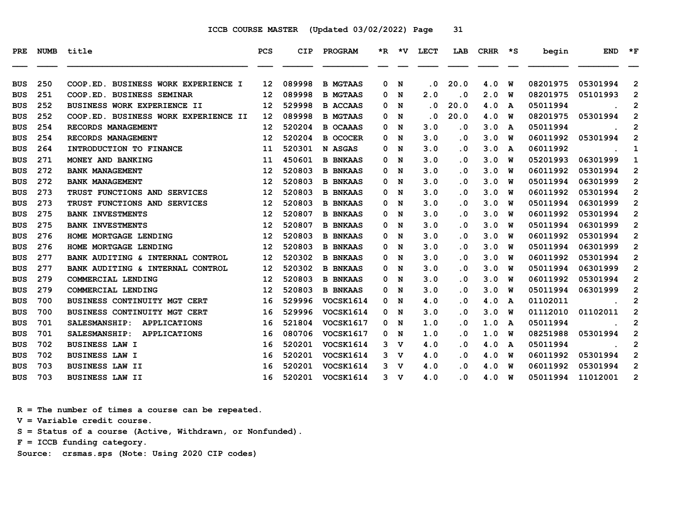| <b>PRE</b>               | NUMB       | title                                                            | <b>PCS</b> | CIP              | PROGRAM                            |        | *R *V          | <b>LECT</b>             | LAB                             | CRHR       | $\star$ s | begin                | <b>END</b>           | $*_{\mathbf{F}}$                 |
|--------------------------|------------|------------------------------------------------------------------|------------|------------------|------------------------------------|--------|----------------|-------------------------|---------------------------------|------------|-----------|----------------------|----------------------|----------------------------------|
|                          |            |                                                                  |            |                  |                                    |        |                |                         |                                 |            |           |                      |                      |                                  |
| <b>BUS</b>               | 250<br>251 | COOP.ED. BUSINESS WORK EXPERIENCE I<br>COOP.ED. BUSINESS SEMINAR | 12<br>12   | 089998<br>089998 | <b>B MGTAAS</b><br><b>B MGTAAS</b> | 0<br>0 | N<br>N         | . 0<br>2.0              | 20.0<br>$\overline{\mathbf{0}}$ | 4.0<br>2.0 | W<br>W    | 08201975<br>08201975 | 05301994<br>05101993 | $\overline{2}$<br>$\overline{2}$ |
| <b>BUS</b><br><b>BUS</b> | 252        | BUSINESS WORK EXPERIENCE II                                      | 12         | 529998           | <b>B ACCAAS</b>                    | 0      | N              | $\overline{\mathbf{0}}$ | 20.0                            | 4.0        | A         | 05011994             |                      | $\mathbf{2}$                     |
|                          | 252        | COOP.ED. BUSINESS WORK EXPERIENCE II                             | 12         | 089998           | <b>B MGTAAS</b>                    | 0      | N              | . 0                     | 20.0                            | 4.0        | W         | 08201975             | 05301994             | $\mathbf{2}$                     |
| <b>BUS</b><br><b>BUS</b> | 254        | RECORDS MANAGEMENT                                               | 12         | 520204           | <b>B OCAAAS</b>                    | 0      | N              | 3.0                     | . 0                             | 3.0        | A         | 05011994             |                      | 2                                |
| <b>BUS</b>               | 254        | RECORDS MANAGEMENT                                               | 12         | 520204           | <b>B OCOCER</b>                    | 0      | N              | 3.0                     | $\overline{\mathbf{0}}$         | 3.0        | W         | 06011992             | 05301994             | $\mathbf{2}$                     |
| <b>BUS</b>               | 264        | INTRODUCTION TO FINANCE                                          | 11         | 520301           | N ASGAS                            | 0      | N              | 3.0                     | $\overline{\mathbf{0}}$         | 3.0        | A         | 06011992             |                      | $\mathbf{1}$                     |
| <b>BUS</b>               | 271        | MONEY AND BANKING                                                | 11         | 450601           | <b>B BNKAAS</b>                    | 0      | N              | 3.0                     | . 0                             | 3.0        | W         | 05201993             | 06301999             | 1                                |
| <b>BUS</b>               | 272        | <b>BANK MANAGEMENT</b>                                           | 12         | 520803           | <b>B BNKAAS</b>                    | 0      | N              | 3.0                     | . 0                             | 3.0        | พ         | 06011992             | 05301994             | 2                                |
| <b>BUS</b>               | 272        | <b>BANK MANAGEMENT</b>                                           | 12         | 520803           | <b>B BNKAAS</b>                    | 0      | N              | 3.0                     | . 0                             | 3.0        | W         | 05011994             | 06301999             | $\overline{2}$                   |
| <b>BUS</b>               | 273        | TRUST FUNCTIONS AND SERVICES                                     | 12         | 520803           | <b>B BNKAAS</b>                    | 0      | N              | 3.0                     | . 0                             | 3.0        | W         | 06011992             | 05301994             | $\overline{2}$                   |
| <b>BUS</b>               | 273        | TRUST FUNCTIONS AND SERVICES                                     | 12         | 520803           | <b>B BNKAAS</b>                    | 0      | N              | 3.0                     | $\overline{\mathbf{0}}$         | 3.0        | W         | 05011994             | 06301999             | $\mathbf{2}$                     |
| <b>BUS</b>               | 275        | <b>BANK INVESTMENTS</b>                                          | 12         | 520807           | <b>B BNKAAS</b>                    | 0      | N              | 3.0                     | . 0                             | 3.0        | W         | 06011992             | 05301994             | $\mathbf{2}$                     |
| <b>BUS</b>               | 275        | <b>BANK INVESTMENTS</b>                                          | 12         | 520807           | <b>B BNKAAS</b>                    | 0      | N              | 3.0                     | . 0                             | 3.0        | W         | 05011994             | 06301999             | $\mathbf{2}$                     |
| <b>BUS</b>               | 276        | HOME MORTGAGE LENDING                                            | 12         | 520803           | <b>B BNKAAS</b>                    | 0      | N              | 3.0                     | $\overline{\mathbf{0}}$         | 3.0        | W         | 06011992             | 05301994             | $\overline{2}$                   |
| <b>BUS</b>               | 276        | HOME MORTGAGE LENDING                                            | 12         | 520803           | <b>B BNKAAS</b>                    | 0      | N              | 3.0                     | $\overline{\mathbf{0}}$         | 3.0        | W         | 05011994             | 06301999             | $\overline{2}$                   |
| <b>BUS</b>               | 277        | BANK AUDITING & INTERNAL CONTROL                                 | 12         | 520302           | <b>B BNKAAS</b>                    | 0      | N              | 3.0                     | . 0                             | 3.0        | w         | 06011992             | 05301994             | $\overline{2}$                   |
| <b>BUS</b>               | 277        | BANK AUDITING & INTERNAL CONTROL                                 | 12         | 520302           | <b>B BNKAAS</b>                    | 0      | N              | 3.0                     | . 0                             | 3.0        | W         | 05011994             | 06301999             | $\overline{2}$                   |
| <b>BUS</b>               | 279        | COMMERCIAL LENDING                                               | 12         | 520803           | <b>B BNKAAS</b>                    | 0      | N              | 3.0                     | . 0                             | 3.0        | W         | 06011992             | 05301994             | $\mathbf{2}$                     |
| <b>BUS</b>               | 279        | COMMERCIAL LENDING                                               | 12         | 520803           | <b>B BNKAAS</b>                    | 0      | N              | 3.0                     | . 0                             | 3.0        | W         | 05011994             | 06301999             | $\overline{2}$                   |
| <b>BUS</b>               | 700        | BUSINESS CONTINUITY MGT CERT                                     | 16         | 529996           | VOCSK1614                          | 0      | N              | 4.0                     | . 0                             | 4.0        | A         | 01102011             |                      | 2                                |
| <b>BUS</b>               | 700        | BUSINESS CONTINUITY MGT CERT                                     | 16         | 529996           | VOCSK1614                          | 0      | N              | 3.0                     | . 0                             | 3.0        | พ         | 01112010             | 01102011             | $\mathbf{2}$                     |
| BUS                      | 701        | SALESMANSHIP:<br><b>APPLICATIONS</b>                             | 16         | 521804           | <b>VOCSK1617</b>                   | 0      | N              | 1.0                     | . 0                             | 1.0        | A         | 05011994             |                      | 2                                |
| <b>BUS</b>               | 701        | <b>APPLICATIONS</b><br>SALESMANSHIP:                             | 16         | 080706           | <b>VOCSK1617</b>                   | 0      | N              | 1.0                     | . 0                             | 1.0        | W         | 08251988             | 05301994             | $\overline{\mathbf{c}}$          |
| <b>BUS</b>               | 702        | <b>BUSINESS LAW I</b>                                            | 16         | 520201           | VOCSK1614                          | 3      | v              | 4.0                     | . 0                             | 4.0        | A         | 05011994             |                      | $\mathbf{2}$                     |
| <b>BUS</b>               | 702        | <b>BUSINESS LAW I</b>                                            | 16         | 520201           | VOCSK1614                          | 3      | v              | 4.0                     | . 0                             | 4.0        | W         | 06011992             | 05301994             | $\overline{2}$                   |
| <b>BUS</b>               | 703        | <b>BUSINESS LAW II</b>                                           | 16         | 520201           | VOCSK1614                          | 3      | v              | 4.0                     | . 0                             | 4.0        | W         | 06011992             | 05301994             | $\overline{2}$                   |
| <b>BUS</b>               | 703        | <b>BUSINESS LAW II</b>                                           | 16         | 520201           | VOCSK1614                          |        | 3 <sub>v</sub> | 4.0                     | $\overline{\mathbf{0}}$         | 4.0        | W         | 05011994             | 11012001             | 2                                |
|                          |            |                                                                  |            |                  |                                    |        |                |                         |                                 |            |           |                      |                      |                                  |

 **R = The number of times a course can be repeated.**

 **V = Variable credit course.**

 **S = Status of a course (Active, Withdrawn, or Nonfunded).**

 **F = ICCB funding category.**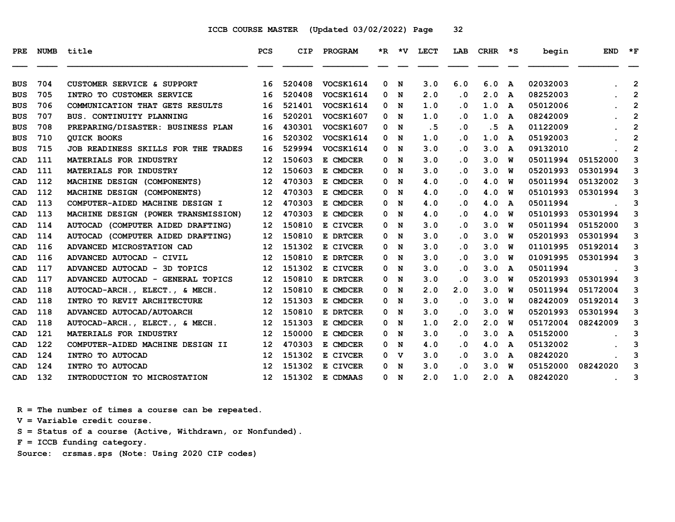| <b>PRE</b> | NUMB | title                                       | <b>PCS</b>      | CIP    | <b>PROGRAM</b>   |   | *R *V | LECT | LAB                     | CRHR | $\star$ s               | begin    | <b>END</b> | $*_{\mathbf{F}}$        |
|------------|------|---------------------------------------------|-----------------|--------|------------------|---|-------|------|-------------------------|------|-------------------------|----------|------------|-------------------------|
| <b>BUS</b> | 704  | CUSTOMER SERVICE & SUPPORT                  | 16              | 520408 | VOCSK1614        | 0 | N     | 3.0  | 6.0                     | 6.0  | A                       | 02032003 |            | $\overline{2}$          |
| <b>BUS</b> | 705  | INTRO TO CUSTOMER SERVICE                   | 16              | 520408 | VOCSK1614        | 0 | N     | 2.0  | $\overline{\mathbf{0}}$ | 2.0  | A                       | 08252003 |            | $\overline{2}$          |
| <b>BUS</b> | 706  | COMMUNICATION THAT GETS RESULTS             | 16              | 521401 | VOCSK1614        | 0 | N     | 1.0  | . 0                     | 1.0  | A                       | 05012006 |            | $\mathbf{2}$            |
| <b>BUS</b> | 707  | BUS. CONTINUITY PLANNING                    | 16              | 520201 | <b>VOCSK1607</b> | 0 | N     | 1.0  | . 0                     | 1.0  | A                       | 08242009 |            | $\mathbf{2}$            |
| <b>BUS</b> | 708  | PREPARING/DISASTER: BUSINESS PLAN           | 16              | 430301 | <b>VOCSK1607</b> | 0 | N     | .5   | $\cdot$ 0               | . 5  | A                       | 01122009 |            | $\mathbf{2}$            |
| <b>BUS</b> | 710  | <b>OUICK BOOKS</b>                          | 16              | 520302 | VOCSK1614        | 0 | N     | 1.0  | $\overline{\mathbf{0}}$ | 1.0  | A                       | 05192003 |            | $\mathbf{2}$            |
| <b>BUS</b> | 715  | JOB READINESS SKILLS FOR THE TRADES         | 16              | 529994 | <b>VOCSK1614</b> | 0 | N     | 3.0  | $\overline{\mathbf{0}}$ | 3.0  | A                       | 09132010 |            | $\overline{\mathbf{c}}$ |
| CAD        | 111  | MATERIALS FOR INDUSTRY                      | 12              | 150603 | E CMDCER         | 0 | N     | 3.0  | . 0                     | 3.0  | W                       | 05011994 | 05152000   | 3                       |
| CAD        | 111  | MATERIALS FOR INDUSTRY                      | 12              | 150603 | E CMDCER         | 0 | N     | 3.0  | . 0                     | 3.0  | พ                       | 05201993 | 05301994   | 3                       |
| CAD        | 112  | MACHINE DESIGN (COMPONENTS)                 | 12              | 470303 | E CMDCER         | 0 | N     | 4.0  | . 0                     | 4.0  | w                       | 05011994 | 05132002   | 3                       |
| CAD        | 112  | MACHINE DESIGN (COMPONENTS)                 | 12              | 470303 | E CMDCER         | 0 | N     | 4.0  | $\overline{\mathbf{0}}$ | 4.0  | w                       | 05101993 | 05301994   | 3                       |
| CAD        | 113  | COMPUTER-AIDED MACHINE DESIGN I             | 12 <sup>2</sup> | 470303 | E CMDCER         | 0 | N     | 4.0  | . 0                     | 4.0  | A                       | 05011994 |            | 3                       |
| CAD        | 113  | MACHINE DESIGN (POWER TRANSMISSION)         | 12              | 470303 | E CMDCER         | 0 | N     | 4.0  | . 0                     | 4.0  | W                       | 05101993 | 05301994   | 3                       |
| CAD        | 114  | <b>AUTOCAD</b><br>(COMPUTER AIDED DRAFTING) | 12              | 150810 | E CIVCER         | 0 | N     | 3.0  | $\cdot$ 0               | 3.0  | W                       | 05011994 | 05152000   | 3                       |
| CAD        | 114  | <b>AUTOCAD</b><br>(COMPUTER AIDED DRAFTING) | 12              | 150810 | E DRTCER         | 0 | N     | 3.0  | $\overline{\mathbf{0}}$ | 3.0  | w                       | 05201993 | 05301994   | 3                       |
| CAD        | 116  | ADVANCED MICROSTATION CAD                   | 12              | 151302 | E CIVCER         | 0 | N     | 3.0  | $\overline{\mathbf{0}}$ | 3.0  | W                       | 01101995 | 05192014   | 3                       |
| CAD        | 116  | ADVANCED AUTOCAD - CIVIL                    | 12              | 150810 | E DRTCER         | 0 | N     | 3.0  | . 0                     | 3.0  | w                       | 01091995 | 05301994   | 3                       |
| CAD        | 117  | ADVANCED AUTOCAD - 3D TOPICS                | 12              | 151302 | E CIVCER         | 0 | N     | 3.0  | . 0                     | 3.0  | A                       | 05011994 |            | 3                       |
| CAD        | 117  | ADVANCED AUTOCAD - GENERAL TOPICS           | 12              | 150810 | E DRTCER         | 0 | N     | 3.0  | $\overline{\mathbf{0}}$ | 3.0  | W                       | 05201993 | 05301994   | 3                       |
| CAD        | 118  | AUTOCAD-ARCH., ELECT., & MECH.              | 12              | 150810 | E CMDCER         | 0 | N     | 2.0  | 2.0                     | 3.0  | w                       | 05011994 | 05172004   | 3                       |
| CAD        | 118  | INTRO TO REVIT ARCHITECTURE                 | 12              | 151303 | E CMDCER         | 0 | N     | 3.0  | $\cdot$ 0               | 3.0  | W                       | 08242009 | 05192014   | 3                       |
| CAD        | 118  | ADVANCED AUTOCAD/AUTOARCH                   | 12              | 150810 | E DRTCER         | 0 | N     | 3.0  | $\cdot$ 0               | 3.0  | W                       | 05201993 | 05301994   | 3                       |
| CAD        | 118  | AUTOCAD-ARCH., ELECT., & MECH.              | 12              | 151303 | E CMDCER         | 0 | N     | 1.0  | 2.0                     | 2.0  | w                       | 05172004 | 08242009   | 3                       |
| CAD        | 121  | MATERIALS FOR INDUSTRY                      | 12              | 150000 | E CMDCER         | 0 | N     | 3.0  | $\overline{\mathbf{0}}$ | 3.0  | A                       | 05152000 |            | 3                       |
| CAD        | 122  | COMPUTER-AIDED MACHINE DESIGN II            | 12              | 470303 | E CMDCER         | 0 | N     | 4.0  | . 0                     | 4.0  | A                       | 05132002 |            | 3                       |
| CAD        | 124  | INTRO TO AUTOCAD                            | 12              | 151302 | E CIVCER         | 0 | v     | 3.0  | . 0                     | 3.0  | A                       | 08242020 |            | 3                       |
| CAD        | 124  | INTRO TO AUTOCAD                            | 12              | 151302 | E CIVCER         | 0 | N     | 3.0  | $\overline{\mathbf{0}}$ | 3.0  | w                       | 05152000 | 08242020   | 3                       |
| CAD        | 132  | INTRODUCTION TO MICROSTATION                | 12 <sup>2</sup> | 151302 | E CDMAAS         |   | 0 N   | 2.0  | 1.0                     | 2.0  | $\overline{\mathbf{A}}$ | 08242020 |            | 3                       |

 **R = The number of times a course can be repeated.**

 **V = Variable credit course.**

 **S = Status of a course (Active, Withdrawn, or Nonfunded).**

 **F = ICCB funding category.**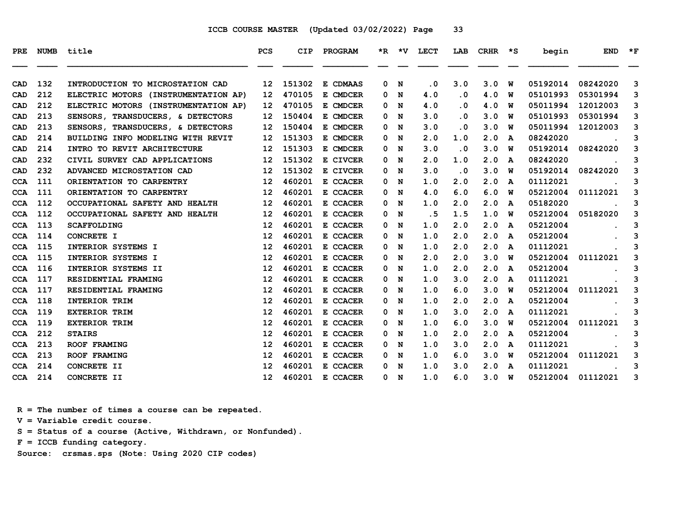| <b>NUMB</b> | title                                | <b>PCS</b>        | CIP    | PROGRAM  | *R. | *v | <b>LECT</b> | LAB                     | <b>CRHR</b> | ∗s | begin    | <b>END</b> | $*_{\mathbf{F}}$ |
|-------------|--------------------------------------|-------------------|--------|----------|-----|----|-------------|-------------------------|-------------|----|----------|------------|------------------|
|             |                                      |                   |        |          |     |    |             |                         |             |    |          |            |                  |
| 132         | INTRODUCTION TO MICROSTATION CAD     | 12                | 151302 | E CDMAAS | 0   | N  | . 0         | 3.0                     | 3.0         | W  | 05192014 | 08242020   | 3                |
| 212         | ELECTRIC MOTORS (INSTRUMENTATION AP) | 12                | 470105 | E CMDCER | 0   | N  | 4.0         | $\cdot$ 0               | 4.0         | W  | 05101993 | 05301994   | 3                |
| 212         | ELECTRIC MOTORS (INSTRUMENTATION AP) | 12                | 470105 | E CMDCER | 0   | N  | 4.0         | . 0                     | 4.0         | W  | 05011994 | 12012003   | 3                |
| 213         | SENSORS, TRANSDUCERS, & DETECTORS    | 12                | 150404 | E CMDCER | 0   | N  | 3.0         | . 0                     | 3.0         | พ  | 05101993 | 05301994   | 3                |
| 213         | SENSORS, TRANSDUCERS, & DETECTORS    | 12                | 150404 | E CMDCER | 0   | N  | 3.0         | . 0                     | 3.0         | W  | 05011994 | 12012003   | 3                |
| 214         | BUILDING INFO MODELING WITH REVIT    | 12                | 151303 | E CMDCER | 0   | N  | 2.0         | 1.0                     | 2.0         | A  | 08242020 |            | 3                |
| 214         | INTRO TO REVIT ARCHITECTURE          | 12                | 151303 | E CMDCER | 0   | N  | 3.0         | $\overline{\mathbf{0}}$ | 3.0         | พ  | 05192014 | 08242020   | 3                |
| 232         | CIVIL SURVEY CAD APPLICATIONS        | 12                | 151302 | E CIVCER | 0   | N  | 2.0         | 1.0                     | 2.0         | A  | 08242020 |            | 3                |
| 232         | ADVANCED MICROSTATION CAD            | 12                | 151302 | E CIVCER | 0   | N  | 3.0         | $\cdot$ 0               | 3.0         | W  | 05192014 | 08242020   | 3                |
| 111         | ORIENTATION TO CARPENTRY             | 12                | 460201 | E CCACER | 0   | N  | 1.0         | 2.0                     | 2.0         | A  | 01112021 |            | 3                |
| 111         | ORIENTATION TO CARPENTRY             | 12                | 460201 | E CCACER | 0   | N  | 4.0         | 6.0                     | 6.0         | w  | 05212004 | 01112021   | 3                |
| 112         | OCCUPATIONAL SAFETY AND HEALTH       | 12                | 460201 | E CCACER | 0   | N  | 1.0         | 2.0                     | 2.0         | A  | 05182020 |            | 3                |
| 112         | OCCUPATIONAL SAFETY AND HEALTH       | 12                | 460201 | E CCACER | 0   | N  | .5          | 1.5                     | 1.0         | W  | 05212004 | 05182020   | 3                |
| 113         | <b>SCAFFOLDING</b>                   | 12                | 460201 | E CCACER | 0   | N  | 1.0         | 2.0                     | 2.0         | A  | 05212004 |            | 3                |
| 114         | CONCRETE I                           | 12                | 460201 | E CCACER | 0   | N  | 1.0         | 2.0                     | 2.0         | A  | 05212004 |            | 3                |
| 115         | INTERIOR SYSTEMS I                   | 12                | 460201 | E CCACER | 0   | N  | 1.0         | 2.0                     | 2.0         | A  | 01112021 |            | 3                |
| 115         | INTERIOR SYSTEMS I                   | 12                | 460201 | E CCACER | 0   | N  | 2.0         | 2.0                     | 3.0         | พ  | 05212004 | 01112021   | 3                |
| 116         | INTERIOR SYSTEMS II                  | 12                | 460201 | E CCACER | 0   | N  | 1.0         | 2.0                     | 2.0         | A  | 05212004 |            | 3                |
| 117         | RESIDENTIAL FRAMING                  | 12                | 460201 | E CCACER | 0   | N  | 1.0         | 3.0                     | 2.0         | A  | 01112021 |            | 3                |
| 117         | RESIDENTIAL FRAMING                  | 12                | 460201 | E CCACER | 0   | N  | 1.0         | 6.0                     | 3.0         | w  | 05212004 | 01112021   | 3                |
| 118         | <b>INTERIOR TRIM</b>                 | 12                | 460201 | E CCACER | 0   | N  | 1.0         | 2.0                     | 2.0         | A  | 05212004 |            | 3                |
| 119         | <b>EXTERIOR TRIM</b>                 | 12                | 460201 | E CCACER | 0   | N  | 1.0         | 3.0                     | 2.0         | A  | 01112021 |            | 3                |
| 119         | <b>EXTERIOR TRIM</b>                 | 12                | 460201 | E CCACER | 0   | N  | 1.0         | 6.0                     | 3.0         | W  | 05212004 | 01112021   | 3                |
| 212         | <b>STAIRS</b>                        | 12                | 460201 | E CCACER | 0   | N  | 1.0         | 2.0                     | 2.0         | A  | 05212004 |            | 3                |
| 213         | <b>ROOF FRAMING</b>                  | 12                | 460201 | E CCACER | 0   | N  | 1.0         | 3.0                     | 2.0         | A  | 01112021 |            | 3                |
| 213         | <b>ROOF FRAMING</b>                  | 12                | 460201 | E CCACER | 0   | N  | 1.0         | 6.0                     | 3.0         | W  | 05212004 | 01112021   | 3                |
| 214         | CONCRETE II                          | 12                | 460201 | E CCACER | 0   | N  | 1.0         | 3.0                     | 2.0         | A  | 01112021 |            | 3                |
| 214         | CONCRETE II                          | $12 \overline{ }$ | 460201 | E CCACER | 0   | N  | 1.0         | 6.0                     | 3.0         | W  | 05212004 | 01112021   | 3                |
|             |                                      |                   |        |          |     |    |             |                         |             |    |          |            |                  |

 **R = The number of times a course can be repeated.**

 **V = Variable credit course.**

 **S = Status of a course (Active, Withdrawn, or Nonfunded).**

 **F = ICCB funding category.**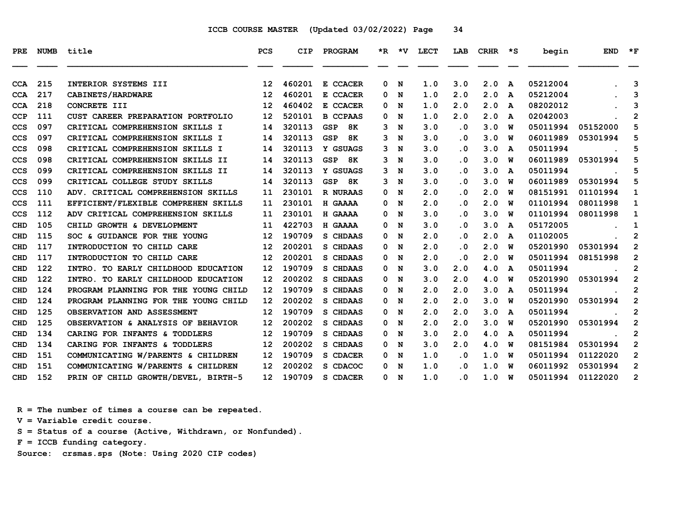| PRE        | <b>NUMB</b> | title                                | <b>PCS</b>        | <b>CIP</b> | PROGRAM          |   |                | *R *V LECT | LAB       | $CRHR$ *S     |                         | begin    | <b>END</b> | $\star$ F      |
|------------|-------------|--------------------------------------|-------------------|------------|------------------|---|----------------|------------|-----------|---------------|-------------------------|----------|------------|----------------|
| <b>CCA</b> | 215         | INTERIOR SYSTEMS III                 | $12 \overline{ }$ | 460201     | E CCACER         | 0 | N              | 1.0        | 3.0       | 2.0           | $\overline{\mathbf{A}}$ | 05212004 |            | 3              |
| <b>CCA</b> | 217         | CABINETS/HARDWARE                    | $12 \overline{ }$ | 460201     | E CCACER         | 0 | N              | 1.0        | 2.0       | 2.0           | A                       | 05212004 |            | 3              |
| <b>CCA</b> | 218         | CONCRETE III                         | 12                | 460402     | E CCACER         | 0 | N              | 1.0        | 2.0       | 2.0           | A                       | 08202012 |            | 3              |
| <b>CCP</b> | 111         | CUST CAREER PREPARATION PORTFOLIO    | 12                | 520101     | <b>B CCPAAS</b>  | 0 | N              | 1.0        | 2.0       | 2.0           | A                       | 02042003 |            | $\overline{2}$ |
| <b>CCS</b> | 097         | CRITICAL COMPREHENSION SKILLS I      | 14                | 320113     | 8K<br><b>GSP</b> | 3 | N              | 3.0        | $\cdot$ 0 | 3.0           | W                       | 05011994 | 05152000   | 5              |
| <b>CCS</b> | 097         | CRITICAL COMPREHENSION SKILLS I      | 14                | 320113     | <b>GSP</b><br>8K | 3 | N              | 3.0        | $\cdot$ 0 | 3.0           | W                       | 06011989 | 05301994   | 5              |
| <b>CCS</b> | 098         | CRITICAL COMPREHENSION SKILLS I      | 14                | 320113     | Y GSUAGS         |   | 3 <sub>N</sub> | 3.0        | $\cdot$ 0 | 3.0           | A                       | 05011994 |            | 5              |
| <b>CCS</b> | 098         | CRITICAL COMPREHENSION SKILLS II     | 14                | 320113     | GSP<br>8K        | 3 | N              | 3.0        | $\cdot$ 0 | 3.0           | W                       | 06011989 | 05301994   | 5              |
| <b>CCS</b> | 099         | CRITICAL COMPREHENSION SKILLS II     | 14                | 320113     | Y GSUAGS         |   | 3 N            | 3.0        | $\cdot$ 0 | 3.0           | A                       | 05011994 |            | 5              |
| CCS        | 099         | CRITICAL COLLEGE STUDY SKILLS        | 14                | 320113     | GSP 8K           | 3 | N              | 3.0        | $\cdot$ 0 | 3.0           | w                       | 06011989 | 05301994   | 5              |
| <b>CCS</b> | 110         | ADV. CRITICAL COMPREHENSION SKILLS   | 11                | 230101     | R NURAAS         | 0 | N              | 2.0        | $\cdot$ 0 | 2.0           | W                       | 08151991 | 01101994   | 1              |
| <b>CCS</b> | 111         | EFFICIENT/FLEXIBLE COMPREHEN SKILLS  | 11                | 230101     | H GAAAA          | 0 | $\mathbf N$    | 2.0        | $\cdot$ 0 | 2.0           | w                       | 01101994 | 08011998   | 1              |
| <b>CCS</b> | 112         | ADV CRITICAL COMPREHENSION SKILLS    | 11                | 230101     | H GAAAA          | 0 | N              | 3.0        | $\cdot$ 0 | 3.0           | W                       | 01101994 | 08011998   | 1              |
| CHD        | 105         | CHILD GROWTH & DEVELOPMENT           | 11                | 422703     | H GAAAA          | 0 | N              | 3.0        | $\cdot$ 0 | 3.0           | A                       | 05172005 |            | 1              |
| <b>CHD</b> | 115         | SOC & GUIDANCE FOR THE YOUNG         | 12                | 190709     | S CHDAAS         | 0 | N              | 2.0        | $\cdot$ 0 | 2.0           | A                       | 01102005 |            | $\mathbf{2}$   |
| <b>CHD</b> | 117         | INTRODUCTION TO CHILD CARE           | 12                | 200201     | S CHDAAS         | 0 | N              | 2.0        | $\cdot$ 0 | 2.0           | W                       | 05201990 | 05301994   | $\mathbf 2$    |
| CHD        | 117         | INTRODUCTION TO CHILD CARE           | 12                | 200201     | S CHDAAS         | 0 | N              | 2.0        | $\cdot$ 0 | 2.0           | w                       | 05011994 | 08151998   | $\mathbf{2}$   |
| <b>CHD</b> | 122         | INTRO. TO EARLY CHILDHOOD EDUCATION  | 12                | 190709     | S CHDAAS         | 0 | N              | 3.0        | 2.0       | 4.0           | A                       | 05011994 |            | $\mathbf{2}$   |
| <b>CHD</b> | 122         | INTRO. TO EARLY CHILDHOOD EDUCATION  | 12                | 200202     | S CHDAAS         | 0 | N              | 3.0        | 2.0       | 4.0           | W                       | 05201990 | 05301994   | $\mathbf{2}$   |
| CHD        | 124         | PROGRAM PLANNING FOR THE YOUNG CHILD | 12                | 190709     | S CHDAAS         | 0 | N              | 2.0        | 2.0       | 3.0           | A                       | 05011994 |            | $\mathbf{2}$   |
| <b>CHD</b> | 124         | PROGRAM PLANNING FOR THE YOUNG CHILD | 12                | 200202     | S CHDAAS         | 0 | N              | 2.0        | 2.0       | 3.0           | w                       | 05201990 | 05301994   | $\mathbf{2}$   |
| <b>CHD</b> | 125         | OBSERVATION AND ASSESSMENT           | $12 \overline{ }$ | 190709     | S CHDAAS         | 0 | N              | 2.0        | 2.0       | 3.0           | A                       | 05011994 |            | $\mathbf{2}$   |
| <b>CHD</b> | 125         | OBSERVATION & ANALYSIS OF BEHAVIOR   | 12                | 200202     | S CHDAAS         | 0 | N              | 2.0        | 2.0       | 3.0           | W                       | 05201990 | 05301994   | $\mathbf{2}$   |
| <b>CHD</b> | 134         | CARING FOR INFANTS & TODDLERS        | $12 \overline{ }$ | 190709     | S CHDAAS         | 0 | N              | 3.0        | 2.0       | 4.0           | A                       | 05011994 |            | $\overline{2}$ |
| <b>CHD</b> | 134         | CARING FOR INFANTS & TODDLERS        | 12                | 200202     | S CHDAAS         | 0 | N              | 3.0        | 2.0       | 4.0           | W                       | 08151984 | 05301994   | $\mathbf{2}$   |
| <b>CHD</b> | 151         | COMMUNICATING W/PARENTS & CHILDREN   | 12 <sub>1</sub>   | 190709     | S CDACER         | 0 | N              | 1.0        | $\cdot$ 0 | 1.0           | W                       | 05011994 | 01122020   | $\overline{2}$ |
| <b>CHD</b> | 151         | COMMUNICATING W/PARENTS & CHILDREN   | 12 <sup>2</sup>   | 200202     | S CDACOC         | 0 | N              | 1.0        | $\cdot$ 0 | 1.0           | w                       | 06011992 | 05301994   | $\mathbf{2}$   |
| <b>CHD</b> | 152         | PRIN OF CHILD GROWTH/DEVEL, BIRTH-5  | 12 <sup>7</sup>   | 190709     | S CDACER         |   | 0 N            | 1.0        | $\cdot$ 0 | $1.0 \quad W$ |                         | 05011994 | 01122020   | $\mathbf{2}$   |

 **R = The number of times a course can be repeated.**

 **V = Variable credit course.**

 **S = Status of a course (Active, Withdrawn, or Nonfunded).**

 **F = ICCB funding category.**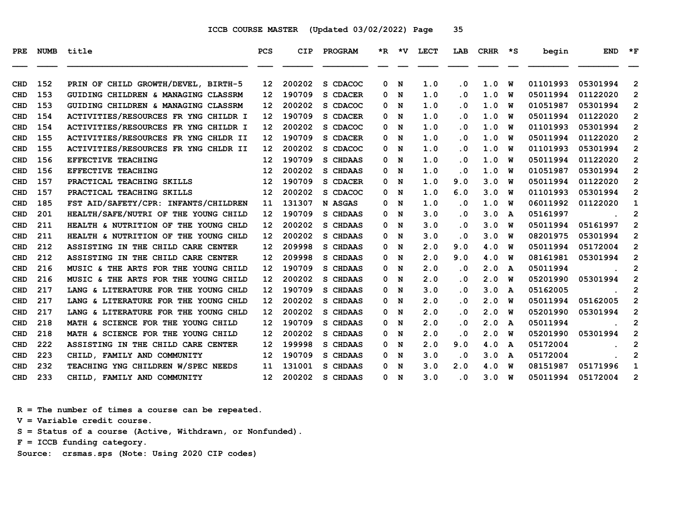| PRE        | NUMB | title                                | <b>PCS</b>      | <b>CIP</b> | PROGRAM  |   | *R *V       | LECT | LAB       | CRHR | $\star$ s    | begin    | <b>END</b> | $\star_{\mathbf{F}}$ |
|------------|------|--------------------------------------|-----------------|------------|----------|---|-------------|------|-----------|------|--------------|----------|------------|----------------------|
| <b>CHD</b> | 152  | PRIN OF CHILD GROWTH/DEVEL, BIRTH-5  | 12              | 200202     | S CDACOC | 0 | N           | 1.0  | $\cdot$ 0 | 1.0  | W            | 01101993 | 05301994   | $\mathbf{2}$         |
| <b>CHD</b> | 153  | GUIDING CHILDREN & MANAGING CLASSRM  | 12              | 190709     | S CDACER | 0 | N           | 1.0  | $\cdot$ 0 | 1.0  | W            | 05011994 | 01122020   | $\mathbf{2}$         |
| CHD        | 153  | GUIDING CHILDREN & MANAGING CLASSRM  | 12              | 200202     | S CDACOC | 0 | N           | 1.0  | . 0       | 1.0  | W            | 01051987 | 05301994   | $\overline{2}$       |
| <b>CHD</b> | 154  | ACTIVITIES/RESOURCES FR YNG CHILDR I | 12              | 190709     | S CDACER | 0 | N           | 1.0  | . 0       | 1.0  | W            | 05011994 | 01122020   | $\mathbf{2}$         |
| <b>CHD</b> | 154  | ACTIVITIES/RESOURCES FR YNG CHILDR I | 12              | 200202     | S CDACOC | 0 | N           | 1.0  | . 0       | 1.0  | W            | 01101993 | 05301994   | $\mathbf{2}$         |
| <b>CHD</b> | 155  | ACTIVITIES/RESOURCES FR YNG CHLDR II | 12              | 190709     | S CDACER | 0 | N           | 1.0  | . 0       | 1.0  | W            | 05011994 | 01122020   | $\overline{2}$       |
| <b>CHD</b> | 155  | ACTIVITIES/RESOURCES FR YNG CHLDR II | 12              | 200202     | S CDACOC | 0 | N           | 1.0  | $\cdot$ 0 | 1.0  | W            | 01101993 | 05301994   | $\overline{2}$       |
| <b>CHD</b> | 156  | EFFECTIVE TEACHING                   | 12              | 190709     | S CHDAAS | 0 | N           | 1.0  | . 0       | 1.0  | W            | 05011994 | 01122020   | $\mathbf{2}$         |
| <b>CHD</b> | 156  | EFFECTIVE TEACHING                   | 12              | 200202     | S CHDAAS | 0 | N           | 1.0  | . 0       | 1.0  | W            | 01051987 | 05301994   | $\mathbf{2}$         |
| <b>CHD</b> | 157  | PRACTICAL TEACHING SKILLS            | 12              | 190709     | S CDACER | 0 | N           | 1.0  | 9.0       | 3.0  | W            | 05011994 | 01122020   | $\overline{2}$       |
| <b>CHD</b> | 157  | PRACTICAL TEACHING SKILLS            | 12              | 200202     | S CDACOC | 0 | N           | 1.0  | 6.0       | 3.0  | W            | 01101993 | 05301994   | 2                    |
| <b>CHD</b> | 185  | FST AID/SAFETY/CPR: INFANTS/CHILDREN | 11              | 131307     | N ASGAS  | 0 | N           | 1.0  | $\cdot$ 0 | 1.0  | W            | 06011992 | 01122020   | 1                    |
| <b>CHD</b> | 201  | HEALTH/SAFE/NUTRI OF THE YOUNG CHILD | 12              | 190709     | S CHDAAS | 0 | N           | 3.0  | $\cdot$ 0 | 3.0  | A            | 05161997 |            | $\mathbf{2}$         |
| <b>CHD</b> | 211  | HEALTH & NUTRITION OF THE YOUNG CHLD | 12              | 200202     | S CHDAAS | 0 | N           | 3.0  | . 0       | 3.0  | W            | 05011994 | 05161997   | $\overline{2}$       |
| <b>CHD</b> | 211  | HEALTH & NUTRITION OF THE YOUNG CHLD | 12              | 200202     | S CHDAAS | 0 | N           | 3.0  | . 0       | 3.0  | W            | 08201975 | 05301994   | 2                    |
| <b>CHD</b> | 212  | ASSISTING IN THE CHILD CARE CENTER   | 12              | 209998     | S CHDAAS | 0 | N           | 2.0  | 9.0       | 4.0  | W            | 05011994 | 05172004   | $\mathbf{2}$         |
| <b>CHD</b> | 212  | ASSISTING IN THE CHILD CARE CENTER   | 12              | 209998     | S CHDAAS | 0 | N           | 2.0  | 9.0       | 4.0  | W            | 08161981 | 05301994   | $\mathbf{2}$         |
| <b>CHD</b> | 216  | MUSIC & THE ARTS FOR THE YOUNG CHILD | 12              | 190709     | S CHDAAS | 0 | N           | 2.0  | $\cdot$ 0 | 2.0  | $\mathbf{A}$ | 05011994 |            | $\mathbf{2}$         |
| CHD        | 216  | MUSIC & THE ARTS FOR THE YOUNG CHILD | 12              | 200202     | S CHDAAS | 0 | N           | 2.0  | . 0       | 2.0  | W            | 05201990 | 05301994   | $\overline{2}$       |
| CHD        | 217  | LANG & LITERATURE FOR THE YOUNG CHLD | 12              | 190709     | S CHDAAS | 0 | N           | 3.0  | $\cdot$ 0 | 3.0  | A            | 05162005 |            | $\overline{2}$       |
| <b>CHD</b> | 217  | LANG & LITERATURE FOR THE YOUNG CHLD | 12              | 200202     | S CHDAAS | 0 | N           | 2.0  | $\cdot$ 0 | 2.0  | W            | 05011994 | 05162005   | $\overline{2}$       |
| <b>CHD</b> | 217  | LANG & LITERATURE FOR THE YOUNG CHLD | 12              | 200202     | S CHDAAS | 0 | N           | 2.0  | $\cdot$ 0 | 2.0  | W            | 05201990 | 05301994   | $\mathbf{2}$         |
| <b>CHD</b> | 218  | MATH & SCIENCE FOR THE YOUNG CHILD   | 12              | 190709     | S CHDAAS | 0 | N           | 2.0  | . 0       | 2.0  | A            | 05011994 |            | 2                    |
| <b>CHD</b> | 218  | MATH & SCIENCE FOR THE YOUNG CHILD   | 12              | 200202     | S CHDAAS | 0 | N           | 2.0  | . 0       | 2.0  | W            | 05201990 | 05301994   | $\overline{2}$       |
| <b>CHD</b> | 222  | ASSISTING IN THE CHILD CARE CENTER   | 12              | 199998     | S CHDAAS | 0 | N           | 2.0  | 9.0       | 4.0  | A            | 05172004 |            | $\overline{2}$       |
| <b>CHD</b> | 223  | CHILD, FAMILY AND COMMUNITY          | 12              | 190709     | S CHDAAS | 0 | N           | 3.0  | $\cdot$ 0 | 3.0  | A            | 05172004 |            | 2                    |
| <b>CHD</b> | 232  | TEACHING YNG CHILDREN W/SPEC NEEDS   | 11              | 131001     | S CHDAAS | 0 | N           | 3.0  | 2.0       | 4.0  | W            | 08151987 | 05171996   | 1                    |
| <b>CHD</b> | 233  | CHILD, FAMILY AND COMMUNITY          | 12 <sup>2</sup> | 200202     | S CHDAAS | 0 | $\mathbf N$ | 3.0  | $\cdot$ 0 | 3.0  | W            | 05011994 | 05172004   | 2                    |

 **R = The number of times a course can be repeated.**

 **V = Variable credit course.**

 **S = Status of a course (Active, Withdrawn, or Nonfunded).**

 **F = ICCB funding category.**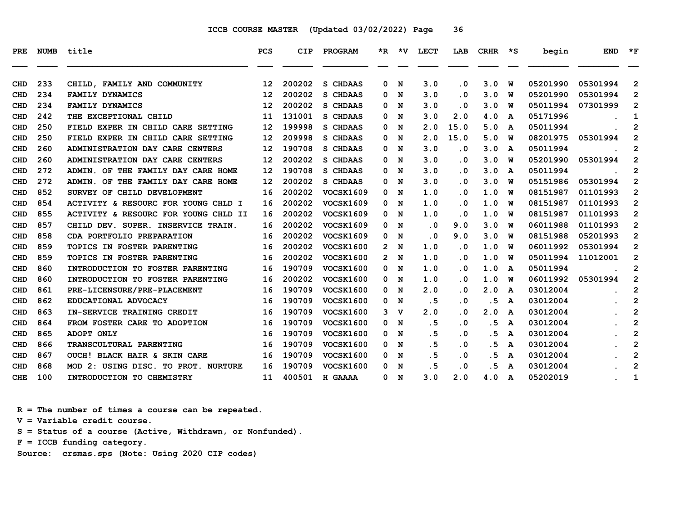| PRE        | <b>NUMB</b> | title                                | <b>PCS</b>        | CIP    | PROGRAM          |                      |             | *R *V LECT | LAB       | <b>CRHR</b> | $\star$ s | begin    | <b>END</b> | $*_{\mathbf{F}}$        |
|------------|-------------|--------------------------------------|-------------------|--------|------------------|----------------------|-------------|------------|-----------|-------------|-----------|----------|------------|-------------------------|
| CHD        | 233         | CHILD, FAMILY AND COMMUNITY          | 12                | 200202 | S CHDAAS         | 0                    | N           | 3.0        | $\cdot$ 0 | 3.0         | W         | 05201990 | 05301994   | $\mathbf{2}$            |
| CHD        | 234         | FAMILY DYNAMICS                      | $12 \overline{ }$ | 200202 | S CHDAAS         | 0                    | N           | 3.0        | $\cdot$ 0 | 3.0         | w         | 05201990 | 05301994   | 2                       |
| <b>CHD</b> | 234         | FAMILY DYNAMICS                      | $12 \overline{ }$ | 200202 | S CHDAAS         | 0                    | N           | 3.0        | $\cdot$ 0 | 3.0         | W         | 05011994 | 07301999   | $\overline{2}$          |
| <b>CHD</b> | 242         | THE EXCEPTIONAL CHILD                | 11                | 131001 | S CHDAAS         | 0                    | N           | 3.0        | 2.0       | 4.0         | A         | 05171996 |            | 1                       |
| <b>CHD</b> | 250         | FIELD EXPER IN CHILD CARE SETTING    | 12                | 199998 | S CHDAAS         | 0                    | N           | 2.0        | 15.0      | 5.0         | A         | 05011994 |            | $\overline{2}$          |
| <b>CHD</b> | 250         | FIELD EXPER IN CHILD CARE SETTING    | 12                | 209998 | S CHDAAS         | 0                    | N           | 2.0        | 15.0      | 5.0         | W         | 08201975 | 05301994   | $\overline{2}$          |
| CHD        | 260         | ADMINISTRATION DAY CARE CENTERS      | 12                | 190708 | S CHDAAS         | 0                    | N           | 3.0        | $\cdot$ 0 | 3.0         | A         | 05011994 |            | $\overline{2}$          |
| CHD        | 260         | ADMINISTRATION DAY CARE CENTERS      | $12 \overline{ }$ | 200202 | S CHDAAS         | 0                    | N           | 3.0        | $\cdot$ 0 | 3.0         | W         | 05201990 | 05301994   | $\mathbf{2}$            |
| CHD        | 272         | ADMIN. OF THE FAMILY DAY CARE HOME   | 12                | 190708 | S CHDAAS         | 0                    | N           | 3.0        | $\cdot$ 0 | 3.0         | A         | 05011994 |            | $\overline{2}$          |
| <b>CHD</b> | 272         | ADMIN. OF THE FAMILY DAY CARE HOME   | 12                | 200202 | S CHDAAS         | 0                    | N           | 3.0        | $\cdot$ 0 | 3.0         | W         | 05151986 | 05301994   | $\overline{2}$          |
| <b>CHD</b> | 852         | SURVEY OF CHILD DEVELOPMENT          | 16                | 200202 | <b>VOCSK1609</b> | 0                    | N           | 1.0        | $\cdot$ 0 | 1.0         | W         | 08151987 | 01101993   | $\overline{2}$          |
| CHD        | 854         | ACTIVITY & RESOURC FOR YOUNG CHLD I  | 16                | 200202 | <b>VOCSK1609</b> | 0                    | N           | 1.0        | $\cdot$ 0 | 1.0         | W         | 08151987 | 01101993   | $\overline{2}$          |
| <b>CHD</b> | 855         | ACTIVITY & RESOURC FOR YOUNG CHLD II | 16                | 200202 | <b>VOCSK1609</b> | 0                    | N           | 1.0        | $\cdot$ 0 | 1.0         | W         | 08151987 | 01101993   | $\overline{2}$          |
| <b>CHD</b> | 857         | CHILD DEV. SUPER. INSERVICE TRAIN.   | 16                | 200202 | <b>VOCSK1609</b> | 0                    | N           | $\cdot$ 0  | 9.0       | 3.0         | W         | 06011988 | 01101993   | $\overline{2}$          |
| CHD        | 858         | CDA PORTFOLIO PREPARATION            | 16                | 200202 | <b>VOCSK1609</b> | 0                    | N           | $\cdot$ 0  | 9.0       | 3.0         | W         | 08151988 | 05201993   | $\overline{2}$          |
| <b>CHD</b> | 859         | TOPICS IN FOSTER PARENTING           | 16                | 200202 | <b>VOCSK1600</b> | $\mathbf{2}^{\circ}$ | N           | 1.0        | $\cdot$ 0 | 1.0         | W         | 06011992 | 05301994   | $\overline{2}$          |
| <b>CHD</b> | 859         | TOPICS IN FOSTER PARENTING           | 16                | 200202 | <b>VOCSK1600</b> |                      | 2 N         | 1.0        | $\cdot$ 0 | 1.0         | W         | 05011994 | 11012001   | $\overline{2}$          |
| CHD        | 860         | INTRODUCTION TO FOSTER PARENTING     | 16                | 190709 | <b>VOCSK1600</b> | 0                    | N           | 1.0        | $\cdot$ 0 | 1.0         | A         | 05011994 |            | $\overline{2}$          |
| <b>CHD</b> | 860         | INTRODUCTION TO FOSTER PARENTING     | 16                | 200202 | <b>VOCSK1600</b> | 0                    | N           | 1.0        | $\cdot$ 0 | 1.0         | W         | 06011992 | 05301994   | $\overline{2}$          |
| <b>CHD</b> | 861         | PRE-LICENSURE/PRE-PLACEMENT          | 16                | 190709 | <b>VOCSK1600</b> | 0                    | N           | 2.0        | . 0       | 2.0         | A         | 03012004 |            | $\overline{2}$          |
| CHD        | 862         | EDUCATIONAL ADVOCACY                 | 16                | 190709 | <b>VOCSK1600</b> | 0                    | N           | .5         | $\cdot$ 0 | . 5         | A         | 03012004 |            | $\overline{2}$          |
| CHD        | 863         | IN-SERVICE TRAINING CREDIT           | 16                | 190709 | <b>VOCSK1600</b> | 3                    | $\mathbf v$ | 2.0        | . 0       | 2.0         | A         | 03012004 |            | $\overline{\mathbf{c}}$ |
| <b>CHD</b> | 864         | FROM FOSTER CARE TO ADOPTION         | 16                | 190709 | <b>VOCSK1600</b> | 0                    | N           | .5         | $\cdot$ 0 | . 5         | A         | 03012004 |            | $\overline{2}$          |
| <b>CHD</b> | 865         | ADOPT ONLY                           | 16                | 190709 | <b>VOCSK1600</b> | 0                    | N           | . 5        | $\cdot$ 0 | .5          | A         | 03012004 |            | $\overline{2}$          |
| CHD        | 866         | TRANSCULTURAL PARENTING              | 16                | 190709 | <b>VOCSK1600</b> | 0                    | N           | .5         | $\cdot$ 0 | .5          | A         | 03012004 |            | $\overline{2}$          |
| <b>CHD</b> | 867         | OUCH! BLACK HAIR & SKIN CARE         | 16                | 190709 | VOCSK1600        | 0                    | N           | .5         | $\cdot$ 0 | . 5         | A         | 03012004 |            | $\overline{2}$          |
| <b>CHD</b> | 868         | MOD 2: USING DISC. TO PROT. NURTURE  | 16                | 190709 | <b>VOCSK1600</b> | 0                    | N           | . 5        | $\cdot$ 0 | . 5         | A         | 03012004 |            | $\mathbf 2$             |
| <b>CHE</b> | 100         | INTRODUCTION TO CHEMISTRY            | 11                | 400501 | H GAAAA          | 0                    | N           | 3.0        | 2.0       | 4.0         | A         | 05202019 |            | 1                       |

 **R = The number of times a course can be repeated.**

 **V = Variable credit course.**

 **S = Status of a course (Active, Withdrawn, or Nonfunded).**

 **F = ICCB funding category.**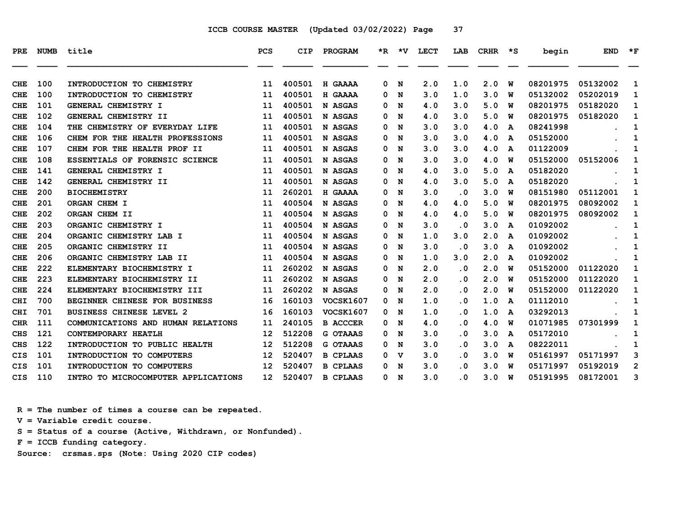| PRE.       | <b>NUMB</b> | title                               | PCS               | <b>CIP</b> | PROGRAM         |    | $*R$ $*V$ | LECT | LAB       | <b>CRHR</b> | ∗s | begin    | <b>END</b> | $*_{\mathbf{F}}$ |
|------------|-------------|-------------------------------------|-------------------|------------|-----------------|----|-----------|------|-----------|-------------|----|----------|------------|------------------|
| <b>CHE</b> | 100         | INTRODUCTION TO CHEMISTRY           | 11                | 400501     | H GAAAA         | 0  | N         | 2.0  | 1.0       | 2.0         | W  | 08201975 | 05132002   | 1                |
| <b>CHE</b> | 100         | INTRODUCTION TO CHEMISTRY           | 11                | 400501     | H GAAAA         | 0. | N         | 3.0  | 1.0       | 3.0         | พ  | 05132002 | 05202019   | 1                |
| <b>CHE</b> | 101         | GENERAL CHEMISTRY I                 | 11                | 400501     | N ASGAS         | 0  | N         | 4.0  | 3.0       | 5.0         | W  | 08201975 | 05182020   | 1                |
| <b>CHE</b> | 102         | GENERAL CHEMISTRY II                | 11                | 400501     | N ASGAS         | 0  | N         | 4.0  | 3.0       | 5.0         | W  | 08201975 | 05182020   | 1                |
| <b>CHE</b> | 104         | THE CHEMISTRY OF EVERYDAY LIFE      | 11                | 400501     | N ASGAS         | 0  | N         | 3.0  | 3.0       | 4.0         | A  | 08241998 |            | 1                |
| <b>CHE</b> | 106         | CHEM FOR THE HEALTH PROFESSIONS     | 11                | 400501     | N ASGAS         | 0  | N         | 3.0  | 3.0       | 4.0         | A  | 05152000 |            | 1                |
| <b>CHE</b> | 107         | CHEM FOR THE HEALTH PROF II         | 11                | 400501     | N ASGAS         | 0. | N         | 3.0  | 3.0       | 4.0         | A  | 01122009 |            | 1                |
| <b>CHE</b> | 108         | ESSENTIALS OF FORENSIC SCIENCE      | 11                | 400501     | N ASGAS         | 0  | N         | 3.0  | 3.0       | 4.0         | W  | 05152000 | 05152006   | 1                |
| <b>CHE</b> | 141         | GENERAL CHEMISTRY I                 | 11                | 400501     | N ASGAS         | 0  | N         | 4.0  | 3.0       | 5.0         | A  | 05182020 |            | 1                |
| <b>CHE</b> | 142         | GENERAL CHEMISTRY II                | 11                | 400501     | N ASGAS         | 0  | N         | 4.0  | 3.0       | 5.0         | A  | 05182020 |            | 1                |
| <b>CHE</b> | 200         | <b>BIOCHEMISTRY</b>                 | 11                | 260201     | H GAAAA         | 0  | N         | 3.0  | $\cdot$ 0 | 3.0         | W  | 08151980 | 05112001   | 1                |
| <b>CHE</b> | 201         | ORGAN CHEM I                        | 11                | 400504     | N ASGAS         | 0  | N         | 4.0  | 4.0       | 5.0         | w  | 08201975 | 08092002   | 1                |
| <b>CHE</b> | 202         | ORGAN CHEM II                       | 11                | 400504     | N ASGAS         | 0  | N         | 4.0  | 4.0       | 5.0         | W  | 08201975 | 08092002   | 1                |
| <b>CHE</b> | 203         | ORGANIC CHEMISTRY I                 | 11                | 400504     | N ASGAS         | 0  | N         | 3.0  | . 0       | 3.0         | A  | 01092002 |            | 1                |
| <b>CHE</b> | 204         | ORGANIC CHEMISTRY LAB I             | 11                | 400504     | N ASGAS         | 0  | N         | 1.0  | 3.0       | 2.0         | A  | 01092002 |            | 1                |
| <b>CHE</b> | 205         | ORGANIC CHEMISTRY II                | 11                | 400504     | N ASGAS         | 0. | N         | 3.0  | $\cdot$ 0 | 3.0         | A  | 01092002 |            | 1                |
| <b>CHE</b> | 206         | ORGANIC CHEMISTRY LAB II            | 11                | 400504     | N ASGAS         | 0  | N         | 1.0  | 3.0       | 2.0         | A  | 01092002 |            | 1                |
| <b>CHE</b> | 222         | ELEMENTARY BIOCHEMISTRY I           | 11                | 260202     | N ASGAS         | 0  | N         | 2.0  | $\cdot$ 0 | 2.0         | W  | 05152000 | 01122020   | 1                |
| <b>CHE</b> | 223         | ELEMENTARY BIOCHEMISTRY II          | 11                | 260202     | N ASGAS         | 0. | N         | 2.0  | . 0       | 2.0         | W  | 05152000 | 01122020   | 1                |
| <b>CHE</b> | 224         | ELEMENTARY BIOCHEMISTRY III         | 11                | 260202     | N ASGAS         | 0  | N         | 2.0  | $\cdot$ 0 | 2.0         | w  | 05152000 | 01122020   | 1                |
| <b>CHI</b> | 700         | BEGINNER CHINESE FOR BUSINESS       | 16                | 160103     | VOCSK1607       | 0  | N         | 1.0  | . 0       | 1.0         | A  | 01112010 |            | 1                |
| <b>CHI</b> | 701         | <b>BUSINESS CHINESE LEVEL 2</b>     | 16                | 160103     | VOCSK1607       | 0  | N         | 1.0  | $\cdot$ 0 | 1.0         | A  | 03292013 |            | 1                |
| <b>CHR</b> | 111         | COMMUNICATIONS AND HUMAN RELATIONS  | 11                | 240105     | <b>B ACCCER</b> | 0  | N         | 4.0  | . 0       | 4.0         | W  | 01071985 | 07301999   | 1                |
| <b>CHS</b> | 121         | CONTEMPORARY HEATLH                 | 12                | 512208     | <b>G OTAAAS</b> | 0  | N         | 3.0  | . 0       | 3.0         | A  | 05172010 |            | 1                |
| <b>CHS</b> | 122         | INTRODUCTION TO PUBLIC HEALTH       | 12                | 512208     | <b>G OTAAAS</b> | 0  | N         | 3.0  | . 0       | 3.0         | A  | 08222011 |            | 1                |
| <b>CIS</b> | 101         | INTRODUCTION TO COMPUTERS           | 12                | 520407     | <b>B CPLAAS</b> | 0  | v         | 3.0  | $\cdot$ 0 | 3.0         | W  | 05161997 | 05171997   | 3                |
| <b>CIS</b> | 101         | INTRODUCTION TO COMPUTERS           | $12 \overline{ }$ | 520407     | <b>B CPLAAS</b> | 0. | N         | 3.0  | . 0       | 3.0         | W  | 05171997 | 05192019   | $\overline{2}$   |
| <b>CIS</b> | 110         | INTRO TO MICROCOMPUTER APPLICATIONS | 12                | 520407     | <b>B CPLAAS</b> | 0  | N         | 3.0  | . 0       | 3.0         | W  | 05191995 | 08172001   | 3                |

 **R = The number of times a course can be repeated.**

 **V = Variable credit course.**

 **S = Status of a course (Active, Withdrawn, or Nonfunded).**

 **F = ICCB funding category.**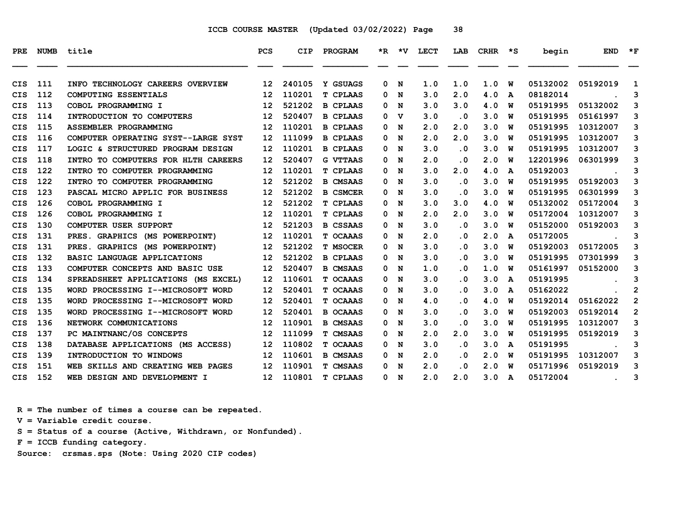| PRE        | <b>NUMB</b> | title                               | <b>PCS</b>        | <b>CIP</b> | <b>PROGRAM</b>  |   |     | *R *V LECT | LAB                     | CRHR *S |   | begin    | <b>END</b>                    | $*_{\mathbf{F}}$ |
|------------|-------------|-------------------------------------|-------------------|------------|-----------------|---|-----|------------|-------------------------|---------|---|----------|-------------------------------|------------------|
| <b>CIS</b> | 111         | INFO TECHNOLOGY CAREERS OVERVIEW    | 12 <sup>2</sup>   | 240105     | Y GSUAGS        | 0 | N   | 1.0        | 1.0                     | 1.0     | W | 05132002 | 05192019                      | 1                |
| <b>CIS</b> | 112         | <b>COMPUTING ESSENTIALS</b>         | 12                | 110201     | <b>T CPLAAS</b> | 0 | N   | 3.0        | 2.0                     | 4.0     | A | 08182014 |                               | 3                |
| <b>CIS</b> | 113         | COBOL PROGRAMMING I                 | 12                | 521202     | <b>B CPLAAS</b> | 0 | N   | 3.0        | 3.0                     | 4.0     | W | 05191995 | 05132002                      | 3                |
| CIS        | 114         | INTRODUCTION TO COMPUTERS           | 12                | 520407     | <b>B CPLAAS</b> | 0 | v   | 3.0        | . 0                     | 3.0     | W | 05191995 | 05161997                      | 3                |
| <b>CIS</b> | 115         | <b>ASSEMBLER PROGRAMMING</b>        | 12                | 110201     | <b>B CPLAAS</b> | 0 | N   | 2.0        | 2.0                     | 3.0     | W | 05191995 | 10312007                      | 3                |
| <b>CIS</b> | 116         | COMPUTER OPERATING SYST--LARGE SYST | 12 <sup>2</sup>   | 111099     | <b>B CPLAAS</b> | 0 | N   | 2.0        | 2.0                     | 3.0     | W | 05191995 | 10312007                      | 3                |
| <b>CIS</b> | 117         | LOGIC & STRUCTURED PROGRAM DESIGN   | $12 \overline{ }$ | 110201     | <b>B CPLAAS</b> | 0 | N   | 3.0        | $\cdot$ 0               | 3.0     | W | 05191995 | 10312007                      | 3                |
| <b>CIS</b> | 118         | INTRO TO COMPUTERS FOR HLTH CAREERS | $12 \overline{ }$ | 520407     | <b>G VTTAAS</b> | 0 | N   | 2.0        | $\cdot$ 0               | 2.0     | W | 12201996 | 06301999                      | 3                |
| <b>CIS</b> | 122         | INTRO TO COMPUTER PROGRAMMING       | $12 \overline{ }$ | 110201     | <b>T CPLAAS</b> | 0 | N   | 3.0        | 2.0                     | 4.0     | A | 05192003 |                               | 3                |
| <b>CIS</b> | 122         | INTRO TO COMPUTER PROGRAMMING       | $12 \overline{ }$ | 521202     | <b>B CMSAAS</b> | 0 | N   | 3.0        | $\cdot$ 0               | 3.0     | W | 05191995 | 05192003                      | 3                |
| <b>CIS</b> | 123         | PASCAL MICRO APPLIC FOR BUSINESS    | 12                | 521202     | <b>B CSMCER</b> | 0 | N   | 3.0        | $\cdot$ 0               | 3.0     | W | 05191995 | 06301999                      | 3                |
| <b>CIS</b> | 126         | COBOL PROGRAMMING I                 | $12 \overline{ }$ | 521202     | <b>T CPLAAS</b> | 0 | N   | 3.0        | 3.0                     | 4.0     | W | 05132002 | 05172004                      | 3                |
| <b>CIS</b> | 126         | COBOL PROGRAMMING I                 | 12                | 110201     | <b>T CPLAAS</b> | 0 | N   | 2.0        | 2.0                     | 3.0     | W | 05172004 | 10312007                      | 3                |
| <b>CIS</b> | 130         | <b>COMPUTER USER SUPPORT</b>        | $12 \overline{ }$ | 521203     | <b>B CSSAAS</b> | 0 | N   | 3.0        | $\overline{\mathbf{0}}$ | 3.0     | W | 05152000 | 05192003                      | 3                |
| <b>CIS</b> | 131         | PRES. GRAPHICS (MS POWERPOINT)      | 12                | 110201     | T OCAAAS        | 0 | N   | 2.0        | $\cdot$ 0               | 2.0     | A | 05172005 |                               | 3                |
| <b>CIS</b> | 131         | PRES. GRAPHICS (MS POWERPOINT)      | 12                | 521202     | <b>T MSOCER</b> | 0 | N   | 3.0        | $\cdot$ 0               | 3.0     | W | 05192003 | 05172005                      | 3                |
| <b>CIS</b> | 132         | BASIC LANGUAGE APPLICATIONS         | $12 \overline{ }$ | 521202     | <b>B CPLAAS</b> | 0 | N   | 3.0        | $\cdot$ 0               | 3.0     | W | 05191995 | 07301999                      | 3                |
| <b>CIS</b> | 133         | COMPUTER CONCEPTS AND BASIC USE     | $12 \overline{ }$ | 520407     | <b>B CMSAAS</b> | 0 | N   | 1.0        | $\cdot$ 0               | 1.0     | W | 05161997 | 05152000                      | 3                |
| <b>CIS</b> | 134         | SPREADSHEET APPLICATIONS (MS EXCEL) | 12                | 110601     | T OCAAAS        | 0 | N   | 3.0        | $\cdot$ 0               | 3.0     | A | 05191995 |                               | 3                |
| <b>CIS</b> | 135         | WORD PROCESSING I--MICROSOFT WORD   | $12 \overline{ }$ | 520401     | T OCAAAS        | 0 | N   | 3.0        | $\cdot$ 0               | 3.0     | A | 05162022 |                               | $\overline{2}$   |
| <b>CIS</b> | 135         | WORD PROCESSING I--MICROSOFT WORD   | $12 \overline{ }$ | 520401     | <b>T OCAAAS</b> | 0 | N   | 4.0        | $\cdot$ 0               | 4.0     | W | 05192014 | 05162022                      | $\overline{2}$   |
| <b>CIS</b> | 135         | WORD PROCESSING I--MICROSOFT WORD   | $12 \overline{ }$ | 520401     | <b>B OCAAAS</b> | 0 | N   | 3.0        | $\cdot$ 0               | 3.0     | W | 05192003 | 05192014                      | $\mathbf{2}$     |
| <b>CIS</b> | 136         | NETWORK COMMUNICATIONS              | 12                | 110901     | <b>B CMSAAS</b> | 0 | N   | 3.0        | $\cdot$ 0               | 3.0     | W | 05191995 | 10312007                      | 3                |
| <b>CIS</b> | 137         | PC MAINTNANC/OS CONCEPTS            | 12                | 111099     | <b>T CMSAAS</b> | 0 | N   | 2.0        | 2.0                     | 3.0     | W | 05191995 | 05192019                      | 3                |
| <b>CIS</b> | 138         | DATABASE APPLICATIONS (MS ACCESS)   | 12                | 110802     | T OCAAAS        | 0 | N   | 3.0        | $\cdot$ 0               | 3.0     | A | 05191995 |                               | 3                |
| <b>CIS</b> | 139         | INTRODUCTION TO WINDOWS             | 12                | 110601     | <b>B CMSAAS</b> | 0 | N   | 2.0        | $\cdot$ 0               | 2.0     | W | 05191995 | 10312007                      | 3                |
| <b>CIS</b> | 151         | WEB SKILLS AND CREATING WEB PAGES   | 12                | 110901     | <b>T CMSAAS</b> | 0 | N   | 2.0        | $\cdot$ 0               | 2.0     | W | 05171996 | 05192019                      | 3                |
| <b>CIS</b> | 152         | WEB DESIGN AND DEVELOPMENT I        | 12 <sup>7</sup>   | 110801     | <b>T CPLAAS</b> |   | 0 N | 2.0        | 2.0                     | 3.0     | A | 05172004 | and the state of the state of | 3                |

 **R = The number of times a course can be repeated.**

 **V = Variable credit course.**

 **S = Status of a course (Active, Withdrawn, or Nonfunded).**

 **F = ICCB funding category.**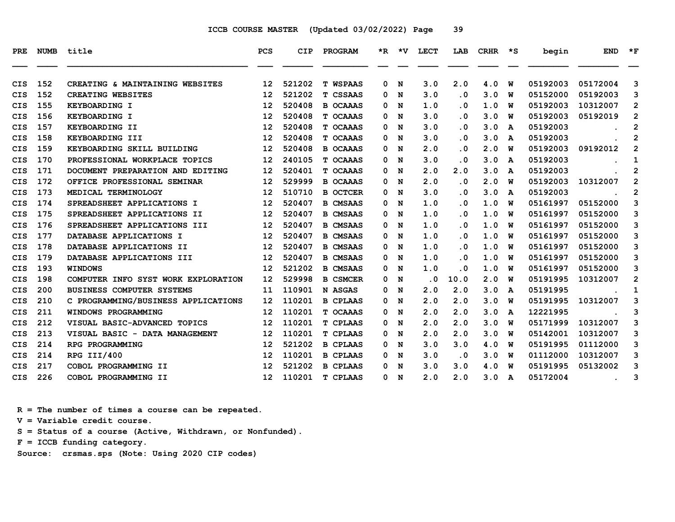| PRE.       | <b>NUMB</b> | title                               | <b>PCS</b>        | <b>CIP</b> | PROGRAM         |   | $*R$ $*V$ | LECT                    | LAB                     | CRHR | ∗s | begin    | <b>END</b> | $*_{\mathbf{F}}$ |
|------------|-------------|-------------------------------------|-------------------|------------|-----------------|---|-----------|-------------------------|-------------------------|------|----|----------|------------|------------------|
| CIS        | 152         | CREATING & MAINTAINING WEBSITES     | 12                | 521202     | <b>T WSPAAS</b> | 0 | N         | 3.0                     | 2.0                     | 4.0  | W  | 05192003 | 05172004   | 3                |
| <b>CIS</b> | 152         | CREATING WEBSITES                   | 12                | 521202     | T CSSAAS        | 0 | N         | 3.0                     | $\cdot$ 0               | 3.0  | w  | 05152000 | 05192003   | 3                |
| <b>CIS</b> | 155         | KEYBOARDING I                       | 12                | 520408     | <b>B OCAAAS</b> | 0 | N         | 1.0                     | $\overline{\mathbf{0}}$ | 1.0  | W  | 05192003 | 10312007   | $\mathbf{2}$     |
| CIS        | 156         | KEYBOARDING I                       | 12                | 520408     | T OCAAAS        | 0 | N         | 3.0                     | $\overline{\mathbf{0}}$ | 3.0  | W  | 05192003 | 05192019   | 2                |
| CIS        | 157         | KEYBOARDING II                      | 12                | 520408     | T OCAAAS        | 0 | N         | 3.0                     | . 0                     | 3.0  | A  | 05192003 |            | $\mathbf{2}$     |
| CIS        | 158         | KEYBOARDING III                     | 12                | 520408     | T OCAAAS        | 0 | N         | 3.0                     | . 0                     | 3.0  | A  | 05192003 |            | 2                |
| <b>CIS</b> | 159         | KEYBOARDING SKILL BUILDING          | 12                | 520408     | <b>B OCAAAS</b> | 0 | N         | 2.0                     | $\cdot$ 0               | 2.0  | W  | 05192003 | 09192012   | $\overline{2}$   |
| <b>CIS</b> | 170         | PROFESSIONAL WORKPLACE TOPICS       | 12                | 240105     | T OCAAAS        | 0 | N         | 3.0                     | $\overline{\mathbf{0}}$ | 3.0  | A  | 05192003 |            | 1                |
| CIS        | 171         | DOCUMENT PREPARATION AND EDITING    | 12                | 520401     | T OCAAAS        | 0 | N         | 2.0                     | 2.0                     | 3.0  | A  | 05192003 |            | 2                |
| <b>CIS</b> | 172         | OFFICE PROFESSIONAL SEMINAR         | 12                | 529999     | <b>B OCAAAS</b> | 0 | N         | 2.0                     | $\overline{\mathbf{0}}$ | 2.0  | w  | 05192003 | 10312007   | $\overline{2}$   |
| CIS        | 173         | MEDICAL TERMINOLOGY                 | 12                | 510710     | <b>B OCTCER</b> | 0 | N         | 3.0                     | . 0                     | 3.0  | A  | 05192003 |            | 2                |
| <b>CIS</b> | 174         | SPREADSHEET APPLICATIONS I          | 12                | 520407     | <b>B CMSAAS</b> | 0 | N         | 1.0                     | $\cdot$ 0               | 1.0  | W  | 05161997 | 05152000   | 3                |
| <b>CIS</b> | 175         | SPREADSHEET APPLICATIONS II         | 12                | 520407     | <b>B CMSAAS</b> | 0 | N         | 1.0                     | $\overline{\mathbf{0}}$ | 1.0  | w  | 05161997 | 05152000   | 3                |
| <b>CIS</b> | 176         | SPREADSHEET APPLICATIONS III        | 12                | 520407     | <b>B CMSAAS</b> | 0 | N         | 1.0                     | . 0                     | 1.0  | w  | 05161997 | 05152000   | 3                |
| CIS        | 177         | DATABASE APPLICATIONS I             | 12                | 520407     | <b>B CMSAAS</b> | 0 | N         | 1.0                     | . 0                     | 1.0  | w  | 05161997 | 05152000   | 3                |
| CIS        | 178         | DATABASE APPLICATIONS II            | 12                | 520407     | <b>B CMSAAS</b> | 0 | N         | 1.0                     | . 0                     | 1.0  | W  | 05161997 | 05152000   | 3                |
| <b>CIS</b> | 179         | DATABASE APPLICATIONS III           | 12                | 520407     | <b>B CMSAAS</b> | 0 | N         | 1.0                     | $\cdot$ 0               | 1.0  | W  | 05161997 | 05152000   | 3                |
| <b>CIS</b> | 193         | <b>WINDOWS</b>                      | 12                | 521202     | <b>B CMSAAS</b> | 0 | N         | 1.0                     | $\overline{\mathbf{0}}$ | 1.0  | W  | 05161997 | 05152000   | 3                |
| <b>CIS</b> | 198         | COMPUTER INFO SYST WORK EXPLORATION | 12                | 529998     | <b>B CSMCER</b> | 0 | N         | $\overline{\mathbf{0}}$ | 10.0                    | 2.0  | W  | 05191995 | 10312007   | $\overline{2}$   |
| CIS        | 200         | <b>BUSINESS COMPUTER SYSTEMS</b>    | 11                | 110901     | N ASGAS         | 0 | N         | 2.0                     | 2.0                     | 3.0  | A  | 05191995 |            | 1                |
| CIS        | 210         | C PROGRAMMING/BUSINESS APPLICATIONS | 12                | 110201     | <b>B CPLAAS</b> | 0 | N         | 2.0                     | 2.0                     | 3.0  | W  | 05191995 | 10312007   | 3                |
| <b>CIS</b> | 211         | WINDOWS PROGRAMMING                 | 12                | 110201     | T OCAAAS        | 0 | N         | 2.0                     | 2.0                     | 3.0  | A  | 12221995 |            | 3                |
| <b>CIS</b> | 212         | VISUAL BASIC-ADVANCED TOPICS        | 12                | 110201     | <b>T CPLAAS</b> | 0 | N         | 2.0                     | 2.0                     | 3.0  | W  | 05171999 | 10312007   | 3                |
| CIS        | 213         | VISUAL BASIC - DATA MANAGEMENT      | 12                | 110201     | <b>T CPLAAS</b> | 0 | N         | 2.0                     | 2.0                     | 3.0  | w  | 05142001 | 10312007   | 3                |
| CIS        | 214         | RPG PROGRAMMING                     | 12                | 521202     | <b>B CPLAAS</b> | 0 | N         | 3.0                     | 3.0                     | 4.0  | W  | 05191995 | 01112000   | 3                |
| CIS        | 214         | RPG III/400                         | 12                | 110201     | <b>B CPLAAS</b> | 0 | N         | 3.0                     | $\cdot$ 0               | 3.0  | W  | 01112000 | 10312007   | 3                |
| CIS        | 217         | COBOL PROGRAMMING II                | 12                | 521202     | <b>B CPLAAS</b> | 0 | N         | 3.0                     | 3.0                     | 4.0  | W  | 05191995 | 05132002   | 3                |
| <b>CIS</b> | 226         | COBOL PROGRAMMING II                | $12 \overline{ }$ | 110201     | <b>T CPLAAS</b> |   | 0 N       | 2.0                     | 2.0                     | 3.0  | A  | 05172004 |            | 3                |

 **R = The number of times a course can be repeated.**

 **V = Variable credit course.**

 **S = Status of a course (Active, Withdrawn, or Nonfunded).**

 **F = ICCB funding category.**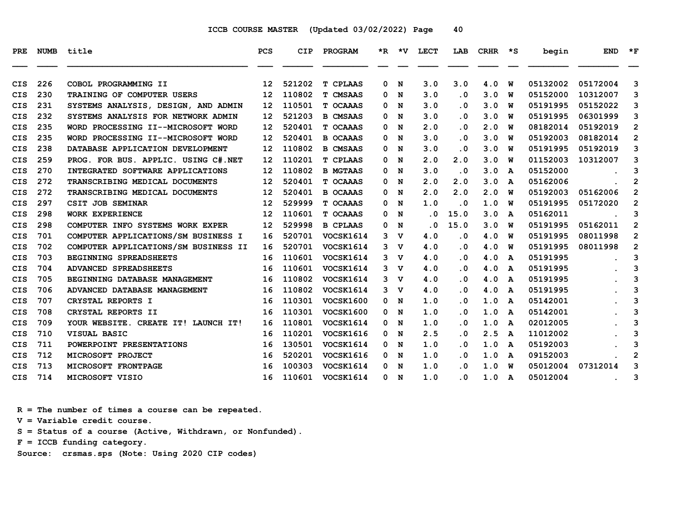| PRE        |     | NUMB title                           | <b>PCS</b> | <b>CIP</b> | <b>PROGRAM</b>   |   |                | *R *V LECT | LAB                     | CRHR | $\star$ s | begin    | <b>END</b> | $*_{\mathbf{F}}$ |
|------------|-----|--------------------------------------|------------|------------|------------------|---|----------------|------------|-------------------------|------|-----------|----------|------------|------------------|
|            |     |                                      |            |            |                  |   |                |            |                         |      |           |          |            |                  |
| <b>CIS</b> | 226 | COBOL PROGRAMMING II                 | 12         | 521202     | <b>T CPLAAS</b>  | 0 | N              | 3.0        | 3.0                     | 4.0  | W         | 05132002 | 05172004   | 3                |
| <b>CIS</b> | 230 | <b>TRAINING OF COMPUTER USERS</b>    | 12         | 110802     | <b>T CMSAAS</b>  | 0 | N              | 3.0        | $\overline{\mathbf{0}}$ | 3.0  | w         | 05152000 | 10312007   | 3                |
| CIS        | 231 | SYSTEMS ANALYSIS, DESIGN, AND ADMIN  | 12         | 110501     | T OCAAAS         | 0 | N              | 3.0        | $\overline{\mathbf{0}}$ | 3.0  | W         | 05191995 | 05152022   | 3                |
| <b>CIS</b> | 232 | SYSTEMS ANALYSIS FOR NETWORK ADMIN   | 12         | 521203     | <b>B CMSAAS</b>  | 0 | N              | 3.0        | . 0                     | 3.0  | w         | 05191995 | 06301999   | 3                |
| <b>CIS</b> | 235 | WORD PROCESSING II--MICROSOFT WORD   | 12         | 520401     | T OCAAAS         | 0 | N              | 2.0        | $\cdot$ 0               | 2.0  | W         | 08182014 | 05192019   | $\overline{2}$   |
| <b>CIS</b> | 235 | WORD PROCESSING II--MICROSOFT WORD   | 12         | 520401     | <b>B OCAAAS</b>  | 0 | N              | 3.0        | $\overline{\mathbf{0}}$ | 3.0  | w         | 05192003 | 08182014   | $\overline{2}$   |
| <b>CIS</b> | 238 | DATABASE APPLICATION DEVELOPMENT     | 12         | 110802     | <b>B CMSAAS</b>  | 0 | N              | 3.0        | . 0                     | 3.0  | w         | 05191995 | 05192019   | 3                |
| CIS        | 259 | PROG. FOR BUS. APPLIC. USING C#.NET  | 12         | 110201     | <b>T CPLAAS</b>  | 0 | N              | 2.0        | 2.0                     | 3.0  | W         | 01152003 | 10312007   | 3                |
| <b>CIS</b> | 270 | INTEGRATED SOFTWARE APPLICATIONS     | 12         | 110802     | <b>B MGTAAS</b>  | 0 | N              | 3.0        | . 0                     | 3.0  | A         | 05152000 |            | 3                |
| <b>CIS</b> | 272 | TRANSCRIBING MEDICAL DOCUMENTS       | 12         | 520401     | T OCAAAS         | 0 | N              | 2.0        | 2.0                     | 3.0  | A         | 05162006 |            | $\overline{2}$   |
| <b>CIS</b> | 272 | TRANSCRIBING MEDICAL DOCUMENTS       | 12         | 520401     | <b>B OCAAAS</b>  | 0 | N              | 2.0        | 2.0                     | 2.0  | w         | 05192003 | 05162006   | $\mathbf{2}$     |
| CIS        | 297 | CSIT JOB SEMINAR                     | 12         | 529999     | T OCAAAS         | 0 | N              | 1.0        | $\cdot$ 0               | 1.0  | w         | 05191995 | 05172020   | $\mathbf{2}$     |
| <b>CIS</b> | 298 | <b>WORK EXPERIENCE</b>               | 12         | 110601     | T OCAAAS         | 0 | N              | . 0        | 15.0                    | 3.0  | A         | 05162011 |            | 3                |
| <b>CIS</b> | 298 | COMPUTER INFO SYSTEMS WORK EXPER     | 12         | 529998     | <b>B CPLAAS</b>  | 0 | N              | . 0        | 15.0                    | 3.0  | W         | 05191995 | 05162011   | $\overline{2}$   |
| <b>CIS</b> | 701 | COMPUTER APPLICATIONS/SM BUSINESS I  | 16         | 520701     | VOCSK1614        | 3 | v              | 4.0        | $\overline{\mathbf{0}}$ | 4.0  | w         | 05191995 | 08011998   | $\overline{2}$   |
| <b>CIS</b> | 702 | COMPUTER APPLICATIONS/SM BUSINESS II | 16         | 520701     | VOCSK1614        | 3 | v              | 4.0        | $\overline{\mathbf{0}}$ | 4.0  | w         | 05191995 | 08011998   | $\overline{2}$   |
| <b>CIS</b> | 703 | BEGINNING SPREADSHEETS               | 16         | 110601     | VOCSK1614        |   | 3 <sub>v</sub> | 4.0        | . 0                     | 4.0  | A         | 05191995 |            | 3                |
| <b>CIS</b> | 704 | ADVANCED SPREADSHEETS                | 16         | 110601     | VOCSK1614        | 3 | $\mathbf v$    | 4.0        | $\overline{\mathbf{0}}$ | 4.0  | A         | 05191995 |            | 3                |
| CIS        | 705 | BEGINNING DATABASE MANAGEMENT        | 16         | 110802     | VOCSK1614        | 3 | v              | 4.0        | $\overline{\mathbf{0}}$ | 4.0  | A         | 05191995 |            | 3                |
| <b>CIS</b> | 706 | ADVANCED DATABASE MANAGEMENT         | 16         | 110802     | VOCSK1614        | 3 | <b>v</b>       | 4.0        | $\overline{\mathbf{0}}$ | 4.0  | A         | 05191995 |            | 3                |
| CIS        | 707 | CRYSTAL REPORTS I                    | 16         | 110301     | <b>VOCSK1600</b> | 0 | N              | 1.0        | . 0                     | 1.0  | A         | 05142001 |            | 3                |
| <b>CIS</b> | 708 | CRYSTAL REPORTS II                   | 16         | 110301     | <b>VOCSK1600</b> |   | 0 N            | 1.0        | $\cdot$ 0               | 1.0  | A         | 05142001 |            | 3                |
| <b>CIS</b> | 709 | YOUR WEBSITE. CREATE IT! LAUNCH IT!  | 16         | 110801     | <b>VOCSK1614</b> | 0 | N              | 1.0        | . 0                     | 1.0  | A         | 02012005 |            | 3                |
| <b>CIS</b> | 710 | VISUAL BASIC                         | 16         | 110201     | VOCSK1616        | 0 | N              | 2.5        | $\overline{\mathbf{0}}$ | 2.5  | A         | 11012002 |            | 3                |
| CIS        | 711 | POWERPOINT PRESENTATIONS             | 16         | 130501     | <b>VOCSK1614</b> |   | 0 N            | 1.0        | . 0                     | 1.0  | A         | 05192003 |            | 3                |
| <b>CIS</b> | 712 | MICROSOFT PROJECT                    | 16         | 520201     | VOCSK1616        | 0 | N              | 1.0        | $\cdot$ 0               | 1.0  | A         | 09152003 |            | 2                |
| <b>CIS</b> | 713 | MICROSOFT FRONTPAGE                  | 16         | 100303     | VOCSK1614        | 0 | N              | 1.0        | . 0                     | 1.0  | w         | 05012004 | 07312014   | 3                |
| <b>CIS</b> | 714 | MICROSOFT VISIO                      | 16         | 110601     | <b>VOCSK1614</b> |   | 0 N            | 1.0        | $\overline{\mathbf{0}}$ | 1.0  | A         | 05012004 |            | 3                |

 **R = The number of times a course can be repeated.**

 **V = Variable credit course.**

 **S = Status of a course (Active, Withdrawn, or Nonfunded).**

 **F = ICCB funding category.**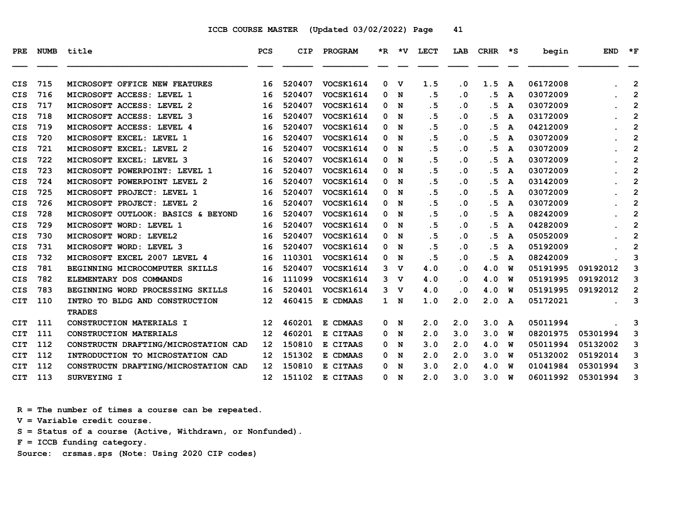| <b>PRE</b> | <b>NUMB</b> | title                                | <b>PCS</b>        | <b>CIP</b> | PROGRAM          |   | $*R$ $*V$   | <b>LECT</b> | LAB       | <b>CRHR</b> | $\star$ s | begin    | <b>END</b> | $*_{\mathbf{F}}$ |
|------------|-------------|--------------------------------------|-------------------|------------|------------------|---|-------------|-------------|-----------|-------------|-----------|----------|------------|------------------|
| <b>CIS</b> | 715         | MICROSOFT OFFICE NEW FEATURES        | 16                | 520407     | VOCSK1614        | 0 | $\mathbf v$ | 1.5         | $\cdot$ 0 | 1.5         | A         | 06172008 |            | $\overline{2}$   |
| <b>CIS</b> | 716         | MICROSOFT ACCESS: LEVEL 1            | 16                | 520407     | VOCSK1614        | 0 | N           | .5          | $\cdot$ 0 | . 5         | A         | 03072009 |            | $\overline{2}$   |
| CIS        | 717         | MICROSOFT ACCESS: LEVEL 2            | 16                | 520407     | VOCSK1614        | 0 | N           | .5          | $\cdot$ 0 | .5          | A         | 03072009 |            | 2                |
| CIS        | 718         | MICROSOFT ACCESS: LEVEL 3            | 16                | 520407     | VOCSK1614        | 0 | N           | .5          | $\cdot$ 0 | .5          | A         | 03172009 |            | $\overline{2}$   |
| CIS        | 719         | MICROSOFT ACCESS: LEVEL 4            | 16                | 520407     | <b>VOCSK1614</b> | 0 | N           | . 5         | $\cdot$ 0 | .5          | A         | 04212009 |            | $\overline{2}$   |
| <b>CIS</b> | 720         | MICROSOFT EXCEL: LEVEL 1             | 16                | 520407     | VOCSK1614        | 0 | N           | .5          | $\cdot$ 0 | . 5         | A         | 03072009 |            | $\overline{2}$   |
| <b>CIS</b> | 721         | MICROSOFT EXCEL: LEVEL 2             | 16                | 520407     | VOCSK1614        | 0 | N           | . 5         | . 0       | . 5         | A         | 03072009 |            | $\overline{2}$   |
| <b>CIS</b> | 722         | MICROSOFT EXCEL: LEVEL 3             | 16                | 520407     | VOCSK1614        | 0 | N           | .5          | $\cdot$ 0 | . 5         | A         | 03072009 |            | 2                |
| CIS        | 723         | MICROSOFT POWERPOINT: LEVEL 1        | 16                | 520407     | <b>VOCSK1614</b> | 0 | N           | . 5         | $\cdot$ 0 | .5          | A         | 03072009 |            | $\overline{2}$   |
| CIS        | 724         | MICROSOFT POWERPOINT LEVEL 2         | 16                | 520407     | VOCSK1614        | 0 | N           | .5          | $\cdot$ 0 | .5          | A         | 03142009 |            | $\overline{2}$   |
| <b>CIS</b> | 725         | MICROSOFT PROJECT: LEVEL 1           | 16                | 520407     | VOCSK1614        | 0 | N           | . 5         | $\cdot$ 0 | . 5         | A         | 03072009 |            | $\overline{2}$   |
| <b>CIS</b> | 726         | MICROSOFT PROJECT: LEVEL 2           | 16                | 520407     | <b>VOCSK1614</b> | 0 | N           | .5          | . 0       | .5          | A         | 03072009 |            | $\overline{2}$   |
| CIS        | 728         | MICROSOFT OUTLOOK: BASICS & BEYOND   | 16                | 520407     | VOCSK1614        | 0 | N           | .5          | $\cdot$ 0 | . 5         | A         | 08242009 |            | $\overline{2}$   |
| CIS        | 729         | MICROSOFT WORD: LEVEL 1              | 16                | 520407     | <b>VOCSK1614</b> | 0 | N           | .5          | $\cdot$ 0 | .5          | A         | 04282009 |            | $\overline{2}$   |
| CIS        | 730         | MICROSOFT WORD: LEVEL2               | 16                | 520407     | <b>VOCSK1614</b> | 0 | N           | .5          | $\cdot$ 0 | . 5         | A         | 05052009 |            | $\overline{2}$   |
| <b>CIS</b> | 731         | MICROSOFT WORD: LEVEL 3              | 16                | 520407     | VOCSK1614        | 0 | N           | .5          | $\cdot$ 0 | . 5         | A         | 05192009 |            | $\overline{2}$   |
| <b>CIS</b> | 732         | MICROSOFT EXCEL 2007 LEVEL 4         | 16                | 110301     | VOCSK1614        | 0 | N           | .5          | $\cdot$ 0 | .5          | A         | 08242009 |            | 3                |
| <b>CIS</b> | 781         | BEGINNING MICROCOMPUTER SKILLS       | 16                | 520407     | VOCSK1614        | 3 | v           | 4.0         | . 0       | 4.0         | W         | 05191995 | 09192012   | 3                |
| <b>CIS</b> | 782         | ELEMENTARY DOS COMMANDS              | 16                | 111099     | <b>VOCSK1614</b> | 3 | v           | 4.0         | $\cdot$ 0 | 4.0         | W         | 05191995 | 09192012   | 3                |
| CIS        | 783         | BEGINNING WORD PROCESSING SKILLS     | 16                | 520401     | VOCSK1614        | 3 | $\mathbf v$ | 4.0         | $\cdot$ 0 | 4.0         | W         | 05191995 | 09192012   | $\overline{2}$   |
| <b>CIT</b> | 110         | INTRO TO BLDG AND CONSTRUCTION       | 12 <sup>2</sup>   | 460415     | E CDMAAS         |   | 1 N         | 1.0         | 2.0       | 2.0         | A         | 05172021 |            | 3                |
|            |             | <b>TRADES</b>                        |                   |            |                  |   |             |             |           |             |           |          |            |                  |
| CIT        | 111         | CONSTRUCTION MATERIALS I             | 12 <sup>2</sup>   | 460201     | E CDMAAS         | 0 | N           | 2.0         | 2.0       | 3.0         | A         | 05011994 |            | 3                |
| <b>CIT</b> | 111         | <b>CONSTRUCTION MATERIALS</b>        | $12 \overline{ }$ | 460201     | E CITAAS         | 0 | N           | 2.0         | 3.0       | 3.0         | W         | 08201975 | 05301994   | 3                |
| <b>CIT</b> | 112         | CONSTRUCTN DRAFTING/MICROSTATION CAD | $12 \overline{ }$ | 150810     | E CITAAS         | 0 | N           | 3.0         | 2.0       | 4.0         | W         | 05011994 | 05132002   | 3                |
| <b>CIT</b> | 112         | INTRODUCTION TO MICROSTATION CAD     | $12 \overline{ }$ | 151302     | E CDMAAS         | 0 | N           | 2.0         | 2.0       | 3.0         | W         | 05132002 | 05192014   | 3                |
| CIT        | 112         | CONSTRUCTN DRAFTING/MICROSTATION CAD | 12                | 150810     | E CITAAS         | 0 | N           | 3.0         | 2.0       | 4.0         | W         | 01041984 | 05301994   | 3                |
| <b>CIT</b> | 113         | SURVEYING I                          | 12                | 151102     | E CITAAS         | 0 | N           | 2.0         | 3.0       | 3.0         | W         | 06011992 | 05301994   | 3                |

 **R = The number of times a course can be repeated.**

 **V = Variable credit course.**

 **S = Status of a course (Active, Withdrawn, or Nonfunded).**

 **F = ICCB funding category.**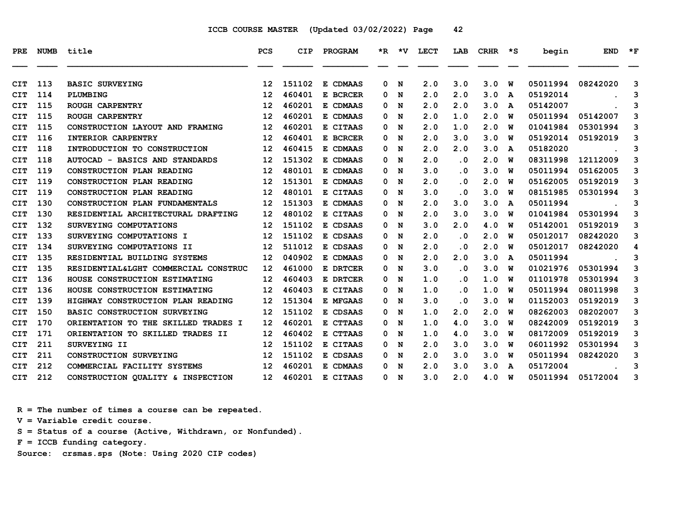| <b>PRE</b> | <b>NUMB</b> | title                                | <b>PCS</b>        | <b>CIP</b> | PROGRAM  | $*_{\mathbf{R}}$ | *V  | <b>LECT</b> | LAB       | <b>CRHR</b> | *S | begin    | <b>END</b> | $\star$ F |
|------------|-------------|--------------------------------------|-------------------|------------|----------|------------------|-----|-------------|-----------|-------------|----|----------|------------|-----------|
|            |             |                                      |                   |            |          |                  |     |             |           |             |    |          |            |           |
| CIT        | 113         | <b>BASIC SURVEYING</b>               | $12 \overline{ }$ | 151102     | E CDMAAS | 0                | N   | 2.0         | 3.0       | 3.0         | W  | 05011994 | 08242020   | 3         |
| CIT        | 114         | PLUMBING                             | 12                | 460401     | E BCRCER | 0                | N   | 2.0         | 2.0       | 3.0         | A  | 05192014 |            | 3         |
| <b>CIT</b> | 115         | ROUGH CARPENTRY                      | 12                | 460201     | E CDMAAS | 0                | N   | 2.0         | 2.0       | 3.0         | A  | 05142007 |            | 3         |
| CIT        | 115         | ROUGH CARPENTRY                      | $12 \overline{ }$ | 460201     | E CDMAAS | 0                | N   | 2.0         | 1.0       | 2.0         | W  | 05011994 | 05142007   | 3         |
| <b>CIT</b> | 115         | CONSTRUCTION LAYOUT AND FRAMING      | $12 \overline{ }$ | 460201     | E CITAAS | 0                | N   | 2.0         | 1.0       | 2.0         | w  | 01041984 | 05301994   | 3         |
| <b>CIT</b> | 116         | INTERIOR CARPENTRY                   | 12                | 460401     | E BCRCER | 0                | N   | 2.0         | 3.0       | 3.0         | w  | 05192014 | 05192019   | 3         |
| <b>CIT</b> | 118         | INTRODUCTION TO CONSTRUCTION         | 12                | 460415     | E CDMAAS | 0                | N   | 2.0         | 2.0       | 3.0         | A  | 05182020 |            | 3         |
| <b>CIT</b> | 118         | AUTOCAD - BASICS AND STANDARDS       | $12 \overline{ }$ | 151302     | E CDMAAS | 0                | N   | 2.0         | $\cdot$ 0 | 2.0         | W  | 08311998 | 12112009   | 3         |
| <b>CIT</b> | 119         | CONSTRUCTION PLAN READING            | $12 \overline{ }$ | 480101     | E CDMAAS | 0                | N   | 3.0         | $\cdot$ 0 | 3.0         | W  | 05011994 | 05162005   | 3         |
| <b>CIT</b> | 119         | CONSTRUCTION PLAN READING            | $12 \overline{ }$ | 151301     | E CDMAAS | 0                | N   | 2.0         | $\cdot$ 0 | 2.0         | พ  | 05162005 | 05192019   | 3         |
| <b>CIT</b> | 119         | CONSTRUCTION PLAN READING            | $12 \overline{ }$ | 480101     | E CITAAS | 0                | N   | 3.0         | $\cdot$ 0 | 3.0         | W  | 08151985 | 05301994   | 3         |
| <b>CIT</b> | 130         | CONSTRUCTION PLAN FUNDAMENTALS       | $12 \overline{ }$ | 151303     | E CDMAAS | 0                | N   | 2.0         | 3.0       | 3.0         | A  | 05011994 |            | 3         |
| <b>CIT</b> | 130         | RESIDENTIAL ARCHITECTURAL DRAFTING   | 12                | 480102     | E CITAAS | 0                | N   | 2.0         | 3.0       | 3.0         | W  | 01041984 | 05301994   | 3         |
| <b>CIT</b> | 132         | SURVEYING COMPUTATIONS               | $12 \overline{ }$ | 151102     | E CDSAAS | 0                | N   | 3.0         | 2.0       | 4.0         | W  | 05142001 | 05192019   | 3         |
| <b>CIT</b> | 133         | SURVEYING COMPUTATIONS I             | $12 \overline{ }$ | 151102     | E CDSAAS | 0                | N   | 2.0         | $\cdot$ 0 | 2.0         | พ  | 05012017 | 08242020   | 3         |
| <b>CIT</b> | 134         | SURVEYING COMPUTATIONS II            | 12                | 511012     | E CDSAAS | 0                | N   | 2.0         | $\cdot$ 0 | 2.0         | W  | 05012017 | 08242020   | 4         |
| CIT        | 135         | RESIDENTIAL BUILDING SYSTEMS         | $12 \overline{ }$ | 040902     | E CDMAAS | 0                | N   | 2.0         | 2.0       | 3.0         | A  | 05011994 |            | 3         |
| <b>CIT</b> | 135         | RESIDENTIAL&LGHT COMMERCIAL CONSTRUC | 12 <sup>1</sup>   | 461000     | E DRTCER | 0                | N   | 3.0         | $\cdot$ 0 | 3.0         | W  | 01021976 | 05301994   | 3         |
| <b>CIT</b> | 136         | HOUSE CONSTRUCTION ESTIMATING        | 12                | 460403     | E DRTCER | 0                | N   | 1.0         | $\cdot$ 0 | 1.0         | W  | 01101978 | 05301994   | 3         |
| <b>CIT</b> | 136         | HOUSE CONSTRUCTION ESTIMATING        | $12 \overline{ }$ | 460403     | E CITAAS | 0                | N   | 1.0         | $\cdot$ 0 | 1.0         | พ  | 05011994 | 08011998   | 3         |
| <b>CIT</b> | 139         | HIGHWAY CONSTRUCTION PLAN READING    | $12 \overline{ }$ | 151304     | E MFGAAS | 0                | N   | 3.0         | $\cdot$ 0 | 3.0         | W  | 01152003 | 05192019   | 3         |
| CIT        | 150         | <b>BASIC CONSTRUCTION SURVEYING</b>  | $12 \overline{ }$ | 151102     | E CDSAAS | 0                | N   | 1.0         | 2.0       | 2.0         | W  | 08262003 | 08202007   | 3         |
| <b>CIT</b> | 170         | ORIENTATION TO THE SKILLED TRADES I  | 12                | 460201     | E CTTAAS | 0                | N   | 1.0         | 4.0       | 3.0         | W  | 08242009 | 05192019   | 3         |
| <b>CIT</b> | 171         | ORIENTATION TO SKILLED TRADES II     | $12 \overline{ }$ | 460402     | E CTTAAS | 0                | N   | 1.0         | 4.0       | 3.0         | W  | 08172009 | 05192019   | 3         |
| <b>CIT</b> | 211         | SURVEYING II                         | $12 \overline{ }$ | 151102     | E CITAAS | 0                | N   | 2.0         | 3.0       | 3.0         | พ  | 06011992 | 05301994   | 3         |
| <b>CIT</b> | 211         | <b>CONSTRUCTION SURVEYING</b>        | 12                | 151102     | E CDSAAS | 0                | N   | 2.0         | 3.0       | 3.0         | W  | 05011994 | 08242020   | 3         |
| <b>CIT</b> | 212         | COMMERCIAL FACILITY SYSTEMS          | $12 \overline{ }$ | 460201     | E CDMAAS | 0                | N   | 2.0         | 3.0       | 3.0         | A  | 05172004 |            | 3         |
| <b>CIT</b> | 212         | CONSTRUCTION QUALITY & INSPECTION    | 12 <sup>7</sup>   | 460201     | E CITAAS |                  | 0 N | 3.0         | 2.0       | 4.0         | W  | 05011994 | 05172004   | 3         |

 **R = The number of times a course can be repeated.**

 **V = Variable credit course.**

 **S = Status of a course (Active, Withdrawn, or Nonfunded).**

 **F = ICCB funding category.**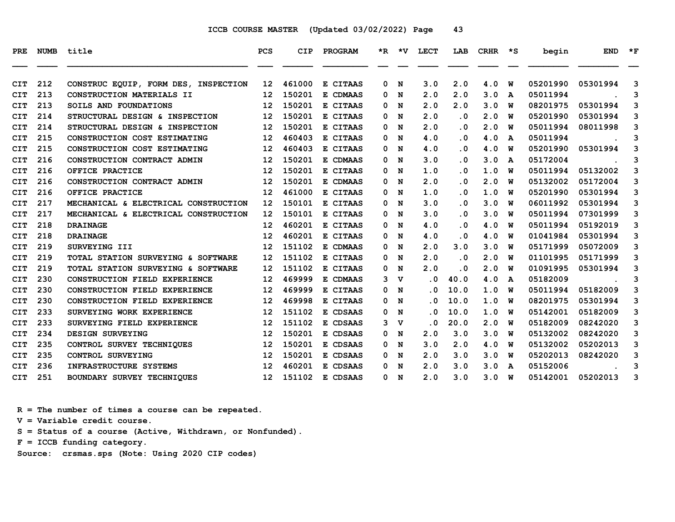| PRE        | NUMB | title                                | <b>PCS</b>        | <b>CIP</b> | PROGRAM                       |   |             | *R *V LECT | LAB       | CRHR | $\star$ s | begin    | <b>END</b> | $*_{\mathbf{F}}$ |
|------------|------|--------------------------------------|-------------------|------------|-------------------------------|---|-------------|------------|-----------|------|-----------|----------|------------|------------------|
| CIT        | 212  | CONSTRUC EQUIP, FORM DES, INSPECTION | 12 <sub>1</sub>   | 461000     | E CITAAS                      | 0 | N           | 3.0        | 2.0       | 4.0  | W         | 05201990 | 05301994   | 3                |
| <b>CIT</b> | 213  | CONSTRUCTION MATERIALS II            | $12 \overline{ }$ | 150201     | E CDMAAS                      | 0 | N           | 2.0        | 2.0       | 3.0  | A         | 05011994 |            | 3                |
| CIT        | 213  | SOILS AND FOUNDATIONS                | 12                | 150201     | E CITAAS                      | 0 | N           | 2.0        | 2.0       | 3.0  | W         | 08201975 | 05301994   | 3                |
| <b>CIT</b> | 214  | STRUCTURAL DESIGN & INSPECTION       | 12                | 150201     | E CITAAS                      | 0 | N           | 2.0        | $\cdot$ 0 | 2.0  | W         | 05201990 | 05301994   | 3                |
| <b>CIT</b> | 214  | STRUCTURAL DESIGN & INSPECTION       | $12 \overline{ }$ | 150201     | E CITAAS                      | 0 | N           | 2.0        | $\cdot$ 0 | 2.0  | W         | 05011994 | 08011998   | 3                |
| CIT        | 215  | CONSTRUCTION COST ESTIMATING         | $12 \overline{ }$ | 460403     | E CITAAS                      | 0 | N           | 4.0        | $\cdot$ 0 | 4.0  | A         | 05011994 |            | 3                |
| CIT        | 215  | CONSTRUCTION COST ESTIMATING         | 12                | 460403     | E CITAAS                      | 0 | N           | 4.0        | $\cdot$ 0 | 4.0  | พ         | 05201990 | 05301994   | 3                |
| <b>CIT</b> | 216  | CONSTRUCTION CONTRACT ADMIN          | 12                | 150201     | E CDMAAS                      | 0 | N           | 3.0        | $\cdot$ 0 | 3.0  | A         | 05172004 |            | 3                |
| <b>CIT</b> | 216  | OFFICE PRACTICE                      | 12                | 150201     | E CITAAS                      | 0 | N           | 1.0        | $\cdot$ 0 | 1.0  | W         | 05011994 | 05132002   | 3                |
| CIT        | 216  | CONSTRUCTION CONTRACT ADMIN          | $12 \overline{ }$ | 150201     | E CDMAAS                      | 0 | N           | 2.0        | $\cdot$ 0 | 2.0  | W         | 05132002 | 05172004   | 3                |
| <b>CIT</b> | 216  | OFFICE PRACTICE                      | 12                | 461000     | E CITAAS                      | 0 | N           | 1.0        | . 0       | 1.0  | W         | 05201990 | 05301994   | 3                |
| CIT        | 217  | MECHANICAL & ELECTRICAL CONSTRUCTION | 12                | 150101     | E CITAAS                      | 0 | N           | 3.0        | $\cdot$ 0 | 3.0  | พ         | 06011992 | 05301994   | 3                |
| <b>CIT</b> | 217  | MECHANICAL & ELECTRICAL CONSTRUCTION | $12 \overline{ }$ | 150101     | E CITAAS                      | 0 | N           | 3.0        | $\cdot$ 0 | 3.0  | W         | 05011994 | 07301999   | 3                |
| CIT        | 218  | <b>DRAINAGE</b>                      | 12                | 460201     | E CITAAS                      | 0 | N           | 4.0        | . 0       | 4.0  | W         | 05011994 | 05192019   | 3                |
| <b>CIT</b> | 218  | <b>DRAINAGE</b>                      | 12                | 460201     | E CITAAS                      | 0 | N           | 4.0        | $\cdot$ 0 | 4.0  | W         | 01041984 | 05301994   | 3                |
| <b>CIT</b> | 219  | SURVEYING III                        | 12                | 151102     | E CDMAAS                      | 0 | N           | 2.0        | 3.0       | 3.0  | W         | 05171999 | 05072009   | 3                |
| <b>CIT</b> | 219  | TOTAL STATION SURVEYING & SOFTWARE   | $12 \overline{ }$ | 151102     | E CITAAS                      | 0 | N           | 2.0        | $\cdot$ 0 | 2.0  | W         | 01101995 | 05171999   | 3                |
| <b>CIT</b> | 219  | TOTAL STATION SURVEYING & SOFTWARE   | $12 \overline{ }$ | 151102     | E CITAAS                      | 0 | N           | 2.0        | $\cdot$ 0 | 2.0  | W         | 01091995 | 05301994   | 3                |
| CIT        | 230  | CONSTRUCTION FIELD EXPERIENCE        | $12 \overline{ }$ | 469999     | E CDMAAS                      | 3 | v           | . 0        | 40.0      | 4.0  | A         | 05182009 |            | 3                |
| <b>CIT</b> | 230  | CONSTRUCTION FIELD EXPERIENCE        | $12 \overline{ }$ | 469999     | E CITAAS                      | 0 | N           | . 0        | 10.0      | 1.0  | พ         | 05011994 | 05182009   | 3                |
| <b>CIT</b> | 230  | CONSTRUCTION FIELD EXPERIENCE        | 12                | 469998     | E CITAAS                      | 0 | N           | . 0        | 10.0      | 1.0  | W         | 08201975 | 05301994   | 3                |
| <b>CIT</b> | 233  | SURVEYING WORK EXPERIENCE            | 12                | 151102     | E CDSAAS                      | 0 | N           | . 0        | 10.0      | 1.0  | W         | 05142001 | 05182009   | 3                |
| <b>CIT</b> | 233  | SURVEYING FIELD EXPERIENCE           | 12                | 151102     | E CDSAAS                      | 3 | $\mathbf v$ | . 0        | 20.0      | 2.0  | W         | 05182009 | 08242020   | 3                |
| <b>CIT</b> | 234  | <b>DESIGN SURVEYING</b>              | 12                | 150201     | $\mathbf{E}$<br><b>CDSAAS</b> | 0 | N           | 2.0        | 3.0       | 3.0  | W         | 05132002 | 08242020   | 3                |
| <b>CIT</b> | 235  | CONTROL SURVEY TECHNIQUES            | 12                | 150201     | E CDSAAS                      | 0 | N           | 3.0        | 2.0       | 4.0  | W         | 05132002 | 05202013   | 3                |
| <b>CIT</b> | 235  | CONTROL SURVEYING                    | 12                | 150201     | E CDSAAS                      | 0 | N           | 2.0        | 3.0       | 3.0  | W         | 05202013 | 08242020   | 3                |
| CIT        | 236  | INFRASTRUCTURE SYSTEMS               | 12                | 460201     | E CDSAAS                      | 0 | N           | 2.0        | 3.0       | 3.0  | A         | 05152006 |            | 3                |
| <b>CIT</b> | 251  | BOUNDARY SURVEY TECHNIQUES           | 12 <sub>1</sub>   | 151102     | E CDSAAS                      |   | 0 N         | 2.0        | 3.0       | 3.0  | W         | 05142001 | 05202013   | 3                |

 **R = The number of times a course can be repeated.**

 **V = Variable credit course.**

 **S = Status of a course (Active, Withdrawn, or Nonfunded).**

 **F = ICCB funding category.**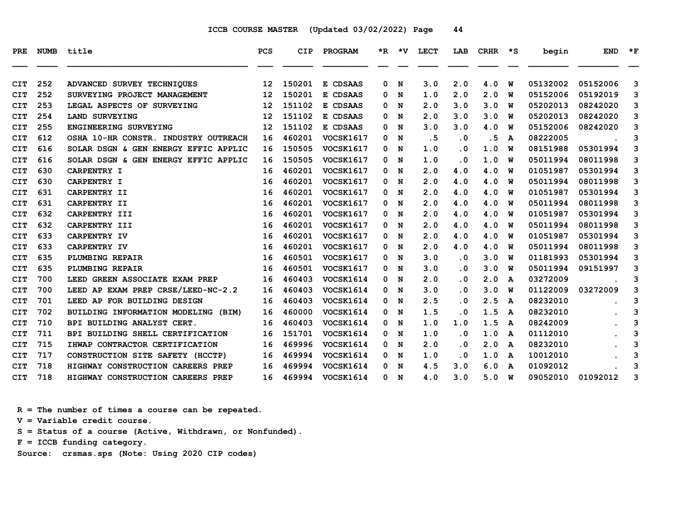| PRE        | <b>NUMB</b> | title                                | <b>PCS</b>      | <b>CIP</b> | PROGRAM          |   |             | *R *V LECT | LAB       | CRHR | $\star$ s | begin    | <b>END</b> | $\star_{\mathbf{F}}$ |
|------------|-------------|--------------------------------------|-----------------|------------|------------------|---|-------------|------------|-----------|------|-----------|----------|------------|----------------------|
| CIT        | 252         | ADVANCED SURVEY TECHNIQUES           | 12 <sup>2</sup> | 150201     | E CDSAAS         | 0 | N           | 3.0        | 2.0       | 4.0  | W         | 05132002 | 05152006   | 3                    |
| <b>CIT</b> | 252         | SURVEYING PROJECT MANAGEMENT         | 12 <sup>2</sup> | 150201     | E CDSAAS         | 0 | N           | 1.0        | 2.0       | 2.0  | W         | 05152006 | 05192019   | 3                    |
| <b>CIT</b> | 253         | LEGAL ASPECTS OF SURVEYING           | 12              | 151102     | E CDSAAS         | 0 | N           | 2.0        | 3.0       | 3.0  | W         | 05202013 | 08242020   | 3                    |
| <b>CIT</b> | 254         | LAND SURVEYING                       | 12              | 151102     | E CDSAAS         | 0 | N           | 2.0        | 3.0       | 3.0  | W         | 05202013 | 08242020   | 3                    |
| <b>CIT</b> | 255         | ENGINEERING SURVEYING                | 12              | 151102     | E CDSAAS         | 0 | N           | 3.0        | 3.0       | 4.0  | W         | 05152006 | 08242020   | 3                    |
| <b>CIT</b> | 612         | OSHA 10-HR CONSTR. INDUSTRY OUTREACH | 16              | 460201     | <b>VOCSK1617</b> | 0 | N           | .5         | $\cdot$ 0 | .5   | A         | 08222005 |            | 3                    |
| <b>CIT</b> | 616         | SOLAR DSGN & GEN ENERGY EFFIC APPLIC | 16              | 150505     | <b>VOCSK1617</b> | 0 | $\mathbf N$ | 1.0        | $\cdot$ 0 | 1.0  | พ         | 08151988 | 05301994   | 3                    |
| <b>CIT</b> | 616         | SOLAR DSGN & GEN ENERGY EFFIC APPLIC | 16              | 150505     | <b>VOCSK1617</b> | 0 | N           | 1.0        | $\cdot$ 0 | 1.0  | W         | 05011994 | 08011998   | 3                    |
| <b>CIT</b> | 630         | CARPENTRY I                          | 16              | 460201     | <b>VOCSK1617</b> | 0 | N           | 2.0        | 4.0       | 4.0  | W         | 01051987 | 05301994   | 3                    |
| <b>CIT</b> | 630         | CARPENTRY I                          | 16              | 460201     | VOCSK1617        | 0 | N           | 2.0        | 4.0       | 4.0  | W         | 05011994 | 08011998   | 3                    |
| <b>CIT</b> | 631         | CARPENTRY II                         | 16              | 460201     | <b>VOCSK1617</b> | 0 | N           | 2.0        | 4.0       | 4.0  | W         | 01051987 | 05301994   | 3                    |
| <b>CIT</b> | 631         | CARPENTRY II                         | 16              | 460201     | <b>VOCSK1617</b> | 0 | $\mathbf N$ | 2.0        | 4.0       | 4.0  | พ         | 05011994 | 08011998   | 3                    |
| <b>CIT</b> | 632         | CARPENTRY III                        | 16              | 460201     | <b>VOCSK1617</b> | 0 | N           | 2.0        | 4.0       | 4.0  | W         | 01051987 | 05301994   | 3                    |
| <b>CIT</b> | 632         | CARPENTRY III                        | 16              | 460201     | <b>VOCSK1617</b> | 0 | N           | 2.0        | 4.0       | 4.0  | W         | 05011994 | 08011998   | 3                    |
| <b>CIT</b> | 633         | CARPENTRY IV                         | 16              | 460201     | <b>VOCSK1617</b> | 0 | N           | 2.0        | 4.0       | 4.0  | พ         | 01051987 | 05301994   | 3                    |
| <b>CIT</b> | 633         | CARPENTRY IV                         | 16              | 460201     | VOCSK1617        | 0 | N           | 2.0        | 4.0       | 4.0  | พ         | 05011994 | 08011998   | 3                    |
| <b>CIT</b> | 635         | PLUMBING REPAIR                      | 16              | 460501     | <b>VOCSK1617</b> | 0 | $\mathbf N$ | 3.0        | $\cdot$ 0 | 3.0  | พ         | 01181993 | 05301994   | 3                    |
| <b>CIT</b> | 635         | PLUMBING REPAIR                      | 16              | 460501     | <b>VOCSK1617</b> | 0 | N           | 3.0        | $\cdot$ 0 | 3.0  | W         | 05011994 | 09151997   | 3                    |
| <b>CIT</b> | 700         | LEED GREEN ASSOCIATE EXAM PREP       | 16              | 460403     | VOCSK1614        | 0 | N           | 2.0        | $\cdot$ 0 | 2.0  | A         | 03272009 |            | 3                    |
| <b>CIT</b> | 700         | LEED AP EXAM PREP CRSE/LEED-NC-2.2   | 16              | 460403     | VOCSK1614        | 0 | N           | 3.0        | $\cdot$ 0 | 3.0  | W         | 01122009 | 03272009   | 3                    |
| <b>CIT</b> | 701         | LEED AP FOR BUILDING DESIGN          | 16              | 460403     | <b>VOCSK1614</b> | 0 | N           | 2.5        | . 0       | 2.5  | A         | 08232010 |            | 3                    |
| <b>CIT</b> | 702         | BUILDING INFORMATION MODELING (BIM)  | 16              | 460000     | VOCSK1614        | 0 | N           | 1.5        | $\cdot$ 0 | 1.5  | A         | 08232010 |            | 3                    |
| <b>CIT</b> | 710         | BPI BUILDING ANALYST CERT.           | 16              | 460403     | VOCSK1614        | 0 | N           | 1.0        | 1.0       | 1.5  | A         | 08242009 |            | 3                    |
| <b>CIT</b> | 711         | BPI BUILDING SHELL CERTIFICATION     | 16              | 151701     | VOCSK1614        | 0 | N           | 1.0        | $\cdot$ 0 | 1.0  | A         | 01112010 |            | 3                    |
| <b>CIT</b> | 715         | IHWAP CONTRACTOR CERTIFICATION       | 16              | 469996     | <b>VOCSK1614</b> | 0 | N           | 2.0        | $\cdot$ 0 | 2.0  | A         | 08232010 |            | 3                    |
| <b>CIT</b> | 717         | CONSTRUCTION SITE SAFETY (HCCTP)     | 16              | 469994     | VOCSK1614        | 0 | N           | 1.0        | $\cdot$ 0 | 1.0  | A         | 10012010 |            | 3                    |
| <b>CIT</b> | 718         | HIGHWAY CONSTRUCTION CAREERS PREP    | 16              | 469994     | VOCSK1614        | 0 | N           | 4.5        | 3.0       | 6.0  | A         | 01092012 |            | 3                    |
| <b>CIT</b> | 718         | HIGHWAY CONSTRUCTION CAREERS PREP    | 16              | 469994     | <b>VOCSK1614</b> | 0 | N           | 4.0        | 3.0       | 5.0  | W         | 09052010 | 01092012   | 3                    |

 **R = The number of times a course can be repeated.**

 **V = Variable credit course.**

 **S = Status of a course (Active, Withdrawn, or Nonfunded).**

 **F = ICCB funding category.**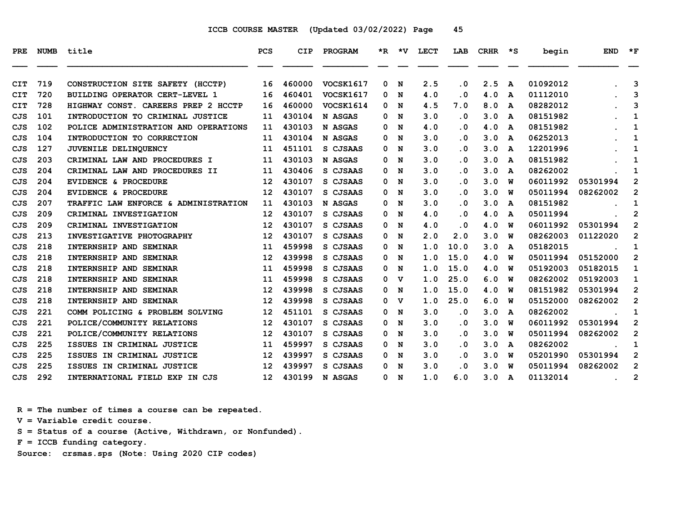| <b>PRE</b> |     | NUMB title                           | <b>PCS</b>      | CIP    | PROGRAM          |   | *R *V | <b>LECT</b> | LAB       | CRHR | $\star$ s    | begin    | <b>END</b> | $\star$ F      |
|------------|-----|--------------------------------------|-----------------|--------|------------------|---|-------|-------------|-----------|------|--------------|----------|------------|----------------|
| <b>CIT</b> | 719 | CONSTRUCTION SITE SAFETY (HCCTP)     | 16              | 460000 | VOCSK1617        | 0 | N     | 2.5         | $\cdot$ 0 | 2.5  | A            | 01092012 |            | 3              |
| <b>CIT</b> | 720 | BUILDING OPERATOR CERT-LEVEL 1       | 16              | 460401 | <b>VOCSK1617</b> | 0 | N     | 4.0         | . 0       | 4.0  | A            | 01112010 |            | 3              |
| <b>CIT</b> | 728 | HIGHWAY CONST. CAREERS PREP 2 HCCTP  | 16              | 460000 | VOCSK1614        | 0 | N     | 4.5         | 7.0       | 8.0  | A            | 08282012 |            | 3              |
| CJS        | 101 | INTRODUCTION TO CRIMINAL JUSTICE     | 11              | 430104 | N ASGAS          | 0 | N     | 3.0         | $\cdot$ 0 | 3.0  | A            | 08151982 |            | 1              |
| CJS        | 102 | POLICE ADMINISTRATION AND OPERATIONS | 11              | 430103 | N ASGAS          | 0 | N     | 4.0         | $\cdot$ 0 | 4.0  | $\mathbf{A}$ | 08151982 |            | 1              |
| CJS        | 104 | INTRODUCTION TO CORRECTION           | 11              | 430104 | N ASGAS          | 0 | N     | 3.0         | $\cdot$ 0 | 3.0  | A            | 06252013 |            | 1              |
| CJS        | 127 | JUVENILE DELINQUENCY                 | 11              | 451101 | S CJSAAS         | 0 | N     | 3.0         | . 0       | 3.0  | A            | 12201996 |            | 1              |
| CJS        | 203 | CRIMINAL LAW AND PROCEDURES I        | 11              | 430103 | N ASGAS          | 0 | N     | 3.0         | $\cdot$ 0 | 3.0  | A            | 08151982 |            | 1              |
| CJS        | 204 | CRIMINAL LAW AND PROCEDURES II       | 11              | 430406 | S CJSAAS         | 0 | N     | 3.0         | $\cdot$ 0 | 3.0  | A            | 08262002 |            | 1              |
| CJS        | 204 | EVIDENCE & PROCEDURE                 | 12              | 430107 | S CJSAAS         | 0 | N     | 3.0         | .0        | 3.0  | W            | 06011992 | 05301994   | $\overline{2}$ |
| CJS        | 204 | EVIDENCE & PROCEDURE                 | 12              | 430107 | S CJSAAS         | 0 | N     | 3.0         | . 0       | 3.0  | w            | 05011994 | 08262002   | $\mathbf{2}$   |
| CJS        | 207 | TRAFFIC LAW ENFORCE & ADMINISTRATION | 11              | 430103 | N ASGAS          | 0 | N     | 3.0         | . 0       | 3.0  | A            | 08151982 |            | 1              |
| <b>CJS</b> | 209 | CRIMINAL INVESTIGATION               | 12              | 430107 | S CJSAAS         | 0 | N     | 4.0         | $\cdot$ 0 | 4.0  | A            | 05011994 |            | $\overline{2}$ |
| CJS        | 209 | CRIMINAL INVESTIGATION               | 12              | 430107 | S CJSAAS         | 0 | N     | 4.0         | . 0       | 4.0  | W            | 06011992 | 05301994   | $\overline{2}$ |
| CJS        | 213 | <b>INVESTIGATIVE PHOTOGRAPHY</b>     | 12              | 430107 | S CJSAAS         | 0 | N     | 2.0         | 2.0       | 3.0  | W            | 08262003 | 01122020   | $\overline{2}$ |
| CJS        | 218 | INTERNSHIP AND SEMINAR               | 11              | 459998 | S CJSAAS         | 0 | N     | 1.0         | 10.0      | 3.0  | A            | 05182015 |            | 1              |
| <b>CJS</b> | 218 | INTERNSHIP AND SEMINAR               | 12              | 439998 | S CJSAAS         | 0 | N     | 1.0         | 15.0      | 4.0  | W            | 05011994 | 05152000   | $\overline{2}$ |
| <b>CJS</b> | 218 | INTERNSHIP AND SEMINAR               | 11              | 459998 | S CJSAAS         | 0 | N     | 1.0         | 15.0      | 4.0  | W            | 05192003 | 05182015   | 1              |
| CJS        | 218 | INTERNSHIP AND SEMINAR               | 11              | 459998 | S CJSAAS         | 0 | v     | 1.0         | 25.0      | 6.0  | W            | 08262002 | 05192003   | 1              |
| CJS        | 218 | INTERNSHIP AND SEMINAR               | 12              | 439998 | S CJSAAS         | 0 | N     | 1.0         | 15.0      | 4.0  | W            | 08151982 | 05301994   | $\mathbf{2}$   |
| CJS        | 218 | <b>INTERNSHIP AND SEMINAR</b>        | 12              | 439998 | S CJSAAS         | 0 | v     | 1.0         | 25.0      | 6.0  | W            | 05152000 | 08262002   | $\mathbf{2}$   |
| <b>CJS</b> | 221 | COMM POLICING & PROBLEM SOLVING      | 12              | 451101 | S CJSAAS         | 0 | N     | 3.0         | $\cdot$ 0 | 3.0  | A            | 08262002 |            | 1              |
| CJS        | 221 | POLICE/COMMUNITY RELATIONS           | 12              | 430107 | S CJSAAS         | 0 | N     | 3.0         | $\cdot$ 0 | 3.0  | W            | 06011992 | 05301994   | $\overline{2}$ |
| CJS        | 221 | POLICE/COMMUNITY RELATIONS           | 12              | 430107 | S CJSAAS         | 0 | N     | 3.0         | $\cdot$ 0 | 3.0  | W            | 05011994 | 08262002   | $\overline{2}$ |
| CJS        | 225 | ISSUES IN CRIMINAL JUSTICE           | 11              | 459997 | S CJSAAS         | 0 | N     | 3.0         | $\cdot$ 0 | 3.0  | A            | 08262002 |            | 1              |
| CJS        | 225 | ISSUES IN CRIMINAL JUSTICE           | 12              | 439997 | S CJSAAS         | 0 | N     | 3.0         | $\cdot$ 0 | 3.0  | W            | 05201990 | 05301994   | $\mathbf{2}$   |
| <b>CJS</b> | 225 | ISSUES IN CRIMINAL JUSTICE           | 12              | 439997 | S CJSAAS         | 0 | N     | 3.0         | .0        | 3.0  | W            | 05011994 | 08262002   | $\overline{2}$ |
| CJS        | 292 | INTERNATIONAL FIELD EXP IN CJS       | 12 <sup>7</sup> | 430199 | N ASGAS          |   | 0 N   | 1.0         | 6.0       | 3.0  | A            | 01132014 |            | 2              |

 **R = The number of times a course can be repeated.**

 **V = Variable credit course.**

 **S = Status of a course (Active, Withdrawn, or Nonfunded).**

 **F = ICCB funding category.**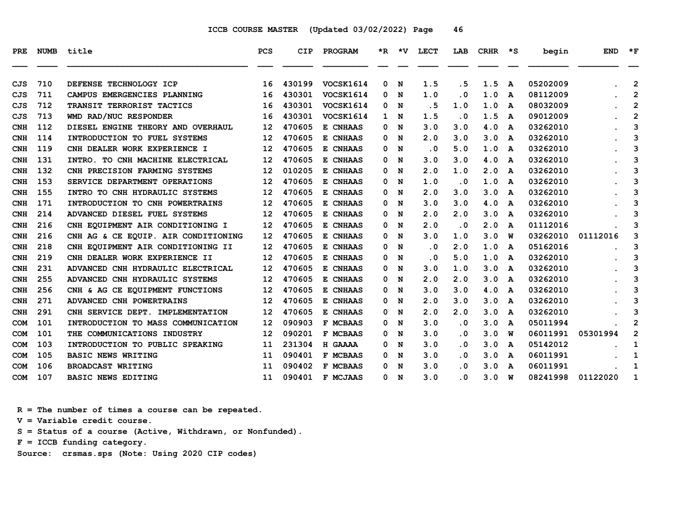| PRE        | <b>NUMB</b> | title                               | <b>PCS</b> | <b>CIP</b> | PROGRAM   |     | $*R$ $*V$ | <b>LECT</b> | LAB                     | <b>CRHR</b> | ∗s           | begin    | <b>END</b> | $*_{\mathbf{F}}$        |
|------------|-------------|-------------------------------------|------------|------------|-----------|-----|-----------|-------------|-------------------------|-------------|--------------|----------|------------|-------------------------|
| CJS        | 710         | DEFENSE TECHNOLOGY ICP              | 16         | 430199     | VOCSK1614 | 0   | N         | 1.5         | . 5                     | 1.5         | A            | 05202009 |            | $\mathbf{2}$            |
| CJS        | 711         | CAMPUS EMERGENCIES PLANNING         | 16         | 430301     | VOCSK1614 | 0   | N         | 1.0         | $\cdot$ 0               | 1.0         | A            | 08112009 |            | $\overline{2}$          |
| CJS        | 712         | TRANSIT TERRORIST TACTICS           | 16         | 430301     | VOCSK1614 | 0   | N         | . 5         | 1.0                     | 1.0         | A            | 08032009 |            | $\overline{\mathbf{c}}$ |
| CJS        | 713         | WMD RAD/NUC RESPONDER               | 16         | 430301     | VOCSK1614 | 1 N |           | 1.5         | . 0                     | 1.5         | A            | 09012009 |            | $\overline{2}$          |
| CNH        | 112         | DIESEL ENGINE THEORY AND OVERHAUL   | 12         | 470605     | E CNHAAS  | 0   | N         | 3.0         | 3.0                     | 4.0         | A            | 03262010 |            | 3                       |
| CNH        | 114         | INTRODUCTION TO FUEL SYSTEMS        | 12         | 470605     | E CNHAAS  | 0   | N         | 2.0         | 3.0                     | 3.0         | A            | 03262010 |            | 3                       |
| <b>CNH</b> | 119         | CNH DEALER WORK EXPERIENCE I        | 12         | 470605     | E CNHAAS  | 0   | N         | $\cdot$ 0   | 5.0                     | 1.0         | A            | 03262010 |            | 3                       |
| <b>CNH</b> | 131         | INTRO. TO CNH MACHINE ELECTRICAL    | 12         | 470605     | E CNHAAS  | 0   | N         | 3.0         | 3.0                     | 4.0         | A            | 03262010 |            | 3                       |
| <b>CNH</b> | 132         | CNH PRECISION FARMING SYSTEMS       | 12         | 010205     | E CNHAAS  | 0   | N         | 2.0         | 1.0                     | 2.0         | A            | 03262010 |            | 3                       |
| CNH        | 153         | SERVICE DEPARTMENT OPERATIONS       | 12         | 470605     | E CNHAAS  | 0   | N         | 1.0         | $\cdot$ 0               | 1.0         | A            | 03262010 |            | 3                       |
| CNH        | 155         | INTRO TO CNH HYDRAULIC SYSTEMS      | 12         | 470605     | E CNHAAS  | 0   | N         | 2.0         | 3.0                     | 3.0         | A            | 03262010 |            | 3                       |
| <b>CNH</b> | 171         | INTRODUCTION TO CNH POWERTRAINS     | 12         | 470605     | E CNHAAS  | 0   | N         | 3.0         | 3.0                     | 4.0         | A            | 03262010 |            | 3                       |
| <b>CNH</b> | 214         | ADVANCED DIESEL FUEL SYSTEMS        | 12         | 470605     | E CNHAAS  | 0   | N         | 2.0         | 2.0                     | 3.0         | A            | 03262010 |            | з                       |
| CNH        | 216         | CNH EQUIPMENT AIR CONDITIONING I    | 12         | 470605     | E CNHAAS  | 0   | N         | 2.0         | $\overline{\mathbf{0}}$ | 2.0         | A            | 01112016 |            | 3                       |
| <b>CNH</b> | 216         | CNH AG & CE EQUIP. AIR CONDITIONING | 12         | 470605     | E CNHAAS  | 0   | N         | 3.0         | 1.0                     | 3.0         | w            | 03262010 | 01112016   | 3                       |
| <b>CNH</b> | 218         | CNH EQUIPMENT AIR CONDITIONING II   | 12         | 470605     | E CNHAAS  | 0   | N         | $\cdot$ 0   | 2.0                     | 1.0         | A            | 05162016 |            | 3                       |
| CNH        | 219         | CNH DEALER WORK EXPERIENCE II       | 12         | 470605     | E CNHAAS  | 0   | N         | $\cdot$ 0   | 5.0                     | 1.0         | A            | 03262010 |            | 3                       |
| <b>CNH</b> | 231         | ADVANCED CNH HYDRAULIC ELECTRICAL   | 12         | 470605     | E CNHAAS  | 0   | N         | 3.0         | 1.0                     | 3.0         | A            | 03262010 |            | 3                       |
| <b>CNH</b> | 255         | ADVANCED CNH HYDRAULIC SYSTEMS      | 12         | 470605     | E CNHAAS  | 0   | N         | 2.0         | 2.0                     | 3.0         | A            | 03262010 |            | 3                       |
| <b>CNH</b> | 256         | CNH & AG CE EQUIPMENT FUNCTIONS     | 12         | 470605     | E CNHAAS  | 0   | N         | 3.0         | 3.0                     | 4.0         | A            | 03262010 |            | 3                       |
| CNH        | 271         | ADVANCED CNH POWERTRAINS            | 12         | 470605     | E CNHAAS  | 0   | N         | 2.0         | 3.0                     | 3.0         | A            | 03262010 |            | 3                       |
| <b>CNH</b> | 291         | CNH SERVICE DEPT. IMPLEMENTATION    | 12         | 470605     | E CNHAAS  | 0   | N         | 2.0         | 2.0                     | 3.0         | A            | 03262010 |            | 3                       |
| COM        | 101         | INTRODUCTION TO MASS COMMUNICATION  | 12         | 090903     | F MCBAAS  | 0   | N         | 3.0         | $\cdot$ 0               | 3.0         | A            | 05011994 |            | 2                       |
| <b>COM</b> | 101         | THE COMMUNICATIONS INDUSTRY         | 12         | 090201     | F MCBAAS  | 0   | N         | 3.0         | $\cdot$ 0               | 3.0         | W            | 06011991 | 05301994   | $\overline{2}$          |
| <b>COM</b> | 103         | INTRODUCTION TO PUBLIC SPEAKING     | 11         | 231304     | H GAAAA   | 0   | N         | 3.0         | $\cdot$ 0               | 3.0         | A            | 05142012 |            | 1                       |
| COM        | 105         | <b>BASIC NEWS WRITING</b>           | 11         | 090401     | F MCBAAS  | 0   | N         | 3.0         | $\cdot$ 0               | 3.0         | $\mathbf{A}$ | 06011991 |            | 1                       |
| <b>COM</b> | 106         | <b>BROADCAST WRITING</b>            | 11         | 090402     | F MCBAAS  | 0.  | N         | 3.0         | $\cdot$ 0               | 3.0         | A            | 06011991 |            | 1                       |
| <b>COM</b> | 107         | <b>BASIC NEWS EDITING</b>           | 11         | 090401     | F MCJAAS  | 0 N |           | 3.0         | $\cdot$ 0               | 3.0         | W            | 08241998 | 01122020   | 1                       |

 **R = The number of times a course can be repeated.**

 **V = Variable credit course.**

 **S = Status of a course (Active, Withdrawn, or Nonfunded).**

 **F = ICCB funding category.**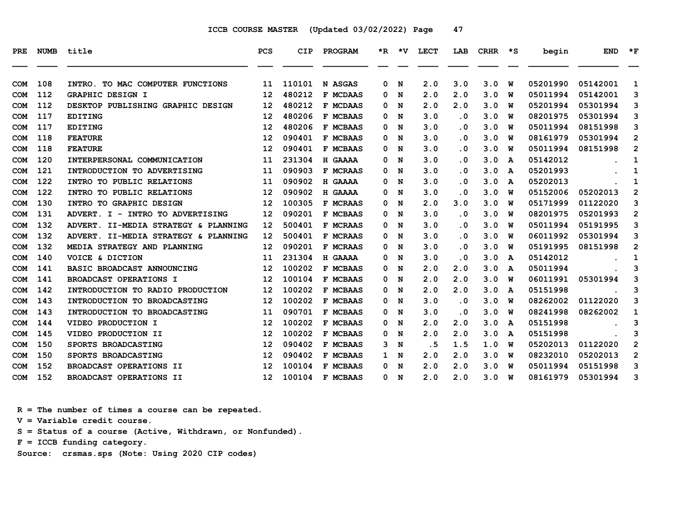| PRE.       | <b>NUMB</b> | title                                | PCS               | CIP    | PROGRAM         | $*_{\mathbb{R}}$ | *v | <b>LECT</b> | LAB                     | <b>CRHR</b> | ∗s           | begin    | <b>END</b> | $*_{\mathbf{F}}$ |
|------------|-------------|--------------------------------------|-------------------|--------|-----------------|------------------|----|-------------|-------------------------|-------------|--------------|----------|------------|------------------|
| <b>COM</b> | 108         | TO MAC COMPUTER FUNCTIONS<br>INTRO.  | 11                | 110101 | N ASGAS         | 0                | N  | 2.0         | 3.0                     | 3.0         | W            | 05201990 | 05142001   | 1                |
| <b>COM</b> | 112         | <b>GRAPHIC DESIGN I</b>              | 12                | 480212 | F MCDAAS        | 0                | N  | 2.0         | 2.0                     | 3.0         | W            | 05011994 | 05142001   | 3                |
| <b>COM</b> | 112         | DESKTOP PUBLISHING GRAPHIC DESIGN    | 12                | 480212 | F MCDAAS        | 0                | N  | 2.0         | 2.0                     | 3.0         | W            | 05201994 | 05301994   | 3                |
| COM        | 117         | <b>EDITING</b>                       | 12                | 480206 | F MCBAAS        | 0                | N  | 3.0         | . 0                     | 3.0         | W            | 08201975 | 05301994   | 3                |
| <b>COM</b> | 117         | <b>EDITING</b>                       | 12                | 480206 | F MCBAAS        | 0                | N  | 3.0         | $\overline{\mathbf{0}}$ | 3.0         | W            | 05011994 | 08151998   | 3                |
| <b>COM</b> | 118         | <b>FEATURE</b>                       | 12                | 090401 | <b>F MCBAAS</b> | 0                | N  | 3.0         | . 0                     | 3.0         | w            | 08161979 | 05301994   | $\overline{2}$   |
| <b>COM</b> | 118         | <b>FEATURE</b>                       | 12                | 090401 | F MCBAAS        | 0                | N  | 3.0         | . 0                     | 3.0         | W            | 05011994 | 08151998   | $\overline{2}$   |
| <b>COM</b> | 120         | INTERPERSONAL COMMUNICATION          | 11                | 231304 | H GAAAA         | 0                | N  | 3.0         | . 0                     | 3.0         | $\mathbf{A}$ | 05142012 |            | 1                |
| <b>COM</b> | 121         | INTRODUCTION TO ADVERTISING          | 11                | 090903 | F MCRAAS        | 0                | N  | 3.0         | . 0                     | 3.0         | A            | 05201993 |            | 1                |
| <b>COM</b> | 122         | INTRO TO PUBLIC RELATIONS            | 11                | 090902 | H GAAAA         | 0                | N  | 3.0         | . 0                     | 3.0         | A            | 05202013 |            | 1                |
| COM        | 122         | INTRO TO PUBLIC RELATIONS            | 12                | 090902 | H GAAAA         | 0                | N  | 3.0         | . 0                     | 3.0         | W            | 05152006 | 05202013   | $\overline{2}$   |
| <b>COM</b> | 130         | INTRO TO GRAPHIC DESIGN              | 12                | 100305 | F MCRAAS        | 0                | N  | 2.0         | 3.0                     | 3.0         | W            | 05171999 | 01122020   | 3                |
| <b>COM</b> | 131         | ADVERT. I - INTRO TO ADVERTISING     | 12                | 090201 | F MCBAAS        | 0                | N  | 3.0         | . 0                     | 3.0         | W            | 08201975 | 05201993   | 2                |
| <b>COM</b> | 132         | ADVERT. II-MEDIA STRATEGY & PLANNING | 12                | 500401 | F MCRAAS        | 0                | N  | 3.0         | . 0                     | 3.0         | W            | 05011994 | 05191995   | 3                |
| <b>COM</b> | 132         | ADVERT. II-MEDIA STRATEGY & PLANNING | 12                | 500401 | F MCRAAS        | 0                | N  | 3.0         | $\overline{\mathbf{0}}$ | 3.0         | W            | 06011992 | 05301994   | 3                |
| <b>COM</b> | 132         | MEDIA STRATEGY AND PLANNING          | 12                | 090201 | F MCRAAS        | 0                | N  | 3.0         | . 0                     | 3.0         | w            | 05191995 | 08151998   | $\mathbf{2}$     |
| <b>COM</b> | 140         | VOICE & DICTION                      | 11                | 231304 | H GAAAA         | 0                | N  | 3.0         | . 0                     | 3.0         | A            | 05142012 |            | 1                |
| <b>COM</b> | 141         | BASIC BROADCAST ANNOUNCING           | 12                | 100202 | F MCBAAS        | 0                | N  | 2.0         | 2.0                     | 3.0         | A            | 05011994 |            | 3                |
| <b>COM</b> | 141         | <b>BROADCAST OPERATIONS I</b>        | 12                | 100104 | F MCBAAS        | 0                | N  | 2.0         | 2.0                     | 3.0         | w            | 06011991 | 05301994   | 3                |
| <b>COM</b> | 142         | INTRODUCTION TO RADIO PRODUCTION     | 12                | 100202 | F MCBAAS        | 0                | N  | 2.0         | 2.0                     | 3.0         | A            | 05151998 |            | 3                |
| COM        | 143         | INTRODUCTION TO BROADCASTING         | 12                | 100202 | F MCBAAS        | 0                | N  | 3.0         | . 0                     | 3.0         | W            | 08262002 | 01122020   | 3                |
| COM        | 143         | INTRODUCTION TO BROADCASTING         | 11                | 090701 | F MCBAAS        | 0                | N  | 3.0         | . 0                     | 3.0         | w            | 08241998 | 08262002   | 1                |
| <b>COM</b> | 144         | VIDEO PRODUCTION I                   | 12                | 100202 | F MCBAAS        | 0                | N  | 2.0         | 2.0                     | 3.0         | A            | 05151998 |            | 3                |
| <b>COM</b> | 145         | VIDEO PRODUCTION II                  | 12                | 100202 | F MCBAAS        | 0                | N  | 2.0         | 2.0                     | 3.0         | A            | 05151998 |            | 3                |
| <b>COM</b> | 150         | SPORTS BROADCASTING                  | 12                | 090402 | F MCBAAS        | 3                | N  | . 5         | 1.5                     | 1.0         | w            | 05202013 | 01122020   | $\overline{2}$   |
| <b>COM</b> | 150         | SPORTS BROADCASTING                  | 12                | 090402 | F MCBAAS        | 1                | N  | 2.0         | 2.0                     | 3.0         | W            | 08232010 | 05202013   | $\overline{2}$   |
| <b>COM</b> | 152         | BROADCAST OPERATIONS II              | 12                | 100104 | F MCBAAS        | 0                | N  | 2.0         | 2.0                     | 3.0         | W            | 05011994 | 05151998   | 3                |
| <b>COM</b> | 152         | BROADCAST OPERATIONS II              | $12 \overline{ }$ | 100104 | F MCBAAS        | 0                | N  | 2.0         | 2.0                     | 3.0         | W            | 08161979 | 05301994   | 3                |

 **R = The number of times a course can be repeated.**

 **V = Variable credit course.**

 **S = Status of a course (Active, Withdrawn, or Nonfunded).**

 **F = ICCB funding category.**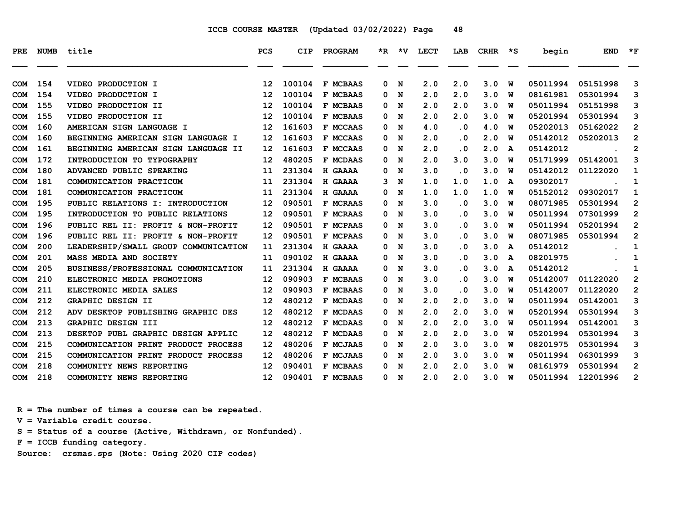| <b>PRE</b> | <b>NUMB</b> | title                                | <b>PCS</b>        | CIP    | PROGRAM         |   |             | *R *V LECT | LAB                     | <b>CRHR</b> | $\star$ s | begin    | <b>END</b> | $*_{\mathbf{F}}$ |
|------------|-------------|--------------------------------------|-------------------|--------|-----------------|---|-------------|------------|-------------------------|-------------|-----------|----------|------------|------------------|
| <b>COM</b> | 154         | VIDEO PRODUCTION I                   | 12                | 100104 | F MCBAAS        | 0 | N           | 2.0        | 2.0                     | 3.0         | W         | 05011994 | 05151998   | 3                |
| <b>COM</b> | 154         | VIDEO PRODUCTION I                   | $12 \overline{ }$ | 100104 | F MCBAAS        | 0 | N           | 2.0        | 2.0                     | 3.0         | W         | 08161981 | 05301994   | 3                |
| <b>COM</b> | 155         | VIDEO PRODUCTION II                  | 12                | 100104 | F MCBAAS        | 0 | N           | 2.0        | 2.0                     | 3.0         | W         | 05011994 | 05151998   | 3                |
| <b>COM</b> | 155         | VIDEO PRODUCTION II                  | 12                | 100104 | F MCBAAS        | 0 | N           | 2.0        | 2.0                     | 3.0         | W         | 05201994 | 05301994   | 3                |
| <b>COM</b> | 160         | AMERICAN SIGN LANGUAGE I             | 12                | 161603 | F MCCAAS        | 0 | N           | 4.0        | $\cdot$ 0               | 4.0         | W         | 05202013 | 05162022   | $\overline{2}$   |
| <b>COM</b> | 160         | BEGINNING AMERICAN SIGN LANGUAGE I   | 12                | 161603 | F MCCAAS        | 0 | N           | 2.0        | .0                      | 2.0         | W         | 05142012 | 05202013   | $\overline{2}$   |
| <b>COM</b> | 161         | BEGINNING AMERICAN SIGN LANGUAGE II  | 12                | 161603 | F MCCAAS        | 0 | N           | 2.0        | .0                      | 2.0         | A         | 05142012 |            | $\mathbf{2}$     |
| <b>COM</b> | 172         | INTRODUCTION TO TYPOGRAPHY           | 12                | 480205 | F MCDAAS        | 0 | N           | 2.0        | 3.0                     | 3.0         | W         | 05171999 | 05142001   | 3                |
| <b>COM</b> | 180         | ADVANCED PUBLIC SPEAKING             | 11                | 231304 | H GAAAA         | 0 | N           | 3.0        | $\overline{\mathbf{0}}$ | 3.0         | W         | 05142012 | 01122020   | 1                |
| <b>COM</b> | 181         | COMMUNICATION PRACTICUM              | 11                | 231304 | H GAAAA         | 3 | N           | 1.0        | 1.0                     | 1.0         | A         | 09302017 |            | 1                |
| <b>COM</b> | 181         | COMMUNICATION PRACTICUM              | 11                | 231304 | H GAAAA         | 0 | N           | 1.0        | 1.0                     | 1.0         | w         | 05152012 | 09302017   | 1                |
| <b>COM</b> | 195         | PUBLIC RELATIONS I: INTRODUCTION     | 12                | 090501 | F MCRAAS        | 0 | N           | 3.0        | $\cdot$ 0               | 3.0         | W         | 08071985 | 05301994   | $\overline{2}$   |
| <b>COM</b> | 195         | INTRODUCTION TO PUBLIC RELATIONS     | 12                | 090501 | F MCRAAS        | 0 | N           | 3.0        | $\cdot$ 0               | 3.0         | W         | 05011994 | 07301999   | $\overline{2}$   |
| <b>COM</b> | 196         | PUBLIC REL II: PROFIT & NON-PROFIT   | 12                | 090501 | F MCPAAS        | 0 | N           | 3.0        | $\cdot$ 0               | 3.0         | W         | 05011994 | 05201994   | $\overline{2}$   |
| <b>COM</b> | 196         | PUBLIC REL II: PROFIT & NON-PROFIT   | 12                | 090501 | F MCPAAS        | 0 | N           | 3.0        | $\cdot$ 0               | 3.0         | W         | 08071985 | 05301994   | $\overline{2}$   |
| <b>COM</b> | 200         | LEADERSHIP/SMALL GROUP COMMUNICATION | 11                | 231304 | H GAAAA         | 0 | N           | 3.0        | $\cdot$ 0               | 3.0         | A         | 05142012 |            | 1                |
| <b>COM</b> | 201         | MASS MEDIA AND SOCIETY               | 11                | 090102 | H GAAAA         | 0 | N           | 3.0        | $\cdot$ 0               | 3.0         | A         | 08201975 |            | 1                |
| <b>COM</b> | 205         | BUSINESS/PROFESSIONAL COMMUNICATION  | 11                | 231304 | H GAAAA         | 0 | N           | 3.0        | $\cdot$ 0               | 3.0         | A         | 05142012 |            | 1                |
| <b>COM</b> | 210         | ELECTRONIC MEDIA PROMOTIONS          | 12                | 090903 | F MCBAAS        | 0 | N           | 3.0        | $\cdot$ 0               | 3.0         | W         | 05142007 | 01122020   | $\overline{2}$   |
| <b>COM</b> | 211         | ELECTRONIC MEDIA SALES               | 12                | 090903 | F MCBAAS        | 0 | N           | 3.0        | $\cdot$ 0               | 3.0         | W         | 05142007 | 01122020   | $\overline{2}$   |
| <b>COM</b> | 212         | <b>GRAPHIC DESIGN II</b>             | 12                | 480212 | F MCDAAS        | 0 | N           | 2.0        | 2.0                     | 3.0         | W         | 05011994 | 05142001   | 3                |
| <b>COM</b> | 212         | ADV DESKTOP PUBLISHING GRAPHIC DES   | 12                | 480212 | F MCDAAS        | 0 | N           | 2.0        | 2.0                     | 3.0         | W         | 05201994 | 05301994   | 3                |
| <b>COM</b> | 213         | GRAPHIC DESIGN III                   | 12                | 480212 | F MCDAAS        | 0 | N           | 2.0        | 2.0                     | 3.0         | W         | 05011994 | 05142001   | 3                |
| <b>COM</b> | 213         | DESKTOP PUBL GRAPHIC DESIGN APPLIC   | 12                | 480212 | <b>F MCDAAS</b> | 0 | N           | 2.0        | 2.0                     | 3.0         | W         | 05201994 | 05301994   | 3                |
| <b>COM</b> | 215         | COMMUNICATION PRINT PRODUCT PROCESS  | 12                | 480206 | F MCJAAS        | 0 | N           | 2.0        | 3.0                     | 3.0         | W         | 08201975 | 05301994   | 3                |
| <b>COM</b> | 215         | COMMUNICATION PRINT PRODUCT PROCESS  | 12                | 480206 | F MCJAAS        | 0 | N           | 2.0        | 3.0                     | 3.0         | W         | 05011994 | 06301999   | 3                |
| <b>COM</b> | 218         | COMMUNITY NEWS REPORTING             | 12                | 090401 | F MCBAAS        | 0 | N           | 2.0        | 2.0                     | 3.0         | W         | 08161979 | 05301994   | $\overline{2}$   |
| <b>COM</b> | 218         | COMMUNITY NEWS REPORTING             | $12 \overline{ }$ | 090401 | F MCBAAS        | 0 | $\mathbf N$ | 2.0        | 2.0                     | 3.0         | W         | 05011994 | 12201996   | $\overline{2}$   |

 **R = The number of times a course can be repeated.**

 **V = Variable credit course.**

 **S = Status of a course (Active, Withdrawn, or Nonfunded).**

 **F = ICCB funding category.**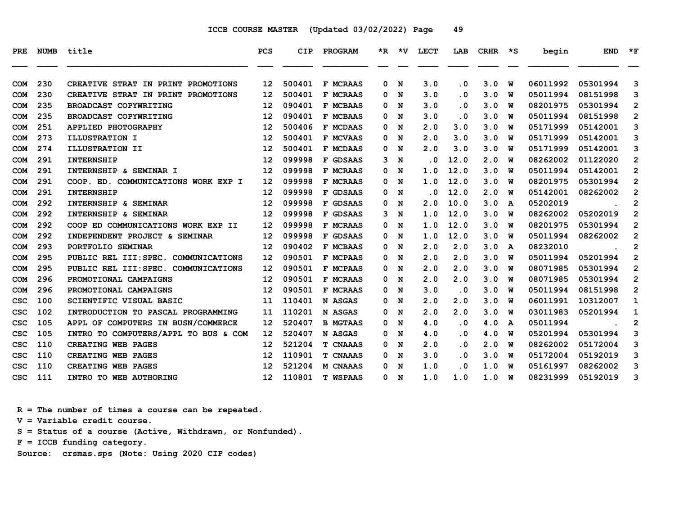| <b>PRE</b> |     | NUMB title                           | <b>PCS</b>        | CIP    | <b>PROGRAM</b>  |   |     | *R *V LECT | LAB                     | CRHR | $\star$ s | begin    | <b>END</b> | $*_{\mathbf{F}}$        |
|------------|-----|--------------------------------------|-------------------|--------|-----------------|---|-----|------------|-------------------------|------|-----------|----------|------------|-------------------------|
| <b>COM</b> | 230 | CREATIVE STRAT IN PRINT PROMOTIONS   | 12                | 500401 | <b>F MCRAAS</b> | 0 | N   | 3.0        | . 0                     | 3.0  | W         | 06011992 | 05301994   | 3                       |
| <b>COM</b> | 230 | CREATIVE STRAT IN PRINT PROMOTIONS   | 12                | 500401 | F MCRAAS        | 0 | N   | 3.0        | . 0                     | 3.0  | w         | 05011994 | 08151998   | 3                       |
| <b>COM</b> | 235 | BROADCAST COPYWRITING                | 12                | 090401 | F MCBAAS        | 0 | N   | 3.0        | . 0                     | 3.0  | W         | 08201975 | 05301994   | $\overline{2}$          |
| <b>COM</b> | 235 | BROADCAST COPYWRITING                | 12                | 090401 | F MCBAAS        | 0 | N   | 3.0        | $\cdot$ 0               | 3.0  | W         | 05011994 | 08151998   | $\overline{2}$          |
| <b>COM</b> | 251 | APPLIED PHOTOGRAPHY                  | 12                | 500406 | <b>F MCDAAS</b> | 0 | N   | 2.0        | 3.0                     | 3.0  | W         | 05171999 | 05142001   | 3                       |
| <b>COM</b> | 273 | ILLUSTRATION I                       | 12                | 500401 | <b>F MCVAAS</b> | 0 | N   | 2.0        | 3.0                     | 3.0  | w         | 05171999 | 05142001   | 3                       |
| <b>COM</b> | 274 | <b>ILLUSTRATION II</b>               | 12                | 500401 | F MCDAAS        | 0 | N   | 2.0        | 3.0                     | 3.0  | W         | 05171999 | 05142001   | 3                       |
| <b>COM</b> | 291 | <b>INTERNSHIP</b>                    | 12                | 099998 | F GDSAAS        | 3 | N   | $\cdot$ 0  | 12.0                    | 2.0  | W         | 08262002 | 01122020   | 2                       |
| <b>COM</b> | 291 | INTERNSHIP & SEMINAR I               | 12                | 099998 | F MCRAAS        | 0 | N   | 1.0        | 12.0                    | 3.0  | พ         | 05011994 | 05142001   | $\mathbf{2}$            |
| <b>COM</b> | 291 | COOP. ED. COMMUNICATIONS WORK EXP I  | 12                | 099998 | F MCRAAS        | 0 | N   | 1.0        | 12.0                    | 3.0  | w         | 08201975 | 05301994   | 2                       |
| <b>COM</b> | 291 | <b>INTERNSHIP</b>                    | 12                | 099998 | F GDSAAS        | 0 | N   | . 0        | 12.0                    | 2.0  | w         | 05142001 | 08262002   | $\overline{2}$          |
| <b>COM</b> | 292 | INTERNSHIP & SEMINAR                 | 12                | 099998 | F GDSAAS        | 0 | N   | 2.0        | 10.0                    | 3.0  | A         | 05202019 |            | $\overline{2}$          |
| <b>COM</b> | 292 | INTERNSHIP & SEMINAR                 | 12                | 099998 | F GDSAAS        | 3 | N   | 1.0        | 12.0                    | 3.0  | W         | 08262002 | 05202019   | $\overline{2}$          |
| <b>COM</b> | 292 | COOP ED COMMUNICATIONS WORK EXP II   | 12                | 099998 | F MCRAAS        | 0 | N   | 1.0        | 12.0                    | 3.0  | w         | 08201975 | 05301994   | $\overline{2}$          |
| <b>COM</b> | 292 | INDEPENDENT PROJECT & SEMINAR        | 12                | 099998 | F GDSAAS        | 0 | N   | 1.0        | 12.0                    | 3.0  | W         | 05011994 | 08262002   | $\overline{\mathbf{c}}$ |
| <b>COM</b> | 293 | PORTFOLIO SEMINAR                    | 12                | 090402 | <b>F MCBAAS</b> | 0 | N   | 2.0        | 2.0                     | 3.0  | A         | 08232010 |            | $\overline{\mathbf{2}}$ |
| <b>COM</b> | 295 | PUBLIC REL III: SPEC. COMMUNICATIONS | 12                | 090501 | F MCPAAS        | 0 | N   | 2.0        | 2.0                     | 3.0  | w         | 05011994 | 05201994   | $\mathbf{2}$            |
| <b>COM</b> | 295 | PUBLIC REL III: SPEC. COMMUNICATIONS | 12                | 090501 | F MCPAAS        | 0 | N   | 2.0        | 2.0                     | 3.0  | W         | 08071985 | 05301994   | $\mathbf{2}$            |
| <b>COM</b> | 296 | PROMOTIONAL CAMPAIGNS                | 12                | 090501 | F MCRAAS        | 0 | N   | 2.0        | 2.0                     | 3.0  | พ         | 08071985 | 05301994   | $\overline{2}$          |
| <b>COM</b> | 296 | PROMOTIONAL CAMPAIGNS                | 12                | 090501 | <b>F MCRAAS</b> | 0 | N   | 3.0        | $\cdot$ 0               | 3.0  | พ         | 05011994 | 08151998   | $\overline{2}$          |
| csc        | 100 | SCIENTIFIC VISUAL BASIC              | 11                | 110401 | N ASGAS         | 0 | N   | 2.0        | 2.0                     | 3.0  | W         | 06011991 | 10312007   | $\mathbf{1}$            |
| CSC        | 102 | INTRODUCTION TO PASCAL PROGRAMMING   | 11                | 110201 | N ASGAS         | 0 | N   | 2.0        | 2.0                     | 3.0  | w         | 03011983 | 05201994   | 1                       |
| csc        | 105 | APPL OF COMPUTERS IN BUSN/COMMERCE   | 12                | 520407 | <b>B MGTAAS</b> | 0 | N   | 4.0        | $\overline{\mathbf{0}}$ | 4.0  | A         | 05011994 |            | 2                       |
| CSC        | 105 | INTRO TO COMPUTERS/APPL TO BUS & COM | 12                | 520407 | N ASGAS         | 0 | N   | 4.0        | $\overline{\mathbf{0}}$ | 4.0  | W         | 05201994 | 05301994   | 3                       |
| CSC        | 110 | CREATING WEB PAGES                   | 12                | 521204 | T CNAAAS        | 0 | N   | 2.0        | . 0                     | 2.0  | w         | 08262002 | 05172004   | 3                       |
| CSC        | 110 | CREATING WEB PAGES                   | 12                | 110901 | <b>T CNAAAS</b> | 0 | N   | 3.0        | . 0                     | 3.0  | W         | 05172004 | 05192019   | 3                       |
| csc        | 110 | CREATING WEB PAGES                   | 12                | 521204 | <b>M CNAAAS</b> | 0 | N   | 1.0        | $\cdot$ 0               | 1.0  | W         | 05161997 | 08262002   | 3                       |
| csc        | 111 | INTRO TO WEB AUTHORING               | $12 \overline{ }$ | 110801 | <b>T WSPAAS</b> |   | 0 N | 1.0        | 1.0                     | 1.0  | W         | 08231999 | 05192019   | 3                       |

 **R = The number of times a course can be repeated.**

 **V = Variable credit course.**

 **S = Status of a course (Active, Withdrawn, or Nonfunded).**

 **F = ICCB funding category.**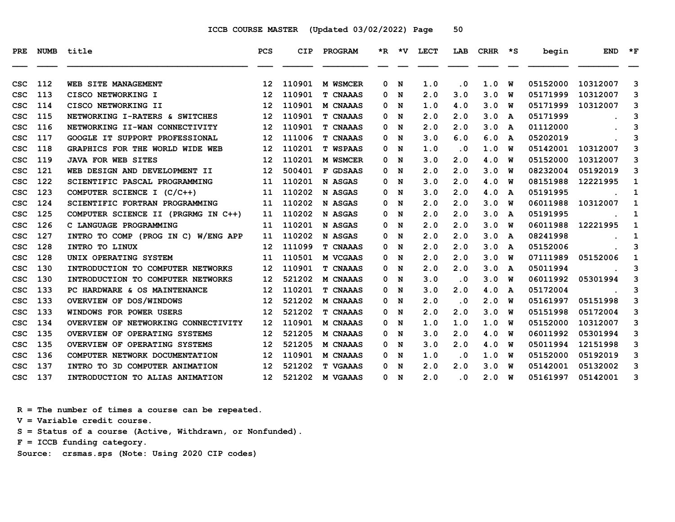| PRE        | <b>NUMB</b> | title                               | <b>PCS</b>        | <b>CIP</b> | PROGRAM         |   |     | *R *V LECT | LAB       | CRHR *S |   | begin    | <b>END</b> | $*_{\mathbf{F}}$ |
|------------|-------------|-------------------------------------|-------------------|------------|-----------------|---|-----|------------|-----------|---------|---|----------|------------|------------------|
| CSC        | 112         | WEB SITE MANAGEMENT                 | $12 \,$           | 110901     | M WSMCER        | 0 | N   | 1.0        | $\cdot$ 0 | 1.0     | W | 05152000 | 10312007   | 3                |
| <b>CSC</b> | 113         | CISCO NETWORKING I                  | $12 \overline{ }$ | 110901     | <b>T CNAAAS</b> | 0 | N   | 2.0        | 3.0       | 3.0     | w | 05171999 | 10312007   | 3                |
| <b>CSC</b> | 114         | CISCO NETWORKING II                 | $12 \overline{ }$ | 110901     | M CNAAAS        | 0 | N   | 1.0        | 4.0       | 3.0     | W | 05171999 | 10312007   | 3                |
| csc        | 115         | NETWORKING I-RATERS & SWITCHES      | 12                | 110901     | <b>T CNAAAS</b> | 0 | N   | 2.0        | 2.0       | 3.0     | A | 05171999 |            | 3                |
| csc        | 116         | NETWORKING II-WAN CONNECTIVITY      | 12                | 110901     | <b>T CNAAAS</b> | 0 | N   | 2.0        | 2.0       | 3.0     | A | 01112000 |            | 3                |
| csc        | 117         | GOOGLE IT SUPPORT PROFESSIONAL      | $12 \overline{ }$ | 111006     | <b>T CNAAAS</b> | 0 | N   | 3.0        | 6.0       | 6.0     | A | 05202019 |            | 3                |
| csc        | 118         | GRAPHICS FOR THE WORLD WIDE WEB     | $12 \overline{ }$ | 110201     | <b>T WSPAAS</b> | 0 | N   | 1.0        | $\cdot$ 0 | 1.0     | W | 05142001 | 10312007   | 3                |
| csc        | 119         | <b>JAVA FOR WEB SITES</b>           | $12 \overline{ }$ | 110201     | M WSMCER        | 0 | N   | 3.0        | 2.0       | 4.0     | W | 05152000 | 10312007   | 3                |
| CSC        | 121         | WEB DESIGN AND DEVELOPMENT II       | $12 \overline{ }$ | 500401     | F GDSAAS        | 0 | N   | 2.0        | 2.0       | 3.0     | W | 08232004 | 05192019   | 3                |
| CSC        | 122         | SCIENTIFIC PASCAL PROGRAMMING       | 11                | 110201     | N ASGAS         | 0 | N   | 3.0        | 2.0       | 4.0     | W | 08151988 | 12221995   | 1                |
| CSC        | 123         | COMPUTER SCIENCE I (C/C++)          | 11                | 110202     | N ASGAS         | 0 | N   | 3.0        | 2.0       | 4.0     | A | 05191995 |            | 1                |
| CSC        | 124         | SCIENTIFIC FORTRAN PROGRAMMING      | 11                | 110202     | N ASGAS         | 0 | N   | 2.0        | 2.0       | 3.0     | W | 06011988 | 10312007   | 1                |
| CSC        | 125         | COMPUTER SCIENCE II (PRGRMG IN C++) | 11                | 110202     | N ASGAS         | 0 | N   | 2.0        | 2.0       | 3.0     | A | 05191995 |            | 1                |
| CSC        | 126         | C LANGUAGE PROGRAMMING              | 11                | 110201     | N ASGAS         | 0 | N   | 2.0        | 2.0       | 3.0     | W | 06011988 | 12221995   | 1                |
| CSC        | 127         | INTRO TO COMP (PROG IN C) W/ENG APP | 11                | 110202     | N ASGAS         | 0 | N   | 2.0        | 2.0       | 3.0     | A | 08241998 |            | 1                |
| CSC        | 128         | INTRO TO LINUX                      | 12                | 111099     | <b>T CNAAAS</b> | 0 | N   | 2.0        | 2.0       | 3.0     | A | 05152006 |            | 3                |
| <b>CSC</b> | 128         | UNIX OPERATING SYSTEM               | 11                | 110501     | M VCGAAS        | 0 | N   | 2.0        | 2.0       | 3.0     | W | 07111989 | 05152006   | 1                |
| CSC        | 130         | INTRODUCTION TO COMPUTER NETWORKS   | $12 \,$           | 110901     | <b>T CNAAAS</b> | 0 | N   | 2.0        | 2.0       | 3.0     | A | 05011994 |            | 3                |
| csc        | 130         | INTRODUCTION TO COMPUTER NETWORKS   | $12 \overline{ }$ | 521202     | M CNAAAS        | 0 | N   | 3.0        | $\cdot$ 0 | 3.0     | W | 06011992 | 05301994   | 3                |
| CSC        | 133         | PC HARDWARE & OS MAINTENANCE        | 12                | 110201     | <b>T CNAAAS</b> | 0 | N   | 3.0        | 2.0       | 4.0     | A | 05172004 |            | 3                |
| csc        | 133         | OVERVIEW OF DOS/WINDOWS             | $12 \overline{ }$ | 521202     | M CNAAAS        | 0 | N   | 2.0        | $\cdot$ 0 | 2.0     | W | 05161997 | 05151998   | 3                |
| <b>CSC</b> | 133         | WINDOWS FOR POWER USERS             | $12 \overline{ }$ | 521202     | <b>T CNAAAS</b> | 0 | N   | 2.0        | 2.0       | 3.0     | W | 05151998 | 05172004   | 3                |
| CSC        | 134         | OVERVIEW OF NETWORKING CONNECTIVITY | $12 \,$           | 110901     | M CNAAAS        | 0 | N   | 1.0        | 1.0       | 1.0     | W | 05152000 | 10312007   | 3                |
| csc        | 135         | OVERVIEW OF OPERATING SYSTEMS       | $12 \overline{ }$ | 521205     | M CNAAAS        | 0 | N   | 3.0        | 2.0       | 4.0     | W | 06011992 | 05301994   | 3                |
| CSC        | 135         | OVERVIEW OF OPERATING SYSTEMS       | 12                | 521205     | M CNAAAS        | 0 | N   | 3.0        | 2.0       | 4.0     | W | 05011994 | 12151998   | 3                |
| CSC        | 136         | COMPUTER NETWORK DOCUMENTATION      | $12 \,$           | 110901     | <b>M CNAAAS</b> | 0 | N   | 1.0        | $\cdot$ 0 | 1.0     | W | 05152000 | 05192019   | 3                |
| <b>CSC</b> | 137         | INTRO TO 3D COMPUTER ANIMATION      | $12 \overline{ }$ | 521202     | <b>T VGAAAS</b> | 0 | N   | 2.0        | 2.0       | 3.0     | W | 05142001 | 05132002   | 3                |
| csc        | 137         | INTRODUCTION TO ALIAS ANIMATION     | 12 <sup>7</sup>   | 521202     | M VGAAAS        |   | 0 N | 2.0        | $\cdot$ 0 | 2.0 W   |   | 05161997 | 05142001   | 3                |

 **R = The number of times a course can be repeated.**

 **V = Variable credit course.**

 **S = Status of a course (Active, Withdrawn, or Nonfunded).**

 **F = ICCB funding category.**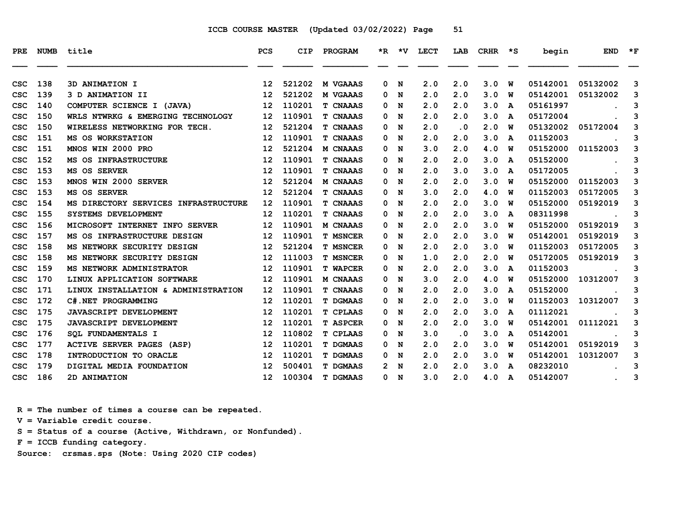| PRE        | <b>NUMB</b> | title                                | <b>PCS</b>        | <b>CIP</b> | PROGRAM         |   | *R *V | <b>LECT</b> | LAB | CRHR | $\star$ s | begin    | <b>END</b> | $\star$ F |
|------------|-------------|--------------------------------------|-------------------|------------|-----------------|---|-------|-------------|-----|------|-----------|----------|------------|-----------|
| CSC        | 138         | 3D ANIMATION I                       | 12 <sup>2</sup>   | 521202     | M VGAAAS        | 0 | N     | 2.0         | 2.0 | 3.0  | W         | 05142001 | 05132002   | 3         |
| CSC        | 139         | 3 D ANIMATION II                     | 12                | 521202     | <b>M VGAAAS</b> | 0 | N     | 2.0         | 2.0 | 3.0  | W         | 05142001 | 05132002   | 3         |
| CSC        | 140         | COMPUTER SCIENCE I (JAVA)            | 12                | 110201     | <b>T CNAAAS</b> | 0 | N     | 2.0         | 2.0 | 3.0  | A         | 05161997 |            | 3         |
| CSC        | 150         | WRLS NTWRKG & EMERGING TECHNOLOGY    | 12                | 110901     | <b>T CNAAAS</b> | 0 | N     | 2.0         | 2.0 | 3.0  | A         | 05172004 |            | 3         |
| CSC        | 150         | WIRELESS NETWORKING FOR TECH.        | 12                | 521204     | <b>T CNAAAS</b> | 0 | N     | 2.0         | . 0 | 2.0  | W         | 05132002 | 05172004   | 3         |
| CSC        | 151         | MS OS WORKSTATION                    | $12 \overline{ }$ | 110901     | <b>T CNAAAS</b> | 0 | N     | 2.0         | 2.0 | 3.0  | A         | 01152003 |            | 3         |
| <b>CSC</b> | 151         | MNOS WIN 2000 PRO                    | 12                | 521204     | M CNAAAS        | 0 | N     | 3.0         | 2.0 | 4.0  | W         | 05152000 | 01152003   | 3         |
| CSC        | 152         | <b>MS OS INFRASTRUCTURE</b>          | 12                | 110901     | <b>T CNAAAS</b> | 0 | N     | 2.0         | 2.0 | 3.0  | A         | 05152000 |            | 3         |
| CSC        | 153         | MS OS SERVER                         | 12                | 110901     | <b>T CNAAAS</b> | 0 | N     | 2.0         | 3.0 | 3.0  | A         | 05172005 |            | 3         |
| CSC        | 153         | MNOS WIN 2000 SERVER                 | $12 \overline{ }$ | 521204     | M CNAAAS        | 0 | N     | 2.0         | 2.0 | 3.0  | W         | 05152000 | 01152003   | 3         |
| csc        | 153         | MS OS SERVER                         | 12                | 521204     | <b>T CNAAAS</b> | 0 | N     | 3.0         | 2.0 | 4.0  | W         | 01152003 | 05172005   | 3         |
| <b>CSC</b> | 154         | MS DIRECTORY SERVICES INFRASTRUCTURE | 12                | 110901     | <b>T CNAAAS</b> | 0 | N     | 2.0         | 2.0 | 3.0  | W         | 05152000 | 05192019   | 3         |
| CSC        | 155         | SYSTEMS DEVELOPMENT                  | $12 \overline{ }$ | 110201     | <b>T CNAAAS</b> | 0 | N     | 2.0         | 2.0 | 3.0  | A         | 08311998 |            | 3         |
| CSC        | 156         | MICROSOFT INTERNET INFO SERVER       | 12                | 110901     | M CNAAAS        | 0 | N     | 2.0         | 2.0 | 3.0  | W         | 05152000 | 05192019   | 3         |
| CSC        | 157         | MS OS INFRASTRUCTURE DESIGN          | 12                | 110901     | <b>T MSNCER</b> | 0 | N     | 2.0         | 2.0 | 3.0  | W         | 05142001 | 05192019   | 3         |
| CSC        | 158         | MS NETWORK SECURITY DESIGN           | 12                | 521204     | <b>T MSNCER</b> | 0 | N     | 2.0         | 2.0 | 3.0  | W         | 01152003 | 05172005   | 3         |
| CSC        | 158         | MS NETWORK SECURITY DESIGN           | 12                | 111003     | <b>T MSNCER</b> | 0 | N     | 1.0         | 2.0 | 2.0  | W         | 05172005 | 05192019   | 3         |
| CSC        | 159         | MS NETWORK ADMINISTRATOR             | 12                | 110901     | <b>T WAPCER</b> | 0 | N     | 2.0         | 2.0 | 3.0  | A         | 01152003 |            | 3         |
| CSC        | 170         | LINUX APPLICATION SOFTWARE           | $12 \overline{ }$ | 110901     | M CNAAAS        | 0 | N     | 3.0         | 2.0 | 4.0  | W         | 05152000 | 10312007   | 3         |
| csc        | 171         | LINUX INSTALLATION & ADMINISTRATION  | $12 \overline{ }$ | 110901     | <b>T CNAAAS</b> | 0 | N     | 2.0         | 2.0 | 3.0  | A         | 05152000 |            | 3         |
| csc        | 172         | C#.NET PROGRAMMING                   | 12                | 110201     | <b>T DGMAAS</b> | 0 | N     | 2.0         | 2.0 | 3.0  | W         | 01152003 | 10312007   | 3         |
| CSC        | 175         | <b>JAVASCRIPT DEVELOPMENT</b>        | 12                | 110201     | <b>T CPLAAS</b> | 0 | N     | 2.0         | 2.0 | 3.0  | A         | 01112021 |            | 3         |
| CSC        | 175         | <b>JAVASCRIPT DEVELOPMENT</b>        | 12                | 110201     | <b>T ASPCER</b> | 0 | N     | 2.0         | 2.0 | 3.0  | W         | 05142001 | 01112021   | 3         |
| csc        | 176         | <b>SOL FUNDAMENTALS I</b>            | 12                | 110802     | <b>T CPLAAS</b> | 0 | N     | 3.0         | . 0 | 3.0  | A         | 05142001 |            | 3         |
| csc        | 177         | ACTIVE SERVER PAGES (ASP)            | 12                | 110201     | <b>T DGMAAS</b> | 0 | N     | 2.0         | 2.0 | 3.0  | W         | 05142001 | 05192019   | 3         |
| CSC        | 178         | INTRODUCTION TO ORACLE               | 12                | 110201     | <b>T DGMAAS</b> | 0 | N     | 2.0         | 2.0 | 3.0  | W         | 05142001 | 10312007   | 3         |
| CSC        | 179         | DIGITAL MEDIA FOUNDATION             | $12 \overline{ }$ | 500401     | <b>T DGMAAS</b> | 2 | N     | 2.0         | 2.0 | 3.0  | A         | 08232010 |            | 3         |
| csc        | 186         | 2D ANIMATION                         | 12 <sup>2</sup>   | 100304     | <b>T DGMAAS</b> |   | 0 N   | 3.0         | 2.0 | 4.0  | A         | 05142007 |            | 3         |

 **R = The number of times a course can be repeated.**

 **V = Variable credit course.**

 **S = Status of a course (Active, Withdrawn, or Nonfunded).**

 **F = ICCB funding category.**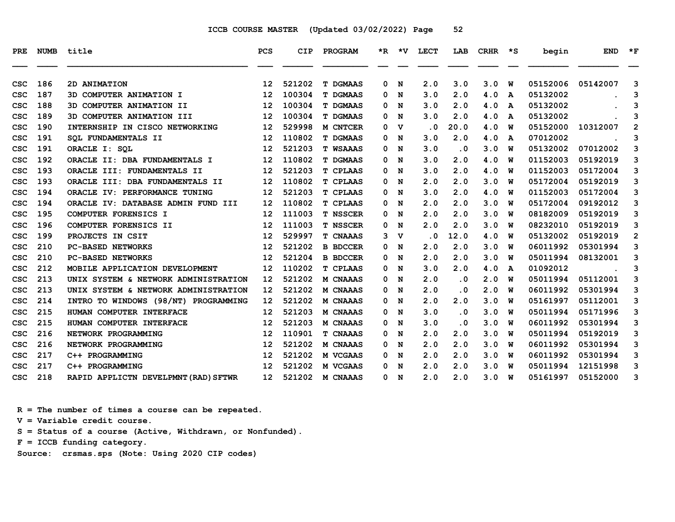| <b>PRE</b> | <b>NUMB</b> | title                                | <b>PCS</b>        | <b>CIP</b> | PROGRAM         |   |             | *R *V LECT                 | LAB       | <b>CRHR</b> | $\star$ s    | begin    | <b>END</b> | $*_{\mathbf{F}}$ |
|------------|-------------|--------------------------------------|-------------------|------------|-----------------|---|-------------|----------------------------|-----------|-------------|--------------|----------|------------|------------------|
| CSC        | 186         | 2D ANIMATION                         | 12                | 521202     | <b>T DGMAAS</b> | 0 | N           | 2.0                        | 3.0       | 3.0         | W            | 05152006 | 05142007   | 3                |
| CSC        | 187         | 3D COMPUTER ANIMATION I              | 12                | 100304     | <b>T DGMAAS</b> | 0 | N           | 3.0                        | 2.0       | 4.0         | A            | 05132002 |            | 3                |
| CSC        | 188         | 3D COMPUTER ANIMATION II             | $12 \overline{ }$ | 100304     | <b>T DGMAAS</b> | 0 | N           | 3.0                        | 2.0       | 4.0         | A            | 05132002 |            | 3                |
| csc        | 189         | 3D COMPUTER ANIMATION III            | 12                | 100304     | <b>T DGMAAS</b> | 0 | N           | 3.0                        | 2.0       | 4.0         | A            | 05132002 |            | 3                |
| csc        | 190         | INTERNSHIP IN CISCO NETWORKING       | 12                | 529998     | M CNTCER        | 0 | $\mathbf v$ | $\overline{\phantom{0}}$ . | 20.0      | 4.0         | W            | 05152000 | 10312007   | $\overline{2}$   |
| CSC        | 191         | SOL FUNDAMENTALS II                  | $12 \overline{ }$ | 110802     | <b>T DGMAAS</b> | 0 | N           | 3.0                        | 2.0       | 4.0         | A            | 07012002 |            | 3                |
| csc        | 191         | ORACLE I: SOL                        | 12                | 521203     | <b>T WSAAAS</b> | 0 | N           | 3.0                        | $\cdot$ 0 | 3.0         | W            | 05132002 | 07012002   | 3                |
| csc        | 192         | ORACLE II: DBA FUNDAMENTALS I        | $12 \overline{ }$ | 110802     | <b>T DGMAAS</b> | 0 | N           | 3.0                        | 2.0       | 4.0         | W            | 01152003 | 05192019   | 3                |
| CSC        | 193         | ORACLE III: FUNDAMENTALS II          | $12 \overline{ }$ | 521203     | <b>T CPLAAS</b> | 0 | N           | 3.0                        | 2.0       | 4.0         | W            | 01152003 | 05172004   | 3                |
| csc        | 193         | ORACLE III: DBA FUNDAMENTALS II      | $12 \overline{ }$ | 110802     | <b>T CPLAAS</b> | 0 | N           | 2.0                        | 2.0       | 3.0         | W            | 05172004 | 05192019   | 3                |
| csc        | 194         | ORACLE IV: PERFORMANCE TUNING        | 12                | 521203     | <b>T CPLAAS</b> | 0 | N           | 3.0                        | 2.0       | 4.0         | W            | 01152003 | 05172004   | 3                |
| CSC        | 194         | ORACLE IV: DATABASE ADMIN FUND III   | $12 \overline{ }$ | 110802     | <b>T CPLAAS</b> | 0 | N           | 2.0                        | 2.0       | 3.0         | W            | 05172004 | 09192012   | 3                |
| csc        | 195         | COMPUTER FORENSICS I                 | $12 \overline{ }$ | 111003     | <b>T NSSCER</b> | 0 | N           | 2.0                        | 2.0       | 3.0         | W            | 08182009 | 05192019   | 3                |
| CSC        | 196         | COMPUTER FORENSICS II                | 12                | 111003     | <b>T NSSCER</b> | 0 | N           | 2.0                        | 2.0       | 3.0         | W            | 08232010 | 05192019   | 3                |
| csc        | 199         | PROJECTS IN CSIT                     | 12                | 529997     | <b>T CNAAAS</b> | 3 | $\mathbf v$ | $\cdot$ 0                  | 12.0      | 4.0         | W            | 05132002 | 05192019   | $\overline{2}$   |
| csc        | 210         | <b>PC-BASED NETWORKS</b>             | 12                | 521202     | <b>B BDCCER</b> | 0 | N           | 2.0                        | 2.0       | 3.0         | W            | 06011992 | 05301994   | 3                |
| CSC        | 210         | <b>PC-BASED NETWORKS</b>             | 12                | 521204     | <b>B BDCCER</b> | 0 | N           | 2.0                        | 2.0       | 3.0         | W            | 05011994 | 08132001   | 3                |
| CSC        | 212         | MOBILE APPLICATION DEVELOPMENT       | $12 \overline{ }$ | 110202     | <b>T CPLAAS</b> | 0 | N           | 3.0                        | 2.0       | 4.0         | $\mathbf{A}$ | 01092012 |            | 3                |
| CSC        | 213         | UNIX SYSTEM & NETWORK ADMINISTRATION | $12 \overline{ }$ | 521202     | M CNAAAS        | 0 | N           | 2.0                        | . 0       | 2.0         | W            | 05011994 | 05112001   | 3                |
| CSC        | 213         | UNIX SYSTEM & NETWORK ADMINISTRATION | 12                | 521202     | M CNAAAS        | 0 | N           | 2.0                        | $\cdot$ 0 | 2.0         | W            | 06011992 | 05301994   | 3                |
| CSC        | 214         | INTRO TO WINDOWS (98/NT) PROGRAMMING | $12 \overline{ }$ | 521202     | <b>M CNAAAS</b> | 0 | N           | 2.0                        | 2.0       | 3.0         | W            | 05161997 | 05112001   | 3                |
| CSC        | 215         | HUMAN COMPUTER INTERFACE             | 12                | 521203     | M CNAAAS        | 0 | N           | 3.0                        | $\cdot$ 0 | 3.0         | W            | 05011994 | 05171996   | 3                |
| CSC        | 215         | HUMAN COMPUTER INTERFACE             | 12                | 521203     | M CNAAAS        | 0 | N           | 3.0                        | $\cdot$ 0 | 3.0         | W            | 06011992 | 05301994   | 3                |
| CSC        | 216         | NETWORK PROGRAMMING                  | 12                | 110901     | <b>T CNAAAS</b> | 0 | N           | 2.0                        | 2.0       | 3.0         | W            | 05011994 | 05192019   | 3                |
| CSC        | 216         | NETWORK PROGRAMMING                  | 12                | 521202     | M CNAAAS        | 0 | N           | 2.0                        | 2.0       | 3.0         | W            | 06011992 | 05301994   | 3                |
| CSC        | 217         | C++ PROGRAMMING                      | $12 \overline{ }$ | 521202     | M VCGAAS        | 0 | N           | 2.0                        | 2.0       | 3.0         | W            | 06011992 | 05301994   | 3                |
| CSC        | 217         | C++ PROGRAMMING                      | 12                | 521202     | M VCGAAS        | 0 | N           | 2.0                        | 2.0       | 3.0         | W            | 05011994 | 12151998   | 3                |
| csc        | 218         | RAPID APPLICTN DEVELPMNT (RAD) SFTWR | 12 <sup>7</sup>   | 521202     | M CNAAAS        | 0 | N           | 2.0                        | 2.0       | 3.0         | W            | 05161997 | 05152000   | 3                |

 **R = The number of times a course can be repeated.**

 **V = Variable credit course.**

 **S = Status of a course (Active, Withdrawn, or Nonfunded).**

 **F = ICCB funding category.**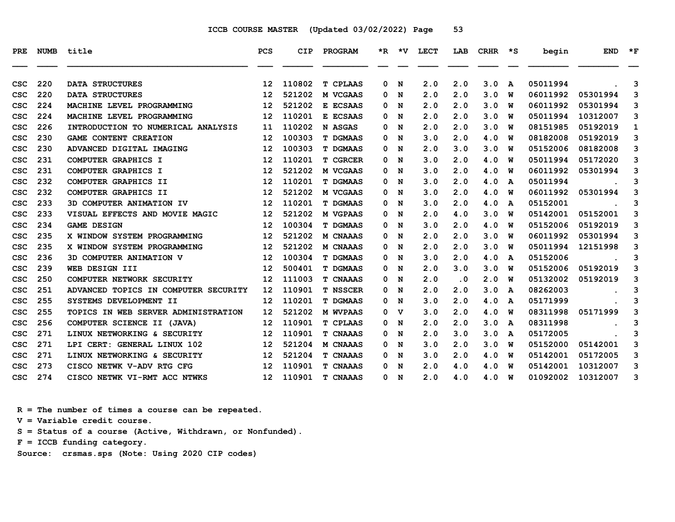| PRE        | <b>NUMB</b> | title                                | <b>PCS</b>      | <b>CIP</b> | PROGRAM         |   |     | *R *V LECT | LAB       | <b>CRHR</b> | $\star$ s | begin    | <b>END</b> | $*_{\mathbf{F}}$ |
|------------|-------------|--------------------------------------|-----------------|------------|-----------------|---|-----|------------|-----------|-------------|-----------|----------|------------|------------------|
| CSC        | 220         | <b>DATA STRUCTURES</b>               | 12              | 110802     | <b>T CPLAAS</b> | 0 | N   | 2.0        | 2.0       | 3.0         | A         | 05011994 |            | 3                |
| csc        | 220         | <b>DATA STRUCTURES</b>               | 12              | 521202     | M VCGAAS        | 0 | N   | 2.0        | 2.0       | 3.0         | พ         | 06011992 | 05301994   | 3                |
| csc        | 224         | MACHINE LEVEL PROGRAMMING            | 12              | 521202     | E ECSAAS        | 0 | N   | 2.0        | 2.0       | 3.0         | พ         | 06011992 | 05301994   | 3                |
| CSC        | 224         | MACHINE LEVEL PROGRAMMING            | 12              | 110201     | E ECSAAS        | 0 | N   | 2.0        | 2.0       | 3.0         | w         | 05011994 | 10312007   | 3                |
| CSC        | 226         | INTRODUCTION TO NUMERICAL ANALYSIS   | 11              | 110202     | N ASGAS         | 0 | N   | 2.0        | 2.0       | 3.0         | w         | 08151985 | 05192019   | 1                |
| CSC        | 230         | GAME CONTENT CREATION                | 12              | 100303     | <b>T DGMAAS</b> | 0 | N   | 3.0        | 2.0       | 4.0         | พ         | 08182008 | 05192019   | 3                |
| CSC        | 230         | ADVANCED DIGITAL IMAGING             | 12              | 100303     | <b>T DGMAAS</b> | 0 | N   | 2.0        | 3.0       | 3.0         | พ         | 05152006 | 08182008   | 3                |
| CSC        | 231         | COMPUTER GRAPHICS I                  | 12              | 110201     | <b>T CGRCER</b> | 0 | N   | 3.0        | 2.0       | 4.0         | W         | 05011994 | 05172020   | 3                |
| CSC        | 231         | COMPUTER GRAPHICS I                  | 12              | 521202     | M VCGAAS        | 0 | N   | 3.0        | 2.0       | 4.0         | W         | 06011992 | 05301994   | 3                |
| CSC        | 232         | COMPUTER GRAPHICS II                 | 12              | 110201     | <b>T DGMAAS</b> | 0 | N   | 3.0        | 2.0       | 4.0         | A         | 05011994 |            | 3                |
| csc        | 232         | COMPUTER GRAPHICS II                 | 12              | 521202     | M VCGAAS        | 0 | N   | 3.0        | 2.0       | 4.0         | พ         | 06011992 | 05301994   | 3                |
| <b>CSC</b> | 233         | 3D COMPUTER ANIMATION IV             | 12              | 110201     | <b>T DGMAAS</b> | 0 | N   | 3.0        | 2.0       | 4.0         | A         | 05152001 |            | 3                |
| CSC        | 233         | VISUAL EFFECTS AND MOVIE MAGIC       | 12              | 521202     | M VGPAAS        | 0 | N   | 2.0        | 4.0       | 3.0         | W         | 05142001 | 05152001   | 3                |
| CSC        | 234         | <b>GAME DESIGN</b>                   | 12              | 100304     | <b>T DGMAAS</b> | 0 | N   | 3.0        | 2.0       | 4.0         | W         | 05152006 | 05192019   | 3                |
| CSC        | 235         | X WINDOW SYSTEM PROGRAMMING          | 12              | 521202     | <b>M CNAAAS</b> | 0 | N   | 2.0        | 2.0       | 3.0         | w         | 06011992 | 05301994   | 3                |
| csc        | 235         | X WINDOW SYSTEM PROGRAMMING          | 12              | 521202     | <b>M CNAAAS</b> | 0 | N   | 2.0        | 2.0       | 3.0         | W         | 05011994 | 12151998   | 3                |
| csc        | 236         | 3D COMPUTER ANIMATION V              | 12              | 100304     | <b>T DGMAAS</b> | 0 | N   | 3.0        | 2.0       | 4.0         | A         | 05152006 |            | 3                |
| CSC        | 239         | WEB DESIGN III                       | 12              | 500401     | <b>T DGMAAS</b> | 0 | N   | 2.0        | 3.0       | 3.0         | พ         | 05152006 | 05192019   | 3                |
| CSC        | 250         | COMPUTER NETWORK SECURITY            | 12              | 111003     | T CNAAAS        | 0 | N   | 2.0        | $\cdot$ 0 | 2.0         | พ         | 05132002 | 05192019   | 3                |
| CSC        | 251         | ADVANCED TOPICS IN COMPUTER SECURITY | 12              | 110901     | <b>T NSSCER</b> | 0 | N   | 2.0        | 2.0       | 3.0         | A         | 08262003 |            | 3                |
| CSC        | 255         | SYSTEMS DEVELOPMENT II               | 12              | 110201     | <b>T DGMAAS</b> | 0 | N   | 3.0        | 2.0       | 4.0         | A         | 05171999 |            | 3                |
| CSC        | 255         | TOPICS IN WEB SERVER ADMINISTRATION  | 12              | 521202     | <b>M WVPAAS</b> | 0 | v   | 3.0        | 2.0       | 4.0         | พ         | 08311998 | 05171999   | 3                |
| CSC        | 256         | COMPUTER SCIENCE II (JAVA)           | 12              | 110901     | <b>T CPLAAS</b> | 0 | N   | 2.0        | 2.0       | 3.0         | A         | 08311998 |            | 3                |
| CSC        | 271         | LINUX NETWORKING & SECURITY          | 12              | 110901     | <b>T CNAAAS</b> | 0 | N   | 2.0        | 3.0       | 3.0         | A         | 05172005 |            | 3                |
| csc        | 271         | LPI CERT: GENERAL LINUX 102          | 12              | 521204     | M CNAAAS        | 0 | N   | 3.0        | 2.0       | 3.0         | พ         | 05152000 | 05142001   | 3                |
| csc        | 271         | LINUX NETWORKING & SECURITY          | 12              | 521204     | <b>T CNAAAS</b> | 0 | N   | 3.0        | 2.0       | 4.0         | W         | 05142001 | 05172005   | 3                |
| csc        | 273         | CISCO NETWK V-ADV RTG CFG            | 12              | 110901     | <b>T CNAAAS</b> | 0 | N   | 2.0        | 4.0       | 4.0         | W         | 05142001 | 10312007   | 3                |
| csc        | 274         | CISCO NETWK VI-RMT ACC NTWKS         | 12 <sup>°</sup> | 110901     | <b>T CNAAAS</b> |   | 0 N | 2.0        | 4.0       | 4.0         | W         | 01092002 | 10312007   | 3                |

 **R = The number of times a course can be repeated.**

 **V = Variable credit course.**

 **S = Status of a course (Active, Withdrawn, or Nonfunded).**

 **F = ICCB funding category.**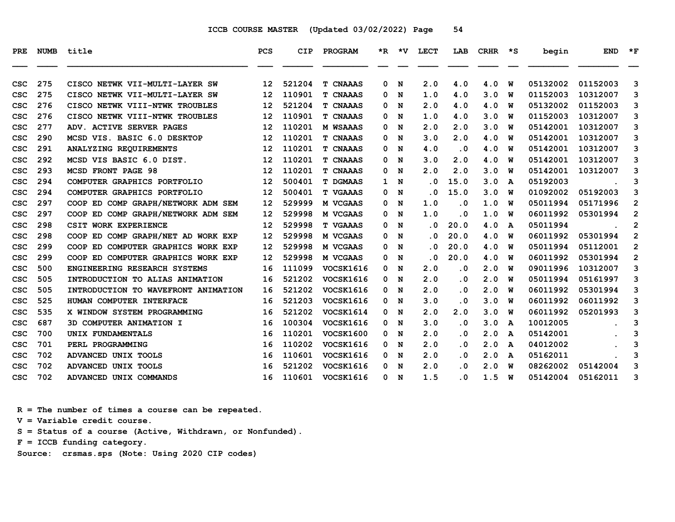| PRE        |     | NUMB title                          | <b>PCS</b>        | <b>CIP</b> | <b>PROGRAM</b>   |              |     | *R *V LECT              | LAB                     | CRHR | $\star$ s    | begin    | <b>END</b> | $\star_{\mathbf{F}}$ |
|------------|-----|-------------------------------------|-------------------|------------|------------------|--------------|-----|-------------------------|-------------------------|------|--------------|----------|------------|----------------------|
|            |     |                                     |                   |            |                  |              |     |                         |                         |      |              |          |            |                      |
| CSC        | 275 | CISCO NETWK VII-MULTI-LAYER SW      | 12                | 521204     | <b>T CNAAAS</b>  | 0            | N   | 2.0                     | 4.0                     | 4.0  | W            | 05132002 | 01152003   | 3                    |
| CSC        | 275 | CISCO NETWK VII-MULTI-LAYER SW      | 12                | 110901     | <b>T CNAAAS</b>  | 0            | N   | 1.0                     | 4.0                     | 3.0  | w            | 01152003 | 10312007   | 3                    |
| CSC        | 276 | CISCO NETWK VIII-NTWK TROUBLES      | 12                | 521204     | <b>T CNAAAS</b>  | 0            | N   | 2.0                     | 4.0                     | 4.0  | W            | 05132002 | 01152003   | 3                    |
| CSC        | 276 | CISCO NETWK VIII-NTWK TROUBLES      | 12                | 110901     | T CNAAAS         | 0            | N   | 1.0                     | 4.0                     | 3.0  | w            | 01152003 | 10312007   | 3                    |
| CSC        | 277 | ADV. ACTIVE SERVER PAGES            | 12                | 110201     | <b>M WSAAAS</b>  | 0            | N   | 2.0                     | 2.0                     | 3.0  | w            | 05142001 | 10312007   | 3                    |
| CSC        | 290 | MCSD VIS. BASIC 6.0 DESKTOP         | 12                | 110201     | T CNAAAS         | 0            | N   | 3.0                     | 2.0                     | 4.0  | w            | 05142001 | 10312007   | 3                    |
| CSC        | 291 | ANALYZING REQUIREMENTS              | 12                | 110201     | <b>T CNAAAS</b>  | 0            | N   | 4.0                     | $\overline{\mathbf{0}}$ | 4.0  | w            | 05142001 | 10312007   | 3                    |
| CSC        | 292 | MCSD VIS BASIC 6.0 DIST.            | 12                | 110201     | <b>T CNAAAS</b>  | 0            | N   | 3.0                     | 2.0                     | 4.0  | W            | 05142001 | 10312007   | 3                    |
| CSC        | 293 | <b>MCSD FRONT PAGE 98</b>           | 12                | 110201     | T CNAAAS         | 0            | N   | 2.0                     | 2.0                     | 3.0  | พ            | 05142001 | 10312007   | 3                    |
| CSC        | 294 | COMPUTER GRAPHICS PORTFOLIO         | 12                | 500401     | <b>T DGMAAS</b>  | $\mathbf{1}$ | N   | $\overline{\mathbf{0}}$ | 15.0                    | 3.0  | A            | 05192003 |            | 3                    |
| CSC        | 294 | COMPUTER GRAPHICS PORTFOLIO         | 12                | 500401     | <b>T VGAAAS</b>  | 0            | N   | . 0                     | 15.0                    | 3.0  | w            | 01092002 | 05192003   | 3                    |
| csc        | 297 | COOP ED COMP GRAPH/NETWORK ADM SEM  | $12 \overline{ }$ | 529999     | M VCGAAS         | 0            | N   | 1.0                     | $\overline{\mathbf{0}}$ | 1.0  | w            | 05011994 | 05171996   | $\mathbf{2}$         |
| CSC        | 297 | COOP ED COMP GRAPH/NETWORK ADM SEM  | 12                | 529998     | M VCGAAS         | 0            | N   | 1.0                     | $\cdot$ 0               | 1.0  | W            | 06011992 | 05301994   | $\mathbf{2}$         |
| CSC        | 298 | CSIT WORK EXPERIENCE                | 12                | 529998     | <b>T VGAAAS</b>  | 0            | N   | $\overline{\mathbf{0}}$ | 20.0                    | 4.0  | A            | 05011994 |            | $\mathbf{2}$         |
| CSC        | 298 | COOP ED COMP GRAPH/NET AD WORK EXP  | 12                | 529998     | M VCGAAS         | 0            | N   | . 0                     | 20.0                    | 4.0  | W            | 06011992 | 05301994   | $\overline{2}$       |
| CSC        | 299 | COOP ED COMPUTER GRAPHICS WORK EXP  | 12                | 529998     | M VCGAAS         | 0            | N   | . 0                     | 20.0                    | 4.0  | w            | 05011994 | 05112001   | $\overline{2}$       |
| CSC        | 299 | COOP ED COMPUTER GRAPHICS WORK EXP  | $12 \overline{ }$ | 529998     | M VCGAAS         | 0            | N   | . 0                     | 20.0                    | 4.0  | W            | 06011992 | 05301994   | $\overline{2}$       |
| CSC        | 500 | ENGINEERING RESEARCH SYSTEMS        | 16                | 111099     | VOCSK1616        | 0            | N   | 2.0                     | $\overline{\mathbf{0}}$ | 2.0  | W            | 09011996 | 10312007   | 3                    |
| CSC        | 505 | INTRODUCTION TO ALIAS ANIMATION     | 16                | 521202     | VOCSK1616        | 0            | N   | 2.0                     | $\overline{\mathbf{0}}$ | 2.0  | พ            | 05011994 | 05161997   | 3                    |
| CSC        | 505 | INTRODUCTION TO WAVEFRONT ANIMATION | 16                | 521202     | VOCSK1616        | 0            | N   | 2.0                     | $\overline{\mathbf{0}}$ | 2.0  | w            | 06011992 | 05301994   | 3                    |
| CSC        | 525 | HUMAN COMPUTER INTERFACE            | 16                | 521203     | <b>VOCSK1616</b> | 0            | N   | 3.0                     | $\overline{\mathbf{0}}$ | 3.0  | w            | 06011992 | 06011992   | 3                    |
| CSC        | 535 | X WINDOW SYSTEM PROGRAMMING         | 16                | 521202     | VOCSK1614        | 0            | N   | 2.0                     | 2.0                     | 3.0  | W            | 06011992 | 05201993   | 3                    |
| CSC        | 687 | 3D COMPUTER ANIMATION I             | 16                | 100304     | <b>VOCSK1616</b> | 0            | N   | 3.0                     | $\overline{\mathbf{0}}$ | 3.0  | A            | 10012005 |            | 3                    |
| CSC        | 700 | UNIX FUNDAMENTALS                   | 16                | 110201     | <b>VOCSK1600</b> | 0            | N   | 2.0                     | $\overline{\mathbf{0}}$ | 2.0  | A            | 05142001 |            | 3                    |
| CSC        | 701 | PERL PROGRAMMING                    | 16                | 110202     | <b>VOCSK1616</b> |              | 0 N | 2.0                     | . 0                     | 2.0  | A            | 04012002 |            | 3                    |
| CSC        | 702 | ADVANCED UNIX TOOLS                 | 16                | 110601     | VOCSK1616        | 0            | N   | 2.0                     | $\cdot$ 0               | 2.0  | $\mathbf{A}$ | 05162011 |            | 3                    |
| CSC        | 702 | ADVANCED UNIX TOOLS                 | 16                | 521202     | VOCSK1616        | 0            | N   | 2.0                     | . 0                     | 2.0  | w            | 08262002 | 05142004   | 3                    |
| <b>CSC</b> | 702 | ADVANCED UNIX COMMANDS              | 16                | 110601     | <b>VOCSK1616</b> |              | 0 N | 1.5                     | . 0                     | 1.5  | W            | 05142004 | 05162011   | 3                    |

 **R = The number of times a course can be repeated.**

 **V = Variable credit course.**

 **S = Status of a course (Active, Withdrawn, or Nonfunded).**

 **F = ICCB funding category.**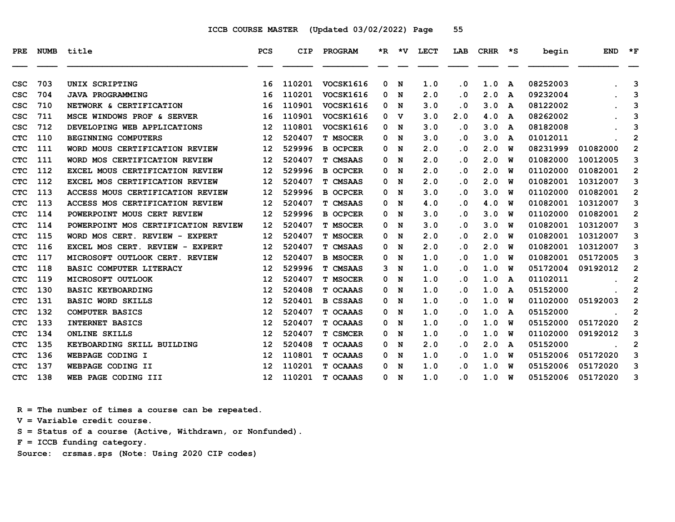| PRE        | <b>NUMB</b> | title                               | <b>PCS</b>        | <b>CIP</b> | PROGRAM          |   | *R *V       | <b>LECT</b> | LAB       | <b>CRHR</b> | $\star$ s | begin    | <b>END</b> | $*_{\mathbf{F}}$ |
|------------|-------------|-------------------------------------|-------------------|------------|------------------|---|-------------|-------------|-----------|-------------|-----------|----------|------------|------------------|
| CSC        | 703         | UNIX SCRIPTING                      | 16                | 110201     | VOCSK1616        | 0 | N           | 1.0         | $\cdot$ 0 | 1.0         | A         | 08252003 |            | 3                |
| csc        | 704         | <b>JAVA PROGRAMMING</b>             | 16                | 110201     | <b>VOCSK1616</b> | 0 | N           | 2.0         | $\cdot$ 0 | 2.0         | A         | 09232004 |            | 3                |
| CSC        | 710         | NETWORK & CERTIFICATION             | 16                | 110901     | VOCSK1616        | 0 | N           | 3.0         | $\cdot$ 0 | 3.0         | A         | 08122002 |            | 3                |
| CSC        | 711         | MSCE WINDOWS PROF & SERVER          | 16                | 110901     | <b>VOCSK1616</b> | 0 | v           | 3.0         | 2.0       | 4.0         | A         | 08262002 |            | 3                |
| CSC        | 712         | DEVELOPING WEB APPLICATIONS         | 12                | 110801     | VOCSK1616        | 0 | N           | 3.0         | $\cdot$ 0 | 3.0         | A         | 08182008 |            | 3                |
| <b>CTC</b> | 110         | <b>BEGINNING COMPUTERS</b>          | 12                | 520407     | <b>T MSOCER</b>  | 0 | N           | 3.0         | $\cdot$ 0 | 3.0         | A         | 01012011 |            | $\mathbf{2}$     |
| <b>CTC</b> | 111         | WORD MOUS CERTIFICATION REVIEW      | 12                | 529996     | <b>B OCPCER</b>  | 0 | N           | 2.0         | $\cdot$ 0 | 2.0         | W         | 08231999 | 01082000   | $\mathbf{2}$     |
| <b>CTC</b> | 111         | WORD MOS CERTIFICATION REVIEW       | $12 \overline{ }$ | 520407     | <b>T CMSAAS</b>  | 0 | N           | 2.0         | . 0       | 2.0         | W         | 01082000 | 10012005   | 3                |
| <b>CTC</b> | 112         | EXCEL MOUS CERTIFICATION REVIEW     | 12                | 529996     | <b>B OCPCER</b>  | 0 | N           | 2.0         | . 0       | 2.0         | W         | 01102000 | 01082001   | $\overline{2}$   |
| <b>CTC</b> | 112         | EXCEL MOS CERTIFICATION REVIEW      | 12                | 520407     | <b>T CMSAAS</b>  | 0 | N           | 2.0         | $\cdot$ 0 | 2.0         | W         | 01082001 | 10312007   | 3                |
| <b>CTC</b> | 113         | ACCESS MOUS CERTIFICATION REVIEW    | 12                | 529996     | <b>B OCPCER</b>  | 0 | N           | 3.0         | $\cdot$ 0 | 3.0         | W         | 01102000 | 01082001   | $\overline{2}$   |
| <b>CTC</b> | 113         | ACCESS MOS CERTIFICATION REVIEW     | $12 \overline{ }$ | 520407     | <b>T CMSAAS</b>  | 0 | N           | 4.0         | $\cdot$ 0 | 4.0         | W         | 01082001 | 10312007   | 3                |
| <b>CTC</b> | 114         | POWERPOINT MOUS CERT REVIEW         | 12                | 529996     | <b>B OCPCER</b>  | 0 | N           | 3.0         | . 0       | 3.0         | W         | 01102000 | 01082001   | $\overline{2}$   |
| <b>CTC</b> | 114         | POWERPOINT MOS CERTIFICATION REVIEW | 12                | 520407     | <b>T MSOCER</b>  | 0 | N           | 3.0         | . 0       | 3.0         | W         | 01082001 | 10312007   | 3                |
| <b>CTC</b> | 115         | WORD MOS CERT. REVIEW - EXPERT      | 12                | 520407     | <b>T MSOCER</b>  | 0 | N           | 2.0         | $\cdot$ 0 | 2.0         | W         | 01082001 | 10312007   | 3                |
| <b>CTC</b> | 116         | EXCEL MOS CERT. REVIEW - EXPERT     | $12 \overline{ }$ | 520407     | <b>T CMSAAS</b>  | 0 | N           | 2.0         | $\cdot$ 0 | 2.0         | W         | 01082001 | 10312007   | 3                |
| <b>CTC</b> | 117         | MICROSOFT OUTLOOK CERT. REVIEW      | $12 \overline{ }$ | 520407     | <b>B MSOCER</b>  | 0 | N           | 1.0         | $\cdot$ 0 | 1.0         | W         | 01082001 | 05172005   | 3                |
| <b>CTC</b> | 118         | <b>BASIC COMPUTER LITERACY</b>      | $12 \overline{ }$ | 529996     | <b>T CMSAAS</b>  | 3 | N           | 1.0         | $\cdot$ 0 | 1.0         | W         | 05172004 | 09192012   | 2                |
| <b>CTC</b> | 119         | MICROSOFT OUTLOOK                   | 12                | 520407     | <b>T MSOCER</b>  | 0 | N           | 1.0         | . 0       | 1.0         | A         | 01102011 |            | $\mathbf{2}$     |
| <b>CTC</b> | 130         | <b>BASIC KEYBOARDING</b>            | 12                | 520408     | T OCAAAS         | 0 | N           | 1.0         | . 0       | 1.0         | A         | 05152000 |            | $\mathbf{2}$     |
| <b>CTC</b> | 131         | <b>BASIC WORD SKILLS</b>            | 12                | 520401     | <b>B CSSAAS</b>  | 0 | N           | 1.0         | $\cdot$ 0 | 1.0         | W         | 01102000 | 05192003   | $\overline{2}$   |
| <b>CTC</b> | 132         | <b>COMPUTER BASICS</b>              | 12                | 520407     | T OCAAAS         | 0 | N           | 1.0         | $\cdot$ 0 | 1.0         | A         | 05152000 |            | 2                |
| <b>CTC</b> | 133         | <b>INTERNET BASICS</b>              | $12 \overline{ }$ | 520407     | T OCAAAS         | 0 | N           | 1.0         | $\cdot$ 0 | 1.0         | W         | 05152000 | 05172020   | 2                |
| <b>CTC</b> | 134         | <b>ONLINE SKILLS</b>                | 12                | 520407     | T CSMCER         | 0 | N           | 1.0         | . 0       | 1.0         | W         | 01102000 | 09192012   | 3                |
| <b>CTC</b> | 135         | KEYBOARDING SKILL BUILDING          | 12                | 520408     | T OCAAAS         | 0 | N           | 2.0         | $\cdot$ 0 | 2.0         | A         | 05152000 |            | $\mathbf{2}$     |
| <b>CTC</b> | 136         | WEBPAGE CODING I                    | 12                | 110801     | T OCAAAS         | 0 | N           | 1.0         | $\cdot$ 0 | 1.0         | W         | 05152006 | 05172020   | 3                |
| <b>CTC</b> | 137         | WEBPAGE CODING II                   | 12                | 110201     | T OCAAAS         | 0 | N           | 1.0         | . 0       | 1.0         | W         | 05152006 | 05172020   | 3                |
| <b>CTC</b> | 138         | WEB PAGE CODING III                 | $12 \overline{ }$ | 110201     | T OCAAAS         | 0 | $\mathbf N$ | 1.0         | . 0       | 1.0         | W         | 05152006 | 05172020   | 3                |

 **R = The number of times a course can be repeated.**

 **V = Variable credit course.**

 **S = Status of a course (Active, Withdrawn, or Nonfunded).**

 **F = ICCB funding category.**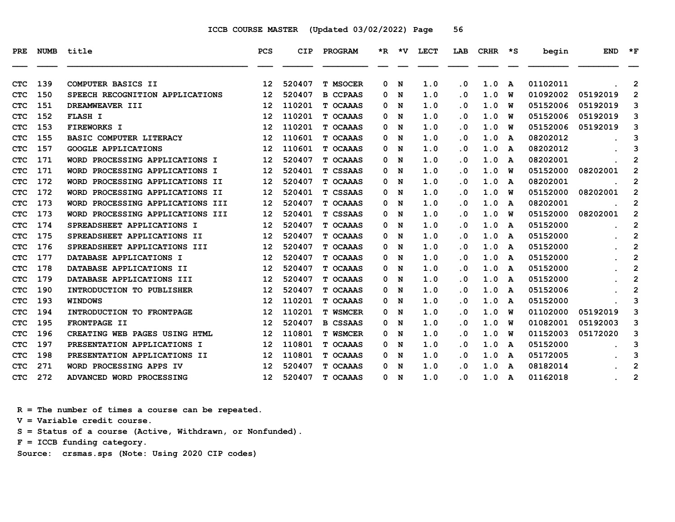| <b>PRE</b> | NUMB | title                                    | <b>PCS</b>        | CIP    | <b>PROGRAM</b>  |   | $*R$ $*V$ | LECT | LAB                     | CRHR | $\star$ s    | begin    | <b>END</b> | $*_{\mathbf{F}}$ |
|------------|------|------------------------------------------|-------------------|--------|-----------------|---|-----------|------|-------------------------|------|--------------|----------|------------|------------------|
| <b>CTC</b> | 139  | COMPUTER BASICS II                       | 12                | 520407 | <b>T MSOCER</b> | 0 | N         | 1.0  | . 0                     | 1.0  | A            | 01102011 |            | 2                |
| <b>CTC</b> | 150  | SPEECH RECOGNITION APPLICATIONS          | 12                | 520407 | <b>B CCPAAS</b> | 0 | N         | 1.0  | . 0                     | 1.0  | W            | 01092002 | 05192019   | $\overline{2}$   |
| <b>CTC</b> | 151  | DREAMWEAVER III                          | 12                | 110201 | T OCAAAS        | 0 | N         | 1.0  | . 0                     | 1.0  | W            | 05152006 | 05192019   | 3                |
| <b>CTC</b> | 152  | <b>FLASH I</b>                           | 12                | 110201 | T OCAAAS        | 0 | N         | 1.0  | . 0                     | 1.0  | W            | 05152006 | 05192019   | 3                |
| <b>CTC</b> | 153  | <b>FIREWORKS I</b>                       | 12                | 110201 | T OCAAAS        | 0 | N         | 1.0  | . 0                     | 1.0  | พ            | 05152006 | 05192019   | 3                |
| <b>CTC</b> | 155  | <b>BASIC COMPUTER LITERACY</b>           | 12                | 110601 | T OCAAAS        | 0 | N         | 1.0  | . 0                     | 1.0  | A            | 08202012 |            | 3                |
| <b>CTC</b> | 157  | <b>GOOGLE APPLICATIONS</b>               | 12                | 110601 | T OCAAAS        | 0 | N         | 1.0  | . 0                     | 1.0  | A            | 08202012 |            | 3                |
| <b>CTC</b> | 171  | WORD PROCESSING APPLICATIONS I           | 12                | 520407 | T OCAAAS        | 0 | N         | 1.0  | . 0                     | 1.0  | A            | 08202001 |            | $\mathbf{2}$     |
| <b>CTC</b> | 171  | PROCESSING APPLICATIONS I<br><b>WORD</b> | 12                | 520401 | T CSSAAS        | 0 | N         | 1.0  | . 0                     | 1.0  | พ            | 05152000 | 08202001   | $\overline{2}$   |
| <b>CTC</b> | 172  | WORD PROCESSING APPLICATIONS II          | 12                | 520407 | T OCAAAS        | 0 | N         | 1.0  | . 0                     | 1.0  | A            | 08202001 |            | $\overline{2}$   |
| <b>CTC</b> | 172  | WORD PROCESSING APPLICATIONS II          | 12                | 520401 | T CSSAAS        | 0 | N         | 1.0  | . 0                     | 1.0  | พ            | 05152000 | 08202001   | $\mathbf 2$      |
| <b>CTC</b> | 173  | WORD PROCESSING APPLICATIONS III         | 12                | 520407 | T OCAAAS        | 0 | N         | 1.0  | . 0                     | 1.0  | A            | 08202001 |            | $\mathbf{2}$     |
| <b>CTC</b> | 173  | WORD PROCESSING APPLICATIONS III         | 12                | 520401 | T CSSAAS        | 0 | N         | 1.0  | . 0                     | 1.0  | w            | 05152000 | 08202001   | 2                |
| <b>CTC</b> | 174  | SPREADSHEET APPLICATIONS I               | 12                | 520407 | T OCAAAS        | 0 | N         | 1.0  | . 0                     | 1.0  | A            | 05152000 |            | $\mathbf{2}$     |
| <b>CTC</b> | 175  | SPREADSHEET APPLICATIONS II              | 12                | 520407 | T OCAAAS        | 0 | N         | 1.0  | . 0                     | 1.0  | A            | 05152000 |            | $\overline{2}$   |
| <b>CTC</b> | 176  | SPREADSHEET APPLICATIONS III             | 12                | 520407 | T OCAAAS        | 0 | N         | 1.0  | . 0                     | 1.0  | A            | 05152000 |            | $\overline{2}$   |
| <b>CTC</b> | 177  | DATABASE APPLICATIONS I                  | 12                | 520407 | T OCAAAS        | 0 | N         | 1.0  | . 0                     | 1.0  | A            | 05152000 |            | $\mathbf{2}$     |
| <b>CTC</b> | 178  | DATABASE APPLICATIONS II                 | 12                | 520407 | T OCAAAS        | 0 | N         | 1.0  | . 0                     | 1.0  | A            | 05152000 |            | 2                |
| <b>CTC</b> | 179  | DATABASE APPLICATIONS III                | 12                | 520407 | T OCAAAS        | 0 | N         | 1.0  | . 0                     | 1.0  | A            | 05152000 |            | 2                |
| <b>CTC</b> | 190  | INTRODUCTION TO PUBLISHER                | 12                | 520407 | T OCAAAS        | 0 | N         | 1.0  | . 0                     | 1.0  | A            | 05152006 |            | $\overline{2}$   |
| <b>CTC</b> | 193  | <b>WINDOWS</b>                           | 12                | 110201 | T OCAAAS        | 0 | N         | 1.0  | . 0                     | 1.0  | $\mathbf{A}$ | 05152000 |            | 3                |
| <b>CTC</b> | 194  | INTRODUCTION TO FRONTPAGE                | 12                | 110201 | <b>T WSMCER</b> | 0 | N         | 1.0  | . 0                     | 1.0  | พ            | 01102000 | 05192019   | 3                |
| <b>CTC</b> | 195  | FRONTPAGE II                             | 12                | 520407 | <b>B CSSAAS</b> | 0 | N         | 1.0  | . 0                     | 1.0  | W            | 01082001 | 05192003   | 3                |
| <b>CTC</b> | 196  | CREATING WEB PAGES USING HTML            | 12                | 110801 | <b>T WSMCER</b> | 0 | N         | 1.0  | . 0                     | 1.0  | พ            | 01152003 | 05172020   | 3                |
| <b>CTC</b> | 197  | PRESENTATION APPLICATIONS I              | 12                | 110801 | T OCAAAS        | 0 | N         | 1.0  | . 0                     | 1.0  | A            | 05152000 |            | 3                |
| <b>CTC</b> | 198  | PRESENTATION APPLICATIONS II             | 12                | 110801 | T OCAAAS        | 0 | N         | 1.0  | . 0                     | 1.0  | A            | 05172005 |            | 3                |
| <b>CTC</b> | 271  | WORD PROCESSING APPS IV                  | 12                | 520407 | T OCAAAS        | 0 | N         | 1.0  | . 0                     | 1.0  | A            | 08182014 |            | $\overline{2}$   |
| <b>CTC</b> | 272  | ADVANCED WORD PROCESSING                 | $12 \overline{ }$ | 520407 | T OCAAAS        | 0 | N         | 1.0  | $\overline{\mathbf{0}}$ | 1.0  | A            | 01162018 |            | $\overline{2}$   |

 **R = The number of times a course can be repeated.**

 **V = Variable credit course.**

 **S = Status of a course (Active, Withdrawn, or Nonfunded).**

 **F = ICCB funding category.**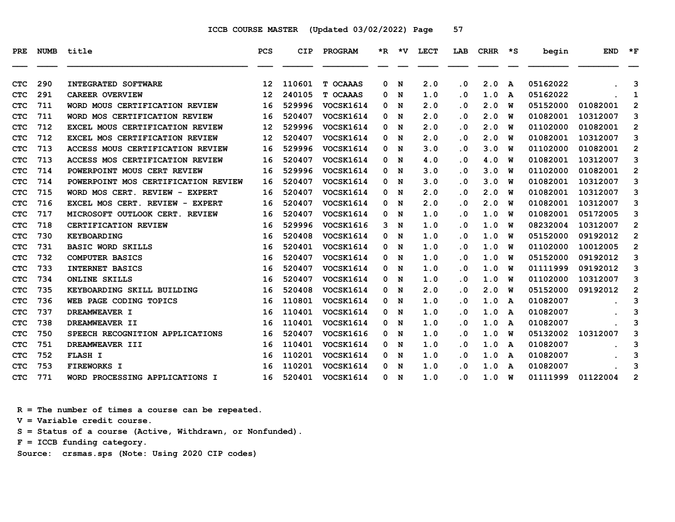| <b>PRE</b> | <b>NUMB</b> | title                               | <b>PCS</b>        | CIP    | PROGRAM          |   | $*R$ $*V$ | <b>LECT</b> | LAB       | <b>CRHR</b> | ∗s           | begin    | <b>END</b> | $*_{\mathbf{F}}$ |
|------------|-------------|-------------------------------------|-------------------|--------|------------------|---|-----------|-------------|-----------|-------------|--------------|----------|------------|------------------|
| <b>CTC</b> | 290         | <b>INTEGRATED SOFTWARE</b>          | $12 \overline{ }$ | 110601 | T OCAAAS         | 0 | N         | 2.0         | $\cdot$ 0 | 2.0         | $\mathbf{A}$ | 05162022 |            | 3                |
| <b>CTC</b> | 291         | <b>CAREER OVERVIEW</b>              | 12                | 240105 | T OCAAAS         | 0 | N         | 1.0         | $\cdot$ 0 | 1.0         | A            | 05162022 |            | $\mathbf{1}$     |
| <b>CTC</b> | 711         | WORD MOUS CERTIFICATION REVIEW      | 16                | 529996 | VOCSK1614        | 0 | N         | 2.0         | . 0       | 2.0         | W            | 05152000 | 01082001   | $\mathbf{2}$     |
| <b>CTC</b> | 711         | WORD MOS CERTIFICATION REVIEW       | 16                | 520407 | VOCSK1614        | 0 | N         | 2.0         | $\cdot$ 0 | 2.0         | W            | 01082001 | 10312007   | 3                |
| <b>CTC</b> | 712         | EXCEL MOUS CERTIFICATION REVIEW     | 12                | 529996 | VOCSK1614        | 0 | N         | 2.0         | . 0       | 2.0         | W            | 01102000 | 01082001   | 2                |
| <b>CTC</b> | 712         | EXCEL MOS CERTIFICATION REVIEW      | 12                | 520407 | VOCSK1614        | 0 | N         | 2.0         | $\cdot$ 0 | 2.0         | W            | 01082001 | 10312007   | 3                |
| <b>CTC</b> | 713         | ACCESS MOUS CERTIFICATION REVIEW    | 16                | 529996 | VOCSK1614        | 0 | N         | 3.0         | . 0       | 3.0         | W            | 01102000 | 01082001   | 2                |
| <b>CTC</b> | 713         | ACCESS MOS CERTIFICATION REVIEW     | 16                | 520407 | VOCSK1614        | 0 | N         | 4.0         | . 0       | 4.0         | W            | 01082001 | 10312007   | 3                |
| <b>CTC</b> | 714         | POWERPOINT MOUS CERT REVIEW         | 16                | 529996 | <b>VOCSK1614</b> | 0 | N         | 3.0         | $\cdot$ 0 | 3.0         | W            | 01102000 | 01082001   | $\overline{2}$   |
| <b>CTC</b> | 714         | POWERPOINT MOS CERTIFICATION REVIEW | 16                | 520407 | VOCSK1614        | 0 | N         | 3.0         | . 0       | 3.0         | W            | 01082001 | 10312007   | 3                |
| <b>CTC</b> | 715         | WORD MOS CERT. REVIEW - EXPERT      | 16                | 520407 | VOCSK1614        | 0 | N         | 2.0         | . 0       | 2.0         | W            | 01082001 | 10312007   | 3                |
| <b>CTC</b> | 716         | EXCEL MOS CERT. REVIEW - EXPERT     | 16                | 520407 | VOCSK1614        | 0 | N         | 2.0         | . 0       | 2.0         | W            | 01082001 | 10312007   | 3                |
| <b>CTC</b> | 717         | MICROSOFT OUTLOOK CERT. REVIEW      | 16                | 520407 | VOCSK1614        | 0 | N         | 1.0         | $\cdot$ 0 | 1.0         | W            | 01082001 | 05172005   | 3                |
| <b>CTC</b> | 718         | CERTIFICATION REVIEW                | 16                | 529996 | <b>VOCSK1616</b> | 3 | N         | 1.0         | . 0       | 1.0         | W            | 08232004 | 10312007   | 2                |
| <b>CTC</b> | 730         | <b>KEYBOARDING</b>                  | 16                | 520408 | VOCSK1614        | 0 | N         | 1.0         | $\cdot$ 0 | 1.0         | W            | 05152000 | 09192012   | 2                |
| <b>CTC</b> | 731         | <b>BASIC WORD SKILLS</b>            | 16                | 520401 | VOCSK1614        | 0 | N         | 1.0         | . 0       | 1.0         | W            | 01102000 | 10012005   | $\overline{2}$   |
| <b>CTC</b> | 732         | <b>COMPUTER BASICS</b>              | 16                | 520407 | VOCSK1614        | 0 | N         | 1.0         | $\cdot$ 0 | 1.0         | W            | 05152000 | 09192012   | 3                |
| <b>CTC</b> | 733         | <b>INTERNET BASICS</b>              | 16                | 520407 | VOCSK1614        | 0 | N         | 1.0         | $\cdot$ 0 | 1.0         | W            | 01111999 | 09192012   | 3                |
| <b>CTC</b> | 734         | <b>ONLINE SKILLS</b>                | 16                | 520407 | VOCSK1614        | 0 | N         | 1.0         | . 0       | 1.0         | W            | 01102000 | 10312007   | 3                |
| <b>CTC</b> | 735         | KEYBOARDING SKILL BUILDING          | 16                | 520408 | VOCSK1614        | 0 | N         | 2.0         | $\cdot$ 0 | 2.0         | W            | 05152000 | 09192012   | 2                |
| <b>CTC</b> | 736         | WEB PAGE CODING TOPICS              | 16                | 110801 | VOCSK1614        | 0 | N         | 1.0         | . 0       | 1.0         | A            | 01082007 |            | 3                |
| <b>CTC</b> | 737         | DREAMWEAVER I                       | 16                | 110401 | VOCSK1614        | 0 | N         | 1.0         | $\cdot$ 0 | 1.0         | A            | 01082007 |            | 3                |
| <b>CTC</b> | 738         | DREAMWEAVER II                      | 16                | 110401 | VOCSK1614        | 0 | N         | 1.0         | $\cdot$ 0 | 1.0         | A            | 01082007 |            | 3                |
| <b>CTC</b> | 750         | SPEECH RECOGNITION APPLICATIONS     | 16                | 520407 | <b>VOCSK1616</b> | 0 | N         | 1.0         | . 0       | 1.0         | W            | 05132002 | 10312007   | 3                |
| <b>CTC</b> | 751         | DREAMWEAVER III                     | 16                | 110401 | <b>VOCSK1614</b> | 0 | N         | 1.0         | $\cdot$ 0 | 1.0         | A            | 01082007 |            | 3                |
| <b>CTC</b> | 752         | <b>FLASH I</b>                      | 16                | 110201 | VOCSK1614        | 0 | N         | 1.0         | $\cdot$ 0 | 1.0         | A            | 01082007 |            | 3                |
| <b>CTC</b> | 753         | <b>FIREWORKS I</b>                  | 16                | 110201 | VOCSK1614        | 0 | N         | 1.0         | . 0       | 1.0         | A            | 01082007 |            | 3                |
| <b>CTC</b> | 771         | WORD PROCESSING APPLICATIONS I      | 16                | 520401 | <b>VOCSK1614</b> | 0 | N         | 1.0         | . 0       | 1.0         | W            | 01111999 | 01122004   | 2                |

 **R = The number of times a course can be repeated.**

 **V = Variable credit course.**

 **S = Status of a course (Active, Withdrawn, or Nonfunded).**

 **F = ICCB funding category.**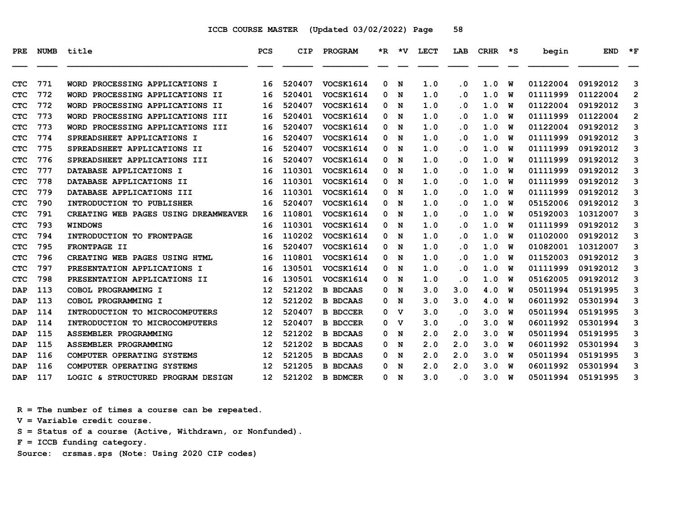| <b>PRE</b> | <b>NUMB</b> | title                                      | <b>PCS</b>        | CIP    | <b>PROGRAM</b>  | *R. | *V          | LECT | LAB                     | <b>CRHR</b> | $\star$ s | begin    | <b>END</b> | $*_{\mathbf{F}}$ |
|------------|-------------|--------------------------------------------|-------------------|--------|-----------------|-----|-------------|------|-------------------------|-------------|-----------|----------|------------|------------------|
| <b>CTC</b> | 771         | PROCESSING APPLICATIONS I<br><b>WORD</b>   | 16                | 520407 | VOCSK1614       | 0   | N           | 1.0  | . 0                     | 1.0         | W         | 01122004 | 09192012   | 3                |
| <b>CTC</b> | 772         | WORD PROCESSING APPLICATIONS II            | 16                | 520401 | VOCSK1614       | 0   | N           | 1.0  | . 0                     | 1.0         | w         | 01111999 | 01122004   | $\overline{2}$   |
| <b>CTC</b> | 772         | PROCESSING APPLICATIONS II<br><b>WORD</b>  | 16                | 520407 | VOCSK1614       | 0   | N           | 1.0  | . 0                     | 1.0         | W         | 01122004 | 09192012   | 3                |
| <b>CTC</b> | 773         | PROCESSING APPLICATIONS III<br><b>WORD</b> | 16                | 520401 | VOCSK1614       | 0   | N           | 1.0  | . 0                     | 1.0         | W         | 01111999 | 01122004   | $\overline{2}$   |
| <b>CTC</b> | 773         | WORD PROCESSING APPLICATIONS III           | 16                | 520407 | VOCSK1614       | 0   | N           | 1.0  | . 0                     | 1.0         | W         | 01122004 | 09192012   | 3                |
| <b>CTC</b> | 774         | SPREADSHEET APPLICATIONS I                 | 16                | 520407 | VOCSK1614       | 0   | N           | 1.0  | . 0                     | 1.0         | w         | 01111999 | 09192012   | 3                |
| <b>CTC</b> | 775         | <b>SPREADSHEET APPLICATIONS II</b>         | 16                | 520407 | VOCSK1614       | 0   | N           | 1.0  | . 0                     | 1.0         | w         | 01111999 | 09192012   | 3                |
| <b>CTC</b> | 776         | SPREADSHEET APPLICATIONS III               | 16                | 520407 | VOCSK1614       | 0   | N           | 1.0  | . 0                     | 1.0         | W         | 01111999 | 09192012   | 3                |
| <b>CTC</b> | 777         | DATABASE APPLICATIONS I                    | 16                | 110301 | VOCSK1614       | 0   | N           | 1.0  | . 0                     | 1.0         | W         | 01111999 | 09192012   | 3                |
| <b>CTC</b> | 778         | DATABASE APPLICATIONS II                   | 16                | 110301 | VOCSK1614       | 0   | N           | 1.0  | . 0                     | 1.0         | w         | 01111999 | 09192012   | 3                |
| <b>CTC</b> | 779         | DATABASE APPLICATIONS III                  | 16                | 110301 | VOCSK1614       | 0   | N           | 1.0  | $\overline{\mathbf{0}}$ | 1.0         | w         | 01111999 | 09192012   | 3                |
| <b>CTC</b> | 790         | <b>INTRODUCTION TO PUBLISHER</b>           | 16                | 520407 | VOCSK1614       | 0   | N           | 1.0  | $\overline{\mathbf{0}}$ | 1.0         | พ         | 05152006 | 09192012   | 3                |
| <b>CTC</b> | 791         | CREATING WEB PAGES USING DREAMWEAVER       | 16                | 110801 | VOCSK1614       | 0   | N           | 1.0  | . 0                     | 1.0         | W         | 05192003 | 10312007   | 3                |
| <b>CTC</b> | 793         | <b>WINDOWS</b>                             | 16                | 110301 | VOCSK1614       | 0   | N           | 1.0  | . 0                     | 1.0         | พ         | 01111999 | 09192012   | 3                |
| <b>CTC</b> | 794         | INTRODUCTION TO FRONTPAGE                  | 16                | 110202 | VOCSK1614       | 0   | N           | 1.0  | . 0                     | 1.0         | W         | 01102000 | 09192012   | 3                |
| <b>CTC</b> | 795         | <b>FRONTPAGE II</b>                        | 16                | 520407 | VOCSK1614       | 0   | N           | 1.0  | . 0                     | 1.0         | พ         | 01082001 | 10312007   | 3                |
| <b>CTC</b> | 796         | CREATING WEB PAGES USING HTML              | 16                | 110801 | VOCSK1614       | 0   | N           | 1.0  | . 0                     | 1.0         | W         | 01152003 | 09192012   | 3                |
| <b>CTC</b> | 797         | PRESENTATION APPLICATIONS I                | 16                | 130501 | VOCSK1614       | 0   | N           | 1.0  | . 0                     | 1.0         | W         | 01111999 | 09192012   | 3                |
| <b>CTC</b> | 798         | PRESENTATION APPLICATIONS II               | 16                | 130501 | VOCSK1614       | 0   | N           | 1.0  | . 0                     | 1.0         | W         | 05162005 | 09192012   | 3                |
| DAP        | 113         | COBOL PROGRAMMING I                        | 12                | 521202 | <b>B BDCAAS</b> | 0   | N           | 3.0  | 3.0                     | 4.0         | W         | 05011994 | 05191995   | 3                |
| DAP        | 113         | COBOL PROGRAMMING I                        | 12                | 521202 | <b>B BDCAAS</b> | 0   | N           | 3.0  | 3.0                     | 4.0         | พ         | 06011992 | 05301994   | 3                |
| <b>DAP</b> | 114         | <b>INTRODUCTION TO MICROCOMPUTERS</b>      | $12 \overline{ }$ | 520407 | <b>B BDCCER</b> | 0   | $\mathbf v$ | 3.0  | . 0                     | 3.0         | W         | 05011994 | 05191995   | 3                |
| DAP        | 114         | <b>INTRODUCTION TO MICROCOMPUTERS</b>      | 12                | 520407 | <b>B BDCCER</b> | 0   | v           | 3.0  | . 0                     | 3.0         | W         | 06011992 | 05301994   | 3                |
| <b>DAP</b> | 115         | ASSEMBLER PROGRAMMING                      | 12                | 521202 | <b>B BDCAAS</b> | 0   | N           | 2.0  | 2.0                     | 3.0         | W         | 05011994 | 05191995   | 3                |
| DAP        | 115         | ASSEMBLER PROGRAMMING                      | 12                | 521202 | <b>B BDCAAS</b> | 0   | N           | 2.0  | 2.0                     | 3.0         | พ         | 06011992 | 05301994   | 3                |
| <b>DAP</b> | 116         | COMPUTER OPERATING SYSTEMS                 | 12                | 521205 | <b>B BDCAAS</b> | 0   | N           | 2.0  | 2.0                     | 3.0         | W         | 05011994 | 05191995   | 3                |
| <b>DAP</b> | 116         | COMPUTER OPERATING SYSTEMS                 | 12                | 521205 | <b>B BDCAAS</b> | 0   | N           | 2.0  | 2.0                     | 3.0         | W         | 06011992 | 05301994   | 3                |
| DAP        | 117         | LOGIC & STRUCTURED PROGRAM DESIGN          | 12                | 521202 | <b>B BDMCER</b> | 0   | N           | 3.0  | . 0                     | 3.0         | W         | 05011994 | 05191995   | 3                |

 **R = The number of times a course can be repeated.**

 **V = Variable credit course.**

 **S = Status of a course (Active, Withdrawn, or Nonfunded).**

 **F = ICCB funding category.**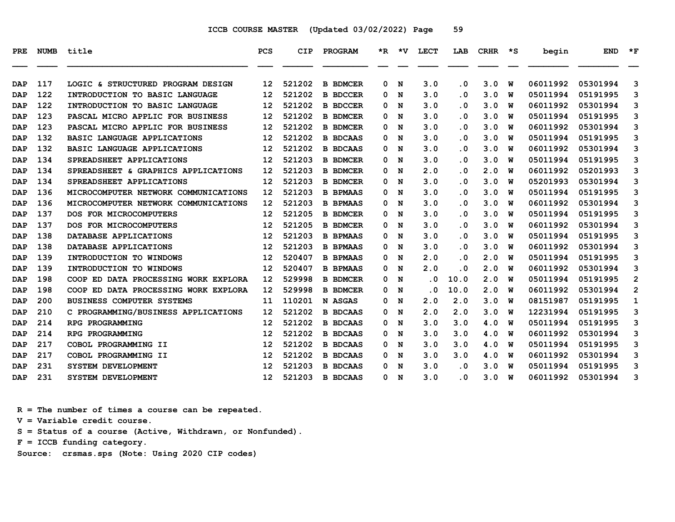| <b>PRE</b> | NUMB | title                                | <b>PCS</b>        | CIP    | <b>PROGRAM</b>  |   | *R *V | <b>LECT</b> | LAB                            | CRHR | ∗s     | begin    | <b>END</b>           | $*_{\mathbf{F}}$ |
|------------|------|--------------------------------------|-------------------|--------|-----------------|---|-------|-------------|--------------------------------|------|--------|----------|----------------------|------------------|
|            | 117  | LOGIC & STRUCTURED PROGRAM DESIGN    |                   | 521202 |                 | 0 |       | 3.0         |                                | 3.0  |        | 06011992 |                      |                  |
| <b>DAP</b> | 122  |                                      | 12                | 521202 | <b>B BDMCER</b> | 0 | N     | 3.0         | . 0<br>$\overline{\mathbf{0}}$ | 3.0  | W<br>w | 05011994 | 05301994<br>05191995 | 3                |
| <b>DAP</b> | 122  | INTRODUCTION TO BASIC LANGUAGE       | 12                | 521202 | <b>B BDCCER</b> |   | N     | 3.0         |                                | 3.0  |        | 06011992 |                      | 3<br>3           |
| <b>DAP</b> |      | INTRODUCTION TO BASIC LANGUAGE       | 12                |        | <b>B BDCCER</b> | 0 | N     |             | $\overline{\mathbf{0}}$        |      | W      |          | 05301994             |                  |
| DAP        | 123  | PASCAL MICRO APPLIC FOR BUSINESS     | 12                | 521202 | <b>B BDMCER</b> | 0 | N     | 3.0         | . 0                            | 3.0  | w      | 05011994 | 05191995             | 3                |
| <b>DAP</b> | 123  | PASCAL MICRO APPLIC FOR BUSINESS     | 12                | 521202 | <b>B BDMCER</b> | 0 | N     | 3.0         | $\cdot$ 0                      | 3.0  | W      | 06011992 | 05301994             | 3                |
| <b>DAP</b> | 132  | BASIC LANGUAGE APPLICATIONS          | 12                | 521202 | <b>B BDCAAS</b> | 0 | N     | 3.0         | $\overline{\mathbf{0}}$        | 3.0  | w      | 05011994 | 05191995             | 3                |
| <b>DAP</b> | 132  | <b>BASIC LANGUAGE APPLICATIONS</b>   | 12                | 521202 | <b>B BDCAAS</b> | 0 | N     | 3.0         | . 0                            | 3.0  | w      | 06011992 | 05301994             | 3                |
| DAP        | 134  | SPREADSHEET APPLICATIONS             | 12                | 521203 | <b>B BDMCER</b> | 0 | N     | 3.0         | . 0                            | 3.0  | W      | 05011994 | 05191995             | 3                |
| <b>DAP</b> | 134  | SPREADSHEET & GRAPHICS APPLICATIONS  | 12                | 521203 | <b>B BDMCER</b> | 0 | N     | 2.0         | . 0                            | 2.0  | พ      | 06011992 | 05201993             | 3                |
| <b>DAP</b> | 134  | SPREADSHEET APPLICATIONS             | 12                | 521203 | <b>B BDMCER</b> | 0 | N     | 3.0         | . 0                            | 3.0  | w      | 05201993 | 05301994             | 3                |
| <b>DAP</b> | 136  | MICROCOMPUTER NETWORK COMMUNICATIONS | 12                | 521203 | <b>B BPMAAS</b> | 0 | N     | 3.0         | $\overline{\mathbf{0}}$        | 3.0  | w      | 05011994 | 05191995             | 3                |
| DAP        | 136  | MICROCOMPUTER NETWORK COMMUNICATIONS | 12                | 521203 | <b>B BPMAAS</b> | 0 | N     | 3.0         | $\overline{\mathbf{0}}$        | 3.0  | พ      | 06011992 | 05301994             | 3                |
| <b>DAP</b> | 137  | DOS FOR MICROCOMPUTERS               | 12                | 521205 | <b>B BDMCER</b> | 0 | N     | 3.0         | . 0                            | 3.0  | W      | 05011994 | 05191995             | 3                |
| <b>DAP</b> | 137  | DOS FOR MICROCOMPUTERS               | 12                | 521205 | <b>B BDMCER</b> | 0 | N     | 3.0         | . 0                            | 3.0  | พ      | 06011992 | 05301994             | 3                |
| <b>DAP</b> | 138  | DATABASE APPLICATIONS                | 12                | 521203 | <b>B BPMAAS</b> | 0 | N     | 3.0         | $\overline{\mathbf{0}}$        | 3.0  | W      | 05011994 | 05191995             | 3                |
| DAP        | 138  | DATABASE APPLICATIONS                | 12                | 521203 | <b>B BPMAAS</b> | 0 | N     | 3.0         | . 0                            | 3.0  | w      | 06011992 | 05301994             | 3                |
| <b>DAP</b> | 139  | INTRODUCTION TO WINDOWS              | 12                | 520407 | <b>B BPMAAS</b> | 0 | N     | 2.0         | $\overline{\mathbf{0}}$        | 2.0  | W      | 05011994 | 05191995             | 3                |
| <b>DAP</b> | 139  | INTRODUCTION TO WINDOWS              | 12                | 520407 | <b>B BPMAAS</b> | 0 | N     | 2.0         | $\overline{\mathbf{0}}$        | 2.0  | W      | 06011992 | 05301994             | 3                |
| <b>DAP</b> | 198  | COOP ED DATA PROCESSING WORK EXPLORA | $12 \overline{ }$ | 529998 | <b>B BDMCER</b> | 0 | N     | . 0         | 10.0                           | 2.0  | พ      | 05011994 | 05191995             | $\overline{2}$   |
| <b>DAP</b> | 198  | COOP ED DATA PROCESSING WORK EXPLORA | 12                | 529998 | <b>B BDMCER</b> | 0 | N     | . 0         | 10.0                           | 2.0  | w      | 06011992 | 05301994             | $\overline{2}$   |
| DAP        | 200  | <b>BUSINESS COMPUTER SYSTEMS</b>     | 11                | 110201 | N ASGAS         | 0 | N     | 2.0         | 2.0                            | 3.0  | พ      | 08151987 | 05191995             | 1                |
| <b>DAP</b> | 210  | C PROGRAMMING/BUSINESS APPLICATIONS  | 12                | 521202 | <b>B BDCAAS</b> | 0 | N     | 2.0         | 2.0                            | 3.0  | W      | 12231994 | 05191995             | 3                |
| DAP        | 214  | RPG PROGRAMMING                      | 12                | 521202 | <b>B BDCAAS</b> | 0 | N     | 3.0         | 3.0                            | 4.0  | W      | 05011994 | 05191995             | 3                |
| <b>DAP</b> | 214  | RPG PROGRAMMING                      | 12                | 521202 | <b>B BDCAAS</b> | 0 | N     | 3.0         | 3.0                            | 4.0  | W      | 06011992 | 05301994             | 3                |
| DAP        | 217  | COBOL PROGRAMMING II                 | 12                | 521202 | <b>B BDCAAS</b> | 0 | N     | 3.0         | 3.0                            | 4.0  | พ      | 05011994 | 05191995             | 3                |
| <b>DAP</b> | 217  | COBOL PROGRAMMING II                 | 12                | 521202 | <b>B BDCAAS</b> | 0 | N     | 3.0         | 3.0                            | 4.0  | W      | 06011992 | 05301994             | 3                |
| <b>DAP</b> | 231  | <b>SYSTEM DEVELOPMENT</b>            | 12                | 521203 | <b>B BDCAAS</b> | 0 | N     | 3.0         | . 0                            | 3.0  | W      | 05011994 | 05191995             | 3                |
| DAP        | 231  | SYSTEM DEVELOPMENT                   | 12 <sup>°</sup>   | 521203 | <b>B BDCAAS</b> | 0 | N     | 3.0         | $\overline{\mathbf{0}}$        | 3.0  | W      | 06011992 | 05301994             | 3                |
|            |      |                                      |                   |        |                 |   |       |             |                                |      |        |          |                      |                  |

 **R = The number of times a course can be repeated.**

 **V = Variable credit course.**

 **S = Status of a course (Active, Withdrawn, or Nonfunded).**

 **F = ICCB funding category.**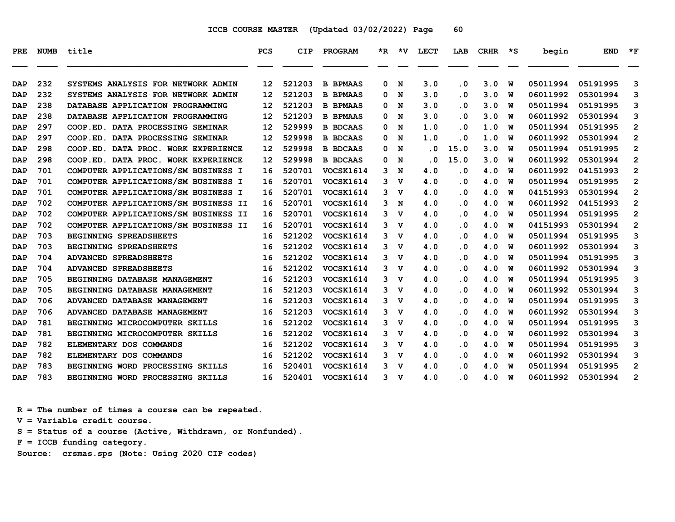| <b>PRE</b> | <b>NUMB</b> | title                                | PCS               | <b>CIP</b> | PROGRAM          | *R. | *V             | LECT      | LAB       | <b>CRHR</b> | ∗s | begin    | <b>END</b> | $*_{\mathbf{F}}$ |
|------------|-------------|--------------------------------------|-------------------|------------|------------------|-----|----------------|-----------|-----------|-------------|----|----------|------------|------------------|
|            |             |                                      |                   |            |                  |     |                |           |           |             |    |          |            |                  |
| <b>DAP</b> | 232         | SYSTEMS ANALYSIS FOR NETWORK ADMIN   | $12 \overline{ }$ | 521203     | <b>B BPMAAS</b>  | 0   | N              | 3.0       | $\cdot$ 0 | 3.0         | W  | 05011994 | 05191995   | 3                |
| <b>DAP</b> | 232         | SYSTEMS ANALYSIS FOR NETWORK ADMIN   | $12 \overline{ }$ | 521203     | <b>B BPMAAS</b>  | 0   | N              | 3.0       | $\cdot$ 0 | 3.0         | W  | 06011992 | 05301994   | 3                |
| <b>DAP</b> | 238         | DATABASE APPLICATION PROGRAMMING     | $12 \overline{ }$ | 521203     | <b>B BPMAAS</b>  | 0   | N              | 3.0       | $\cdot$ 0 | 3.0         | W  | 05011994 | 05191995   | 3                |
| <b>DAP</b> | 238         | DATABASE APPLICATION PROGRAMMING     | 12                | 521203     | <b>B BPMAAS</b>  | 0   | N              | 3.0       | $\cdot$ 0 | 3.0         | W  | 06011992 | 05301994   | 3                |
| DAP        | 297         | COOP.ED. DATA PROCESSING SEMINAR     | $12 \overline{ }$ | 529999     | <b>B BDCAAS</b>  | 0   | N              | 1.0       | $\cdot$ 0 | 1.0         | W  | 05011994 | 05191995   | $\overline{2}$   |
| <b>DAP</b> | 297         | COOP.ED. DATA PROCESSING SEMINAR     | 12                | 529998     | <b>B BDCAAS</b>  | 0   | N              | 1.0       | $\cdot$ 0 | 1.0         | w  | 06011992 | 05301994   | $\mathbf{2}$     |
| <b>DAP</b> | 298         | COOP.ED. DATA PROC. WORK EXPERIENCE  | 12                | 529998     | <b>B BDCAAS</b>  | 0   | N              | . 0       | 15.0      | 3.0         | W  | 05011994 | 05191995   | $\overline{2}$   |
| <b>DAP</b> | 298         | COOP.ED. DATA PROC. WORK EXPERIENCE  | 12                | 529998     | <b>B BDCAAS</b>  | 0   | N              | $\cdot$ 0 | 15.0      | 3.0         | W  | 06011992 | 05301994   | $\overline{2}$   |
| <b>DAP</b> | 701         | COMPUTER APPLICATIONS/SM BUSINESS I  | 16                | 520701     | VOCSK1614        | 3   | N              | 4.0       | $\cdot$ 0 | 4.0         | W  | 06011992 | 04151993   | $\mathbf{2}$     |
| <b>DAP</b> | 701         | COMPUTER APPLICATIONS/SM BUSINESS I  | 16                | 520701     | VOCSK1614        | 3   | v              | 4.0       | $\cdot$ 0 | 4.0         | W  | 05011994 | 05191995   | $\mathbf{2}$     |
| <b>DAP</b> | 701         | COMPUTER APPLICATIONS/SM BUSINESS I  | 16                | 520701     | VOCSK1614        | 3   | v              | 4.0       | $\cdot$ 0 | 4.0         | W  | 04151993 | 05301994   | $\overline{2}$   |
| <b>DAP</b> | 702         | COMPUTER APPLICATIONS/SM BUSINESS II | 16                | 520701     | VOCSK1614        | 3   | N              | 4.0       | $\cdot$ 0 | 4.0         | W  | 06011992 | 04151993   | $\overline{2}$   |
| <b>DAP</b> | 702         | COMPUTER APPLICATIONS/SM BUSINESS II | 16                | 520701     | VOCSK1614        | 3   | v              | 4.0       | $\cdot$ 0 | 4.0         | W  | 05011994 | 05191995   | $\mathbf{2}$     |
| <b>DAP</b> | 702         | COMPUTER APPLICATIONS/SM BUSINESS II | 16                | 520701     | VOCSK1614        | 3   | v              | 4.0       | $\cdot$ 0 | 4.0         | W  | 04151993 | 05301994   | $\mathbf{2}$     |
| <b>DAP</b> | 703         | BEGINNING SPREADSHEETS               | 16                | 521202     | VOCSK1614        | 3   | v              | 4.0       | $\cdot$ 0 | 4.0         | W  | 05011994 | 05191995   | 3                |
| <b>DAP</b> | 703         | BEGINNING SPREADSHEETS               | 16                | 521202     | VOCSK1614        | 3   | v              | 4.0       | $\cdot$ 0 | 4.0         | W  | 06011992 | 05301994   | 3                |
| <b>DAP</b> | 704         | <b>ADVANCED SPREADSHEETS</b>         | 16                | 521202     | VOCSK1614        |     | 3 <sub>v</sub> | 4.0       | $\cdot$ 0 | 4.0         | W  | 05011994 | 05191995   | 3                |
| <b>DAP</b> | 704         | ADVANCED SPREADSHEETS                | 16                | 521202     | VOCSK1614        | 3   | v              | 4.0       | $\cdot$ 0 | 4.0         | W  | 06011992 | 05301994   | 3                |
| <b>DAP</b> | 705         | BEGINNING DATABASE MANAGEMENT        | 16                | 521203     | <b>VOCSK1614</b> | 3.  | v              | 4.0       | . 0       | 4.0         | W  | 05011994 | 05191995   | 3                |
| <b>DAP</b> | 705         | BEGINNING DATABASE MANAGEMENT        | 16                | 521203     | VOCSK1614        | 3   | v              | 4.0       | $\cdot$ 0 | 4.0         | W  | 06011992 | 05301994   | 3                |
| <b>DAP</b> | 706         | ADVANCED DATABASE MANAGEMENT         | 16                | 521203     | VOCSK1614        | 3   | v              | 4.0       | $\cdot$ 0 | 4.0         | W  | 05011994 | 05191995   | 3                |
| <b>DAP</b> | 706         | ADVANCED DATABASE MANAGEMENT         | 16                | 521203     | VOCSK1614        |     | 3 <sub>v</sub> | 4.0       | $\cdot$ 0 | 4.0         | W  | 06011992 | 05301994   | 3                |
| <b>DAP</b> | 781         | BEGINNING MICROCOMPUTER SKILLS       | 16                | 521202     | VOCSK1614        | 3   | v              | 4.0       | $\cdot$ 0 | 4.0         | W  | 05011994 | 05191995   | 3                |
| <b>DAP</b> | 781         | BEGINNING MICROCOMPUTER SKILLS       | 16                | 521202     | VOCSK1614        | 3   | v              | 4.0       | . 0       | 4.0         | W  | 06011992 | 05301994   | 3                |
| <b>DAP</b> | 782         | ELEMENTARY DOS COMMANDS              | 16                | 521202     | <b>VOCSK1614</b> | 3   | v              | 4.0       | $\cdot$ 0 | 4.0         | W  | 05011994 | 05191995   | 3                |
| <b>DAP</b> | 782         | ELEMENTARY DOS COMMANDS              | 16                | 521202     | VOCSK1614        | 3   | v              | 4.0       | $\cdot$ 0 | 4.0         | W  | 06011992 | 05301994   | 3                |
| DAP        | 783         | BEGINNING WORD PROCESSING SKILLS     | 16                | 520401     | VOCSK1614        | 3   | $\mathbf v$    | 4.0       | $\cdot$ 0 | 4.0         | W  | 05011994 | 05191995   | $\overline{2}$   |
| <b>DAP</b> | 783         | BEGINNING WORD PROCESSING SKILLS     | 16                | 520401     | <b>VOCSK1614</b> | 3   | $\mathbf v$    | 4.0       | . 0       | 4.0         | W  | 06011992 | 05301994   | $\overline{2}$   |

 **R = The number of times a course can be repeated.**

 **V = Variable credit course.**

 **S = Status of a course (Active, Withdrawn, or Nonfunded).**

 **F = ICCB funding category.**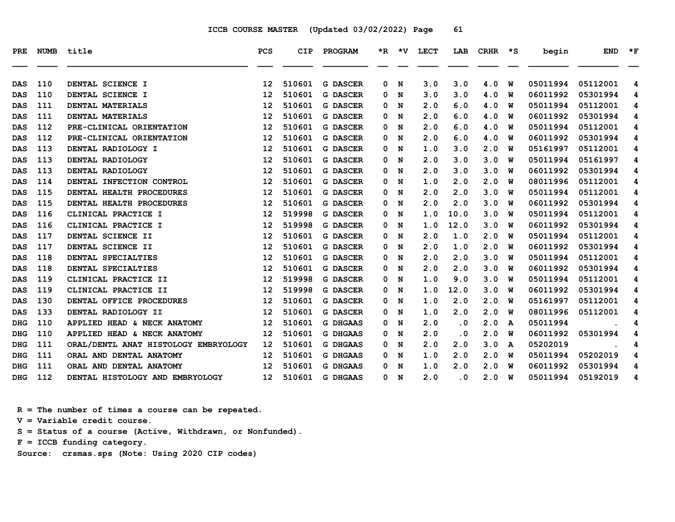| <b>PRE</b> | <b>NUMB</b> | title                                | <b>PCS</b>        | CIP    | PROGRAM         |   | $*R$ $*V$ | <b>LECT</b> | LAB       | CRHR | ∗s | begin    | <b>END</b> | $*_{\mathbf{F}}$ |
|------------|-------------|--------------------------------------|-------------------|--------|-----------------|---|-----------|-------------|-----------|------|----|----------|------------|------------------|
|            |             |                                      |                   |        |                 |   |           |             |           |      |    |          |            |                  |
| DAS        | 110         | DENTAL SCIENCE I                     | $12 \overline{ }$ | 510601 | <b>G DASCER</b> | 0 | N         | 3.0         | 3.0       | 4.0  | W  | 05011994 | 05112001   | 4                |
| <b>DAS</b> | 110         | DENTAL SCIENCE I                     | 12                | 510601 | <b>G DASCER</b> | 0 | N         | 3.0         | 3.0       | 4.0  | w  | 06011992 | 05301994   | 4                |
| <b>DAS</b> | 111         | DENTAL MATERIALS                     | 12                | 510601 | <b>G DASCER</b> | 0 | N         | 2.0         | 6.0       | 4.0  | พ  | 05011994 | 05112001   | 4                |
| <b>DAS</b> | 111         | DENTAL MATERIALS                     | 12                | 510601 | <b>G DASCER</b> | 0 | N         | 2.0         | 6.0       | 4.0  | W  | 06011992 | 05301994   | 4                |
| <b>DAS</b> | 112         | PRE-CLINICAL ORIENTATION             | 12                | 510601 | <b>G DASCER</b> | 0 | N         | 2.0         | 6.0       | 4.0  | W  | 05011994 | 05112001   | 4                |
| <b>DAS</b> | 112         | PRE-CLINICAL ORIENTATION             | 12                | 510601 | <b>G DASCER</b> | 0 | N         | 2.0         | 6.0       | 4.0  | w  | 06011992 | 05301994   | 4                |
| <b>DAS</b> | 113         | DENTAL RADIOLOGY I                   | 12                | 510601 | <b>G DASCER</b> | 0 | N         | 1.0         | 3.0       | 2.0  | w  | 05161997 | 05112001   | 4                |
| <b>DAS</b> | 113         | DENTAL RADIOLOGY                     | 12                | 510601 | <b>G DASCER</b> | 0 | N         | 2.0         | 3.0       | 3.0  | W  | 05011994 | 05161997   | 4                |
| <b>DAS</b> | 113         | DENTAL RADIOLOGY                     | 12                | 510601 | <b>G DASCER</b> | 0 | N         | 2.0         | 3.0       | 3.0  | พ  | 06011992 | 05301994   | 4                |
| DAS        | 114         | DENTAL INFECTION CONTROL             | 12                | 510601 | <b>G DASCER</b> | 0 | N         | 1.0         | 2.0       | 2.0  | W  | 08011996 | 05112001   | 4                |
| <b>DAS</b> | 115         | DENTAL HEALTH PROCEDURES             | 12                | 510601 | <b>G DASCER</b> | 0 | N         | 2.0         | 2.0       | 3.0  | w  | 05011994 | 05112001   | 4                |
| <b>DAS</b> | 115         | DENTAL HEALTH PROCEDURES             | 12                | 510601 | <b>G DASCER</b> | 0 | N         | 2.0         | 2.0       | 3.0  | W  | 06011992 | 05301994   | 4                |
| DAS        | 116         | CLINICAL PRACTICE I                  | $12 \overline{ }$ | 519998 | <b>G DASCER</b> | 0 | N         | 1.0         | 10.0      | 3.0  | W  | 05011994 | 05112001   | 4                |
| <b>DAS</b> | 116         | CLINICAL PRACTICE I                  | 12                | 519998 | <b>G DASCER</b> | 0 | N         | 1.0         | 12.0      | 3.0  | พ  | 06011992 | 05301994   | 4                |
| <b>DAS</b> | 117         | DENTAL SCIENCE II                    | 12                | 510601 | <b>G DASCER</b> | 0 | N         | 2.0         | 1.0       | 2.0  | w  | 05011994 | 05112001   | 4                |
| <b>DAS</b> | 117         | DENTAL SCIENCE II                    | 12                | 510601 | <b>G DASCER</b> | 0 | N         | 2.0         | 1.0       | 2.0  | w  | 06011992 | 05301994   | 4                |
| <b>DAS</b> | 118         | DENTAL SPECIALTIES                   | $12 \overline{ }$ | 510601 | <b>G DASCER</b> | 0 | N         | 2.0         | 2.0       | 3.0  | W  | 05011994 | 05112001   | 4                |
| DAS        | 118         | DENTAL SPECIALTIES                   | 12                | 510601 | <b>G DASCER</b> | 0 | N         | 2.0         | 2.0       | 3.0  | W  | 06011992 | 05301994   | 4                |
| <b>DAS</b> | 119         | CLINICAL PRACTICE II                 | 12                | 519998 | <b>G DASCER</b> | 0 | N         | 1.0         | 9.0       | 3.0  | พ  | 05011994 | 05112001   | 4                |
| <b>DAS</b> | 119         | CLINICAL PRACTICE II                 | 12                | 519998 | <b>G DASCER</b> | 0 | N         | 1.0         | 12.0      | 3.0  | W  | 06011992 | 05301994   | 4                |
| <b>DAS</b> | 130         | DENTAL OFFICE PROCEDURES             | 12                | 510601 | <b>G DASCER</b> | 0 | N         | 1.0         | 2.0       | 2.0  | W  | 05161997 | 05112001   | 4                |
| DAS        | 133         | DENTAL RADIOLOGY II                  | $12 \overline{ }$ | 510601 | <b>G DASCER</b> | 0 | N         | 1.0         | 2.0       | 2.0  | W  | 08011996 | 05112001   | 4                |
| <b>DHG</b> | 110         | APPLIED HEAD & NECK ANATOMY          | 12                | 510601 | <b>G DHGAAS</b> | 0 | N         | 2.0         | $\cdot$ 0 | 2.0  | A  | 05011994 |            | 4                |
| <b>DHG</b> | 110         | APPLIED HEAD & NECK ANATOMY          | 12                | 510601 | <b>G DHGAAS</b> | 0 | N         | 2.0         | . 0       | 2.0  | W  | 06011992 | 05301994   | 4                |
| <b>DHG</b> | 111         | ORAL/DENTL ANAT HISTOLOGY EMBRYOLOGY | 12                | 510601 | <b>G DHGAAS</b> | 0 | N         | 2.0         | 2.0       | 3.0  | A  | 05202019 |            | 4                |
| <b>DHG</b> | 111         | ORAL AND DENTAL ANATOMY              | $12 \overline{ }$ | 510601 | <b>G DHGAAS</b> | 0 | N         | 1.0         | 2.0       | 2.0  | W  | 05011994 | 05202019   | 4                |
| <b>DHG</b> | 111         | ORAL AND DENTAL ANATOMY              | 12                | 510601 | <b>G DHGAAS</b> | 0 | N         | 1.0         | 2.0       | 2.0  | W  | 06011992 | 05301994   | 4                |
| <b>DHG</b> | 112         | DENTAL HISTOLOGY AND EMBRYOLOGY      | 12 <sup>2</sup>   | 510601 | <b>G DHGAAS</b> | 0 | N         | 2.0         | $\cdot$ 0 | 2.0  | W  | 05011994 | 05192019   | 4                |

 **R = The number of times a course can be repeated.**

 **V = Variable credit course.**

 **S = Status of a course (Active, Withdrawn, or Nonfunded).**

 **F = ICCB funding category.**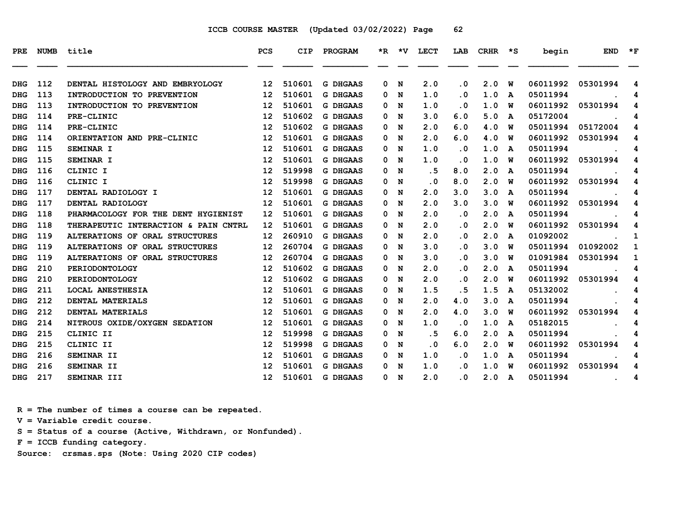| <b>PRE</b> | <b>NUMB</b> | title                                | <b>PCS</b>      | <b>CIP</b> | PROGRAM         | $*_{\mathbb{R}}$ | $\star$ v | LECT      | LAB       | <b>CRHR</b> | $\star$ s | begin    | <b>END</b>                                     | $\star$ F |
|------------|-------------|--------------------------------------|-----------------|------------|-----------------|------------------|-----------|-----------|-----------|-------------|-----------|----------|------------------------------------------------|-----------|
| <b>DHG</b> | 112         | DENTAL HISTOLOGY AND EMBRYOLOGY      | 12 <sub>1</sub> | 510601     | <b>G DHGAAS</b> | 0                | N         | 2.0       | $\cdot$ 0 | 2.0         | W         | 06011992 | 05301994                                       | 4         |
| <b>DHG</b> | 113         | INTRODUCTION TO PREVENTION           | 12              | 510601     | <b>G DHGAAS</b> | 0                | N         | 1.0       | $\cdot$ 0 | 1.0         | A         | 05011994 |                                                | 4         |
| <b>DHG</b> | 113         | INTRODUCTION TO PREVENTION           | 12              | 510601     | <b>G DHGAAS</b> | 0                | N         | 1.0       | $\cdot$ 0 | 1.0         | W         | 06011992 | 05301994                                       | 4         |
| <b>DHG</b> | 114         | <b>PRE-CLINIC</b>                    | 12              | 510602     | <b>G DHGAAS</b> | 0                | N         | 3.0       | 6.0       | 5.0         | A         | 05172004 |                                                | 4         |
| <b>DHG</b> | 114         | PRE-CLINIC                           | 12              | 510602     | <b>G DHGAAS</b> | 0                | N         | 2.0       | 6.0       | 4.0         | ิพ        | 05011994 | 05172004                                       | 4         |
| <b>DHG</b> | 114         | ORIENTATION AND PRE-CLINIC           | 12              | 510601     | <b>G DHGAAS</b> | 0                | N         | 2.0       | 6.0       | 4.0         | W         | 06011992 | 05301994                                       | 4         |
| <b>DHG</b> | 115         | SEMINAR I                            | 12              | 510601     | <b>G DHGAAS</b> | 0                | N         | 1.0       | $\cdot$ 0 | 1.0         | A         | 05011994 |                                                | 4         |
| <b>DHG</b> | 115         | SEMINAR I                            | 12              | 510601     | <b>G DHGAAS</b> | 0                | N         | 1.0       | $\cdot$ 0 | 1.0         | พ         | 06011992 | 05301994                                       | 4         |
| <b>DHG</b> | 116         | CLINIC I                             | 12              | 519998     | <b>G DHGAAS</b> | 0                | N         | .5        | 8.0       | 2.0         | A         | 05011994 |                                                | 4         |
| <b>DHG</b> | 116         | CLINIC I                             | 12              | 519998     | <b>G DHGAAS</b> | 0                | N         | $\cdot$ 0 | 8.0       | 2.0         | W         | 06011992 | 05301994                                       | 4         |
| <b>DHG</b> | 117         | DENTAL RADIOLOGY I                   | 12              | 510601     | <b>G DHGAAS</b> | 0                | N         | 2.0       | 3.0       | 3.0         | A         | 05011994 |                                                | 4         |
| <b>DHG</b> | 117         | DENTAL RADIOLOGY                     | 12              | 510601     | <b>G DHGAAS</b> | 0                | N         | 2.0       | 3.0       | 3.0         | ิพ        | 06011992 | 05301994                                       | 4         |
| <b>DHG</b> | 118         | PHARMACOLOGY FOR THE DENT HYGIENIST  | 12              | 510601     | <b>G DHGAAS</b> | 0                | N         | 2.0       | $\cdot$ 0 | 2.0         | A         | 05011994 |                                                | 4         |
| <b>DHG</b> | 118         | THERAPEUTIC INTERACTION & PAIN CNTRL | 12              | 510601     | <b>G DHGAAS</b> | 0                | N         | 2.0       | $\cdot$ 0 | 2.0         | ิพ        | 06011992 | 05301994                                       | 4         |
| <b>DHG</b> | 119         | ALTERATIONS OF ORAL STRUCTURES       | 12              | 260910     | <b>G DHGAAS</b> | 0                | N         | 2.0       | $\cdot$ 0 | 2.0         | A         | 01092002 |                                                | 1         |
| <b>DHG</b> | 119         | ALTERATIONS OF ORAL STRUCTURES       | 12              | 260704     | <b>G DHGAAS</b> | 0                | N         | 3.0       | $\cdot$ 0 | 3.0         | ิพ        | 05011994 | 01092002                                       | 1         |
| <b>DHG</b> | 119         | ALTERATIONS OF ORAL STRUCTURES       | 12              | 260704     | <b>G DHGAAS</b> | 0                | N         | 3.0       | $\cdot$ 0 | 3.0         | ิพ        | 01091984 | 05301994                                       | 1         |
| <b>DHG</b> | 210         | PERIODONTOLOGY                       | 12              | 510602     | <b>G DHGAAS</b> | 0                | N         | 2.0       | $\cdot$ 0 | 2.0         | A         | 05011994 |                                                | 4         |
| <b>DHG</b> | 210         | PERIODONTOLOGY                       | 12              | 510602     | <b>G DHGAAS</b> | 0                | N         | 2.0       | . 0       | 2.0         | ิพ        | 06011992 | 05301994                                       | 4         |
| <b>DHG</b> | 211         | LOCAL ANESTHESIA                     | 12              | 510601     | <b>G DHGAAS</b> | 0                | N         | 1.5       | . 5       | 1.5         | A         | 05132002 |                                                | 4         |
| <b>DHG</b> | 212         | DENTAL MATERIALS                     | 12              | 510601     | <b>G DHGAAS</b> | 0                | N         | 2.0       | 4.0       | 3.0         | A         | 05011994 |                                                | 4         |
| <b>DHG</b> | 212         | DENTAL MATERIALS                     | 12              | 510601     | <b>G DHGAAS</b> | 0                | N         | 2.0       | 4.0       | 3.0         | ิพ        | 06011992 | 05301994                                       | 4         |
| <b>DHG</b> | 214         | NITROUS OXIDE/OXYGEN SEDATION        | 12              | 510601     | <b>G DHGAAS</b> | 0                | N         | 1.0       | $\cdot$ 0 | 1.0         | A         | 05182015 |                                                | 4         |
| <b>DHG</b> | 215         | CLINIC II                            | 12              | 519998     | <b>G DHGAAS</b> | 0                | N         | . 5       | 6.0       | 2.0         | A         | 05011994 |                                                | 4         |
| <b>DHG</b> | 215         | CLINIC II                            | 12              | 519998     | <b>G DHGAAS</b> | 0                | N         | $\cdot$ 0 | 6.0       | 2.0         | W         | 06011992 | 05301994                                       | 4         |
| <b>DHG</b> | 216         | SEMINAR II                           | 12              | 510601     | <b>G DHGAAS</b> | 0                | N         | 1.0       | $\cdot$ 0 | 1.0         | A         | 05011994 |                                                | 4         |
| <b>DHG</b> | 216         | SEMINAR II                           | 12              | 510601     | <b>G DHGAAS</b> | 0                | N         | 1.0       | $\cdot$ 0 | 1.0         | ิพ        | 06011992 | 05301994                                       | 4         |
| DHG        | 217         | SEMINAR III                          | 12 <sup>7</sup> | 510601     | <b>G DHGAAS</b> |                  | 0 N       | 2.0       | $\cdot$ 0 | 2.0         | A         | 05011994 | <b><i>Contract Contract Administration</i></b> | 4         |

 **R = The number of times a course can be repeated.**

 **V = Variable credit course.**

 **S = Status of a course (Active, Withdrawn, or Nonfunded).**

 **F = ICCB funding category.**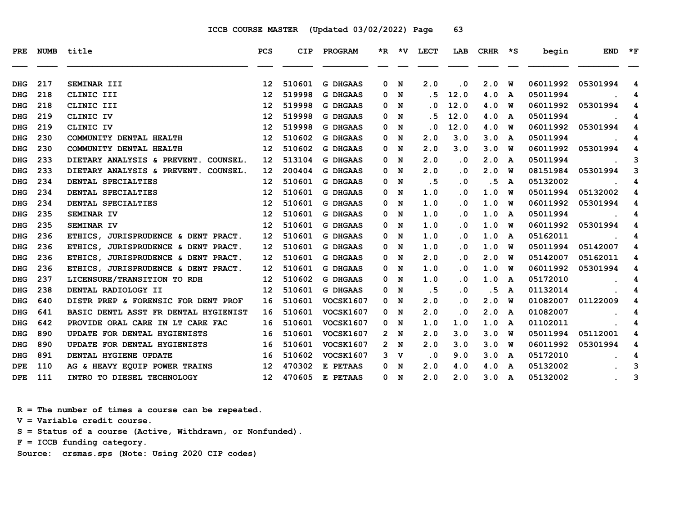| <b>PRE</b> | <b>NUMB</b> | title                                | <b>PCS</b>        | <b>CIP</b> | PROGRAM          |   | *R *V       | <b>LECT</b> | LAB       | <b>CRHR</b> | ∗s | begin    | <b>END</b> | $*_{\mathbf{F}}$ |
|------------|-------------|--------------------------------------|-------------------|------------|------------------|---|-------------|-------------|-----------|-------------|----|----------|------------|------------------|
|            |             |                                      |                   |            |                  |   |             |             |           |             |    |          |            |                  |
| <b>DHG</b> | 217         | SEMINAR III                          | 12                | 510601     | <b>G DHGAAS</b>  | 0 | N           | 2.0         | $\cdot$ 0 | 2.0         | W  | 06011992 | 05301994   | 4                |
| <b>DHG</b> | 218         | CLINIC III                           | 12                | 519998     | <b>G DHGAAS</b>  | 0 | N           | . 5         | 12.0      | 4.0         | A  | 05011994 |            | 4                |
| <b>DHG</b> | 218         | CLINIC III                           | 12                | 519998     | <b>G DHGAAS</b>  | 0 | N           | . 0         | 12.0      | 4.0         | W  | 06011992 | 05301994   | 4                |
| <b>DHG</b> | 219         | CLINIC IV                            | 12                | 519998     | <b>G DHGAAS</b>  | 0 | N           | . 5         | 12.0      | 4.0         | A  | 05011994 |            | 4                |
| <b>DHG</b> | 219         | CLINIC IV                            | 12                | 519998     | <b>G DHGAAS</b>  | 0 | N           | . 0         | 12.0      | 4.0         | W  | 06011992 | 05301994   | 4                |
| <b>DHG</b> | 230         | COMMUNITY DENTAL HEALTH              | 12                | 510602     | <b>G DHGAAS</b>  | 0 | N           | 2.0         | 3.0       | 3.0         | A  | 05011994 |            | 4                |
| <b>DHG</b> | 230         | COMMUNITY DENTAL HEALTH              | 12                | 510602     | <b>G DHGAAS</b>  | 0 | N           | 2.0         | 3.0       | 3.0         | w  | 06011992 | 05301994   | 4                |
| <b>DHG</b> | 233         | DIETARY ANALYSIS & PREVENT. COUNSEL. | 12 <sup>°</sup>   | 513104     | <b>G DHGAAS</b>  | 0 | N           | 2.0         | $\cdot$ 0 | 2.0         | A  | 05011994 |            | 3                |
| <b>DHG</b> | 233         | DIETARY ANALYSIS & PREVENT. COUNSEL. | 12                | 200404     | <b>G DHGAAS</b>  | 0 | N           | 2.0         | $\cdot$ 0 | 2.0         | W  | 08151984 | 05301994   | 3                |
| <b>DHG</b> | 234         | DENTAL SPECIALTIES                   | 12                | 510601     | <b>G DHGAAS</b>  | 0 | N           | . 5         | $\cdot$ 0 | . 5         | A  | 05132002 |            | 4                |
| <b>DHG</b> | 234         | DENTAL SPECIALTIES                   | 12                | 510601     | <b>G DHGAAS</b>  | 0 | N           | 1.0         | $\cdot$ 0 | 1.0         | W  | 05011994 | 05132002   | 4                |
| <b>DHG</b> | 234         | DENTAL SPECIALTIES                   | 12                | 510601     | <b>G DHGAAS</b>  | 0 | N           | 1.0         | $\cdot$ 0 | 1.0         | W  | 06011992 | 05301994   | 4                |
| <b>DHG</b> | 235         | SEMINAR IV                           | 12                | 510601     | <b>G DHGAAS</b>  | 0 | N           | 1.0         | $\cdot$ 0 | 1.0         | A  | 05011994 |            | 4                |
| <b>DHG</b> | 235         | SEMINAR IV                           | 12                | 510601     | <b>G DHGAAS</b>  | 0 | N           | 1.0         | $\cdot$ 0 | 1.0         | W  | 06011992 | 05301994   | 4                |
| <b>DHG</b> | 236         | ETHICS, JURISPRUDENCE & DENT PRACT.  | 12                | 510601     | G DHGAAS         | 0 | N           | 1.0         | $\cdot$ 0 | 1.0         | A  | 05162011 |            | 4                |
| <b>DHG</b> | 236         | ETHICS, JURISPRUDENCE & DENT PRACT.  | 12                | 510601     | <b>G DHGAAS</b>  | 0 | N           | 1.0         | $\cdot$ 0 | 1.0         | W  | 05011994 | 05142007   | 4                |
| <b>DHG</b> | 236         | ETHICS, JURISPRUDENCE & DENT PRACT.  | 12 <sup>°</sup>   | 510601     | <b>G DHGAAS</b>  | 0 | N           | 2.0         | $\cdot$ 0 | 2.0         | w  | 05142007 | 05162011   | 4                |
| <b>DHG</b> | 236         | ETHICS, JURISPRUDENCE & DENT PRACT.  | 12 <sup>2</sup>   | 510601     | G DHGAAS         | 0 | N           | 1.0         | $\cdot$ 0 | 1.0         | W  | 06011992 | 05301994   | 4                |
| <b>DHG</b> | 237         | LICENSURE/TRANSITION TO RDH          | $12 \overline{ }$ | 510602     | <b>G DHGAAS</b>  | 0 | N           | 1.0         | $\cdot$ 0 | 1.0         | A  | 05172010 |            | 4                |
| <b>DHG</b> | 238         | DENTAL RADIOLOGY II                  | 12                | 510601     | <b>G DHGAAS</b>  | 0 | N           | .5          | $\cdot$ 0 | .5          | A  | 01132014 |            | 4                |
| <b>DHG</b> | 640         | DISTR PREP & FORENSIC FOR DENT PROF  | 16                | 510601     | <b>VOCSK1607</b> | 0 | N           | 2.0         | $\cdot$ 0 | 2.0         | W  | 01082007 | 01122009   | 4                |
| <b>DHG</b> | 641         | BASIC DENTL ASST FR DENTAL HYGIENIST | 16                | 510601     | <b>VOCSK1607</b> | 0 | N           | 2.0         | .0        | 2.0         | A  | 01082007 |            | 4                |
| <b>DHG</b> | 642         | PROVIDE ORAL CARE IN LT CARE FAC     | 16                | 510601     | <b>VOCSK1607</b> | 0 | N           | 1.0         | 1.0       | 1.0         | A  | 01102011 |            | 4                |
| <b>DHG</b> | 890         | UPDATE FOR DENTAL HYGIENISTS         | 16                | 510601     | <b>VOCSK1607</b> | 2 | N           | 2.0         | 3.0       | 3.0         | W  | 05011994 | 05112001   | 4                |
| <b>DHG</b> | 890         | UPDATE FOR DENTAL HYGIENISTS         | 16                | 510601     | <b>VOCSK1607</b> |   | 2 N         | 2.0         | 3.0       | 3.0         | W  | 06011992 | 05301994   | 4                |
| <b>DHG</b> | 891         | DENTAL HYGIENE UPDATE                | 16                | 510602     | <b>VOCSK1607</b> | 3 | $\mathbf v$ | $\cdot$ 0   | 9.0       | 3.0         | A  | 05172010 |            | 4                |
| <b>DPE</b> | 110         | AG & HEAVY EQUIP POWER TRAINS        | 12 <sup>°</sup>   | 470302     | E PETAAS         | 0 | N           | 2.0         | 4.0       | 4.0         | A  | 05132002 |            | 3                |
| <b>DPE</b> | 111         | INTRO TO DIESEL TECHNOLOGY           | 12 <sup>7</sup>   | 470605     | E PETAAS         |   | 0 N         | 2.0         | 2.0       | 3.0         | A  | 05132002 |            | 3                |

 **R = The number of times a course can be repeated.**

 **V = Variable credit course.**

 **S = Status of a course (Active, Withdrawn, or Nonfunded).**

 **F = ICCB funding category.**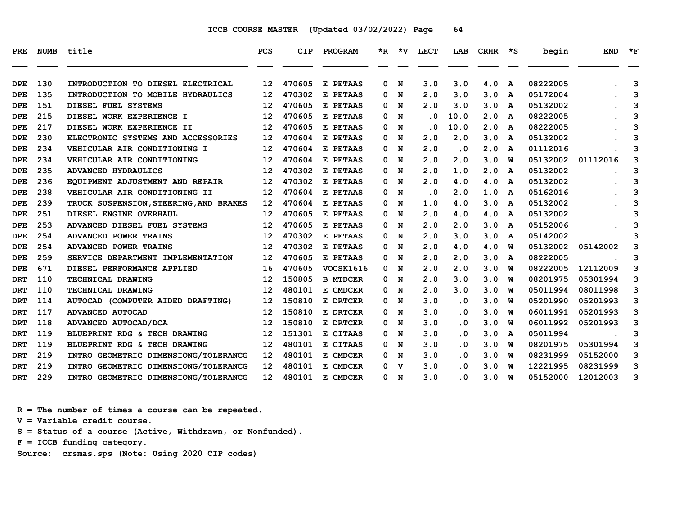| PRE.       | <b>NUMB</b> | title                                           | <b>PCS</b>        | <b>CIP</b>       | PROGRAM         |        | *R *V | LECT                    | LAB                     | CRHR | ∗s | begin    | <b>END</b> | $*_{\mathbf{F}}$ |
|------------|-------------|-------------------------------------------------|-------------------|------------------|-----------------|--------|-------|-------------------------|-------------------------|------|----|----------|------------|------------------|
|            |             |                                                 |                   |                  |                 |        |       |                         |                         |      |    |          |            |                  |
| <b>DPE</b> | 130         | INTRODUCTION TO DIESEL ELECTRICAL               | $12 \,$           | 470605<br>470302 | E PETAAS        | 0      | N     | 3.0                     | 3.0                     | 4.0  | A  | 08222005 |            | 3                |
| DPE        | 135         | INTRODUCTION TO MOBILE HYDRAULICS               | 12                |                  | E PETAAS        | 0      | N     | 2.0                     | 3.0                     | 3.0  | A  | 05172004 |            | 3                |
| <b>DPE</b> | 151         | DIESEL FUEL SYSTEMS<br>DIESEL WORK EXPERIENCE I | 12                | 470605<br>470605 | E PETAAS        | 0<br>0 | N     | 2.0                     | 3.0                     | 3.0  | A  | 05132002 |            | 3                |
| <b>DPE</b> | 215         |                                                 | 12                |                  | E PETAAS        |        | N     | $\overline{\mathbf{0}}$ | 10.0                    | 2.0  | A  | 08222005 |            | 3                |
| <b>DPE</b> | 217         | DIESEL WORK EXPERIENCE II                       | $12 \overline{ }$ | 470605           | E PETAAS        | 0      | N     | $\overline{\mathbf{0}}$ | 10.0                    | 2.0  | A  | 08222005 |            | 3                |
| <b>DPE</b> | 230         | ELECTRONIC SYSTEMS AND ACCESSORIES              | 12                | 470604           | E PETAAS        | 0      | N     | 2.0                     | 2.0                     | 3.0  | A  | 05132002 |            | 3                |
| <b>DPE</b> | 234         | VEHICULAR AIR CONDITIONING I                    | $12 \,$           | 470604           | E PETAAS        | 0      | N     | 2.0                     | $\cdot$ 0               | 2.0  | A  | 01112016 |            | 3                |
| <b>DPE</b> | 234         | VEHICULAR AIR CONDITIONING                      | 12                | 470604           | E PETAAS        | 0      | N     | 2.0                     | 2.0                     | 3.0  | W  | 05132002 | 01112016   | 3                |
| <b>DPE</b> | 235         | ADVANCED HYDRAULICS                             | 12                | 470302           | E PETAAS        | 0      | N     | 2.0                     | 1.0                     | 2.0  | A  | 05132002 |            | 3                |
| <b>DPE</b> | 236         | EOUIPMENT ADJUSTMENT AND REPAIR                 | $12 \,$           | 470302           | E PETAAS        | 0      | N     | 2.0                     | 4.0                     | 4.0  | A  | 05132002 |            | 3                |
| <b>DPE</b> | 238         | VEHICULAR AIR CONDITIONING II                   | $12 \overline{ }$ | 470604           | E PETAAS        | 0      | N     | $\cdot$ 0               | 2.0                     | 1.0  | A  | 05162016 |            | 3                |
| <b>DPE</b> | 239         | TRUCK SUSPENSION, STEERING, AND BRAKES          | $12 \,$           | 470604           | E PETAAS        | 0      | N     | 1.0                     | 4.0                     | 3.0  | A  | 05132002 |            | 3                |
| <b>DPE</b> | 251         | DIESEL ENGINE OVERHAUL                          | 12                | 470605           | E PETAAS        | 0      | N     | 2.0                     | 4.0                     | 4.0  | A  | 05132002 |            | 3                |
| <b>DPE</b> | 253         | ADVANCED DIESEL FUEL SYSTEMS                    | 12                | 470605           | E PETAAS        | 0      | N     | 2.0                     | 2.0                     | 3.0  | A  | 05152006 |            | 3                |
| DPE        | 254         | ADVANCED POWER TRAINS                           | 12                | 470302           | E PETAAS        | 0      | N     | 2.0                     | 3.0                     | 3.0  | A  | 05142002 |            | 3                |
| <b>DPE</b> | 254         | ADVANCED POWER TRAINS                           | $12 \overline{ }$ | 470302           | E PETAAS        | 0      | N     | 2.0                     | 4.0                     | 4.0  | พ  | 05132002 | 05142002   | 3                |
| <b>DPE</b> | 259         | SERVICE DEPARTMENT IMPLEMENTATION               | $12 \overline{ }$ | 470605           | E PETAAS        | 0      | N     | 2.0                     | 2.0                     | 3.0  | A  | 08222005 |            | 3                |
| <b>DPE</b> | 671         | DIESEL PERFORMANCE APPLIED                      | 16                | 470605           | VOCSK1616       | 0      | N     | 2.0                     | 2.0                     | 3.0  | W  | 08222005 | 12112009   | 3                |
| <b>DRT</b> | 110         | TECHNICAL DRAWING                               | 12                | 150805           | <b>B MTDCER</b> | 0      | N     | 2.0                     | 3.0                     | 3.0  | พ  | 08201975 | 05301994   | 3                |
| <b>DRT</b> | 110         | TECHNICAL DRAWING                               | 12                | 480101           | E CMDCER        | 0      | N     | 2.0                     | 3.0                     | 3.0  | w  | 05011994 | 08011998   | 3                |
| <b>DRT</b> | 114         | AUTOCAD (COMPUTER AIDED DRAFTING)               | 12                | 150810           | E DRTCER        | 0      | N     | 3.0                     | $\cdot$ 0               | 3.0  | W  | 05201990 | 05201993   | 3                |
| <b>DRT</b> | 117         | <b>ADVANCED AUTOCAD</b>                         | 12                | 150810           | E DRTCER        | 0      | N     | 3.0                     | $\overline{\mathbf{0}}$ | 3.0  | W  | 06011991 | 05201993   | 3                |
| <b>DRT</b> | 118         | ADVANCED AUTOCAD/DCA                            | 12                | 150810           | E DRTCER        | 0      | N     | 3.0                     | . 0                     | 3.0  | W  | 06011992 | 05201993   | 3                |
| <b>DRT</b> | 119         | BLUEPRINT RDG & TECH DRAWING                    | 12                | 151301           | E CITAAS        | 0      | N     | 3.0                     | $\overline{\mathbf{0}}$ | 3.0  | A  | 05011994 |            | 3                |
| <b>DRT</b> | 119         | BLUEPRINT RDG & TECH DRAWING                    | 12                | 480101           | E CITAAS        | 0      | N     | 3.0                     | $\overline{\mathbf{0}}$ | 3.0  | พ  | 08201975 | 05301994   | 3                |
| <b>DRT</b> | 219         | INTRO GEOMETRIC DIMENSIONG/TOLERANCG            | $12 \overline{ }$ | 480101           | E CMDCER        | 0      | N     | 3.0                     | . 0                     | 3.0  | W  | 08231999 | 05152000   | 3                |
| <b>DRT</b> | 219         | INTRO GEOMETRIC DIMENSIONG/TOLERANCG            | $12 \overline{ }$ | 480101           | E CMDCER        | 0      | v     | 3.0                     | $\overline{\mathbf{0}}$ | 3.0  | w  | 12221995 | 08231999   | 3                |
| <b>DRT</b> | 229         | INTRO GEOMETRIC DIMENSIONG/TOLERANCG            | 12 <sup>2</sup>   | 480101           | E CMDCER        | 0      | N     | 3.0                     | . 0                     | 3.0  | พ  | 05152000 | 12012003   | 3                |

 **R = The number of times a course can be repeated.**

 **V = Variable credit course.**

 **S = Status of a course (Active, Withdrawn, or Nonfunded).**

 **F = ICCB funding category.**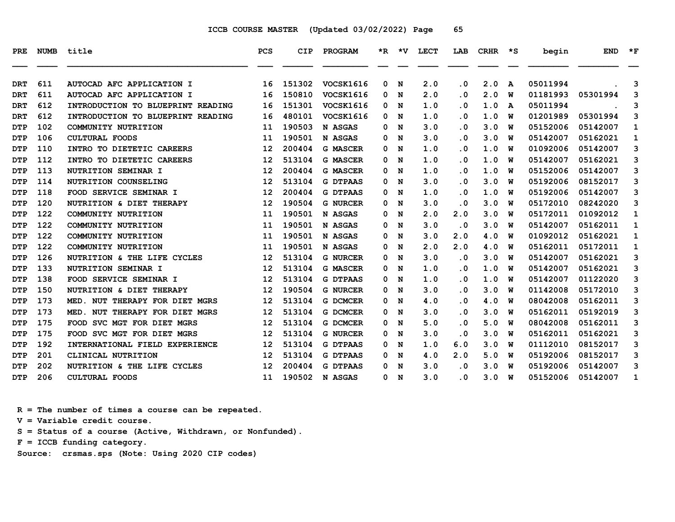| PRE        | <b>NUMB</b> | title                             | <b>PCS</b> | <b>CIP</b> | PROGRAM          |   | $*R$ $*V$ | <b>LECT</b> | LAB       | <b>CRHR</b> | $\star$ s | begin    | <b>END</b> | $*_{\mathbf{F}}$ |
|------------|-------------|-----------------------------------|------------|------------|------------------|---|-----------|-------------|-----------|-------------|-----------|----------|------------|------------------|
| <b>DRT</b> | 611         | AUTOCAD AFC APPLICATION I         | 16         | 151302     | <b>VOCSK1616</b> | 0 | N         | 2.0         | . 0       | 2.0         | A         | 05011994 |            | 3                |
| <b>DRT</b> | 611         | AUTOCAD AFC APPLICATION I         | 16         | 150810     | <b>VOCSK1616</b> | 0 | N         | 2.0         | . 0       | 2.0         | W         | 01181993 | 05301994   | 3                |
| <b>DRT</b> | 612         | INTRODUCTION TO BLUEPRINT READING | 16         | 151301     | VOCSK1616        | 0 | N         | 1.0         | . 0       | 1.0         | A         | 05011994 |            | 3                |
| <b>DRT</b> | 612         | INTRODUCTION TO BLUEPRINT READING | 16         | 480101     | VOCSK1616        | 0 | N         | 1.0         | . 0       | 1.0         | W         | 01201989 | 05301994   | 3                |
| <b>DTP</b> | 102         | COMMUNITY NUTRITION               | 11         | 190503     | N ASGAS          | 0 | N         | 3.0         | . 0       | 3.0         | W         | 05152006 | 05142007   | 1                |
| <b>DTP</b> | 106         | <b>CULTURAL FOODS</b>             | 11         | 190501     | N ASGAS          | 0 | N         | 3.0         | . 0       | 3.0         | W         | 05142007 | 05162021   | 1                |
| <b>DTP</b> | 110         | INTRO TO DIETETIC CAREERS         | 12         | 200404     | <b>G MASCER</b>  | 0 | N         | 1.0         | . 0       | 1.0         | W         | 01092006 | 05142007   | 3                |
| <b>DTP</b> | 112         | INTRO TO DIETETIC CAREERS         | 12         | 513104     | <b>G MASCER</b>  | 0 | N         | 1.0         | . 0       | 1.0         | W         | 05142007 | 05162021   | 3                |
| <b>DTP</b> | 113         | NUTRITION SEMINAR I               | 12         | 200404     | <b>G MASCER</b>  | 0 | N         | 1.0         | . 0       | 1.0         | W         | 05152006 | 05142007   | 3                |
| <b>DTP</b> | 114         | NUTRITION COUNSELING              | 12         | 513104     | <b>G DTPAAS</b>  | 0 | N         | 3.0         | . 0       | 3.0         | W         | 05192006 | 08152017   | 3                |
| <b>DTP</b> | 118         | FOOD SERVICE SEMINAR I            | 12         | 200404     | <b>G DTPAAS</b>  | 0 | N         | 1.0         | . 0       | 1.0         | W         | 05192006 | 05142007   | 3                |
| <b>DTP</b> | 120         | NUTRITION & DIET THERAPY          | 12         | 190504     | <b>G NURCER</b>  | 0 | N         | 3.0         | . 0       | 3.0         | W         | 05172010 | 08242020   | 3                |
| <b>DTP</b> | 122         | COMMUNITY NUTRITION               | 11         | 190501     | N ASGAS          | 0 | N         | 2.0         | 2.0       | 3.0         | W         | 05172011 | 01092012   | 1                |
| <b>DTP</b> | 122         | COMMUNITY NUTRITION               | 11         | 190501     | N ASGAS          | 0 | N         | 3.0         | . 0       | 3.0         | W         | 05142007 | 05162011   | 1                |
| <b>DTP</b> | 122         | COMMUNITY NUTRITION               | 11         | 190501     | N ASGAS          | 0 | N         | 3.0         | 2.0       | 4.0         | W         | 01092012 | 05162021   | 1                |
| <b>DTP</b> | 122         | COMMUNITY NUTRITION               | 11         | 190501     | N ASGAS          | 0 | N         | 2.0         | 2.0       | 4.0         | W         | 05162011 | 05172011   | 1                |
| <b>DTP</b> | 126         | NUTRITION & THE LIFE CYCLES       | 12         | 513104     | <b>G NURCER</b>  | 0 | N         | 3.0         | $\cdot$ 0 | 3.0         | W         | 05142007 | 05162021   | 3                |
| <b>DTP</b> | 133         | <b>NUTRITION SEMINAR I</b>        | 12         | 513104     | <b>G MASCER</b>  | 0 | N         | 1.0         | . 0       | 1.0         | W         | 05142007 | 05162021   | 3                |
| <b>DTP</b> | 138         | FOOD SERVICE SEMINAR I            | 12         | 513104     | <b>G DTPAAS</b>  | 0 | N         | 1.0         | . 0       | 1.0         | W         | 05142007 | 01122020   | 3                |
| <b>DTP</b> | 150         | NUTRITION & DIET THERAPY          | 12         | 190504     | <b>G NURCER</b>  | 0 | N         | 3.0         | . 0       | 3.0         | W         | 01142008 | 05172010   | 3                |
| <b>DTP</b> | 173         | MED. NUT THERAPY FOR DIET MGRS    | 12         | 513104     | <b>G DCMCER</b>  | 0 | N         | 4.0         | . 0       | 4.0         | W         | 08042008 | 05162011   | 3                |
| <b>DTP</b> | 173         | NUT THERAPY FOR DIET MGRS<br>MED. | 12         | 513104     | <b>G DCMCER</b>  | 0 | N         | 3.0         | . 0       | 3.0         | W         | 05162011 | 05192019   | 3                |
| <b>DTP</b> | 175         | FOOD SVC MGT FOR DIET MGRS        | 12         | 513104     | <b>G DCMCER</b>  | 0 | N         | 5.0         | . 0       | 5.0         | W         | 08042008 | 05162011   | 3                |
| <b>DTP</b> | 175         | FOOD SVC MGT FOR DIET MGRS        | 12         | 513104     | <b>G NURCER</b>  | 0 | N         | 3.0         | . 0       | 3.0         | W         | 05162011 | 05162021   | 3                |
| <b>DTP</b> | 192         | INTERNATIONAL FIELD EXPERIENCE    | 12         | 513104     | <b>G DTPAAS</b>  | 0 | N         | 1.0         | 6.0       | 3.0         | W         | 01112010 | 08152017   | 3                |
| <b>DTP</b> | 201         | CLINICAL NUTRITION                | 12         | 513104     | <b>G DTPAAS</b>  | 0 | N         | 4.0         | 2.0       | 5.0         | W         | 05192006 | 08152017   | 3                |
| <b>DTP</b> | 202         | NUTRITION & THE LIFE CYCLES       | 12         | 200404     | <b>G DTPAAS</b>  | 0 | N         | 3.0         | . 0       | 3.0         | W         | 05192006 | 05142007   | 3                |
| <b>DTP</b> | 206         | <b>CULTURAL FOODS</b>             | 11         | 190502     | N ASGAS          | 0 | N         | 3.0         | $\cdot$ 0 | 3.0         | W         | 05152006 | 05142007   | 1                |

 **R = The number of times a course can be repeated.**

 **V = Variable credit course.**

 **S = Status of a course (Active, Withdrawn, or Nonfunded).**

 **F = ICCB funding category.**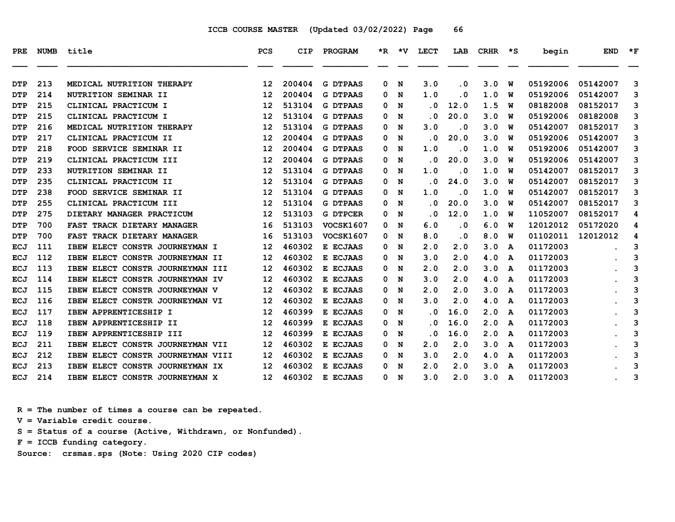| PRE        | NUMB | title                             | <b>PCS</b>        | CIP    | PROGRAM          |   | $*R$ $*V$ | LECT                    | LAB       | CRHR | ≳∗ | begin    | <b>END</b> | $*_{\mathbf{F}}$ |
|------------|------|-----------------------------------|-------------------|--------|------------------|---|-----------|-------------------------|-----------|------|----|----------|------------|------------------|
| DTP        | 213  | MEDICAL NUTRITION THERAPY         | 12                | 200404 | <b>G DTPAAS</b>  | 0 | N         | 3.0                     | $\cdot$ 0 | 3.0  | W  | 05192006 | 05142007   | 3                |
| <b>DTP</b> | 214  | NUTRITION SEMINAR II              | 12                | 200404 | <b>G DTPAAS</b>  | 0 | N         | 1.0                     | . 0       | 1.0  | W  | 05192006 | 05142007   | 3                |
| DTP        | 215  | CLINICAL PRACTICUM I              | 12                | 513104 | <b>G DTPAAS</b>  | 0 | N         | . 0                     | 12.0      | 1.5  | W  | 08182008 | 08152017   | 3                |
| DTP        | 215  | CLINICAL PRACTICUM I              | 12                | 513104 | <b>G DTPAAS</b>  | 0 | N         | . 0                     | 20.0      | 3.0  | W  | 05192006 | 08182008   | 3                |
| DTP        | 216  | MEDICAL NUTRITION THERAPY         | $12 \overline{ }$ | 513104 | <b>G DTPAAS</b>  | 0 | N         | 3.0                     | . 0       | 3.0  | W  | 05142007 | 08152017   | 3                |
| DTP        | 217  | CLINICAL PRACTICUM II             | 12                | 200404 | <b>G DTPAAS</b>  | 0 | N         | . 0                     | 20.0      | 3.0  | w  | 05192006 | 05142007   | 3                |
| <b>DTP</b> | 218  | FOOD SERVICE SEMINAR II           | $12 \overline{ }$ | 200404 | <b>G DTPAAS</b>  | 0 | N         | 1.0                     | $\cdot$ 0 | 1.0  | w  | 05192006 | 05142007   | 3                |
| <b>DTP</b> | 219  | CLINICAL PRACTICUM III            | 12                | 200404 | <b>G DTPAAS</b>  | 0 | N         | . 0                     | 20.0      | 3.0  | W  | 05192006 | 05142007   | 3                |
| <b>DTP</b> | 233  | NUTRITION SEMINAR II              | 12                | 513104 | <b>G DTPAAS</b>  | 0 | N         | 1.0                     | . 0       | 1.0  | W  | 05142007 | 08152017   | 3                |
| <b>DTP</b> | 235  | CLINICAL PRACTICUM II             | 12                | 513104 | <b>G DTPAAS</b>  | 0 | N         | $\overline{\mathbf{0}}$ | 24.0      | 3.0  | พ  | 05142007 | 08152017   | 3                |
| DTP        | 238  | FOOD SERVICE SEMINAR II           | 12                | 513104 | <b>G DTPAAS</b>  | 0 | N         | 1.0                     | $\cdot$ 0 | 1.0  | W  | 05142007 | 08152017   | 3                |
| <b>DTP</b> | 255  | CLINICAL PRACTICUM III            | $12 \overline{ }$ | 513104 | <b>G DTPAAS</b>  | 0 | N         | . 0                     | 20.0      | 3.0  | พ  | 05142007 | 08152017   | 3                |
| <b>DTP</b> | 275  | DIETARY MANAGER PRACTICUM         | 12                | 513103 | <b>G DTPCER</b>  | 0 | N         | . 0                     | 12.0      | 1.0  | W  | 11052007 | 08152017   | 4                |
| <b>DTP</b> | 700  | FAST TRACK DIETARY MANAGER        | 16                | 513103 | VOCSK1607        | 0 | N         | 6.0                     | . 0       | 6.0  | W  | 12012012 | 05172020   | 4                |
| <b>DTP</b> | 700  | FAST TRACK DIETARY MANAGER        | 16                | 513103 | <b>VOCSK1607</b> | 0 | N         | 8.0                     | . 0       | 8.0  | พ  | 01102011 | 12012012   | 4                |
| ECJ        | 111  | IBEW ELECT CONSTR JOURNEYMAN I    | $12 \overline{ }$ | 460302 | E ECJAAS         | 0 | N         | 2.0                     | 2.0       | 3.0  | A  | 01172003 |            | 3                |
| ECJ        | 112  | IBEW ELECT CONSTR JOURNEYMAN II   | $12 \overline{ }$ | 460302 | E ECJAAS         | 0 | N         | 3.0                     | 2.0       | 4.0  | A  | 01172003 |            | 3                |
| ECJ        | 113  | IBEW ELECT CONSTR JOURNEYMAN III  | $12 \overline{ }$ | 460302 | E ECJAAS         | 0 | N         | 2.0                     | 2.0       | 3.0  | A  | 01172003 |            | 3                |
| ECJ        | 114  | IBEW ELECT CONSTR JOURNEYMAN IV   | $12 \overline{ }$ | 460302 | E ECJAAS         | 0 | N         | 3.0                     | 2.0       | 4.0  | A  | 01172003 |            | 3                |
| <b>ECJ</b> | 115  | IBEW ELECT CONSTR JOURNEYMAN V    | 12                | 460302 | E ECJAAS         | 0 | N         | 2.0                     | 2.0       | 3.0  | A  | 01172003 |            | 3                |
| <b>ECJ</b> | 116  | IBEW ELECT CONSTR JOURNEYMAN VI   | $12 \overline{ }$ | 460302 | E ECJAAS         | 0 | N         | 3.0                     | 2.0       | 4.0  | A  | 01172003 |            | 3                |
| ECJ        | 117  | <b>IBEW APPRENTICESHIP I</b>      | $12 \overline{ }$ | 460399 | E ECJAAS         | 0 | N         | . 0                     | 16.0      | 2.0  | A  | 01172003 |            | 3                |
| ECJ        | 118  | IBEW APPRENTICESHIP II            | $12 \overline{ }$ | 460399 | E ECJAAS         | 0 | N         | . 0                     | 16.0      | 2.0  | A  | 01172003 |            | 3                |
| ECJ        | 119  | IBEW APPRENTICESHIP III           | $12 \overline{ }$ | 460399 | E ECJAAS         | 0 | N         | . 0                     | 16.0      | 2.0  | A  | 01172003 |            | 3                |
| ECJ        | 211  | IBEW ELECT CONSTR JOURNEYMAN VII  | 12                | 460302 | E ECJAAS         | 0 | N         | 2.0                     | 2.0       | 3.0  | A  | 01172003 |            | 3                |
| <b>ECJ</b> | 212  | IBEW ELECT CONSTR JOURNEYMAN VIII | 12                | 460302 | E ECJAAS         | 0 | N         | 3.0                     | 2.0       | 4.0  | A  | 01172003 |            | 3                |
| <b>ECJ</b> | 213  | IBEW ELECT CONSTR JOURNEYMAN IX   | 12                | 460302 | E ECJAAS         | 0 | N         | 2.0                     | 2.0       | 3.0  | A  | 01172003 |            | 3                |
| ECJ        | 214  | IBEW ELECT CONSTR JOURNEYMAN X    | 12 <sup>2</sup>   | 460302 | E ECJAAS         | 0 | N         | 3.0                     | 2.0       | 3.0  | A  | 01172003 |            | 3                |

 **R = The number of times a course can be repeated.**

 **V = Variable credit course.**

 **S = Status of a course (Active, Withdrawn, or Nonfunded).**

 **F = ICCB funding category.**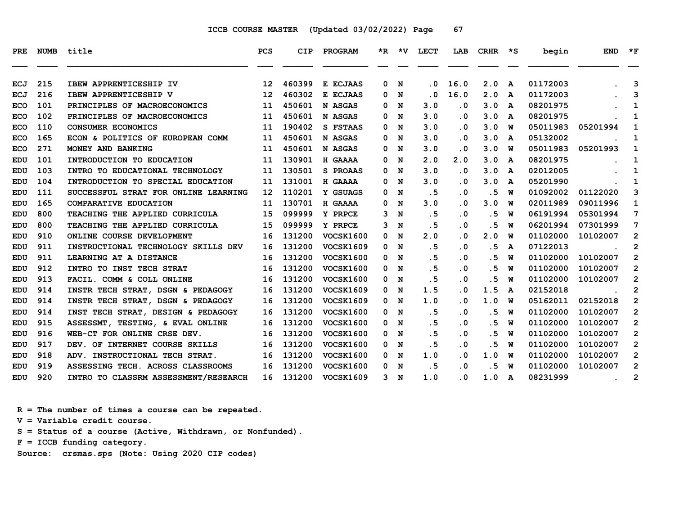| PRE        | <b>NUMB</b> | title                                | <b>PCS</b>      | CIP    | PROGRAM          |    |     | *R *V LECT | LAB       | $CRHR$ *S |   | begin    | <b>END</b>       | $\star$ F      |
|------------|-------------|--------------------------------------|-----------------|--------|------------------|----|-----|------------|-----------|-----------|---|----------|------------------|----------------|
| <b>ECJ</b> | 215         | IBEW APPRENTICESHIP IV               | 12 <sup>2</sup> | 460399 | E ECJAAS         | 0  | N   | $\cdot$ 0  | 16.0      | 2.0       | A | 01172003 |                  | 3              |
| <b>ECJ</b> | 216         | IBEW APPRENTICESHIP V                | 12              | 460302 | E ECJAAS         | 0  | N   | . 0        | 16.0      | 2.0       | A | 01172003 |                  | 3              |
| <b>ECO</b> | 101         | PRINCIPLES OF MACROECONOMICS         | 11              | 450601 | N ASGAS          | 0  | N   | 3.0        | $\cdot$ 0 | 3.0       | A | 08201975 |                  | 1              |
| <b>ECO</b> | 102         | PRINCIPLES OF MACROECONOMICS         | 11              | 450601 | N ASGAS          | 0  | N   | 3.0        | $\cdot$ 0 | 3.0       | A | 08201975 |                  | 1              |
| <b>ECO</b> | 110         | <b>CONSUMER ECONOMICS</b>            | 11              | 190402 | S FSTAAS         | 0  | N   | 3.0        | $\cdot$ 0 | 3.0       | W | 05011983 | 05201994         | 1              |
| <b>ECO</b> | 165         | ECON & POLITICS OF EUROPEAN COMM     | 11              | 450601 | N ASGAS          | 0  | N   | 3.0        | $\cdot$ 0 | 3.0       | A | 05132002 |                  | 1              |
| <b>ECO</b> | 271         | MONEY AND BANKING                    | 11              | 450601 | N ASGAS          | 0  | N   | 3.0        | $\cdot$ 0 | 3.0       | W | 05011983 | 05201993         | 1              |
| EDU        | 101         | INTRODUCTION TO EDUCATION            | 11              | 130901 | H GAAAA          | 0  | N   | 2.0        | 2.0       | 3.0       | A | 08201975 |                  | 1              |
| <b>EDU</b> | 103         | INTRO TO EDUCATIONAL TECHNOLOGY      | 11              | 130501 | S PROAAS         |    | 0 N | 3.0        | $\cdot$ 0 | 3.0       | A | 02012005 |                  | 1              |
| <b>EDU</b> | 104         | INTRODUCTION TO SPECIAL EDUCATION    | 11              | 131001 | H GAAAA          | 0  | N   | 3.0        | $\cdot$ 0 | 3.0       | A | 05201990 |                  | 1              |
| <b>EDU</b> | 111         | SUCCESSFUL STRAT FOR ONLINE LEARNING | 12              | 110201 | Y GSUAGS         | 0  | N   | .5         | $\cdot$ 0 | .5        | W | 01092002 | 01122020         | 3              |
| <b>EDU</b> | 165         | COMPARATIVE EDUCATION                | 11              | 130701 | H GAAAA          | 0. | N   | 3.0        | . 0       | 3.0       | W | 02011989 | 09011996         | $\mathbf 1$    |
| <b>EDU</b> | 800         | TEACHING THE APPLIED CURRICULA       | 15              | 099999 | Y PRPCE          | 3  | N   | .5         | $\cdot$ 0 | .5        | W | 06191994 | 05301994         | 7              |
| <b>EDU</b> | 800         | TEACHING THE APPLIED CURRICULA       | 15              | 099999 | Y PRPCE          |    | 3 N | .5         | $\cdot$ 0 | . 5       | W | 06201994 | 07301999         | 7              |
| <b>EDU</b> | 910         | ONLINE COURSE DEVELOPMENT            | 16              | 131200 | <b>VOCSK1600</b> |    | 0 N | 2.0        | $\cdot$ 0 | 2.0       | W | 01102000 | 10102007         | $\mathbf{2}$   |
| <b>EDU</b> | 911         | INSTRUCTIONAL TECHNOLOGY SKILLS DEV  | 16              | 131200 | <b>VOCSK1609</b> |    | 0 N | .5         | $\cdot$ 0 | .5        | A | 07122013 |                  | $\overline{2}$ |
| <b>EDU</b> | 911         | LEARNING AT A DISTANCE               | 16              | 131200 | VOCSK1600        |    | 0 N | .5         | $\cdot$ 0 | .5        | W | 01102000 | 10102007         | $\overline{2}$ |
| <b>EDU</b> | 912         | INTRO TO INST TECH STRAT             | 16              | 131200 | <b>VOCSK1600</b> | 0  | N   | .5         | $\cdot$ 0 | .5        | W | 01102000 | 10102007         | $\mathbf{2}$   |
| EDU        | 913         | FACIL. COMM & COLL ONLINE            | 16              | 131200 | <b>VOCSK1600</b> | 0  | N   | .5         | $\cdot$ 0 | . 5       | W | 01102000 | 10102007         | $\overline{2}$ |
| <b>EDU</b> | 914         | INSTR TECH STRAT, DSGN & PEDAGOGY    | 16              | 131200 | <b>VOCSK1609</b> |    | 0 N | 1.5        | $\cdot$ 0 | 1.5       | A | 02152018 |                  | 2              |
| <b>EDU</b> | 914         | INSTR TECH STRAT, DSGN & PEDAGOGY    | 16              | 131200 | <b>VOCSK1609</b> | 0  | N   | 1.0        | $\cdot$ 0 | 1.0       | W | 05162011 | 02152018         | $\overline{2}$ |
| EDU        | 914         | INST TECH STRAT, DESIGN & PEDAGOGY   | 16              | 131200 | <b>VOCSK1600</b> |    | 0 N | .5         | $\cdot$ 0 | .5        | W | 01102000 | 10102007         | $\mathbf{2}$   |
| <b>EDU</b> | 915         | ASSESSMT, TESTING, & EVAL ONLINE     | 16              | 131200 | <b>VOCSK1600</b> | 0  | N   | . 5        | $\cdot$ 0 | . 5       | W | 01102000 | 10102007         | $\mathbf{2}$   |
| EDU        | 916         | WEB-CT FOR ONLINE CRSE DEV.          | 16              | 131200 | <b>VOCSK1600</b> | 0  | N   | .5         | $\cdot$ 0 | .5        | W | 01102000 | 10102007         | $\overline{2}$ |
| EDU        | 917         | DEV. OF INTERNET COURSE SKILLS       | 16              | 131200 | <b>VOCSK1600</b> |    | 0 N | .5         | $\cdot$ 0 | .5        | W | 01102000 | 10102007         | $\mathbf{2}$   |
| <b>EDU</b> | 918         | ADV. INSTRUCTIONAL TECH STRAT.       | 16              | 131200 | VOCSK1600        | 0  | N   | 1.0        | $\cdot$ 0 | 1.0       | W | 01102000 | 10102007         | $\mathbf{2}$   |
| <b>EDU</b> | 919         | ASSESSING TECH. ACROSS CLASSROOMS    | 16              | 131200 | <b>VOCSK1600</b> |    | 0 N | .5         | $\cdot$ 0 | .5        | W | 01102000 | 10102007         | $\overline{2}$ |
| <b>EDU</b> | 920         | INTRO TO CLASSRM ASSESSMENT/RESEARCH | 16              | 131200 | <b>VOCSK1609</b> |    | 3 N | 1.0        | $\cdot$ 0 | 1.0       | A | 08231999 | $\sim$ 100 $\pm$ | 2              |

 **R = The number of times a course can be repeated.**

 **V = Variable credit course.**

 **S = Status of a course (Active, Withdrawn, or Nonfunded).**

 **F = ICCB funding category.**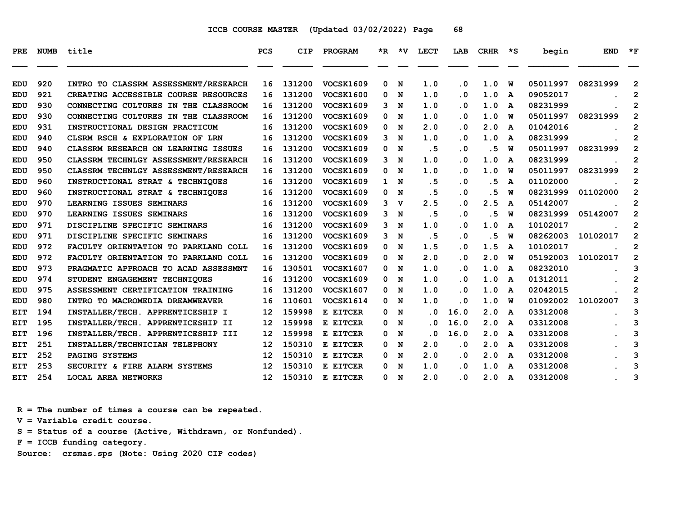| PRE        | <b>NUMB</b> | title                                | <b>PCS</b>        | <b>CIP</b> | PROGRAM          |              |                | *R *V LECT                 | LAB       | CRHR | s ∗                     | begin    | <b>END</b> | $\star$ F      |
|------------|-------------|--------------------------------------|-------------------|------------|------------------|--------------|----------------|----------------------------|-----------|------|-------------------------|----------|------------|----------------|
| <b>EDU</b> | 920         | INTRO TO CLASSRM ASSESSMENT/RESEARCH | 16                | 131200     | <b>VOCSK1609</b> | 0            | N              | 1.0                        | $\cdot$ 0 | 1.0  | W                       | 05011997 | 08231999   | $\overline{2}$ |
| <b>EDU</b> | 921         | CREATING ACCESSIBLE COURSE RESOURCES | 16                | 131200     | <b>VOCSK1600</b> | 0            | N              | 1.0                        | $\cdot$ 0 | 1.0  | $\overline{\mathbf{A}}$ | 09052017 |            | $\overline{2}$ |
| <b>EDU</b> | 930         | CONNECTING CULTURES IN THE CLASSROOM | 16                | 131200     | <b>VOCSK1609</b> | 3            | N              | 1.0                        | $\cdot$ 0 | 1.0  | A                       | 08231999 |            | $\overline{2}$ |
| <b>EDU</b> | 930         | CONNECTING CULTURES IN THE CLASSROOM | 16                | 131200     | <b>VOCSK1609</b> | 0            | N              | 1.0                        | $\cdot$ 0 | 1.0  | W                       | 05011997 | 08231999   | $\overline{2}$ |
| EDU        | 931         | INSTRUCTIONAL DESIGN PRACTICUM       | 16                | 131200     | <b>VOCSK1609</b> | 0            | N              | 2.0                        | $\cdot$ 0 | 2.0  | $\mathbf{A}$            | 01042016 |            | $\overline{2}$ |
| <b>EDU</b> | 940         | CLSRM RSCH & EXPLORATION OF LRN      | 16                | 131200     | <b>VOCSK1609</b> | 3            | N              | 1.0                        | $\cdot$ 0 | 1.0  | A                       | 08231999 |            | $\overline{2}$ |
| <b>EDU</b> | 940         | CLASSRM RESEARCH ON LEARNING ISSUES  | 16                | 131200     | <b>VOCSK1609</b> | 0            | N              | .5                         | $\cdot$ 0 | .5   | W                       | 05011997 | 08231999   | $\overline{2}$ |
| <b>EDU</b> | 950         | CLASSRM TECHNLGY ASSESSMENT/RESEARCH | 16                | 131200     | <b>VOCSK1609</b> | 3            | N              | 1.0                        | $\cdot$ 0 | 1.0  | $\mathbf{A}$            | 08231999 |            | $\overline{2}$ |
| EDU        | 950         | CLASSRM TECHNLGY ASSESSMENT/RESEARCH | 16                | 131200     | <b>VOCSK1609</b> | 0            | N              | 1.0                        | $\cdot$ 0 | 1.0  | W                       | 05011997 | 08231999   | $\overline{2}$ |
| EDU        | 960         | INSTRUCTIONAL STRAT & TECHNIQUES     | 16                | 131200     | <b>VOCSK1609</b> | $\mathbf{1}$ | N              | .5                         | $\cdot$ 0 | .5   | A                       | 01102000 |            | 2              |
| <b>EDU</b> | 960         | INSTRUCTIONAL STRAT & TECHNIOUES     | 16                | 131200     | <b>VOCSK1609</b> | 0            | N              | . 5                        | $\cdot$ 0 | .5   | W                       | 08231999 | 01102000   | $\overline{2}$ |
| <b>EDU</b> | 970         | LEARNING ISSUES SEMINARS             | 16                | 131200     | <b>VOCSK1609</b> |              | 3 <sub>v</sub> | 2.5                        | . 0       | 2.5  | A                       | 05142007 |            | $\overline{2}$ |
| EDU        | 970         | LEARNING ISSUES SEMINARS             | 16                | 131200     | <b>VOCSK1609</b> | 3            | N              | .5                         | $\cdot$ 0 | .5   | W                       | 08231999 | 05142007   | $\overline{2}$ |
| EDU        | 971         | DISCIPLINE SPECIFIC SEMINARS         | 16                | 131200     | <b>VOCSK1609</b> | 3            | N              | 1.0                        | $\cdot$ 0 | 1.0  | A                       | 10102017 |            | $\overline{2}$ |
| <b>EDU</b> | 971         | DISCIPLINE SPECIFIC SEMINARS         | 16                | 131200     | <b>VOCSK1609</b> | 3            | N              | . 5                        | $\cdot$ 0 | .5   | W                       | 08262003 | 10102017   | $\overline{2}$ |
| <b>EDU</b> | 972         | FACULTY ORIENTATION TO PARKLAND COLL | 16                | 131200     | <b>VOCSK1609</b> | 0            | N              | 1.5                        | . 0       | 1.5  | A                       | 10102017 |            | $\overline{2}$ |
| <b>EDU</b> | 972         | FACULTY ORIENTATION TO PARKLAND COLL | 16                | 131200     | <b>VOCSK1609</b> | 0            | N              | 2.0                        | $\cdot$ 0 | 2.0  | W                       | 05192003 | 10102017   | $\overline{2}$ |
| <b>EDU</b> | 973         | PRAGMATIC APPROACH TO ACAD ASSESSMNT | 16                | 130501     | <b>VOCSK1607</b> | 0            | N              | 1.0                        | $\cdot$ 0 | 1.0  | A                       | 08232010 |            | 3              |
| EDU        | 974         | STUDENT ENGAGEMENT TECHNIQUES        | 16                | 131200     | <b>VOCSK1609</b> | 0            | N              | 1.0                        | $\cdot$ 0 | 1.0  | A                       | 01312011 |            | $\overline{2}$ |
| <b>EDU</b> | 975         | ASSESSMENT CERTIFICATION TRAINING    | 16                | 131200     | <b>VOCSK1607</b> | 0            | N              | 1.0                        | $\cdot$ 0 | 1.0  | A                       | 02042015 |            | $\overline{2}$ |
| <b>EDU</b> | 980         | INTRO TO MACROMEDIA DREAMWEAVER      | 16                | 110601     | VOCSK1614        | 0            | N              | 1.0                        | . 0       | 1.0  | W                       | 01092002 | 10102007   | 3              |
| EIT        | 194         | INSTALLER/TECH. APPRENTICESHIP I     | $12 \overline{ }$ | 159998     | E EITCER         | 0            | N              | . 0                        | 16.0      | 2.0  | A                       | 03312008 |            | 3              |
| EIT        | 195         | INSTALLER/TECH. APPRENTICESHIP II    | $12 \overline{ }$ | 159998     | E EITCER         | 0            | N              | $\cdot$ 0                  | 16.0      | 2.0  | A                       | 03312008 |            | 3              |
| EIT        | 196         | INSTALLER/TECH. APPRENTICESHIP III   | 12                | 159998     | E EITCER         | 0            | N              | $\overline{\phantom{0}}$ . | 16.0      | 2.0  | A                       | 03312008 |            | 3              |
| EIT        | 251         | INSTALLER/TECHNICIAN TELEPHONY       | 12                | 150310     | E EITCER         | 0            | N              | 2.0                        | $\cdot$ 0 | 2.0  | A                       | 03312008 |            | 3              |
| EIT        | 252         | PAGING SYSTEMS                       | $12 \overline{ }$ | 150310     | E EITCER         | 0            | N              | 2.0                        | $\cdot$ 0 | 2.0  | A                       | 03312008 |            | 3              |
| EIT        | 253         | SECURITY & FIRE ALARM SYSTEMS        | 12                | 150310     | E EITCER         | 0            | N              | 1.0                        | $\cdot$ 0 | 1.0  | A                       | 03312008 |            | 3              |
| EIT        | 254         | <b>LOCAL AREA NETWORKS</b>           | $12 \overline{ }$ | 150310     | E EITCER         | 0            | N              | 2.0                        | . 0       | 2.0  | A                       | 03312008 |            | 3              |

 **R = The number of times a course can be repeated.**

 **V = Variable credit course.**

 **S = Status of a course (Active, Withdrawn, or Nonfunded).**

 **F = ICCB funding category.**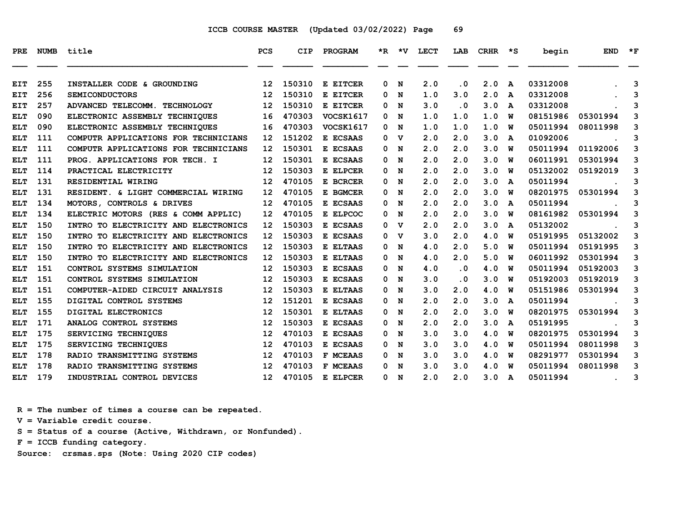| <b>PRE</b> | <b>NUMB</b> | title                                | <b>PCS</b>        | <b>CIP</b> | PROGRAM          |          |             | *R *V LECT | LAB       | <b>CRHR</b> | s ∗          | begin    | <b>END</b> | $*_{\mathbf{F}}$ |
|------------|-------------|--------------------------------------|-------------------|------------|------------------|----------|-------------|------------|-----------|-------------|--------------|----------|------------|------------------|
|            |             |                                      |                   |            |                  |          |             |            |           |             |              |          |            |                  |
| EIT        | 255         | INSTALLER CODE & GROUNDING           | $12 \overline{ }$ | 150310     | E EITCER         | 0        | N           | 2.0        | $\cdot$ 0 | 2.0         | $\mathbf{A}$ | 03312008 |            | 3                |
| EIT        | 256         | <b>SEMICONDUCTORS</b>                | 12                | 150310     | E EITCER         | 0        | N           | 1.0        | 3.0       | 2.0         | A            | 03312008 |            | 3                |
| EIT        | 257         | ADVANCED TELECOMM. TECHNOLOGY        | 12                | 150310     | E EITCER         | 0        | N           | 3.0        | $\cdot$ 0 | 3.0         | A            | 03312008 |            | 3                |
| <b>ELT</b> | 090         | ELECTRONIC ASSEMBLY TECHNIQUES       | 16                | 470303     | <b>VOCSK1617</b> | 0        | N           | 1.0        | 1.0       | 1.0         | W            | 08151986 | 05301994   | 3                |
| <b>ELT</b> | 090         | ELECTRONIC ASSEMBLY TECHNIOUES       | 16                | 470303     | VOCSK1617        | 0        | N           | 1.0        | 1.0       | 1.0         | W            | 05011994 | 08011998   | 3                |
| <b>ELT</b> | 111         | COMPUTR APPLICATIONS FOR TECHNICIANS | 12                | 151202     | E ECSAAS         | 0        | v           | 2.0        | 2.0       | 3.0         | A            | 01092006 |            | 3                |
| <b>ELT</b> | 111         | COMPUTR APPLICATIONS FOR TECHNICIANS | $12 \overline{ }$ | 150301     | E ECSAAS         | 0        | N           | 2.0        | 2.0       | 3.0         | W            | 05011994 | 01192006   | 3                |
| ELT        | 111         | PROG. APPLICATIONS FOR TECH. I       | $12 \overline{ }$ | 150301     | E ECSAAS         | 0        | N           | 2.0        | 2.0       | 3.0         | W            | 06011991 | 05301994   | 3                |
| ELT        | 114         | PRACTICAL ELECTRICITY                | 12                | 150303     | E ELPCER         | 0        | N           | 2.0        | 2.0       | 3.0         | W            | 05132002 | 05192019   | 3                |
| <b>ELT</b> | 131         | RESIDENTIAL WIRING                   | $12 \overline{ }$ | 470105     | E BCRCER         | 0        | N           | 2.0        | 2.0       | 3.0         | A            | 05011994 |            | 3                |
| ELT        | 131         | RESIDENT. & LIGHT COMMERCIAL WIRING  | 12                | 470105     | E BGMCER         | $\Omega$ | N           | 2.0        | 2.0       | 3.0         | W            | 08201975 | 05301994   | 3                |
| ELT        | 134         | MOTORS, CONTROLS & DRIVES            | 12                | 470105     | E ECSAAS         | 0        | N           | 2.0        | 2.0       | 3.0         | A            | 05011994 |            | 3                |
| ELT        | 134         | ELECTRIC MOTORS (RES & COMM APPLIC)  | 12                | 470105     | E ELPCOC         | 0        | N           | 2.0        | 2.0       | 3.0         | W            | 08161982 | 05301994   | 3                |
| <b>ELT</b> | 150         | INTRO TO ELECTRICITY AND ELECTRONICS | 12                | 150303     | E ECSAAS         | 0        | $\mathbf v$ | 2.0        | 2.0       | 3.0         | A            | 05132002 |            | 3                |
| <b>ELT</b> | 150         | INTRO TO ELECTRICITY AND ELECTRONICS | 12                | 150303     | E ECSAAS         | 0        | v           | 3.0        | 2.0       | 4.0         | W            | 05191995 | 05132002   | 3                |
| ELT        | 150         | INTRO TO ELECTRICITY AND ELECTRONICS | $12 \overline{ }$ | 150303     | E ELTAAS         | 0        | N           | 4.0        | 2.0       | 5.0         | W            | 05011994 | 05191995   | 3                |
| ELT        | 150         | INTRO TO ELECTRICITY AND ELECTRONICS | $12 \overline{ }$ | 150303     | E ELTAAS         | 0        | N           | 4.0        | 2.0       | 5.0         | W            | 06011992 | 05301994   | 3                |
| <b>ELT</b> | 151         | CONTROL SYSTEMS SIMULATION           | $12 \overline{ }$ | 150303     | E ECSAAS         | 0        | N           | 4.0        | $\cdot$ 0 | 4.0         | W            | 05011994 | 05192003   | 3                |
| <b>ELT</b> | 151         | CONTROL SYSTEMS SIMULATION           | 12                | 150303     | E ECSAAS         | 0        | N           | 3.0        | $\cdot$ 0 | 3.0         | W            | 05192003 | 05192019   | 3                |
| ELT        | 151         | COMPUTER-AIDED CIRCUIT ANALYSIS      | $12 \overline{ }$ | 150303     | E ELTAAS         | 0        | N           | 3.0        | 2.0       | 4.0         | W            | 05151986 | 05301994   | 3                |
| ELT        | 155         | DIGITAL CONTROL SYSTEMS              | $12 \overline{ }$ | 151201     | E ECSAAS         | 0        | N           | 2.0        | 2.0       | 3.0         | A            | 05011994 |            | 3                |
| <b>ELT</b> | 155         | DIGITAL ELECTRONICS                  | $12 \overline{ }$ | 150301     | E ELTAAS         | 0        | N           | 2.0        | 2.0       | 3.0         | W            | 08201975 | 05301994   | 3                |
| ELT        | 171         | ANALOG CONTROL SYSTEMS               | $12 \overline{ }$ | 150303     | E ECSAAS         | 0        | N           | 2.0        | 2.0       | 3.0         | A            | 05191995 |            | 3                |
| ELT        | 175         | SERVICING TECHNIQUES                 | 12                | 470103     | E ECSAAS         | 0        | N           | 3.0        | 3.0       | 4.0         | W            | 08201975 | 05301994   | 3                |
| ELT        | 175         | SERVICING TECHNIQUES                 | 12                | 470103     | E ECSAAS         | 0        | N           | 3.0        | 3.0       | 4.0         | W            | 05011994 | 08011998   | 3                |
| <b>ELT</b> | 178         | RADIO TRANSMITTING SYSTEMS           | $12 \overline{ }$ | 470103     | F MCEAAS         | 0        | N           | 3.0        | 3.0       | 4.0         | W            | 08291977 | 05301994   | 3                |
| ELT        | 178         | RADIO TRANSMITTING SYSTEMS           | 12                | 470103     | F MCEAAS         | 0        | N           | 3.0        | 3.0       | 4.0         | W            | 05011994 | 08011998   | 3                |
| <b>ELT</b> | 179         | INDUSTRIAL CONTROL DEVICES           | 12 <sup>2</sup>   | 470105     | E ELPCER         | 0        | $\mathbf N$ | 2.0        | 2.0       | 3.0         | A            | 05011994 |            | 3                |

 **R = The number of times a course can be repeated.**

 **V = Variable credit course.**

 **S = Status of a course (Active, Withdrawn, or Nonfunded).**

 **F = ICCB funding category.**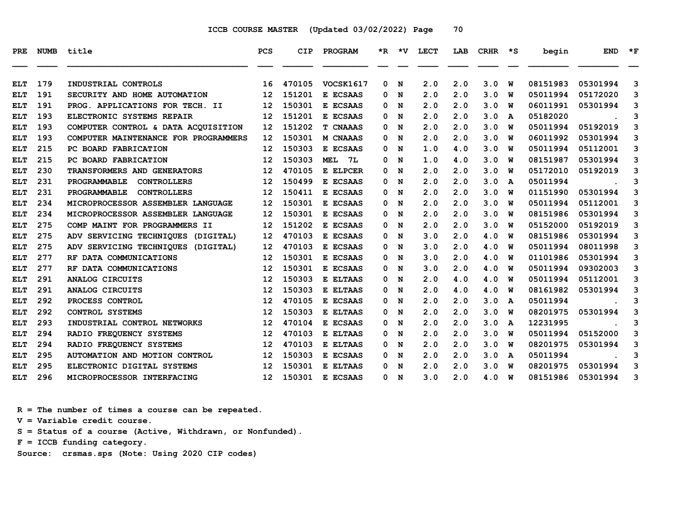| <b>PRE</b> | <b>NUMB</b> | title                                | PCS             | <b>CIP</b> | <b>PROGRAM</b>   |     |   | *R *V LECT | LAB | CRHR | $\star$ s | begin    | <b>END</b> | $*_{\mathbf{F}}$ |
|------------|-------------|--------------------------------------|-----------------|------------|------------------|-----|---|------------|-----|------|-----------|----------|------------|------------------|
| ELT        | 179         | INDUSTRIAL CONTROLS                  | 16              | 470105     | VOCSK1617        | 0   | N | 2.0        | 2.0 | 3.0  | W         | 08151983 | 05301994   | 3                |
| <b>ELT</b> | 191         | SECURITY AND HOME AUTOMATION         | 12              | 151201     | E ECSAAS         | 0   | N | 2.0        | 2.0 | 3.0  | พ         | 05011994 | 05172020   | 3                |
| <b>ELT</b> | 191         | PROG. APPLICATIONS FOR TECH. II      | 12              | 150301     | E ECSAAS         | 0   | N | 2.0        | 2.0 | 3.0  | W         | 06011991 | 05301994   | 3                |
| ELT        | 193         | ELECTRONIC SYSTEMS REPAIR            | 12              | 151201     | E ECSAAS         | 0   | N | 2.0        | 2.0 | 3.0  | A         | 05182020 |            | 3                |
| <b>ELT</b> | 193         | COMPUTER CONTROL & DATA ACOUISITION  | 12              | 151202     | <b>T CNAAAS</b>  | 0   | N | 2.0        | 2.0 | 3.0  | พ         | 05011994 | 05192019   | 3                |
| <b>ELT</b> | 193         | COMPUTER MAINTENANCE FOR PROGRAMMERS | 12              | 150301     | <b>M CNAAAS</b>  | 0   | N | 2.0        | 2.0 | 3.0  | พ         | 06011992 | 05301994   | 3                |
| <b>ELT</b> | 215         | PC BOARD FABRICATION                 | 12              | 150303     | E ECSAAS         | 0   | N | 1.0        | 4.0 | 3.0  | W         | 05011994 | 05112001   | 3                |
| ELT        | 215         | PC BOARD FABRICATION                 | 12              | 150303     | 7L<br><b>MEL</b> | 0   | N | 1.0        | 4.0 | 3.0  | W         | 08151987 | 05301994   | 3                |
| ELT        | 230         | TRANSFORMERS AND GENERATORS          | 12              | 470105     | E ELPCER         | 0   | N | 2.0        | 2.0 | 3.0  | w         | 05172010 | 05192019   | 3                |
| <b>ELT</b> | 231         | PROGRAMMABLE<br><b>CONTROLLERS</b>   | 12              | 150499     | E ECSAAS         | 0   | N | 2.0        | 2.0 | 3.0  | A         | 05011994 |            | 3                |
| ELT        | 231         | <b>CONTROLLERS</b><br>PROGRAMMABLE   | 12              | 150411     | E ECSAAS         | 0   | N | 2.0        | 2.0 | 3.0  | W         | 01151990 | 05301994   | 3                |
| <b>ELT</b> | 234         | MICROPROCESSOR ASSEMBLER LANGUAGE    | 12              | 150301     | E ECSAAS         | 0   | N | 2.0        | 2.0 | 3.0  | W         | 05011994 | 05112001   | 3                |
| ELT        | 234         | MICROPROCESSOR ASSEMBLER LANGUAGE    | 12              | 150301     | E ECSAAS         | 0   | N | 2.0        | 2.0 | 3.0  | W         | 08151986 | 05301994   | 3                |
| <b>ELT</b> | 275         | COMP MAINT FOR PROGRAMMERS II        | 12              | 151202     | E ECSAAS         | 0   | N | 2.0        | 2.0 | 3.0  | W         | 05152000 | 05192019   | 3                |
| <b>ELT</b> | 275         | ADV SERVICING TECHNIQUES (DIGITAL)   | 12              | 470103     | E ECSAAS         | 0   | N | 3.0        | 2.0 | 4.0  | W         | 08151986 | 05301994   | 3                |
| <b>ELT</b> | 275         | ADV SERVICING TECHNIQUES (DIGITAL)   | 12              | 470103     | E ECSAAS         | 0   | N | 3.0        | 2.0 | 4.0  | W         | 05011994 | 08011998   | 3                |
| ELT        | 277         | RF DATA COMMUNICATIONS               | 12              | 150301     | E ECSAAS         | 0   | N | 3.0        | 2.0 | 4.0  | W         | 01101986 | 05301994   | 3                |
| ELT        | 277         | RF DATA COMMUNICATIONS               | 12              | 150301     | E ECSAAS         | 0   | N | 3.0        | 2.0 | 4.0  | W         | 05011994 | 09302003   | 3                |
| <b>ELT</b> | 291         | ANALOG CIRCUITS                      | 12              | 150303     | E ELTAAS         | 0   | N | 2.0        | 4.0 | 4.0  | พ         | 05011994 | 05112001   | 3                |
| ELT        | 291         | <b>ANALOG CIRCUITS</b>               | 12              | 150303     | E ELTAAS         | 0   | N | 2.0        | 4.0 | 4.0  | W         | 08161982 | 05301994   | 3                |
| <b>ELT</b> | 292         | PROCESS CONTROL                      | 12              | 470105     | E ECSAAS         | 0   | N | 2.0        | 2.0 | 3.0  | A         | 05011994 |            | 3                |
| ELT        | 292         | <b>CONTROL SYSTEMS</b>               | 12              | 150303     | E ELTAAS         | 0   | N | 2.0        | 2.0 | 3.0  | w         | 08201975 | 05301994   | 3                |
| <b>ELT</b> | 293         | INDUSTRIAL CONTROL NETWORKS          | 12              | 470104     | E ECSAAS         | 0   | N | 2.0        | 2.0 | 3.0  | A         | 12231995 |            | 3                |
| <b>ELT</b> | 294         | RADIO FREQUENCY SYSTEMS              | 12              | 470103     | E ELTAAS         | 0   | N | 2.0        | 2.0 | 3.0  | W         | 05011994 | 05152000   | 3                |
| ELT        | 294         | RADIO FREQUENCY SYSTEMS              | 12              | 470103     | E ELTAAS         | 0   | N | 2.0        | 2.0 | 3.0  | W         | 08201975 | 05301994   | 3                |
| ELT        | 295         | AUTOMATION AND MOTION CONTROL        | 12              | 150303     | E ECSAAS         | 0   | N | 2.0        | 2.0 | 3.0  | A         | 05011994 |            | 3                |
| ELT        | 295         | ELECTRONIC DIGITAL SYSTEMS           | 12              | 150301     | E ELTAAS         | 0   | N | 2.0        | 2.0 | 3.0  | W         | 08201975 | 05301994   | 3                |
| <b>ELT</b> | 296         | MICROPROCESSOR INTERFACING           | 12 <sup>2</sup> |            | 150301 E ECSAAS  | 0 N |   | 3.0        | 2.0 | 4.0  | <b>W</b>  | 08151986 | 05301994   | 3                |

 **R = The number of times a course can be repeated.**

 **V = Variable credit course.**

 **S = Status of a course (Active, Withdrawn, or Nonfunded).**

 **F = ICCB funding category.**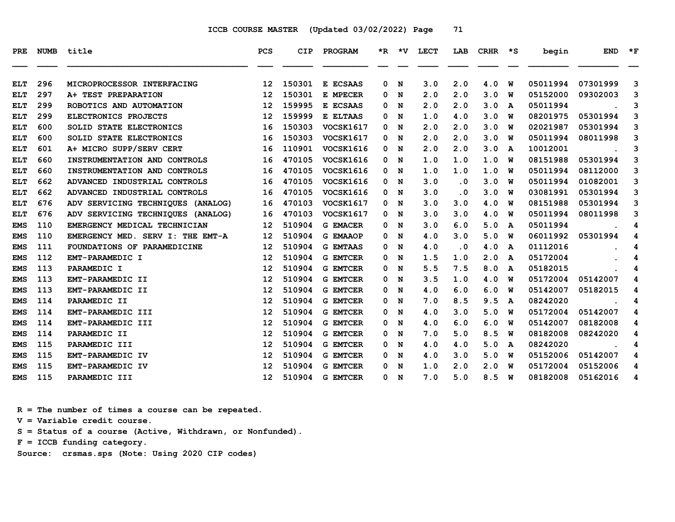| PRE        | <b>NUMB</b> | title                             | <b>PCS</b>        | <b>CIP</b> | PROGRAM          |   | $*R$ $*V$ | <b>LECT</b> | LAB       | CRHR | $\star$ s | begin    | <b>END</b> | $\star$ F |
|------------|-------------|-----------------------------------|-------------------|------------|------------------|---|-----------|-------------|-----------|------|-----------|----------|------------|-----------|
| <b>ELT</b> | 296         | MICROPROCESSOR INTERFACING        | 12                | 150301     | E ECSAAS         | 0 | N         | 3.0         | 2.0       | 4.0  | W         | 05011994 | 07301999   | 3         |
| <b>ELT</b> | 297         | A+ TEST PREPARATION               | 12                | 150301     | E MPECER         | 0 | N         | 2.0         | 2.0       | 3.0  | พ         | 05152000 | 09302003   | 3         |
| <b>ELT</b> | 299         | ROBOTICS AND AUTOMATION           | 12                | 159995     | E ECSAAS         | 0 | N         | 2.0         | 2.0       | 3.0  | A         | 05011994 |            | 3         |
| <b>ELT</b> | 299         | ELECTRONICS PROJECTS              | $12 \overline{ }$ | 159999     | E ELTAAS         | 0 | N         | 1.0         | 4.0       | 3.0  | W         | 08201975 | 05301994   | 3         |
| <b>ELT</b> | 600         | SOLID STATE ELECTRONICS           | 16                | 150303     | VOCSK1617        | 0 | N         | 2.0         | 2.0       | 3.0  | W         | 02021987 | 05301994   | 3         |
| <b>ELT</b> | 600         | SOLID STATE ELECTRONICS           | 16                | 150303     | <b>VOCSK1617</b> | 0 | N         | 2.0         | 2.0       | 3.0  | พ         | 05011994 | 08011998   | 3         |
| <b>ELT</b> | 601         | A+ MICRO SUPP/SERV CERT           | 16                | 110901     | <b>VOCSK1616</b> | 0 | N         | 2.0         | 2.0       | 3.0  | A         | 10012001 |            | 3         |
| <b>ELT</b> | 660         | INSTRUMENTATION AND CONTROLS      | 16                | 470105     | <b>VOCSK1616</b> | 0 | N         | 1.0         | 1.0       | 1.0  | W         | 08151988 | 05301994   | 3         |
| <b>ELT</b> | 660         | INSTRUMENTATION AND CONTROLS      | 16                | 470105     | <b>VOCSK1616</b> | 0 | N         | 1.0         | 1.0       | 1.0  | W         | 05011994 | 08112000   | 3         |
| <b>ELT</b> | 662         | ADVANCED INDUSTRIAL CONTROLS      | 16                | 470105     | <b>VOCSK1616</b> | 0 | N         | 3.0         | $\cdot$ 0 | 3.0  | W         | 05011994 | 01082001   | 3         |
| <b>ELT</b> | 662         | ADVANCED INDUSTRIAL CONTROLS      | 16                | 470105     | VOCSK1616        | 0 | N         | 3.0         | $\cdot$ 0 | 3.0  | พ         | 03081991 | 05301994   | 3         |
| <b>ELT</b> | 676         | ADV SERVICING TECHNIQUES (ANALOG) | 16                | 470103     | <b>VOCSK1617</b> | 0 | N         | 3.0         | 3.0       | 4.0  | พ         | 08151988 | 05301994   | 3         |
| <b>ELT</b> | 676         | ADV SERVICING TECHNIQUES (ANALOG) | 16                | 470103     | <b>VOCSK1617</b> | 0 | N         | 3.0         | 3.0       | 4.0  | W         | 05011994 | 08011998   | 3         |
| <b>EMS</b> | 110         | EMERGENCY MEDICAL TECHNICIAN      | 12                | 510904     | <b>G EMACER</b>  | 0 | N         | 3.0         | 6.0       | 5.0  | A         | 05011994 |            | 4         |
| <b>EMS</b> | 110         | EMERGENCY MED. SERV I: THE EMT-A  | $12 \overline{ }$ | 510904     | <b>G EMAAOP</b>  | 0 | N         | 4.0         | 3.0       | 5.0  | W         | 06011992 | 05301994   | 4         |
| <b>EMS</b> | 111         | FOUNDATIONS OF PARAMEDICINE       | 12                | 510904     | <b>G EMTAAS</b>  | 0 | N         | 4.0         | $\cdot$ 0 | 4.0  | A         | 01112016 |            | 4         |
| <b>EMS</b> | 112         | EMT-PARAMEDIC I                   | 12                | 510904     | <b>G EMTCER</b>  | 0 | N         | 1.5         | 1.0       | 2.0  | A         | 05172004 |            | 4         |
| <b>EMS</b> | 113         | PARAMEDIC I                       | 12                | 510904     | <b>G EMTCER</b>  | 0 | N         | 5.5         | 7.5       | 8.0  | A         | 05182015 |            | 4         |
| <b>EMS</b> | 113         | EMT-PARAMEDIC II                  | 12                | 510904     | <b>G EMTCER</b>  | 0 | N         | 3.5         | 1.0       | 4.0  | W         | 05172004 | 05142007   | 4         |
| <b>EMS</b> | 113         | EMT-PARAMEDIC II                  | $12 \overline{ }$ | 510904     | <b>G EMTCER</b>  | 0 | N         | 4.0         | 6.0       | 6.0  | W         | 05142007 | 05182015   | 4         |
| <b>EMS</b> | 114         | PARAMEDIC II                      | 12                | 510904     | <b>G EMTCER</b>  | 0 | N         | 7.0         | 8.5       | 9.5  | A         | 08242020 |            | 4         |
| <b>EMS</b> | 114         | EMT-PARAMEDIC III                 | 12                | 510904     | <b>G EMTCER</b>  | 0 | N         | 4.0         | 3.0       | 5.0  | W         | 05172004 | 05142007   | 4         |
| <b>EMS</b> | 114         | EMT-PARAMEDIC III                 | 12                | 510904     | <b>G EMTCER</b>  | 0 | N         | 4.0         | 6.0       | 6.0  | W         | 05142007 | 08182008   | 4         |
| <b>EMS</b> | 114         | PARAMEDIC II                      | $12 \overline{ }$ | 510904     | <b>G EMTCER</b>  | 0 | N         | 7.0         | 5.0       | 8.5  | W         | 08182008 | 08242020   | 4         |
| <b>EMS</b> | 115         | PARAMEDIC III                     | $12 \overline{ }$ | 510904     | <b>G EMTCER</b>  | 0 | N         | 4.0         | 4.0       | 5.0  | A         | 08242020 |            | 4         |
| <b>EMS</b> | 115         | EMT-PARAMEDIC IV                  | 12                | 510904     | <b>G EMTCER</b>  | 0 | N         | 4.0         | 3.0       | 5.0  | W         | 05152006 | 05142007   | 4         |
| <b>EMS</b> | 115         | EMT-PARAMEDIC IV                  | 12                | 510904     | <b>G EMTCER</b>  | 0 | N         | 1.0         | 2.0       | 2.0  | W         | 05172004 | 05152006   | 4         |
| <b>EMS</b> | 115         | PARAMEDIC III                     | 12 <sup>2</sup>   | 510904     | <b>G EMTCER</b>  |   | 0 N       | 7.0         | 5.0       | 8.5  | W         | 08182008 | 05162016   | 4         |

 **R = The number of times a course can be repeated.**

 **V = Variable credit course.**

 **S = Status of a course (Active, Withdrawn, or Nonfunded).**

 **F = ICCB funding category.**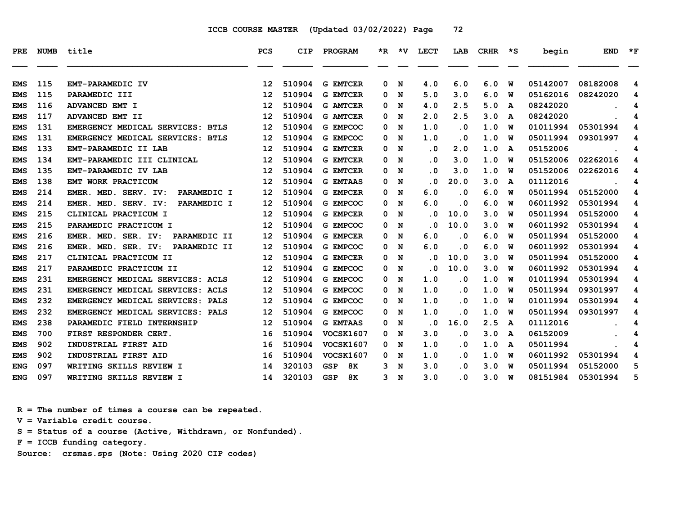| <b>PRE</b> | <b>NUMB</b> | title                               | <b>PCS</b> | CIP    | PROGRAM                 |   |   | *R *V LECT              | LAB       | $CRHR$ $*$ $S$ |   | begin    | <b>END</b> | $*_{\mathbf{F}}$ |
|------------|-------------|-------------------------------------|------------|--------|-------------------------|---|---|-------------------------|-----------|----------------|---|----------|------------|------------------|
| <b>EMS</b> | 115         | EMT-PARAMEDIC IV                    | 12         | 510904 | <b>G EMTCER</b>         | 0 | N | 4.0                     | 6.0       | 6.0            | W | 05142007 | 08182008   | 4                |
| <b>EMS</b> | 115         | PARAMEDIC III                       | 12         | 510904 | <b>G EMTCER</b>         | 0 | N | 5.0                     | 3.0       | 6.0            | W | 05162016 | 08242020   | 4                |
| <b>EMS</b> | 116         | ADVANCED EMT I                      | 12         | 510904 | <b>G AMTCER</b>         | 0 | N | 4.0                     | 2.5       | 5.0            | A | 08242020 |            | 4                |
| <b>EMS</b> | 117         | ADVANCED EMT II                     | 12         | 510904 | <b>G AMTCER</b>         | 0 | N | 2.0                     | 2.5       | 3.0            | A | 08242020 |            | 4                |
| <b>EMS</b> | 131         | EMERGENCY MEDICAL SERVICES: BTLS    | 12         | 510904 | G EMPCOC                | 0 | N | 1.0                     | $\cdot$ 0 | 1.0            | w | 01011994 | 05301994   | 4                |
| <b>EMS</b> | 131         | EMERGENCY MEDICAL SERVICES: BTLS    | 12         | 510904 | G EMPCOC                | 0 | N | 1.0                     | $\cdot$ 0 | 1.0            | w | 05011994 | 09301997   | 4                |
| <b>EMS</b> | 133         | EMT-PARAMEDIC II LAB                | 12         | 510904 | <b>G EMTCER</b>         | 0 | N | $\cdot$ 0               | 2.0       | 1.0            | A | 05152006 |            | 4                |
| <b>EMS</b> | 134         | EMT-PARAMEDIC III CLINICAL          | 12         | 510904 | <b>G EMTCER</b>         | 0 | N | $\overline{\mathbf{0}}$ | 3.0       | 1.0            | W | 05152006 | 02262016   | 4                |
| <b>EMS</b> | 135         | EMT-PARAMEDIC IV LAB                | 12         | 510904 | <b>G EMTCER</b>         | 0 | N | $\cdot$ 0               | 3.0       | 1.0            | W | 05152006 | 02262016   | 4                |
| <b>EMS</b> | 138         | EMT WORK PRACTICUM                  | 12         | 510904 | <b>G EMTAAS</b>         | 0 | N | $\overline{\mathbf{0}}$ | 20.0      | 3.0            | A | 01112016 |            | 4                |
| <b>EMS</b> | 214         | PARAMEDIC I<br>EMER. MED. SERV. IV: | 12         | 510904 | <b>G EMPCER</b>         | 0 | N | 6.0                     | .0        | 6.0            | W | 05011994 | 05152000   | 4                |
| <b>EMS</b> | 214         | EMER. MED. SERV. IV:<br>PARAMEDIC I | 12         | 510904 | G EMPCOC                | 0 | N | 6.0                     | . 0       | 6.0            | W | 06011992 | 05301994   | 4                |
| <b>EMS</b> | 215         | CLINICAL PRACTICUM I                | 12         | 510904 | <b>G EMPCER</b>         | 0 | N | $\overline{\mathbf{0}}$ | 10.0      | 3.0            | W | 05011994 | 05152000   | 4                |
| <b>EMS</b> | 215         | PARAMEDIC PRACTICUM I               | 12         | 510904 | <b>G EMPCOC</b>         | 0 | N | . 0                     | 10.0      | 3.0            | W | 06011992 | 05301994   | 4                |
| <b>EMS</b> | 216         | EMER. MED. SER. IV:<br>PARAMEDIC II | 12         | 510904 | <b>G EMPCER</b>         | 0 | N | 6.0                     | $\cdot$ 0 | 6.0            | W | 05011994 | 05152000   | 4                |
| <b>EMS</b> | 216         | EMER. MED. SER. IV:<br>PARAMEDIC II | 12         | 510904 | G EMPCOC                | 0 | N | 6.0                     | $\cdot$ 0 | 6.0            | W | 06011992 | 05301994   | 4                |
| <b>EMS</b> | 217         | CLINICAL PRACTICUM II               | 12         | 510904 | <b>G EMPCER</b>         | 0 | N | . 0                     | 10.0      | 3.0            | W | 05011994 | 05152000   | 4                |
| <b>EMS</b> | 217         | PARAMEDIC PRACTICUM II              | 12         | 510904 | G EMPCOC                | 0 | N | $\overline{\mathbf{0}}$ | 10.0      | 3.0            | W | 06011992 | 05301994   | 4                |
| <b>EMS</b> | 231         | EMERGENCY MEDICAL SERVICES: ACLS    | 12         | 510904 | G EMPCOC                | 0 | N | 1.0                     | $\cdot$ 0 | 1.0            | W | 01011994 | 05301994   | 4                |
| <b>EMS</b> | 231         | EMERGENCY MEDICAL SERVICES: ACLS    | 12         | 510904 | G EMPCOC                | 0 | N | 1.0                     | $\cdot$ 0 | 1.0            | W | 05011994 | 09301997   | 4                |
| <b>EMS</b> | 232         | EMERGENCY MEDICAL SERVICES: PALS    | 12         | 510904 | G EMPCOC                | 0 | N | 1.0                     | .0        | 1.0            | W | 01011994 | 05301994   | 4                |
| <b>EMS</b> | 232         | EMERGENCY MEDICAL SERVICES: PALS    | 12         | 510904 | G EMPCOC                | 0 | N | 1.0                     | $\cdot$ 0 | 1.0            | W | 05011994 | 09301997   | 4                |
| <b>EMS</b> | 238         | PARAMEDIC FIELD INTERNSHIP          | 12         | 510904 | <b>G EMTAAS</b>         | 0 | N | $\overline{\mathbf{0}}$ | 16.0      | 2.5            | A | 01112016 |            | 4                |
| <b>EMS</b> | 700         | FIRST RESPONDER CERT.               | 16         | 510904 | <b>VOCSK1607</b>        | 0 | N | 3.0                     | $\cdot$ 0 | 3.0            | A | 06152009 |            | 4                |
| <b>EMS</b> | 902         | INDUSTRIAL FIRST AID                | 16         | 510904 | VOCSK1607               | 0 | N | 1.0                     | $\cdot$ 0 | 1.0            | A | 05011994 |            | 4                |
| <b>EMS</b> | 902         | INDUSTRIAL FIRST AID                | 16         | 510904 | <b>VOCSK1607</b>        | 0 | N | 1.0                     | $\cdot$ 0 | 1.0            | W | 06011992 | 05301994   | 4                |
| <b>ENG</b> | 097         | WRITING SKILLS REVIEW I             | 14         | 320103 | <b>GSP</b><br><b>8K</b> | 3 | N | 3.0                     | $\cdot$ 0 | 3.0            | W | 05011994 | 05152000   | 5                |
| <b>ENG</b> | 097         | WRITING SKILLS REVIEW I             | 14         | 320103 | <b>GSP</b><br>8K        | 3 | N | 3.0                     | . 0       | 3.0            | W | 08151984 | 05301994   | 5                |

 **R = The number of times a course can be repeated.**

 **V = Variable credit course.**

 **S = Status of a course (Active, Withdrawn, or Nonfunded).**

 **F = ICCB funding category.**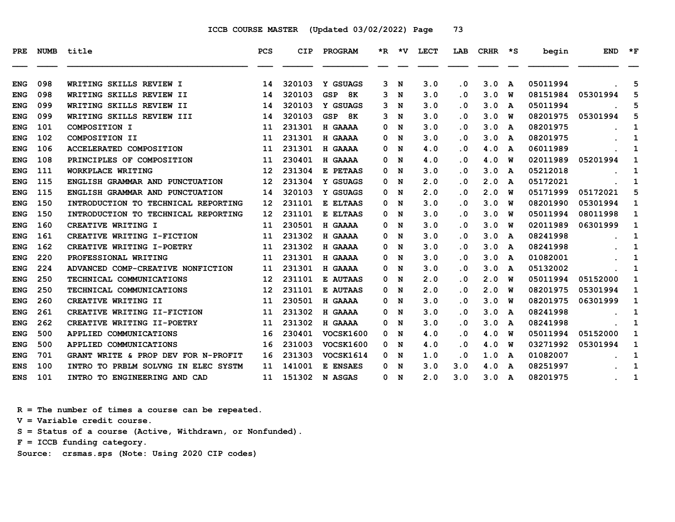| PRE        | <b>NUMB</b> | title                               | <b>PCS</b>        | <b>CIP</b> | PROGRAM          |   | $*R$ $*V$ | LECT | LAB                     | CRHR | $\star$ s    | begin    | <b>END</b> | $*_{\mathbf{F}}$ |
|------------|-------------|-------------------------------------|-------------------|------------|------------------|---|-----------|------|-------------------------|------|--------------|----------|------------|------------------|
| <b>ENG</b> | 098         | WRITING SKILLS REVIEW I             | 14                | 320103     | Y GSUAGS         | 3 | N         | 3.0  | $\cdot$ 0               | 3.0  | A            | 05011994 |            | 5                |
| <b>ENG</b> | 098         | WRITING SKILLS REVIEW II            | 14                | 320103     | 8K<br><b>GSP</b> | 3 | N         | 3.0  | $\cdot$ 0               | 3.0  | W            | 08151984 | 05301994   | 5                |
| <b>ENG</b> | 099         | WRITING SKILLS REVIEW II            | 14                | 320103     | Y GSUAGS         | 3 | N         | 3.0  | $\cdot$ 0               | 3.0  | A            | 05011994 |            | 5                |
| <b>ENG</b> | 099         | WRITING SKILLS REVIEW III           | 14                | 320103     | GSP<br>8K        | 3 | N         | 3.0  | . 0                     | 3.0  | W            | 08201975 | 05301994   | 5                |
| <b>ENG</b> | 101         | COMPOSITION I                       | 11                | 231301     | H GAAAA          | 0 | N         | 3.0  | $\cdot$ 0               | 3.0  | A            | 08201975 |            | 1                |
| <b>ENG</b> | 102         | COMPOSITION II                      | 11                | 231301     | H GAAAA          | 0 | N         | 3.0  | . 0                     | 3.0  | A            | 08201975 |            | 1                |
| <b>ENG</b> | 106         | ACCELERATED COMPOSITION             | 11                | 231301     | H GAAAA          | 0 | N         | 4.0  | . 0                     | 4.0  | A            | 06011989 |            | 1                |
| <b>ENG</b> | 108         | PRINCIPLES OF COMPOSITION           | 11                | 230401     | H GAAAA          | 0 | N         | 4.0  | $\cdot$ 0               | 4.0  | W            | 02011989 | 05201994   | 1                |
| <b>ENG</b> | 111         | WORKPLACE WRITING                   | 12                | 231304     | E PETAAS         | 0 | N         | 3.0  | . 0                     | 3.0  | A            | 05212018 |            | 1                |
| <b>ENG</b> | 115         | ENGLISH GRAMMAR AND PUNCTUATION     | 12                | 231304     | Y GSUAGS         | 0 | N         | 2.0  | $\cdot$ 0               | 2.0  | $\mathbf{A}$ | 05172021 |            | 1                |
| <b>ENG</b> | 115         | ENGLISH GRAMMAR AND PUNCTUATION     | 14                | 320103     | Y GSUAGS         | 0 | N         | 2.0  | . 0                     | 2.0  | W            | 05171999 | 05172021   | 5                |
| <b>ENG</b> | 150         | INTRODUCTION TO TECHNICAL REPORTING | $12 \overline{ }$ | 231101     | E ELTAAS         | 0 | N         | 3.0  | $\cdot$ 0               | 3.0  | W            | 08201990 | 05301994   | 1                |
| <b>ENG</b> | 150         | INTRODUCTION TO TECHNICAL REPORTING | 12                | 231101     | E ELTAAS         | 0 | N         | 3.0  | $\cdot$ 0               | 3.0  | W            | 05011994 | 08011998   | 1                |
| <b>ENG</b> | 160         | CREATIVE WRITING I                  | 11                | 230501     | H GAAAA          | 0 | N         | 3.0  | $\overline{\mathbf{0}}$ | 3.0  | W            | 02011989 | 06301999   | 1                |
| <b>ENG</b> | 161         | CREATIVE WRITING I-FICTION          | 11                | 231302     | H GAAAA          | 0 | N         | 3.0  | $\cdot$ 0               | 3.0  | A            | 08241998 |            | 1                |
| <b>ENG</b> | 162         | CREATIVE WRITING I-POETRY           | 11                | 231302     | H GAAAA          | 0 | N         | 3.0  | . 0                     | 3.0  | A            | 08241998 |            | 1                |
| <b>ENG</b> | 220         | PROFESSIONAL WRITING                | 11                | 231301     | H GAAAA          | 0 | N         | 3.0  | $\cdot$ 0               | 3.0  | A            | 01082001 |            | 1                |
| <b>ENG</b> | 224         | ADVANCED COMP-CREATIVE NONFICTION   | 11                | 231301     | H GAAAA          | 0 | N         | 3.0  | . 0                     | 3.0  | A            | 05132002 |            | 1                |
| <b>ENG</b> | 250         | TECHNICAL COMMUNICATIONS            | 12                | 231101     | E AUTAAS         | 0 | N         | 2.0  | . 0                     | 2.0  | W            | 05011994 | 05152000   | 1                |
| <b>ENG</b> | 250         | TECHNICAL COMMUNICATIONS            | $12 \overline{ }$ | 231101     | <b>E AUTAAS</b>  | 0 | N         | 2.0  | . 0                     | 2.0  | W            | 08201975 | 05301994   | 1                |
| <b>ENG</b> | 260         | CREATIVE WRITING II                 | 11                | 230501     | H GAAAA          | 0 | N         | 3.0  | $\cdot$ 0               | 3.0  | W            | 08201975 | 06301999   | 1                |
| <b>ENG</b> | 261         | CREATIVE WRITING II-FICTION         | 11                | 231302     | H GAAAA          | 0 | N         | 3.0  | $\cdot$ 0               | 3.0  | A            | 08241998 |            | 1                |
| <b>ENG</b> | 262         | CREATIVE WRITING II-POETRY          | 11                | 231302     | H GAAAA          | 0 | N         | 3.0  | . 0                     | 3.0  | A            | 08241998 |            | 1                |
| <b>ENG</b> | 500         | APPLIED COMMUNICATIONS              | 16                | 230401     | <b>VOCSK1600</b> | 0 | N         | 4.0  | . 0                     | 4.0  | W            | 05011994 | 05152000   | 1                |
| <b>ENG</b> | 500         | APPLIED COMMUNICATIONS              | 16                | 231003     | <b>VOCSK1600</b> | 0 | N         | 4.0  | . 0                     | 4.0  | W            | 03271992 | 05301994   | 1                |
| <b>ENG</b> | 701         | GRANT WRITE & PROP DEV FOR N-PROFIT | 16                | 231303     | VOCSK1614        | 0 | N         | 1.0  | $\cdot$ 0               | 1.0  | A            | 01082007 |            | 1                |
| <b>ENS</b> | 100         | INTRO TO PRBLM SOLVNG IN ELEC SYSTM | 11                | 141001     | E ENSAES         | 0 | N         | 3.0  | 3.0                     | 4.0  | A            | 08251997 |            | 1                |
| <b>ENS</b> | 101         | INTRO TO ENGINEERING AND CAD        | 11                | 151302     | N ASGAS          | 0 | N         | 2.0  | 3.0                     | 3.0  | A            | 08201975 |            | 1                |

 **R = The number of times a course can be repeated.**

 **V = Variable credit course.**

 **S = Status of a course (Active, Withdrawn, or Nonfunded).**

 **F = ICCB funding category.**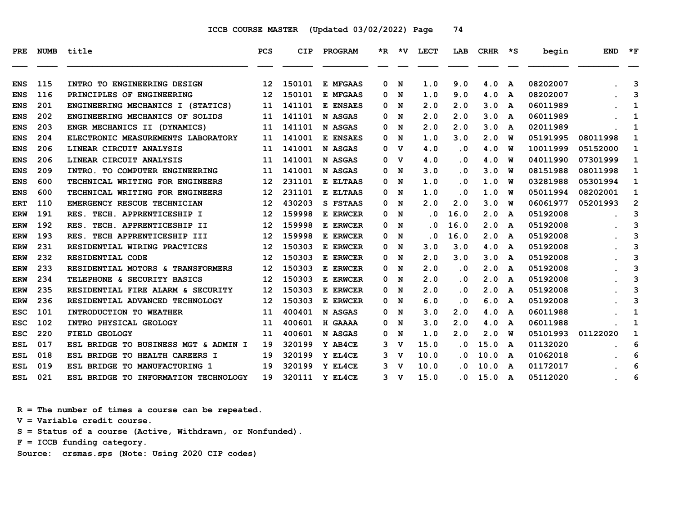| PRE        | <b>NUMB</b> | title                                | <b>PCS</b> | <b>CIP</b> | PROGRAM  |    | *R *V       | <b>LECT</b>             | LAB       | <b>CRHR</b> | $\star$ s | begin    | <b>END</b> | $*_{\mathbf{F}}$ |
|------------|-------------|--------------------------------------|------------|------------|----------|----|-------------|-------------------------|-----------|-------------|-----------|----------|------------|------------------|
| <b>ENS</b> | 115         | INTRO TO ENGINEERING DESIGN          | 12         | 150101     | E MFGAAS | 0  | N           | 1.0                     | 9.0       | 4.0         | A         | 08202007 |            | 3                |
| <b>ENS</b> | 116         | PRINCIPLES OF ENGINEERING            | 12         | 150101     | E MFGAAS | 0  | N           | 1.0                     | 9.0       | 4.0         | A         | 08202007 |            | 3                |
| <b>ENS</b> | 201         | ENGINEERING MECHANICS I (STATICS)    | 11         | 141101     | E ENSAES | 0  | N           | 2.0                     | 2.0       | 3.0         | A         | 06011989 |            | 1                |
| <b>ENS</b> | 202         | ENGINEERING MECHANICS OF SOLIDS      | 11         | 141101     | N ASGAS  | 0  | N           | 2.0                     | 2.0       | 3.0         | A         | 06011989 |            | 1                |
| <b>ENS</b> | 203         | ENGR MECHANICS II (DYNAMICS)         | 11         | 141101     | N ASGAS  | 0  | N           | 2.0                     | 2.0       | 3.0         | A         | 02011989 |            | 1                |
| <b>ENS</b> | 204         | ELECTRONIC MEASUREMENTS LABORATORY   | 11         | 141001     | E ENSAES | 0  | N           | 1.0                     | 3.0       | 2.0         | W         | 05191995 | 08011998   | 1                |
| <b>ENS</b> | 206         | LINEAR CIRCUIT ANALYSIS              | 11         | 141001     | N ASGAS  | 0  | v           | 4.0                     | . 0       | 4.0         | W         | 10011999 | 05152000   | 1                |
| <b>ENS</b> | 206         | LINEAR CIRCUIT ANALYSIS              | 11         | 141001     | N ASGAS  | 0  | $\mathbf v$ | 4.0                     | $\cdot$ 0 | 4.0         | W         | 04011990 | 07301999   | 1                |
| <b>ENS</b> | 209         | INTRO. TO COMPUTER ENGINEERING       | 11         | 141001     | N ASGAS  | 0  | N           | 3.0                     | . 0       | 3.0         | W         | 08151988 | 08011998   | 1                |
| <b>ENS</b> | 600         | TECHNICAL WRITING FOR ENGINEERS      | 12         | 231101     | E ELTAAS | 0  | N           | 1.0                     | $\cdot$ 0 | 1.0         | w         | 03281988 | 05301994   | 1                |
| <b>ENS</b> | 600         | TECHNICAL WRITING FOR ENGINEERS      | 12         | 231101     | E ELTAAS | 0  | N           | 1.0                     | .0        | 1.0         | W         | 05011994 | 08202001   | 1                |
| <b>ERT</b> | 110         | EMERGENCY RESCUE TECHNICIAN          | 12         | 430203     | S FSTAAS | 0  | N           | 2.0                     | 2.0       | 3.0         | W         | 06061977 | 05201993   | $\overline{2}$   |
| ERW        | 191         | RES. TECH. APPRENTICESHIP I          | 12         | 159998     | E ERWCER | 0  | N           | $\overline{\mathbf{0}}$ | 16.0      | 2.0         | A         | 05192008 |            | 3                |
| <b>ERW</b> | 192         | TECH. APPRENTICESHIP II<br>RES.      | 12         | 159998     | E ERWCER | 0  | N           | $\cdot$ 0               | 16.0      | 2.0         | A         | 05192008 |            | 3                |
| <b>ERW</b> | 193         | TECH APPRENTICESHIP III<br>RES.      | 12         | 159998     | E ERWCER | 0  | N           | . 0                     | 16.0      | 2.0         | A         | 05192008 |            | 3                |
| ERW        | 231         | RESIDENTIAL WIRING PRACTICES         | 12         | 150303     | E ERWCER | 0  | N           | 3.0                     | 3.0       | 4.0         | A         | 05192008 |            | 3                |
| <b>ERW</b> | 232         | RESIDENTIAL CODE                     | 12         | 150303     | E ERWCER | 0  | N           | 2.0                     | 3.0       | 3.0         | A         | 05192008 |            | 3                |
| <b>ERW</b> | 233         | RESIDENTIAL MOTORS & TRANSFORMERS    | 12         | 150303     | E ERWCER | 0  | N           | 2.0                     | $\cdot$ 0 | 2.0         | A         | 05192008 |            | 3                |
| <b>ERW</b> | 234         | TELEPHONE & SECURITY BASICS          | 12         | 150303     | E ERWCER | 0  | N           | 2.0                     | $\cdot$ 0 | 2.0         | A         | 05192008 |            | 3                |
| <b>ERW</b> | 235         | RESIDENTIAL FIRE ALARM & SECURITY    | 12         | 150303     | E ERWCER | 0  | N           | 2.0                     | $\cdot$ 0 | 2.0         | A         | 05192008 |            | 3                |
| <b>ERW</b> | 236         | RESIDENTIAL ADVANCED TECHNOLOGY      | 12         | 150303     | E ERWCER | 0  | N           | 6.0                     | . 0       | 6.0         | A         | 05192008 |            | 3                |
| <b>ESC</b> | 101         | INTRODUCTION TO WEATHER              | 11         | 400401     | N ASGAS  | 0  | N           | 3.0                     | 2.0       | 4.0         | A         | 06011988 |            | 1                |
| ESC        | 102         | INTRO PHYSICAL GEOLOGY               | 11         | 400601     | H GAAAA  | 0  | N           | 3.0                     | 2.0       | 4.0         | A         | 06011988 |            | 1                |
| <b>ESC</b> | 220         | FIELD GEOLOGY                        | 11         | 400601     | N ASGAS  | 0  | N           | 1.0                     | 2.0       | 2.0         | W         | 05101993 | 01122020   | 1                |
| ESL        | 017         | ESL BRIDGE TO BUSINESS MGT & ADMIN I | 19         | 320199     | Y AB4CE  | 3  | v           | 15.0                    | . 0       | 15.0        | A         | 01132020 |            | 6                |
| ESL        | 018         | ESL BRIDGE TO HEALTH CAREERS I       | 19         | 320199     | Y EL4CE  | 3. | v           | 10.0                    | $\cdot$ 0 | 10.0        | A         | 01062018 |            | 6                |
| <b>ESL</b> | 019         | ESL BRIDGE TO MANUFACTURING 1        | 19         | 320199     | Y EL4CE  | 3  | v           | 10.0                    | . 0       | 10.0        | A         | 01172017 |            | 6                |
| ESL        | 021         | ESL BRIDGE TO INFORMATION TECHNOLOGY | 19         | 320111     | Y EL4CE  | 3  | v           | 15.0                    | . 0       | 15.0        | A         | 05112020 |            | 6                |

 **R = The number of times a course can be repeated. V = Variable credit course. S = Status of a course (Active, Withdrawn, or Nonfunded). F = ICCB funding category. Source: crsmas.sps (Note: Using 2020 CIP codes)**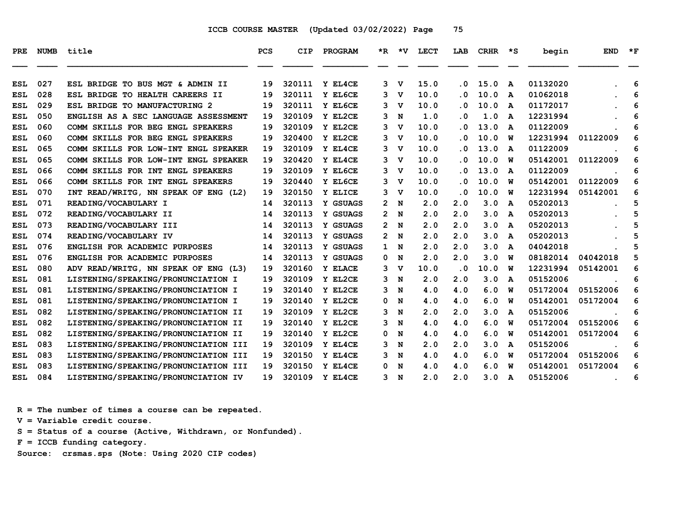| PRE        | <b>NUMB</b> | title                                | <b>PCS</b> | <b>CIP</b> | PROGRAM  | *R.            | ∗v          | <b>LECT</b> | LAB       | <b>CRHR</b> | *S | begin    | <b>END</b> | $*_{\mathbf{F}}$ |
|------------|-------------|--------------------------------------|------------|------------|----------|----------------|-------------|-------------|-----------|-------------|----|----------|------------|------------------|
| <b>ESL</b> | 027         | BRIDGE TO BUS MGT & ADMIN II<br>ESL  | 19         | 320111     | Y EL4CE  | 3              | v           | 15.0        | $\cdot$ 0 | 15.0        | A  | 01132020 |            | 6                |
| <b>ESL</b> | 028         | ESL BRIDGE TO HEALTH CAREERS II      | 19         | 320111     | Y EL6CE  | 3              | v           | 10.0        | $\cdot$ 0 | 10.0        | A  | 01062018 |            | 6                |
| <b>ESL</b> | 029         | ESL BRIDGE TO MANUFACTURING 2        | 19         | 320111     | Y EL6CE  | 3              | v           | 10.0        | . 0       | 10.0        | A  | 01172017 |            | 6                |
| ESL        | 050         | ENGLISH AS A SEC LANGUAGE ASSESSMENT | 19         | 320109     | Y EL2CE  | 3              | N           | 1.0         | . 0       | 1.0         | A  | 12231994 |            | 6                |
| <b>ESL</b> | 060         | COMM SKILLS FOR BEG ENGL SPEAKERS    | 19         | 320109     | Y EL2CE  | 3              | v           | 10.0        | . 0       | 13.0        | A  | 01122009 |            | 6                |
| <b>ESL</b> | 060         | COMM SKILLS FOR BEG ENGL SPEAKERS    | 19         | 320400     | Y EL2CE  | 3              | $\mathbf v$ | 10.0        | $\cdot$ 0 | 10.0        | w  | 12231994 | 01122009   | 6                |
| <b>ESL</b> | 065         | COMM SKILLS FOR LOW-INT ENGL SPEAKER | 19         | 320109     | Y EL4CE  | 3              | v           | 10.0        | . 0       | 13.0        | A  | 01122009 |            | 6                |
| <b>ESL</b> | 065         | COMM SKILLS FOR LOW-INT ENGL SPEAKER | 19         | 320420     | Y EL4CE  | 3              | v           | 10.0        | . 0       | 10.0        | w  | 05142001 | 01122009   | 6                |
| <b>ESL</b> | 066         | COMM SKILLS FOR INT ENGL SPEAKERS    | 19         | 320109     | Y EL6CE  | 3              | v           | 10.0        | . 0       | 13.0        | A  | 01122009 |            | 6                |
| <b>ESL</b> | 066         | COMM SKILLS FOR INT ENGL SPEAKERS    | 19         | 320440     | Y EL6CE  | 3              | v           | 10.0        | . 0       | 10.0        | พ  | 05142001 | 01122009   | 6                |
| <b>ESL</b> | 070         | INT READ/WRITG, NN SPEAK OF ENG (L2) | 19         | 320150     | Y ELICE  | 3              | v           | 10.0        | $\cdot$ 0 | 10.0        | w  | 12231994 | 05142001   | 6                |
| <b>ESL</b> | 071         | READING/VOCABULARY I                 | 14         | 320113     | Y GSUAGS | $\mathbf{2}^-$ | N           | 2.0         | 2.0       | 3.0         | A  | 05202013 |            | 5                |
| <b>ESL</b> | 072         | READING/VOCABULARY II                | 14         | 320113     | Y GSUAGS | $\mathbf{2}^-$ | N           | 2.0         | 2.0       | 3.0         | A  | 05202013 |            | 5                |
| <b>ESL</b> | 073         | READING/VOCABULARY III               | 14         | 320113     | Y GSUAGS | 2              | N           | 2.0         | 2.0       | 3.0         | A  | 05202013 |            | 5                |
| <b>ESL</b> | 074         | READING/VOCABULARY IV                | 14         | 320113     | Y GSUAGS | 2.             | N           | 2.0         | 2.0       | 3.0         | A  | 05202013 |            | 5                |
| <b>ESL</b> | 076         | ENGLISH FOR ACADEMIC PURPOSES        | 14         | 320113     | Y GSUAGS | $\mathbf{1}$   | N           | 2.0         | 2.0       | 3.0         | A  | 04042018 |            | 5                |
| <b>ESL</b> | 076         | ENGLISH FOR ACADEMIC PURPOSES        | 14         | 320113     | Y GSUAGS | 0              | N           | 2.0         | 2.0       | 3.0         | พ  | 08182014 | 04042018   | 5                |
| <b>ESL</b> | 080         | ADV READ/WRITG, NN SPEAK OF ENG (L3) | 19         | 320160     | Y ELACE  | 3              | $\mathbf v$ | 10.0        | $\cdot$ 0 | 10.0        | พ  | 12231994 | 05142001   | 6                |
| <b>ESL</b> | 081         | LISTENING/SPEAKING/PRONUNCIATION I   | 19         | 320109     | Y EL2CE  | 3              | N           | 2.0         | 2.0       | 3.0         | A  | 05152006 |            | 6                |
| <b>ESL</b> | 081         | LISTENING/SPEAKING/PRONUNCIATION I   | 19         | 320140     | Y EL2CE  | 3              | N           | 4.0         | 4.0       | 6.0         | พ  | 05172004 | 05152006   | 6                |
| <b>ESL</b> | 081         | LISTENING/SPEAKING/PRONUNCIATION I   | 19         | 320140     | Y EL2CE  | 0              | N           | 4.0         | 4.0       | 6.0         | พ  | 05142001 | 05172004   | 6                |
| <b>ESL</b> | 082         | LISTENING/SPEAKING/PRONUNCIATION II  | 19         | 320109     | Y EL2CE  | 3              | N           | 2.0         | 2.0       | 3.0         | A  | 05152006 |            | 6                |
| <b>ESL</b> | 082         | LISTENING/SPEAKING/PRONUNCIATION II  | 19         | 320140     | Y EL2CE  | 3              | N           | 4.0         | 4.0       | 6.0         | W  | 05172004 | 05152006   | 6                |
| ESL        | 082         | LISTENING/SPEAKING/PRONUNCIATION II  | 19         | 320140     | Y EL2CE  | 0              | N           | 4.0         | 4.0       | 6.0         | พ  | 05142001 | 05172004   | 6                |
| <b>ESL</b> | 083         | LISTENING/SPEAKING/PRONUNCIATION III | 19         | 320109     | Y EL4CE  | 3              | N           | 2.0         | 2.0       | 3.0         | A  | 05152006 |            | 6                |
| <b>ESL</b> | 083         | LISTENING/SPEAKING/PRONUNCIATION III | 19         | 320150     | Y EL4CE  | 3              | N           | 4.0         | 4.0       | 6.0         | W  | 05172004 | 05152006   | 6                |
| <b>ESL</b> | 083         | LISTENING/SPEAKING/PRONUNCIATION III | 19         | 320150     | Y EL4CE  | 0              | N           | 4.0         | 4.0       | 6.0         | W  | 05142001 | 05172004   | 6                |
| ESL        | 084         | LISTENING/SPEAKING/PRONUNCIATION IV  | 19         | 320109     | Y EL4CE  | 3              | N           | 2.0         | 2.0       | 3.0         | A  | 05152006 |            | 6                |

 **R = The number of times a course can be repeated.**

 **V = Variable credit course.**

 **S = Status of a course (Active, Withdrawn, or Nonfunded).**

 **F = ICCB funding category.**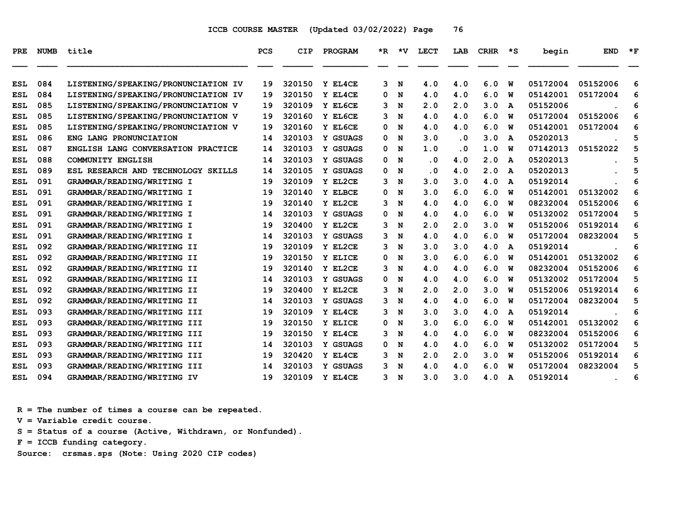| PRE        | <b>NUMB</b> | title                               | PCS | CIP    | PROGRAM  | *R. | ∗v | <b>LECT</b> | LAB | <b>CRHR</b> | *S           | begin    | <b>END</b> | $\star$ F |
|------------|-------------|-------------------------------------|-----|--------|----------|-----|----|-------------|-----|-------------|--------------|----------|------------|-----------|
| <b>ESL</b> | 084         | LISTENING/SPEAKING/PRONUNCIATION IV | 19  | 320150 | Y EL4CE  | 3   | N  | 4.0         | 4.0 | 6.0         | W            | 05172004 | 05152006   | 6         |
| <b>ESL</b> | 084         | LISTENING/SPEAKING/PRONUNCIATION IV | 19  | 320150 | Y EL4CE  | 0   | N  | 4.0         | 4.0 | 6.0         | พ            | 05142001 | 05172004   | 6         |
| <b>ESL</b> | 085         | LISTENING/SPEAKING/PRONUNCIATION V  | 19  | 320109 | Y EL6CE  | 3   | N  | 2.0         | 2.0 | 3.0         | A            | 05152006 |            | 6         |
| <b>ESL</b> | 085         | LISTENING/SPEAKING/PRONUNCIATION V  | 19  | 320160 | Y EL6CE  | 3   | N  | 4.0         | 4.0 | 6.0         | W            | 05172004 | 05152006   | 6         |
| ESL        | 085         | LISTENING/SPEAKING/PRONUNCIATION V  | 19  | 320160 | Y EL6CE  | 0   | N  | 4.0         | 4.0 | 6.0         | W            | 05142001 | 05172004   | 6         |
| ESL        | 086         | ENG LANG PRONUNCIATION              | 14  | 320103 | Y GSUAGS | 0   | N  | 3.0         | . 0 | 3.0         | A            | 05202013 |            | 5         |
| ESL        | 087         | ENGLISH LANG CONVERSATION PRACTICE  | 14  | 320103 | Y GSUAGS | 0   | N  | 1.0         | . 0 | 1.0         | พ            | 07142013 | 05152022   | 5         |
| <b>ESL</b> | 088         | COMMUNITY ENGLISH                   | 14  | 320103 | Y GSUAGS | 0   | N  | $\cdot$ 0   | 4.0 | 2.0         | A            | 05202013 |            | 5         |
| ESL        | 089         | ESL RESEARCH AND TECHNOLOGY SKILLS  | 14  | 320105 | Y GSUAGS | 0   | N  | . 0         | 4.0 | 2.0         | A            | 05202013 |            | 5         |
| <b>ESL</b> | 091         | GRAMMAR/READING/WRITING I           | 19  | 320109 | Y EL2CE  | 3   | N  | 3.0         | 3.0 | 4.0         | A            | 05192014 |            | 6         |
| ESL        | 091         | GRAMMAR/READING/WRITING I           | 19  | 320140 | Y ELBCE  | 0   | N  | 3.0         | 6.0 | 6.0         | W            | 05142001 | 05132002   | 6         |
| <b>ESL</b> | 091         | GRAMMAR/READING/WRITING I           | 19  | 320140 | Y EL2CE  | з   | N  | 4.0         | 4.0 | 6.0         | W            | 08232004 | 05152006   | 6         |
| ESL        | 091         | GRAMMAR/READING/WRITING I           | 14  | 320103 | Y GSUAGS | 0   | N  | 4.0         | 4.0 | 6.0         | W            | 05132002 | 05172004   | 5         |
| ESL        | 091         | GRAMMAR/READING/WRITING I           | 19  | 320400 | Y EL2CE  | з   | N  | 2.0         | 2.0 | 3.0         | W            | 05152006 | 05192014   | 6         |
| <b>ESL</b> | 091         | GRAMMAR/READING/WRITING I           | 14  | 320103 | Y GSUAGS | 3   | N  | 4.0         | 4.0 | 6.0         | W            | 05172004 | 08232004   | 5         |
| ESL        | 092         | GRAMMAR/READING/WRITING II          | 19  | 320109 | Y EL2CE  | 3   | N  | 3.0         | 3.0 | 4.0         | $\mathbf{A}$ | 05192014 |            | 6         |
| ESL        | 092         | GRAMMAR/READING/WRITING II          | 19  | 320150 | Y ELICE  | 0   | N  | 3.0         | 6.0 | 6.0         | W            | 05142001 | 05132002   | 6         |
| ESL        | 092         | GRAMMAR/READING/WRITING II          | 19  | 320140 | Y EL2CE  | з   | N  | 4.0         | 4.0 | 6.0         | W            | 08232004 | 05152006   | 6         |
| ESL        | 092         | GRAMMAR/READING/WRITING II          | 14  | 320103 | Y GSUAGS | 0   | N  | 4.0         | 4.0 | 6.0         | W            | 05132002 | 05172004   | 5         |
| ESL        | 092         | GRAMMAR/READING/WRITING II          | 19  | 320400 | Y EL2CE  | з   | N  | 2.0         | 2.0 | 3.0         | W            | 05152006 | 05192014   | 6         |
| <b>ESL</b> | 092         | GRAMMAR/READING/WRITING II          | 14  | 320103 | Y GSUAGS | 3   | N  | 4.0         | 4.0 | 6.0         | W            | 05172004 | 08232004   | 5         |
| ESL        | 093         | GRAMMAR/READING/WRITING III         | 19  | 320109 | Y EL4CE  | 3   | N  | 3.0         | 3.0 | 4.0         | A            | 05192014 |            | 6         |
| ESL        | 093         | GRAMMAR/READING/WRITING III         | 19  | 320150 | Y ELICE  | 0   | N  | 3.0         | 6.0 | 6.0         | W            | 05142001 | 05132002   | 6         |
| ESL        | 093         | GRAMMAR/READING/WRITING III         | 19  | 320150 | Y EL4CE  | 3   | N  | 4.0         | 4.0 | 6.0         | W            | 08232004 | 05152006   | 6         |
| ESL        | 093         | GRAMMAR/READING/WRITING III         | 14  | 320103 | Y GSUAGS | 0   | N  | 4.0         | 4.0 | 6.0         | W            | 05132002 | 05172004   | 5         |
| ESL        | 093         | GRAMMAR/READING/WRITING III         | 19  | 320420 | Y EL4CE  | з   | N  | 2.0         | 2.0 | 3.0         | W            | 05152006 | 05192014   | 6         |
| <b>ESL</b> | 093         | GRAMMAR/READING/WRITING III         | 14  | 320103 | Y GSUAGS | 3   | N  | 4.0         | 4.0 | 6.0         | W            | 05172004 | 08232004   | 5         |
| ESL        | 094         | GRAMMAR/READING/WRITING IV          | 19  | 320109 | Y EL4CE  | 3   | N  | 3.0         | 3.0 | 4.0         | A            | 05192014 |            | 6         |

 **R = The number of times a course can be repeated.**

 **V = Variable credit course.**

 **S = Status of a course (Active, Withdrawn, or Nonfunded).**

 **F = ICCB funding category.**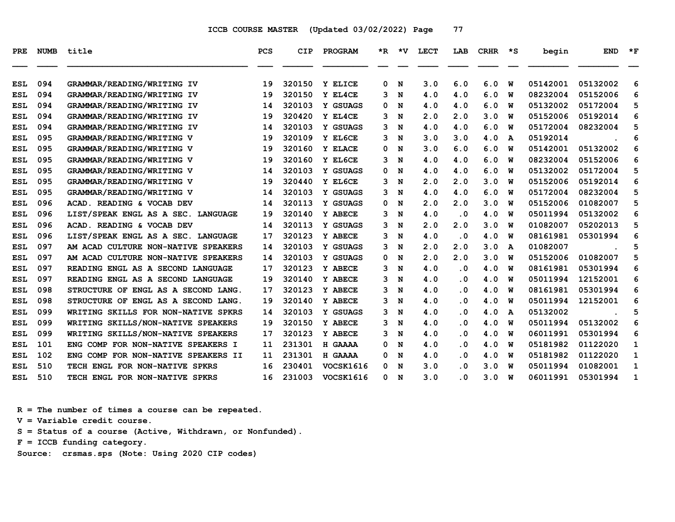| <b>PRE</b> | <b>NUMB</b> | title                               | <b>PCS</b> | CIP    | PROGRAM          | *R. | ∗v | LECT | LAB                     | <b>CRHR</b> | *S | begin    | <b>END</b> | $*_{\mathbf{F}}$ |
|------------|-------------|-------------------------------------|------------|--------|------------------|-----|----|------|-------------------------|-------------|----|----------|------------|------------------|
| ESL        | 094         | GRAMMAR/READING/WRITING IV          | 19         | 320150 | Y ELICE          | 0   | N  | 3.0  | 6.0                     | 6.0         | W  | 05142001 | 05132002   | 6                |
| <b>ESL</b> | 094         | GRAMMAR/READING/WRITING IV          | 19         | 320150 | Y EL4CE          | 3   | N  | 4.0  | 4.0                     | 6.0         | W  | 08232004 | 05152006   | 6                |
| ESL        | 094         | GRAMMAR/READING/WRITING IV          | 14         | 320103 | Y GSUAGS         | 0   | N  | 4.0  | 4.0                     | 6.0         | พ  | 05132002 | 05172004   | 5                |
| ESL        | 094         | GRAMMAR/READING/WRITING IV          | 19         | 320420 | Y EL4CE          | 3   | N  | 2.0  | 2.0                     | 3.0         | W  | 05152006 | 05192014   | 6                |
| <b>ESL</b> | 094         | GRAMMAR/READING/WRITING IV          | 14         | 320103 | Y GSUAGS         | 3   | N  | 4.0  | 4.0                     | 6.0         | W  | 05172004 | 08232004   | 5                |
| <b>ESL</b> | 095         | GRAMMAR/READING/WRITING V           | 19         | 320109 | Y EL6CE          | 3   | N  | 3.0  | 3.0                     | 4.0         | A  | 05192014 |            | 6                |
| ESL        | 095         | GRAMMAR/READING/WRITING V           | 19         | 320160 | Y ELACE          | 0   | N  | 3.0  | 6.0                     | 6.0         | W  | 05142001 | 05132002   | 6                |
| ESL        | 095         | GRAMMAR/READING/WRITING V           | 19         | 320160 | Y EL6CE          | 3   | N  | 4.0  | 4.0                     | 6.0         | W  | 08232004 | 05152006   | 6                |
| <b>ESL</b> | 095         | GRAMMAR/READING/WRITING V           | 14         | 320103 | Y GSUAGS         | 0   | N  | 4.0  | 4.0                     | 6.0         | W  | 05132002 | 05172004   | 5                |
| ESL        | 095         | GRAMMAR/READING/WRITING V           | 19         | 320440 | Y EL6CE          | 3   | N  | 2.0  | 2.0                     | 3.0         | W  | 05152006 | 05192014   | 6                |
| ESL        | 095         | GRAMMAR/READING/WRITING V           | 14         | 320103 | Y GSUAGS         | 3   | N  | 4.0  | 4.0                     | 6.0         | W  | 05172004 | 08232004   | 5                |
| ESL        | 096         | ACAD. READING & VOCAB DEV           | 14         | 320113 | Y GSUAGS         | 0   | N  | 2.0  | 2.0                     | 3.0         | พ  | 05152006 | 01082007   | 5                |
| <b>ESL</b> | 096         | LIST/SPEAK ENGL AS A SEC. LANGUAGE  | 19         | 320140 | Y ABECE          | 3   | N  | 4.0  | . 0                     | 4.0         | W  | 05011994 | 05132002   | 6                |
| <b>ESL</b> | 096         | ACAD. READING & VOCAB DEV           | 14         | 320113 | Y GSUAGS         | 3   | N  | 2.0  | 2.0                     | 3.0         | พ  | 01082007 | 05202013   | 5                |
| ESL        | 096         | LIST/SPEAK ENGL AS A SEC. LANGUAGE  | 17         | 320123 | Y ABECE          | 3   | N  | 4.0  | . 0                     | 4.0         | พ  | 08161981 | 05301994   | 6                |
| ESL        | 097         | AM ACAD CULTURE NON-NATIVE SPEAKERS | 14         | 320103 | Y GSUAGS         | 3   | N  | 2.0  | 2.0                     | 3.0         | A  | 01082007 |            | 5                |
| <b>ESL</b> | 097         | AM ACAD CULTURE NON-NATIVE SPEAKERS | 14         | 320103 | Y GSUAGS         | 0   | N  | 2.0  | 2.0                     | 3.0         | W  | 05152006 | 01082007   | 5                |
| <b>ESL</b> | 097         | READING ENGL AS A SECOND LANGUAGE   | 17         | 320123 | Y ABECE          | 3   | N  | 4.0  | . 0                     | 4.0         | W  | 08161981 | 05301994   | 6                |
| ESL        | 097         | READING ENGL AS A SECOND LANGUAGE   | 19         | 320140 | Y ABECE          | 3   | N  | 4.0  | . 0                     | 4.0         | W  | 05011994 | 12152001   | 6                |
| <b>ESL</b> | 098         | STRUCTURE OF ENGL AS A SECOND LANG. | 17         | 320123 | Y ABECE          | 3   | N  | 4.0  | . 0                     | 4.0         | W  | 08161981 | 05301994   | 6                |
| <b>ESL</b> | 098         | STRUCTURE OF ENGL AS A SECOND LANG. | 19         | 320140 | Y ABECE          | 3   | N  | 4.0  | . 0                     | 4.0         | พ  | 05011994 | 12152001   | 6                |
| <b>ESL</b> | 099         | WRITING SKILLS FOR NON-NATIVE SPKRS | 14         | 320103 | Y GSUAGS         | 3   | N  | 4.0  | $\overline{\mathbf{0}}$ | 4.0         | A  | 05132002 |            | 5                |
| ESL        | 099         | WRITING SKILLS/NON-NATIVE SPEAKERS  | 19         | 320150 | Y ABECE          | 3   | N  | 4.0  | . 0                     | 4.0         | W  | 05011994 | 05132002   | 6                |
| ESL        | 099         | WRITING SKILLS/NON-NATIVE SPEAKERS  | 17         | 320123 | Y ABECE          | 3   | N  | 4.0  | . 0                     | 4.0         | W  | 06011991 | 05301994   | 6                |
| <b>ESL</b> | 101         | ENG COMP FOR NON-NATIVE SPEAKERS I  | 11         | 231301 | H GAAAA          | 0   | N  | 4.0  | . 0                     | 4.0         | พ  | 05181982 | 01122020   | 1                |
| ESL        | 102         | ENG COMP FOR NON-NATIVE SPEAKERS II | 11         | 231301 | H GAAAA          | 0   | N  | 4.0  | . 0                     | 4.0         | W  | 05181982 | 01122020   | $\mathbf{1}$     |
| <b>ESL</b> | 510         | TECH ENGL FOR NON-NATIVE SPKRS      | 16         | 230401 | VOCSK1616        | 0   | N  | 3.0  | . 0                     | 3.0         | W  | 05011994 | 01082001   | 1                |
| ESL        | 510         | ENGL FOR NON-NATIVE SPKRS<br>TECH   | 16         | 231003 | <b>VOCSK1616</b> | 0   | N  | 3.0  | . 0                     | 3.0         | W  | 06011991 | 05301994   | 1                |

 **R = The number of times a course can be repeated.**

 **V = Variable credit course.**

 **S = Status of a course (Active, Withdrawn, or Nonfunded).**

 **F = ICCB funding category.**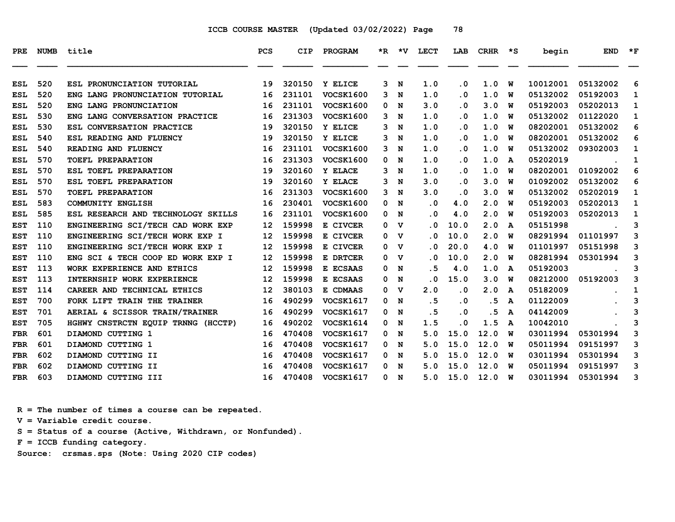| PRE        | <b>NUMB</b> | title                              | <b>PCS</b>        | <b>CIP</b> | PROGRAM          |              | *R *V          | LECT | LAB                     | <b>CRHR</b> | $\star$ s | begin    | <b>END</b> | $*_{\mathbf{F}}$ |
|------------|-------------|------------------------------------|-------------------|------------|------------------|--------------|----------------|------|-------------------------|-------------|-----------|----------|------------|------------------|
|            |             |                                    |                   |            |                  |              |                |      |                         |             |           |          |            |                  |
| <b>ESL</b> | 520         | ESL PRONUNCIATION TUTORIAL         | 19                | 320150     | Y ELICE          | 3            | N              | 1.0  | . 0                     | 1.0         | W         | 10012001 | 05132002   | 6                |
| ESL        | 520         | ENG LANG PRONUNCIATION TUTORIAL    | 16                | 231101     | <b>VOCSK1600</b> | $\mathbf{3}$ | N              | 1.0  | $\overline{\mathbf{0}}$ | 1.0         | w         | 05132002 | 05192003   | 1                |
| <b>ESL</b> | 520         | ENG LANG PRONUNCIATION             | 16                | 231101     | <b>VOCSK1600</b> | 0            | N              | 3.0  | $\overline{\mathbf{0}}$ | 3.0         | W         | 05192003 | 05202013   | 1                |
| ESL        | 530         | ENG LANG CONVERSATION PRACTICE     | 16                | 231303     | <b>VOCSK1600</b> |              | 3 N            | 1.0  | . 0                     | 1.0         | พ         | 05132002 | 01122020   | 1                |
| <b>ESL</b> | 530         | ESL CONVERSATION PRACTICE          | 19                | 320150     | Y ELICE          | 3            | N              | 1.0  | . 0                     | 1.0         | W         | 08202001 | 05132002   | 6                |
| <b>ESL</b> | 540         | ESL READING AND FLUENCY            | 19                | 320150     | Y ELICE          | 3            | N              | 1.0  | . 0                     | 1.0         | w         | 08202001 | 05132002   | 6                |
| ESL        | 540         | READING AND FLUENCY                | 16                | 231101     | <b>VOCSK1600</b> | $\mathbf{3}$ | N              | 1.0  | $\overline{\mathbf{0}}$ | 1.0         | w         | 05132002 | 09302003   | 1                |
| ESL        | 570         | <b>TOEFL PREPARATION</b>           | 16                | 231303     | <b>VOCSK1600</b> | 0            | N              | 1.0  | . 0                     | 1.0         | A         | 05202019 |            | 1                |
| ESL        | 570         | ESL TOEFL PREPARATION              | 19                | 320160     | Y ELACE          | 3            | N              | 1.0  | $\overline{\mathbf{0}}$ | 1.0         | W         | 08202001 | 01092002   | 6                |
| <b>ESL</b> | 570         | ESL TOEFL PREPARATION              | 19                | 320160     | Y ELACE          | 3            | N              | 3.0  | $\overline{\mathbf{0}}$ | 3.0         | w         | 01092002 | 05132002   | 6                |
| ESL        | 570         | TOEFL PREPARATION                  | 16                | 231303     | <b>VOCSK1600</b> | 3            | N              | 3.0  | $\overline{\mathbf{0}}$ | 3.0         | w         | 05132002 | 05202019   | 1                |
| ESL        | 583         | <b>COMMUNITY ENGLISH</b>           | 16                | 230401     | <b>VOCSK1600</b> |              | 0 N            | . 0  | 4.0                     | 2.0         | W         | 05192003 | 05202013   | 1                |
| ESL        | 585         | ESL RESEARCH AND TECHNOLOGY SKILLS | 16                | 231101     | <b>VOCSK1600</b> | 0            | N              | . 0  | 4.0                     | 2.0         | W         | 05192003 | 05202013   | 1                |
| <b>EST</b> | 110         | ENGINEERING SCI/TECH CAD WORK EXP  | $12 \overline{ }$ | 159998     | E CIVCER         | $\mathbf{0}$ | v              | . 0  | 10.0                    | 2.0         | A         | 05151998 |            | 3                |
| <b>EST</b> | 110         | ENGINEERING SCI/TECH WORK EXP I    | 12                | 159998     | E CIVCER         |              | 0 <sub>v</sub> | . 0  | 10.0                    | 2.0         | w         | 08291994 | 01101997   | 3                |
| <b>EST</b> | 110         | ENGINEERING SCI/TECH WORK EXP I    | 12                | 159998     | E CIVCER         | 0            | v              | . 0  | 20.0                    | 4.0         | W         | 01101997 | 05151998   | 3                |
| EST        | 110         | ENG SCI & TECH COOP ED WORK EXP I  | 12                | 159998     | E DRTCER         |              | 0 <sub>v</sub> | . 0  | 10.0                    | 2.0         | W         | 08281994 | 05301994   | 3                |
| <b>EST</b> | 113         | WORK EXPERIENCE AND ETHICS         | 12                | 159998     | E ECSAAS         | 0            | N              | . 5  | 4.0                     | 1.0         | A         | 05192003 |            | 3                |
| <b>EST</b> | 113         | INTERNSHIP WORK EXPERIENCE         | 12                | 159998     | E ECSAAS         | 0            | N              | . 0  | 15.0                    | 3.0         | W         | 08212000 | 05192003   | 3                |
| <b>EST</b> | 114         | CAREER AND TECHNICAL ETHICS        | 12                | 380103     | E CDMAAS         |              | 0 V            | 2.0  | $\overline{\mathbf{0}}$ | 2.0         | A         | 05182009 |            | $\mathbf{1}$     |
| EST        | 700         | FORK LIFT TRAIN THE TRAINER        | 16                | 490299     | VOCSK1617        | 0            | N              | . 5  | $\cdot$ 0               | . 5         | A         | 01122009 |            | 3                |
| <b>EST</b> | 701         | AERIAL & SCISSOR TRAIN/TRAINER     | 16                | 490299     | VOCSK1617        | 0            | N              | . 5  | . 0                     | . 5         | A         | 04142009 |            | 3                |
| <b>EST</b> | 705         | HGHWY CNSTRCTN EQUIP TRNNG (HCCTP) | 16                | 490202     | VOCSK1614        | 0            | N              | 1.5  | . 0                     | 1.5         | A         | 10042010 |            | 3                |
| <b>FBR</b> | 601         | DIAMOND CUTTING 1                  | 16                | 470408     | <b>VOCSK1617</b> | 0            | N              | 5.0  | 15.0                    | 12.0        | w         | 03011994 | 05301994   | 3                |
| <b>FBR</b> | 601         | DIAMOND CUTTING 1                  | 16                | 470408     | VOCSK1617        |              | 0 N            | 5.0  | 15.0                    | 12.0        | w         | 05011994 | 09151997   | 3                |
| <b>FBR</b> | 602         | DIAMOND CUTTING II                 | 16                | 470408     | VOCSK1617        | 0            | N              | 5.0  | 15.0                    | 12.0        | W         | 03011994 | 05301994   | 3                |
| <b>FBR</b> | 602         | DIAMOND CUTTING II                 | 16                | 470408     | <b>VOCSK1617</b> | 0            | N              | 5.0  | 15.0                    | 12.0        | w         | 05011994 | 09151997   | 3                |
| FBR        | 603         | DIAMOND CUTTING III                | 16                | 470408     | <b>VOCSK1617</b> |              | 0 N            | 5.0  | 15.0                    | 12.0        | <b>W</b>  | 03011994 | 05301994   | 3                |

 **R = The number of times a course can be repeated.**

 **V = Variable credit course.**

 **S = Status of a course (Active, Withdrawn, or Nonfunded).**

 **F = ICCB funding category.**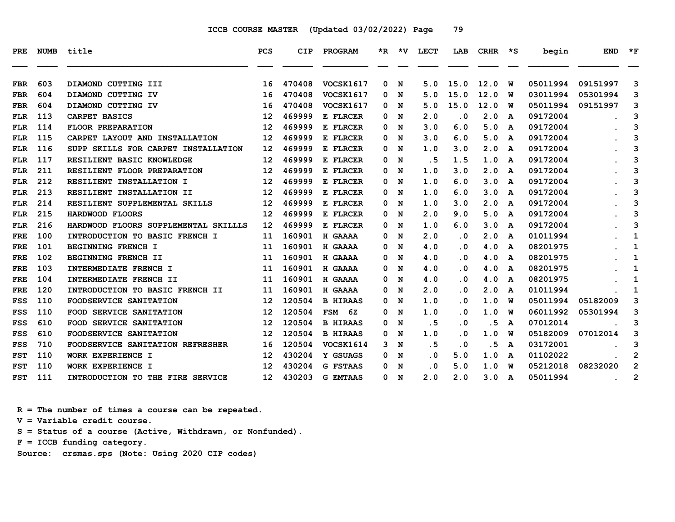| PRE.       | <b>NUMB</b> | title                                | PCS               | CIP    | PROGRAM          |    | $*R$ $*V$ | LECT | LAB       | CRHR | יצי | begin    | <b>END</b>    | $*_{\mathbf{F}}$ |
|------------|-------------|--------------------------------------|-------------------|--------|------------------|----|-----------|------|-----------|------|-----|----------|---------------|------------------|
| <b>FBR</b> | 603         | DIAMOND CUTTING III                  | 16                | 470408 | <b>VOCSK1617</b> | 0  | N         | 5.0  | 15.0      | 12.0 | w   | 05011994 | 09151997      | 3                |
| <b>FBR</b> | 604         | DIAMOND CUTTING IV                   | 16                | 470408 | <b>VOCSK1617</b> | 0  | N         | 5.0  | 15.0      | 12.0 | W   | 03011994 | 05301994      | 3                |
| <b>FBR</b> | 604         | DIAMOND CUTTING IV                   | 16                | 470408 | <b>VOCSK1617</b> | 0  | N         | 5.0  | 15.0      | 12.0 | w   | 05011994 | 09151997      | 3                |
| FLR        | 113         | CARPET BASICS                        | 12                | 469999 | E FLRCER         | 0  | N         | 2.0  | . 0       | 2.0  | A   | 09172004 |               | 3                |
| <b>FLR</b> | 114         | <b>FLOOR PREPARATION</b>             | 12                | 469999 | E FLRCER         | 0  | N         | 3.0  | 6.0       | 5.0  | A   | 09172004 |               | 3                |
| <b>FLR</b> | 115         | CARPET LAYOUT AND INSTALLATION       | $12 \overline{ }$ | 469999 | E FLRCER         | 0  | N         | 3.0  | 6.0       | 5.0  | A   | 09172004 |               | 3                |
| FLR        | 116         | SUPP SKILLS FOR CARPET INSTALLATION  | 12 <sup>2</sup>   | 469999 | E FLRCER         | 0. | N         | 1.0  | 3.0       | 2.0  | A   | 09172004 |               | 3                |
| FLR        | 117         | RESILIENT BASIC KNOWLEDGE            | 12                | 469999 | E FLRCER         | 0  | N         | . 5  | 1.5       | 1.0  | A   | 09172004 |               | 3                |
| <b>FLR</b> | 211         | RESILIENT FLOOR PREPARATION          | 12                | 469999 | E FLRCER         | 0  | N         | 1.0  | 3.0       | 2.0  | A   | 09172004 |               | 3                |
| <b>FLR</b> | 212         | RESILIENT INSTALLATION I             | 12                | 469999 | E FLRCER         | 0  | N         | 1.0  | 6.0       | 3.0  | A   | 09172004 |               | 3                |
| <b>FLR</b> | 213         | RESILIENT INSTALLATION II            | 12                | 469999 | E FLRCER         | 0  | N         | 1.0  | 6.0       | 3.0  | A   | 09172004 |               | 3                |
| FLR        | 214         | RESILIENT SUPPLEMENTAL SKILLS        | 12                | 469999 | E FLRCER         | 0  | N         | 1.0  | 3.0       | 2.0  | A   | 09172004 |               | 3                |
| <b>FLR</b> | 215         | HARDWOOD FLOORS                      | 12                | 469999 | E FLRCER         | 0  | N         | 2.0  | 9.0       | 5.0  | A   | 09172004 |               | 3                |
| FLR        | 216         | HARDWOOD FLOORS SUPPLEMENTAL SKILLLS | 12                | 469999 | E FLRCER         | 0  | N         | 1.0  | 6.0       | 3.0  | A   | 09172004 |               | 3                |
| <b>FRE</b> | 100         | INTRODUCTION TO BASIC FRENCH I       | 11                | 160901 | H GAAAA          | 0  | N         | 2.0  | $\cdot$ 0 | 2.0  | A   | 01011994 |               | 1                |
| FRE        | 101         | <b>BEGINNING FRENCH I</b>            | 11                | 160901 | H GAAAA          | 0. | N         | 4.0  | . 0       | 4.0  | A   | 08201975 |               | 1                |
| <b>FRE</b> | 102         | BEGINNING FRENCH II                  | 11                | 160901 | H GAAAA          | 0  | N         | 4.0  | $\cdot$ 0 | 4.0  | A   | 08201975 |               | 1                |
| <b>FRE</b> | 103         | INTERMEDIATE FRENCH I                | 11                | 160901 | H GAAAA          | 0  | N         | 4.0  | . 0       | 4.0  | A   | 08201975 |               | 1                |
| FRE        | 104         | INTERMEDIATE FRENCH II               | 11                | 160901 | H GAAAA          | 0. | N         | 4.0  | . 0       | 4.0  | A   | 08201975 |               | 1                |
| <b>FRE</b> | 120         | INTRODUCTION TO BASIC FRENCH II      | 11                | 160901 | H GAAAA          | 0  | N         | 2.0  | $\cdot$ 0 | 2.0  | A   | 01011994 |               | 1                |
| FSS        | 110         | FOODSERVICE SANITATION               | $12 \overline{ }$ | 120504 | <b>B HIRAAS</b>  | 0  | N         | 1.0  | . 0       | 1.0  | w   | 05011994 | 05182009      | 3                |
| <b>FSS</b> | 110         | FOOD SERVICE SANITATION              | 12                | 120504 | FSM 6Z           | 0  | N         | 1.0  | $\cdot$ 0 | 1.0  | พ   | 06011992 | 05301994      | 3                |
| FSS        | 610         | FOOD SERVICE SANITATION              | $12 \overline{ }$ | 120504 | <b>B HIRAAS</b>  | 0  | N         | .5   | . 0       | . 5  | A   | 07012014 |               | 3                |
| FSS        | 610         | FOODSERVICE SANITATION               | $12 \overline{ }$ | 120504 | <b>B HIRAAS</b>  | 0  | N         | 1.0  | . 0       | 1.0  | W   | 05182009 | 07012014      | 3                |
| FSS        | 710         | FOODSERVICE SANITATION REFRESHER     | 16                | 120504 | VOCSK1614        | 3  | N         | .5   | . 0       | . 5  | A   | 03172001 |               | 3                |
| <b>FST</b> | 110         | WORK EXPERIENCE I                    | 12                | 430204 | Y GSUAGS         | 0  | N         | . 0  | 5.0       | 1.0  | A   | 01102022 |               | 2                |
| <b>FST</b> | 110         | WORK EXPERIENCE I                    | 12                | 430204 | <b>G FSTAAS</b>  | 0  | N         | . 0  | 5.0       | 1.0  | W   | 05212018 | 08232020      | $\overline{2}$   |
| <b>FST</b> | 111         | INTRODUCTION TO THE FIRE SERVICE     | 12 <sup>2</sup>   | 430203 | <b>G EMTAAS</b>  | 0  | N         | 2.0  | 2.0       | 3.0  | A   | 05011994 | $\sim$ $\sim$ | 2                |

 **R = The number of times a course can be repeated.**

 **V = Variable credit course.**

 **S = Status of a course (Active, Withdrawn, or Nonfunded).**

 **F = ICCB funding category.**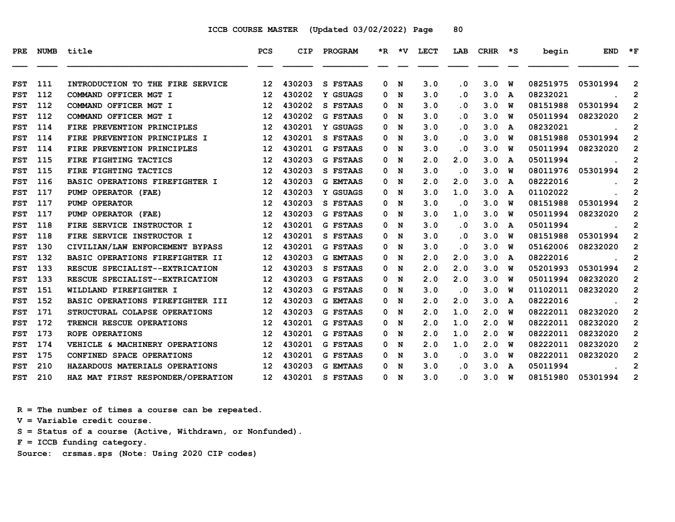| PRE        | <b>NUMB</b> | title                                  | <b>PCS</b>        | <b>CIP</b> | <b>PROGRAM</b>  |    |     | *R *V LECT | LAB                     | CRHR | $\star$ s | begin    | <b>END</b> | $*_{\mathbf{F}}$        |
|------------|-------------|----------------------------------------|-------------------|------------|-----------------|----|-----|------------|-------------------------|------|-----------|----------|------------|-------------------------|
| <b>FST</b> | 111         | INTRODUCTION TO THE FIRE SERVICE       | $12 \overline{ }$ | 430203     | S FSTAAS        | 0  | N   | 3.0        | . 0                     | 3.0  | W         | 08251975 | 05301994   | $\overline{2}$          |
| <b>FST</b> | 112         | COMMAND OFFICER MGT I                  | 12                | 430202     | Y GSUAGS        | 0  | N   | 3.0        | . 0                     | 3.0  | A         | 08232021 |            | $\mathbf{2}$            |
| <b>FST</b> | 112         | COMMAND OFFICER MGT I                  | 12                | 430202     | S FSTAAS        | 0  | N   | 3.0        | . 0                     | 3.0  | W         | 08151988 | 05301994   | $\mathbf{2}$            |
| <b>FST</b> | 112         | COMMAND OFFICER MGT I                  | 12                | 430202     | <b>G FSTAAS</b> | 0  | N   | 3.0        | . 0                     | 3.0  | W         | 05011994 | 08232020   | $\overline{2}$          |
| <b>FST</b> | 114         | FIRE PREVENTION PRINCIPLES             | $12 \overline{ }$ | 430201     | Y GSUAGS        | 0  | N   | 3.0        | $\overline{\mathbf{0}}$ | 3.0  | A         | 08232021 |            | $\mathbf{2}$            |
| <b>FST</b> | 114         | FIRE PREVENTION PRINCIPLES I           | 12                | 430201     | S FSTAAS        | 0  | N   | 3.0        | $\overline{\mathbf{0}}$ | 3.0  | W         | 08151988 | 05301994   | $\overline{2}$          |
| <b>FST</b> | 114         | FIRE PREVENTION PRINCIPLES             | 12                | 430201     | <b>G FSTAAS</b> | 0  | N   | 3.0        | $\overline{\mathbf{0}}$ | 3.0  | w         | 05011994 | 08232020   | $\mathbf{2}$            |
| <b>FST</b> | 115         | FIRE FIGHTING TACTICS                  | 12                | 430203     | <b>G FSTAAS</b> | 0  | N   | 2.0        | 2.0                     | 3.0  | A         | 05011994 |            | $\mathbf{2}$            |
| <b>FST</b> | 115         | FIRE FIGHTING TACTICS                  | 12                | 430203     | S FSTAAS        | 0  | N   | 3.0        | $\cdot$ 0               | 3.0  | w         | 08011976 | 05301994   | $\overline{\mathbf{c}}$ |
| <b>FST</b> | 116         | BASIC OPERATIONS FIREFIGHTER I         | 12                | 430203     | <b>G EMTAAS</b> | 0  | N   | 2.0        | 2.0                     | 3.0  | A         | 08222016 |            | $\mathbf{2}$            |
| <b>FST</b> | 117         | PUMP OPERATOR (FAE)                    | 12                | 430203     | Y GSUAGS        | 0  | N   | 3.0        | 1.0                     | 3.0  | A         | 01102022 |            | 2                       |
| <b>FST</b> | 117         | PUMP OPERATOR                          | 12                | 430203     | S FSTAAS        | 0  | N   | 3.0        | $\cdot$ 0               | 3.0  | W         | 08151988 | 05301994   | $\overline{2}$          |
| <b>FST</b> | 117         | PUMP OPERATOR (FAE)                    | 12                | 430203     | <b>G FSTAAS</b> | 0  | N   | 3.0        | 1.0                     | 3.0  | w         | 05011994 | 08232020   | $\mathbf{2}$            |
| <b>FST</b> | 118         | FIRE SERVICE INSTRUCTOR I              | 12                | 430201     | <b>G FSTAAS</b> | 0  | N   | 3.0        | . 0                     | 3.0  | A         | 05011994 |            | $\mathbf{2}$            |
| <b>FST</b> | 118         | FIRE SERVICE INSTRUCTOR I              | 12                | 430201     | S FSTAAS        | 0  | N   | 3.0        | $\overline{\mathbf{0}}$ | 3.0  | w         | 08151988 | 05301994   | $\overline{2}$          |
| <b>FST</b> | 130         | CIVILIAN/LAW ENFORCEMENT BYPASS        | $12 \overline{ }$ | 430201     | G FSTAAS        | 0  | N   | 3.0        | $\overline{\mathbf{0}}$ | 3.0  | w         | 05162006 | 08232020   | $\overline{2}$          |
| <b>FST</b> | 132         | <b>BASIC OPERATIONS FIREFIGHTER II</b> | 12                | 430203     | <b>G EMTAAS</b> | 0  | N   | 2.0        | 2.0                     | 3.0  | A         | 08222016 |            | $\overline{2}$          |
| <b>FST</b> | 133         | RESCUE SPECIALIST--EXTRICATION         | 12                | 430203     | S FSTAAS        | 0  | N   | 2.0        | 2.0                     | 3.0  | W         | 05201993 | 05301994   | 2                       |
| <b>FST</b> | 133         | RESCUE SPECIALIST--EXTRICATION         | $12 \overline{ }$ | 430203     | <b>G FSTAAS</b> | 0  | N   | 2.0        | 2.0                     | 3.0  | W         | 05011994 | 08232020   | $\mathbf{2}$            |
| <b>FST</b> | 151         | WILDLAND FIREFIGHTER I                 | 12                | 430203     | <b>G FSTAAS</b> | 0  | N   | 3.0        | $\overline{\mathbf{0}}$ | 3.0  | w         | 01102011 | 08232020   | $\overline{2}$          |
| <b>FST</b> | 152         | BASIC OPERATIONS FIREFIGHTER III       | $12 \overline{ }$ | 430203     | <b>G EMTAAS</b> | 0  | N   | 2.0        | 2.0                     | 3.0  | A         | 08222016 |            | 2                       |
| <b>FST</b> | 171         | STRUCTURAL COLAPSE OPERATIONS          | $12 \overline{ }$ | 430203     | <b>G FSTAAS</b> | 0  | N   | 2.0        | 1.0                     | 2.0  | W         | 08222011 | 08232020   | $\overline{2}$          |
| <b>FST</b> | 172         | TRENCH RESCUE OPERATIONS               | 12                | 430201     | <b>G FSTAAS</b> | 0  | N   | 2.0        | 1.0                     | 2.0  | W         | 08222011 | 08232020   | 2                       |
| <b>FST</b> | 173         | ROPE OPERATIONS                        | 12                | 430201     | <b>G FSTAAS</b> | 0  | N   | 2.0        | 1.0                     | 2.0  | W         | 08222011 | 08232020   | $\overline{2}$          |
| <b>FST</b> | 174         | VEHICLE & MACHINERY OPERATIONS         | 12                | 430201     | <b>G FSTAAS</b> |    | 0 N | 2.0        | 1.0                     | 2.0  | w         | 08222011 | 08232020   | $\overline{2}$          |
| <b>FST</b> | 175         | CONFINED SPACE OPERATIONS              | 12                | 430201     | <b>G FSTAAS</b> | 0  | N   | 3.0        | $\cdot$ 0               | 3.0  | W         | 08222011 | 08232020   | $\overline{2}$          |
| <b>FST</b> | 210         | HAZARDOUS MATERIALS OPERATIONS         | 12                | 430203     | <b>G EMTAAS</b> | 0. | N   | 3.0        | $\overline{\mathbf{0}}$ | 3.0  | A         | 05011994 |            | $\overline{2}$          |
| <b>FST</b> | 210         | HAZ MAT FIRST RESPONDER/OPERATION      | 12                | 430201     | S FSTAAS        |    | 0 N | 3.0        | $\cdot$ 0               | 3.0  | <b>W</b>  | 08151980 | 05301994   | 2                       |

 **R = The number of times a course can be repeated.**

 **V = Variable credit course.**

 **S = Status of a course (Active, Withdrawn, or Nonfunded).**

 **F = ICCB funding category.**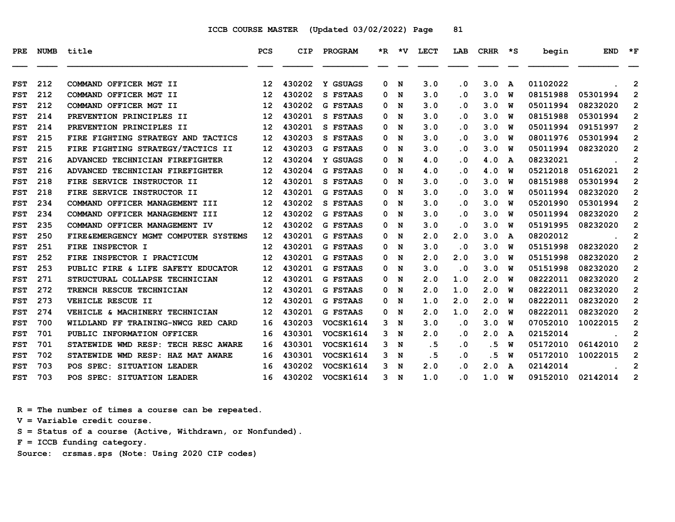| PRE        |     | NUMB title                             | <b>PCS</b>        | <b>CIP</b> | PROGRAM          |   |     | *R *V LECT |                         | LAB CRHR *S |              | begin    | <b>END</b>    | $\star$ F      |
|------------|-----|----------------------------------------|-------------------|------------|------------------|---|-----|------------|-------------------------|-------------|--------------|----------|---------------|----------------|
| <b>FST</b> | 212 | COMMAND OFFICER MGT II                 | 12 <sup>2</sup>   | 430202     | Y GSUAGS         | 0 | N   | 3.0        | $\cdot$ 0               | 3.0         | $\mathbf{A}$ | 01102022 |               | $\overline{2}$ |
| <b>FST</b> | 212 | COMMAND OFFICER MGT II                 | 12 <sup>°</sup>   | 430202     | S FSTAAS         | 0 | N   | 3.0        | $\cdot$ 0               | 3.0         | w            | 08151988 | 05301994      | $\overline{2}$ |
| <b>FST</b> | 212 | COMMAND OFFICER MGT II                 | $12 \overline{ }$ | 430202     | <b>G FSTAAS</b>  | 0 | N   | 3.0        | $\cdot$ 0               | 3.0         | W            | 05011994 | 08232020      | $\mathbf{2}$   |
| <b>FST</b> | 214 | PREVENTION PRINCIPLES II               | 12                | 430201     | S FSTAAS         | 0 | N   | 3.0        | $\cdot$ 0               | 3.0         | W            | 08151988 | 05301994      | $\mathbf{2}$   |
| <b>FST</b> | 214 | PREVENTION PRINCIPLES II               | 12 <sup>2</sup>   | 430201     | S FSTAAS         | 0 | N   | 3.0        | $\cdot$ 0               | 3.0         | W            | 05011994 | 09151997      | $\mathbf{2}$   |
| <b>FST</b> | 215 | FIRE FIGHTING STRATEGY AND TACTICS     | $12 \overline{ }$ | 430203     | S FSTAAS         | 0 | N   | 3.0        | $\cdot$ 0               | 3.0         | W            | 08011976 | 05301994      | $\overline{2}$ |
| <b>FST</b> | 215 | FIRE FIGHTING STRATEGY/TACTICS II      | 12 <sup>°</sup>   | 430203     | G FSTAAS         | 0 | N   | 3.0        | . 0                     | 3.0         | W            | 05011994 | 08232020      | $\overline{2}$ |
| <b>FST</b> | 216 | ADVANCED TECHNICIAN FIREFIGHTER        | 12                | 430204     | Y GSUAGS         | 0 | N   | 4.0        | $\cdot$ 0               | 4.0         | A            | 08232021 |               | 2              |
| <b>FST</b> | 216 | ADVANCED TECHNICIAN FIREFIGHTER        | $12 \overline{ }$ | 430204     | <b>G FSTAAS</b>  | 0 | N   | 4.0        | $\cdot$ 0               | 4.0         | W            | 05212018 | 05162021      | $\overline{2}$ |
| <b>FST</b> | 218 | FIRE SERVICE INSTRUCTOR II             | 12 <sup>2</sup>   | 430201     | S FSTAAS         | 0 | N   | 3.0        | $\cdot$ 0               | 3.0         | W            | 08151988 | 05301994      | $\overline{2}$ |
| <b>FST</b> | 218 | FIRE SERVICE INSTRUCTOR II             | $12 \overline{ }$ | 430201     | <b>G FSTAAS</b>  | 0 | N   | 3.0        | $\cdot$ 0               | 3.0         | W            | 05011994 | 08232020      | $\overline{2}$ |
| <b>FST</b> | 234 | COMMAND OFFICER MANAGEMENT III         | $12 \overline{ }$ | 430202     | S FSTAAS         | 0 | N   | 3.0        | $\cdot$ 0               | 3.0         | W            | 05201990 | 05301994      | $\mathbf{2}$   |
| <b>FST</b> | 234 | COMMAND OFFICER MANAGEMENT III         | 12 <sup>2</sup>   | 430202     | <b>G FSTAAS</b>  | 0 | N   | 3.0        | $\cdot$ 0               | 3.0         | W            | 05011994 | 08232020      | $\mathbf{2}$   |
| <b>FST</b> | 235 | COMMAND OFFICER MANAGEMENT IV          | 12                | 430202     | <b>G FSTAAS</b>  | 0 | N   | 3.0        | $\overline{\mathbf{0}}$ | 3.0         | W            | 05191995 | 08232020      | $\overline{2}$ |
| <b>FST</b> | 250 | FIRE & EMERGENCY MGMT COMPUTER SYSTEMS | 12                | 430201     | <b>G FSTAAS</b>  | 0 | N   | 2.0        | 2.0                     | 3.0         | A            | 08202012 |               | $\overline{2}$ |
| <b>FST</b> | 251 | FIRE INSPECTOR I                       | 12                | 430201     | <b>G FSTAAS</b>  | 0 | N   | 3.0        | $\cdot$ 0               | 3.0         | W            | 05151998 | 08232020      | $\overline{2}$ |
| <b>FST</b> | 252 | FIRE INSPECTOR I PRACTICUM             | 12 <sup>2</sup>   | 430201     | <b>G FSTAAS</b>  | 0 | N   | 2.0        | 2.0                     | 3.0         | W            | 05151998 | 08232020      | $\overline{2}$ |
| <b>FST</b> | 253 | PUBLIC FIRE & LIFE SAFETY EDUCATOR     | 12 <sup>2</sup>   | 430201     | <b>G FSTAAS</b>  | 0 | N   | 3.0        | $\cdot$ 0               | 3.0         | W            | 05151998 | 08232020      | $\overline{2}$ |
| <b>FST</b> | 271 | STRUCTURAL COLLAPSE TECHNICIAN         | 12 <sup>2</sup>   | 430201     | <b>G FSTAAS</b>  | 0 | N   | 2.0        | 1.0                     | 2.0         | W            | 08222011 | 08232020      | $\overline{2}$ |
| <b>FST</b> | 272 | TRENCH RESCUE TECHNICIAN               | 12 <sup>2</sup>   | 430201     | <b>G FSTAAS</b>  | 0 | N   | 2.0        | 1.0                     | 2.0         | W            | 08222011 | 08232020      | $\overline{2}$ |
| <b>FST</b> | 273 | VEHICLE RESCUE II                      | 12 <sup>2</sup>   | 430201     | <b>G FSTAAS</b>  | 0 | N   | 1.0        | 2.0                     | 2.0         | W            | 08222011 | 08232020      | $\overline{2}$ |
| <b>FST</b> | 274 | VEHICLE & MACHINERY TECHNICIAN         | 12 <sup>2</sup>   | 430201     | <b>G FSTAAS</b>  | 0 | N   | 2.0        | 1.0                     | 2.0         | W            | 08222011 | 08232020      | $\mathbf{2}$   |
| <b>FST</b> | 700 | WILDLAND FF TRAINING-NWCG RED CARD     | 16                | 430203     | VOCSK1614        | 3 | N   | 3.0        | $\cdot$ 0               | 3.0         | W            | 07052010 | 10022015      | $\mathbf{2}$   |
| <b>FST</b> | 701 | PUBLIC INFORMATION OFFICER             | 16                | 430301     | VOCSK1614        | 3 | N   | 2.0        | $\cdot$ 0               | 2.0         | A            | 02152014 | $\sim$ $\sim$ | $\overline{2}$ |
| <b>FST</b> | 701 | STATEWIDE WMD RESP: TECH RESC AWARE    | 16                | 430301     | <b>VOCSK1614</b> | 3 | N   | .5         | $\cdot$ 0               | .5          | W            | 05172010 | 06142010      | $\overline{2}$ |
| <b>FST</b> | 702 | STATEWIDE WMD RESP: HAZ MAT AWARE      | 16                | 430301     | VOCSK1614        | 3 | N   | . 5        | $\cdot$ 0               | . 5         | W            | 05172010 | 10022015      | $\overline{2}$ |
| <b>FST</b> | 703 | POS SPEC: SITUATION LEADER             | 16                | 430202     | VOCSK1614        | 3 | N   | 2.0        | . 0                     | 2.0         | A            | 02142014 |               | $\overline{2}$ |
| <b>FST</b> | 703 | POS SPEC: SITUATION LEADER             | 16 <sup>1</sup>   | 430202     | VOCSK1614        |   | 3 N | 1.0        | $\cdot$ 0               | 1.0         | <b>W</b>     | 09152010 | 02142014      | $\overline{2}$ |

 **R = The number of times a course can be repeated.**

 **V = Variable credit course.**

 **S = Status of a course (Active, Withdrawn, or Nonfunded).**

 **F = ICCB funding category.**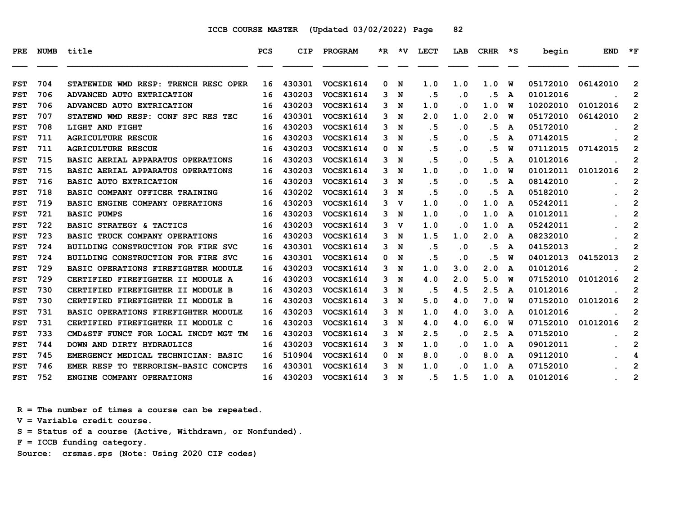| PRE        | NUMB | title                                | <b>PCS</b> | <b>CIP</b> | PROGRAM          |   |             | *R *V LECT | LAB       | $CRHR * S$ |   | begin    | <b>END</b> | $\star$ F      |
|------------|------|--------------------------------------|------------|------------|------------------|---|-------------|------------|-----------|------------|---|----------|------------|----------------|
| <b>FST</b> | 704  | STATEWIDE WMD RESP: TRENCH RESC OPER | 16         | 430301     | VOCSK1614        | 0 | N           | 1.0        | 1.0       | 1.0        | W | 05172010 | 06142010   | $\overline{2}$ |
| <b>FST</b> | 706  | ADVANCED AUTO EXTRICATION            | 16         | 430203     | VOCSK1614        | 3 | N           | .5         | $\cdot$ 0 | .5         | A | 01012016 |            | $\overline{2}$ |
| <b>FST</b> | 706  | ADVANCED AUTO EXTRICATION            | 16         | 430203     | VOCSK1614        | 3 | N           | 1.0        | .0        | 1.0        | W | 10202010 | 01012016   | $\overline{2}$ |
| <b>FST</b> | 707  | STATEWD WMD RESP: CONF SPC RES TEC   | 16         | 430301     | <b>VOCSK1614</b> | 3 | N           | 2.0        | 1.0       | 2.0        | W | 05172010 | 06142010   | $\mathbf{2}$   |
| <b>FST</b> | 708  | LIGHT AND FIGHT                      | 16         | 430203     | VOCSK1614        | 3 | N           | . 5        | $\cdot$ 0 | . 5        | A | 05172010 |            | $\mathbf{2}$   |
| <b>FST</b> | 711  | <b>AGRICULTURE RESCUE</b>            | 16         | 430203     | VOCSK1614        | 3 | N           | .5         | $\cdot$ 0 | .5         | A | 07142015 |            | $\overline{2}$ |
| <b>FST</b> | 711  | <b>AGRICULTURE RESCUE</b>            | 16         | 430203     | VOCSK1614        | 0 | N           | .5         | $\cdot$ 0 | . 5        | W | 07112015 | 07142015   | $\overline{2}$ |
| <b>FST</b> | 715  | BASIC AERIAL APPARATUS OPERATIONS    | 16         | 430203     | <b>VOCSK1614</b> | 3 | N           | .5         | $\cdot$ 0 | .5         | A | 01012016 |            | 2              |
| <b>FST</b> | 715  | BASIC AERIAL APPARATUS OPERATIONS    | 16         | 430203     | VOCSK1614        | 3 | N           | 1.0        | . 0       | 1.0        | W | 01012011 | 01012016   | $\overline{2}$ |
| <b>FST</b> | 716  | <b>BASIC AUTO EXTRICATION</b>        | 16         | 430203     | VOCSK1614        | 3 | N           | . 5        | $\cdot$ 0 | .5         | A | 08142010 |            | $\mathbf{2}$   |
| <b>FST</b> | 718  | BASIC COMPANY OFFICER TRAINING       | 16         | 430202     | VOCSK1614        | 3 | N           | .5         | $\cdot$ 0 | .5         | A | 05182010 |            | $\overline{2}$ |
| <b>FST</b> | 719  | BASIC ENGINE COMPANY OPERATIONS      | 16         | 430203     | VOCSK1614        | 3 | v           | 1.0        | . 0       | 1.0        | A | 05242011 |            | $\overline{2}$ |
| <b>FST</b> | 721  | <b>BASIC PUMPS</b>                   | 16         | 430203     | VOCSK1614        | 3 | N           | 1.0        | $\cdot$ 0 | 1.0        | A | 01012011 |            | 2              |
| <b>FST</b> | 722  | BASIC STRATEGY & TACTICS             | 16         | 430203     | VOCSK1614        | 3 | v           | 1.0        | . 0       | 1.0        | A | 05242011 |            | $\overline{2}$ |
| <b>FST</b> | 723  | BASIC TRUCK COMPANY OPERATIONS       | 16         | 430203     | VOCSK1614        | 3 | N           | 1.5        | 1.0       | 2.0        | A | 08232010 |            | $\overline{2}$ |
| <b>FST</b> | 724  | BUILDING CONSTRUCTION FOR FIRE SVC   | 16         | 430301     | VOCSK1614        | 3 | N           | .5         | $\cdot$ 0 | . 5        | A | 04152013 |            | $\overline{2}$ |
| <b>FST</b> | 724  | BUILDING CONSTRUCTION FOR FIRE SVC   | 16         | 430301     | VOCSK1614        | 0 | N           | .5         | $\cdot$ 0 | . 5        | W | 04012013 | 04152013   | $\overline{2}$ |
| <b>FST</b> | 729  | BASIC OPERATIONS FIREFIGHTER MODULE  | 16         | 430203     | VOCSK1614        | 3 | N           | 1.0        | 3.0       | 2.0        | A | 01012016 |            | $\overline{2}$ |
| <b>FST</b> | 729  | CERTIFIED FIREFIGHTER II MODULE A    | 16         | 430203     | VOCSK1614        | 3 | N           | 4.0        | 2.0       | 5.0        | W | 07152010 | 01012016   | $\overline{2}$ |
| <b>FST</b> | 730  | CERTIFIED FIREFIGHTER II MODULE B    | 16         | 430203     | VOCSK1614        | 3 | N           | .5         | 4.5       | 2.5        | A | 01012016 |            | $\overline{2}$ |
| <b>FST</b> | 730  | CERTIFIED FIREFIGHTER II MODULE B    | 16         | 430203     | <b>VOCSK1614</b> | 3 | N           | 5.0        | 4.0       | 7.0        | W | 07152010 | 01012016   | $\mathbf{2}$   |
| <b>FST</b> | 731  | BASIC OPERATIONS FIREFIGHTER MODULE  | 16         | 430203     | VOCSK1614        | 3 | N           | 1.0        | 4.0       | 3.0        | A | 01012016 |            | $\mathbf{2}$   |
| <b>FST</b> | 731  | CERTIFIED FIREFIGHTER II MODULE C    | 16         | 430203     | VOCSK1614        | 3 | N           | 4.0        | 4.0       | 6.0        | W | 07152010 | 01012016   | $\overline{2}$ |
| <b>FST</b> | 733  | CMD&STF FUNCT FOR LOCAL INCDT MGT TM | 16         | 430203     | <b>VOCSK1614</b> | 3 | N           | 2.5        | . 0       | 2.5        | A | 07152010 |            | $\overline{2}$ |
| <b>FST</b> | 744  | DOWN AND DIRTY HYDRAULICS            | 16         | 430203     | <b>VOCSK1614</b> | 3 | N           | 1.0        | $\cdot$ 0 | 1.0        | A | 09012011 |            | $\overline{2}$ |
| <b>FST</b> | 745  | EMERGENCY MEDICAL TECHNICIAN: BASIC  | 16         | 510904     | VOCSK1614        | 0 | N           | 8.0        | $\cdot$ 0 | 8.0        | A | 09112010 |            | 4              |
| <b>FST</b> | 746  | EMER RESP TO TERRORISM-BASIC CONCPTS | 16         | 430301     | VOCSK1614        | 3 | N           | 1.0        | . 0       | 1.0        | A | 07152010 |            | $\overline{2}$ |
| <b>FST</b> | 752  | ENGINE COMPANY OPERATIONS            | 16         | 430203     | <b>VOCSK1614</b> | 3 | $\mathbf N$ | . 5        | 1.5       | 1.0        | A | 01012016 |            | $\overline{2}$ |

 **R = The number of times a course can be repeated.**

 **V = Variable credit course.**

 **S = Status of a course (Active, Withdrawn, or Nonfunded).**

 **F = ICCB funding category.**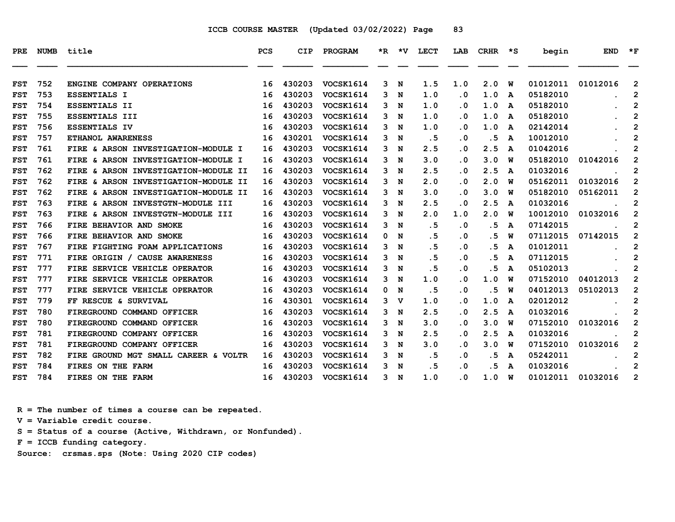| PRE        | <b>NUMB</b> | title                                   | PCS | <b>CIP</b> | PROGRAM          |   |             | *R *V LECT | LAB                     | $CRHR \quad *S$ |   | begin    | <b>END</b> | $*_{\mathbf{F}}$        |
|------------|-------------|-----------------------------------------|-----|------------|------------------|---|-------------|------------|-------------------------|-----------------|---|----------|------------|-------------------------|
| <b>FST</b> | 752         | ENGINE COMPANY OPERATIONS               | 16  | 430203     | VOCSK1614        | 3 | N           | 1.5        | 1.0                     | 2.0             | W | 01012011 | 01012016   | 2                       |
| <b>FST</b> | 753         | <b>ESSENTIALS I</b>                     | 16  | 430203     | VOCSK1614        | 3 | N           | 1.0        | $\overline{\mathbf{0}}$ | 1.0             | A | 05182010 |            | $\overline{2}$          |
| <b>FST</b> | 754         | <b>ESSENTIALS II</b>                    | 16  | 430203     | VOCSK1614        | 3 | N           | 1.0        | $\overline{\mathbf{0}}$ | 1.0             | A | 05182010 |            | $\overline{\mathbf{c}}$ |
| <b>FST</b> | 755         | ESSENTIALS III                          | 16  | 430203     | VOCSK1614        | 3 | N           | 1.0        | . 0                     | 1.0             | A | 05182010 |            | $\overline{2}$          |
| <b>FST</b> | 756         | <b>ESSENTIALS IV</b>                    | 16  | 430203     | VOCSK1614        | 3 | N           | 1.0        | . 0                     | 1.0             | A | 02142014 |            | 2                       |
| <b>FST</b> | 757         | ETHANOL AWARENESS                       | 16  | 430201     | VOCSK1614        | 3 | N           | . 5        | $\overline{\mathbf{0}}$ | . 5             | A | 10012010 |            | $\mathbf{2}$            |
| <b>FST</b> | 761         | FIRE & ARSON INVESTIGATION-MODULE I     | 16  | 430203     | VOCSK1614        | 3 | N           | 2.5        | . 0                     | 2.5             | A | 01042016 |            | $\overline{2}$          |
| <b>FST</b> | 761         | FIRE & ARSON INVESTIGATION-MODULE I     | 16  | 430203     | VOCSK1614        | 3 | N           | 3.0        | $\overline{\mathbf{0}}$ | 3.0             | W | 05182010 | 01042016   | $\mathbf{2}$            |
| <b>FST</b> | 762         | FIRE & ARSON INVESTIGATION-MODULE<br>II | 16  | 430203     | <b>VOCSK1614</b> | 3 | N           | 2.5        | . 0                     | 2.5             | A | 01032016 |            | $\mathbf{2}$            |
| <b>FST</b> | 762         | FIRE & ARSON INVESTIGATION-MODULE II    | 16  | 430203     | VOCSK1614        | 3 | N           | 2.0        | . 0                     | 2.0             | W | 05162011 | 01032016   | 2                       |
| <b>FST</b> | 762         | FIRE & ARSON INVESTIGATION-MODULE II    | 16  | 430203     | VOCSK1614        | 3 | N           | 3.0        | . 0                     | 3.0             | พ | 05182010 | 05162011   | $\overline{2}$          |
| <b>FST</b> | 763         | FIRE & ARSON INVESTGTN-MODULE III       | 16  | 430203     | VOCSK1614        | 3 | N           | 2.5        | $\overline{\mathbf{0}}$ | 2.5             | A | 01032016 |            | $\mathbf{2}$            |
| <b>FST</b> | 763         | FIRE & ARSON INVESTGTN-MODULE III       | 16  | 430203     | VOCSK1614        | 3 | N           | 2.0        | 1.0                     | 2.0             | W | 10012010 | 01032016   | $\mathbf{2}$            |
| <b>FST</b> | 766         | FIRE BEHAVIOR AND SMOKE                 | 16  | 430203     | <b>VOCSK1614</b> | 3 | N           | .5         | . 0                     | .5              | A | 07142015 |            | $\mathbf{2}$            |
| <b>FST</b> | 766         | FIRE BEHAVIOR AND SMOKE                 | 16  | 430203     | <b>VOCSK1614</b> | 0 | N           | .5         | $\cdot$ 0               | . 5             | W | 07112015 | 07142015   | $\overline{2}$          |
| <b>FST</b> | 767         | FIRE FIGHTING FOAM APPLICATIONS         | 16  | 430203     | VOCSK1614        | 3 | N           | .5         | $\overline{\mathbf{0}}$ | . 5             | A | 01012011 |            | 2                       |
| <b>FST</b> | 771         | FIRE ORIGIN / CAUSE AWARENESS           | 16  | 430203     | VOCSK1614        | 3 | N           | . 5        | $\overline{\mathbf{0}}$ | . 5             | A | 07112015 |            | $\mathbf{2}$            |
| <b>FST</b> | 777         | FIRE SERVICE VEHICLE OPERATOR           | 16  | 430203     | VOCSK1614        | 3 | N           | . 5        | $\overline{\mathbf{0}}$ | . 5             | A | 05102013 |            | $\mathbf{2}$            |
| <b>FST</b> | 777         | FIRE SERVICE VEHICLE OPERATOR           | 16  | 430203     | <b>VOCSK1614</b> | 3 | N           | 1.0        | $\overline{\mathbf{0}}$ | 1.0             | W | 07152010 | 04012013   | $\mathbf{2}$            |
| <b>FST</b> | 777         | FIRE SERVICE VEHICLE OPERATOR           | 16  | 430203     | VOCSK1614        | 0 | N           | .5         | $\overline{\mathbf{0}}$ | . 5             | W | 04012013 | 05102013   | $\overline{2}$          |
| <b>FST</b> | 779         | FF RESCUE & SURVIVAL                    | 16  | 430301     | VOCSK1614        | 3 | v           | 1.0        | . 0                     | 1.0             | A | 02012012 |            | $\mathbf{2}$            |
| <b>FST</b> | 780         | FIREGROUND COMMAND OFFICER              | 16  | 430203     | VOCSK1614        | 3 | N           | 2.5        | . 0                     | 2.5             | A | 01032016 |            | $\mathbf{2}$            |
| <b>FST</b> | 780         | FIREGROUND COMMAND OFFICER              | 16  | 430203     | VOCSK1614        | 3 | N           | 3.0        | . 0                     | 3.0             | W | 07152010 | 01032016   | 2                       |
| <b>FST</b> | 781         | FIREGROUND COMPANY OFFICER              | 16  | 430203     | <b>VOCSK1614</b> | 3 | N           | 2.5        | . 0                     | 2.5             | A | 01032016 |            | 2                       |
| <b>FST</b> | 781         | FIREGROUND COMPANY OFFICER              | 16  | 430203     | <b>VOCSK1614</b> | 3 | N           | 3.0        | $\overline{\mathbf{0}}$ | 3.0             | พ | 07152010 | 01032016   | $\overline{2}$          |
| <b>FST</b> | 782         | FIRE GROUND MGT SMALL CAREER & VOLTR    | 16  | 430203     | VOCSK1614        | 3 | N           | . 5        | . 0                     | . 5             | A | 05242011 |            | $\mathbf{2}$            |
| <b>FST</b> | 784         | FIRES ON THE FARM                       | 16  | 430203     | VOCSK1614        | 3 | N           | .5         | $\overline{\mathbf{0}}$ | . 5             | A | 01032016 |            | $\mathbf{2}$            |
| <b>FST</b> | 784         | FIRES ON THE FARM                       | 16  | 430203     | VOCSK1614        | 3 | $\mathbf N$ | 1.0        | $\overline{\mathbf{0}}$ | 1.0             | W | 01012011 | 01032016   | $\overline{2}$          |

 **R = The number of times a course can be repeated.**

 **V = Variable credit course.**

 **S = Status of a course (Active, Withdrawn, or Nonfunded).**

 **F = ICCB funding category.**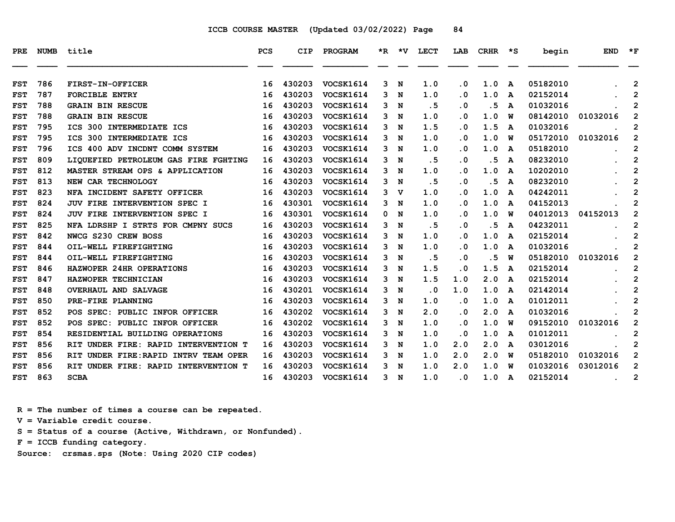| <b>PRE</b> | <b>NUMB</b> | title                                           | <b>PCS</b> | CIP    | PROGRAM          | *R – | ∗v | <b>LECT</b> | LAB       | <b>CRHR</b> | *S           | begin    | <b>END</b> | $*_{\mathbf{F}}$        |
|------------|-------------|-------------------------------------------------|------------|--------|------------------|------|----|-------------|-----------|-------------|--------------|----------|------------|-------------------------|
|            |             |                                                 |            |        |                  |      |    |             |           |             |              |          |            |                         |
| <b>FST</b> | 786         | FIRST-IN-OFFICER                                | 16         | 430203 | VOCSK1614        | 3    | N  | 1.0         | $\cdot$ 0 | 1.0         | A            | 05182010 |            | $\overline{2}$          |
| <b>FST</b> | 787         | <b>FORCIBLE ENTRY</b>                           | 16         | 430203 | VOCSK1614        | 3    | N  | 1.0         | $\cdot$ 0 | 1.0         | A            | 02152014 |            | $\mathbf{2}$            |
| <b>FST</b> | 788         | <b>GRAIN BIN RESCUE</b>                         | 16         | 430203 | VOCSK1614        | 3    | N  | . 5         | . 0       | .5          | A            | 01032016 |            | $\overline{2}$          |
| <b>FST</b> | 788         | <b>GRAIN BIN RESCUE</b>                         | 16         | 430203 | VOCSK1614        | 3    | N  | 1.0         | . 0       | 1.0         | W            | 08142010 | 01032016   | $\mathbf{2}$            |
| <b>FST</b> | 795         | ICS 300 INTERMEDIATE ICS                        | 16         | 430203 | VOCSK1614        | 3    | N  | 1.5         | . 0       | 1.5         | $\mathbf{A}$ | 01032016 |            | $\overline{2}$          |
| <b>FST</b> | 795         | ICS 300 INTERMEDIATE ICS                        | 16         | 430203 | VOCSK1614        | 3    | N  | 1.0         | . 0       | 1.0         | W            | 05172010 | 01032016   | $\mathbf{2}$            |
| <b>FST</b> | 796         | ICS 400 ADV INCDNT COMM SYSTEM                  | 16         | 430203 | VOCSK1614        | 3    | N  | 1.0         | . 0       | 1.0         | A            | 05182010 |            | $\overline{\mathbf{c}}$ |
| <b>FST</b> | 809         | LIOUEFIED PETROLEUM GAS FIRE FGHTING            | 16         | 430203 | VOCSK1614        | 3    | N  | . 5         | . 0       | .5          | $\mathbf{A}$ | 08232010 |            | $\overline{2}$          |
| <b>FST</b> | 812         | MASTER STREAM OPS & APPLICATION                 | 16         | 430203 | <b>VOCSK1614</b> | 3    | N  | 1.0         | . 0       | 1.0         | A            | 10202010 |            | $\overline{2}$          |
| <b>FST</b> | 813         | NEW CAR TECHNOLOGY                              | 16         | 430203 | VOCSK1614        | 3    | N  | .5          | . 0       | .5          | A            | 08232010 |            | $\overline{2}$          |
| <b>FST</b> | 823         | NFA INCIDENT SAFETY OFFICER                     | 16         | 430203 | <b>VOCSK1614</b> | 3    | v  | 1.0         | . 0       | 1.0         | A            | 04242011 |            | $\overline{2}$          |
| <b>FST</b> | 824         | JUV FIRE INTERVENTION SPEC I                    | 16         | 430301 | VOCSK1614        | 3    | N  | 1.0         | . 0       | 1.0         | $\mathbf{A}$ | 04152013 |            | $\overline{2}$          |
| <b>FST</b> | 824         | JUV FIRE INTERVENTION SPEC I                    | 16         | 430301 | VOCSK1614        | 0    | N  | 1.0         | . 0       | 1.0         | W            | 04012013 | 04152013   | $\mathbf{2}$            |
| <b>FST</b> | 825         | NFA LDRSHP I STRTS FOR CMPNY SUCS               | 16         | 430203 | <b>VOCSK1614</b> | 3    | N  | .5          | . 0       | .5          | A            | 04232011 |            | $\mathbf{2}$            |
| <b>FST</b> | 842         | NWCG S230 CREW BOSS                             | 16         | 430203 | VOCSK1614        | 3    | N  | 1.0         | $\cdot$ 0 | 1.0         | A            | 02152014 |            | $\overline{2}$          |
| <b>FST</b> | 844         | OIL-WELL FIREFIGHTING                           | 16         | 430203 | VOCSK1614        | 3.   | N  | 1.0         | . 0       | 1.0         | A            | 01032016 |            | $\overline{2}$          |
| <b>FST</b> | 844         | OIL-WELL FIREFIGHTING                           | 16         | 430203 | VOCSK1614        | 3    | N  | .5          | . 0       | .5          | W            | 05182010 | 01032016   | $\mathbf{2}$            |
| <b>FST</b> | 846         | HAZWOPER 24HR OPERATIONS                        | 16         | 430203 | <b>VOCSK1614</b> | 3    | N  | 1.5         | . 0       | 1.5         | A            | 02152014 |            | $\overline{2}$          |
| <b>FST</b> | 847         | HAZWOPER TECHNICIAN                             | 16         | 430203 | VOCSK1614        | 3    | N  | 1.5         | 1.0       | 2.0         | $\mathbf{A}$ | 02152014 |            | $\overline{2}$          |
| <b>FST</b> | 848         | <b>OVERHAUL AND SALVAGE</b>                     | 16         | 430201 | VOCSK1614        | 3    | N  | . 0         | 1.0       | 1.0         | A            | 02142014 |            | $\overline{2}$          |
| <b>FST</b> | 850         | PRE-FIRE PLANNING                               | 16         | 430203 | VOCSK1614        | 3    | N  | 1.0         | . 0       | 1.0         | A            | 01012011 |            | $\overline{2}$          |
| <b>FST</b> | 852         | POS SPEC: PUBLIC INFOR OFFICER                  | 16         | 430202 | VOCSK1614        | 3    | N  | 2.0         | . 0       | 2.0         | A            | 01032016 |            | $\overline{2}$          |
| <b>FST</b> | 852         | POS SPEC: PUBLIC INFOR OFFICER                  | 16         | 430202 | VOCSK1614        | 3    | N  | 1.0         | . 0       | 1.0         | W            | 09152010 | 01032016   | $\mathbf{2}$            |
| <b>FST</b> | 854         | RESIDENTIAL BUILDING OPERATIONS                 | 16         | 430203 | VOCSK1614        | 3    | N  | 1.0         | . 0       | 1.0         | A            | 01012011 |            | $\overline{2}$          |
| <b>FST</b> | 856         | RIT UNDER FIRE: RAPID INTERVENTION T            | 16         | 430203 | VOCSK1614        | 3    | N  | 1.0         | 2.0       | 2.0         | A            | 03012016 |            | $\overline{2}$          |
| <b>FST</b> | 856         | <b>RIT</b><br>UNDER FIRE: RAPID INTRV TEAM OPER | 16         | 430203 | VOCSK1614        | 3    | N  | 1.0         | 2.0       | 2.0         | W            | 05182010 | 01032016   | $\mathbf{2}$            |
| <b>FST</b> | 856         | UNDER FIRE: RAPID INTERVENTION T<br>RIT         | 16         | 430203 | VOCSK1614        | 3    | N  | 1.0         | 2.0       | 1.0         | w            | 01032016 | 03012016   | $\overline{2}$          |
| <b>FST</b> | 863         | <b>SCBA</b>                                     | 16         | 430203 | <b>VOCSK1614</b> | 3    | N  | 1.0         | . 0       | 1.0         | A            | 02152014 |            | 2                       |

 **R = The number of times a course can be repeated.**

 **V = Variable credit course.**

 **S = Status of a course (Active, Withdrawn, or Nonfunded).**

 **F = ICCB funding category.**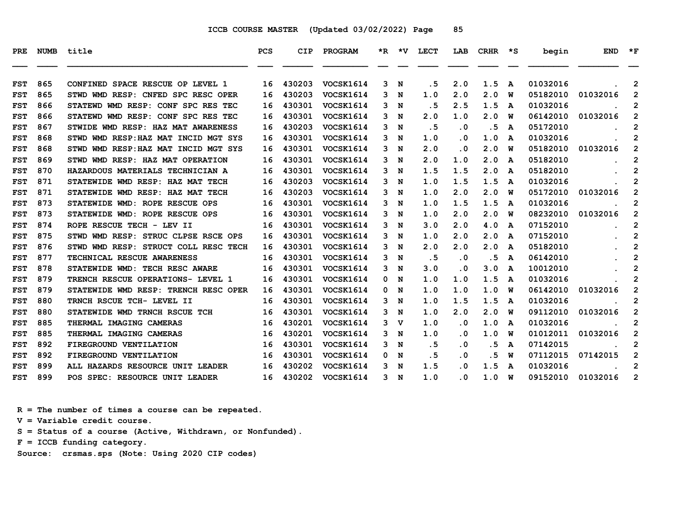| PRE        |     | NUMB title                           | <b>PCS</b> | <b>CIP</b> | PROGRAM          |    |             | *R *V LECT | LAB       | $CRHR$ $*$ $S$ |   | begin    | <b>END</b> | $\star$ F      |
|------------|-----|--------------------------------------|------------|------------|------------------|----|-------------|------------|-----------|----------------|---|----------|------------|----------------|
|            |     |                                      |            |            |                  |    |             |            |           |                |   |          |            |                |
| <b>FST</b> | 865 | CONFINED SPACE RESCUE OP LEVEL 1     | 16         | 430203     | VOCSK1614        | 3  | $\mathbf N$ | . 5        | 2.0       | 1.5            | A | 01032016 |            | 2              |
| <b>FST</b> | 865 | STWD WMD RESP: CNFED SPC RESC OPER   | 16         | 430203     | <b>VOCSK1614</b> | 3  | N           | 1.0        | 2.0       | 2.0            | W | 05182010 | 01032016   | 2              |
| <b>FST</b> | 866 | STATEWD WMD RESP: CONF SPC RES TEC   | 16         | 430301     | VOCSK1614        | 3  | N           | . 5        | 2.5       | 1.5            | A | 01032016 |            | 2              |
| <b>FST</b> | 866 | STATEWD WMD RESP: CONF SPC RES TEC   | 16         | 430301     | VOCSK1614        | 3  | N           | 2.0        | 1.0       | 2.0            | W | 06142010 | 01032016   | $\mathbf{2}$   |
| <b>FST</b> | 867 | STWIDE WMD RESP: HAZ MAT AWARENESS   | 16         | 430203     | <b>VOCSK1614</b> | 3  | N           | .5         | $\cdot$ 0 | . 5            | A | 05172010 |            | 2              |
| <b>FST</b> | 868 | STWD WMD RESP: HAZ MAT INCID MGT SYS | 16         | 430301     | VOCSK1614        | 3  | N           | 1.0        | . 0       | 1.0            | A | 01032016 |            | $\mathbf{2}$   |
| <b>FST</b> | 868 | STWD WMD RESP: HAZ MAT INCID MGT SYS | 16         | 430301     | VOCSK1614        | 3. | $\mathbf N$ | 2.0        | $\cdot$ 0 | 2.0            | W | 05182010 | 01032016   | $\mathbf{2}$   |
| <b>FST</b> | 869 | STWD WMD RESP: HAZ MAT OPERATION     | 16         | 430301     | <b>VOCSK1614</b> | 3  | N           | 2.0        | 1.0       | 2.0            | A | 05182010 |            | $\mathbf{2}$   |
| <b>FST</b> | 870 | HAZARDOUS MATERIALS TECHNICIAN A     | 16         | 430301     | <b>VOCSK1614</b> | 3  | N           | 1.5        | 1.5       | 2.0            | A | 05182010 |            | $\mathbf{2}$   |
| <b>FST</b> | 871 | STATEWIDE WMD RESP: HAZ MAT TECH     | 16         | 430203     | VOCSK1614        | 3. | N           | 1.0        | 1.5       | 1.5            | A | 01032016 |            | $\mathbf{2}$   |
| <b>FST</b> | 871 | STATEWIDE WMD RESP: HAZ MAT TECH     | 16         | 430203     | VOCSK1614        | 3  | N           | 1.0        | 2.0       | 2.0            | W | 05172010 | 01032016   | $\mathbf{2}$   |
| <b>FST</b> | 873 | STATEWIDE WMD: ROPE RESCUE OPS       | 16         | 430301     | VOCSK1614        | 3  | $\mathbf N$ | 1.0        | 1.5       | 1.5            | A | 01032016 |            | 2              |
| <b>FST</b> | 873 | STATEWIDE WMD: ROPE RESCUE OPS       | 16         | 430301     | VOCSK1614        | 3  | N           | 1.0        | 2.0       | 2.0            | W | 08232010 | 01032016   | $\mathbf{2}$   |
| <b>FST</b> | 874 | ROPE RESCUE TECH - LEV II            | 16         | 430301     | <b>VOCSK1614</b> | 3  | N           | 3.0        | 2.0       | 4.0            | A | 07152010 |            | $\mathbf{2}$   |
| <b>FST</b> | 875 | STWD WMD RESP: STRUC CLPSE RSCE OPS  | 16         | 430301     | <b>VOCSK1614</b> | 3. | N           | 1.0        | 2.0       | 2.0            | A | 07152010 |            | $\mathbf{2}$   |
| <b>FST</b> | 876 | STWD WMD RESP: STRUCT COLL RESC TECH | 16         | 430301     | VOCSK1614        | 3  | N           | 2.0        | 2.0       | 2.0            | A | 05182010 |            | 2              |
| <b>FST</b> | 877 | TECHNICAL RESCUE AWARENESS           | 16         | 430301     | VOCSK1614        | 3  | N           | .5         | $\cdot$ 0 | .5             | A | 06142010 |            | $\overline{2}$ |
| <b>FST</b> | 878 | STATEWIDE WMD: TECH RESC AWARE       | 16         | 430301     | VOCSK1614        | 3  | N           | 3.0        | . 0       | 3.0            | A | 10012010 |            | $\overline{2}$ |
| <b>FST</b> | 879 | TRENCH RESCUE OPERATIONS- LEVEL 1    | 16         | 430301     | VOCSK1614        | 0  | N           | 1.0        | 1.0       | 1.5            | A | 01032016 |            | $\mathbf{2}$   |
| <b>FST</b> | 879 | STATEWIDE WMD RESP: TRENCH RESC OPER | 16         | 430301     | VOCSK1614        | 0  | N           | 1.0        | 1.0       | 1.0            | W | 06142010 | 01032016   | $\overline{2}$ |
| <b>FST</b> | 880 | TRNCH RSCUE TCH- LEVEL II            | 16         | 430301     | VOCSK1614        | 3  | N           | 1.0        | 1.5       | 1.5            | A | 01032016 |            | 2              |
| <b>FST</b> | 880 | STATEWIDE WMD TRNCH RSCUE TCH        | 16         | 430301     | <b>VOCSK1614</b> | 3  | N           | 1.0        | 2.0       | 2.0            | W | 09112010 | 01032016   | $\overline{2}$ |
| <b>FST</b> | 885 | THERMAL IMAGING CAMERAS              | 16         | 430201     | VOCSK1614        | 3  | $\mathbf v$ | 1.0        | . 0       | 1.0            | A | 01032016 |            | $\mathbf{2}$   |
| <b>FST</b> | 885 | THERMAL IMAGING CAMERAS              | 16         | 430201     | <b>VOCSK1614</b> | 3  | N           | 1.0        | . 0       | 1.0            | W | 01012011 | 01032016   | $\mathbf{2}$   |
| <b>FST</b> | 892 | FIREGROUND VENTILATION               | 16         | 430301     | <b>VOCSK1614</b> | 3  | N           | . 5        | . 0       | . 5            | A | 07142015 |            | 2              |
| <b>FST</b> | 892 | FIREGROUND VENTILATION               | 16         | 430301     | VOCSK1614        | 0  | N           | . 5        | $\cdot$ 0 | . 5            | W | 07112015 | 07142015   | $\mathbf{2}$   |
| <b>FST</b> | 899 | ALL HAZARDS RESOURCE UNIT LEADER     | 16         | 430202     | VOCSK1614        | 3  | N           | 1.5        | . 0       | 1.5            | A | 01032016 |            | $\overline{2}$ |
| <b>FST</b> | 899 | POS SPEC: RESOURCE UNIT LEADER       | 16         | 430202     | <b>VOCSK1614</b> | 3  | N           | 1.0        | . 0       | 1.0            | W | 09152010 | 01032016   | $\overline{2}$ |

 **R = The number of times a course can be repeated.**

 **V = Variable credit course.**

 **S = Status of a course (Active, Withdrawn, or Nonfunded).**

 **F = ICCB funding category.**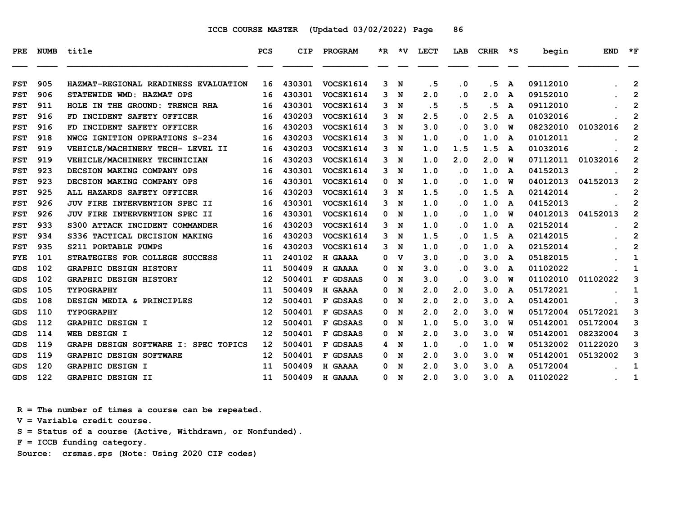| PRE        | NUMB | title                                | <b>PCS</b> | CIP    | <b>PROGRAM</b>   |   | *R *V       | LECT | LAB                     | CRHR | ∗s | begin    | <b>END</b> | $*_{\mathbf{F}}$ |
|------------|------|--------------------------------------|------------|--------|------------------|---|-------------|------|-------------------------|------|----|----------|------------|------------------|
| <b>FST</b> | 905  | HAZMAT-REGIONAL READINESS EVALUATION | 16         | 430301 | VOCSK1614        | 3 | N           | . 5  | $\cdot$ 0               | . 5  | A  | 09112010 |            | $\overline{2}$   |
| <b>FST</b> | 906  | <b>STATEWIDE WMD: HAZMAT OPS</b>     | 16         | 430301 | VOCSK1614        | 3 | N           | 2.0  | $\overline{\mathbf{0}}$ | 2.0  | A  | 09152010 |            | $\overline{2}$   |
| <b>FST</b> | 911  | HOLE IN THE GROUND: TRENCH RHA       | 16         | 430301 | VOCSK1614        | 3 | N           | .5   | . 5                     | .5   | A  | 09112010 |            | 2                |
| <b>FST</b> | 916  | FD INCIDENT SAFETY OFFICER           | 16         | 430203 | <b>VOCSK1614</b> | 3 | N           | 2.5  | $\overline{\mathbf{0}}$ | 2.5  | A  | 01032016 |            | $\mathbf{2}$     |
| <b>FST</b> | 916  | FD INCIDENT SAFETY OFFICER           | 16         | 430203 | VOCSK1614        | 3 | N           | 3.0  | $\cdot$ 0               | 3.0  | W  | 08232010 | 01032016   | 2                |
| <b>FST</b> | 918  | NWCG IGNITION OPERATIONS S-234       | 16         | 430203 | VOCSK1614        | 3 | N           | 1.0  | . 0                     | 1.0  | A  | 01012011 |            | $\mathbf{2}$     |
| <b>FST</b> | 919  | VEHICLE/MACHINERY TECH- LEVEL II     | 16         | 430203 | VOCSK1614        | 3 | N           | 1.0  | 1.5                     | 1.5  | A  | 01032016 |            | $\overline{2}$   |
| <b>FST</b> | 919  | VEHICLE/MACHINERY TECHNICIAN         | 16         | 430203 | VOCSK1614        | 3 | N           | 1.0  | 2.0                     | 2.0  | W  | 07112011 | 01032016   | $\overline{2}$   |
| <b>FST</b> | 923  | DECSION MAKING COMPANY OPS           | 16         | 430301 | VOCSK1614        | 3 | N           | 1.0  | . 0                     | 1.0  | A  | 04152013 |            | 2                |
| <b>FST</b> | 923  | DECSION MAKING COMPANY OPS           | 16         | 430301 | VOCSK1614        | 0 | N           | 1.0  | . 0                     | 1.0  | w  | 04012013 | 04152013   | $\overline{2}$   |
| <b>FST</b> | 925  | ALL HAZARDS SAFETY OFFICER           | 16         | 430203 | VOCSK1614        | 3 | N           | 1.5  | $\overline{\mathbf{0}}$ | 1.5  | A  | 02142014 |            | $\mathbf{2}$     |
| <b>FST</b> | 926  | JUV FIRE INTERVENTION SPEC II        | 16         | 430301 | VOCSK1614        | 3 | N           | 1.0  | $\overline{\mathbf{0}}$ | 1.0  | A  | 04152013 |            | $\overline{2}$   |
| <b>FST</b> | 926  | <b>JUV FIRE INTERVENTION SPEC II</b> | 16         | 430301 | VOCSK1614        | 0 | N           | 1.0  | . 0                     | 1.0  | W  | 04012013 | 04152013   | $\mathbf{2}$     |
| <b>FST</b> | 933  | S300 ATTACK INCIDENT COMMANDER       | 16         | 430203 | VOCSK1614        | 3 | N           | 1.0  | . 0                     | 1.0  | A  | 02152014 |            | $\mathbf{2}$     |
| <b>FST</b> | 934  | S336 TACTICAL DECISION MAKING        | 16         | 430203 | VOCSK1614        | 3 | N           | 1.5  | $\overline{\mathbf{0}}$ | 1.5  | A  | 02142015 |            | $\overline{2}$   |
| <b>FST</b> | 935  | S211 PORTABLE PUMPS                  | 16         | 430203 | VOCSK1614        | 3 | N           | 1.0  | . 0                     | 1.0  | A  | 02152014 |            | $\overline{2}$   |
| <b>FYE</b> | 101  | STRATEGIES FOR COLLEGE SUCCESS       | 11         | 240102 | H GAAAA          | 0 | $\mathbf v$ | 3.0  | . 0                     | 3.0  | A  | 05182015 |            | 1                |
| <b>GDS</b> | 102  | <b>GRAPHIC DESIGN HISTORY</b>        | 11         | 500409 | H GAAAA          | 0 | N           | 3.0  | $\overline{\mathbf{0}}$ | 3.0  | A  | 01102022 |            | 1                |
| GDS        | 102  | <b>GRAPHIC DESIGN HISTORY</b>        | 12         | 500401 | F GDSAAS         | 0 | N           | 3.0  | . 0                     | 3.0  | พ  | 01102010 | 01102022   | 3                |
| GDS        | 105  | <b>TYPOGRAPHY</b>                    | 11         | 500409 | H GAAAA          | 0 | N           | 2.0  | 2.0                     | 3.0  | A  | 05172021 |            | 1                |
| <b>GDS</b> | 108  | DESIGN MEDIA & PRINCIPLES            | 12         | 500401 | F GDSAAS         | 0 | N           | 2.0  | 2.0                     | 3.0  | A  | 05142001 |            | 3                |
| <b>GDS</b> | 110  | <b>TYPOGRAPHY</b>                    | 12         | 500401 | F GDSAAS         | 0 | N           | 2.0  | 2.0                     | 3.0  | W  | 05172004 | 05172021   | 3                |
| <b>GDS</b> | 112  | GRAPHIC DESIGN I                     | 12         | 500401 | F GDSAAS         | 0 | N           | 1.0  | 5.0                     | 3.0  | W  | 05142001 | 05172004   | 3                |
| GDS        | 114  | WEB DESIGN I                         | 12         | 500401 | F GDSAAS         | 0 | N           | 2.0  | 3.0                     | 3.0  | w  | 05142001 | 08232004   | 3                |
| <b>GDS</b> | 119  | GRAPH DESIGN SOFTWARE I: SPEC TOPICS | 12         | 500401 | F GDSAAS         | 4 | N           | 1.0  | . 0                     | 1.0  | w  | 05132002 | 01122020   | 3                |
| <b>GDS</b> | 119  | GRAPHIC DESIGN SOFTWARE              | 12         | 500401 | F GDSAAS         | 0 | N           | 2.0  | 3.0                     | 3.0  | W  | 05142001 | 05132002   | 3                |
| <b>GDS</b> | 120  | <b>GRAPHIC DESIGN I</b>              | 11         | 500409 | H GAAAA          | 0 | N           | 2.0  | 3.0                     | 3.0  | A  | 05172004 |            | 1                |
| <b>GDS</b> | 122  | GRAPHIC DESIGN II                    | 11         | 500409 | H GAAAA          | 0 | N           | 2.0  | 3.0                     | 3.0  | A  | 01102022 |            | 1                |

 **R = The number of times a course can be repeated.**

 **V = Variable credit course.**

 **S = Status of a course (Active, Withdrawn, or Nonfunded).**

 **F = ICCB funding category.**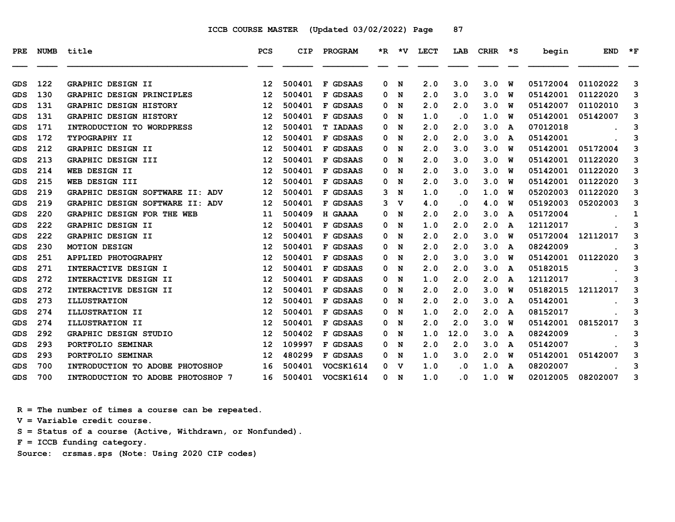| PRE.       | <b>NUMB</b> | title                             | PCS               | <b>CIP</b> | PROGRAM         |   | $*R$ $*V$ | LECT | LAB       | CRHR | ∗s | begin    | <b>END</b> | $*_{\mathbf{F}}$ |
|------------|-------------|-----------------------------------|-------------------|------------|-----------------|---|-----------|------|-----------|------|----|----------|------------|------------------|
| GDS        | 122         | GRAPHIC DESIGN II                 | 12                | 500401     | F GDSAAS        | 0 | N         | 2.0  | 3.0       | 3.0  | W  | 05172004 | 01102022   | 3                |
| GDS        | 130         | GRAPHIC DESIGN PRINCIPLES         | 12                | 500401     | F GDSAAS        | 0 | N         | 2.0  | 3.0       | 3.0  | w  | 05142001 | 01122020   | 3                |
| <b>GDS</b> | 131         | <b>GRAPHIC DESIGN HISTORY</b>     | $12 \overline{ }$ | 500401     | F GDSAAS        | 0 | N         | 2.0  | 2.0       | 3.0  | W  | 05142007 | 01102010   | 3                |
| GDS        | 131         | <b>GRAPHIC DESIGN HISTORY</b>     | $12 \overline{ }$ | 500401     | F GDSAAS        | 0 | N         | 1.0  | . 0       | 1.0  | W  | 05142001 | 05142007   | 3                |
| GDS        | 171         | INTRODUCTION TO WORDPRESS         | 12                | 500401     | <b>T IADAAS</b> | 0 | N         | 2.0  | 2.0       | 3.0  | A  | 07012018 |            | 3                |
| <b>GDS</b> | 172         | TYPOGRAPHY II                     | 12                | 500401     | F GDSAAS        | 0 | N         | 2.0  | 2.0       | 3.0  | A  | 05142001 |            | 3                |
| GDS        | 212         | GRAPHIC DESIGN II                 | 12                | 500401     | F GDSAAS        | 0 | N         | 2.0  | 3.0       | 3.0  | w  | 05142001 | 05172004   | 3                |
| GDS        | 213         | GRAPHIC DESIGN III                | $12 \overline{ }$ | 500401     | F GDSAAS        | 0 | N         | 2.0  | 3.0       | 3.0  | W  | 05142001 | 01122020   | 3                |
| GDS        | 214         | WEB DESIGN II                     | 12                | 500401     | F GDSAAS        | 0 | N         | 2.0  | 3.0       | 3.0  | W  | 05142001 | 01122020   | 3                |
| GDS        | 215         | WEB DESIGN III                    | $12 \overline{ }$ | 500401     | F GDSAAS        | 0 | N         | 2.0  | 3.0       | 3.0  | พ  | 05142001 | 01122020   | 3                |
| GDS        | 219         | GRAPHIC DESIGN SOFTWARE II: ADV   | 12                | 500401     | F GDSAAS        | 3 | N         | 1.0  | . 0       | 1.0  | W  | 05202003 | 01122020   | 3                |
| GDS        | 219         | GRAPHIC DESIGN SOFTWARE II: ADV   | 12                | 500401     | F GDSAAS        | 3 | v         | 4.0  | . 0       | 4.0  | w  | 05192003 | 05202003   | 3                |
| <b>GDS</b> | 220         | GRAPHIC DESIGN FOR THE WEB        | 11                | 500409     | H GAAAA         | 0 | N         | 2.0  | 2.0       | 3.0  | A  | 05172004 |            | 1                |
| GDS        | 222         | <b>GRAPHIC DESIGN II</b>          | $12 \overline{ }$ | 500401     | F GDSAAS        | 0 | N         | 1.0  | 2.0       | 2.0  | A  | 12112017 |            | 3                |
| GDS        | 222         | GRAPHIC DESIGN II                 | 12                | 500401     | F GDSAAS        | 0 | N         | 2.0  | 2.0       | 3.0  | พ  | 05172004 | 12112017   | 3                |
| GDS        | 230         | <b>MOTION DESIGN</b>              | 12                | 500401     | F GDSAAS        | 0 | N         | 2.0  | 2.0       | 3.0  | A  | 08242009 |            | 3                |
| GDS        | 251         | <b>APPLIED PHOTOGRAPHY</b>        | $12 \overline{ }$ | 500401     | F GDSAAS        | 0 | N         | 2.0  | 3.0       | 3.0  | w  | 05142001 | 01122020   | 3                |
| GDS        | 271         | INTERACTIVE DESIGN I              | $12 \overline{ }$ | 500401     | F GDSAAS        | 0 | N         | 2.0  | 2.0       | 3.0  | A  | 05182015 |            | 3                |
| <b>GDS</b> | 272         | INTERACTIVE DESIGN II             | 12                | 500401     | F GDSAAS        | 0 | N         | 1.0  | 2.0       | 2.0  | A  | 12112017 |            | 3                |
| GDS        | 272         | INTERACTIVE DESIGN II             | 12                | 500401     | F GDSAAS        | 0 | N         | 2.0  | 2.0       | 3.0  | พ  | 05182015 | 12112017   | 3                |
| GDS        | 273         | <b>ILLUSTRATION</b>               | 12                | 500401     | F GDSAAS        | 0 | N         | 2.0  | 2.0       | 3.0  | A  | 05142001 |            | 3                |
| GDS        | 274         | ILLUSTRATION II                   | $12 \overline{ }$ | 500401     | F GDSAAS        | 0 | N         | 1.0  | 2.0       | 2.0  | A  | 08152017 |            | 3                |
| <b>GDS</b> | 274         | ILLUSTRATION II                   | 12                | 500401     | F GDSAAS        | 0 | N         | 2.0  | 2.0       | 3.0  | W  | 05142001 | 08152017   | 3                |
| GDS        | 292         | <b>GRAPHIC DESIGN STUDIO</b>      | 12                | 500402     | F GDSAAS        | 0 | N         | 1.0  | 12.0      | 3.0  | A  | 08242009 |            | 3                |
| GDS        | 293         | PORTFOLIO SEMINAR                 | 12                | 109997     | F GDSAAS        | 0 | N         | 2.0  | 2.0       | 3.0  | A  | 05142007 |            | 3                |
| GDS        | 293         | PORTFOLIO SEMINAR                 | 12                | 480299     | F GDSAAS        | 0 | N         | 1.0  | 3.0       | 2.0  | พ  | 05142001 | 05142007   | 3                |
| GDS        | 700         | INTRODUCTION TO ADOBE PHOTOSHOP   | 16                | 500401     | VOCSK1614       | 0 | v         | 1.0  | . 0       | 1.0  | A  | 08202007 |            | 3                |
| <b>GDS</b> | 700         | INTRODUCTION TO ADOBE PHOTOSHOP 7 | 16                | 500401     | VOCSK1614       | 0 | N         | 1.0  | $\cdot$ 0 | 1.0  | W  | 02012005 | 08202007   | 3                |

 **R = The number of times a course can be repeated.**

 **V = Variable credit course.**

 **S = Status of a course (Active, Withdrawn, or Nonfunded).**

 **F = ICCB funding category.**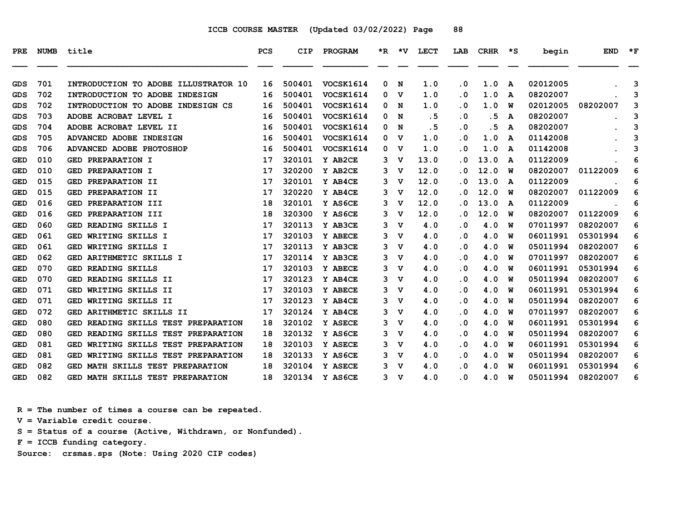| PRE        | NUMB | title                                         | PCS | <b>CIP</b> | PROGRAM   |   | $*R$ $*V$   | <b>LECT</b> | LAB       | CRHR | יי≭ | begin    | <b>END</b> | $*_{\mathbf{F}}$ |
|------------|------|-----------------------------------------------|-----|------------|-----------|---|-------------|-------------|-----------|------|-----|----------|------------|------------------|
|            |      |                                               |     |            |           |   |             |             |           |      |     |          |            |                  |
| GDS        | 701  | INTRODUCTION TO ADOBE ILLUSTRATOR 10          | 16  | 500401     | VOCSK1614 | 0 | N           | 1.0         | $\cdot$ 0 | 1.0  | A   | 02012005 |            | 3                |
| GDS        | 702  | INTRODUCTION TO ADOBE INDESIGN                | 16  | 500401     | VOCSK1614 | 0 | v           | 1.0         | . 0       | 1.0  | A   | 08202007 |            | 3                |
| GDS        | 702  | INTRODUCTION TO ADOBE INDESIGN CS             | 16  | 500401     | VOCSK1614 | 0 | N           | 1.0         | . 0       | 1.0  | W   | 02012005 | 08202007   | 3                |
| GDS        | 703  | ADOBE ACROBAT LEVEL I                         | 16  | 500401     | VOCSK1614 | 0 | N           | .5          | . 0       | . 5  | A   | 08202007 |            | 3                |
| GDS        | 704  | ADOBE ACROBAT LEVEL II                        | 16  | 500401     | VOCSK1614 | 0 | N           | .5          | $\cdot$ 0 | .5   | A   | 08202007 |            | 3                |
| GDS        | 705  | ADVANCED ADOBE INDESIGN                       | 16  | 500401     | VOCSK1614 | 0 | v           | 1.0         | . 0       | 1.0  | A   | 01142008 |            | 3                |
| GDS        | 706  | ADVANCED ADOBE PHOTOSHOP                      | 16  | 500401     | VOCSK1614 | 0 | v           | 1.0         | . 0       | 1.0  | A   | 01142008 |            | 3                |
| <b>GED</b> | 010  | <b>GED PREPARATION I</b>                      | 17  | 320101     | Y AB2CE   | 3 | v           | 13.0        | . 0       | 13.0 | A   | 01122009 |            | 6                |
| GED        | 010  | PREPARATION I<br>GED                          | 17  | 320200     | Y AB2CE   | 3 | v           | 12.0        | . 0       | 12.0 | พ   | 08202007 | 01122009   | 6                |
| <b>GED</b> | 015  | PREPARATION II<br>GED                         | 17  | 320101     | Y AB4CE   | 3 | v           | 12.0        | . 0       | 13.0 | A   | 01122009 |            | 6                |
| GED        | 015  | PREPARATION II<br>GED                         | 17  | 320220     | Y AB4CE   | 3 | v           | 12.0        | . 0       | 12.0 | พ   | 08202007 | 01122009   | 6                |
| <b>GED</b> | 016  | PREPARATION III<br>GED                        | 18  | 320101     | Y AS6CE   | 3 | v           | 12.0        | . 0       | 13.0 | A   | 01122009 |            | 6                |
| <b>GED</b> | 016  | PREPARATION III<br>GED                        | 18  | 320300     | Y AS6CE   | 3 | v           | 12.0        | . 0       | 12.0 | W   | 08202007 | 01122009   | 6                |
| <b>GED</b> | 060  | GED READING SKILLS I                          | 17  | 320113     | Y AB3CE   | 3 | v           | 4.0         | . 0       | 4.0  | W   | 07011997 | 08202007   | 6                |
| <b>GED</b> | 061  | WRITING SKILLS I<br>GED                       | 17  | 320103     | Y ABECE   | 3 | v           | 4.0         | . 0       | 4.0  | W   | 06011991 | 05301994   | 6                |
| GED        | 061  | WRITING SKILLS I<br>GED                       | 17  | 320113     | Y AB3CE   | 3 | v           | 4.0         | . 0       | 4.0  | W   | 05011994 | 08202007   | 6                |
| <b>GED</b> | 062  | GED ARITHMETIC SKILLS I                       | 17  | 320114     | Y AB3CE   | 3 | v           | 4.0         | $\cdot$ 0 | 4.0  | W   | 07011997 | 08202007   | 6                |
| GED        | 070  | READING SKILLS<br>GED                         | 17  | 320103     | Y ABECE   | 3 | v           | 4.0         | . 0       | 4.0  | W   | 06011991 | 05301994   | 6                |
| <b>GED</b> | 070  | GED READING SKILLS II                         | 17  | 320123     | Y AB4CE   | 3 | v           | 4.0         | . 0       | 4.0  | W   | 05011994 | 08202007   | 6                |
| <b>GED</b> | 071  | WRITING SKILLS II<br>GED                      | 17  | 320103     | Y ABECE   | 3 | v           | 4.0         | . 0       | 4.0  | W   | 06011991 | 05301994   | 6                |
| <b>GED</b> | 071  | WRITING SKILLS II<br>GED                      | 17  | 320123     | Y AB4CE   | 3 | $\mathbf v$ | 4.0         | $\cdot$ 0 | 4.0  | W   | 05011994 | 08202007   | 6                |
| GED        | 072  | GED ARITHMETIC SKILLS II                      | 17  | 320124     | Y AB4CE   | 3 | v           | 4.0         | . 0       | 4.0  | W   | 07011997 | 08202007   | 6                |
| <b>GED</b> | 080  | READING SKILLS TEST PREPARATION<br>GED        | 18  | 320102     | Y ASECE   | 3 | v           | 4.0         | $\cdot$ 0 | 4.0  | W   | 06011991 | 05301994   | 6                |
| GED        | 080  | READING SKILLS TEST PREPARATION<br>GED        | 18  | 320132     | Y AS6CE   | 3 | v           | 4.0         | . 0       | 4.0  | W   | 05011994 | 08202007   | 6                |
| GED        | 081  | WRITING SKILLS TEST PREPARATION<br>GED        | 18  | 320103     | Y ASECE   | 3 | v           | 4.0         | . 0       | 4.0  | W   | 06011991 | 05301994   | 6                |
| <b>GED</b> | 081  | <b>GED</b><br>WRITING SKILLS TEST PREPARATION | 18  | 320133     | Y AS6CE   | 3 | v           | 4.0         | $\cdot$ 0 | 4.0  | W   | 05011994 | 08202007   | 6                |
| GED        | 082  | GED MATH SKILLS TEST PREPARATION              | 18  | 320104     | Y ASECE   | 3 | v           | 4.0         | . 0       | 4.0  | W   | 06011991 | 05301994   | 6                |
| <b>GED</b> | 082  | GED MATH SKILLS TEST PREPARATION              | 18  | 320134     | Y AS6CE   | 3 | v           | 4.0         | . 0       | 4.0  | พ   | 05011994 | 08202007   | 6                |

 **R = The number of times a course can be repeated.**

 **V = Variable credit course.**

 **S = Status of a course (Active, Withdrawn, or Nonfunded).**

 **F = ICCB funding category.**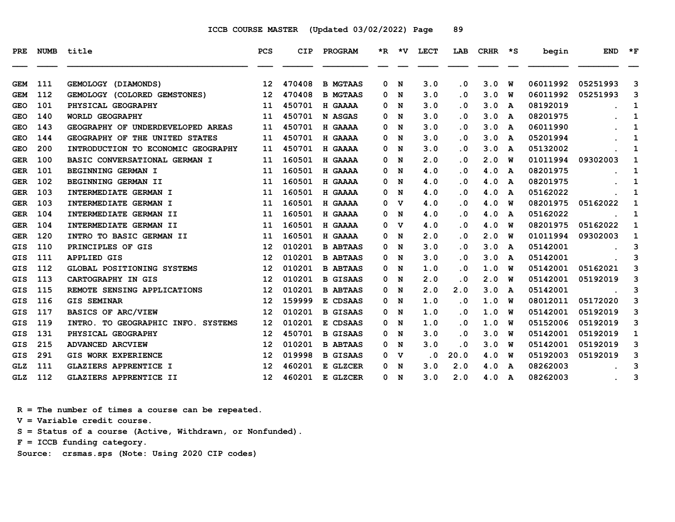| <b>PRE</b> | <b>NUMB</b> | title                              | <b>PCS</b>        | <b>CIP</b> | PROGRAM         |   | *R *V       | <b>LECT</b> | LAB       | CRHR | $\star$ s | begin    | <b>END</b> | $*_{\mathbf{F}}$ |
|------------|-------------|------------------------------------|-------------------|------------|-----------------|---|-------------|-------------|-----------|------|-----------|----------|------------|------------------|
|            |             |                                    |                   |            |                 |   |             |             |           |      |           |          |            |                  |
| <b>GEM</b> | 111         | GEMOLOGY (DIAMONDS)                | 12                | 470408     | <b>B MGTAAS</b> | 0 | N           | 3.0         | $\cdot$ 0 | 3.0  | W         | 06011992 | 05251993   | 3                |
| <b>GEM</b> | 112         | GEMOLOGY (COLORED GEMSTONES)       | 12 <sup>°</sup>   | 470408     | <b>B MGTAAS</b> | 0 | N           | 3.0         | $\cdot$ 0 | 3.0  | พ         | 06011992 | 05251993   | 3                |
| <b>GEO</b> | 101         | PHYSICAL GEOGRAPHY                 | 11                | 450701     | H GAAAA         | 0 | N           | 3.0         | $\cdot$ 0 | 3.0  | A         | 08192019 |            | 1                |
| <b>GEO</b> | 140         | WORLD GEOGRAPHY                    | 11                | 450701     | N ASGAS         | 0 | N           | 3.0         | $\cdot$ 0 | 3.0  | A         | 08201975 |            | 1                |
| <b>GEO</b> | 143         | GEOGRAPHY OF UNDERDEVELOPED AREAS  | 11                | 450701     | H GAAAA         | 0 | N           | 3.0         | $\cdot$ 0 | 3.0  | A         | 06011990 |            | 1                |
| <b>GEO</b> | 144         | GEOGRAPHY OF THE UNITED STATES     | 11                | 450701     | H GAAAA         | 0 | N           | 3.0         | . 0       | 3.0  | A         | 05201994 |            | 1                |
| <b>GEO</b> | 200         | INTRODUCTION TO ECONOMIC GEOGRAPHY | 11                | 450701     | H GAAAA         | 0 | N           | 3.0         | $\cdot$ 0 | 3.0  | A         | 05132002 |            | 1                |
| <b>GER</b> | 100         | BASIC CONVERSATIONAL GERMAN I      | 11                | 160501     | H GAAAA         | 0 | N           | 2.0         | $\cdot$ 0 | 2.0  | W         | 01011994 | 09302003   | 1                |
| <b>GER</b> | 101         | BEGINNING GERMAN I                 | 11                | 160501     | H GAAAA         | 0 | N           | 4.0         | . 0       | 4.0  | A         | 08201975 |            | 1                |
| <b>GER</b> | 102         | BEGINNING GERMAN II                | 11                | 160501     | H GAAAA         | 0 | N           | 4.0         | $\cdot$ 0 | 4.0  | A         | 08201975 |            | 1                |
| <b>GER</b> | 103         | INTERMEDIATE GERMAN I              | 11                | 160501     | H GAAAA         | 0 | N           | 4.0         | . 0       | 4.0  | A         | 05162022 |            | 1                |
| <b>GER</b> | 103         | INTERMEDIATE GERMAN I              | 11                | 160501     | H GAAAA         | 0 | v           | 4.0         | $\cdot$ 0 | 4.0  | W         | 08201975 | 05162022   | 1                |
| <b>GER</b> | 104         | INTERMEDIATE GERMAN II             | 11                | 160501     | H GAAAA         | 0 | N           | 4.0         | . 0       | 4.0  | A         | 05162022 |            | 1                |
| <b>GER</b> | 104         | INTERMEDIATE GERMAN II             | 11                | 160501     | H GAAAA         | 0 | v           | 4.0         | . 0       | 4.0  | W         | 08201975 | 05162022   | 1                |
| <b>GER</b> | 120         | INTRO TO BASIC GERMAN II           | 11                | 160501     | H GAAAA         | 0 | N           | 2.0         | $\cdot$ 0 | 2.0  | พ         | 01011994 | 09302003   | 1                |
| GIS        | 110         | PRINCIPLES OF GIS                  | 12                | 010201     | <b>B ABTAAS</b> | 0 | N           | 3.0         | . 0       | 3.0  | A         | 05142001 |            | 3                |
| GIS        | 111         | <b>APPLIED GIS</b>                 | 12                | 010201     | <b>B ABTAAS</b> | 0 | N           | 3.0         | $\cdot$ 0 | 3.0  | A         | 05142001 |            | 3                |
| <b>GIS</b> | 112         | GLOBAL POSITIONING SYSTEMS         | 12                | 010201     | <b>B ABTAAS</b> | 0 | N           | 1.0         | . 0       | 1.0  | W         | 05142001 | 05162021   | 3                |
| <b>GIS</b> | 113         | CARTOGRAPHY IN GIS                 | 12                | 010201     | <b>B GISAAS</b> | 0 | N           | 2.0         | . 0       | 2.0  | W         | 05142001 | 05192019   | 3                |
| <b>GIS</b> | 115         | REMOTE SENSING APPLICATIONS        | $12 \overline{ }$ | 010201     | <b>B ABTAAS</b> | 0 | N           | 2.0         | 2.0       | 3.0  | A         | 05142001 |            | 3                |
| GIS        | 116         | <b>GIS SEMINAR</b>                 | 12                | 159999     | E CDSAAS        | 0 | N           | 1.0         | $\cdot$ 0 | 1.0  | W         | 08012011 | 05172020   | 3                |
| GIS        | 117         | <b>BASICS OF ARC/VIEW</b>          | $12 \overline{ }$ | 010201     | <b>B GISAAS</b> | 0 | N           | 1.0         | $\cdot$ 0 | 1.0  | W         | 05142001 | 05192019   | 3                |
| <b>GIS</b> | 119         | INTRO. TO GEOGRAPHIC INFO. SYSTEMS | 12                | 010201     | E CDSAAS        | 0 | N           | 1.0         | $\cdot$ 0 | 1.0  | W         | 05152006 | 05192019   | 3                |
| GIS        | 131         | PHYSICAL GEOGRAPHY                 | $12 \overline{ }$ | 450701     | <b>B GISAAS</b> | 0 | N           | 3.0         | . 0       | 3.0  | W         | 05142001 | 05192019   | $\mathbf{1}$     |
| GIS        | 215         | <b>ADVANCED ARCVIEW</b>            | 12                | 010201     | <b>B ABTAAS</b> | 0 | N           | 3.0         | . 0       | 3.0  | W         | 05142001 | 05192019   | 3                |
| GIS        | 291         | GIS WORK EXPERIENCE                | 12                | 019998     | <b>B GISAAS</b> | 0 | v           | $\cdot$ 0   | 20.0      | 4.0  | W         | 05192003 | 05192019   | 3                |
| GLZ        | 111         | <b>GLAZIERS APPRENTICE I</b>       | 12                | 460201     | E GLZCER        | 0 | N           | 3.0         | 2.0       | 4.0  | A         | 08262003 |            | 3                |
| <b>GLZ</b> | 112         | <b>GLAZIERS APPRENTICE II</b>      | 12 <sup>7</sup>   | 460201     | E GLZCER        | 0 | $\mathbf N$ | 3.0         | 2.0       | 4.0  | A         | 08262003 |            | 3                |

 **R = The number of times a course can be repeated.**

 **V = Variable credit course.**

 **S = Status of a course (Active, Withdrawn, or Nonfunded).**

 **F = ICCB funding category.**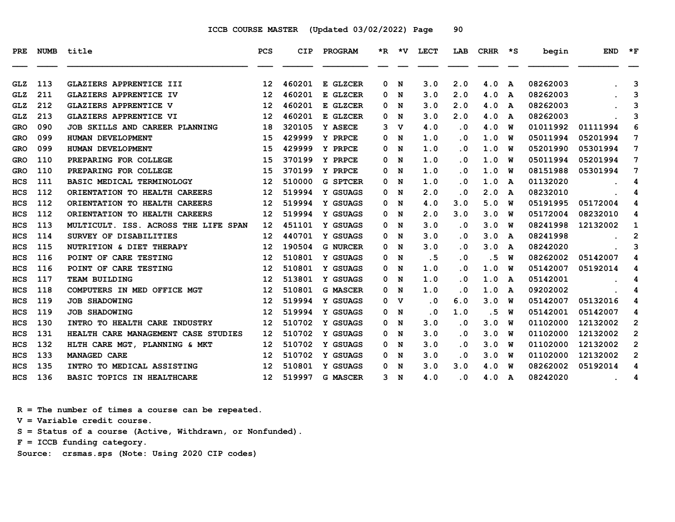| PRE        | <b>NUMB</b> | title                                | <b>PCS</b>        | CIP    | PROGRAM         |                | *R *V       | <b>LECT</b> | LAB       | CRHR | $\star$ s | begin    | <b>END</b> | $*_{\mathbf{F}}$ |
|------------|-------------|--------------------------------------|-------------------|--------|-----------------|----------------|-------------|-------------|-----------|------|-----------|----------|------------|------------------|
|            |             |                                      |                   |        |                 |                |             |             |           |      |           |          |            |                  |
| <b>GLZ</b> | 113         | GLAZIERS APPRENTICE III              | $12 \overline{ }$ | 460201 | E GLZCER        | 0              | N           | 3.0         | 2.0       | 4.0  | A         | 08262003 |            | 3                |
| GLZ        | 211         | <b>GLAZIERS APPRENTICE IV</b>        | 12                | 460201 | E GLZCER        | 0              | N           | 3.0         | 2.0       | 4.0  | A         | 08262003 |            | 3                |
| <b>GLZ</b> | 212         | <b>GLAZIERS APPRENTICE V</b>         | 12                | 460201 | E GLZCER        | 0              | N           | 3.0         | 2.0       | 4.0  | A         | 08262003 |            | 3                |
| <b>GLZ</b> | 213         | <b>GLAZIERS APPRENTICE VI</b>        | 12                | 460201 | E GLZCER        | 0              | N           | 3.0         | 2.0       | 4.0  | A         | 08262003 |            | 3                |
| GRO        | 090         | JOB SKILLS AND CAREER PLANNING       | 18                | 320105 | Y ASECE         | 3              | v           | 4.0         | $\cdot$ 0 | 4.0  | W         | 01011992 | 01111994   | 6                |
| <b>GRO</b> | 099         | HUMAN DEVELOPMENT                    | 15                | 429999 | Y PRPCE         | 0              | N           | 1.0         | $\cdot$ 0 | 1.0  | W         | 05011994 | 05201994   | 7                |
| <b>GRO</b> | 099         | HUMAN DEVELOPMENT                    | 15                | 429999 | Y PRPCE         | 0              | N           | 1.0         | $\cdot$ 0 | 1.0  | W         | 05201990 | 05301994   | 7                |
| GRO        | 110         | PREPARING FOR COLLEGE                | 15                | 370199 | Y PRPCE         | 0              | N           | 1.0         | $\cdot$ 0 | 1.0  | W         | 05011994 | 05201994   | 7                |
| <b>GRO</b> | 110         | PREPARING FOR COLLEGE                | 15                | 370199 | Y PRPCE         | 0              | N           | 1.0         | . 0       | 1.0  | W         | 08151988 | 05301994   | 7                |
| <b>HCS</b> | 111         | BASIC MEDICAL TERMINOLOGY            | 12                | 510000 | <b>G SPTCER</b> | 0              | N           | 1.0         | $\cdot$ 0 | 1.0  | A         | 01132020 |            | 4                |
| <b>HCS</b> | 112         | ORIENTATION TO HEALTH CAREERS        | 12                | 519994 | Y GSUAGS        | 0              | N           | 2.0         | $\cdot$ 0 | 2.0  | A         | 08232010 |            | 4                |
| <b>HCS</b> | 112         | ORIENTATION TO HEALTH CAREERS        | 12                | 519994 | Y GSUAGS        | 0              | N           | 4.0         | 3.0       | 5.0  | W         | 05191995 | 05172004   | 4                |
| <b>HCS</b> | 112         | ORIENTATION TO HEALTH CAREERS        | 12                | 519994 | Y GSUAGS        | 0              | N           | 2.0         | 3.0       | 3.0  | W         | 05172004 | 08232010   | 4                |
| <b>HCS</b> | 113         | MULTICULT. ISS. ACROSS THE LIFE SPAN | 12                | 451101 | Y GSUAGS        | 0              | N           | 3.0         | . 0       | 3.0  | W         | 08241998 | 12132002   | 1                |
| HCS        | 114         | SURVEY OF DISABILITIES               | 12                | 440701 | Y GSUAGS        | 0              | N           | 3.0         | $\cdot$ 0 | 3.0  | A         | 08241998 |            | $\mathbf{2}$     |
| HCS        | 115         | NUTRITION & DIET THERAPY             | 12                | 190504 | <b>G NURCER</b> | 0              | N           | 3.0         | . 0       | 3.0  | A         | 08242020 |            | 3                |
| <b>HCS</b> | 116         | POINT OF CARE TESTING                | 12                | 510801 | Y GSUAGS        | 0              | N           | .5          | $\cdot$ 0 | . 5  | W         | 08262002 | 05142007   | 4                |
| <b>HCS</b> | 116         | POINT OF CARE TESTING                | 12                | 510801 | Y GSUAGS        | 0              | N           | 1.0         | . 0       | 1.0  | W         | 05142007 | 05192014   | 4                |
| <b>HCS</b> | 117         | <b>TEAM BUILDING</b>                 | 12                | 513801 | Y GSUAGS        | 0              | N           | 1.0         | $\cdot$ 0 | 1.0  | A         | 05142001 |            | 4                |
| <b>HCS</b> | 118         | COMPUTERS IN MED OFFICE MGT          | 12                | 510801 | <b>G MASCER</b> | 0              | N           | 1.0         | $\cdot$ 0 | 1.0  | A         | 09202002 |            | 4                |
| <b>HCS</b> | 119         | <b>JOB SHADOWING</b>                 | 12                | 519994 | Y GSUAGS        | 0              | $\mathbf v$ | $\cdot$ 0   | 6.0       | 3.0  | W         | 05142007 | 05132016   | 4                |
| <b>HCS</b> | 119         | <b>JOB SHADOWING</b>                 | 12                | 519994 | Y GSUAGS        | 0              | N           | $\cdot$ 0   | 1.0       | . 5  | w         | 05142001 | 05142007   | 4                |
| HCS        | 130         | INTRO TO HEALTH CARE INDUSTRY        | 12                | 510702 | Y GSUAGS        | 0              | N           | 3.0         | $\cdot$ 0 | 3.0  | W         | 01102000 | 12132002   | $\mathbf{2}$     |
| <b>HCS</b> | 131         | HEALTH CARE MANAGEMENT CASE STUDIES  | 12                | 510702 | Y GSUAGS        | 0              | N           | 3.0         | $\cdot$ 0 | 3.0  | W         | 01102000 | 12132002   | $\overline{2}$   |
| <b>HCS</b> | 132         | HLTH CARE MGT, PLANNING & MKT        | 12                | 510702 | Y GSUAGS        | 0              | N           | 3.0         | $\cdot$ 0 | 3.0  | W         | 01102000 | 12132002   | $\overline{2}$   |
| <b>HCS</b> | 133         | <b>MANAGED CARE</b>                  | 12                | 510702 | Y GSUAGS        | 0              | N           | 3.0         | $\cdot$ 0 | 3.0  | W         | 01102000 | 12132002   | $\mathbf{2}$     |
| <b>HCS</b> | 135         | INTRO TO MEDICAL ASSISTING           | 12                | 510801 | Y GSUAGS        | 0              | N           | 3.0         | 3.0       | 4.0  | W         | 08262002 | 05192014   | 4                |
| <b>HCS</b> | 136         | BASIC TOPICS IN HEALTHCARE           | 12 <sup>7</sup>   | 519997 | <b>G MASCER</b> | 3 <sub>N</sub> |             | 4.0         | $\cdot$ 0 | 4.0  | A         | 08242020 |            | 4                |

 **R = The number of times a course can be repeated.**

 **V = Variable credit course.**

 **S = Status of a course (Active, Withdrawn, or Nonfunded).**

 **F = ICCB funding category.**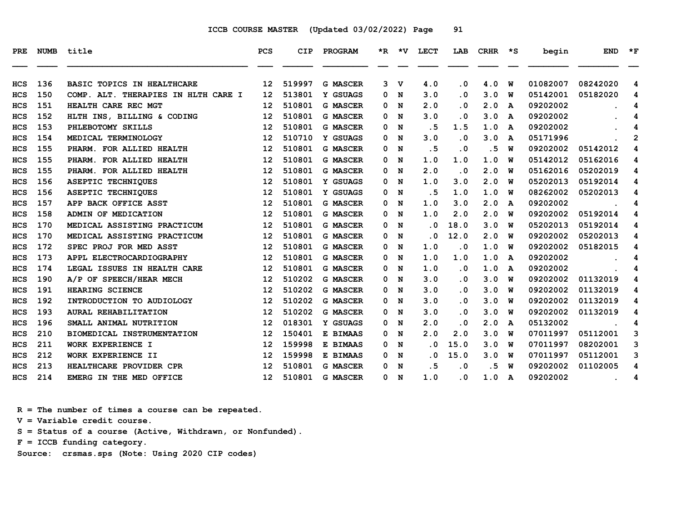| PRE        | NUMB | title                               | <b>PCS</b> | CIP    | PROGRAM         | $\star$ R | ∗v | <b>LECT</b> | LAB       | <b>CRHR</b> | ∗s           | begin    | <b>END</b> | $\star$ F |
|------------|------|-------------------------------------|------------|--------|-----------------|-----------|----|-------------|-----------|-------------|--------------|----------|------------|-----------|
|            |      |                                     |            |        |                 |           |    |             |           |             |              |          |            |           |
| <b>HCS</b> | 136  | BASIC TOPICS IN HEALTHCARE          | 12         | 519997 | <b>G MASCER</b> | 3         | v  | 4.0         | . 0       | 4.0         | W            | 01082007 | 08242020   | 4         |
| <b>HCS</b> | 150  | COMP. ALT. THERAPIES IN HLTH CARE I | 12         | 513801 | Y GSUAGS        | 0         | N  | 3.0         | . 0       | 3.0         | W            | 05142001 | 05182020   | 4         |
| <b>HCS</b> | 151  | HEALTH CARE REC MGT                 | 12         | 510801 | <b>G MASCER</b> | 0         | N  | 2.0         | . 0       | 2.0         | A            | 09202002 |            | 4         |
| <b>HCS</b> | 152  | HLTH INS, BILLING & CODING          | 12         | 510801 | <b>G MASCER</b> | 0         | N  | 3.0         | . 0       | 3.0         | A            | 09202002 |            | 4         |
| <b>HCS</b> | 153  | PHLEBOTOMY SKILLS                   | 12         | 510801 | <b>G MASCER</b> | 0         | N  | . 5         | 1.5       | 1.0         | A            | 09202002 |            | 4         |
| <b>HCS</b> | 154  | MEDICAL TERMINOLOGY                 | 12         | 510710 | Y GSUAGS        | 0         | N  | 3.0         | . 0       | 3.0         | A            | 05171996 |            | 2         |
| <b>HCS</b> | 155  | PHARM. FOR ALLIED HEALTH            | 12         | 510801 | <b>G MASCER</b> | 0         | N  | .5          | $\cdot$ 0 | . 5         | w            | 09202002 | 05142012   | 4         |
| <b>HCS</b> | 155  | PHARM.<br>FOR ALLIED HEALTH         | 12         | 510801 | <b>G MASCER</b> | 0         | N  | 1.0         | 1.0       | 1.0         | W            | 05142012 | 05162016   | 4         |
| <b>HCS</b> | 155  | PHARM. FOR ALLIED HEALTH            | 12         | 510801 | <b>G MASCER</b> | 0         | N  | 2.0         | $\cdot$ 0 | 2.0         | W            | 05162016 | 05202019   | 4         |
| HCS        | 156  | ASEPTIC TECHNIQUES                  | 12         | 510801 | Y GSUAGS        | 0         | N  | 1.0         | 3.0       | 2.0         | W            | 05202013 | 05192014   | 4         |
| <b>HCS</b> | 156  | <b>ASEPTIC TECHNIQUES</b>           | 12         | 510801 | Y GSUAGS        | 0         | N  | .5          | 1.0       | 1.0         | w            | 08262002 | 05202013   | 4         |
| <b>HCS</b> | 157  | APP BACK OFFICE ASST                | 12         | 510801 | <b>G MASCER</b> | 0         | N  | 1.0         | 3.0       | 2.0         | A            | 09202002 |            | 4         |
| <b>HCS</b> | 158  | ADMIN OF MEDICATION                 | 12         | 510801 | <b>G MASCER</b> | 0         | N  | 1.0         | 2.0       | 2.0         | W            | 09202002 | 05192014   | 4         |
| <b>HCS</b> | 170  | MEDICAL ASSISTING PRACTICUM         | 12         | 510801 | <b>G MASCER</b> | 0         | N  | . 0         | 18.0      | 3.0         | W            | 05202013 | 05192014   | 4         |
| <b>HCS</b> | 170  | MEDICAL ASSISTING PRACTICUM         | 12         | 510801 | <b>G MASCER</b> | 0         | N  | . 0         | 12.0      | 2.0         | W            | 09202002 | 05202013   | 4         |
| HCS        | 172  | SPEC PROJ FOR MED ASST              | 12         | 510801 | <b>G MASCER</b> | 0         | N  | 1.0         | $\cdot$ 0 | 1.0         | W            | 09202002 | 05182015   | 4         |
| <b>HCS</b> | 173  | APPL ELECTROCARDIOGRAPHY            | 12         | 510801 | <b>G MASCER</b> | 0         | N  | 1.0         | 1.0       | 1.0         | A            | 09202002 |            | 4         |
| <b>HCS</b> | 174  | LEGAL ISSUES IN HEALTH CARE         | 12         | 510801 | <b>G MASCER</b> | 0         | N  | 1.0         | $\cdot$ 0 | 1.0         | A            | 09202002 |            | 4         |
| <b>HCS</b> | 190  | A/P OF SPEECH/HEAR MECH             | 12         | 510202 | <b>G MASCER</b> | 0         | N  | 3.0         | . 0       | 3.0         | w            | 09202002 | 01132019   | 4         |
| HCS        | 191  | HEARING SCIENCE                     | 12         | 510202 | <b>G MASCER</b> | 0         | N  | 3.0         | . 0       | 3.0         | W            | 09202002 | 01132019   | 4         |
| <b>HCS</b> | 192  | INTRODUCTION TO AUDIOLOGY           | 12         | 510202 | <b>G MASCER</b> | 0         | N  | 3.0         | . 0       | 3.0         | W            | 09202002 | 01132019   | 4         |
| <b>HCS</b> | 193  | AURAL REHABILITATION                | 12         | 510202 | <b>G MASCER</b> | 0         | N  | 3.0         | . 0       | 3.0         | w            | 09202002 | 01132019   | 4         |
| HCS        | 196  | SMALL ANIMAL NUTRITION              | 12         | 018301 | Y GSUAGS        | 0         | N  | 2.0         | . 0       | 2.0         | A            | 05132002 |            | 4         |
| <b>HCS</b> | 210  | BIOMEDICAL INSTRUMENTATION          | 12         | 150401 | E BIMAAS        | 0         | N  | 2.0         | 2.0       | 3.0         | W            | 07011997 | 05112001   | 3         |
| <b>HCS</b> | 211  | WORK EXPERIENCE I                   | 12         | 159998 | E BIMAAS        | 0         | N  | . 0         | 15.0      | 3.0         | พ            | 07011997 | 08202001   | 3         |
| <b>HCS</b> | 212  | WORK EXPERIENCE II                  | 12         | 159998 | E BIMAAS        | 0         | N  | . 0         | 15.0      | 3.0         | พ            | 07011997 | 05112001   | 3         |
| HCS        | 213  | HEALTHCARE PROVIDER CPR             | 12         | 510801 | <b>G MASCER</b> | 0         | N  | . 5         | . 0       | .5          | W            | 09202002 | 01102005   | 4         |
| <b>HCS</b> | 214  | EMERG IN THE MED OFFICE             | 12         | 510801 | <b>G MASCER</b> | 0         | N  | 1.0         | . 0       | 1.0         | $\mathbf{A}$ | 09202002 |            | 4         |

 **R = The number of times a course can be repeated.**

 **V = Variable credit course.**

 **S = Status of a course (Active, Withdrawn, or Nonfunded).**

 **F = ICCB funding category.**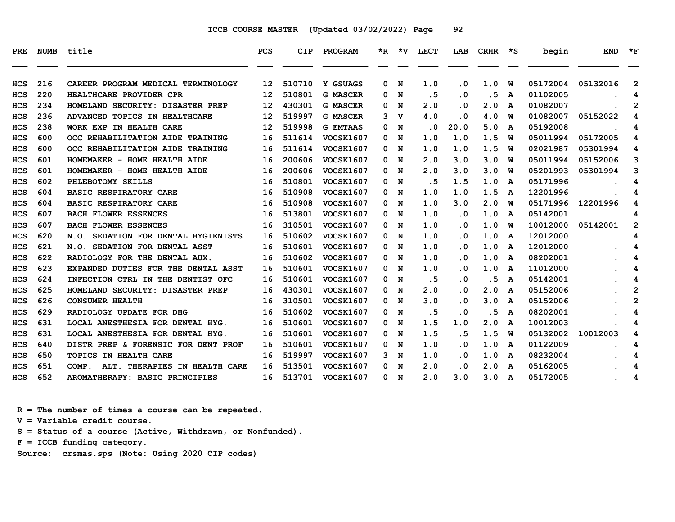| PRE        |     | NUMB title                             | <b>PCS</b> | CIP    | PROGRAM          |    |     | *R *V LECT | LAB       | $CRHR$ *S |   | begin    | <b>END</b> | $\star$ F      |
|------------|-----|----------------------------------------|------------|--------|------------------|----|-----|------------|-----------|-----------|---|----------|------------|----------------|
| <b>HCS</b> | 216 | CAREER PROGRAM MEDICAL TERMINOLOGY     | 12         | 510710 | Y GSUAGS         | 0  | N   | 1.0        | $\cdot$ 0 | 1.0       | W | 05172004 | 05132016   | $\overline{2}$ |
| <b>HCS</b> | 220 | HEALTHCARE PROVIDER CPR                | 12         | 510801 | <b>G MASCER</b>  | 0  | N   | .5         | $\cdot$ 0 | . 5       | A | 01102005 |            | 4              |
| <b>HCS</b> | 234 | HOMELAND SECURITY: DISASTER PREP       | 12         | 430301 | <b>G MASCER</b>  | 0  | N   | 2.0        | . 0       | 2.0       | A | 01082007 |            | $\mathbf{2}$   |
| <b>HCS</b> | 236 | ADVANCED TOPICS IN HEALTHCARE          | 12         | 519997 | <b>G MASCER</b>  | 3  | v   | 4.0        | $\cdot$ 0 | 4.0       | W | 01082007 | 05152022   | 4              |
| <b>HCS</b> | 238 | WORK EXP IN HEALTH CARE                | 12         | 519998 | <b>G EMTAAS</b>  | 0  | N   | $\cdot$ 0  | 20.0      | 5.0       | A | 05192008 |            | 4              |
| <b>HCS</b> | 600 | OCC REHABILITATION AIDE TRAINING       | 16         | 511614 | VOCSK1607        | 0  | N   | 1.0        | 1.0       | 1.5       | W | 05011994 | 05172005   | 4              |
| <b>HCS</b> | 600 | OCC REHABILITATION AIDE TRAINING       | 16         | 511614 | <b>VOCSK1607</b> |    | 0 N | 1.0        | 1.0       | 1.5       | W | 02021987 | 05301994   | 4              |
| <b>HCS</b> | 601 | HOMEMAKER - HOME HEALTH AIDE           | 16         | 200606 | <b>VOCSK1607</b> | 0  | N   | 2.0        | 3.0       | 3.0       | W | 05011994 | 05152006   | 3              |
| <b>HCS</b> | 601 | HOMEMAKER - HOME HEALTH AIDE           | 16         | 200606 | <b>VOCSK1607</b> | 0  | N   | 2.0        | 3.0       | 3.0       | W | 05201993 | 05301994   | 3              |
| <b>HCS</b> | 602 | PHLEBOTOMY SKILLS                      | 16         | 510801 | <b>VOCSK1607</b> | 0  | N   | . 5        | 1.5       | 1.0       | A | 05171996 |            | 4              |
| <b>HCS</b> | 604 | <b>BASIC RESPIRATORY CARE</b>          | 16         | 510908 | <b>VOCSK1607</b> | 0  | N   | 1.0        | 1.0       | 1.5       | A | 12201996 |            | 4              |
| <b>HCS</b> | 604 | <b>BASIC RESPIRATORY CARE</b>          | 16         | 510908 | <b>VOCSK1607</b> | 0  | N   | 1.0        | 3.0       | 2.0       | W | 05171996 | 12201996   | 4              |
| <b>HCS</b> | 607 | <b>BACH FLOWER ESSENCES</b>            | 16         | 513801 | <b>VOCSK1607</b> | 0  | N   | 1.0        | $\cdot$ 0 | 1.0       | A | 05142001 |            | 4              |
| <b>HCS</b> | 607 | <b>BACH FLOWER ESSENCES</b>            | 16         | 310501 | VOCSK1607        | 0  | N   | 1.0        | $\cdot$ 0 | 1.0       | W | 10012000 | 05142001   | $\overline{2}$ |
| <b>HCS</b> | 620 | N.O. SEDATION FOR DENTAL HYGIENISTS    | 16         | 510602 | <b>VOCSK1607</b> | 0  | N   | 1.0        | $\cdot$ 0 | 1.0       | A | 12012000 |            | 4              |
| <b>HCS</b> | 621 | N.O. SEDATION FOR DENTAL ASST          | 16         | 510601 | <b>VOCSK1607</b> | 0  | N   | 1.0        | $\cdot$ 0 | 1.0       | A | 12012000 |            | 4              |
| <b>HCS</b> | 622 | RADIOLOGY FOR THE DENTAL AUX.          | 16         | 510602 | <b>VOCSK1607</b> |    | 0 N | 1.0        | . 0       | 1.0       | A | 08202001 |            | 4              |
| HCS        | 623 | EXPANDED DUTIES FOR THE DENTAL ASST    | 16         | 510601 | <b>VOCSK1607</b> | 0  | N   | 1.0        | $\cdot$ 0 | 1.0       | A | 11012000 |            | 4              |
| <b>HCS</b> | 624 | INFECTION CTRL IN THE DENTIST OFC      | 16         | 510601 | VOCSK1607        | 0  | N   | . 5        | . 0       | . 5       | A | 05142001 |            | 4              |
| <b>HCS</b> | 625 | HOMELAND SECURITY: DISASTER PREP       | 16         | 430301 | <b>VOCSK1607</b> | 0  | N   | 2.0        | . 0       | 2.0       | A | 05152006 |            | $\overline{2}$ |
| <b>HCS</b> | 626 | <b>CONSUMER HEALTH</b>                 | 16         | 310501 | <b>VOCSK1607</b> | 0  | N   | 3.0        | $\cdot$ 0 | 3.0       | A | 05152006 |            | $\overline{2}$ |
| <b>HCS</b> | 629 | RADIOLOGY UPDATE FOR DHG               | 16         | 510602 | VOCSK1607        | 0  | N   | .5         | $\cdot$ 0 | . 5       | A | 08202001 |            | 4              |
| <b>HCS</b> | 631 | LOCAL ANESTHESIA FOR DENTAL HYG.       | 16         | 510601 | <b>VOCSK1607</b> | 0  | N   | 1.5        | 1.0       | 2.0       | A | 10012003 |            | 4              |
| <b>HCS</b> | 631 | LOCAL ANESTHESIA FOR DENTAL HYG.       | 16         | 510601 | <b>VOCSK1607</b> | 0  | N   | 1.5        | . 5       | 1.5       | W | 05132002 | 10012003   | 4              |
| <b>HCS</b> | 640 | DISTR PREP & FORENSIC FOR DENT PROF    | 16         | 510601 | <b>VOCSK1607</b> | 0  | N   | 1.0        | $\cdot$ 0 | 1.0       | A | 01122009 |            | 4              |
| <b>HCS</b> | 650 | <b>TOPICS IN HEALTH CARE</b>           | 16         | 519997 | <b>VOCSK1607</b> | 3  | N   | 1.0        | $\cdot$ 0 | 1.0       | A | 08232004 |            | 4              |
| <b>HCS</b> | 651 | COMP.<br>ALT. THERAPIES IN HEALTH CARE | 16         | 513501 | <b>VOCSK1607</b> | 0  | N   | 2.0        | . 0       | 2.0       | A | 05162005 |            | 4              |
| <b>HCS</b> | 652 | AROMATHERAPY: BASIC PRINCIPLES         | 16         | 513701 | <b>VOCSK1607</b> | 0. | N   | 2.0        | 3.0       | 3.0       | A | 05172005 |            | 4              |

 **R = The number of times a course can be repeated. V = Variable credit course.**

 **S = Status of a course (Active, Withdrawn, or Nonfunded).**

 **F = ICCB funding category.**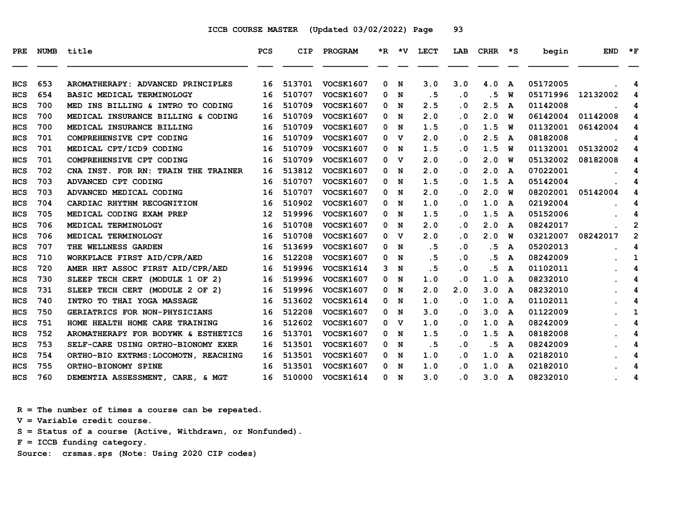| PRE        |     | NUMB title                           | <b>PCS</b> | <b>CIP</b> | PROGRAM          |              |                | *R *V LECT | LAB                     | CRHR | $\star$ s               | begin    | <b>END</b> | $\star_{\mathbf{F}}$ |
|------------|-----|--------------------------------------|------------|------------|------------------|--------------|----------------|------------|-------------------------|------|-------------------------|----------|------------|----------------------|
|            |     |                                      |            |            |                  |              |                |            |                         |      |                         |          |            |                      |
| <b>HCS</b> | 653 | AROMATHERAPY: ADVANCED PRINCIPLES    | 16         | 513701     | <b>VOCSK1607</b> | $\mathbf{0}$ | N              | 3.0        | 3.0                     | 4.0  | $\mathbf{A}$            | 05172005 |            | 4                    |
| <b>HCS</b> | 654 | BASIC MEDICAL TERMINOLOGY            | 16         | 510707     | <b>VOCSK1607</b> |              | 0 N            | .5         | $\cdot$ 0               | . 5  | w                       | 05171996 | 12132002   | 4                    |
| HCS        | 700 | MED INS BILLING & INTRO TO CODING    | 16         | 510709     | <b>VOCSK1607</b> | 0            | N              | 2.5        | $\overline{\mathbf{0}}$ | 2.5  | A                       | 01142008 |            | 4                    |
| <b>HCS</b> | 700 | MEDICAL INSURANCE BILLING & CODING   | 16         | 510709     | <b>VOCSK1607</b> | 0            | N              | 2.0        | $\overline{\mathbf{0}}$ | 2.0  | W                       | 06142004 | 01142008   | 4                    |
| <b>HCS</b> | 700 | MEDICAL INSURANCE BILLING            | 16         | 510709     | <b>VOCSK1607</b> | 0            | N              | 1.5        | $\cdot$ 0               | 1.5  | <b>W</b>                | 01132001 | 06142004   | 4                    |
| <b>HCS</b> | 701 | COMPREHENSIVE CPT CODING             | 16         | 510709     | <b>VOCSK1607</b> | 0            | $\mathbf v$    | 2.0        | $\overline{\mathbf{0}}$ | 2.5  | $\overline{\mathbf{A}}$ | 08182008 |            | 4                    |
| <b>HCS</b> | 701 | MEDICAL CPT/ICD9 CODING              | 16         | 510709     | <b>VOCSK1607</b> |              | 0 N            | 1.5        | . 0                     | 1.5  | w                       | 01132001 | 05132002   | 4                    |
| <b>HCS</b> | 701 | COMPREHENSIVE CPT CODING             | 16         | 510709     | <b>VOCSK1607</b> | 0            | v              | 2.0        | . 0                     | 2.0  | W                       | 05132002 | 08182008   | 4                    |
| <b>HCS</b> | 702 | CNA INST. FOR RN: TRAIN THE TRAINER  | 16         | 513812     | <b>VOCSK1607</b> |              | 0 N            | 2.0        | . 0                     | 2.0  | A                       | 07022001 |            | 4                    |
| <b>HCS</b> | 703 | ADVANCED CPT CODING                  | 16         | 510707     | <b>VOCSK1607</b> |              | 0 N            | 1.5        | $\overline{\mathbf{0}}$ | 1.5  | A                       | 05142004 |            | 4                    |
| <b>HCS</b> | 703 | ADVANCED MEDICAL CODING              | 16         | 510707     | <b>VOCSK1607</b> | 0            | N              | 2.0        | . 0                     | 2.0  | w                       | 08202001 | 05142004   | 4                    |
| <b>HCS</b> | 704 | CARDIAC RHYTHM RECOGNITION           | 16         | 510902     | <b>VOCSK1607</b> |              | 0 N            | 1.0        | $\overline{\mathbf{0}}$ | 1.0  | A                       | 02192004 |            | 4                    |
| <b>HCS</b> | 705 | MEDICAL CODING EXAM PREP             | 12         | 519996     | <b>VOCSK1607</b> | 0            | N              | 1.5        | . 0                     | 1.5  | A                       | 05152006 |            | 4                    |
| <b>HCS</b> | 706 | MEDICAL TERMINOLOGY                  | 16         | 510708     | <b>VOCSK1607</b> | 0            | N              | 2.0        | . 0                     | 2.0  | A                       | 08242017 |            | $\mathbf{2}$         |
| HCS        | 706 | MEDICAL TERMINOLOGY                  | 16         | 510708     | <b>VOCSK1607</b> |              | 0 <sub>v</sub> | 2.0        | $\overline{\mathbf{0}}$ | 2.0  | w                       | 03212007 | 08242017   | $\mathbf{2}$         |
| <b>HCS</b> | 707 | THE WELLNESS GARDEN                  | 16         | 513699     | <b>VOCSK1607</b> |              | 0 N            | .5         | $\cdot$ 0               | . 5  | A                       | 05202013 |            | 4                    |
| <b>HCS</b> | 710 | WORKPLACE FIRST AID/CPR/AED          | 16         | 512208     | <b>VOCSK1607</b> |              | 0 N            | .5         | $\cdot$ 0               | .5   | A                       | 08242009 |            | 1                    |
| <b>HCS</b> | 720 | AMER HRT ASSOC FIRST AID/CPR/AED     | 16         | 519996     | VOCSK1614        | 3            | $\mathbf N$    | .5         | $\overline{\mathbf{0}}$ | .5   | A                       | 01102011 |            | 4                    |
| <b>HCS</b> | 730 | SLEEP TECH CERT (MODULE 1 OF 2)      | 16         | 519996     | <b>VOCSK1607</b> | 0            | N              | 1.0        | .0                      | 1.0  | A                       | 08232010 |            | 4                    |
| <b>HCS</b> | 731 | SLEEP TECH CERT (MODULE 2 OF 2)      | 16         | 519996     | <b>VOCSK1607</b> | 0            | N              | 2.0        | 2.0                     | 3.0  | A                       | 08232010 |            | 4                    |
| <b>HCS</b> | 740 | INTRO TO THAI YOGA MASSAGE           | 16         | 513602     | <b>VOCSK1614</b> | 0            | N              | 1.0        | $\overline{\mathbf{0}}$ | 1.0  | A                       | 01102011 |            | 4                    |
| <b>HCS</b> | 750 | <b>GERIATRICS FOR NON-PHYSICIANS</b> | 16         | 512208     | <b>VOCSK1607</b> |              | 0 N            | 3.0        | . 0                     | 3.0  | A                       | 01122009 |            | 1                    |
| HCS        | 751 | HOME HEALTH HOME CARE TRAINING       | 16         | 512602     | <b>VOCSK1607</b> | 0            | v              | 1.0        | $\overline{\mathbf{0}}$ | 1.0  | A                       | 08242009 |            | 4                    |
| <b>HCS</b> | 752 | AROMATHERAPY FOR BODYWK & ESTHETICS  | 16         | 513701     | <b>VOCSK1607</b> | 0            | N              | 1.5        | $\overline{\mathbf{0}}$ | 1.5  | A                       | 08182008 |            | 4                    |
| <b>HCS</b> | 753 | SELF-CARE USING ORTHO-BIONOMY EXER   | 16         | 513501     | <b>VOCSK1607</b> |              | 0 N            | .5         | . 0                     | . 5  | A                       | 08242009 |            | 4                    |
| <b>HCS</b> | 754 | ORTHO-BIO EXTRMS: LOCOMOTN, REACHING | 16         | 513501     | <b>VOCSK1607</b> | 0            | N              | 1.0        | $\cdot$ 0               | 1.0  | A                       | 02182010 |            | 4                    |
| <b>HCS</b> | 755 | ORTHO-BIONOMY SPINE                  | 16         | 513501     | <b>VOCSK1607</b> |              | 0 N            | 1.0        | . 0                     | 1.0  | A                       | 02182010 |            | 4                    |
| <b>HCS</b> | 760 | DEMENTIA ASSESSMENT, CARE, & MGT     | 16         | 510000     | <b>VOCSK1614</b> |              | 0 N            | 3.0        | $\overline{\mathbf{0}}$ | 3.0  | A                       | 08232010 |            | 4                    |

 **R = The number of times a course can be repeated.**

 **V = Variable credit course.**

 **S = Status of a course (Active, Withdrawn, or Nonfunded).**

 **F = ICCB funding category.**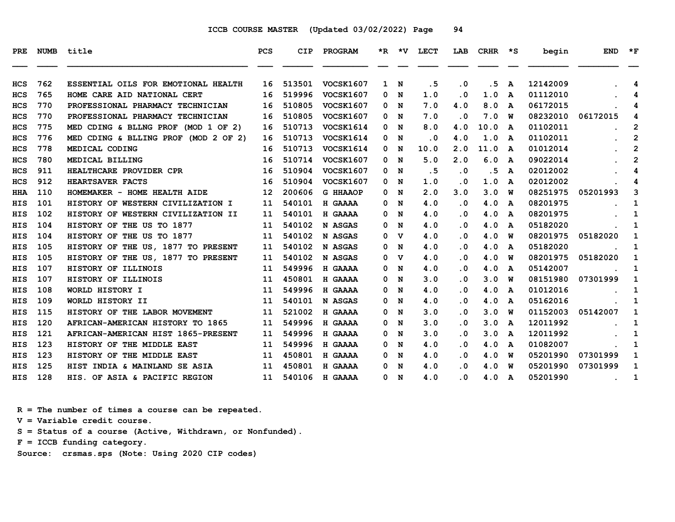| PRE        | <b>NUMB</b> | title                                | <b>PCS</b> | <b>CIP</b> | PROGRAM          |   |     | *R *V LECT | LAB       | CRHR *S |                         | begin    | <b>END</b> | $\star$ F      |
|------------|-------------|--------------------------------------|------------|------------|------------------|---|-----|------------|-----------|---------|-------------------------|----------|------------|----------------|
| <b>HCS</b> | 762         | ESSENTIAL OILS FOR EMOTIONAL HEALTH  | 16         | 513501     | <b>VOCSK1607</b> |   | 1 N | . 5        | $\cdot$ 0 | . 5     | A                       | 12142009 |            | 4              |
| <b>HCS</b> | 765         | HOME CARE AID NATIONAL CERT          | 16         | 519996     | <b>VOCSK1607</b> | 0 | N   | 1.0        | $\cdot$ 0 | 1.0     | A                       | 01112010 |            | 4              |
| <b>HCS</b> | 770         | PROFESSIONAL PHARMACY TECHNICIAN     | 16         | 510805     | <b>VOCSK1607</b> | 0 | N   | 7.0        | 4.0       | 8.0     | A                       | 06172015 |            | 4              |
| <b>HCS</b> | 770         | PROFESSIONAL PHARMACY TECHNICIAN     | 16         | 510805     | <b>VOCSK1607</b> | 0 | N   | 7.0        | $\cdot$ 0 | 7.0     | W                       | 08232010 | 06172015   | 4              |
| <b>HCS</b> | 775         | MED CDING & BLLNG PROF (MOD 1 OF 2)  | 16         | 510713     | VOCSK1614        | 0 | N   | 8.0        | 4.0       | 10.0    | $\overline{\mathbf{A}}$ | 01102011 |            | 2              |
| <b>HCS</b> | 776         | MED CDING & BLLING PROF (MOD 2 OF 2) | 16         | 510713     | VOCSK1614        | 0 | N   | $\cdot$ 0  | 4.0       | 1.0     | A                       | 01102011 |            | $\overline{2}$ |
| <b>HCS</b> | 778         | MEDICAL CODING                       | 16         | 510713     | VOCSK1614        | 0 | N   | 10.0       | 2.0       | 11.0    | A                       | 01012014 |            | $\overline{2}$ |
| HCS        | 780         | MEDICAL BILLING                      | 16         | 510714     | <b>VOCSK1607</b> | 0 | N   | 5.0        | 2.0       | 6.0     | A                       | 09022014 |            | $\overline{2}$ |
| <b>HCS</b> | 911         | HEALTHCARE PROVIDER CPR              | 16         | 510904     | <b>VOCSK1607</b> | 0 | N   | . 5        | $\cdot$ 0 | . 5     | A                       | 02012002 |            | 4              |
| <b>HCS</b> | 912         | <b>HEARTSAVER FACTS</b>              | 16         | 510904     | <b>VOCSK1607</b> | 0 | N   | 1.0        | $\cdot$ 0 | 1.0     | A                       | 02012002 |            | 4              |
| <b>HHA</b> | 110         | HOMEMAKER - HOME HEALTH AIDE         | 12         | 200606     | <b>G HHAAOP</b>  | 0 | N   | 2.0        | 3.0       | 3.0     | W                       | 08251975 | 05201993   | 3              |
| HIS        | 101         | HISTORY OF WESTERN CIVILIZATION I    | 11         | 540101     | H GAAAA          | 0 | N   | 4.0        | $\cdot$ 0 | 4.0     | A                       | 08201975 |            | 1              |
| <b>HIS</b> | 102         | HISTORY OF WESTERN CIVILIZATION II   | 11         | 540101     | H GAAAA          | 0 | N   | 4.0        | $\cdot$ 0 | 4.0     | A                       | 08201975 |            | 1              |
| HIS        | 104         | HISTORY OF THE US TO 1877            | 11         | 540102     | N ASGAS          | 0 | N   | 4.0        | $\cdot$ 0 | 4.0     | A                       | 05182020 |            | 1              |
| <b>HIS</b> | 104         | HISTORY OF THE US TO 1877            | 11         | 540102     | N ASGAS          | 0 | v   | 4.0        | $\cdot$ 0 | 4.0     | W                       | 08201975 | 05182020   | 1              |
| HIS        | 105         | HISTORY OF THE US, 1877 TO PRESENT   | 11         | 540102     | N ASGAS          | 0 | N   | 4.0        | $\cdot$ 0 | 4.0     | A                       | 05182020 |            | 1              |
| <b>HIS</b> | 105         | HISTORY OF THE US, 1877 TO PRESENT   | 11         | 540102     | N ASGAS          | 0 | v   | 4.0        | $\cdot$ 0 | 4.0     | W                       | 08201975 | 05182020   | 1              |
| <b>HIS</b> | 107         | HISTORY OF ILLINOIS                  | 11         | 549996     | H GAAAA          | 0 | N   | 4.0        | $\cdot$ 0 | 4.0     | $\mathbf{A}$            | 05142007 |            | 1              |
| HIS        | 107         | HISTORY OF ILLINOIS                  | 11         | 450801     | H GAAAA          | 0 | N   | 3.0        | $\cdot$ 0 | 3.0     | W                       | 08151980 | 07301999   | 1              |
| HIS        | 108         | WORLD HISTORY I                      | 11         | 549996     | H GAAAA          | 0 | N   | 4.0        | $\cdot$ 0 | 4.0     | A                       | 01012016 |            | 1              |
| HIS        | 109         | WORLD HISTORY II                     | 11         | 540101     | N ASGAS          | 0 | N   | 4.0        | $\cdot$ 0 | 4.0     | A                       | 05162016 |            | 1              |
| <b>HIS</b> | 115         | HISTORY OF THE LABOR MOVEMENT        | 11         | 521002     | H GAAAA          | 0 | N   | 3.0        | $\cdot$ 0 | 3.0     | W                       | 01152003 | 05142007   | 1              |
| <b>HIS</b> | 120         | AFRICAN-AMERICAN HISTORY TO 1865     | 11         | 549996     | H GAAAA          | 0 | N   | 3.0        | $\cdot$ 0 | 3.0     | A                       | 12011992 |            | 1              |
| HIS        | 121         | AFRICAN-AMERICAN HIST 1865-PRESENT   | 11         | 549996     | H GAAAA          | 0 | N   | 3.0        | $\cdot$ 0 | 3.0     | A                       | 12011992 |            | 1              |
| HIS        | 123         | HISTORY OF THE MIDDLE EAST           | 11         | 549996     | <b>H GAAAA</b>   | 0 | N   | 4.0        | $\cdot$ 0 | 4.0     | A                       | 01082007 |            | 1              |
| <b>HIS</b> | 123         | HISTORY OF THE MIDDLE EAST           | 11         | 450801     | H GAAAA          | 0 | N   | 4.0        | $\cdot$ 0 | 4.0     | W                       | 05201990 | 07301999   | 1              |
| <b>HIS</b> | 125         | HIST INDIA & MAINLAND SE ASIA        | 11         | 450801     | H GAAAA          | 0 | N   | 4.0        | . 0       | 4.0     | W                       | 05201990 | 07301999   | 1              |
| HIS        | 128         | HIS. OF ASIA & PACIFIC REGION        | 11         | 540106     | H GAAAA          |   | 0 N | 4.0        | $\cdot$ 0 | 4.0     | A                       | 05201990 |            | 1              |

 **R = The number of times a course can be repeated. V = Variable credit course. S = Status of a course (Active, Withdrawn, or Nonfunded). F = ICCB funding category.**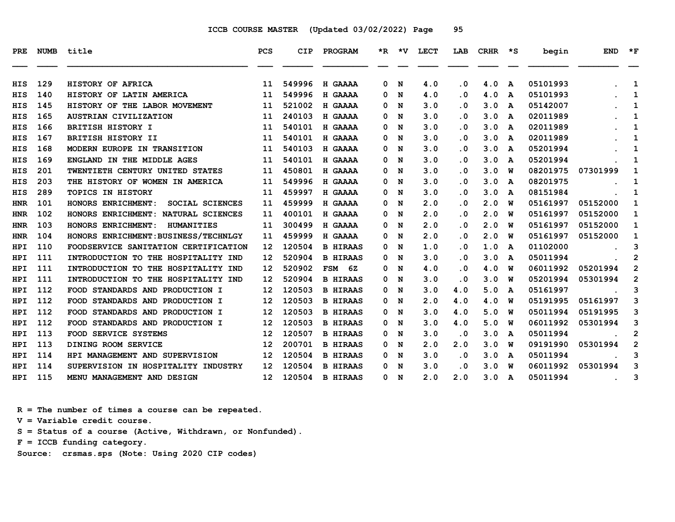| <b>PRE</b> | <b>NUMB</b> | title                                   | <b>PCS</b>        | CIP    | PROGRAM          |   | $*R$ $*V$ | <b>LECT</b> | LAB       | CRHR | $\star$ s    | begin    | <b>END</b>    | $*_{\mathbf{F}}$ |
|------------|-------------|-----------------------------------------|-------------------|--------|------------------|---|-----------|-------------|-----------|------|--------------|----------|---------------|------------------|
|            |             |                                         |                   |        |                  |   |           |             |           |      |              |          |               |                  |
| HIS        | 129         | HISTORY OF AFRICA                       | 11                | 549996 | H GAAAA          | 0 | N         | 4.0         | $\cdot$ 0 | 4.0  | A            | 05101993 |               | 1                |
| HIS        | 140         | HISTORY OF LATIN AMERICA                | 11                | 549996 | H GAAAA          | 0 | N         | 4.0         | . 0       | 4.0  | A            | 05101993 |               | 1                |
| HIS        | 145         | HISTORY OF THE LABOR MOVEMENT           | 11                | 521002 | H GAAAA          | 0 | N         | 3.0         | . 0       | 3.0  | A            | 05142007 |               | 1                |
| HIS        | 165         | <b>AUSTRIAN CIVILIZATION</b>            | 11                | 240103 | H GAAAA          | 0 | N         | 3.0         | . 0       | 3.0  | A            | 02011989 |               | 1                |
| <b>HIS</b> | 166         | <b>BRITISH HISTORY I</b>                | 11                | 540101 | H GAAAA          | 0 | N         | 3.0         | . 0       | 3.0  | $\mathbf{A}$ | 02011989 |               | 1                |
| <b>HIS</b> | 167         | BRITISH HISTORY II                      | 11                | 540101 | H GAAAA          | 0 | N         | 3.0         | . 0       | 3.0  | A            | 02011989 |               | 1                |
| HIS        | 168         | MODERN EUROPE IN TRANSITION             | 11                | 540103 | H GAAAA          | 0 | N         | 3.0         | $\cdot$ 0 | 3.0  | A            | 05201994 |               | 1                |
| HIS        | 169         | ENGLAND IN THE MIDDLE AGES              | 11                | 540101 | H GAAAA          | 0 | N         | 3.0         | . 0       | 3.0  | $\mathbf{A}$ | 05201994 |               | 1                |
| HIS        | 201         | TWENTIETH CENTURY UNITED STATES         | 11                | 450801 | H GAAAA          | 0 | N         | 3.0         | . 0       | 3.0  | W            | 08201975 | 07301999      | 1                |
| HIS        | 203         | THE HISTORY OF WOMEN IN AMERICA         | 11                | 549996 | H GAAAA          | 0 | N         | 3.0         | $\cdot$ 0 | 3.0  | A            | 08201975 |               | 1                |
| <b>HIS</b> | 289         | <b>TOPICS IN HISTORY</b>                | 11                | 459997 | H GAAAA          | 0 | N         | 3.0         | . 0       | 3.0  | A            | 08151984 |               | 1                |
| <b>HNR</b> | 101         | HONORS ENRICHMENT:<br>SOCIAL SCIENCES   | 11                | 459999 | H GAAAA          | 0 | N         | 2.0         | $\cdot$ 0 | 2.0  | W            | 05161997 | 05152000      | 1                |
| <b>HNR</b> | 102         | HONORS ENRICHMENT: NATURAL SCIENCES     | 11                | 400101 | H GAAAA          | 0 | N         | 2.0         | . 0       | 2.0  | W            | 05161997 | 05152000      | 1                |
| <b>HNR</b> | 103         | HONORS ENRICHMENT:<br><b>HUMANITIES</b> | 11                | 300499 | H GAAAA          | 0 | N         | 2.0         | . 0       | 2.0  | W            | 05161997 | 05152000      | 1                |
| <b>HNR</b> | 104         | HONORS ENRICHMENT: BUSINESS/TECHNLGY    | 11                | 459999 | H GAAAA          | 0 | N         | 2.0         | $\cdot$ 0 | 2.0  | W            | 05161997 | 05152000      | 1                |
| <b>HPI</b> | 110         | FOODSERVICE SANITATION CERTIFICATION    | 12                | 120504 | <b>B HIRAAS</b>  | 0 | N         | 1.0         | . 0       | 1.0  | A            | 01102000 |               | 3                |
| HPI        | 111         | INTRODUCTION TO THE HOSPITALITY IND     | $12 \overline{ }$ | 520904 | <b>B HIRAAS</b>  | 0 | N         | 3.0         | $\cdot$ 0 | 3.0  | A            | 05011994 |               | $\mathbf{2}$     |
| HPI        | 111         | INTRODUCTION TO THE HOSPITALITY IND     | 12                | 520902 | <b>FSM</b><br>6Z | 0 | N         | 4.0         | . 0       | 4.0  | W            | 06011992 | 05201994      | $\mathbf{2}$     |
| HPI        | 111         | INTRODUCTION TO THE HOSPITALITY IND     | $12 \overline{ }$ | 520904 | <b>B HIRAAS</b>  | 0 | N         | 3.0         | . 0       | 3.0  | W            | 05201994 | 05301994      | $\mathbf{2}$     |
| HPI        | 112         | FOOD STANDARDS AND PRODUCTION I         | $12 \overline{ }$ | 120503 | <b>B HIRAAS</b>  | 0 | N         | 3.0         | 4.0       | 5.0  | A            | 05161997 |               | 3                |
| <b>HPI</b> | 112         | FOOD STANDARDS AND PRODUCTION I         | $12 \overline{ }$ | 120503 | <b>B HIRAAS</b>  | 0 | N         | 2.0         | 4.0       | 4.0  | W            | 05191995 | 05161997      | 3                |
| HPI        | 112         | FOOD STANDARDS AND PRODUCTION I         | $12 \overline{ }$ | 120503 | <b>B HIRAAS</b>  | 0 | N         | 3.0         | 4.0       | 5.0  | W            | 05011994 | 05191995      | 3                |
| HPI        | 112         | FOOD STANDARDS AND PRODUCTION I         | $12 \overline{ }$ | 120503 | <b>B HIRAAS</b>  | 0 | N         | 3.0         | 4.0       | 5.0  | W            | 06011992 | 05301994      | 3                |
| HPI        | 113         | FOOD SERVICE SYSTEMS                    | $12 \overline{ }$ | 120507 | <b>B HIRAAS</b>  | 0 | N         | 3.0         | $\cdot$ 0 | 3.0  | A            | 05011994 |               | $\mathbf{2}$     |
| HPI        | 113         | DINING ROOM SERVICE                     | 12                | 200701 | <b>B HIRAAS</b>  | 0 | N         | 2.0         | 2.0       | 3.0  | W            | 09191990 | 05301994      | 2                |
| <b>HPI</b> | 114         | HPI MANAGEMENT AND SUPERVISION          | $12 \overline{ }$ | 120504 | <b>B HIRAAS</b>  | 0 | N         | 3.0         | . 0       | 3.0  | A            | 05011994 |               | 3                |
| HPI        | 114         | SUPERVISION IN HOSPITALITY INDUSTRY     | $12 \overline{ }$ | 120504 | <b>B HIRAAS</b>  | 0 | N         | 3.0         | . 0       | 3.0  | W            | 06011992 | 05301994      | 3                |
| HPI        | 115         | MENU MANAGEMENT AND DESIGN              | 12 <sup>°</sup>   | 120504 | <b>B HIRAAS</b>  | 0 | N         | 2.0         | 2.0       | 3.0  | A            | 05011994 | $\sim$ $\sim$ | 3                |

 **R = The number of times a course can be repeated.**

 **V = Variable credit course.**

 **S = Status of a course (Active, Withdrawn, or Nonfunded).**

 **F = ICCB funding category.**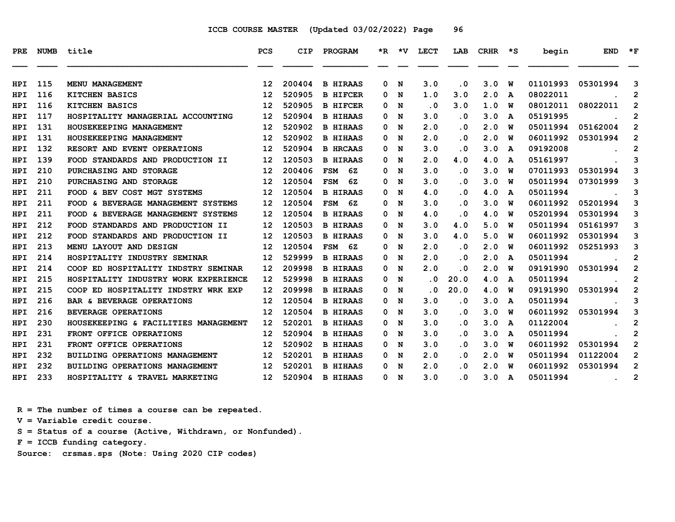| PRE        | <b>NUMB</b> | title                                | <b>PCS</b>        | <b>CIP</b> | PROGRAM          |          | $*R$ $*V$ | LECT                    | LAB       | <b>CRHR</b> | $\star$ s | begin    | <b>END</b>                                 | $\star$ F      |
|------------|-------------|--------------------------------------|-------------------|------------|------------------|----------|-----------|-------------------------|-----------|-------------|-----------|----------|--------------------------------------------|----------------|
|            |             |                                      |                   |            |                  |          |           |                         |           |             |           |          |                                            |                |
| HPI        | 115         | MENU MANAGEMENT                      | 12                | 200404     | <b>B HIRAAS</b>  | 0        | N         | 3.0                     | $\cdot$ 0 | 3.0         | W         | 01101993 | 05301994                                   | 3              |
| HPI        | 116         | <b>KITCHEN BASICS</b>                | 12                | 520905     | <b>B HIFCER</b>  | 0        | N         | 1.0                     | 3.0       | 2.0         | A         | 08022011 |                                            | $\overline{2}$ |
| HPI        | 116         | KITCHEN BASICS                       | 12                | 520905     | <b>B HIFCER</b>  | 0        | N         | $\cdot$ 0               | 3.0       | 1.0         | W         | 08012011 | 08022011                                   | 2              |
| HPI        | 117         | HOSPITALITY MANAGERIAL ACCOUNTING    | 12                | 520904     | <b>B HIHAAS</b>  | $\Omega$ | N         | 3.0                     | $\cdot$ 0 | 3.0         | A         | 05191995 |                                            | $\mathbf{2}$   |
| HPI        | 131         | HOUSEKEEPING MANAGEMENT              | $12 \overline{ }$ | 520902     | <b>B HIHAAS</b>  | 0        | N         | 2.0                     | $\cdot$ 0 | 2.0         | พ         | 05011994 | 05162004                                   | $\overline{2}$ |
| HPI        | 131         | HOUSEKEEPING MANAGEMENT              | $12 \overline{ }$ | 520902     | <b>B HIHAAS</b>  | 0        | N         | 2.0                     | $\cdot$ 0 | 2.0         | W         | 06011992 | 05301994                                   | $\mathbf{2}$   |
| <b>HPI</b> | 132         | RESORT AND EVENT OPERATIONS          | 12                | 520904     | <b>B HRCAAS</b>  | 0        | N         | 3.0                     | $\cdot$ 0 | 3.0         | A         | 09192008 |                                            | $\overline{2}$ |
| HPI        | 139         | FOOD STANDARDS AND PRODUCTION II     | 12                | 120503     | <b>B HIRAAS</b>  | 0        | N         | 2.0                     | 4.0       | 4.0         | A         | 05161997 |                                            | 3              |
| HPI        | 210         | PURCHASING AND STORAGE               | $12 \overline{ }$ | 200406     | <b>FSM</b><br>6Z | 0        | N         | 3.0                     | $\cdot$ 0 | 3.0         | W         | 07011993 | 05301994                                   | 3              |
| <b>HPI</b> | 210         | PURCHASING AND STORAGE               | 12                | 120504     | <b>FSM</b><br>6Z | 0        | N         | 3.0                     | $\cdot$ 0 | 3.0         | พ         | 05011994 | 07301999                                   | 3              |
| HPI        | 211         | FOOD & BEV COST MGT SYSTEMS          | 12                | 120504     | <b>B HIRAAS</b>  | 0        | N         | 4.0                     | . 0       | 4.0         | A         | 05011994 |                                            | 3              |
| HPI        | 211         | FOOD & BEVERAGE MANAGEMENT SYSTEMS   | $12 \overline{ }$ | 120504     | FSM 6Z           | 0        | N         | 3.0                     | $\cdot$ 0 | 3.0         | W         | 06011992 | 05201994                                   | 3              |
| <b>HPI</b> | 211         | FOOD & BEVERAGE MANAGEMENT SYSTEMS   | $12 \overline{ }$ | 120504     | <b>B HIRAAS</b>  | 0        | N         | 4.0                     | $\cdot$ 0 | 4.0         | W         | 05201994 | 05301994                                   | 3              |
| HPI        | 212         | FOOD STANDARDS AND PRODUCTION II     | 12                | 120503     | <b>B HIRAAS</b>  | 0        | N         | 3.0                     | 4.0       | 5.0         | W         | 05011994 | 05161997                                   | 3              |
| HPI        | 212         | FOOD STANDARDS AND PRODUCTION II     | $12 \overline{ }$ | 120503     | <b>B HIRAAS</b>  | 0        | N         | 3.0                     | 4.0       | 5.0         | พ         | 06011992 | 05301994                                   | 3              |
| HPI        | 213         | MENU LAYOUT AND DESIGN               | 12                | 120504     | FSM 6Z           | 0        | N         | 2.0                     | $\cdot$ 0 | 2.0         | W         | 06011992 | 05251993                                   | 3              |
| HPI        | 214         | HOSPITALITY INDUSTRY SEMINAR         | $12 \overline{ }$ | 529999     | <b>B HIRAAS</b>  | 0        | N         | 2.0                     | $\cdot$ 0 | 2.0         | A         | 05011994 |                                            | $\overline{2}$ |
| <b>HPI</b> | 214         | COOP ED HOSPITALITY INDSTRY SEMINAR  | 12                | 209998     | <b>B HIRAAS</b>  | 0        | N         | 2.0                     | $\cdot$ 0 | 2.0         | W         | 09191990 | 05301994                                   | $\overline{2}$ |
| HPI        | 215         | HOSPITALITY INDUSTRY WORK EXPERIENCE | 12                | 529998     | <b>B HIRAAS</b>  | 0        | N         | $\overline{\mathbf{0}}$ | 20.0      | 4.0         | A         | 05011994 |                                            | $\overline{2}$ |
| HPI        | 215         | COOP ED HOSPITALITY INDSTRY WRK EXP  | $12 \overline{ }$ | 209998     | <b>B HIRAAS</b>  | 0        | N         | . 0                     | 20.0      | 4.0         | พ         | 09191990 | 05301994                                   | $\overline{2}$ |
| HPI        | 216         | BAR & BEVERAGE OPERATIONS            | 12                | 120504     | <b>B HIRAAS</b>  | 0        | N         | 3.0                     | $\cdot$ 0 | 3.0         | A         | 05011994 |                                            | 3              |
| HPI        | 216         | <b>BEVERAGE OPERATIONS</b>           | 12                | 120504     | <b>B HIRAAS</b>  | 0        | N         | 3.0                     | $\cdot$ 0 | 3.0         | W         | 06011992 | 05301994                                   | 3              |
| HPI        | 230         | HOUSEKEEPING & FACILITIES MANAGEMENT | 12                | 520201     | <b>B HIHAAS</b>  | 0        | N         | 3.0                     | $\cdot$ 0 | 3.0         | A         | 01122004 |                                            | $\overline{2}$ |
| <b>HPI</b> | 231         | FRONT OFFICE OPERATIONS              | 12                | 520904     | <b>B HIHAAS</b>  | 0        | N         | 3.0                     | $\cdot$ 0 | 3.0         | A         | 05011994 |                                            | $\mathbf{2}$   |
| HPI        | 231         | FRONT OFFICE OPERATIONS              | 12                | 520902     | <b>B HIHAAS</b>  | 0        | N         | 3.0                     | $\cdot$ 0 | 3.0         | พ         | 06011992 | 05301994                                   | $\overline{2}$ |
| HPI        | 232         | BUILDING OPERATIONS MANAGEMENT       | $12 \overline{ }$ | 520201     | <b>B HIHAAS</b>  | 0        | N         | 2.0                     | $\cdot$ 0 | 2.0         | W         | 05011994 | 01122004                                   | $\overline{2}$ |
| <b>HPI</b> | 232         | BUILDING OPERATIONS MANAGEMENT       | 12                | 520201     | <b>B HIHAAS</b>  | 0        | N         | 2.0                     | . 0       | 2.0         | W         | 06011992 | 05301994                                   | $\overline{2}$ |
| HPI.       | 233         | HOSPITALITY & TRAVEL MARKETING       | 12 <sup>12</sup>  | 520904     | <b>B HIHAAS</b>  |          | 0 N       | 3.0                     | . 0       | 3.0         | A         | 05011994 | <b>Contract Contract Contract Contract</b> | 2              |

 **R = The number of times a course can be repeated.**

 **V = Variable credit course.**

 **S = Status of a course (Active, Withdrawn, or Nonfunded).**

 **F = ICCB funding category.**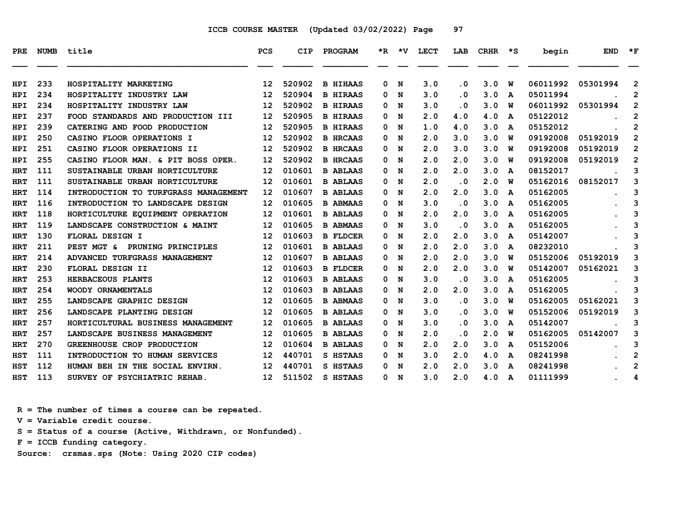| PRE        |     | NUMB title                            | <b>PCS</b>        | <b>CIP</b> | PROGRAM         |   |     | *R *V LECT | LAB                     | CRHR | ≳∗ | begin    | <b>END</b> | $*_{\mathbf{F}}$ |
|------------|-----|---------------------------------------|-------------------|------------|-----------------|---|-----|------------|-------------------------|------|----|----------|------------|------------------|
| <b>HPI</b> | 233 | HOSPITALITY MARKETING                 | 12                | 520902     | <b>B HIHAAS</b> | 0 | N   | 3.0        | . 0                     | 3.0  | W  | 06011992 | 05301994   | $\overline{2}$   |
| HPI        | 234 | HOSPITALITY INDUSTRY LAW              | 12                | 520904     | <b>B HIRAAS</b> | 0 | N   | 3.0        | $\overline{\mathbf{0}}$ | 3.0  | A  | 05011994 |            | $\overline{2}$   |
| HPI        | 234 | HOSPITALITY INDUSTRY LAW              | 12                | 520902     | <b>B HIRAAS</b> | 0 | N   | 3.0        | $\overline{\mathbf{0}}$ | 3.0  | W  | 06011992 | 05301994   | $\overline{2}$   |
| HPI        | 237 | FOOD STANDARDS AND PRODUCTION III     | 12                | 520905     | <b>B HIRAAS</b> | 0 | N   | 2.0        | 4.0                     | 4.0  | A  | 05122012 |            | $\mathbf{2}$     |
| HPI        | 239 | CATERING AND FOOD PRODUCTION          | 12                | 520905     | <b>B HIRAAS</b> | 0 | N   | 1.0        | 4.0                     | 3.0  | A  | 05152012 |            | 2                |
| <b>HPI</b> | 250 | CASINO FLOOR OPERATIONS I             | 12                | 520902     | <b>B HRCAAS</b> | 0 | N   | 2.0        | 3.0                     | 3.0  | w  | 09192008 | 05192019   | $\mathbf{2}$     |
| HPI.       | 251 | <b>CASINO FLOOR OPERATIONS II</b>     | 12                | 520902     | <b>B HRCAAS</b> | 0 | N   | 2.0        | 3.0                     | 3.0  | w  | 09192008 | 05192019   | $\overline{2}$   |
| HPI        | 255 | CASINO FLOOR MAN. & PIT BOSS OPER.    | 12                | 520902     | <b>B HRCAAS</b> | 0 | N   | 2.0        | 2.0                     | 3.0  | W  | 09192008 | 05192019   | $\mathbf{2}$     |
| <b>HRT</b> | 111 | <b>SUSTAINABLE URBAN HORTICULTURE</b> | 12                | 010601     | <b>B ABLAAS</b> | 0 | N   | 2.0        | 2.0                     | 3.0  | A  | 08152017 |            | 3                |
| HRT        | 111 | SUSTAINABLE URBAN HORTICULTURE        | 12                | 010601     | <b>B ABLAAS</b> | 0 | N   | 2.0        | $\cdot$ 0               | 2.0  | w  | 05162016 | 08152017   | 3                |
| <b>HRT</b> | 114 | INTRODUCTION TO TURFGRASS MANAGEMENT  | 12                | 010607     | <b>B ABLAAS</b> | 0 | N   | 2.0        | 2.0                     | 3.0  | A  | 05162005 |            | 3                |
| HRT        | 116 | INTRODUCTION TO LANDSCAPE DESIGN      | $12 \overline{ }$ | 010605     | <b>B ABMAAS</b> | 0 | N   | 3.0        | $\overline{\mathbf{0}}$ | 3.0  | A  | 05162005 |            | 3                |
| HRT        | 118 | HORTICULTURE EQUIPMENT OPERATION      | 12                | 010601     | <b>B ABLAAS</b> | 0 | N   | 2.0        | 2.0                     | 3.0  | A  | 05162005 |            | 3                |
| <b>HRT</b> | 119 | LANDSCAPE CONSTRUCTION & MAINT        | 12                | 010605     | <b>B ABMAAS</b> | 0 | N   | 3.0        | . 0                     | 3.0  | A  | 05162005 |            | 3                |
| <b>HRT</b> | 130 | FLORAL DESIGN I                       | 12                | 010603     | <b>B FLDCER</b> | 0 | N   | 2.0        | 2.0                     | 3.0  | A  | 05142007 |            | 3                |
| HRT        | 211 | PEST MGT & PRUNING PRINCIPLES         | 12                | 010601     | <b>B ABLAAS</b> | 0 | N   | 2.0        | 2.0                     | 3.0  | A  | 08232010 |            | 3                |
| <b>HRT</b> | 214 | ADVANCED TURFGRASS MANAGEMENT         | 12                | 010607     | <b>B ABLAAS</b> | 0 | N   | 2.0        | 2.0                     | 3.0  | W  | 05152006 | 05192019   | 3                |
| <b>HRT</b> | 230 | FLORAL DESIGN II                      | 12                | 010603     | <b>B FLDCER</b> | 0 | N   | 2.0        | 2.0                     | 3.0  | W  | 05142007 | 05162021   | 3                |
| HRT        | 253 | HERBACEOUS PLANTS                     | 12                | 010603     | <b>B ABLAAS</b> | 0 | N   | 3.0        | $\cdot$ 0               | 3.0  | A  | 05162005 |            | 3                |
| <b>HRT</b> | 254 | <b>WOODY ORNAMENTALS</b>              | 12                | 010603     | <b>B ABLAAS</b> | 0 | N   | 2.0        | 2.0                     | 3.0  | A  | 05162005 |            | 3                |
| HRT        | 255 | LANDSCAPE GRAPHIC DESIGN              | 12                | 010605     | <b>B ABMAAS</b> | 0 | N   | 3.0        | $\overline{\mathbf{0}}$ | 3.0  | w  | 05162005 | 05162021   | 3                |
| <b>HRT</b> | 256 | LANDSCAPE PLANTING DESIGN             | 12                | 010605     | <b>B ABLAAS</b> | 0 | N   | 3.0        | $\cdot$ 0               | 3.0  | W  | 05152006 | 05192019   | 3                |
| HRT        | 257 | HORTICULTURAL BUSINESS MANAGEMENT     | 12                | 010605     | <b>B ABLAAS</b> | 0 | N   | 3.0        | $\overline{\mathbf{0}}$ | 3.0  | A  | 05142007 |            | 3                |
| HRT        | 257 | LANDSCAPE BUSINESS MANAGEMENT         | 12                | 010605     | <b>B ABLAAS</b> | 0 | N   | 2.0        | . 0                     | 2.0  | w  | 05162005 | 05142007   | 3                |
| HRT        | 270 | GREENHOUSE CROP PRODUCTION            | 12                | 010604     | <b>B ABLAAS</b> | 0 | N   | 2.0        | 2.0                     | 3.0  | A  | 05152006 |            | 3                |
| <b>HST</b> | 111 | INTRODUCTION TO HUMAN SERVICES        | 12                | 440701     | S HSTAAS        | 0 | N   | 3.0        | 2.0                     | 4.0  | A  | 08241998 |            | 2                |
| <b>HST</b> | 112 | HUMAN BEH IN THE SOCIAL ENVIRN.       | 12                | 440701     | S HSTAAS        | 0 | N   | 2.0        | 2.0                     | 3.0  | A  | 08241998 |            | $\overline{2}$   |
| HST        | 113 | SURVEY OF PSYCHIATRIC REHAB.          | 12 <sup>12</sup>  | 511502     | S HSTAAS        |   | 0 N | 3.0        | 2.0                     | 4.0  | A  | 01111999 |            | 4                |

 **R = The number of times a course can be repeated.**

 **V = Variable credit course.**

 **S = Status of a course (Active, Withdrawn, or Nonfunded).**

 **F = ICCB funding category.**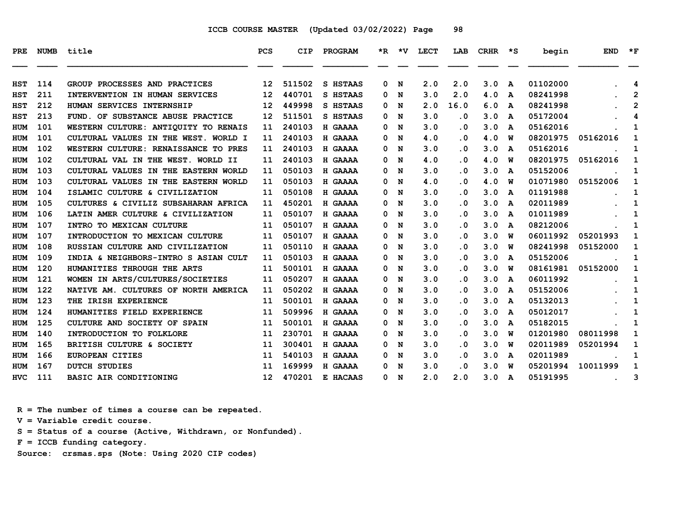| PRE.                     | <b>NUMB</b> | title                                                           | <b>PCS</b>        | <b>CIP</b>       | PROGRAM                   |        | $*R$ $*V$ | <b>LECT</b> | LAB                            | CRHR       | ∗s     | begin                | <b>END</b> | $*_{\mathbf{F}}$  |
|--------------------------|-------------|-----------------------------------------------------------------|-------------------|------------------|---------------------------|--------|-----------|-------------|--------------------------------|------------|--------|----------------------|------------|-------------------|
|                          | 114         |                                                                 |                   |                  |                           | 0      |           |             |                                |            |        | 01102000             |            |                   |
| <b>HST</b><br><b>HST</b> | 211         | GROUP PROCESSES AND PRACTICES<br>INTERVENTION IN HUMAN SERVICES | 12<br>12          | 511502<br>440701 | S HSTAAS<br>S HSTAAS      | 0      | N<br>N    | 2.0<br>3.0  | 2.0<br>2.0                     | 3.0<br>4.0 | A      | 08241998             |            | 4<br>$\mathbf{2}$ |
|                          | 212         | HUMAN SERVICES INTERNSHIP                                       | $12 \overline{ }$ | 449998           | S HSTAAS                  | 0      | N         | 2.0         | 16.0                           | 6.0        | A      | 08241998             |            | 2                 |
| HST<br>HST               | 213         | FUND. OF SUBSTANCE ABUSE PRACTICE                               | 12                | 511501           | S HSTAAS                  | 0      | N         | 3.0         | . 0                            | 3.0        | A<br>A | 05172004             |            | 4                 |
| <b>HUM</b>               | 101         | WESTERN CULTURE: ANTIQUITY TO RENAIS                            | 11                | 240103           | H GAAAA                   | 0      | N         | 3.0         | . 0                            | 3.0        | A      | 05162016             |            | 1                 |
| HUM                      | 101         | CULTURAL VALUES IN THE WEST. WORLD I                            | 11                | 240103           | H GAAAA                   | 0      | N         | 4.0         | $\overline{\mathbf{0}}$        | 4.0        | w      | 08201975             | 05162016   | 1                 |
|                          | 102         | WESTERN CULTURE: RENAISSANCE TO PRES                            | 11                | 240103           | H GAAAA                   | 0      | N         | 3.0         | . 0                            | 3.0        | A      | 05162016             |            |                   |
| HUM<br><b>HUM</b>        | 102         | CULTURAL VAL IN THE WEST. WORLD II                              | 11                | 240103           | H GAAAA                   | 0      | N         | 4.0         | $\cdot$ 0                      | 4.0        | W      | 08201975             | 05162016   | 1<br>$\mathbf{1}$ |
| HUM                      | 103         | CULTURAL VALUES IN THE EASTERN WORLD                            | 11                | 050103           | H GAAAA                   | 0      | N         | 3.0         | . 0                            | 3.0        | A      | 05152006             |            | 1                 |
| <b>HUM</b>               | 103         | CULTURAL VALUES IN THE EASTERN WORLD                            | 11                | 050103           | H GAAAA                   | 0      | N         | 4.0         | . 0                            | 4.0        | W      | 01071980             | 05152006   | 1                 |
| HUM                      | 104         | ISLAMIC CULTURE & CIVILIZATION                                  | 11                | 050108           | <b>H GAAAA</b>            | 0      | N         | 3.0         | . 0                            | 3.0        | A      | 01191988             |            | 1                 |
| HUM                      | 105         | CULTURES & CIVILIZ SUBSAHARAN AFRICA                            | 11                | 450201           | H GAAAA                   | 0      | N         | 3.0         | $\cdot$ 0                      | 3.0        | A      | 02011989             |            | 1                 |
| HUM                      | 106         | LATIN AMER CULTURE & CIVILIZATION                               | 11                | 050107           | H GAAAA                   | 0      | N         | 3.0         | . 0                            | 3.0        |        | 01011989             |            | 1                 |
| <b>HUM</b>               | 107         | INTRO TO MEXICAN CULTURE                                        |                   | 050107           |                           | 0      |           | 3.0         | . 0                            | 3.0        | A      | 08212006             |            | 1                 |
| HUM                      | 107         | INTRODUCTION TO MEXICAN CULTURE                                 | 11<br>11          | 050107           | <b>H GAAAA</b><br>H GAAAA | 0      | N<br>N    | 3.0         | . 0                            | 3.0        | A<br>W | 06011992             | 05201993   | 1                 |
|                          | 108         | RUSSIAN CULTURE AND CIVILIZATION                                | 11                | 050110           | H GAAAA                   | 0      | N         | 3.0         | . 0                            | 3.0        | W      | 08241998             | 05152000   | 1                 |
| HUM                      | 109         | INDIA & NEIGHBORS-INTRO S ASIAN CULT                            |                   | 050103           | H GAAAA                   | 0      | N         | 3.0         | . 0                            | 3.0        |        | 05152006             |            |                   |
| HUM                      | 120         | HUMANITIES THROUGH THE ARTS                                     | 11                | 500101           |                           |        |           |             |                                | 3.0        | A      | 08161981             |            | 1                 |
| HUM                      | 121         | WOMEN IN ARTS/CULTURES/SOCIETIES                                | 11<br>11          | 050207           | H GAAAA<br>H GAAAA        | 0<br>0 | N<br>N    | 3.0<br>3.0  | . 0<br>. 0                     | 3.0        | W      | 06011992             | 05152000   | 1<br>1            |
| <b>HUM</b><br>HUM        | 122         | NATIVE AM. CULTURES OF NORTH AMERICA                            | 11                | 050202           | H GAAAA                   | 0      | N         | 3.0         | $\overline{\mathbf{0}}$        | 3.0        | A      | 05152006             |            | 1                 |
|                          | 123         | THE IRISH EXPERIENCE                                            | 11                | 500101           | H GAAAA                   | 0      | N         | 3.0         | . 0                            | 3.0        | A<br>A | 05132013             |            |                   |
| HUM                      | 124         | HUMANITIES FIELD EXPERIENCE                                     |                   | 509996           | H GAAAA                   |        |           | 3.0         | . 0                            | 3.0        |        |                      |            | 1                 |
| HUM                      | 125         | CULTURE AND SOCIETY OF SPAIN                                    | 11                | 500101           |                           | 0      | N         |             |                                |            | A      | 05012017             |            | 1                 |
| HUM                      | 140         |                                                                 | 11                | 230701           | H GAAAA                   | 0      | N         | 3.0<br>3.0  | . 0<br>$\overline{\mathbf{0}}$ | 3.0<br>3.0 | A      | 05182015<br>01201980 | 08011998   | 1<br>1            |
| HUM                      |             | INTRODUCTION TO FOLKLORE                                        | 11                |                  | H GAAAA                   | 0      | N         |             |                                |            | w      |                      |            |                   |
| HUM                      | 165         | BRITISH CULTURE & SOCIETY                                       | 11                | 300401           | H GAAAA                   | 0      | N         | 3.0         | . 0                            | 3.0        | W      | 02011989             | 05201994   | 1                 |
| HUM                      | 166         | <b>EUROPEAN CITIES</b>                                          | 11                | 540103           | H GAAAA                   | 0      | N         | 3.0         | . 0                            | 3.0        | A      | 02011989             |            | 1                 |
| HUM                      | 167         | <b>DUTCH STUDIES</b>                                            | 11                | 169999           | H GAAAA                   | 0      | N         | 3.0         | . 0                            | 3.0        | w      | 05201994             | 10011999   | 1                 |
| <b>HVC</b>               | 111         | BASIC AIR CONDITIONING                                          | 12 <sup>12</sup>  | 470201           | E HACAAS                  | 0      | N         | 2.0         | 2.0                            | 3.0        | A      | 05191995             |            | 3                 |

 **R = The number of times a course can be repeated.**

 **V = Variable credit course.**

 **S = Status of a course (Active, Withdrawn, or Nonfunded).**

 **F = ICCB funding category.**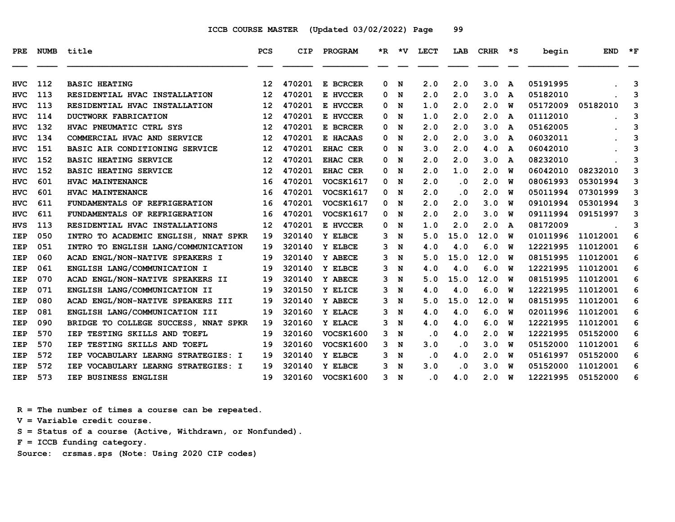| <b>PRE</b> | <b>NUMB</b> | title                                  | <b>PCS</b>        | <b>CIP</b> | PROGRAM          |    |   | *R *V LECT | LAB       | <b>CRHR</b> | ∗s           | begin    | <b>END</b> | $*_{\mathbf{F}}$ |
|------------|-------------|----------------------------------------|-------------------|------------|------------------|----|---|------------|-----------|-------------|--------------|----------|------------|------------------|
| <b>HVC</b> | 112         | <b>BASIC HEATING</b>                   | $12 \overline{ }$ | 470201     | E BCRCER         | 0  | N | 2.0        | 2.0       | 3.0         | $\mathbf{A}$ | 05191995 |            | 3                |
| HVC        | 113         | RESIDENTIAL HVAC INSTALLATION          | 12                | 470201     | E HVCCER         | 0  | N | 2.0        | 2.0       | 3.0         | A            | 05182010 |            | 3                |
| <b>HVC</b> | 113         | RESIDENTIAL HVAC INSTALLATION          | $12 \overline{ }$ | 470201     | E HVCCER         | 0  | N | 1.0        | 2.0       | 2.0         | W            | 05172009 | 05182010   | 3                |
| HVC        | 114         | DUCTWORK FABRICATION                   | 12                | 470201     | E HVCCER         | 0  | N | 1.0        | 2.0       | 2.0         | A            | 01112010 |            | 3                |
| <b>HVC</b> | 132         | HVAC PNEUMATIC CTRL SYS                | 12                | 470201     | E BCRCER         | 0  | N | 2.0        | 2.0       | 3.0         | A            | 05162005 |            | 3                |
| <b>HVC</b> | 134         | COMMERCIAL HVAC AND SERVICE            | $12 \overline{ }$ | 470201     | E HACAAS         | 0  | N | 2.0        | 2.0       | 3.0         | A            | 06032011 |            | 3                |
| <b>HVC</b> | 151         | BASIC AIR CONDITIONING SERVICE         | $12 \overline{ }$ | 470201     | EHAC CER         | 0  | N | 3.0        | 2.0       | 4.0         | A            | 06042010 |            | 3                |
| <b>HVC</b> | 152         | <b>BASIC HEATING SERVICE</b>           | $12 \overline{ }$ | 470201     | EHAC CER         | 0  | N | 2.0        | 2.0       | 3.0         | A            | 08232010 |            | 3                |
| <b>HVC</b> | 152         | <b>BASIC HEATING SERVICE</b>           | $12 \overline{ }$ | 470201     | EHAC CER         | 0  | N | 2.0        | 1.0       | 2.0         | W            | 06042010 | 08232010   | 3                |
| <b>HVC</b> | 601         | HVAC MAINTENANCE                       | 16                | 470201     | <b>VOCSK1617</b> | 0  | N | 2.0        | $\cdot$ 0 | 2.0         | W            | 08061993 | 05301994   | 3                |
| HVC        | 601         | HVAC MAINTENANCE                       | 16                | 470201     | VOCSK1617        | 0  | N | 2.0        | $\cdot$ 0 | 2.0         | W            | 05011994 | 07301999   | 3                |
| <b>HVC</b> | 611         | FUNDAMENTALS OF REFRIGERATION          | 16                | 470201     | <b>VOCSK1617</b> | 0  | N | 2.0        | 2.0       | 3.0         | W            | 09101994 | 05301994   | 3                |
| <b>HVC</b> | 611         | FUNDAMENTALS OF REFRIGERATION          | 16                | 470201     | <b>VOCSK1617</b> | 0  | N | 2.0        | 2.0       | 3.0         | W            | 09111994 | 09151997   | 3                |
| <b>HVS</b> | 113         | RESIDENTIAL HVAC INSTALLATIONS         | 12                | 470201     | E HVCCER         | 0  | N | 1.0        | 2.0       | 2.0         | A            | 08172009 |            | 3                |
| <b>IEP</b> | 050         | INTRO TO ACADEMIC ENGLISH, NNAT SPKR   | 19                | 320140     | Y ELBCE          | 3  | N | 5.0        | 15.0      | 12.0        | W            | 01011996 | 11012001   | 6                |
| IEP        | 051         | INTRO TO ENGLISH LANG/COMMUNICATION    | 19                | 320140     | Y ELBCE          | 3  | N | 4.0        | 4.0       | 6.0         | w            | 12221995 | 11012001   | 6                |
| <b>IEP</b> | 060         | ACAD ENGL/NON-NATIVE SPEAKERS I        | 19                | 320140     | Y ABECE          | 3  | N | 5.0        | 15.0      | 12.0        | พ            | 08151995 | 11012001   | 6                |
| <b>IEP</b> | 061         | ENGLISH LANG/COMMUNICATION I           | 19                | 320140     | Y ELBCE          | 3  | N | 4.0        | 4.0       | 6.0         | W            | 12221995 | 11012001   | 6                |
| IEP        | 070         | ACAD ENGL/NON-NATIVE SPEAKERS II       | 19                | 320140     | Y ABECE          | 3  | N | 5.0        | 15.0      | 12.0        | W            | 08151995 | 11012001   | 6                |
| <b>IEP</b> | 071         | ENGLISH LANG/COMMUNICATION II          | 19                | 320150     | Y ELICE          | 3  | N | 4.0        | 4.0       | 6.0         | W            | 12221995 | 11012001   | 6                |
| <b>IEP</b> | 080         | ACAD ENGL/NON-NATIVE SPEAKERS III      | 19                | 320140     | Y ABECE          | 3  | N | 5.0        | 15.0      | 12.0        | w            | 08151995 | 11012001   | 6                |
| <b>IEP</b> | 081         | ENGLISH LANG/COMMUNICATION III         | 19                | 320160     | Y ELACE          | 3  | N | 4.0        | 4.0       | 6.0         | W            | 02011996 | 11012001   | 6                |
| <b>IEP</b> | 090         | BRIDGE TO COLLEGE SUCCESS, NNAT SPKR   | 19                | 320160     | Y ELACE          | 3  | N | 4.0        | 4.0       | 6.0         | W            | 12221995 | 11012001   | 6                |
| IEP        | 570         | IEP TESTING SKILLS AND TOEFL           | 19                | 320160     | <b>VOCSK1600</b> | 3  | N | $\cdot$ 0  | 4.0       | 2.0         | W            | 12221995 | 05152000   | 6                |
| <b>IEP</b> | 570         | IEP TESTING SKILLS AND TOEFL           | 19                | 320160     | <b>VOCSK1600</b> | 3  | N | 3.0        | $\cdot$ 0 | 3.0         | W            | 05152000 | 11012001   | 6                |
| <b>IEP</b> | 572         | IEP VOCABULARY LEARNG STRATEGIES: I    | 19                | 320140     | Y ELBCE          | 3  | N | $\cdot$ 0  | 4.0       | 2.0         | W            | 05161997 | 05152000   | 6                |
| <b>IEP</b> | 572         | VOCABULARY LEARNG STRATEGIES: I<br>IEP | 19                | 320140     | Y ELBCE          | 3. | N | 3.0        | $\cdot$ 0 | 3.0         | W            | 05152000 | 11012001   | 6                |
| <b>IEP</b> | 573         | IEP BUSINESS ENGLISH                   | 19                | 320160     | <b>VOCSK1600</b> | 3  | N | $\cdot$ 0  | 4.0       | 2.0         | W            | 12221995 | 05152000   | 6                |

 **R = The number of times a course can be repeated.**

 **V = Variable credit course.**

 **S = Status of a course (Active, Withdrawn, or Nonfunded).**

 **F = ICCB funding category.**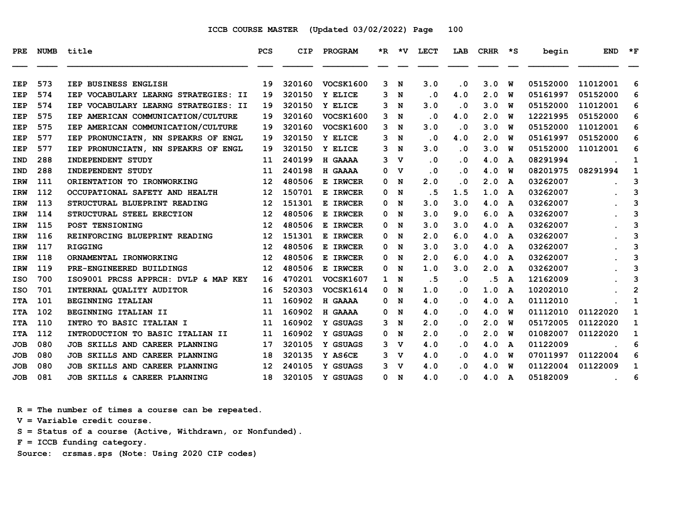| PRE        | <b>NUMB</b> | title                                | PCS | <b>CIP</b> | <b>PROGRAM</b>   |              | *R *V       | LECT                    | LAB                     | CRHR | ∗s | begin    | <b>END</b> | $*_{\mathbf{F}}$ |
|------------|-------------|--------------------------------------|-----|------------|------------------|--------------|-------------|-------------------------|-------------------------|------|----|----------|------------|------------------|
| <b>IEP</b> | 573         | IEP BUSINESS ENGLISH                 | 19  | 320160     | <b>VOCSK1600</b> | 3            | N           | 3.0                     | . 0                     | 3.0  | W  | 05152000 | 11012001   | 6                |
| <b>IEP</b> | 574         | IEP VOCABULARY LEARNG STRATEGIES: II | 19  | 320150     | Y ELICE          | 3            | N           | $\overline{\mathbf{0}}$ | 4.0                     | 2.0  | w  | 05161997 | 05152000   | 6                |
| <b>IEP</b> | 574         | IEP VOCABULARY LEARNG STRATEGIES: II | 19  | 320150     | Y ELICE          | 3            | N           | 3.0                     | $\cdot$ 0               | 3.0  | W  | 05152000 | 11012001   | 6                |
| <b>IEP</b> | 575         | IEP AMERICAN COMMUNICATION/CULTURE   | 19  | 320160     | <b>VOCSK1600</b> | 3            | N           | $\cdot$ 0               | 4.0                     | 2.0  | W  | 12221995 | 05152000   | 6                |
| <b>IEP</b> | 575         | IEP AMERICAN COMMUNICATION/CULTURE   | 19  | 320160     | <b>VOCSK1600</b> | 3            | N           | 3.0                     | $\cdot$ 0               | 3.0  | w  | 05152000 | 11012001   | 6                |
| <b>IEP</b> | 577         | IEP PRONUNCIATN, NN SPEAKRS OF ENGL  | 19  | 320150     | Y ELICE          | 3            | N           | $\cdot$ 0               | 4.0                     | 2.0  | w  | 05161997 | 05152000   | 6                |
| <b>IEP</b> | 577         | IEP PRONUNCIATN, NN SPEAKRS OF ENGL  | 19  | 320150     | Y ELICE          | 3            | N           | 3.0                     | $\overline{\mathbf{0}}$ | 3.0  | w  | 05152000 | 11012001   | 6                |
| <b>IND</b> | 288         | INDEPENDENT STUDY                    | 11  | 240199     | H GAAAA          | 3            | v           | $\cdot$ 0               | . 0                     | 4.0  | A  | 08291994 |            | 1                |
| <b>IND</b> | 288         | INDEPENDENT STUDY                    | 11  | 240198     | H GAAAA          | 0            | v           | . 0                     | . 0                     | 4.0  | W  | 08201975 | 08291994   | 1                |
| IRW        | 111         | ORIENTATION TO IRONWORKING           | 12  | 480506     | E IRWCER         | 0            | N           | 2.0                     | . 0                     | 2.0  | A  | 03262007 |            | 3                |
| IRW        | 112         | OCCUPATIONAL SAFETY AND HEALTH       | 12  | 150701     | E IRWCER         | 0            | N           | . 5                     | 1.5                     | 1.0  | A  | 03262007 |            | 3                |
| <b>IRW</b> | 113         | STRUCTURAL BLUEPRINT READING         | 12  | 151301     | E IRWCER         | 0            | N           | 3.0                     | 3.0                     | 4.0  | A  | 03262007 |            | 3                |
| <b>IRW</b> | 114         | STRUCTURAL STEEL ERECTION            | 12  | 480506     | E IRWCER         | 0            | N           | 3.0                     | 9.0                     | 6.0  | A  | 03262007 |            | 3                |
| <b>IRW</b> | 115         | POST TENSIONING                      | 12  | 480506     | E IRWCER         | 0            | N           | 3.0                     | 3.0                     | 4.0  | A  | 03262007 |            | 3                |
| <b>IRW</b> | 116         | REINFORCING BLUEPRINT READING        | 12  | 151301     | E IRWCER         | 0            | N           | 2.0                     | 6.0                     | 4.0  | A  | 03262007 |            | 3                |
| <b>IRW</b> | 117         | <b>RIGGING</b>                       | 12  | 480506     | E IRWCER         | 0            | N           | 3.0                     | 3.0                     | 4.0  | A  | 03262007 |            | 3                |
| <b>IRW</b> | 118         | ORNAMENTAL IRONWORKING               | 12  | 480506     | E IRWCER         | 0            | N           | 2.0                     | 6.0                     | 4.0  | A  | 03262007 |            | 3                |
| <b>IRW</b> | 119         | PRE-ENGINEERED BUILDINGS             | 12  | 480506     | E IRWCER         | 0            | N           | 1.0                     | 3.0                     | 2.0  | A  | 03262007 |            | 3                |
| ISO        | 700         | ISO9001 PRCSS APPRCH: DVLP & MAP KEY | 16  | 470201     | <b>VOCSK1607</b> | $\mathbf{1}$ | N           | .5                      | $\cdot$ 0               | .5   | A  | 12162009 |            | 3                |
| ISO        | 701         | INTERNAL QUALITY AUDITOR             | 16  | 520303     | VOCSK1614        | 0            | N           | 1.0                     | $\overline{\mathbf{0}}$ | 1.0  | A  | 10202010 |            | $\mathbf{2}$     |
| <b>ITA</b> | 101         | <b>BEGINNING ITALIAN</b>             | 11  | 160902     | H GAAAA          | 0            | N           | 4.0                     | . 0                     | 4.0  | A  | 01112010 |            | 1                |
| <b>ITA</b> | 102         | BEGINNING ITALIAN II                 | 11  | 160902     | H GAAAA          | 0            | N           | 4.0                     | $\cdot$ 0               | 4.0  | W  | 01112010 | 01122020   | 1                |
| <b>ITA</b> | 110         | INTRO TO BASIC ITALIAN I             | 11  | 160902     | Y GSUAGS         | 3            | N           | 2.0                     | . 0                     | 2.0  | W  | 05172005 | 01122020   | 1                |
| <b>ITA</b> | 112         | INTRODUCTION TO BASIC ITALIAN II     | 11  | 160902     | Y GSUAGS         | 0            | N           | 2.0                     | $\overline{\mathbf{0}}$ | 2.0  | W  | 01082007 | 01122020   | $\mathbf{1}$     |
| JOB        | 080         | JOB SKILLS AND CAREER PLANNING       | 17  | 320105     | Y GSUAGS         |              | 3 V         | 4.0                     | . 0                     | 4.0  | A  | 01122009 |            | 6                |
| JOB        | 080         | JOB SKILLS AND CAREER PLANNING       | 18  | 320135     | Y AS6CE          | 3            | v           | 4.0                     | $\cdot$ 0               | 4.0  | W  | 07011997 | 01122004   | 6                |
| JOB        | 080         | JOB SKILLS AND CAREER PLANNING       | 12  | 240105     | Y GSUAGS         | 3            | $\mathbf v$ | 4.0                     | . 0                     | 4.0  | W  | 01122004 | 01122009   | 1                |
| JOB        | 081         | JOB SKILLS & CAREER PLANNING         | 18  | 320105     | Y GSUAGS         |              | 0 N         | 4.0                     | . 0                     | 4.0  | A  | 05182009 |            | 6                |

 **R = The number of times a course can be repeated.**

 **V = Variable credit course.**

 **S = Status of a course (Active, Withdrawn, or Nonfunded).**

 **F = ICCB funding category.**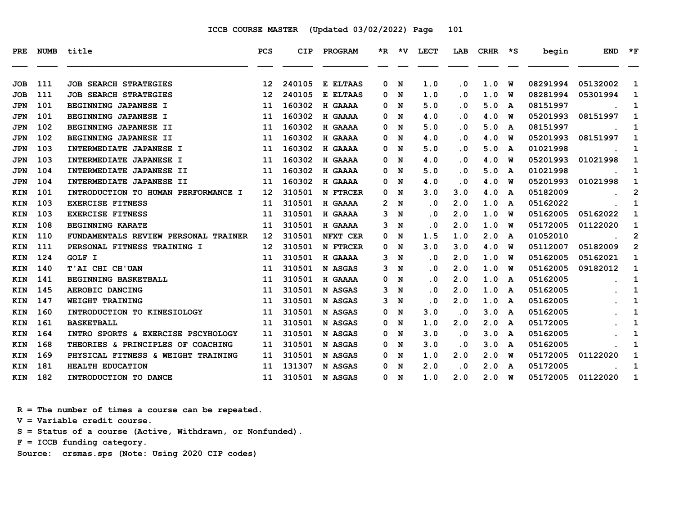| PRE        | <b>NUMB</b> | title                                | <b>PCS</b>        | <b>CIP</b> | PROGRAM  |   | *R *V | <b>LECT</b> | LAB       | CRHR | ∗s | begin    | <b>END</b> | $*_{\mathbf{F}}$ |
|------------|-------------|--------------------------------------|-------------------|------------|----------|---|-------|-------------|-----------|------|----|----------|------------|------------------|
| JOB        | 111         | <b>JOB SEARCH STRATEGIES</b>         | 12                | 240105     | E ELTAAS | 0 | N     | 1.0         | $\cdot$ 0 | 1.0  | W  | 08291994 | 05132002   | 1                |
| <b>JOB</b> | 111         | <b>JOB SEARCH STRATEGIES</b>         | 12                | 240105     | E ELTAAS | 0 | N     | 1.0         | $\cdot$ 0 | 1.0  | w  | 08281994 | 05301994   | 1                |
| <b>JPN</b> | 101         | BEGINNING JAPANESE I                 | 11                | 160302     | H GAAAA  | 0 | N     | 5.0         | . 0       | 5.0  | A  | 08151997 |            | 1                |
| <b>JPN</b> | 101         | BEGINNING JAPANESE I                 | 11                | 160302     | H GAAAA  | 0 | N     | 4.0         | $\cdot$ 0 | 4.0  | W  | 05201993 | 08151997   | 1                |
| <b>JPN</b> | 102         | BEGINNING JAPANESE II                | 11                | 160302     | H GAAAA  | 0 | N     | 5.0         | . 0       | 5.0  | A  | 08151997 |            | 1                |
| <b>JPN</b> | 102         | BEGINNING JAPANESE II                | 11                | 160302     | H GAAAA  | 0 | N     | 4.0         | $\cdot$ 0 | 4.0  | W  | 05201993 | 08151997   | 1                |
| <b>JPN</b> | 103         | INTERMEDIATE JAPANESE I              | 11                | 160302     | H GAAAA  | 0 | N     | 5.0         | $\cdot$ 0 | 5.0  | A  | 01021998 |            | 1                |
| <b>JPN</b> | 103         | INTERMEDIATE JAPANESE I              | 11                | 160302     | H GAAAA  | 0 | N     | 4.0         | $\cdot$ 0 | 4.0  | W  | 05201993 | 01021998   | 1                |
| <b>JPN</b> | 104         | INTERMEDIATE JAPANESE II             | 11                | 160302     | H GAAAA  | 0 | N     | 5.0         | $\cdot$ 0 | 5.0  | A  | 01021998 |            | $\mathbf{1}$     |
| <b>JPN</b> | 104         | INTERMEDIATE JAPANESE II             | 11                | 160302     | H GAAAA  | 0 | N     | 4.0         | . 0       | 4.0  | W  | 05201993 | 01021998   | 1                |
| KIN        | 101         | INTRODUCTION TO HUMAN PERFORMANCE I  | $12 \overline{ }$ | 310501     | N FTRCER | 0 | N     | 3.0         | 3.0       | 4.0  | A  | 05182009 |            | $\mathbf{2}$     |
| KIN        | 103         | <b>EXERCISE FITNESS</b>              | 11                | 310501     | H GAAAA  | 2 | N     | . 0         | 2.0       | 1.0  | A  | 05162022 |            | 1                |
| <b>KIN</b> | 103         | <b>EXERCISE FITNESS</b>              | 11                | 310501     | H GAAAA  | 3 | N     | . 0         | 2.0       | 1.0  | W  | 05162005 | 05162022   | 1                |
| KIN        | 108         | <b>BEGINNING KARATE</b>              | 11                | 310501     | H GAAAA  | 3 | N     | . 0         | 2.0       | 1.0  | W  | 05172005 | 01122020   | 1                |
| KIN        | 110         | FUNDAMENTALS REVIEW PERSONAL TRAINER | $12 \overline{ }$ | 310501     | NFXT CER | 0 | N     | 1.5         | 1.0       | 2.0  | A  | 01052010 |            | $\mathbf{2}$     |
| <b>KIN</b> | 111         | PERSONAL FITNESS TRAINING I          | $12 \overline{ }$ | 310501     | N FTRCER | 0 | N     | 3.0         | 3.0       | 4.0  | W  | 05112007 | 05182009   | $\overline{2}$   |
| <b>KIN</b> | 124         | <b>GOLF I</b>                        | 11                | 310501     | H GAAAA  | 3 | N     | . 0         | 2.0       | 1.0  | พ  | 05162005 | 05162021   | $\mathbf 1$      |
| <b>KIN</b> | 140         | T'AI CHI CH'UAN                      | 11                | 310501     | N ASGAS  | 3 | N     | . 0         | 2.0       | 1.0  | W  | 05162005 | 09182012   | 1                |
| <b>KIN</b> | 141         | BEGINNING BASKETBALL                 | 11                | 310501     | H GAAAA  | 0 | N     | . 0         | 2.0       | 1.0  | A  | 05162005 |            | 1                |
| <b>KIN</b> | 145         | AEROBIC DANCING                      | 11                | 310501     | N ASGAS  | 3 | N     | . 0         | 2.0       | 1.0  | A  | 05162005 |            | 1                |
| KIN        | 147         | WEIGHT TRAINING                      | 11                | 310501     | N ASGAS  | 3 | N     | . 0         | 2.0       | 1.0  | A  | 05162005 |            | 1                |
| KIN        | 160         | INTRODUCTION TO KINESIOLOGY          | 11                | 310501     | N ASGAS  | 0 | N     | 3.0         | . 0       | 3.0  | A  | 05162005 |            | 1                |
| <b>KIN</b> | 161         | <b>BASKETBALL</b>                    | 11                | 310501     | N ASGAS  | 0 | N     | 1.0         | 2.0       | 2.0  | A  | 05172005 |            | 1                |
| KIN        | 164         | INTRO SPORTS & EXERCISE PSCYHOLOGY   | 11                | 310501     | N ASGAS  | 0 | N     | 3.0         | . 0       | 3.0  | A  | 05162005 |            | 1                |
| KIN        | 168         | THEORIES & PRINCIPLES OF COACHING    | 11                | 310501     | N ASGAS  | 0 | N     | 3.0         | $\cdot$ 0 | 3.0  | A  | 05162005 |            | 1                |
| <b>KIN</b> | 169         | PHYSICAL FITNESS & WEIGHT TRAINING   | 11                | 310501     | N ASGAS  | 0 | N     | 1.0         | 2.0       | 2.0  | W  | 05172005 | 01122020   | 1                |
| <b>KIN</b> | 181         | <b>HEALTH EDUCATION</b>              | 11                | 131307     | N ASGAS  | 0 | N     | 2.0         | . 0       | 2.0  | A  | 05172005 |            | $\mathbf{1}$     |
| KIN        | 182         | INTRODUCTION TO DANCE                | 11                | 310501     | N ASGAS  | 0 | N     | 1.0         | 2.0       | 2.0  | W  | 05172005 | 01122020   | 1                |

 **R = The number of times a course can be repeated.**

 **V = Variable credit course.**

 **S = Status of a course (Active, Withdrawn, or Nonfunded).**

 **F = ICCB funding category.**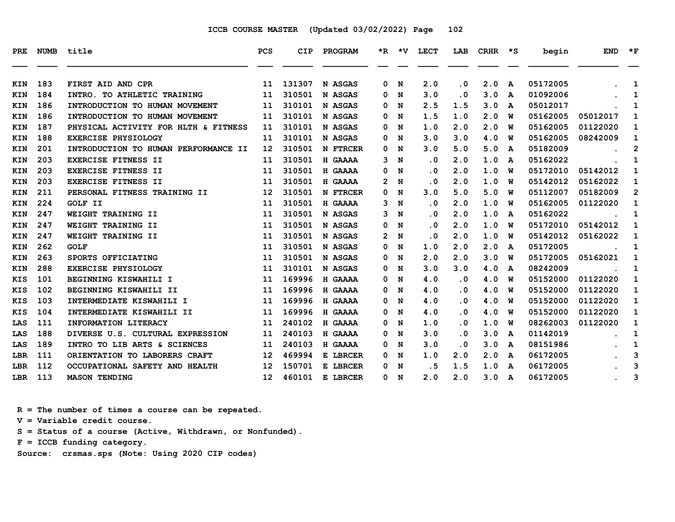| PRE        | <b>NUMB</b> | title                                | <b>PCS</b>        | <b>CIP</b> | PROGRAM         | *R.            | $\star$ v | <b>LECT</b> | LAB       | <b>CRHR</b> | $\star$ s | begin    | <b>END</b> | $\star$ F      |
|------------|-------------|--------------------------------------|-------------------|------------|-----------------|----------------|-----------|-------------|-----------|-------------|-----------|----------|------------|----------------|
| KIN        | 183         | FIRST AID AND CPR                    | 11                | 131307     | N ASGAS         | 0              | N         | 2.0         | $\cdot$ 0 | 2.0         | A         | 05172005 |            | 1              |
| <b>KIN</b> | 184         | INTRO. TO ATHLETIC TRAINING          | 11                | 310501     | N ASGAS         | 0              | N         | 3.0         | . 0       | 3.0         | A         | 01092006 |            | 1              |
| <b>KIN</b> | 186         | INTRODUCTION TO HUMAN MOVEMENT       | 11                | 310101     | N ASGAS         | 0              | N         | 2.5         | 1.5       | 3.0         | A         | 05012017 |            | 1              |
| <b>KIN</b> | 186         | INTRODUCTION TO HUMAN MOVEMENT       | 11                | 310101     | N ASGAS         | 0              | N         | 1.5         | 1.0       | 2.0         | W         | 05162005 | 05012017   | 1              |
| KIN        | 187         | PHYSICAL ACTIVITY FOR HLTH & FITNESS | 11                | 310101     | N ASGAS         | 0              | N         | 1.0         | 2.0       | 2.0         | W         | 05162005 | 01122020   | 1              |
| <b>KIN</b> | 188         | <b>EXERCISE PHYSIOLOGY</b>           | 11                | 310101     | N ASGAS         | 0              | N         | 3.0         | 3.0       | 4.0         | W         | 05162005 | 08242009   | 1              |
| <b>KIN</b> | 201         | INTRODUCTION TO HUMAN PERFORMANCE II | 12                | 310501     | <b>N FTRCER</b> | 0              | N         | 3.0         | 5.0       | 5.0         | A         | 05182009 |            | $\mathbf{2}$   |
| <b>KIN</b> | 203         | EXERCISE FITNESS II                  | 11                | 310501     | H GAAAA         | 3              | N         | $\cdot$ 0   | 2.0       | 1.0         | A         | 05162022 |            | 1              |
| KIN        | 203         | EXERCISE FITNESS II                  | 11                | 310501     | H GAAAA         | 0              | N         | $\cdot$ 0   | 2.0       | 1.0         | W         | 05172010 | 05142012   | 1              |
| <b>KIN</b> | 203         | EXERCISE FITNESS II                  | 11                | 310501     | H GAAAA         | $\mathbf{2}$   | N         | $\cdot$ 0   | 2.0       | 1.0         | W         | 05142012 | 05162022   | 1              |
| <b>KIN</b> | 211         | PERSONAL FITNESS TRAINING II         | 12                | 310501     | <b>N FTRCER</b> | 0              | N         | 3.0         | 5.0       | 5.0         | W         | 05112007 | 05182009   | $\overline{2}$ |
| KIN        | 224         | GOLF II                              | 11                | 310501     | H GAAAA         | 3              | N         | $\cdot$ 0   | 2.0       | 1.0         | W         | 05162005 | 01122020   | 1              |
| KIN        | 247         | WEIGHT TRAINING II                   | 11                | 310501     | N ASGAS         | з              | N         | $\cdot$ 0   | 2.0       | 1.0         | A         | 05162022 |            | 1              |
| <b>KIN</b> | 247         | WEIGHT TRAINING II                   | 11                | 310501     | N ASGAS         | 0              | N         | $\cdot$ 0   | 2.0       | 1.0         | W         | 05172010 | 05142012   | 1              |
| <b>KIN</b> | 247         | WEIGHT TRAINING II                   | 11                | 310501     | N ASGAS         | $\overline{2}$ | N         | . 0         | 2.0       | 1.0         | W         | 05142012 | 05162022   | 1              |
| KIN        | 262         | <b>GOLF</b>                          | 11                | 310501     | N ASGAS         | 0              | N         | 1.0         | 2.0       | 2.0         | A         | 05172005 |            | 1              |
| KIN        | 263         | SPORTS OFFICIATING                   | 11                | 310501     | N ASGAS         | 0              | N         | 2.0         | 2.0       | 3.0         | W         | 05172005 | 05162021   | 1              |
| KIN        | 288         | <b>EXERCISE PHYSIOLOGY</b>           | 11                | 310101     | N ASGAS         | 0              | N         | 3.0         | 3.0       | 4.0         | A         | 08242009 |            | 1              |
| <b>KIS</b> | 101         | BEGINNING KISWAHILI I                | 11                | 169996     | H GAAAA         | 0              | N         | 4.0         | . 0       | 4.0         | W         | 05152000 | 01122020   | 1              |
| <b>KIS</b> | 102         | BEGINNING KISWAHILI II               | 11                | 169996     | H GAAAA         | 0              | N         | 4.0         | . 0       | 4.0         | W         | 05152000 | 01122020   | 1              |
| KIS        | 103         | INTERMEDIATE KISWAHILI I             | 11                | 169996     | H GAAAA         | 0              | N         | 4.0         | . 0       | 4.0         | W         | 05152000 | 01122020   | 1              |
| KIS        | 104         | INTERMEDIATE KISWAHILI II            | 11                | 169996     | H GAAAA         | 0              | N         | 4.0         | . 0       | 4.0         | W         | 05152000 | 01122020   | 1              |
| LAS        | 111         | INFORMATION LITERACY                 | 11                | 240102     | H GAAAA         | 0              | N         | 1.0         | . 0       | 1.0         | W         | 08262003 | 01122020   | 1              |
| LAS        | 188         | DIVERSE U.S. CULTURAL EXPRESSION     | 11                | 240103     | H GAAAA         | 0              | N         | 3.0         | . 0       | 3.0         | A         | 01142019 |            | 1              |
| LAS        | 189         | INTRO TO LIB ARTS & SCIENCES         | 11                | 240103     | H GAAAA         | 0              | N         | 3.0         | . 0       | 3.0         | A         | 08151986 |            | 1              |
| LBR        | 111         | ORIENTATION TO LABORERS CRAFT        | 12                | 469994     | E LBRCER        | 0              | N         | 1.0         | 2.0       | 2.0         | A         | 06172005 |            | 3              |
| <b>LBR</b> | 112         | OCCUPATIONAL SAFETY AND HEALTH       | 12                | 150701     | E LBRCER        | 0              | N         | . 5         | 1.5       | 1.0         | A         | 06172005 |            | 3              |
| LBR        | 113         | <b>MASON TENDING</b>                 | $12 \overline{ }$ | 460101     | E LBRCER        | 0              | N         | 2.0         | 2.0       | 3.0         | A         | 06172005 |            | 3              |

 **R = The number of times a course can be repeated.**

 **V = Variable credit course.**

 **S = Status of a course (Active, Withdrawn, or Nonfunded).**

 **F = ICCB funding category.**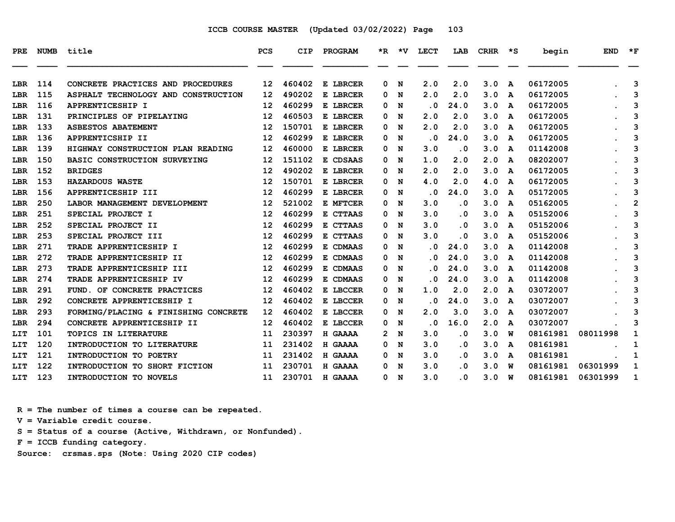| PRE. | <b>NUMB</b> | title                                | <b>PCS</b> | CIP    | PROGRAM  | *R. | *V | LECT | LAB                     | <b>CRHR</b> | *S | begin    | <b>END</b> | $*_{\mathbf{F}}$ |
|------|-------------|--------------------------------------|------------|--------|----------|-----|----|------|-------------------------|-------------|----|----------|------------|------------------|
| LBR  | 114         | CONCRETE PRACTICES AND PROCEDURES    | 12         | 460402 | E LBRCER | 0   | N  | 2.0  | 2.0                     | 3.0         | A  | 06172005 |            | 3                |
| LBR  | 115         | ASPHALT TECHNOLOGY AND CONSTRUCTION  | 12         | 490202 | E LBRCER | 0   | N  | 2.0  | 2.0                     | 3.0         | A  | 06172005 |            | 3                |
| LBR  | 116         | APPRENTICESHIP I                     | 12         | 460299 | E LBRCER | 0   | N  | . 0  | 24.0                    | 3.0         | A  | 06172005 |            | 3                |
| LBR  | 131         | PRINCIPLES OF PIPELAYING             | 12         | 460503 | E LBRCER | 0   | N  | 2.0  | 2.0                     | 3.0         | A  | 06172005 |            | 3                |
| LBR  | 133         | <b>ASBESTOS ABATEMENT</b>            | 12         | 150701 | E LBRCER | 0   | N  | 2.0  | 2.0                     | 3.0         | A  | 06172005 |            | 3                |
| LBR  | 136         | APPRENTICSHIP II                     | 12         | 460299 | E LBRCER | 0   | N  | . 0  | 24.0                    | 3.0         | A  | 06172005 |            | 3                |
| LBR  | 139         | HIGHWAY CONSTRUCTION PLAN READING    | 12         | 460000 | E LBRCER | 0   | N  | 3.0  | . 0                     | 3.0         | A  | 01142008 |            | 3                |
| LBR  | 150         | BASIC CONSTRUCTION SURVEYING         | 12         | 151102 | E CDSAAS | 0   | N  | 1.0  | 2.0                     | 2.0         | A  | 08202007 |            | 3                |
| LBR  | 152         | <b>BRIDGES</b>                       | 12         | 490202 | E LBRCER | 0   | N  | 2.0  | 2.0                     | 3.0         | A  | 06172005 |            | 3                |
| LBR  | 153         | <b>HAZARDOUS WASTE</b>               | 12         | 150701 | E LBRCER | 0   | N  | 4.0  | 2.0                     | 4.0         | A  | 06172005 |            | 3                |
| LBR  | 156         | APPRENTICESHIP III                   | 12         | 460299 | E LBRCER | 0   | N  | . 0  | 24.0                    | 3.0         | A  | 05172005 |            | 3                |
| LBR  | 250         | LABOR MANAGEMENT DEVELOPMENT         | 12         | 521002 | E MFTCER | 0   | N  | 3.0  | $\overline{\mathbf{0}}$ | 3.0         | A  | 05162005 |            | $\overline{2}$   |
| LBR  | 251         | SPECIAL PROJECT I                    | 12         | 460299 | E CTTAAS | 0   | N  | 3.0  | . 0                     | 3.0         | A  | 05152006 |            | 3                |
| LBR  | 252         | SPECIAL PROJECT II                   | 12         | 460299 | E CTTAAS | 0   | N  | 3.0  | . 0                     | 3.0         | A  | 05152006 |            | 3                |
| LBR  | 253         | SPECIAL PROJECT III                  | 12         | 460299 | E CTTAAS | 0   | N  | 3.0  | . 0                     | 3.0         | A  | 05152006 |            | 3                |
| LBR  | 271         | <b>TRADE APPRENTICESHIP I</b>        | 12         | 460299 | E CDMAAS | 0   | N  | . 0  | 24.0                    | 3.0         | A  | 01142008 |            | 3                |
| LBR  | 272         | TRADE APPRENTICESHIP II              | 12         | 460299 | E CDMAAS | 0   | N  | . 0  | 24.0                    | 3.0         | A  | 01142008 |            | 3                |
| LBR  | 273         | TRADE APPRENTICESHIP III             | 12         | 460299 | E CDMAAS | 0   | N  | . 0  | 24.0                    | 3.0         | A  | 01142008 |            | 3                |
| LBR  | 274         | TRADE APPRENTICESHIP IV              | 12         | 460299 | E CDMAAS | 0   | N  | . 0  | 24.0                    | 3.0         | A  | 01142008 |            | 3                |
| LBR  | 291         | FUND. OF CONCRETE PRACTICES          | 12         | 460402 | E LBCCER | 0   | N  | 1.0  | 2.0                     | 2.0         | A  | 03072007 |            | 3                |
| LBR  | 292         | CONCRETE APPRENTICESHIP I            | 12         | 460402 | E LBCCER | 0   | N  | . 0  | 24.0                    | 3.0         | A  | 03072007 |            | 3                |
| LBR  | 293         | FORMING/PLACING & FINISHING CONCRETE | 12         | 460402 | E LBCCER | 0.  | N  | 2.0  | 3.0                     | 3.0         | A  | 03072007 |            | 3                |
| LBR  | 294         | CONCRETE APPRENTICESHIP II           | 12         | 460402 | E LBCCER | 0   | N  | . 0  | 16.0                    | 2.0         | A  | 03072007 |            | 3                |
| LIT  | 101         | <b>TOPICS IN LITERATURE</b>          | 11         | 230397 | H GAAAA  | 2.  | N  | 3.0  | . 0                     | 3.0         | w  | 08161981 | 08011998   | 1                |
| LIT  | 120         | INTRODUCTION TO LITERATURE           | 11         | 231402 | H GAAAA  | 0   | N  | 3.0  | . 0                     | 3.0         | A  | 08161981 |            | 1                |
| LIT  | 121         | INTRODUCTION TO POETRY               | 11         | 231402 | H GAAAA  | 0   | N  | 3.0  | . 0                     | 3.0         | A  | 08161981 |            | 1                |
| LIT  | 122         | INTRODUCTION TO SHORT FICTION        | 11         | 230701 | H GAAAA  | 0   | N  | 3.0  | . 0                     | 3.0         | w  | 08161981 | 06301999   | $\mathbf{1}$     |
| LIT  | 123         | INTRODUCTION TO NOVELS               | 11         | 230701 | H GAAAA  | 0   | N  | 3.0  | . 0                     | 3.0         | พ  | 08161981 | 06301999   | 1                |

 **R = The number of times a course can be repeated.**

 **V = Variable credit course.**

 **S = Status of a course (Active, Withdrawn, or Nonfunded).**

 **F = ICCB funding category.**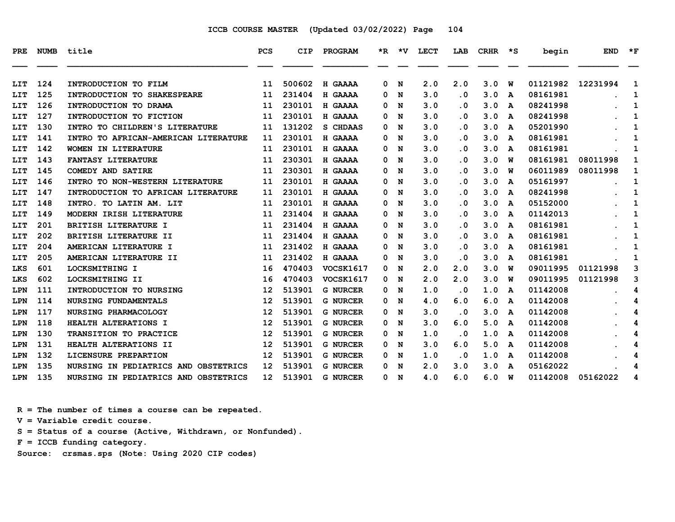| <b>PRE</b> | <b>NUMB</b> | title                                | <b>PCS</b>        | <b>CIP</b> | PROGRAM          | *R. | ∗v | LECT | LAB                     | <b>CRHR</b> | ∗s | begin    | <b>END</b> | $*_{\mathbf{F}}$ |
|------------|-------------|--------------------------------------|-------------------|------------|------------------|-----|----|------|-------------------------|-------------|----|----------|------------|------------------|
| LIT        | 124         | INTRODUCTION TO FILM                 | 11                | 500602     | H GAAAA          | 0   | N  | 2.0  | 2.0                     | 3.0         | W  | 01121982 | 12231994   | 1                |
| LIT        | 125         | INTRODUCTION TO SHAKESPEARE          | 11                | 231404     | H GAAAA          | 0   | N  | 3.0  | $\cdot$ 0               | 3.0         | A  | 08161981 |            | 1                |
| LIT        | 126         | INTRODUCTION TO DRAMA                | 11                | 230101     | H GAAAA          | 0   | N  | 3.0  | $\cdot$ 0               | 3.0         | A  | 08241998 |            | 1                |
| LIT        | 127         | INTRODUCTION TO FICTION              | 11                | 230101     | H GAAAA          | 0   | N  | 3.0  | $\overline{\mathbf{0}}$ | 3.0         | A  | 08241998 |            | 1                |
| LIT        | 130         | INTRO TO CHILDREN'S LITERATURE       | 11                | 131202     | S CHDAAS         | 0   | N  | 3.0  | $\cdot$ 0               | 3.0         | A  | 05201990 |            | 1                |
| LIT        | 141         | INTRO TO AFRICAN-AMERICAN LITERATURE | 11                | 230101     | H GAAAA          | 0   | N  | 3.0  | . 0                     | 3.0         | A  | 08161981 |            | 1                |
| LIT        | 142         | WOMEN IN LITERATURE                  | 11                | 230101     | H GAAAA          | 0   | N  | 3.0  | $\cdot$ 0               | 3.0         | A  | 08161981 |            | 1                |
| LIT        | 143         | <b>FANTASY LITERATURE</b>            | 11                | 230301     | H GAAAA          | 0   | N  | 3.0  | $\cdot$ 0               | 3.0         | W  | 08161981 | 08011998   | 1                |
| LIT        | 145         | <b>COMEDY AND SATIRE</b>             | 11                | 230301     | H GAAAA          | 0   | N  | 3.0  | . 0                     | 3.0         | W  | 06011989 | 08011998   | 1                |
| LIT        | 146         | INTRO TO NON-WESTERN LITERATURE      | 11                | 230101     | H GAAAA          | 0   | N  | 3.0  | $\cdot$ 0               | 3.0         | A  | 05161997 |            | 1                |
| LIT        | 147         | INTRODUCTION TO AFRICAN LITERATURE   | 11                | 230101     | H GAAAA          | 0   | N  | 3.0  | . 0                     | 3.0         | A  | 08241998 |            | 1                |
| LIT        | 148         | INTRO. TO LATIN AM. LIT              | 11                | 230101     | H GAAAA          | 0   | N  | 3.0  | $\cdot$ 0               | 3.0         | A  | 05152000 |            | 1                |
| LIT        | 149         | MODERN IRISH LITERATURE              | 11                | 231404     | H GAAAA          | 0   | N  | 3.0  | . 0                     | 3.0         | A  | 01142013 |            | 1                |
| LIT        | 201         | <b>BRITISH LITERATURE I</b>          | 11                | 231404     | H GAAAA          | 0   | N  | 3.0  | $\overline{\mathbf{0}}$ | 3.0         | A  | 08161981 |            | 1                |
| LIT        | 202         | BRITISH LITERATURE II                | 11                | 231404     | H GAAAA          | 0   | N  | 3.0  | $\cdot$ 0               | 3.0         | A  | 08161981 |            | 1                |
| LIT        | 204         | AMERICAN LITERATURE I                | 11                | 231402     | H GAAAA          | 0   | N  | 3.0  | . 0                     | 3.0         | A  | 08161981 |            | 1                |
| LIT        | 205         | AMERICAN LITERATURE II               | 11                | 231402     | H GAAAA          | 0   | N  | 3.0  | $\cdot$ 0               | 3.0         | A  | 08161981 |            | 1                |
| LKS        | 601         | LOCKSMITHING I                       | 16                | 470403     | <b>VOCSK1617</b> | 0   | N  | 2.0  | 2.0                     | 3.0         | W  | 09011995 | 01121998   | 3                |
| LKS        | 602         | LOCKSMITHING II                      | 16                | 470403     | <b>VOCSK1617</b> | 0   | N  | 2.0  | 2.0                     | 3.0         | W  | 09011995 | 01121998   | 3                |
| LPN        | 111         | INTRODUCTION TO NURSING              | $12 \overline{ }$ | 513901     | <b>G NURCER</b>  | 0   | N  | 1.0  | . 0                     | 1.0         | A  | 01142008 |            | 4                |
| LPN        | 114         | NURSING FUNDAMENTALS                 | 12                | 513901     | <b>G NURCER</b>  | 0   | N  | 4.0  | 6.0                     | 6.0         | A  | 01142008 |            | 4                |
| LPN        | 117         | NURSING PHARMACOLOGY                 | $12 \overline{ }$ | 513901     | <b>G NURCER</b>  | 0   | N  | 3.0  | $\cdot$ 0               | 3.0         | A  | 01142008 |            | 4                |
| LPN        | 118         | HEALTH ALTERATIONS I                 | 12                | 513901     | <b>G NURCER</b>  | 0   | N  | 3.0  | 6.0                     | 5.0         | A  | 01142008 |            | 4                |
| LPN        | 130         | TRANSITION TO PRACTICE               | 12                | 513901     | <b>G NURCER</b>  | 0   | N  | 1.0  | . 0                     | 1.0         | A  | 01142008 |            | 4                |
| LPN        | 131         | HEALTH ALTERATIONS II                | 12                | 513901     | <b>G NURCER</b>  | 0   | N  | 3.0  | 6.0                     | 5.0         | A  | 01142008 |            | 4                |
| LPN        | 132         | LICENSURE PREPARTION                 | 12                | 513901     | <b>G NURCER</b>  | 0   | N  | 1.0  | $\cdot$ 0               | 1.0         | A  | 01142008 |            | 4                |
| LPN        | 135         | NURSING IN PEDIATRICS AND OBSTETRICS | 12                | 513901     | <b>G NURCER</b>  | 0   | N  | 2.0  | 3.0                     | 3.0         | A  | 05162022 |            | 4                |
| LPN        | 135         | NURSING IN PEDIATRICS AND OBSTETRICS | 12                | 513901     | <b>G NURCER</b>  | 0   | N  | 4.0  | 6.0                     | 6.0         | W  | 01142008 | 05162022   | 4                |

 **R = The number of times a course can be repeated.**

 **V = Variable credit course.**

 **S = Status of a course (Active, Withdrawn, or Nonfunded).**

 **F = ICCB funding category.**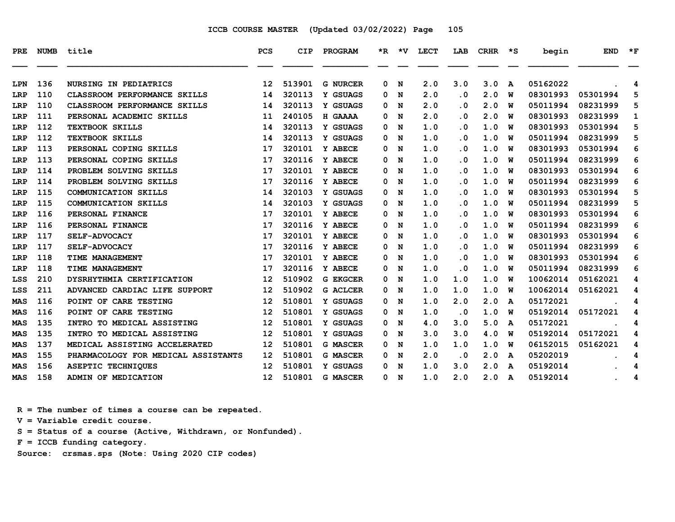| PRE        | <b>NUMB</b> | title                               | PCS             | <b>CIP</b> | PROGRAM             |   | $*R$ $*V$ | <b>LECT</b> | LAB                     | CRHR       | י ∗י   | begin    | <b>END</b> | $*_{\mathbf{F}}$ |
|------------|-------------|-------------------------------------|-----------------|------------|---------------------|---|-----------|-------------|-------------------------|------------|--------|----------|------------|------------------|
| LPN        | 136         | <b>NURSING IN PEDIATRICS</b>        | 12              | 513901     | <b>G NURCER</b>     | 0 | N         | 2.0         | 3.0                     | 3.0        |        | 05162022 |            |                  |
| LRP        | 110         | <b>CLASSROOM PERFORMANCE SKILLS</b> | 14              | 320113     | Y GSUAGS            | 0 | N         | 2.0         | $\cdot$ 0               | 2.0        | A<br>W | 08301993 | 05301994   | 4<br>5           |
|            | 110         | CLASSROOM PERFORMANCE SKILLS        | 14              | 320113     | Y GSUAGS            | 0 | N         | 2.0         | $\cdot$ 0               | 2.0        | W      | 05011994 | 08231999   | 5                |
| LRP        | 111         | PERSONAL ACADEMIC SKILLS            |                 | 240105     |                     |   |           | 2.0         | $\cdot$ 0               | 2.0        | W      | 08301993 | 08231999   |                  |
| LRP        | 112         | <b>TEXTBOOK SKILLS</b>              | 11              | 320113     | H GAAAA<br>Y GSUAGS | 0 | N         | 1.0         | . 0                     | 1.0        |        | 08301993 | 05301994   | 1                |
| LRP        | 112         | <b>TEXTBOOK SKILLS</b>              | 14              | 320113     | Y GSUAGS            | 0 | N         | 1.0         | $\cdot$ 0               |            | W      | 05011994 | 08231999   | 5                |
| LRP        | 113         |                                     | 14              | 320101     | Y ABECE             | 0 | N         |             |                         | 1.0<br>1.0 | W      | 08301993 |            | 5                |
| LRP        |             | PERSONAL COPING SKILLS              | 17              |            |                     | 0 | N         | 1.0         | . 0                     |            | W      |          | 05301994   | 6                |
| LRP        | 113         | PERSONAL COPING SKILLS              | 17              | 320116     | Y ABECE             | 0 | N         | 1.0         | $\cdot$ 0               | 1.0        | W      | 05011994 | 08231999   | 6                |
| LRP        | 114         | PROBLEM SOLVING SKILLS              | 17              | 320101     | Y ABECE             | 0 | N         | 1.0         | $\cdot$ 0               | 1.0        | W      | 08301993 | 05301994   | 6                |
| LRP        | 114         | PROBLEM SOLVING SKILLS              | 17              | 320116     | Y ABECE             | 0 | N         | 1.0         | $\cdot$ 0               | 1.0        | W      | 05011994 | 08231999   | 6                |
| LRP        | 115         | <b>COMMUNICATION SKILLS</b>         | 14              | 320103     | Y GSUAGS            | 0 | N         | 1.0         | . 0                     | 1.0        | W      | 08301993 | 05301994   | 5                |
| LRP        | 115         | COMMUNICATION SKILLS                | 14              | 320103     | Y GSUAGS            | 0 | N         | 1.0         | $\cdot$ 0               | 1.0        | W      | 05011994 | 08231999   | 5                |
| LRP        | 116         | PERSONAL FINANCE                    | 17              | 320101     | Y ABECE             | 0 | N         | 1.0         | $\cdot$ 0               | 1.0        | W      | 08301993 | 05301994   | 6                |
| LRP        | 116         | PERSONAL FINANCE                    | 17              | 320116     | Y ABECE             | 0 | N         | 1.0         | . 0                     | 1.0        | W      | 05011994 | 08231999   | 6                |
| LRP        | 117         | <b>SELF-ADVOCACY</b>                | 17              | 320101     | Y ABECE             | 0 | N         | 1.0         | $\cdot$ 0               | 1.0        | W      | 08301993 | 05301994   | 6                |
| LRP        | 117         | <b>SELF-ADVOCACY</b>                | 17              | 320116     | Y ABECE             | 0 | N         | 1.0         | . 0                     | 1.0        | W      | 05011994 | 08231999   | 6                |
| LRP        | 118         | <b>TIME MANAGEMENT</b>              | 17              | 320101     | Y ABECE             | 0 | N         | 1.0         | $\cdot$ 0               | 1.0        | W      | 08301993 | 05301994   | 6                |
| LRP        | 118         | TIME MANAGEMENT                     | 17              | 320116     | Y ABECE             | 0 | N         | 1.0         | $\overline{\mathbf{0}}$ | 1.0        | W      | 05011994 | 08231999   | 6                |
| LSS        | 210         | DYSRHYTHMIA CERTIFICATION           | 12              | 510902     | <b>G EKGCER</b>     | 0 | N         | 1.0         | 1.0                     | 1.0        | W      | 10062014 | 05162021   | 4                |
| LSS        | 211         | ADVANCED CARDIAC LIFE SUPPORT       | 12              | 510902     | <b>G ACLCER</b>     | 0 | N         | 1.0         | 1.0                     | 1.0        | W      | 10062014 | 05162021   | 4                |
| MAS        | 116         | POINT OF CARE TESTING               | 12              | 510801     | Y GSUAGS            | 0 | N         | 1.0         | 2.0                     | 2.0        | A      | 05172021 |            | 4                |
| <b>MAS</b> | 116         | POINT OF CARE TESTING               | 12              | 510801     | Y GSUAGS            | 0 | N         | 1.0         | $\cdot$ 0               | 1.0        | W      | 05192014 | 05172021   | 4                |
| MAS        | 135         | INTRO TO MEDICAL ASSISTING          | 12              | 510801     | Y GSUAGS            | 0 | N         | 4.0         | 3.0                     | 5.0        | A      | 05172021 |            | 4                |
| MAS        | 135         | INTRO TO MEDICAL ASSISTING          | 12              | 510801     | Y GSUAGS            | 0 | N         | 3.0         | 3.0                     | 4.0        | W      | 05192014 | 05172021   | 4                |
| MAS        | 137         | MEDICAL ASSISTING ACCELERATED       | 12              | 510801     | <b>G MASCER</b>     | 0 | N         | 1.0         | 1.0                     | 1.0        | W      | 06152015 | 05162021   | 4                |
| <b>MAS</b> | 155         | PHARMACOLOGY FOR MEDICAL ASSISTANTS | 12              | 510801     | <b>G MASCER</b>     | 0 | N         | 2.0         | $\cdot$ 0               | 2.0        | A      | 05202019 |            | 4                |
| MAS        | 156         | <b>ASEPTIC TECHNIQUES</b>           | 12              | 510801     | Y GSUAGS            | 0 | N         | 1.0         | 3.0                     | 2.0        | A      | 05192014 |            | 4                |
| MAS        | 158         | ADMIN OF MEDICATION                 | 12 <sup>°</sup> | 510801     | <b>G MASCER</b>     | 0 | N         | 1.0         | 2.0                     | 2.0        | A      | 05192014 |            | 4                |

 **R = The number of times a course can be repeated.**

 **V = Variable credit course.**

 **S = Status of a course (Active, Withdrawn, or Nonfunded).**

 **F = ICCB funding category.**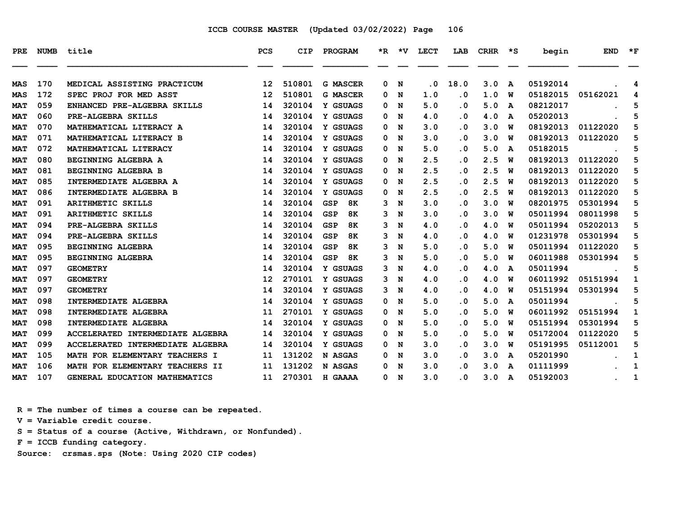| PRE.       | <b>NUMB</b> | title                            | <b>PCS</b>        | <b>CIP</b> | PROGRAM                 |   | $*R$ $*V$   | <b>LECT</b> | LAB       | <b>CRHR</b> | $\star$ s | begin    | <b>END</b> | $*_{\mathbf{F}}$ |
|------------|-------------|----------------------------------|-------------------|------------|-------------------------|---|-------------|-------------|-----------|-------------|-----------|----------|------------|------------------|
| MAS        | 170         | MEDICAL ASSISTING PRACTICUM      | $12 \overline{ }$ | 510801     | <b>G MASCER</b>         | 0 | N           | . 0         | 18.0      | 3.0         | A         | 05192014 |            | 4                |
| <b>MAS</b> | 172         | SPEC PROJ FOR MED ASST           | 12                | 510801     | <b>G MASCER</b>         | 0 | N           | 1.0         | $\cdot$ 0 | 1.0         | W         | 05182015 | 05162021   | 4                |
| <b>MAT</b> | 059         | ENHANCED PRE-ALGEBRA SKILLS      | 14                | 320104     | Y GSUAGS                | 0 | N           | 5.0         | $\cdot$ 0 | 5.0         | A         | 08212017 |            | 5                |
| <b>MAT</b> | 060         | PRE-ALGEBRA SKILLS               | 14                | 320104     | Y GSUAGS                | 0 | N           | 4.0         | $\cdot$ 0 | 4.0         | A         | 05202013 |            | 5                |
| <b>MAT</b> | 070         | MATHEMATICAL LITERACY A          | 14                | 320104     | Y GSUAGS                | 0 | N           | 3.0         | $\cdot$ 0 | 3.0         | W         | 08192013 | 01122020   | 5                |
| <b>MAT</b> | 071         | MATHEMATICAL LITERACY B          | 14                | 320104     | Y GSUAGS                | 0 | N           | 3.0         | $\cdot$ 0 | 3.0         | W         | 08192013 | 01122020   | 5                |
| <b>MAT</b> | 072         | MATHEMATICAL LITERACY            | 14                | 320104     | Y GSUAGS                | 0 | N           | 5.0         | $\cdot$ 0 | 5.0         | A         | 05182015 |            | 5                |
| <b>MAT</b> | 080         | BEGINNING ALGEBRA A              | 14                | 320104     | Y GSUAGS                | 0 | N           | 2.5         | . 0       | 2.5         | W         | 08192013 | 01122020   | 5                |
| <b>MAT</b> | 081         | BEGINNING ALGEBRA B              | 14                | 320104     | Y GSUAGS                | 0 | N           | 2.5         | $\cdot$ 0 | 2.5         | W         | 08192013 | 01122020   | 5                |
| <b>MAT</b> | 085         | INTERMEDIATE ALGEBRA A           | 14                | 320104     | Y GSUAGS                | 0 | N           | 2.5         | . 0       | 2.5         | W         | 08192013 | 01122020   | 5                |
| <b>MAT</b> | 086         | INTERMEDIATE ALGEBRA B           | 14                | 320104     | Y GSUAGS                | 0 | N           | 2.5         | $\cdot$ 0 | 2.5         | W         | 08192013 | 01122020   | 5                |
| <b>MAT</b> | 091         | <b>ARITHMETIC SKILLS</b>         | 14                | 320104     | <b>8K</b><br><b>GSP</b> | 3 | N           | 3.0         | . 0       | 3.0         | W         | 08201975 | 05301994   | 5                |
| <b>MAT</b> | 091         | ARITHMETIC SKILLS                | 14                | 320104     | <b>GSP</b><br><b>8K</b> | 3 | N           | 3.0         | $\cdot$ 0 | 3.0         | W         | 05011994 | 08011998   | 5                |
| <b>MAT</b> | 094         | PRE-ALGEBRA SKILLS               | 14                | 320104     | <b>GSP</b><br>8K        | 3 | N           | 4.0         | . 0       | 4.0         | W         | 05011994 | 05202013   | 5                |
| <b>MAT</b> | 094         | PRE-ALGEBRA SKILLS               | 14                | 320104     | <b>GSP</b><br>8K        | 3 | N           | 4.0         | $\cdot$ 0 | 4.0         | W         | 01231978 | 05301994   | 5                |
| <b>MAT</b> | 095         | BEGINNING ALGEBRA                | 14                | 320104     | <b>GSP</b><br>8K        | 3 | N           | 5.0         | . 0       | 5.0         | W         | 05011994 | 01122020   | 5                |
| <b>MAT</b> | 095         | BEGINNING ALGEBRA                | 14                | 320104     | <b>8K</b><br><b>GSP</b> | 3 | N           | 5.0         | $\cdot$ 0 | 5.0         | W         | 06011988 | 05301994   | 5                |
| <b>MAT</b> | 097         | <b>GEOMETRY</b>                  | 14                | 320104     | Y GSUAGS                | 3 | N           | 4.0         | $\cdot$ 0 | 4.0         | A         | 05011994 |            | 5                |
| <b>MAT</b> | 097         | <b>GEOMETRY</b>                  | $12 \overline{ }$ | 270101     | Y GSUAGS                | 3 | N           | 4.0         | . 0       | 4.0         | W         | 06011992 | 05151994   | 1                |
| <b>MAT</b> | 097         | <b>GEOMETRY</b>                  | 14                | 320104     | Y GSUAGS                | 3 | N           | 4.0         | $\cdot$ 0 | 4.0         | W         | 05151994 | 05301994   | 5                |
| <b>MAT</b> | 098         | INTERMEDIATE ALGEBRA             | 14                | 320104     | Y GSUAGS                | 0 | N           | 5.0         | $\cdot$ 0 | 5.0         | A         | 05011994 |            | 5                |
| <b>MAT</b> | 098         | INTERMEDIATE ALGEBRA             | 11                | 270101     | Y GSUAGS                | 0 | N           | 5.0         | $\cdot$ 0 | 5.0         | W         | 06011992 | 05151994   | 1                |
| <b>MAT</b> | 098         | INTERMEDIATE ALGEBRA             | 14                | 320104     | Y GSUAGS                | 0 | N           | 5.0         | $\cdot$ 0 | 5.0         | W         | 05151994 | 05301994   | 5                |
| <b>MAT</b> | 099         | ACCELERATED INTERMEDIATE ALGEBRA | 14                | 320104     | Y GSUAGS                | 0 | N           | 5.0         | $\cdot$ 0 | 5.0         | W         | 05172004 | 01122020   | 5                |
| <b>MAT</b> | 099         | ACCELERATED INTERMEDIATE ALGEBRA | 14                | 320104     | Y GSUAGS                | 0 | N           | 3.0         | $\cdot$ 0 | 3.0         | W         | 05191995 | 05112001   | 5                |
| <b>MAT</b> | 105         | MATH FOR ELEMENTARY TEACHERS I   | 11                | 131202     | N ASGAS                 | 0 | N           | 3.0         | $\cdot$ 0 | 3.0         | A         | 05201990 |            | $\mathbf 1$      |
| <b>MAT</b> | 106         | MATH FOR ELEMENTARY TEACHERS II  | 11                | 131202     | N ASGAS                 | 0 | N           | 3.0         | $\cdot$ 0 | 3.0         | A         | 01111999 |            | 1                |
| <b>MAT</b> | 107         | GENERAL EDUCATION MATHEMATICS    | 11                | 270301     | <b>H GAAAA</b>          | 0 | $\mathbf N$ | 3.0         | . 0       | 3.0         | A         | 05192003 |            | 1                |

 **R = The number of times a course can be repeated.**

 **V = Variable credit course.**

 **S = Status of a course (Active, Withdrawn, or Nonfunded).**

 **F = ICCB funding category.**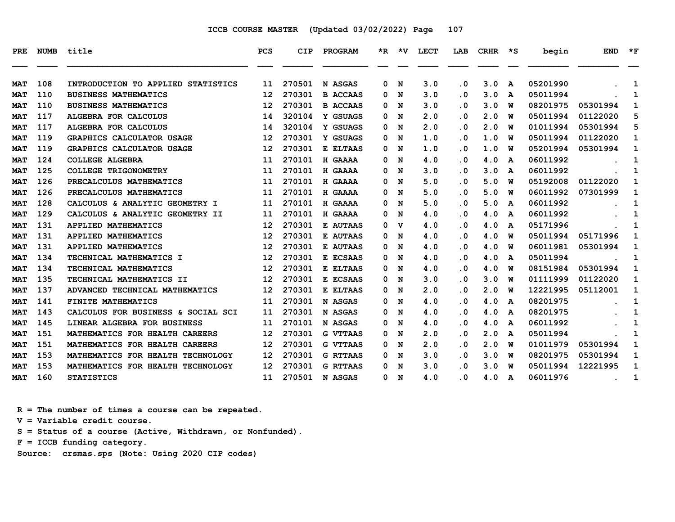| PRE        | <b>NUMB</b> | title                              | <b>PCS</b> | <b>CIP</b> | PROGRAM         | *R. | $\star$ v | LECT | LAB       | <b>CRHR</b> | ∗s | begin    | <b>END</b> | $*_{\mathbf{F}}$ |
|------------|-------------|------------------------------------|------------|------------|-----------------|-----|-----------|------|-----------|-------------|----|----------|------------|------------------|
| <b>MAT</b> | 108         | INTRODUCTION TO APPLIED STATISTICS | 11         | 270501     | N ASGAS         | 0   | N         | 3.0  | $\cdot$ 0 | 3.0         | A  | 05201990 |            | 1                |
| <b>MAT</b> | 110         | <b>BUSINESS MATHEMATICS</b>        | 12         | 270301     | <b>B ACCAAS</b> | 0   | N         | 3.0  | . 0       | 3.0         | A  | 05011994 |            | 1                |
| <b>MAT</b> | 110         | <b>BUSINESS MATHEMATICS</b>        | 12         | 270301     | <b>B ACCAAS</b> | 0   | N         | 3.0  | . 0       | 3.0         | W  | 08201975 | 05301994   | 1                |
| MAT        | 117         | <b>ALGEBRA FOR CALCULUS</b>        | 14         | 320104     | Y GSUAGS        | 0   | N         | 2.0  | . 0       | 2.0         | W  | 05011994 | 01122020   | 5                |
| <b>MAT</b> | 117         | ALGEBRA FOR CALCULUS               | 14         | 320104     | Y GSUAGS        | 0   | N         | 2.0  | $\cdot$ 0 | 2.0         | W  | 01011994 | 05301994   | 5                |
| <b>MAT</b> | 119         | GRAPHICS CALCULATOR USAGE          | 12         | 270301     | Y GSUAGS        | 0   | N         | 1.0  | . 0       | 1.0         | W  | 05011994 | 01122020   | 1                |
| <b>MAT</b> | 119         | GRAPHICS CALCULATOR USAGE          | 12         | 270301     | E ELTAAS        | 0   | N         | 1.0  | $\cdot$ 0 | 1.0         | W  | 05201994 | 05301994   | 1                |
| <b>MAT</b> | 124         | <b>COLLEGE ALGEBRA</b>             | 11         | 270101     | H GAAAA         | 0   | N         | 4.0  | . 0       | 4.0         | A  | 06011992 |            | 1                |
| <b>MAT</b> | 125         | COLLEGE TRIGONOMETRY               | 11         | 270101     | H GAAAA         | 0   | N         | 3.0  | . 0       | 3.0         | A  | 06011992 |            | 1                |
| <b>MAT</b> | 126         | PRECALCULUS MATHEMATICS            | 11         | 270101     | H GAAAA         | 0   | N         | 5.0  | . 0       | 5.0         | W  | 05192008 | 01122020   | 1                |
| <b>MAT</b> | 126         | PRECALCULUS MATHEMATICS            | 11         | 270101     | H GAAAA         | 0   | N         | 5.0  | . 0       | 5.0         | W  | 06011992 | 07301999   | 1                |
| <b>MAT</b> | 128         | CALCULUS & ANALYTIC GEOMETRY I     | 11         | 270101     | <b>H GAAAA</b>  | 0   | N         | 5.0  | $\cdot$ 0 | 5.0         | A  | 06011992 |            | 1                |
| MAT        | 129         | CALCULUS & ANALYTIC GEOMETRY II    | 11         | 270101     | H GAAAA         | 0   | N         | 4.0  | . 0       | 4.0         | A  | 06011992 |            | 1                |
| <b>MAT</b> | 131         | APPLIED MATHEMATICS                | 12         | 270301     | E AUTAAS        | 0   | v         | 4.0  | $\cdot$ 0 | 4.0         | A  | 05171996 |            | 1                |
| <b>MAT</b> | 131         | APPLIED MATHEMATICS                | 12         | 270301     | <b>E AUTAAS</b> | 0   | N         | 4.0  | . 0       | 4.0         | W  | 05011994 | 05171996   | 1                |
| <b>MAT</b> | 131         | APPLIED MATHEMATICS                | 12         | 270301     | E AUTAAS        | 0   | N         | 4.0  | . 0       | 4.0         | W  | 06011981 | 05301994   | 1                |
| <b>MAT</b> | 134         | TECHNICAL MATHEMATICS I            | 12         | 270301     | E ECSAAS        | 0   | N         | 4.0  | . 0       | 4.0         | A  | 05011994 |            | 1                |
| <b>MAT</b> | 134         | TECHNICAL MATHEMATICS              | 12         | 270301     | E ELTAAS        | 0   | N         | 4.0  | . 0       | 4.0         | W  | 08151984 | 05301994   | 1                |
| <b>MAT</b> | 135         | TECHNICAL MATHEMATICS II           | 12         | 270301     | E ECSAAS        | 0   | N         | 3.0  | . 0       | 3.0         | W  | 01111999 | 01122020   | 1                |
| <b>MAT</b> | 137         | ADVANCED TECHNICAL MATHEMATICS     | 12         | 270301     | E ELTAAS        | 0   | N         | 2.0  | . 0       | 2.0         | W  | 12221995 | 05112001   | 1                |
| <b>MAT</b> | 141         | FINITE MATHEMATICS                 | 11         | 270301     | N ASGAS         | 0   | N         | 4.0  | . 0       | 4.0         | A  | 08201975 |            | 1                |
| <b>MAT</b> | 143         | CALCULUS FOR BUSINESS & SOCIAL SCI | 11         | 270301     | N ASGAS         | 0   | N         | 4.0  | . 0       | 4.0         | A  | 08201975 |            | 1                |
| <b>MAT</b> | 145         | LINEAR ALGEBRA FOR BUSINESS        | 11         | 270101     | N ASGAS         | 0   | N         | 4.0  | $\cdot$ 0 | 4.0         | A  | 06011992 |            | 1                |
| <b>MAT</b> | 151         | MATHEMATICS FOR HEALTH CAREERS     | 12         | 270301     | <b>G VTTAAS</b> | 0   | N         | 2.0  | . 0       | 2.0         | A  | 05011994 |            | 1                |
| <b>MAT</b> | 151         | MATHEMATICS FOR HEALTH CAREERS     | 12         | 270301     | <b>G VTTAAS</b> | 0   | N         | 2.0  | $\cdot$ 0 | 2.0         | W  | 01011979 | 05301994   | 1                |
| <b>MAT</b> | 153         | MATHEMATICS FOR HEALTH TECHNOLOGY  | 12         | 270301     | <b>G RTTAAS</b> | 0   | N         | 3.0  | . 0       | 3.0         | W  | 08201975 | 05301994   | 1                |
| <b>MAT</b> | 153         | MATHEMATICS FOR HEALTH TECHNOLOGY  | 12         | 270301     | <b>G RTTAAS</b> | 0   | N         | 3.0  | . 0       | 3.0         | W  | 05011994 | 12221995   | 1                |
| <b>MAT</b> | 160         | <b>STATISTICS</b>                  | 11         | 270501     | N ASGAS         | 0   | N         | 4.0  | . 0       | 4.0         | A  | 06011976 |            | 1                |

 **R = The number of times a course can be repeated.**

 **V = Variable credit course.**

 **S = Status of a course (Active, Withdrawn, or Nonfunded).**

 **F = ICCB funding category.**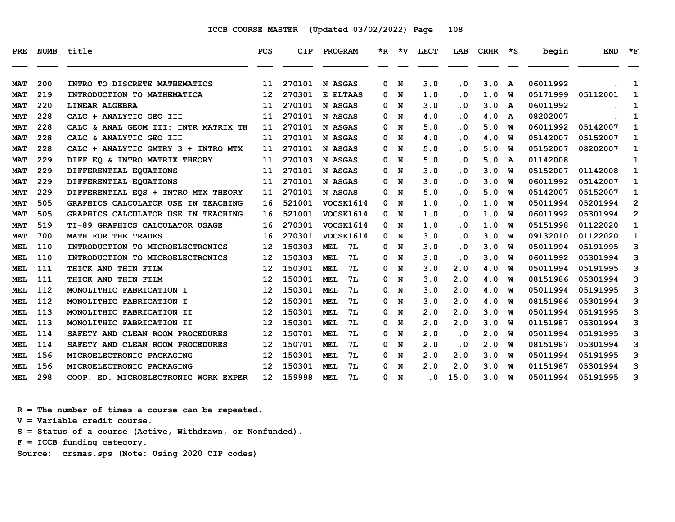| <b>PRE</b> | <b>NUMB</b> | title                                | <b>PCS</b>        | CIP    | PROGRAM                 |   | $*R$ $*V$ | <b>LECT</b>             | LAB       | <b>CRHR</b> | $\star$ s | begin    | <b>END</b> | $*_{\mathbf{F}}$ |
|------------|-------------|--------------------------------------|-------------------|--------|-------------------------|---|-----------|-------------------------|-----------|-------------|-----------|----------|------------|------------------|
| <b>MAT</b> | 200         | INTRO TO DISCRETE MATHEMATICS        | 11                | 270101 | N ASGAS                 | 0 | N         | 3.0                     | $\cdot$ 0 | 3.0         | A         | 06011992 |            | 1                |
| <b>MAT</b> | 219         | INTRODUCTION TO MATHEMATICA          | 12                | 270301 | E ELTAAS                | 0 | N         | 1.0                     | $\cdot$ 0 | 1.0         | W         | 05171999 | 05112001   | 1                |
| <b>MAT</b> | 220         | <b>LINEAR ALGEBRA</b>                | 11                | 270101 | N ASGAS                 | 0 | N         | 3.0                     | $\cdot$ 0 | 3.0         | A         | 06011992 |            | 1                |
| <b>MAT</b> | 228         | CALC + ANALYTIC GEO III              | 11                | 270101 | N ASGAS                 | 0 | N         | 4.0                     | $\cdot$ 0 | 4.0         | A         | 08202007 |            | 1                |
| <b>MAT</b> | 228         | CALC & ANAL GEOM III: INTR MATRIX TH | 11                | 270101 | N ASGAS                 | 0 | N         | 5.0                     | . 0       | 5.0         | W         | 06011992 | 05142007   | 1                |
| <b>MAT</b> | 228         | CALC & ANALYTIC GEO III              | 11                | 270101 | N ASGAS                 | 0 | N         | 4.0                     | $\cdot$ 0 | 4.0         | W         | 05142007 | 05152007   | 1                |
| <b>MAT</b> | 228         | CALC + ANALYTIC GMTRY 3 + INTRO MTX  | 11                | 270101 | N ASGAS                 | 0 | N         | 5.0                     | . 0       | 5.0         | W         | 05152007 | 08202007   | 1                |
| <b>MAT</b> | 229         | DIFF EO & INTRO MATRIX THEORY        | 11                | 270103 | N ASGAS                 | 0 | N         | 5.0                     | $\cdot$ 0 | 5.0         | A         | 01142008 |            | 1                |
| <b>MAT</b> | 229         | DIFFERENTIAL EQUATIONS               | 11                | 270101 | N ASGAS                 | 0 | N         | 3.0                     | $\cdot$ 0 | 3.0         | W         | 05152007 | 01142008   | 1                |
| <b>MAT</b> | 229         | DIFFERENTIAL EQUATIONS               | 11                | 270101 | N ASGAS                 | 0 | N         | 3.0                     | $\cdot$ 0 | 3.0         | W         | 06011992 | 05142007   | 1                |
| <b>MAT</b> | 229         | DIFFERENTIAL EOS + INTRO MTX THEORY  | 11                | 270101 | N ASGAS                 | 0 | N         | 5.0                     | . 0       | 5.0         | W         | 05142007 | 05152007   | 1                |
| <b>MAT</b> | 505         | GRAPHICS CALCULATOR USE IN TEACHING  | 16                | 521001 | VOCSK1614               | 0 | N         | 1.0                     | $\cdot$ 0 | 1.0         | W         | 05011994 | 05201994   | $\overline{2}$   |
| <b>MAT</b> | 505         | GRAPHICS CALCULATOR USE IN TEACHING  | 16                | 521001 | VOCSK1614               | 0 | N         | 1.0                     | $\cdot$ 0 | 1.0         | W         | 06011992 | 05301994   | $\overline{2}$   |
| <b>MAT</b> | 519         | TI-89 GRAPHICS CALCULATOR USAGE      | 16                | 270301 | <b>VOCSK1614</b>        | 0 | N         | 1.0                     | . 0       | 1.0         | W         | 05151998 | 01122020   | 1                |
| <b>MAT</b> | 700         | MATH FOR THE TRADES                  | 16                | 270301 | VOCSK1614               | 0 | N         | 3.0                     | $\cdot$ 0 | 3.0         | W         | 09132010 | 01122020   | 1                |
| <b>MEL</b> | 110         | INTRODUCTION TO MICROELECTRONICS     | 12                | 150303 | 7L<br><b>MEL</b>        | 0 | N         | 3.0                     | . 0       | 3.0         | W         | 05011994 | 05191995   | 3                |
| <b>MEL</b> | 110         | INTRODUCTION TO MICROELECTRONICS     | $12 \overline{ }$ | 150303 | <b>7L</b><br><b>MEL</b> | 0 | N         | 3.0                     | .0        | 3.0         | W         | 06011992 | 05301994   | 3                |
| MEL        | 111         | THICK AND THIN FILM                  | 12                | 150301 | <b>MEL</b><br>7L        | 0 | N         | 3.0                     | 2.0       | 4.0         | W         | 05011994 | 05191995   | 3                |
| <b>MEL</b> | 111         | THICK AND THIN FILM                  | 12                | 150301 | <b>MEL</b><br>7L        | 0 | N         | 3.0                     | 2.0       | 4.0         | W         | 08151986 | 05301994   | 3                |
| <b>MEL</b> | 112         | MONOLITHIC FABRICATION I             | $12 \overline{ }$ | 150301 | 7L<br><b>MEL</b>        | 0 | N         | 3.0                     | 2.0       | 4.0         | W         | 05011994 | 05191995   | 3                |
| MEL        | 112         | MONOLITHIC FABRICATION I             | 12                | 150301 | <b>MEL</b><br>7L        | 0 | N         | 3.0                     | 2.0       | 4.0         | W         | 08151986 | 05301994   | 3                |
| MEL        | 113         | MONOLITHIC FABRICATION II            | $12 \overline{ }$ | 150301 | <b>MEL</b><br>7L        | 0 | N         | 2.0                     | 2.0       | 3.0         | W         | 05011994 | 05191995   | 3                |
| <b>MEL</b> | 113         | MONOLITHIC FABRICATION II            | $12 \overline{ }$ | 150301 | <b>MEL</b><br>7L        | 0 | N         | 2.0                     | 2.0       | 3.0         | W         | 01151987 | 05301994   | 3                |
| <b>MEL</b> | 114         | SAFETY AND CLEAN ROOM PROCEDURES     | 12                | 150701 | <b>MEL</b><br>7L        | 0 | N         | 2.0                     | $\cdot$ 0 | 2.0         | W         | 05011994 | 05191995   | 3                |
| MEL        | 114         | SAFETY AND CLEAN ROOM PROCEDURES     | $12 \overline{ }$ | 150701 | <b>MEL</b><br>7L        | 0 | N         | 2.0                     | $\cdot$ 0 | 2.0         | W         | 08151987 | 05301994   | 3                |
| <b>MEL</b> | 156         | MICROELECTRONIC PACKAGING            | 12                | 150301 | <b>MEL</b><br>7L        | 0 | N         | 2.0                     | 2.0       | 3.0         | W         | 05011994 | 05191995   | 3                |
| <b>MEL</b> | 156         | MICROELECTRONIC PACKAGING            | 12                | 150301 | 7L<br><b>MEL</b>        | 0 | N         | 2.0                     | 2.0       | 3.0         | W         | 01151987 | 05301994   | 3                |
| <b>MEL</b> | 298         | COOP. ED. MICROELECTRONIC WORK EXPER | 12 <sup>7</sup>   | 159998 | 7L<br><b>MEL</b>        | 0 | N         | $\overline{\mathbf{0}}$ | 15.0      | 3.0         | W         | 05011994 | 05191995   | 3                |

 **R = The number of times a course can be repeated.**

 **V = Variable credit course.**

 **S = Status of a course (Active, Withdrawn, or Nonfunded).**

 **F = ICCB funding category.**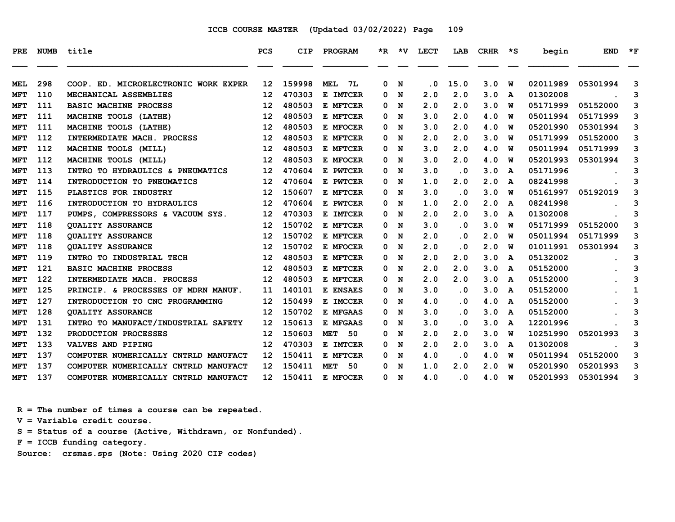| PRE        | <b>NUMB</b> | title                                | <b>PCS</b>        | <b>CIP</b> | <b>PROGRAM</b>     |   |   | *R *V LECT | LAB                     | CRHR | ∗s | begin    | <b>END</b> | $*_{\mathbf{F}}$ |
|------------|-------------|--------------------------------------|-------------------|------------|--------------------|---|---|------------|-------------------------|------|----|----------|------------|------------------|
| MEL        | 298         | COOP. ED. MICROELECTRONIC WORK EXPER | $12 \overline{ }$ | 159998     | <b>MEL</b><br>7L   | 0 | N | . 0        | 15.0                    | 3.0  | W  | 02011989 | 05301994   | 3                |
| MFT        | 110         | MECHANICAL ASSEMBLIES                | $12 \overline{ }$ | 470303     | E IMTCER           | 0 | N | 2.0        | 2.0                     | 3.0  | A  | 01302008 |            | 3                |
| MFT        | 111         | <b>BASIC MACHINE PROCESS</b>         | 12                | 480503     | E MFTCER           | 0 | N | 2.0        | 2.0                     | 3.0  | W  | 05171999 | 05152000   | 3                |
| <b>MFT</b> | 111         | MACHINE TOOLS (LATHE)                | 12                | 480503     | E MFTCER           | 0 | N | 3.0        | 2.0                     | 4.0  | W  | 05011994 | 05171999   | 3                |
| <b>MFT</b> | 111         | MACHINE TOOLS (LATHE)                | 12                | 480503     | E MFOCER           | 0 | N | 3.0        | 2.0                     | 4.0  | W  | 05201990 | 05301994   | 3                |
| <b>MFT</b> | 112         | INTERMEDIATE MACH. PROCESS           | 12                | 480503     | E MFTCER           | 0 | N | 2.0        | 2.0                     | 3.0  | W  | 05171999 | 05152000   | 3                |
| MFT        | 112         | MACHINE TOOLS (MILL)                 | 12                | 480503     | E MFTCER           | 0 | N | 3.0        | 2.0                     | 4.0  | w  | 05011994 | 05171999   | 3                |
| MFT        | 112         | MACHINE TOOLS (MILL)                 | 12                | 480503     | E MFOCER           | 0 | N | 3.0        | 2.0                     | 4.0  | W  | 05201993 | 05301994   | 3                |
| MFT        | 113         | INTRO TO HYDRAULICS & PNEUMATICS     | 12                | 470604     | E PWTCER           | 0 | N | 3.0        | . 0                     | 3.0  | A  | 05171996 |            | 3                |
| <b>MFT</b> | 114         | INTRODUCTION TO PNEUMATICS           | 12                | 470604     | E PWTCER           | 0 | N | 1.0        | 2.0                     | 2.0  | A  | 08241998 |            | 3                |
| <b>MFT</b> | 115         | PLASTICS FOR INDUSTRY                | 12                | 150607     | E MFTCER           | 0 | N | 3.0        | $\cdot$ 0               | 3.0  | W  | 05161997 | 05192019   | 3                |
| <b>MFT</b> | 116         | INTRODUCTION TO HYDRAULICS           | 12                | 470604     | E PWTCER           | 0 | N | 1.0        | 2.0                     | 2.0  | A  | 08241998 |            | 3                |
| MFT        | 117         | PUMPS, COMPRESSORS & VACUUM SYS.     | $12 \overline{ }$ | 470303     | E IMTCER           | 0 | N | 2.0        | 2.0                     | 3.0  | A  | 01302008 |            | 3                |
| <b>MFT</b> | 118         | <b>OUALITY ASSURANCE</b>             | 12                | 150702     | E MFTCER           | 0 | N | 3.0        | $\cdot$ 0               | 3.0  | W  | 05171999 | 05152000   | 3                |
| <b>MFT</b> | 118         | <b>QUALITY ASSURANCE</b>             | 12                | 150702     | E MFTCER           | 0 | N | 2.0        | . 0                     | 2.0  | w  | 05011994 | 05171999   | 3                |
| MFT        | 118         | <b>OUALITY ASSURANCE</b>             | 12                | 150702     | E MFOCER           | 0 | N | 2.0        | $\overline{\mathbf{0}}$ | 2.0  | w  | 01011991 | 05301994   | 3                |
| <b>MFT</b> | 119         | INTRO TO INDUSTRIAL TECH             | 12                | 480503     | E MFTCER           | 0 | N | 2.0        | 2.0                     | 3.0  | A  | 05132002 |            | 3                |
| MFT        | 121         | <b>BASIC MACHINE PROCESS</b>         | 12                | 480503     | E MFTCER           | 0 | N | 2.0        | 2.0                     | 3.0  | A  | 05152000 |            | 3                |
| MFT        | 122         | INTERMEDIATE MACH. PROCESS           | 12                | 480503     | E MFTCER           | 0 | N | 2.0        | 2.0                     | 3.0  | A  | 05152000 |            | 3                |
| <b>MFT</b> | 125         | PRINCIP. & PROCESSES OF MDRN MANUF.  | 11                | 140101     | E ENSAES           | 0 | N | 3.0        | . 0                     | 3.0  | A  | 05152000 |            | 1                |
| MFT        | 127         | INTRODUCTION TO CNC PROGRAMMING      | 12                | 150499     | E IMCCER           | 0 | N | 4.0        | $\overline{\mathbf{0}}$ | 4.0  | A  | 05152000 |            | 3                |
| MFT        | 128         | <b>OUALITY ASSURANCE</b>             | 12                | 150702     | E MFGAAS           | 0 | N | 3.0        | . 0                     | 3.0  | A  | 05152000 |            | 3                |
| MFT        | 131         | INTRO TO MANUFACT/INDUSTRIAL SAFETY  | 12                | 150613     | E MFGAAS           | 0 | N | 3.0        | . 0                     | 3.0  | A  | 12201996 |            | 3                |
| MFT        | 132         | PRODUCTION PROCESSES                 | 12                | 150603     | <b>MET</b><br>- 50 | 0 | N | 2.0        | 2.0                     | 3.0  | W  | 10251990 | 05201993   | 3                |
| MFT        | 133         | VALVES AND PIPING                    | 12                | 470303     | E IMTCER           | 0 | N | 2.0        | 2.0                     | 3.0  | A  | 01302008 |            | 3                |
| <b>MFT</b> | 137         | COMPUTER NUMERICALLY CNTRLD MANUFACT | 12                | 150411     | E MFTCER           | 0 | N | 4.0        | $\cdot$ 0               | 4.0  | w  | 05011994 | 05152000   | 3                |
| MFT        | 137         | COMPUTER NUMERICALLY CNTRLD MANUFACT | 12                | 150411     | 50<br><b>MET</b>   | 0 | N | 1.0        | 2.0                     | 2.0  | w  | 05201990 | 05201993   | 3                |
| MFT        | 137         | COMPUTER NUMERICALLY CNTRLD MANUFACT | 12                | 150411     | E MFOCER           | 0 | N | 4.0        | $\overline{\mathbf{0}}$ | 4.0  | W  | 05201993 | 05301994   | 3                |

 **R = The number of times a course can be repeated.**

 **V = Variable credit course.**

 **S = Status of a course (Active, Withdrawn, or Nonfunded).**

 **F = ICCB funding category.**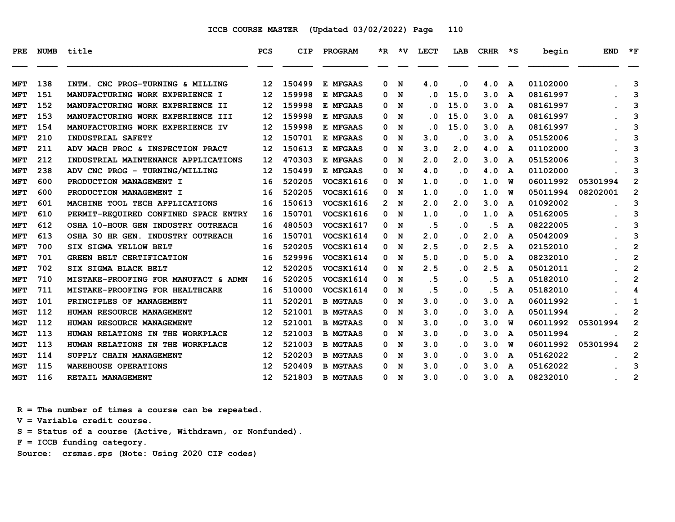| PRE.       | <b>NUMB</b> | title                                | <b>PCS</b>      | <b>CIP</b> | PROGRAM          | $\star$ R | ∗v  | <b>LECT</b>                 | LAB                     | <b>CRHR</b> | ∗s           | begin    | <b>END</b> | $*_{\mathbf{F}}$ |
|------------|-------------|--------------------------------------|-----------------|------------|------------------|-----------|-----|-----------------------------|-------------------------|-------------|--------------|----------|------------|------------------|
| MFT        | 138         | INTM. CNC PROG-TURNING & MILLING     | 12 <sup>2</sup> | 150499     | E MFGAAS         | 0         | N   | 4.0                         | $\cdot$ 0               | 4.0         | A            | 01102000 |            | 3                |
| MFT        | 151         | MANUFACTURING WORK EXPERIENCE I      | 12              | 159998     | E MFGAAS         | 0         | N   | . 0                         | 15.0                    | 3.0         | A            | 08161997 |            | 3                |
| MFT        | 152         | MANUFACTURING WORK EXPERIENCE II     | 12              | 159998     | E MFGAAS         | 0         | N   | . 0                         | 15.0                    | 3.0         | A            | 08161997 |            | 3                |
| <b>MFT</b> | 153         | MANUFACTURING WORK EXPERIENCE III    | 12              | 159998     | E MFGAAS         | 0         | N   | . 0                         | 15.0                    | 3.0         | A            | 08161997 |            | 3                |
| <b>MFT</b> | 154         | MANUFACTURING WORK EXPERIENCE IV     | 12              | 159998     | E MFGAAS         | 0         | N   | $\overline{\phantom{a}}$ .0 | 15.0                    | 3.0         | A            | 08161997 |            | 3                |
| MFT        | 210         | INDUSTRIAL SAFETY                    | 12              | 150701     | E MFGAAS         | 0         | N   | 3.0                         | $\cdot$ 0               | 3.0         | A            | 05152006 |            | 3                |
| <b>MFT</b> | 211         | ADV MACH PROC & INSPECTION PRACT     | 12              | 150613     | E MFGAAS         | 0         | N   | 3.0                         | 2.0                     | 4.0         | A            | 01102000 |            | 3                |
| <b>MFT</b> | 212         | INDUSTRIAL MAINTENANCE APPLICATIONS  | 12              | 470303     | E MFGAAS         | 0         | N   | 2.0                         | 2.0                     | 3.0         | A            | 05152006 |            | 3                |
| <b>MFT</b> | 238         | ADV CNC PROG - TURNING/MILLING       | 12              | 150499     | E MFGAAS         | 0         | N   | 4.0                         | $\cdot$ 0               | 4.0         | A            | 01102000 |            | 3                |
| <b>MFT</b> | 600         | PRODUCTION MANAGEMENT I              | 16              | 520205     | VOCSK1616        | 0         | N   | 1.0                         | $\cdot$ 0               | 1.0         | W            | 06011992 | 05301994   | $\mathbf{2}$     |
| MFT        | 600         | PRODUCTION MANAGEMENT I              | 16              | 520205     | <b>VOCSK1616</b> | 0         | N   | 1.0                         | $\overline{\mathbf{0}}$ | 1.0         | W            | 05011994 | 08202001   | $\mathbf{2}$     |
| <b>MFT</b> | 601         | MACHINE TOOL TECH APPLICATIONS       | 16              | 150613     | VOCSK1616        |           | 2 N | 2.0                         | 2.0                     | 3.0         | A            | 01092002 |            | 3                |
| MFT        | 610         | PERMIT-REQUIRED CONFINED SPACE ENTRY | 16              | 150701     | <b>VOCSK1616</b> | 0         | N   | 1.0                         | $\cdot$ 0               | 1.0         | A            | 05162005 |            | 3                |
| <b>MFT</b> | 612         | OSHA 10-HOUR GEN INDUSTRY OUTREACH   | 16              | 480503     | VOCSK1617        | 0         | N   | . 5                         | $\cdot$ 0               | . 5         | A            | 08222005 |            | 3                |
| <b>MFT</b> | 613         | OSHA 30 HR GEN. INDUSTRY OUTREACH    | 16              | 150701     | VOCSK1614        | 0         | N   | 2.0                         | $\cdot$ 0               | 2.0         | $\mathbf{A}$ | 05042009 |            | 3                |
| <b>MFT</b> | 700         | SIX SIGMA YELLOW BELT                | 16              | 520205     | VOCSK1614        | 0         | N   | 2.5                         | . 0                     | 2.5         | A            | 02152010 |            | $\overline{2}$   |
| <b>MFT</b> | 701         | <b>GREEN BELT CERTIFICATION</b>      | 16              | 529996     | VOCSK1614        | 0         | N   | 5.0                         | $\cdot$ 0               | 5.0         | A            | 08232010 |            | $\overline{2}$   |
| <b>MFT</b> | 702         | SIX SIGMA BLACK BELT                 | 12              | 520205     | VOCSK1614        | 0         | N   | 2.5                         | . 0                     | 2.5         | A            | 05012011 |            | $\overline{2}$   |
| <b>MFT</b> | 710         | MISTAKE-PROOFING FOR MANUFACT & ADMN | 16              | 520205     | VOCSK1614        | 0         | N   | .5                          | $\cdot$ 0               | . 5         | A            | 05182010 |            | $\overline{2}$   |
| <b>MFT</b> | 711         | MISTAKE-PROOFING FOR HEALTHCARE      | 16              | 510000     | VOCSK1614        | 0         | N   | . 5                         | $\cdot$ 0               | . 5         | A            | 05182010 |            | 4                |
| <b>MGT</b> | 101         | PRINCIPLES OF MANAGEMENT             | 11              | 520201     | <b>B MGTAAS</b>  | 0         | N   | 3.0                         | $\cdot$ 0               | 3.0         | A            | 06011992 |            | 1                |
| MGT        | 112         | HUMAN RESOURCE MANAGEMENT            | 12              | 521001     | <b>B MGTAAS</b>  | 0         | N   | 3.0                         | $\cdot$ 0               | 3.0         | A            | 05011994 |            | 2                |
| <b>MGT</b> | 112         | HUMAN RESOURCE MANAGEMENT            | 12              | 521001     | <b>B MGTAAS</b>  | 0         | N   | 3.0                         | . 0                     | 3.0         | W            | 06011992 | 05301994   | $\mathbf{2}$     |
| <b>MGT</b> | 113         | HUMAN RELATIONS IN THE WORKPLACE     | 12              | 521003     | <b>B MGTAAS</b>  | 0         | N   | 3.0                         | $\cdot$ 0               | 3.0         | A            | 05011994 |            | $\overline{2}$   |
| MGT        | 113         | HUMAN RELATIONS IN THE WORKPLACE     | 12              | 521003     | <b>B MGTAAS</b>  | 0         | N   | 3.0                         | $\cdot$ 0               | 3.0         | W            | 06011992 | 05301994   | $\overline{2}$   |
| MGT        | 114         | SUPPLY CHAIN MANAGEMENT              | 12              | 520203     | <b>B MGTAAS</b>  | 0         | N   | 3.0                         | $\cdot$ 0               | 3.0         | A            | 05162022 |            | $\overline{2}$   |
| <b>MGT</b> | 115         | <b>WAREHOUSE OPERATIONS</b>          | 12              | 520409     | <b>B MGTAAS</b>  | 0         | N   | 3.0                         | . 0                     | 3.0         | A            | 05162022 |            | 3                |
| <b>MGT</b> | 116         | RETAIL MANAGEMENT                    | 12 <sup>2</sup> | 521803     | <b>B MGTAAS</b>  | 0         | N   | 3.0                         | . 0                     | 3.0         | A            | 08232010 |            | $\overline{2}$   |

 **R = The number of times a course can be repeated.**

 **V = Variable credit course.**

 **S = Status of a course (Active, Withdrawn, or Nonfunded).**

 **F = ICCB funding category.**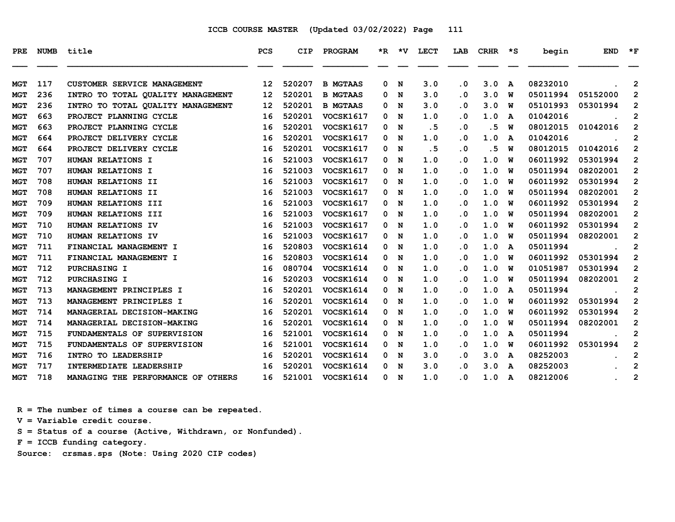| <b>PRE</b> | NUMB | title                              | <b>PCS</b> | <b>CIP</b> | PROGRAM          |              | $*R$ $*V$ | LECT | LAB       | CRHR | יי≭ | begin    | <b>END</b> | $*_{\mathbf{F}}$ |
|------------|------|------------------------------------|------------|------------|------------------|--------------|-----------|------|-----------|------|-----|----------|------------|------------------|
| MGT        | 117  | CUSTOMER SERVICE MANAGEMENT        | 12         | 520207     | <b>B MGTAAS</b>  | 0            | N         | 3.0  | $\cdot$ 0 | 3.0  | A   | 08232010 |            | $\mathbf{2}$     |
| MGT        | 236  | INTRO TO TOTAL QUALITY MANAGEMENT  | 12         | 520201     | <b>B MGTAAS</b>  | 0            | N         | 3.0  | $\cdot$ 0 | 3.0  | W   | 05011994 | 05152000   | $\mathbf{2}$     |
| <b>MGT</b> | 236  | INTRO TO TOTAL QUALITY MANAGEMENT  | 12         | 520201     | <b>B MGTAAS</b>  | 0            | N         | 3.0  | . 0       | 3.0  | W   | 05101993 | 05301994   | $\mathbf{2}$     |
| <b>MGT</b> | 663  | PROJECT PLANNING CYCLE             | 16         | 520201     | <b>VOCSK1617</b> | 0            | N         | 1.0  | $\cdot$ 0 | 1.0  | A   | 01042016 |            | $\overline{2}$   |
| <b>MGT</b> | 663  | PROJECT PLANNING CYCLE             | 16         | 520201     | <b>VOCSK1617</b> | 0            | N         | .5   | $\cdot$ 0 | . 5  | W   | 08012015 | 01042016   | $\overline{2}$   |
| <b>MGT</b> | 664  | PROJECT DELIVERY CYCLE             | 16         | 520201     | <b>VOCSK1617</b> | 0            | N         | 1.0  | $\cdot$ 0 | 1.0  | A   | 01042016 |            | $\mathbf{2}$     |
| <b>MGT</b> | 664  | PROJECT DELIVERY CYCLE             | 16         | 520201     | <b>VOCSK1617</b> | $\mathbf{0}$ | N         | .5   | $\cdot$ 0 | . 5  | W   | 08012015 | 01042016   | $\overline{2}$   |
| <b>MGT</b> | 707  | HUMAN RELATIONS I                  | 16         | 521003     | <b>VOCSK1617</b> | 0            | N         | 1.0  | $\cdot$ 0 | 1.0  | W   | 06011992 | 05301994   | $\mathbf{2}$     |
| <b>MGT</b> | 707  | HUMAN RELATIONS I                  | 16         | 521003     | <b>VOCSK1617</b> | 0            | N         | 1.0  | $\cdot$ 0 | 1.0  | W   | 05011994 | 08202001   | $\mathbf{2}$     |
| <b>MGT</b> | 708  | HUMAN RELATIONS II                 | 16         | 521003     | VOCSK1617        | 0            | N         | 1.0  | . 0       | 1.0  | W   | 06011992 | 05301994   | $\mathbf{2}$     |
| MGT        | 708  | HUMAN RELATIONS II                 | 16         | 521003     | <b>VOCSK1617</b> | 0            | N         | 1.0  | $\cdot$ 0 | 1.0  | W   | 05011994 | 08202001   | $\mathbf{2}$     |
| MGT        | 709  | HUMAN RELATIONS III                | 16         | 521003     | <b>VOCSK1617</b> | 0            | N         | 1.0  | . 0       | 1.0  | W   | 06011992 | 05301994   | $\mathbf 2$      |
| <b>MGT</b> | 709  | HUMAN RELATIONS III                | 16         | 521003     | VOCSK1617        | 0            | N         | 1.0  | $\cdot$ 0 | 1.0  | W   | 05011994 | 08202001   | $\mathbf{2}$     |
| <b>MGT</b> | 710  | HUMAN RELATIONS IV                 | 16         | 521003     | <b>VOCSK1617</b> | 0            | N         | 1.0  | $\cdot$ 0 | 1.0  | W   | 06011992 | 05301994   | $\mathbf{2}$     |
| <b>MGT</b> | 710  | HUMAN RELATIONS IV                 | 16         | 521003     | <b>VOCSK1617</b> | 0            | N         | 1.0  | $\cdot$ 0 | 1.0  | W   | 05011994 | 08202001   | $\mathbf{2}$     |
| <b>MGT</b> | 711  | FINANCIAL MANAGEMENT I             | 16         | 520803     | VOCSK1614        | 0            | N         | 1.0  | . 0       | 1.0  | A   | 05011994 |            | $\mathbf{2}$     |
| MGT        | 711  | FINANCIAL MANAGEMENT I             | 16         | 520803     | VOCSK1614        | 0            | N         | 1.0  | . 0       | 1.0  | W   | 06011992 | 05301994   | $\overline{2}$   |
| MGT        | 712  | PURCHASING I                       | 16         | 080704     | <b>VOCSK1614</b> | 0            | N         | 1.0  | $\cdot$ 0 | 1.0  | W   | 01051987 | 05301994   | $\mathbf{2}$     |
| <b>MGT</b> | 712  | PURCHASING I                       | 16         | 520203     | VOCSK1614        | 0            | N         | 1.0  | . 0       | 1.0  | W   | 05011994 | 08202001   | $\overline{2}$   |
| <b>MGT</b> | 713  | MANAGEMENT PRINCIPLES I            | 16         | 520201     | VOCSK1614        | 0            | N         | 1.0  | $\cdot$ 0 | 1.0  | A   | 05011994 |            | $\overline{2}$   |
| MGT        | 713  | MANAGEMENT PRINCIPLES I            | 16         | 520201     | VOCSK1614        | 0            | N         | 1.0  | . 0       | 1.0  | W   | 06011992 | 05301994   | $\mathbf{2}$     |
| <b>MGT</b> | 714  | MANAGERIAL DECISION-MAKING         | 16         | 520201     | VOCSK1614        | 0            | N         | 1.0  | $\cdot$ 0 | 1.0  | W   | 06011992 | 05301994   | $\mathbf{2}$     |
| MGT        | 714  | MANAGERIAL DECISION-MAKING         | 16         | 520201     | VOCSK1614        | 0            | N         | 1.0  | $\cdot$ 0 | 1.0  | W   | 05011994 | 08202001   | $\mathbf{2}$     |
| <b>MGT</b> | 715  | FUNDAMENTALS OF SUPERVISION        | 16         | 521001     | <b>VOCSK1614</b> | 0            | N         | 1.0  | . 0       | 1.0  | A   | 05011994 |            | $\overline{2}$   |
| <b>MGT</b> | 715  | FUNDAMENTALS OF SUPERVISION        | 16         | 521001     | VOCSK1614        | 0            | N         | 1.0  | $\cdot$ 0 | 1.0  | W   | 06011992 | 05301994   | $\overline{2}$   |
| MGT        | 716  | INTRO TO LEADERSHIP                | 16         | 520201     | VOCSK1614        | 0            | N         | 3.0  | . 0       | 3.0  | A   | 08252003 |            | $\overline{2}$   |
| <b>MGT</b> | 717  | INTERMEDIATE LEADERSHIP            | 16         | 520201     | VOCSK1614        | 0            | N         | 3.0  | . 0       | 3.0  | A   | 08252003 |            | $\overline{2}$   |
| MGT        | 718  | MANAGING THE PERFORMANCE OF OTHERS | 16         | 521001     | VOCSK1614        | 0            | N         | 1.0  | . 0       | 1.0  | A   | 08212006 |            | 2                |

 **R = The number of times a course can be repeated.**

 **V = Variable credit course.**

 **S = Status of a course (Active, Withdrawn, or Nonfunded).**

 **F = ICCB funding category.**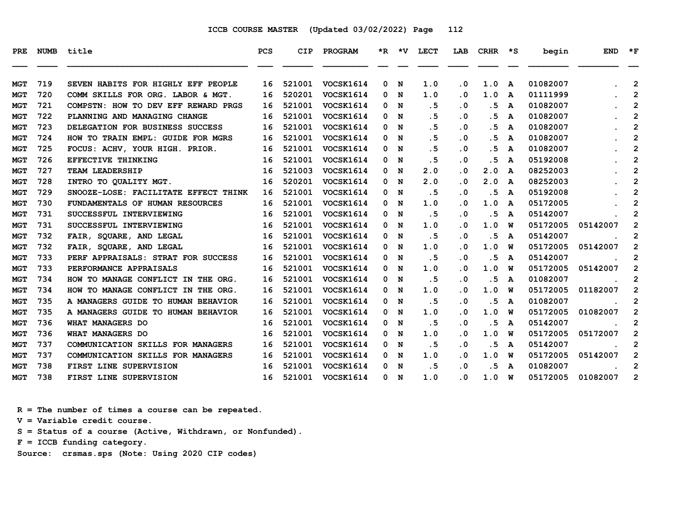| <b>PRE</b> | <b>NUMB</b> | title                                | <b>PCS</b> | <b>CIP</b> | PROGRAM          |   |             | *R *V LECT | LAB       | <b>CRHR</b> | $\star$ s | begin    | <b>END</b> | $*_{\mathbf{F}}$        |
|------------|-------------|--------------------------------------|------------|------------|------------------|---|-------------|------------|-----------|-------------|-----------|----------|------------|-------------------------|
| <b>MGT</b> | 719         | SEVEN HABITS FOR HIGHLY EFF PEOPLE   | 16         | 521001     | VOCSK1614        | 0 | $\mathbf N$ | 1.0        | $\cdot$ 0 | 1.0         | A         | 01082007 |            | $\overline{2}$          |
| <b>MGT</b> | 720         | COMM SKILLS FOR ORG. LABOR & MGT.    | 16         | 520201     | VOCSK1614        | 0 | $\mathbf N$ | 1.0        | . 0       | 1.0         | A         | 01111999 |            | $\overline{2}$          |
| MGT        | 721         | COMPSTN: HOW TO DEV EFF REWARD PRGS  | 16         | 521001     | <b>VOCSK1614</b> | 0 | N           | .5         | $\cdot$ 0 | . 5         | A         | 01082007 |            | $\mathbf{2}$            |
| <b>MGT</b> | 722         | PLANNING AND MANAGING CHANGE         | 16         | 521001     | <b>VOCSK1614</b> | 0 | N           | .5         | $\cdot$ 0 | .5          | A         | 01082007 |            | $\mathbf{2}$            |
| <b>MGT</b> | 723         | DELEGATION FOR BUSINESS SUCCESS      | 16         | 521001     | VOCSK1614        | 0 | N           | . 5        | $\cdot$ 0 | . 5         | A         | 01082007 |            | $\overline{2}$          |
| <b>MGT</b> | 724         | HOW TO TRAIN EMPL: GUIDE FOR MGRS    | 16         | 521001     | VOCSK1614        | 0 | N           | .5         | $\cdot$ 0 | . 5         | A         | 01082007 |            | $\overline{\mathbf{c}}$ |
| <b>MGT</b> | 725         | FOCUS: ACHV, YOUR HIGH. PRIOR.       | 16         | 521001     | VOCSK1614        | 0 | N           | .5         | $\cdot$ 0 | . 5         | A         | 01082007 |            | $\overline{2}$          |
| <b>MGT</b> | 726         | EFFECTIVE THINKING                   | 16         | 521001     | VOCSK1614        | 0 | N           | . 5        | $\cdot$ 0 | .5          | A         | 05192008 |            | $\mathbf{2}$            |
| <b>MGT</b> | 727         | TEAM LEADERSHIP                      | 16         | 521003     | <b>VOCSK1614</b> | 0 | N           | 2.0        | .0        | 2.0         | A         | 08252003 |            | $\mathbf{2}$            |
| <b>MGT</b> | 728         | INTRO TO QUALITY MGT.                | 16         | 520201     | VOCSK1614        |   | 0 N         | 2.0        | $\cdot$ 0 | 2.0         | A         | 08252003 |            | $\overline{2}$          |
| <b>MGT</b> | 729         | SNOOZE-LOSE: FACILITATE EFFECT THINK | 16         | 521001     | VOCSK1614        | 0 | N           | .5         | $\cdot$ 0 | .5          | A         | 05192008 |            | $\mathbf{2}$            |
| <b>MGT</b> | 730         | FUNDAMENTALS OF HUMAN RESOURCES      | 16         | 521001     | VOCSK1614        | 0 | N           | 1.0        | $\cdot$ 0 | 1.0         | A         | 05172005 |            | $\overline{2}$          |
| MGT        | 731         | SUCCESSFUL INTERVIEWING              | 16         | 521001     | VOCSK1614        | 0 | N           | .5         | $\cdot$ 0 | . 5         | A         | 05142007 |            | $\overline{2}$          |
| MGT        | 731         | SUCCESSFUL INTERVIEWING              | 16         | 521001     | <b>VOCSK1614</b> | 0 | N           | 1.0        | $\cdot$ 0 | 1.0         | W         | 05172005 | 05142007   | $\overline{2}$          |
| <b>MGT</b> | 732         | FAIR, SOUARE, AND LEGAL              | 16         | 521001     | <b>VOCSK1614</b> | 0 | N           | .5         | $\cdot$ 0 | .5          | A         | 05142007 |            | $\mathbf{2}$            |
| <b>MGT</b> | 732         | FAIR, SOUARE, AND LEGAL              | 16         | 521001     | VOCSK1614        | 0 | N           | 1.0        | $\cdot$ 0 | 1.0         | W         | 05172005 | 05142007   | $\mathbf{2}$            |
| <b>MGT</b> | 733         | PERF APPRAISALS: STRAT FOR SUCCESS   | 16         | 521001     | VOCSK1614        | 0 | N           | .5         | $\cdot$ 0 | .5          | A         | 05142007 |            | 2                       |
| <b>MGT</b> | 733         | PERFORMANCE APPRAISALS               | 16         | 521001     | <b>VOCSK1614</b> | 0 | N           | 1.0        | $\cdot$ 0 | 1.0         | W         | 05172005 | 05142007   | $\mathbf{2}$            |
| <b>MGT</b> | 734         | HOW TO MANAGE CONFLICT IN THE ORG.   | 16         | 521001     | VOCSK1614        | 0 | N           | .5         | $\cdot$ 0 | .5          | A         | 01082007 |            | $\mathbf{2}$            |
| <b>MGT</b> | 734         | HOW TO MANAGE CONFLICT IN THE ORG.   | 16         | 521001     | VOCSK1614        |   | 0 N         | 1.0        | . 0       | 1.0         | W         | 05172005 | 01182007   | $\overline{2}$          |
| MGT        | 735         | A MANAGERS GUIDE TO HUMAN BEHAVIOR   | 16         | 521001     | VOCSK1614        | 0 | N           | .5         | $\cdot$ 0 | . 5         | A         | 01082007 |            | 2                       |
| <b>MGT</b> | 735         | A MANAGERS GUIDE TO HUMAN BEHAVIOR   | 16         | 521001     | VOCSK1614        | 0 | N           | 1.0        | $\cdot$ 0 | 1.0         | W         | 05172005 | 01082007   | $\overline{2}$          |
| <b>MGT</b> | 736         | WHAT MANAGERS DO                     | 16         | 521001     | VOCSK1614        | 0 | N           | .5         | $\cdot$ 0 | . 5         | A         | 05142007 |            | 2                       |
| MGT        | 736         | WHAT MANAGERS DO                     | 16         | 521001     | <b>VOCSK1614</b> | 0 | N           | 1.0        | $\cdot$ 0 | 1.0         | W         | 05172005 | 05172007   | $\overline{2}$          |
| <b>MGT</b> | 737         | COMMUNICATION SKILLS FOR MANAGERS    | 16         | 521001     | <b>VOCSK1614</b> | 0 | N           | .5         | $\cdot$ 0 | .5          | A         | 05142007 |            | $\overline{2}$          |
| <b>MGT</b> | 737         | COMMUNICATION SKILLS FOR MANAGERS    | 16         | 521001     | <b>VOCSK1614</b> | 0 | N           | 1.0        | $\cdot$ 0 | 1.0         | W         | 05172005 | 05142007   | 2                       |
| MGT        | 738         | FIRST LINE SUPERVISION               | 16         | 521001     | VOCSK1614        | 0 | N           | .5         | $\cdot$ 0 | . 5         | A         | 01082007 |            | 2                       |
| <b>MGT</b> | 738         | FIRST LINE SUPERVISION               | 16         | 521001     | VOCSK1614        |   | 0 N         | 1.0        | $\cdot$ 0 | 1.0         | W         | 05172005 | 01082007   | $\overline{2}$          |
|            |             |                                      |            |            |                  |   |             |            |           |             |           |          |            |                         |

 **R = The number of times a course can be repeated.**

 **V = Variable credit course.**

 **S = Status of a course (Active, Withdrawn, or Nonfunded).**

 **F = ICCB funding category.**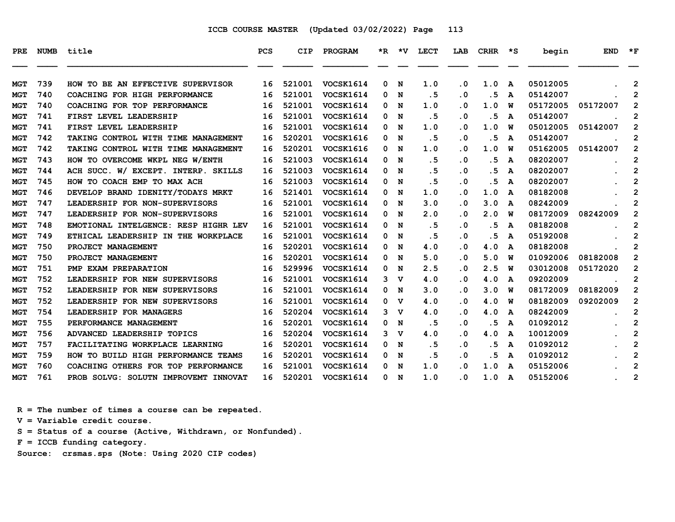| PRE.       | <b>NUMB</b> | title                                | <b>PCS</b> | <b>CIP</b> | PROGRAM          |   | *R *V          | <b>LECT</b> | LAB                     | <b>CRHR</b> | $\star$ s    | begin    | <b>END</b> | $*_{\mathbf{F}}$        |
|------------|-------------|--------------------------------------|------------|------------|------------------|---|----------------|-------------|-------------------------|-------------|--------------|----------|------------|-------------------------|
|            |             |                                      |            |            |                  |   |                |             |                         |             |              |          |            |                         |
| <b>MGT</b> | 739         | TO BE AN EFFECTIVE SUPERVISOR<br>HOW | 16         | 521001     | VOCSK1614        | 0 | N              | 1.0         | $\cdot$ 0               | 1.0         | A            | 05012005 |            | $\mathbf{2}$            |
| <b>MGT</b> | 740         | COACHING FOR HIGH PERFORMANCE        | 16         | 521001     | VOCSK1614        | 0 | N              | .5          | $\cdot$ 0               | .5          | A            | 05142007 |            | $\overline{2}$          |
| <b>MGT</b> | 740         | COACHING FOR TOP PERFORMANCE         | 16         | 521001     | VOCSK1614        | 0 | N              | 1.0         | $\cdot$ 0               | 1.0         | W            | 05172005 | 05172007   | $\overline{2}$          |
| <b>MGT</b> | 741         | FIRST LEVEL LEADERSHIP               | 16         | 521001     | VOCSK1614        | 0 | N              | . 5         | $\cdot$ 0               | .5          | A            | 05142007 |            | $\mathbf{2}$            |
| <b>MGT</b> | 741         | FIRST LEVEL LEADERSHIP               | 16         | 521001     | VOCSK1614        | 0 | N              | 1.0         | $\cdot$ 0               | 1.0         | W            | 05012005 | 05142007   | $\overline{2}$          |
| <b>MGT</b> | 742         | TAKING CONTROL WITH TIME MANAGEMENT  | 16         | 520201     | <b>VOCSK1616</b> | 0 | N              | .5          | $\cdot$ 0               | .5          | A            | 05142007 |            | $\overline{2}$          |
| <b>MGT</b> | 742         | TAKING CONTROL WITH TIME MANAGEMENT  | 16         | 520201     | VOCSK1616        | 0 | N              | 1.0         | . 0                     | 1.0         | W            | 05162005 | 05142007   | $\mathbf{2}$            |
| <b>MGT</b> | 743         | HOW TO OVERCOME WKPL NEG W/ENTH      | 16         | 521003     | VOCSK1614        | 0 | N              | . 5         | $\cdot$ 0               | .5          | $\mathbf{A}$ | 08202007 |            | 2                       |
| <b>MGT</b> | 744         | ACH SUCC. W/ EXCEPT. INTERP. SKILLS  | 16         | 521003     | <b>VOCSK1614</b> | 0 | N              | .5          | $\cdot$ 0               | .5          | A            | 08202007 |            | $\overline{\mathbf{c}}$ |
| <b>MGT</b> | 745         | HOW TO COACH EMP TO MAX ACH          | 16         | 521003     | VOCSK1614        | 0 | N              | .5          | $\cdot$ 0               | .5          | A            | 08202007 |            | $\overline{2}$          |
| <b>MGT</b> | 746         | DEVELOP BRAND IDENITY/TODAYS MRKT    | 16         | 521401     | <b>VOCSK1614</b> | 0 | N              | 1.0         | $\cdot$ 0               | 1.0         | A            | 08182008 |            | $\overline{2}$          |
| <b>MGT</b> | 747         | LEADERSHIP FOR NON-SUPERVISORS       | 16         | 521001     | VOCSK1614        | 0 | N              | 3.0         | $\cdot$ 0               | 3.0         | A            | 08242009 |            | $\mathbf{2}$            |
| <b>MGT</b> | 747         | LEADERSHIP FOR NON-SUPERVISORS       | 16         | 521001     | VOCSK1614        | 0 | N              | 2.0         | $\cdot$ 0               | 2.0         | W            | 08172009 | 08242009   | $\overline{2}$          |
| <b>MGT</b> | 748         | EMOTIONAL INTELGENCE: RESP HIGHR LEV | 16         | 521001     | <b>VOCSK1614</b> | 0 | N              | .5          | . 0                     | .5          | A            | 08182008 |            | $\overline{2}$          |
| <b>MGT</b> | 749         | ETHICAL LEADERSHIP IN THE WORKPLACE  | 16         | 521001     | VOCSK1614        | 0 | N              | . 5         | $\cdot$ 0               | . 5         | A            | 05192008 |            | $\overline{2}$          |
| <b>MGT</b> | 750         | PROJECT MANAGEMENT                   | 16         | 520201     | VOCSK1614        | 0 | N              | 4.0         | $\cdot$ 0               | 4.0         | A            | 08182008 |            | $\overline{2}$          |
| <b>MGT</b> | 750         | PROJECT MANAGEMENT                   | 16         | 520201     | VOCSK1614        | 0 | N              | 5.0         | $\cdot$ 0               | 5.0         | W            | 01092006 | 08182008   | $\overline{2}$          |
| <b>MGT</b> | 751         | PMP EXAM PREPARATION                 | 16         | 529996     | <b>VOCSK1614</b> | 0 | N              | 2.5         | $\cdot$ 0               | 2.5         | W            | 03012008 | 05172020   | $\mathbf{2}$            |
| <b>MGT</b> | 752         | LEADERSHIP FOR NEW SUPERVISORS       | 16         | 521001     | VOCSK1614        | 3 | v              | 4.0         | $\overline{\mathbf{0}}$ | 4.0         | A            | 09202009 |            | 2                       |
| <b>MGT</b> | 752         | LEADERSHIP FOR NEW SUPERVISORS       | 16         | 521001     | VOCSK1614        | 0 | N              | 3.0         | $\cdot$ 0               | 3.0         | W            | 08172009 | 08182009   | $\overline{2}$          |
| <b>MGT</b> | 752         | LEADERSHIP FOR NEW SUPERVISORS       | 16         | 521001     | VOCSK1614        | 0 | v              | 4.0         | . 0                     | 4.0         | W            | 08182009 | 09202009   | $\mathbf{2}$            |
| <b>MGT</b> | 754         | LEADERSHIP FOR MANAGERS              | 16         | 520204     | <b>VOCSK1614</b> |   | 3 <sub>v</sub> | 4.0         | $\cdot$ 0               | 4.0         | A            | 08242009 |            | $\mathbf{2}$            |
| <b>MGT</b> | 755         | PERFORMANCE MANAGEMENT               | 16         | 520201     | VOCSK1614        | 0 | N              | .5          | $\cdot$ 0               | .5          | A            | 01092012 |            | $\overline{2}$          |
| <b>MGT</b> | 756         | ADVANCED LEADERSHIP TOPICS           | 16         | 520204     | <b>VOCSK1614</b> | 3 | v              | 4.0         | $\cdot$ 0               | 4.0         | A            | 10012009 |            | $\overline{2}$          |
| <b>MGT</b> | 757         | FACILITATING WORKPLACE LEARNING      | 16         | 520201     | VOCSK1614        | 0 | N              | .5          | $\cdot$ 0               | .5          | A            | 01092012 |            | $\overline{2}$          |
| <b>MGT</b> | 759         | HOW TO BUILD HIGH PERFORMANCE TEAMS  | 16         | 520201     | VOCSK1614        | 0 | N              | . 5         | $\cdot$ 0               | .5          | A            | 01092012 |            | $\overline{2}$          |
| <b>MGT</b> | 760         | COACHING OTHERS FOR TOP PERFORMANCE  | 16         | 521001     | VOCSK1614        | 0 | N              | 1.0         | . 0                     | 1.0         | A            | 05152006 |            | $\overline{2}$          |
| <b>MGT</b> | 761         | PROB SOLVG: SOLUTN IMPROVEMT INNOVAT | 16         | 520201     | <b>VOCSK1614</b> | 0 | N              | 1.0         | . 0                     | 1.0         | A            | 05152006 |            | $\overline{2}$          |

 **R = The number of times a course can be repeated.**

 **V = Variable credit course.**

 **S = Status of a course (Active, Withdrawn, or Nonfunded).**

 **F = ICCB funding category.**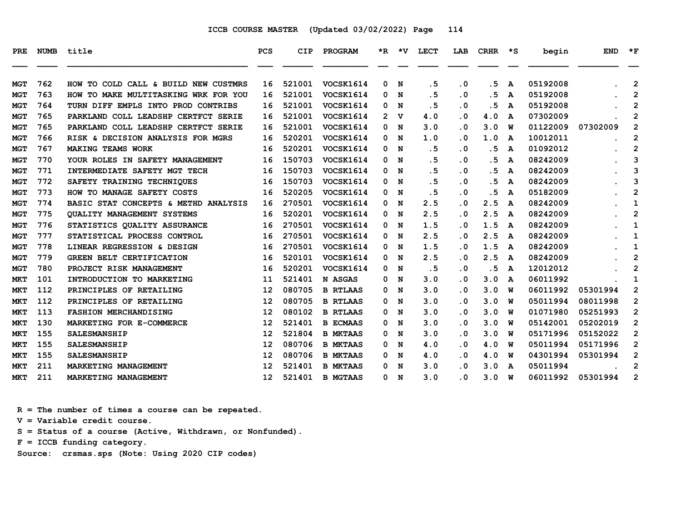| PRE.       | <b>NUMB</b> | title                                   | <b>PCS</b>        | <b>CIP</b> | PROGRAM          |    | $*R$ $*V$ | LECT | LAB       | CRHR | $\star$ s | begin    | <b>END</b> | $*_{\mathbf{F}}$ |
|------------|-------------|-----------------------------------------|-------------------|------------|------------------|----|-----------|------|-----------|------|-----------|----------|------------|------------------|
| <b>MGT</b> | 762         | TO COLD CALL & BUILD NEW CUSTMRS<br>HOW | 16                | 521001     | VOCSK1614        | 0  | N         | .5   | $\cdot$ 0 | .5   | A         | 05192008 |            | $\overline{2}$   |
| <b>MGT</b> | 763         | HOW TO MAKE MULTITASKING WRK FOR YOU    | 16                | 521001     | VOCSK1614        | 0  | N         | .5   | $\cdot$ 0 | .5   | A         | 05192008 |            | $\overline{2}$   |
| MGT        | 764         | TURN DIFF EMPLS INTO PROD CONTRIBS      | 16                | 521001     | VOCSK1614        | 0  | N         | .5   | $\cdot$ 0 | .5   | A         | 05192008 |            | 2                |
| <b>MGT</b> | 765         | PARKLAND COLL LEADSHP CERTFCT SERIE     | 16                | 521001     | <b>VOCSK1614</b> | 2. | v         | 4.0  | $\cdot$ 0 | 4.0  | A         | 07302009 |            | 2                |
| <b>MGT</b> | 765         | PARKLAND COLL LEADSHP CERTFCT SERIE     | 16                | 521001     | VOCSK1614        | 0  | N         | 3.0  | $\cdot$ 0 | 3.0  | W         | 01122009 | 07302009   | $\overline{2}$   |
| <b>MGT</b> | 766         | RISK & DECISION ANALYSIS FOR MGRS       | 16                | 520201     | VOCSK1614        | 0  | N         | 1.0  | $\cdot$ 0 | 1.0  | A         | 10012011 |            | $\overline{2}$   |
| MGT        | 767         | <b>MAKING TEAMS WORK</b>                | 16                | 520201     | VOCSK1614        | 0  | N         | .5   | $\cdot$ 0 | .5   | A         | 01092012 |            | $\overline{2}$   |
| MGT        | 770         | YOUR ROLES IN SAFETY MANAGEMENT         | 16                | 150703     | VOCSK1614        | 0  | N         | .5   | $\cdot$ 0 | . 5  | A         | 08242009 |            | 3                |
| <b>MGT</b> | 771         | INTERMEDIATE SAFETY MGT TECH            | 16                | 150703     | VOCSK1614        | 0  | N         | . 5  | $\cdot$ 0 | . 5  | A         | 08242009 |            | 3                |
| <b>MGT</b> | 772         | SAFETY TRAINING TECHNIQUES              | 16                | 150703     | VOCSK1614        | 0  | N         | .5   | $\cdot$ 0 | .5   | A         | 08242009 |            | 3                |
| <b>MGT</b> | 773         | HOW TO MANAGE SAFETY COSTS              | 16                | 520205     | VOCSK1614        | 0  | N         | .5   | $\cdot$ 0 | .5   | A         | 05182009 |            | $\overline{2}$   |
| <b>MGT</b> | 774         | BASIC STAT CONCEPTS & METHD ANALYSIS    | 16                | 270501     | VOCSK1614        | 0  | N         | 2.5  | . 0       | 2.5  | A         | 08242009 |            | 1                |
| <b>MGT</b> | 775         | <b>OUALITY MANAGEMENT SYSTEMS</b>       | 16                | 520201     | VOCSK1614        | 0  | N         | 2.5  | $\cdot$ 0 | 2.5  | A         | 08242009 |            | $\mathbf{2}$     |
| MGT        | 776         | STATISTICS QUALITY ASSURANCE            | 16                | 270501     | VOCSK1614        | 0  | N         | 1.5  | . 0       | 1.5  | A         | 08242009 |            | 1                |
| <b>MGT</b> | 777         | STATISTICAL PROCESS CONTROL             | 16                | 270501     | VOCSK1614        | 0  | N         | 2.5  | $\cdot$ 0 | 2.5  | A         | 08242009 |            | 1                |
| <b>MGT</b> | 778         | LINEAR REGRESSION & DESIGN              | 16                | 270501     | VOCSK1614        | 0  | N         | 1.5  | . 0       | 1.5  | A         | 08242009 |            | 1                |
| <b>MGT</b> | 779         | <b>GREEN BELT CERTIFICATION</b>         | 16                | 520101     | VOCSK1614        | 0  | N         | 2.5  | . 0       | 2.5  | A         | 08242009 |            | $\overline{2}$   |
| <b>MGT</b> | 780         | PROJECT RISK MANAGEMENT                 | 16                | 520201     | VOCSK1614        | 0  | N         | .5   | $\cdot$ 0 | .5   | A         | 12012012 |            | $\overline{2}$   |
| <b>MKT</b> | 101         | INTRODUCTION TO MARKETING               | 11                | 521401     | N ASGAS          | 0  | N         | 3.0  | $\cdot$ 0 | 3.0  | A         | 06011992 |            | 1                |
| <b>MKT</b> | 112         | PRINCIPLES OF RETAILING                 | 12                | 080705     | <b>B RTLAAS</b>  | 0  | N         | 3.0  | $\cdot$ 0 | 3.0  | W         | 06011992 | 05301994   | $\mathbf{2}$     |
| <b>MKT</b> | 112         | PRINCIPLES OF RETAILING                 | 12                | 080705     | <b>B RTLAAS</b>  | 0  | N         | 3.0  | . 0       | 3.0  | W         | 05011994 | 08011998   | $\mathbf{2}$     |
| <b>MKT</b> | 113         | <b>FASHION MERCHANDISING</b>            | $12 \overline{ }$ | 080102     | <b>B RTLAAS</b>  | 0  | N         | 3.0  | $\cdot$ 0 | 3.0  | W         | 01071980 | 05251993   | $\mathbf{2}$     |
| <b>MKT</b> | 130         | MARKETING FOR E-COMMERCE                | $12 \overline{ }$ | 521401     | <b>B ECMAAS</b>  | 0  | N         | 3.0  | . 0       | 3.0  | W         | 05142001 | 05202019   | $\mathbf 2$      |
| MKT        | 155         | <b>SALESMANSHIP</b>                     | 12                | 521804     | <b>B MKTAAS</b>  | 0  | N         | 3.0  | $\cdot$ 0 | 3.0  | W         | 05171996 | 05152022   | $\overline{2}$   |
| <b>MKT</b> | 155         | <b>SALESMANSHIP</b>                     | 12                | 080706     | <b>B MKTAAS</b>  | 0  | N         | 4.0  | $\cdot$ 0 | 4.0  | W         | 05011994 | 05171996   | $\overline{2}$   |
| <b>MKT</b> | 155         | <b>SALESMANSHIP</b>                     | $12 \overline{ }$ | 080706     | <b>B MKTAAS</b>  | 0  | N         | 4.0  | $\cdot$ 0 | 4.0  | W         | 04301994 | 05301994   | $\overline{2}$   |
| MKT        | 211         | MARKETING MANAGEMENT                    | 12                | 521401     | <b>B MKTAAS</b>  | 0  | N         | 3.0  | . 0       | 3.0  | A         | 05011994 |            | $\overline{2}$   |
| <b>MKT</b> | 211         | MARKETING MANAGEMENT                    | $12 \overline{ }$ | 521401     | <b>B MGTAAS</b>  | 0  | N         | 3.0  | . 0       | 3.0  | W         | 06011992 | 05301994   | $\overline{2}$   |

 **R = The number of times a course can be repeated.**

 **V = Variable credit course.**

 **S = Status of a course (Active, Withdrawn, or Nonfunded).**

 **F = ICCB funding category.**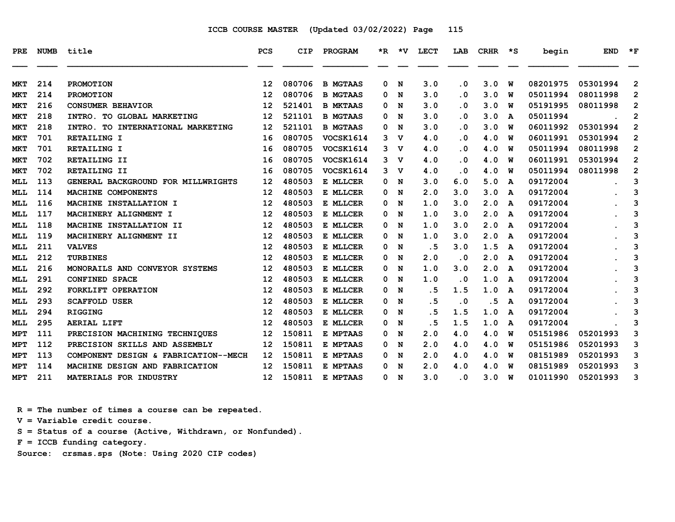| PRE.       | <b>NUMB</b> | title                                | <b>PCS</b>        | CIP    | PROGRAM          | *R. | *v. | LECT | LAB                     | <b>CRHR</b> | *S | begin    | <b>END</b> | $*_{\mathbf{F}}$ |
|------------|-------------|--------------------------------------|-------------------|--------|------------------|-----|-----|------|-------------------------|-------------|----|----------|------------|------------------|
|            |             |                                      |                   |        |                  |     |     |      |                         |             |    |          |            |                  |
| MKT        | 214         | <b>PROMOTION</b>                     | 12                | 080706 | <b>B MGTAAS</b>  | 0   | N   | 3.0  | $\overline{\mathbf{0}}$ | 3.0         | W  | 08201975 | 05301994   | $\overline{2}$   |
| <b>MKT</b> | 214         | <b>PROMOTION</b>                     | 12                | 080706 | <b>B MGTAAS</b>  | 0   | N   | 3.0  | . 0                     | 3.0         | w  | 05011994 | 08011998   | $\overline{2}$   |
| <b>MKT</b> | 216         | <b>CONSUMER BEHAVIOR</b>             | 12                | 521401 | <b>B MKTAAS</b>  | 0   | N   | 3.0  | . 0                     | 3.0         | W  | 05191995 | 08011998   | $\mathbf{2}$     |
| <b>MKT</b> | 218         | INTRO. TO GLOBAL MARKETING           | 12                | 521101 | <b>B MGTAAS</b>  | 0   | N   | 3.0  | $\overline{\mathbf{0}}$ | 3.0         | A  | 05011994 |            | $\mathbf{2}$     |
| <b>MKT</b> | 218         | INTRO. TO INTERNATIONAL MARKETING    | 12                | 521101 | <b>B MGTAAS</b>  | 0   | N   | 3.0  | . 0                     | 3.0         | W  | 06011992 | 05301994   | $\overline{2}$   |
| <b>MKT</b> | 701         | RETAILING I                          | 16                | 080705 | VOCSK1614        | 3   | v   | 4.0  | . 0                     | 4.0         | W  | 06011991 | 05301994   | $\overline{2}$   |
| <b>MKT</b> | 701         | RETAILING I                          | 16                | 080705 | VOCSK1614        | 3   | v   | 4.0  | $\cdot$ 0               | 4.0         | W  | 05011994 | 08011998   | $\overline{2}$   |
| <b>MKT</b> | 702         | RETAILING II                         | 16                | 080705 | <b>VOCSK1614</b> | 3   | v   | 4.0  | . 0                     | 4.0         | W  | 06011991 | 05301994   | 2                |
| <b>MKT</b> | 702         | RETAILING II                         | 16                | 080705 | VOCSK1614        | 3   | v   | 4.0  | . 0                     | 4.0         | W  | 05011994 | 08011998   | $\mathbf{2}$     |
| <b>MLL</b> | 113         | GENERAL BACKGROUND FOR MILLWRIGHTS   | 12                | 480503 | E MLLCER         | 0   | N   | 3.0  | 6.0                     | 5.0         | A  | 09172004 |            | 3                |
| <b>MLL</b> | 114         | MACHINE COMPONENTS                   | 12                | 480503 | E MLLCER         | 0   | N   | 2.0  | 3.0                     | 3.0         | A  | 09172004 |            | 3                |
| <b>MLL</b> | 116         | MACHINE INSTALLATION I               | 12                | 480503 | E MLLCER         | 0   | N   | 1.0  | 3.0                     | 2.0         | A  | 09172004 |            | 3                |
| MLL        | 117         | MACHINERY ALIGNMENT I                | 12                | 480503 | E MLLCER         | 0   | N   | 1.0  | 3.0                     | 2.0         | A  | 09172004 |            | 3                |
| MLL        | 118         | MACHINE INSTALLATION II              | 12                | 480503 | E MLLCER         | 0   | N   | 1.0  | 3.0                     | 2.0         | A  | 09172004 |            | 3                |
| MLL        | 119         | MACHINERY ALIGNMENT II               | 12                | 480503 | E MLLCER         | 0   | N   | 1.0  | 3.0                     | 2.0         | A  | 09172004 |            | 3                |
| MLL        | 211         | <b>VALVES</b>                        | 12                | 480503 | E MLLCER         | 0   | N   | . 5  | 3.0                     | 1.5         | A  | 09172004 |            | 3                |
| <b>MLL</b> | 212         | <b>TURBINES</b>                      | 12                | 480503 | E MLLCER         | 0   | N   | 2.0  | $\overline{\mathbf{0}}$ | 2.0         | A  | 09172004 |            | 3                |
| <b>MLL</b> | 216         | MONORAILS AND CONVEYOR SYSTEMS       | 12                | 480503 | E MLLCER         | 0   | N   | 1.0  | 3.0                     | 2.0         | A  | 09172004 |            | 3                |
| MLL        | 291         | <b>CONFINED SPACE</b>                | 12                | 480503 | E MLLCER         | 0   | N   | 1.0  | . 0                     | 1.0         | A  | 09172004 |            | 3                |
| <b>MLL</b> | 292         | FORKLIFT OPERATION                   | 12                | 480503 | E MLLCER         | 0   | N   | . 5  | 1.5                     | 1.0         | A  | 09172004 |            | 3                |
| MLL        | 293         | <b>SCAFFOLD USER</b>                 | 12                | 480503 | E MLLCER         | 0   | N   | .5   | $\cdot$ 0               | .5          | A  | 09172004 |            | 3                |
| <b>MLL</b> | 294         | <b>RIGGING</b>                       | 12                | 480503 | E MLLCER         | 0   | N   | .5   | 1.5                     | 1.0         | A  | 09172004 |            | 3                |
| MLL        | 295         | <b>AERIAL LIFT</b>                   | 12                | 480503 | E MLLCER         | 0   | N   | .5   | 1.5                     | 1.0         | A  | 09172004 |            | 3                |
| <b>MPT</b> | 111         | PRECISION MACHINING TECHNIQUES       | 12                | 150811 | E MPTAAS         | 0   | N   | 2.0  | 4.0                     | 4.0         | W  | 05151986 | 05201993   | 3                |
| <b>MPT</b> | 112         | PRECISION SKILLS AND ASSEMBLY        | 12                | 150811 | E MPTAAS         | 0   | N   | 2.0  | 4.0                     | 4.0         | W  | 05151986 | 05201993   | 3                |
| MPT        | 113         | COMPONENT DESIGN & FABRICATION--MECH | 12                | 150811 | E MPTAAS         | 0   | N   | 2.0  | 4.0                     | 4.0         | w  | 08151989 | 05201993   | 3                |
| <b>MPT</b> | 114         | MACHINE DESIGN AND FABRICATION       | 12                | 150811 | E MPTAAS         | 0   | N   | 2.0  | 4.0                     | 4.0         | W  | 08151989 | 05201993   | 3                |
| <b>MPT</b> | 211         | MATERIALS FOR INDUSTRY               | $12 \overline{ }$ | 150811 | E MPTAAS         | 0   | N   | 3.0  | $\overline{\mathbf{0}}$ | 3.0         | W  | 01011990 | 05201993   | 3                |

 **R = The number of times a course can be repeated.**

 **V = Variable credit course.**

 **S = Status of a course (Active, Withdrawn, or Nonfunded).**

 **F = ICCB funding category.**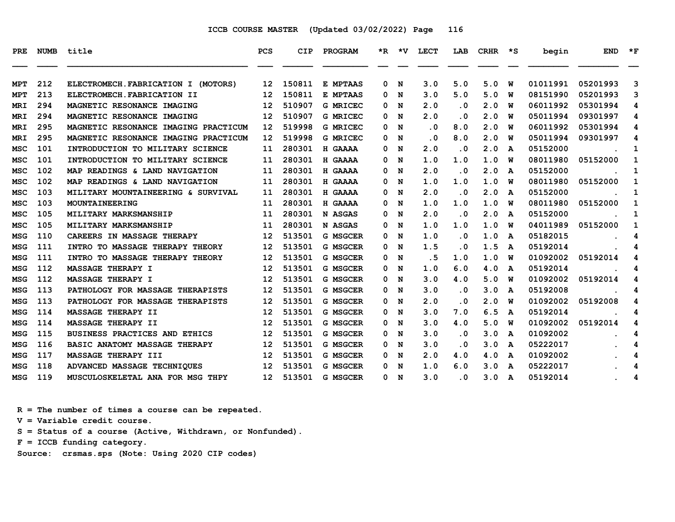| PRE        |     | NUMB title                           | <b>PCS</b>        | CIP    | <b>PROGRAM</b>  |   |     | *R *V LECT | LAB                     | $CRHR$ *S |   | begin    | <b>END</b> | $*_{\mathbf{F}}$ |
|------------|-----|--------------------------------------|-------------------|--------|-----------------|---|-----|------------|-------------------------|-----------|---|----------|------------|------------------|
| <b>MPT</b> | 212 | ELECTROMECH. FABRICATION I (MOTORS)  | 12                | 150811 | E MPTAAS        | 0 | N   | 3.0        | 5.0                     | 5.0       | W | 01011991 | 05201993   | 3                |
| <b>MPT</b> | 213 | ELECTROMECH.FABRICATION II           | 12                | 150811 | E MPTAAS        | 0 | N   | 3.0        | 5.0                     | 5.0       | w | 08151990 | 05201993   | 3                |
| MRI        | 294 | MAGNETIC RESONANCE IMAGING           | 12                | 510907 | <b>G MRICEC</b> | 0 | N   | 2.0        | $\overline{\mathbf{0}}$ | 2.0       | W | 06011992 | 05301994   | 4                |
| MRI        | 294 | MAGNETIC RESONANCE IMAGING           | 12                | 510907 | <b>G MRICEC</b> | 0 | N   | 2.0        | . 0                     | 2.0       | W | 05011994 | 09301997   | 4                |
| MRI        | 295 | MAGNETIC RESONANCE IMAGING PRACTICUM | $12 \overline{ }$ | 519998 | <b>G MRICEC</b> | 0 | N   | $\cdot$ 0  | 8.0                     | 2.0       | W | 06011992 | 05301994   | 4                |
| MRI        | 295 | MAGNETIC RESONANCE IMAGING PRACTICUM | $12 \overline{ }$ | 519998 | <b>G MRICEC</b> | 0 | N   | . 0        | 8.0                     | 2.0       | w | 05011994 | 09301997   | 4                |
| <b>MSC</b> | 101 | INTRODUCTION TO MILITARY SCIENCE     | 11                | 280301 | H GAAAA         | 0 | N   | 2.0        | $\overline{\mathbf{0}}$ | 2.0       | A | 05152000 |            | 1                |
| <b>MSC</b> | 101 | INTRODUCTION TO MILITARY SCIENCE     | 11                | 280301 | H GAAAA         | 0 | N   | 1.0        | 1.0                     | 1.0       | W | 08011980 | 05152000   | $\mathbf{1}$     |
| MSC        | 102 | MAP READINGS & LAND NAVIGATION       | 11                | 280301 | H GAAAA         | 0 | N   | 2.0        | $\cdot$ 0               | 2.0       | A | 05152000 |            | 1                |
| <b>MSC</b> | 102 | MAP READINGS & LAND NAVIGATION       | 11                | 280301 | H GAAAA         | 0 | N   | 1.0        | 1.0                     | 1.0       | w | 08011980 | 05152000   | 1                |
| MSC        | 103 | MILITARY MOUNTAINEERING & SURVIVAL   | 11                | 280301 | H GAAAA         | 0 | N   | 2.0        | . 0                     | 2.0       | A | 05152000 |            | 1                |
| <b>MSC</b> | 103 | MOUNTAINEERING                       | 11                | 280301 | H GAAAA         | 0 | N   | 1.0        | 1.0                     | 1.0       | W | 08011980 | 05152000   | 1                |
| <b>MSC</b> | 105 | MILITARY MARKSMANSHIP                | 11                | 280301 | N ASGAS         | 0 | N   | 2.0        | $\cdot$ 0               | 2.0       | A | 05152000 |            | 1                |
| MSC        | 105 | MILITARY MARKSMANSHIP                | 11                | 280301 | N ASGAS         | 0 | N   | 1.0        | 1.0                     | 1.0       | พ | 04011989 | 05152000   | $\mathbf{1}$     |
| MSG        | 110 | CAREERS IN MASSAGE THERAPY           | 12                | 513501 | <b>G MSGCER</b> | 0 | N   | 1.0        | . 0                     | 1.0       | A | 05182015 |            | 4                |
| <b>MSG</b> | 111 | INTRO TO MASSAGE THERAPY THEORY      | 12                | 513501 | <b>G MSGCER</b> | 0 | N   | 1.5        | . 0                     | 1.5       | A | 05192014 |            | 4                |
| <b>MSG</b> | 111 | INTRO TO MASSAGE THERAPY THEORY      | 12                | 513501 | <b>G MSGCER</b> | 0 | N   | . 5        | 1.0                     | 1.0       | w | 01092002 | 05192014   | 4                |
| MSG        | 112 | <b>MASSAGE THERAPY I</b>             | 12                | 513501 | <b>G MSGCER</b> | 0 | N   | 1.0        | 6.0                     | 4.0       | A | 05192014 |            | 4                |
| <b>MSG</b> | 112 | <b>MASSAGE THERAPY I</b>             | 12                | 513501 | <b>G MSGCER</b> | 0 | N   | 3.0        | 4.0                     | 5.0       | W | 01092002 | 05192014   | 4                |
| MSG        | 113 | PATHOLOGY FOR MASSAGE THERAPISTS     | 12                | 513501 | <b>G MSGCER</b> | 0 | N   | 3.0        | . 0                     | 3.0       | A | 05192008 |            | 4                |
| <b>MSG</b> | 113 | PATHOLOGY FOR MASSAGE THERAPISTS     | 12                | 513501 | <b>G MSGCER</b> | 0 | N   | 2.0        | . 0                     | 2.0       | W | 01092002 | 05192008   | 4                |
| <b>MSG</b> | 114 | <b>MASSAGE THERAPY II</b>            | 12                | 513501 | <b>G MSGCER</b> | 0 | N   | 3.0        | 7.0                     | 6.5       | A | 05192014 |            | 4                |
| MSG        | 114 | <b>MASSAGE THERAPY II</b>            | 12                | 513501 | <b>G MSGCER</b> | 0 | N   | 3.0        | 4.0                     | 5.0       | W | 01092002 | 05192014   | 4                |
| <b>MSG</b> | 115 | BUSINESS PRACTICES AND ETHICS        | 12                | 513501 | <b>G MSGCER</b> | 0 | N   | 3.0        | $\overline{\mathbf{0}}$ | 3.0       | A | 01092002 |            | 4                |
| MSG        | 116 | BASIC ANATOMY MASSAGE THERAPY        | 12                | 513501 | <b>G MSGCER</b> | 0 | N   | 3.0        | . 0                     | 3.0       | A | 05222017 |            | 4                |
| <b>MSG</b> | 117 | <b>MASSAGE THERAPY III</b>           | 12                | 513501 | <b>G MSGCER</b> | 0 | N   | 2.0        | 4.0                     | 4.0       | A | 01092002 |            | 4                |
| MSG        | 118 | ADVANCED MASSAGE TECHNIQUES          | 12                | 513501 | <b>G MSGCER</b> | 0 | N   | 1.0        | 6.0                     | 3.0       | A | 05222017 |            | 4                |
| <b>MSG</b> | 119 | MUSCULOSKELETAL ANA FOR MSG THPY     | 12 <sup>2</sup>   | 513501 | <b>G MSGCER</b> |   | 0 N | 3.0        | $\cdot$ 0               | 3.0       | A | 05192014 |            | 4                |

 **R = The number of times a course can be repeated.**

 **V = Variable credit course.**

 **S = Status of a course (Active, Withdrawn, or Nonfunded).**

 **F = ICCB funding category.**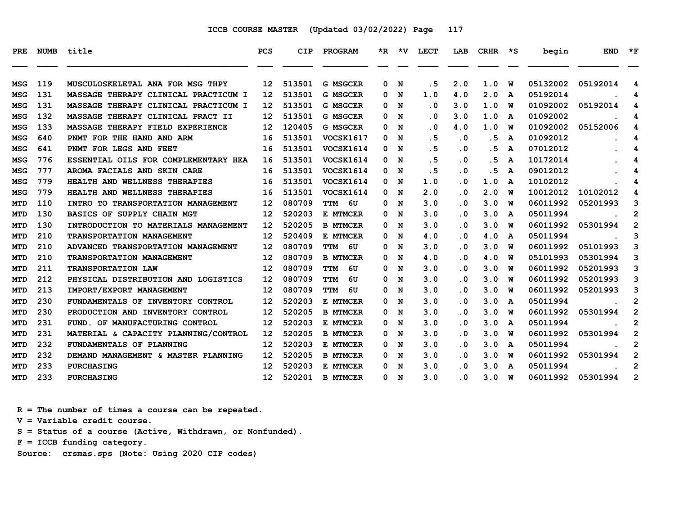| PRE        | <b>NUMB</b> | title                                | <b>PCS</b>        | CIP    | <b>PROGRAM</b>   |   | $*R$ $*V$ | LECT                    | LAB                     | <b>CRHR</b> | $\star$ s | begin    | <b>END</b> | $*_{\mathbf{F}}$ |
|------------|-------------|--------------------------------------|-------------------|--------|------------------|---|-----------|-------------------------|-------------------------|-------------|-----------|----------|------------|------------------|
| <b>MSG</b> | 119         | MUSCULOSKELETAL ANA FOR MSG THPY     | 12 <sup>2</sup>   | 513501 | <b>G MSGCER</b>  | 0 | N         | . 5                     | 2.0                     | 1.0         | W         | 05132002 | 05192014   | 4                |
| MSG        | 131         | MASSAGE THERAPY CLINICAL PRACTICUM I | 12                | 513501 | <b>G MSGCER</b>  | 0 | N         | 1.0                     | 4.0                     | 2.0         | A         | 05192014 |            | 4                |
| MSG        | 131         | MASSAGE THERAPY CLINICAL PRACTICUM I | 12                | 513501 | <b>G MSGCER</b>  | 0 | N         | $\cdot$ 0               | 3.0                     | 1.0         | W         | 01092002 | 05192014   | 4                |
| MSG        | 132         | MASSAGE THERAPY CLINICAL PRACT II    | 12                | 513501 | <b>G MSGCER</b>  | 0 | N         | . 0                     | 3.0                     | 1.0         | A         | 01092002 |            | 4                |
| <b>MSG</b> | 133         | MASSAGE THERAPY FIELD EXPERIENCE     | 12                | 120405 | <b>G MSGCER</b>  | 0 | N         | $\overline{\mathbf{0}}$ | 4.0                     | 1.0         | w         | 01092002 | 05152006   | 4                |
| MSG        | 640         | PNMT FOR THE HAND AND ARM            | 16                | 513501 | VOCSK1617        | 0 | N         | .5                      | $\cdot$ 0               | . 5         | A         | 01092012 |            | 4                |
| MSG        | 641         | PNMT FOR LEGS AND FEET               | 16                | 513501 | VOCSK1614        | 0 | N         | .5                      | . 0                     | . 5         | A         | 07012012 |            | 4                |
| MSG        | 776         | ESSENTIAL OILS FOR COMPLEMENTARY HEA | 16                | 513501 | VOCSK1614        | 0 | N         | . 5                     | $\overline{\mathbf{0}}$ | . 5         | A         | 10172014 |            | 4                |
| MSG        | 777         | AROMA FACIALS AND SKIN CARE          | 16                | 513501 | <b>VOCSK1614</b> | 0 | N         | .5                      | $\overline{\mathbf{0}}$ | .5          | A         | 09012012 |            | 4                |
| MSG        | 779         | HEALTH AND WELLNESS THERAPIES        | 16                | 513501 | VOCSK1614        | 0 | N         | 1.0                     | $\overline{\mathbf{0}}$ | 1.0         | A         | 10102012 |            | 4                |
| MSG        | 779         | HEALTH AND WELLNESS THERAPIES        | 16                | 513501 | VOCSK1614        | 0 | N         | 2.0                     | $\overline{\mathbf{0}}$ | 2.0         | w         | 10012012 | 10102012   | 4                |
| <b>MTD</b> | 110         | INTRO TO TRANSPORTATION MANAGEMENT   | 12                | 080709 | TTM 6U           | 0 | N         | 3.0                     | $\overline{\mathbf{0}}$ | 3.0         | W         | 06011992 | 05201993   | 3                |
| <b>MTD</b> | 130         | BASICS OF SUPPLY CHAIN MGT           | 12                | 520203 | E MTMCER         | 0 | N         | 3.0                     | . 0                     | 3.0         | A         | 05011994 |            | 2                |
| <b>MTD</b> | 130         | INTRODUCTION TO MATERIALS MANAGEMENT | 12                | 520205 | <b>B MTMCER</b>  | 0 | N         | 3.0                     | $\cdot$ 0               | 3.0         | พ         | 06011992 | 05301994   | $\overline{2}$   |
| <b>MTD</b> | 210         | TRANSPORTATION MANAGEMENT            | $12 \overline{ }$ | 520409 | E MTMCER         | 0 | N         | 4.0                     | $\overline{\mathbf{0}}$ | 4.0         | A         | 05011994 |            | 3                |
| <b>MTD</b> | 210         | ADVANCED TRANSPORTATION MANAGEMENT   | 12                | 080709 | 6U<br>TTM        | 0 | N         | 3.0                     | . 0                     | 3.0         | w         | 06011992 | 05101993   | 3                |
| <b>MTD</b> | 210         | TRANSPORTATION MANAGEMENT            | 12                | 080709 | <b>B MTMCER</b>  | 0 | N         | 4.0                     | $\cdot$ 0               | 4.0         | W         | 05101993 | 05301994   | 3                |
| <b>MTD</b> | 211         | <b>TRANSPORTATION LAW</b>            | 12                | 080709 | <b>TTM</b><br>6U | 0 | N         | 3.0                     | . 0                     | 3.0         | W         | 06011992 | 05201993   | 3                |
| <b>MTD</b> | 212         | PHYSICAL DISTRIBUTION AND LOGISTICS  | 12                | 080709 | <b>TTM</b><br>6U | 0 | N         | 3.0                     | . 0                     | 3.0         | w         | 06011992 | 05201993   | 3                |
| <b>MTD</b> | 213         | IMPORT/EXPORT MANAGEMENT             | 12                | 080709 | <b>TTM</b><br>6U | 0 | N         | 3.0                     | . 0                     | 3.0         | w         | 06011992 | 05201993   | 3                |
| MTD        | 230         | FUNDAMENTALS OF INVENTORY CONTROL    | 12                | 520203 | E MTMCER         | 0 | N         | 3.0                     | . 0                     | 3.0         | A         | 05011994 |            | $\overline{2}$   |
| <b>MTD</b> | 230         | PRODUCTION AND INVENTORY CONTROL     | 12                | 520205 | <b>B MTMCER</b>  | 0 | N         | 3.0                     | . 0                     | 3.0         | W         | 06011992 | 05301994   | $\mathbf{2}$     |
| MTD        | 231         | FUND. OF MANUFACTURING CONTROL       | 12                | 520203 | E MTMCER         | 0 | N         | 3.0                     | . 0                     | 3.0         | A         | 05011994 |            | 2                |
| MTD        | 231         | MATERIAL & CAPACITY PLANNING/CONTROL | 12                | 520205 | <b>B MTMCER</b>  | 0 | N         | 3.0                     | $\overline{\mathbf{0}}$ | 3.0         | W         | 06011992 | 05301994   | $\overline{2}$   |
| <b>MTD</b> | 232         | FUNDAMENTALS OF PLANNING             | 12                | 520203 | E MTMCER         | 0 | N         | 3.0                     | . 0                     | 3.0         | A         | 05011994 |            | $\mathbf{2}$     |
| <b>MTD</b> | 232         | DEMAND MANAGEMENT & MASTER PLANNING  | 12                | 520205 | <b>B MTMCER</b>  | 0 | N         | 3.0                     | . 0                     | 3.0         | W         | 06011992 | 05301994   | $\mathbf{2}$     |
| MTD        | 233         | <b>PURCHASING</b>                    | 12                | 520203 | E MTMCER         | 0 | N         | 3.0                     | . 0                     | 3.0         | A         | 05011994 |            | $\overline{2}$   |
| MTD        | 233         | <b>PURCHASING</b>                    | 12 <sup>2</sup>   | 520201 | <b>B MTMCER</b>  |   | 0 N       | 3.0                     | $\overline{\mathbf{0}}$ | 3.0         | W         | 06011992 | 05301994   | 2                |

 **R = The number of times a course can be repeated.**

 **V = Variable credit course.**

 **S = Status of a course (Active, Withdrawn, or Nonfunded).**

 **F = ICCB funding category.**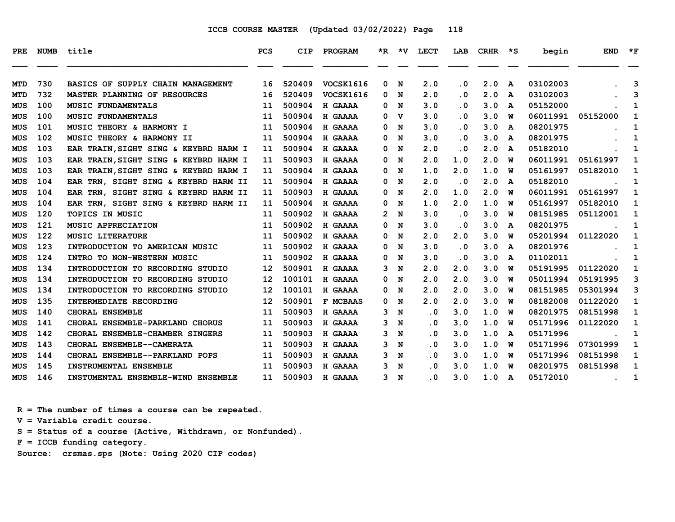| PRE        | NUMB | title                                 | <b>PCS</b> | <b>CIP</b> | PROGRAM        |                | *R *V       | LECT                    | LAB       | CRHR | $\star$ s    | begin    | <b>END</b> | $*_{\mathbf{F}}$ |
|------------|------|---------------------------------------|------------|------------|----------------|----------------|-------------|-------------------------|-----------|------|--------------|----------|------------|------------------|
| MTD        | 730  | BASICS OF SUPPLY CHAIN MANAGEMENT     | 16         | 520409     | VOCSK1616      | 0              | N           | 2.0                     | . 0       | 2.0  | A            | 03102003 |            | 3                |
| MTD        | 732  | MASTER PLANNING OF RESOURCES          | 16         | 520409     | VOCSK1616      | 0              | N           | 2.0                     | $\cdot$ 0 | 2.0  | A            | 03102003 |            | 3                |
| MUS        | 100  | <b>MUSIC FUNDAMENTALS</b>             | 11         | 500904     | H GAAAA        | 0              | N           | 3.0                     | . 0       | 3.0  | A            | 05152000 |            | 1                |
| MUS        | 100  | <b>MUSIC FUNDAMENTALS</b>             | 11         | 500904     | H GAAAA        | 0              | $\mathbf v$ | 3.0                     | . 0       | 3.0  | W            | 06011991 | 05152000   | 1                |
| MUS        | 101  | MUSIC THEORY & HARMONY I              | 11         | 500904     | H GAAAA        | 0              | N           | 3.0                     | . 0       | 3.0  | A            | 08201975 |            | 1                |
| <b>MUS</b> | 102  | MUSIC THEORY & HARMONY II             | 11         | 500904     | H GAAAA        | 0              | N           | 3.0                     | . 0       | 3.0  | A            | 08201975 |            | 1                |
| <b>MUS</b> | 103  | EAR TRAIN, SIGHT SING & KEYBRD HARM I | 11         | 500904     | H GAAAA        | 0              | N           | 2.0                     | $\cdot$ 0 | 2.0  | A            | 05182010 |            | 1                |
| MUS        | 103  | EAR TRAIN, SIGHT SING & KEYBRD HARM I | 11         | 500903     | H GAAAA        | 0              | N           | 2.0                     | 1.0       | 2.0  | W            | 06011991 | 05161997   | 1                |
| <b>MUS</b> | 103  | EAR TRAIN, SIGHT SING & KEYBRD HARM I | 11         | 500904     | H GAAAA        | 0              | N           | 1.0                     | 2.0       | 1.0  | W            | 05161997 | 05182010   | 1                |
| MUS        | 104  | EAR TRN, SIGHT SING & KEYBRD HARM II  | 11         | 500904     | H GAAAA        | 0              | N           | 2.0                     | $\cdot$ 0 | 2.0  | $\mathbf{A}$ | 05182010 |            | 1                |
| MUS        | 104  | EAR TRN, SIGHT SING & KEYBRD HARM II  | 11         | 500903     | H GAAAA        | 0              | N           | 2.0                     | 1.0       | 2.0  | W            | 06011991 | 05161997   | 1                |
| MUS        | 104  | EAR TRN, SIGHT SING & KEYBRD HARM II  | 11         | 500904     | H GAAAA        | 0              | N           | 1.0                     | 2.0       | 1.0  | W            | 05161997 | 05182010   | 1                |
| MUS        | 120  | TOPICS IN MUSIC                       | 11         | 500902     | H GAAAA        | $\overline{2}$ | N           | 3.0                     | . 0       | 3.0  | W            | 08151985 | 05112001   | 1                |
| MUS        | 121  | MUSIC APPRECIATION                    | 11         | 500902     | H GAAAA        | 0              | N           | 3.0                     | $\cdot$ 0 | 3.0  | A            | 08201975 |            | 1                |
| MUS        | 122  | <b>MUSIC LITERATURE</b>               | 11         | 500902     | <b>H GAAAA</b> | 0              | N           | 2.0                     | 2.0       | 3.0  | W            | 05201994 | 01122020   | 1                |
| <b>MUS</b> | 123  | INTRODUCTION TO AMERICAN MUSIC        | 11         | 500902     | H GAAAA        | 0              | N           | 3.0                     | . 0       | 3.0  | A            | 08201976 |            | 1                |
| MUS        | 124  | INTRO TO NON-WESTERN MUSIC            | 11         | 500902     | H GAAAA        | 0              | N           | 3.0                     | . 0       | 3.0  | A            | 01102011 |            | 1                |
| MUS        | 134  | INTRODUCTION TO RECORDING STUDIO      | 12         | 500901     | H GAAAA        | 3              | N           | 2.0                     | 2.0       | 3.0  | W            | 05191995 | 01122020   | 1                |
| <b>MUS</b> | 134  | INTRODUCTION TO RECORDING STUDIO      | 12         | 100101     | H GAAAA        | 0              | N           | 2.0                     | 2.0       | 3.0  | W            | 05011994 | 05191995   | 3                |
| MUS        | 134  | INTRODUCTION TO RECORDING STUDIO      | 12         | 100101     | H GAAAA        | 0              | N           | 2.0                     | 2.0       | 3.0  | W            | 08151985 | 05301994   | 3                |
| <b>MUS</b> | 135  | INTERMEDIATE RECORDING                | 12         | 500901     | F MCBAAS       | 0              | N           | 2.0                     | 2.0       | 3.0  | W            | 08182008 | 01122020   | 1                |
| MUS        | 140  | CHORAL ENSEMBLE                       | 11         | 500903     | H GAAAA        | 3              | N           | $\cdot$ 0               | 3.0       | 1.0  | W            | 08201975 | 08151998   | 1                |
| <b>MUS</b> | 141  | CHORAL ENSEMBLE-PARKLAND CHORUS       | 11         | 500903     | H GAAAA        | 3              | N           | $\cdot$ 0               | 3.0       | 1.0  | W            | 05171996 | 01122020   | 1                |
| MUS        | 142  | CHORAL ENSEMBLE-CHAMBER SINGERS       | 11         | 500903     | H GAAAA        | 3              | N           | $\cdot$ 0               | 3.0       | 1.0  | A            | 05171996 |            | 1                |
| MUS        | 143  | CHORAL ENSEMBLE--CAMERATA             | 11         | 500903     | H GAAAA        | 3              | N           | $\cdot$ 0               | 3.0       | 1.0  | W            | 05171996 | 07301999   | 1                |
| <b>MUS</b> | 144  | CHORAL ENSEMBLE--PARKLAND POPS        | 11         | 500903     | H GAAAA        | 3              | N           | . 0                     | 3.0       | 1.0  | W            | 05171996 | 08151998   | 1                |
| MUS        | 145  | <b>INSTRUMENTAL ENSEMBLE</b>          | 11         | 500903     | H GAAAA        | 3              | N           | . 0                     | 3.0       | 1.0  | W            | 08201975 | 08151998   | 1                |
| <b>MUS</b> | 146  | INSTUMENTAL ENSEMBLE-WIND ENSEMBLE    | 11         | 500903     | H GAAAA        |                | 3 N         | $\overline{\mathbf{0}}$ | 3.0       | 1.0  | A            | 05172010 |            | 1                |

 **R = The number of times a course can be repeated.**

 **V = Variable credit course.**

 **S = Status of a course (Active, Withdrawn, or Nonfunded).**

 **F = ICCB funding category.**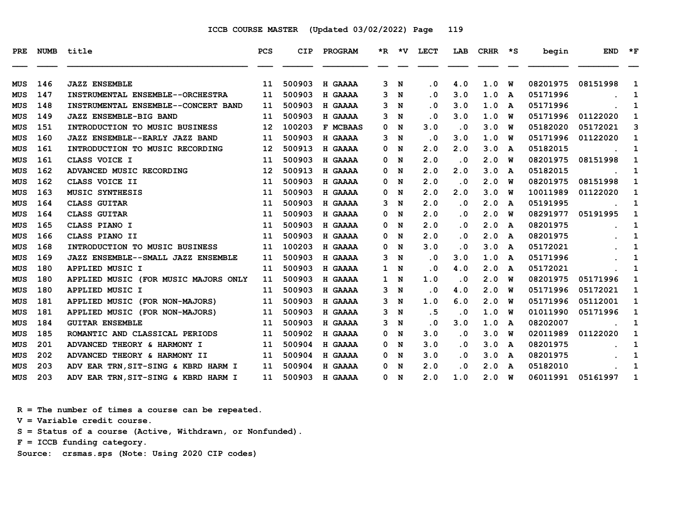| PRE        |     | NUMB title                           | <b>PCS</b>      | <b>CIP</b> | PROGRAM         |              |             | *R *V LECT |           | LAB CRHR *S |   | begin    | <b>END</b> | $\star$ F    |
|------------|-----|--------------------------------------|-----------------|------------|-----------------|--------------|-------------|------------|-----------|-------------|---|----------|------------|--------------|
| MUS        | 146 | <b>JAZZ ENSEMBLE</b>                 | 11              | 500903     | H GAAAA         |              | 3 N         | $\cdot$ 0  | 4.0       | 1.0         | W | 08201975 | 08151998   | 1            |
| MUS        | 147 | INSTRUMENTAL ENSEMBLE--ORCHESTRA     | 11              | 500903     | H GAAAA         | 3            | N           | $\cdot$ 0  | 3.0       | 1.0         | A | 05171996 |            | 1            |
| <b>MUS</b> | 148 | INSTRUMENTAL ENSEMBLE--CONCERT BAND  | 11              | 500903     | H GAAAA         | 3            | N           | $\cdot$ 0  | 3.0       | 1.0         | A | 05171996 |            | 1            |
| <b>MUS</b> | 149 | <b>JAZZ ENSEMBLE-BIG BAND</b>        | 11              | 500903     | H GAAAA         | 3            | N           | $\cdot$ 0  | 3.0       | 1.0         | w | 05171996 | 01122020   | 1            |
| MUS        | 151 | INTRODUCTION TO MUSIC BUSINESS       | 12              | 100203     | <b>F MCBAAS</b> | 0            | N           | 3.0        | $\cdot$ 0 | 3.0         | W | 05182020 | 05172021   | 3            |
| <b>MUS</b> | 160 | JAZZ ENSEMBLE--EARLY JAZZ BAND       | 11              | 500903     | H GAAAA         | 3            | N           | $\cdot$ 0  | 3.0       | 1.0         | W | 05171996 | 01122020   | 1            |
| MUS        | 161 | INTRODUCTION TO MUSIC RECORDING      | 12 <sup>2</sup> | 500913     | H GAAAA         | 0            | N           | 2.0        | 2.0       | 3.0         | A | 05182015 |            | 1            |
| MUS        | 161 | CLASS VOICE I                        | 11              | 500903     | H GAAAA         | 0            | N           | 2.0        | $\cdot$ 0 | 2.0         | W | 08201975 | 08151998   | 1            |
| MUS        | 162 | ADVANCED MUSIC RECORDING             | 12              | 500913     | H GAAAA         | 0            | N           | 2.0        | 2.0       | 3.0         | A | 05182015 |            | 1            |
| <b>MUS</b> | 162 | CLASS VOICE II                       | 11              | 500903     | H GAAAA         | 0            | N           | 2.0        | $\cdot$ 0 | 2.0         | w | 08201975 | 08151998   | 1            |
| MUS        | 163 | MUSIC SYNTHESIS                      | 11              | 500903     | H GAAAA         | 0            | N           | 2.0        | 2.0       | 3.0         | w | 10011989 | 01122020   | 1            |
| MUS        | 164 | <b>CLASS GUITAR</b>                  | 11              | 500903     | H GAAAA         | 3            | $\mathbf N$ | 2.0        | $\cdot$ 0 | 2.0         | A | 05191995 |            | 1            |
| <b>MUS</b> | 164 | <b>CLASS GUITAR</b>                  | 11              | 500903     | H GAAAA         | 0            | N           | 2.0        | $\cdot$ 0 | 2.0         | W | 08291977 | 05191995   | 1            |
| <b>MUS</b> | 165 | CLASS PIANO I                        | 11              | 500903     | H GAAAA         | 0            | N           | 2.0        | $\cdot$ 0 | 2.0         | A | 08201975 |            | 1            |
| MUS        | 166 | CLASS PIANO II                       | 11              | 500903     | H GAAAA         | 0            | N           | 2.0        | $\cdot$ 0 | 2.0         | A | 08201975 |            | 1            |
| MUS        | 168 | INTRODUCTION TO MUSIC BUSINESS       | 11              | 100203     | H GAAAA         | 0            | N           | 3.0        | $\cdot$ 0 | 3.0         | A | 05172021 |            | 1            |
| MUS        | 169 | JAZZ ENSEMBLE--SMALL JAZZ ENSEMBLE   | 11              | 500903     | H GAAAA         |              | 3 N         | $\cdot$ 0  | 3.0       | 1.0         | A | 05171996 |            | $\mathbf{1}$ |
| MUS        | 180 | APPLIED MUSIC I                      | 11              | 500903     | H GAAAA         | $\mathbf{1}$ | N           | $\cdot$ 0  | 4.0       | 2.0         | A | 05172021 |            | 1            |
| <b>MUS</b> | 180 | APPLIED MUSIC (FOR MUSIC MAJORS ONLY | 11              | 500903     | H GAAAA         |              | 1 N         | 1.0        | $\cdot$ 0 | 2.0         | W | 08201975 | 05171996   | 1            |
| <b>MUS</b> | 180 | APPLIED MUSIC I                      | 11              | 500903     | H GAAAA         | 3            | N           | $\cdot$ 0  | 4.0       | 2.0         | w | 05171996 | 05172021   | 1            |
| <b>MUS</b> | 181 | APPLIED MUSIC (FOR NON-MAJORS)       | 11              | 500903     | H GAAAA         | 3            | N           | 1.0        | 6.0       | 2.0         | w | 05171996 | 05112001   | 1            |
| MUS        | 181 | APPLIED MUSIC (FOR NON-MAJORS)       | 11              | 500903     | H GAAAA         | 3            | N           | .5         | $\cdot$ 0 | 1.0         | W | 01011990 | 05171996   | 1            |
| <b>MUS</b> | 184 | <b>GUITAR ENSEMBLE</b>               | 11              | 500903     | H GAAAA         | 3            | N           | $\cdot$ 0  | 3.0       | 1.0         | A | 08202007 |            | 1            |
| MUS        | 185 | ROMANTIC AND CLASSICAL PERIODS       | 11              | 500902     | H GAAAA         | 0            | N           | 3.0        | $\cdot$ 0 | 3.0         | W | 02011989 | 01122020   | 1            |
| MUS        | 201 | ADVANCED THEORY & HARMONY I          | 11              | 500904     | H GAAAA         | 0            | N           | 3.0        | $\cdot$ 0 | 3.0         | A | 08201975 |            | 1            |
| <b>MUS</b> | 202 | ADVANCED THEORY & HARMONY II         | 11              | 500904     | H GAAAA         | 0            | N           | 3.0        | $\cdot$ 0 | 3.0         | A | 08201975 |            | 1            |
| <b>MUS</b> | 203 | ADV EAR TRN, SIT-SING & KBRD HARM I  | 11              | 500904     | H GAAAA         | 0            | $\mathbf N$ | 2.0        | $\cdot$ 0 | 2.0         | A | 05182010 |            | 1            |
| MUS        | 203 | ADV EAR TRN, SIT-SING & KBRD HARM I  | 11              | 500903     | <b>H GAAAA</b>  |              | 0 N         | 2.0        | 1.0       | 2.0 W       |   | 06011991 | 05161997   | 1            |

 **R = The number of times a course can be repeated. V = Variable credit course. S = Status of a course (Active, Withdrawn, or Nonfunded). F = ICCB funding category.**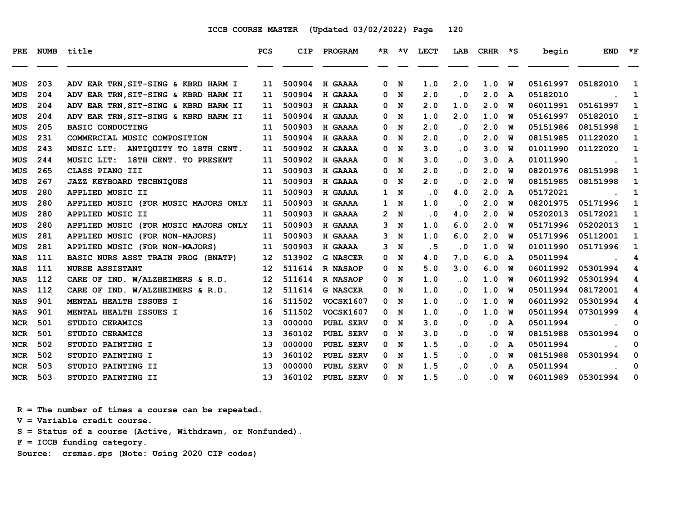| <b>PRE</b> | <b>NUMB</b> | title                                 | <b>PCS</b>        | <b>CIP</b> | PROGRAM          |                | $*R$ $*V$   | <b>LECT</b> | LAB       | <b>CRHR</b>             | $\star$ s | begin    | <b>END</b> | $*_{\mathbf{F}}$ |
|------------|-------------|---------------------------------------|-------------------|------------|------------------|----------------|-------------|-------------|-----------|-------------------------|-----------|----------|------------|------------------|
|            |             |                                       |                   |            |                  |                |             |             |           |                         |           |          |            |                  |
| MUS        | 203         | ADV EAR TRN, SIT-SING & KBRD HARM I   | 11                | 500904     | H GAAAA          | $\mathbf{0}$   | N           | 1.0         | 2.0       | 1.0                     | W         | 05161997 | 05182010   | 1                |
| MUS        | 204         | ADV EAR TRN, SIT-SING & KBRD HARM II  | 11                | 500904     | H GAAAA          | 0              | N           | 2.0         | $\cdot$ 0 | 2.0                     | A         | 05182010 |            | 1                |
| <b>MUS</b> | 204         | ADV EAR TRN, SIT-SING & KBRD HARM II  | 11                | 500903     | H GAAAA          | 0              | N           | 2.0         | 1.0       | 2.0                     | W         | 06011991 | 05161997   | 1                |
| MUS        | 204         | ADV EAR TRN, SIT-SING & KBRD HARM II  | 11                | 500904     | H GAAAA          | 0              | N           | 1.0         | 2.0       | 1.0                     | W         | 05161997 | 05182010   | 1                |
| <b>MUS</b> | 205         | <b>BASIC CONDUCTING</b>               | 11                | 500903     | H GAAAA          | 0              | N           | 2.0         | $\cdot$ 0 | 2.0                     | w         | 05151986 | 08151998   | 1                |
| <b>MUS</b> | 231         | COMMERCIAL MUSIC COMPOSITION          | 11                | 500904     | H GAAAA          | 0              | N           | 2.0         | $\cdot$ 0 | 2.0                     | W         | 08151985 | 01122020   | 1                |
| <b>MUS</b> | 243         | ANTIQUITY TO 18TH CENT.<br>MUSIC LIT: | 11                | 500902     | H GAAAA          | 0              | N           | 3.0         | $\cdot$ 0 | 3.0                     | W         | 01011990 | 01122020   | 1                |
| MUS        | 244         | MUSIC LIT:<br>18TH CENT. TO PRESENT   | 11                | 500902     | H GAAAA          | 0              | N           | 3.0         | $\cdot$ 0 | 3.0                     | A         | 01011990 |            | 1                |
| <b>MUS</b> | 265         | CLASS PIANO III                       | 11                | 500903     | H GAAAA          | 0              | N           | 2.0         | $\cdot$ 0 | 2.0                     | W         | 08201976 | 08151998   | 1                |
| <b>MUS</b> | 267         | <b>JAZZ KEYBOARD TECHNIQUES</b>       | 11                | 500903     | H GAAAA          | 0              | N           | 2.0         | $\cdot$ 0 | 2.0                     | w         | 08151985 | 08151998   | 1                |
| MUS        | 280         | APPLIED MUSIC II                      | 11                | 500903     | H GAAAA          | $\mathbf{1}$   | N           | $\cdot$ 0   | 4.0       | 2.0                     | A         | 05172021 |            | 1                |
| <b>MUS</b> | 280         | APPLIED MUSIC (FOR MUSIC MAJORS ONLY  | 11                | 500903     | H GAAAA          | 1              | N           | 1.0         | $\cdot$ 0 | 2.0                     | W         | 08201975 | 05171996   | 1                |
| <b>MUS</b> | 280         | APPLIED MUSIC II                      | 11                | 500903     | H GAAAA          | $\mathbf{2}^-$ | N           | $\cdot$ 0   | 4.0       | 2.0                     | W         | 05202013 | 05172021   | 1                |
| MUS        | 280         | APPLIED MUSIC (FOR MUSIC MAJORS ONLY  | 11                | 500903     | H GAAAA          | 3              | N           | 1.0         | 6.0       | 2.0                     | W         | 05171996 | 05202013   | 1                |
| <b>MUS</b> | 281         | APPLIED MUSIC (FOR NON-MAJORS)        | 11                | 500903     | H GAAAA          | 3              | N           | 1.0         | 6.0       | 2.0                     | W         | 05171996 | 05112001   | 1                |
| MUS        | 281         | APPLIED MUSIC (FOR NON-MAJORS)        | 11                | 500903     | H GAAAA          | 3              | N           | .5          | $\cdot$ 0 | 1.0                     | W         | 01011990 | 05171996   | 1                |
| <b>NAS</b> | 111         | BASIC NURS ASST TRAIN PROG (BNATP)    | 12                | 513902     | <b>G NASCER</b>  | 0              | N           | 4.0         | 7.0       | 6.0                     | A         | 05011994 |            | 4                |
| <b>NAS</b> | 111         | <b>NURSE ASSISTANT</b>                | $12 \,$           | 511614     | <b>R NASAOP</b>  | 0              | N           | 5.0         | 3.0       | 6.0                     | W         | 06011992 | 05301994   | 4                |
| <b>NAS</b> | 112         | CARE OF IND. W/ALZHEIMERS & R.D.      | $12 \overline{ }$ | 511614     | <b>R NASAOP</b>  | 0              | N           | 1.0         | $\cdot$ 0 | 1.0                     | W         | 06011992 | 05301994   | 4                |
| <b>NAS</b> | 112         | CARE OF IND. W/ALZHEIMERS & R.D.      | 12                | 511614     | <b>G NASCER</b>  | 0              | N           | 1.0         | $\cdot$ 0 | 1.0                     | W         | 05011994 | 08172001   | 4                |
| <b>NAS</b> | 901         | MENTAL HEALTH ISSUES I                | 16                | 511502     | <b>VOCSK1607</b> | 0              | N           | 1.0         | $\cdot$ 0 | 1.0                     | W         | 06011992 | 05301994   | 4                |
| <b>NAS</b> | 901         | MENTAL HEALTH ISSUES I                | 16                | 511502     | <b>VOCSK1607</b> | 0              | N           | 1.0         | $\cdot$ 0 | 1.0                     | W         | 05011994 | 07301999   | 4                |
| <b>NCR</b> | 501         | STUDIO CERAMICS                       | 13                | 000000     | PUBL SERV        | 0              | N           | 3.0         | $\cdot$ 0 | $\cdot$ 0               | A         | 05011994 |            | 0                |
| <b>NCR</b> | 501         | STUDIO CERAMICS                       | 13                | 360102     | <b>PUBL SERV</b> | 0              | N           | 3.0         | $\cdot$ 0 | $\cdot$ 0               | W         | 08151988 | 05301994   | 0                |
| <b>NCR</b> | 502         | STUDIO PAINTING I                     | 13                | 000000     | PUBL SERV        | 0 N            |             | 1.5         | $\cdot$ 0 | . 0                     | A         | 05011994 |            | 0                |
| <b>NCR</b> | 502         | STUDIO PAINTING I                     | 13                | 360102     | PUBL SERV        | 0              | N           | 1.5         | $\cdot$ 0 | . 0                     | W         | 08151988 | 05301994   | 0                |
| <b>NCR</b> | 503         | STUDIO PAINTING II                    | 13                | 000000     | PUBL SERV        | 0              | N           | 1.5         | $\cdot$ 0 | $\cdot$ 0               | A         | 05011994 |            | 0                |
| <b>NCR</b> | 503         | STUDIO PAINTING II                    | 13                | 360102     | PUBL SERV        | 0              | $\mathbf N$ | 1.5         | $\cdot$ 0 | $\overline{\mathbf{0}}$ | W         | 06011989 | 05301994   | 0                |

 **R = The number of times a course can be repeated.**

 **V = Variable credit course.**

 **S = Status of a course (Active, Withdrawn, or Nonfunded).**

 **F = ICCB funding category.**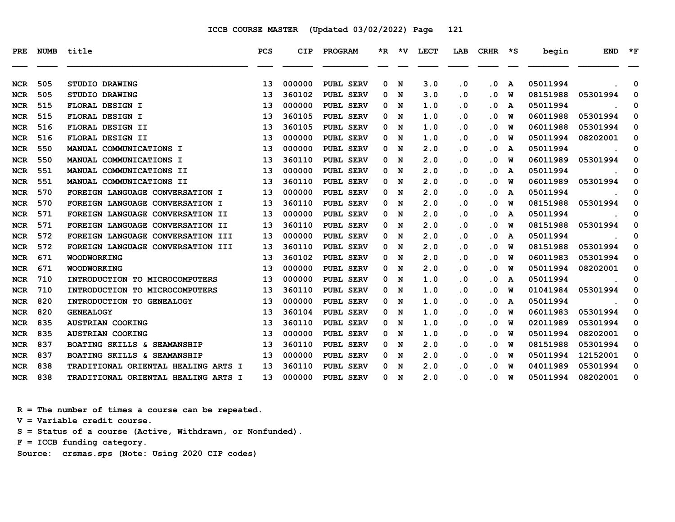| <b>PRE</b> | <b>NUMB</b> | title                                             | <b>PCS</b> | <b>CIP</b> | PROGRAM          |   | *R *V | <b>LECT</b> | LAB       | <b>CRHR</b> | $\star$ s | begin    | <b>END</b> | $*_{\mathbf{F}}$ |
|------------|-------------|---------------------------------------------------|------------|------------|------------------|---|-------|-------------|-----------|-------------|-----------|----------|------------|------------------|
| <b>NCR</b> | 505         | STUDIO DRAWING                                    | 13         | 000000     | PUBL SERV        | 0 | N     | 3.0         | $\cdot$ 0 | $\cdot$ 0   | A         | 05011994 |            | 0                |
| <b>NCR</b> | 505         | STUDIO DRAWING                                    | 13         | 360102     | <b>PUBL SERV</b> | 0 | N     | 3.0         | . 0       | $\cdot$ 0   | W         | 08151988 | 05301994   | 0                |
| <b>NCR</b> | 515         | FLORAL DESIGN I                                   | 13         | 000000     | <b>PUBL SERV</b> | 0 | N     | 1.0         | $\cdot$ 0 | $\cdot$ 0   | A         | 05011994 |            | 0                |
| <b>NCR</b> | 515         | FLORAL DESIGN I                                   | 13         | 360105     | PUBL SERV        | 0 | N     | 1.0         | . 0       | $\cdot$ 0   | W         | 06011988 | 05301994   | 0                |
| <b>NCR</b> | 516         | FLORAL DESIGN II                                  | 13         | 360105     | PUBL SERV        | 0 | N     | 1.0         | $\cdot$ 0 | . 0         | W         | 06011988 | 05301994   | 0                |
| <b>NCR</b> | 516         | FLORAL DESIGN II                                  | 13         | 000000     | PUBL SERV        | 0 | N     | 1.0         | $\cdot$ 0 | $\cdot$ 0   | W         | 05011994 | 08202001   | 0                |
| <b>NCR</b> | 550         | MANUAL COMMUNICATIONS I                           | 13         | 000000     | <b>PUBL SERV</b> | 0 | N     | 2.0         | . 0       | $\cdot$ 0   | A         | 05011994 |            | 0                |
| <b>NCR</b> | 550         | MANUAL COMMUNICATIONS I                           | 13         | 360110     | PUBL SERV        | 0 | N     | 2.0         | $\cdot$ 0 | $\cdot$ 0   | W         | 06011989 | 05301994   | 0                |
| <b>NCR</b> | 551         | MANUAL COMMUNICATIONS II                          | 13         | 000000     | PUBL SERV        | 0 | N     | 2.0         | . 0       | $\cdot$ 0   | A         | 05011994 |            | 0                |
| <b>NCR</b> | 551         | MANUAL COMMUNICATIONS II                          | 13         | 360110     | PUBL SERV        | 0 | N     | 2.0         | $\cdot$ 0 | $\cdot$ 0   | W         | 06011989 | 05301994   | 0                |
| <b>NCR</b> | 570         | FOREIGN LANGUAGE CONVERSATION I                   | 13         | 000000     | PUBL SERV        | 0 | N     | 2.0         | $\cdot$ 0 | $\cdot$ 0   | A         | 05011994 |            | 0                |
| <b>NCR</b> | 570         | FOREIGN LANGUAGE CONVERSATION I                   | 13         | 360110     | <b>PUBL SERV</b> | 0 | N     | 2.0         | . 0       | $\cdot$ 0   | W         | 08151988 | 05301994   | 0                |
| <b>NCR</b> | 571         | FOREIGN LANGUAGE CONVERSATION II                  | 13         | 000000     | PUBL SERV        | 0 | N     | 2.0         | $\cdot$ 0 | . 0         | A         | 05011994 |            | 0                |
| <b>NCR</b> | 571         | <b>FOREIGN LANGUAGE</b><br><b>CONVERSATION II</b> | 13         | 360110     | PUBL SERV        | 0 | N     | 2.0         | . 0       | $\cdot$ 0   | W         | 08151988 | 05301994   | 0                |
| <b>NCR</b> | 572         | FOREIGN LANGUAGE CONVERSATION III                 | 13         | 000000     | PUBL SERV        | 0 | N     | 2.0         | $\cdot$ 0 | . 0         | A         | 05011994 |            | 0                |
| <b>NCR</b> | 572         | FOREIGN LANGUAGE CONVERSATION III                 | 13         | 360110     | PUBL SERV        | 0 | N     | 2.0         | $\cdot$ 0 | $\cdot$ 0   | W         | 08151988 | 05301994   | 0                |
| <b>NCR</b> | 671         | <b>WOODWORKING</b>                                | 13         | 360102     | <b>PUBL SERV</b> | 0 | N     | 2.0         | . 0       | $\cdot$ 0   | W         | 06011983 | 05301994   | 0                |
| <b>NCR</b> | 671         | <b>WOODWORKING</b>                                | 13         | 000000     | PUBL SERV        | 0 | N     | 2.0         | $\cdot$ 0 | . 0         | W         | 05011994 | 08202001   | 0                |
| <b>NCR</b> | 710         | INTRODUCTION TO MICROCOMPUTERS                    | 13         | 000000     | PUBL SERV        | 0 | N     | 1.0         | . 0       | $\cdot$ 0   | A         | 05011994 |            | 0                |
| <b>NCR</b> | 710         | INTRODUCTION TO MICROCOMPUTERS                    | 13         | 360110     | PUBL SERV        | 0 | N     | 1.0         | $\cdot$ 0 | $\cdot$ 0   | W         | 01041984 | 05301994   | 0                |
| <b>NCR</b> | 820         | INTRODUCTION TO GENEALOGY                         | 13         | 000000     | PUBL SERV        | 0 | N     | 1.0         | $\cdot$ 0 | . 0         | A         | 05011994 |            | 0                |
| <b>NCR</b> | 820         | <b>GENEALOGY</b>                                  | 13         | 360104     | <b>PUBL SERV</b> | 0 | N     | 1.0         | . 0       | $\cdot$ 0   | W         | 06011983 | 05301994   | 0                |
| <b>NCR</b> | 835         | <b>AUSTRIAN COOKING</b>                           | 13         | 360110     | PUBL SERV        | 0 | N     | 1.0         | $\cdot$ 0 | . 0         | W         | 02011989 | 05301994   | 0                |
| <b>NCR</b> | 835         | <b>AUSTRIAN COOKING</b>                           | 13         | 000000     | <b>PUBL SERV</b> | 0 | N     | 1.0         | . 0       | . 0         | W         | 05011994 | 08202001   | 0                |
| <b>NCR</b> | 837         | BOATING SKILLS & SEAMANSHIP                       | 13         | 360110     | PUBL SERV        | 0 | N     | 2.0         | $\cdot$ 0 | . 0         | W         | 08151988 | 05301994   | 0                |
| <b>NCR</b> | 837         | BOATING SKILLS & SEAMANSHIP                       | 13         | 000000     | <b>PUBL SERV</b> | 0 | N     | 2.0         | $\cdot$ 0 | . 0         | W         | 05011994 | 12152001   | 0                |
| <b>NCR</b> | 838         | TRADITIONAL ORIENTAL HEALING ARTS I               | 13         | 360110     | PUBL SERV        | 0 | N     | 2.0         | . 0       | . 0         | W         | 04011989 | 05301994   | 0                |
| <b>NCR</b> | 838         | TRADITIONAL ORIENTAL HEALING ARTS I               | 13         | 000000     | <b>PUBL SERV</b> | 0 | N     | 2.0         | $\cdot$ 0 | $\cdot$ 0   | W         | 05011994 | 08202001   | 0                |

 **R = The number of times a course can be repeated.**

 **V = Variable credit course.**

 **S = Status of a course (Active, Withdrawn, or Nonfunded).**

 **F = ICCB funding category.**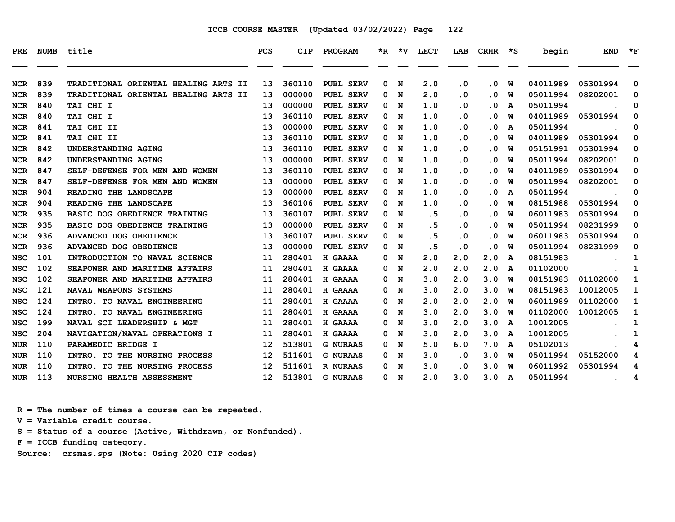| <b>PRE</b> | <b>NUMB</b> | title                                | <b>PCS</b>        | <b>CIP</b> | PROGRAM          |   | $*R$ $*V$ | <b>LECT</b> | LAB       | <b>CRHR</b> | $\star$ s | begin    | <b>END</b> | $*_{\mathbf{F}}$ |
|------------|-------------|--------------------------------------|-------------------|------------|------------------|---|-----------|-------------|-----------|-------------|-----------|----------|------------|------------------|
| <b>NCR</b> | 839         | TRADITIONAL ORIENTAL HEALING ARTS II | 13                | 360110     | PUBL SERV        | 0 | N         | 2.0         | $\cdot$ 0 | . 0         | W         | 04011989 | 05301994   | 0                |
| <b>NCR</b> | 839         | TRADITIONAL ORIENTAL HEALING ARTS II | 13                | 000000     | PUBL SERV        | 0 | N         | 2.0         | $\cdot$ 0 | . 0         | W         | 05011994 | 08202001   | 0                |
| <b>NCR</b> | 840         | TAI CHI I                            | 13                | 000000     | <b>PUBL SERV</b> | 0 | N         | 1.0         | $\cdot$ 0 | $\cdot$ 0   | A         | 05011994 |            | 0                |
| <b>NCR</b> | 840         | TAI CHI I                            | 13                | 360110     | PUBL SERV        | 0 | N         | 1.0         | $\cdot$ 0 | $\cdot$ 0   | W         | 04011989 | 05301994   | 0                |
| <b>NCR</b> | 841         | TAI CHI II                           | 13                | 000000     | PUBL SERV        | 0 | N         | 1.0         | $\cdot$ 0 | $\cdot$ 0   | A         | 05011994 |            | 0                |
| <b>NCR</b> | 841         | TAI CHI II                           | 13                | 360110     | <b>PUBL SERV</b> | 0 | N         | 1.0         | $\cdot$ 0 | . 0         | W         | 04011989 | 05301994   | 0                |
| <b>NCR</b> | 842         | UNDERSTANDING AGING                  | 13                | 360110     | PUBL SERV        | 0 | N         | 1.0         | . 0       | $\cdot$ 0   | W         | 05151991 | 05301994   | 0                |
| <b>NCR</b> | 842         | UNDERSTANDING AGING                  | 13                | 000000     | PUBL SERV        | 0 | N         | 1.0         | $\cdot$ 0 | $\cdot$ 0   | W         | 05011994 | 08202001   | 0                |
| <b>NCR</b> | 847         | SELF-DEFENSE FOR MEN AND WOMEN       | 13                | 360110     | PUBL SERV        | 0 | N         | 1.0         | . 0       | . 0         | W         | 04011989 | 05301994   | 0                |
| <b>NCR</b> | 847         | SELF-DEFENSE FOR MEN AND WOMEN       | 13                | 000000     | PUBL SERV        | 0 | N         | 1.0         | $\cdot$ 0 | $\cdot$ 0   | W         | 05011994 | 08202001   | 0                |
| <b>NCR</b> | 904         | READING THE LANDSCAPE                | 13                | 000000     | <b>PUBL SERV</b> | 0 | N         | 1.0         | $\cdot$ 0 | . 0         | A         | 05011994 |            | 0                |
| <b>NCR</b> | 904         | READING THE LANDSCAPE                | 13                | 360106     | <b>PUBL SERV</b> | 0 | N         | 1.0         | . 0       | . 0         | W         | 08151988 | 05301994   | 0                |
| <b>NCR</b> | 935         | BASIC DOG OBEDIENCE TRAINING         | 13                | 360107     | PUBL SERV        | 0 | N         | .5          | $\cdot$ 0 | $\cdot$ 0   | W         | 06011983 | 05301994   | 0                |
| <b>NCR</b> | 935         | BASIC DOG OBEDIENCE TRAINING         | 13                | 000000     | <b>PUBL SERV</b> | 0 | N         | . 5         | . 0       | . 0         | W         | 05011994 | 08231999   | 0                |
| <b>NCR</b> | 936         | ADVANCED DOG OBEDIENCE               | 13                | 360107     | PUBL SERV        | 0 | N         | .5          | $\cdot$ 0 | $\cdot$ 0   | W         | 06011983 | 05301994   | 0                |
| <b>NCR</b> | 936         | ADVANCED DOG OBEDIENCE               | 13                | 000000     | PUBL SERV        | 0 | N         | .5          | $\cdot$ 0 | $\cdot$ 0   | W         | 05011994 | 08231999   | 0                |
| <b>NSC</b> | 101         | INTRODUCTION TO NAVAL SCIENCE        | 11                | 280401     | H GAAAA          | 0 | N         | 2.0         | 2.0       | 2.0         | A         | 08151983 |            | 1                |
| <b>NSC</b> | 102         | SEAPOWER AND MARITIME AFFAIRS        | 11                | 280401     | H GAAAA          | 0 | N         | 2.0         | 2.0       | 2.0         | A         | 01102000 |            | 1                |
| <b>NSC</b> | 102         | SEAPOWER AND MARITIME AFFAIRS        | 11                | 280401     | H GAAAA          | 0 | N         | 3.0         | 2.0       | 3.0         | W         | 08151983 | 01102000   | 1                |
| <b>NSC</b> | 121         | NAVAL WEAPONS SYSTEMS                | 11                | 280401     | H GAAAA          | 0 | N         | 3.0         | 2.0       | 3.0         | W         | 08151983 | 10012005   | 1                |
| <b>NSC</b> | 124         | INTRO. TO NAVAL ENGINEERING          | 11                | 280401     | H GAAAA          | 0 | N         | 2.0         | 2.0       | 2.0         | W         | 06011989 | 01102000   | 1                |
| <b>NSC</b> | 124         | INTRO. TO NAVAL ENGINEERING          | 11                | 280401     | H GAAAA          | 0 | N         | 3.0         | 2.0       | 3.0         | w         | 01102000 | 10012005   | 1                |
| <b>NSC</b> | 199         | NAVAL SCI LEADERSHIP & MGT           | 11                | 280401     | H GAAAA          | 0 | N         | 3.0         | 2.0       | 3.0         | A         | 10012005 |            | 1                |
| <b>NSC</b> | 204         | NAVIGATION/NAVAL OPERATIONS I        | 11                | 280401     | H GAAAA          | 0 | N         | 3.0         | 2.0       | 3.0         | A         | 10012005 |            | 1                |
| <b>NUR</b> | 110         | PARAMEDIC BRIDGE I                   | 12                | 513801     | <b>G NURAAS</b>  | 0 | N         | 5.0         | 6.0       | 7.0         | A         | 05102013 |            | 4                |
| <b>NUR</b> | 110         | INTRO. TO THE NURSING PROCESS        | $12 \overline{ }$ | 511601     | <b>G NURAAS</b>  | 0 | N         | 3.0         | $\cdot$ 0 | 3.0         | W         | 05011994 | 05152000   | 4                |
| <b>NUR</b> | 110         | INTRO.<br>TO THE NURSING PROCESS     | 12                | 511601     | <b>R NURAAS</b>  | 0 | N         | 3.0         | . 0       | 3.0         | W         | 06011992 | 05301994   | 4                |
| <b>NUR</b> | 113         | NURSING HEALTH ASSESSMENT            | 12 <sup>2</sup>   | 513801     | <b>G NURAAS</b>  | 0 | N         | 2.0         | 3.0       | 3.0         | A         | 05011994 |            | 4                |

 **R = The number of times a course can be repeated.**

 **V = Variable credit course.**

 **S = Status of a course (Active, Withdrawn, or Nonfunded).**

 **F = ICCB funding category.**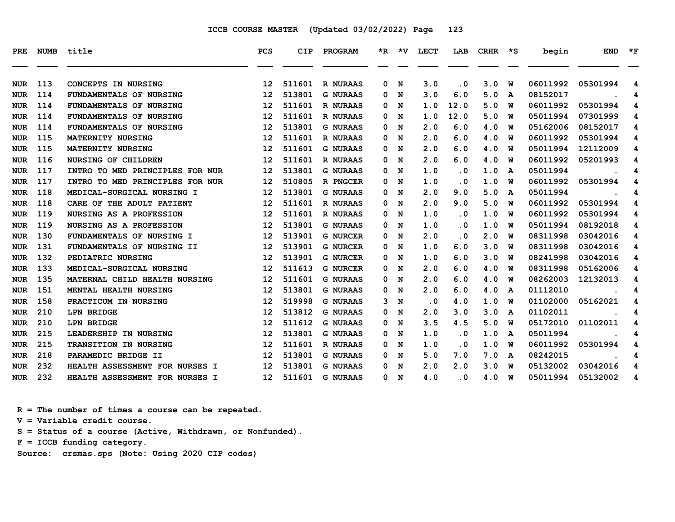| PRE        |     | NUMB title                      | <b>PCS</b>      | <b>CIP</b> | <b>PROGRAM</b>  |   |     | *R *V LECT | LAB                     | CRHR  | ∗s | begin    | <b>END</b> | $*_{\mathbf{F}}$ |
|------------|-----|---------------------------------|-----------------|------------|-----------------|---|-----|------------|-------------------------|-------|----|----------|------------|------------------|
|            |     |                                 |                 |            |                 |   |     |            |                         |       |    |          |            |                  |
| <b>NUR</b> | 113 | <b>CONCEPTS IN NURSING</b>      | 12              | 511601     | <b>R NURAAS</b> | 0 | N   | 3.0        | . 0                     | 3.0   | W  | 06011992 | 05301994   | 4                |
| <b>NUR</b> | 114 | FUNDAMENTALS OF NURSING         | 12              | 513801     | <b>G NURAAS</b> | 0 | N   | 3.0        | 6.0                     | 5.0   | A  | 08152017 |            | 4                |
| <b>NUR</b> | 114 | FUNDAMENTALS OF NURSING         | 12              | 511601     | <b>R NURAAS</b> | 0 | N   | 1.0        | 12.0                    | 5.0   | W  | 06011992 | 05301994   | 4                |
| <b>NUR</b> | 114 | FUNDAMENTALS OF NURSING         | 12              | 511601     | R NURAAS        | 0 | N   | 1.0        | 12.0                    | 5.0   | W  | 05011994 | 07301999   | 4                |
| <b>NUR</b> | 114 | FUNDAMENTALS OF NURSING         | 12              | 513801     | <b>G NURAAS</b> | 0 | N   | 2.0        | 6.0                     | 4.0   | W  | 05162006 | 08152017   | 4                |
| <b>NUR</b> | 115 | MATERNITY NURSING               | 12              | 511601     | <b>R NURAAS</b> | 0 | N   | 2.0        | 6.0                     | 4.0   | w  | 06011992 | 05301994   | 4                |
| <b>NUR</b> | 115 | <b>MATERNITY NURSING</b>        | 12              | 511601     | <b>G NURAAS</b> | 0 | N   | 2.0        | 6.0                     | 4.0   | w  | 05011994 | 12112009   | 4                |
| <b>NUR</b> | 116 | <b>NURSING OF CHILDREN</b>      | 12              | 511601     | <b>R NURAAS</b> | 0 | N   | 2.0        | 6.0                     | 4.0   | W  | 06011992 | 05201993   | 4                |
| <b>NUR</b> | 117 | INTRO TO MED PRINCIPLES FOR NUR | 12              | 513801     | <b>G NURAAS</b> | 0 | N   | 1.0        | . 0                     | 1.0   | A  | 05011994 |            | 4                |
| <b>NUR</b> | 117 | INTRO TO MED PRINCIPLES FOR NUR | 12              | 510805     | R PNGCER        | 0 | N   | 1.0        | . 0                     | 1.0   | W  | 06011992 | 05301994   | 4                |
| <b>NUR</b> | 118 | MEDICAL-SURGICAL NURSING I      | 12              | 513801     | <b>G NURAAS</b> | 0 | N   | 2.0        | 9.0                     | 5.0   | A  | 05011994 |            | 4                |
| <b>NUR</b> | 118 | CARE OF THE ADULT PATIENT       | 12              | 511601     | <b>R NURAAS</b> | 0 | N   | 2.0        | 9.0                     | 5.0   | พ  | 06011992 | 05301994   | 4                |
| <b>NUR</b> | 119 | NURSING AS A PROFESSION         | 12              | 511601     | R NURAAS        | 0 | N   | 1.0        | . 0                     | 1.0   | W  | 06011992 | 05301994   | 4                |
| <b>NUR</b> | 119 | NURSING AS A PROFESSION         | 12              | 513801     | <b>G NURAAS</b> | 0 | N   | 1.0        | . 0                     | 1.0   | พ  | 05011994 | 08192018   | 4                |
| <b>NUR</b> | 130 | FUNDAMENTALS OF NURSING I       | 12              | 513901     | <b>G NURCER</b> | 0 | N   | 2.0        | . 0                     | 2.0   | W  | 08311998 | 03042016   | 4                |
| <b>NUR</b> | 131 | FUNDAMENTALS OF NURSING II      | 12              | 513901     | <b>G NURCER</b> | 0 | N   | 1.0        | 6.0                     | 3.0   | w  | 08311998 | 03042016   | 4                |
| <b>NUR</b> | 132 | PEDIATRIC NURSING               | 12              | 513901     | <b>G NURCER</b> | 0 | N   | 1.0        | 6.0                     | 3.0   | W  | 08241998 | 03042016   | 4                |
| <b>NUR</b> | 133 | MEDICAL-SURGICAL NURSING        | 12              | 511613     | <b>G NURCER</b> | 0 | N   | 2.0        | 6.0                     | 4.0   | W  | 08311998 | 05162006   | 4                |
| <b>NUR</b> | 135 | MATERNAL CHILD HEALTH NURSING   | 12              | 511601     | <b>G NURAAS</b> | 0 | N   | 2.0        | 6.0                     | 4.0   | W  | 08262003 | 12132013   | 4                |
| <b>NUR</b> | 151 | MENTAL HEALTH NURSING           | 12              | 513801     | <b>G NURAAS</b> | 0 | N   | 2.0        | 6.0                     | 4.0   | A  | 01112010 |            | 4                |
| <b>NUR</b> | 158 | PRACTICUM IN NURSING            | 12              | 519998     | <b>G NURAAS</b> | 3 | N   | $\cdot$ 0  | 4.0                     | 1.0   | w  | 01102000 | 05162021   | 4                |
| <b>NUR</b> | 210 | <b>LPN BRIDGE</b>               | 12              | 513812     | <b>G NURAAS</b> | 0 | N   | 2.0        | 3.0                     | 3.0   | A  | 01102011 |            | 4                |
| <b>NUR</b> | 210 | LPN BRIDGE                      | 12              | 511612     | <b>G NURAAS</b> | 0 | N   | 3.5        | 4.5                     | 5.0   | W  | 05172010 | 01102011   | 4                |
| <b>NUR</b> | 215 | LEADERSHIP IN NURSING           | 12              | 513801     | <b>G NURAAS</b> | 0 | N   | 1.0        | . 0                     | 1.0   | A  | 05011994 |            | 4                |
| <b>NUR</b> | 215 | TRANSITION IN NURSING           | 12              | 511601     | R NURAAS        | 0 | N   | 1.0        | . 0                     | 1.0   | W  | 06011992 | 05301994   | 4                |
| <b>NUR</b> | 218 | PARAMEDIC BRIDGE II             | 12              | 513801     | <b>G NURAAS</b> | 0 | N   | 5.0        | 7.0                     | 7.0   | A  | 08242015 |            | 4                |
| <b>NUR</b> | 232 | HEALTH ASSESSMENT FOR NURSES I  | 12              | 513801     | <b>G NURAAS</b> | 0 | N   | 2.0        | 2.0                     | 3.0   | W  | 05132002 | 03042016   | 4                |
| <b>NUR</b> | 232 | HEALTH ASSESSMENT FOR NURSES I  | 12 <sub>1</sub> | 511601     | <b>G NURAAS</b> |   | 0 N | 4.0        | $\overline{\mathbf{0}}$ | 4.0 W |    | 05011994 | 05132002   | 4                |

 **R = The number of times a course can be repeated.**

 **V = Variable credit course.**

 **S = Status of a course (Active, Withdrawn, or Nonfunded).**

 **F = ICCB funding category.**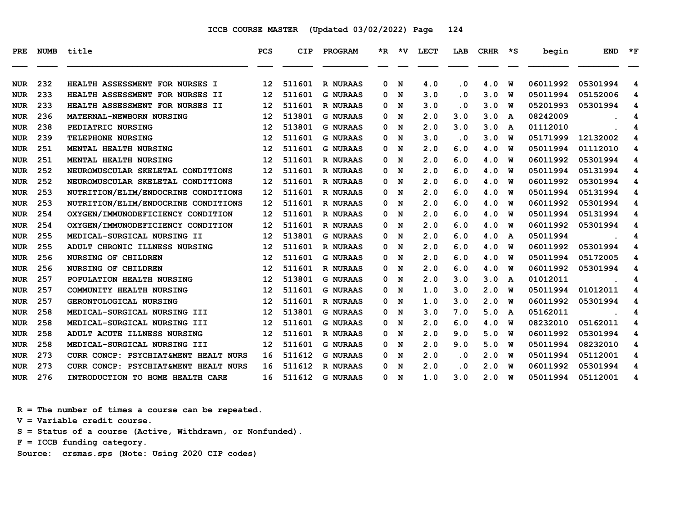| <b>PRE</b> | <b>NUMB</b> | title                                 | <b>PCS</b>        | <b>CIP</b> | PROGRAM         | $*_{\mathbb{R}}$ | *v | <b>LECT</b> | LAB       | <b>CRHR</b> | *S | begin    | <b>END</b> | $\star$ F |
|------------|-------------|---------------------------------------|-------------------|------------|-----------------|------------------|----|-------------|-----------|-------------|----|----------|------------|-----------|
|            |             |                                       |                   |            |                 |                  |    |             |           |             |    |          |            |           |
| NUR        | 232         | <b>HEALTH ASSESSMENT FOR NURSES I</b> | 12                | 511601     | <b>R NURAAS</b> | 0                | N  | 4.0         | . 0       | 4.0         | W  | 06011992 | 05301994   | 4         |
| NUR        | 233         | HEALTH ASSESSMENT FOR NURSES II       | 12                | 511601     | <b>G NURAAS</b> | 0                | N  | 3.0         | . 0       | 3.0         | W  | 05011994 | 05152006   | 4         |
| <b>NUR</b> | 233         | HEALTH ASSESSMENT FOR NURSES II       | 12                | 511601     | R NURAAS        | 0                | N  | 3.0         | . 0       | 3.0         | W  | 05201993 | 05301994   | 4         |
| <b>NUR</b> | 236         | MATERNAL-NEWBORN NURSING              | 12                | 513801     | <b>G NURAAS</b> | 0                | N  | 2.0         | 3.0       | 3.0         | A  | 08242009 |            | 4         |
| <b>NUR</b> | 238         | PEDIATRIC NURSING                     | 12                | 513801     | <b>G NURAAS</b> | 0                | N  | 2.0         | 3.0       | 3.0         | A  | 01112010 |            | 4         |
| <b>NUR</b> | 239         | TELEPHONE NURSING                     | 12                | 511601     | <b>G NURAAS</b> | 0                | N  | 3.0         | $\cdot$ 0 | 3.0         | w  | 05171999 | 12132002   | 4         |
| <b>NUR</b> | 251         | MENTAL HEALTH NURSING                 | 12                | 511601     | <b>G NURAAS</b> | 0                | N  | 2.0         | 6.0       | 4.0         | w  | 05011994 | 01112010   | 4         |
| NUR        | 251         | <b>MENTAL HEALTH NURSING</b>          | 12                | 511601     | R NURAAS        | 0                | N  | 2.0         | 6.0       | 4.0         | W  | 06011992 | 05301994   | 4         |
| <b>NUR</b> | 252         | NEUROMUSCULAR SKELETAL CONDITIONS     | 12                | 511601     | R NURAAS        | 0                | N  | 2.0         | 6.0       | 4.0         | W  | 05011994 | 05131994   | 4         |
| <b>NUR</b> | 252         | NEUROMUSCULAR SKELETAL CONDITIONS     | 12                | 511601     | <b>R NURAAS</b> | 0                | N  | 2.0         | 6.0       | 4.0         | W  | 06011992 | 05301994   | 4         |
| <b>NUR</b> | 253         | NUTRITION/ELIM/ENDOCRINE CONDITIONS   | 12                | 511601     | R NURAAS        | 0                | N  | 2.0         | 6.0       | 4.0         | W  | 05011994 | 05131994   | 4         |
| <b>NUR</b> | 253         | NUTRITION/ELIM/ENDOCRINE CONDITIONS   | 12                | 511601     | <b>R NURAAS</b> | 0                | N  | 2.0         | 6.0       | 4.0         | W  | 06011992 | 05301994   | 4         |
| <b>NUR</b> | 254         | OXYGEN/IMMUNODEFICIENCY CONDITION     | 12                | 511601     | R NURAAS        | 0                | N  | 2.0         | 6.0       | 4.0         | W  | 05011994 | 05131994   | 4         |
| NUR        | 254         | OXYGEN/IMMUNODEFICIENCY CONDITION     | 12                | 511601     | R NURAAS        | 0                | N  | 2.0         | 6.0       | 4.0         | w  | 06011992 | 05301994   | 4         |
| <b>NUR</b> | 255         | MEDICAL-SURGICAL NURSING II           | $12 \overline{ }$ | 513801     | <b>G NURAAS</b> | 0                | N  | 2.0         | 6.0       | 4.0         | A  | 05011994 |            | 4         |
| NUR        | 255         | ADULT CHRONIC ILLNESS NURSING         | 12                | 511601     | R NURAAS        | 0                | N  | 2.0         | 6.0       | 4.0         | W  | 06011992 | 05301994   | 4         |
| <b>NUR</b> | 256         | <b>NURSING OF CHILDREN</b>            | 12                | 511601     | <b>G NURAAS</b> | 0                | N  | 2.0         | 6.0       | 4.0         | w  | 05011994 | 05172005   | 4         |
| <b>NUR</b> | 256         | <b>NURSING OF CHILDREN</b>            | 12                | 511601     | <b>R NURAAS</b> | 0                | N  | 2.0         | 6.0       | 4.0         | W  | 06011992 | 05301994   | 4         |
| <b>NUR</b> | 257         | POPULATION HEALTH NURSING             | 12                | 513801     | <b>G NURAAS</b> | 0                | N  | 2.0         | 3.0       | 3.0         | A  | 01012011 |            | 4         |
| <b>NUR</b> | 257         | COMMUNITY HEALTH NURSING              | 12                | 511601     | <b>G NURAAS</b> | 0                | N  | 1.0         | 3.0       | 2.0         | W  | 05011994 | 01012011   | 4         |
| <b>NUR</b> | 257         | GERONTOLOGICAL NURSING                | 12                | 511601     | <b>R NURAAS</b> | 0                | N  | 1.0         | 3.0       | 2.0         | W  | 06011992 | 05301994   | 4         |
| <b>NUR</b> | 258         | MEDICAL-SURGICAL NURSING III          | $12 \overline{ }$ | 513801     | <b>G NURAAS</b> | 0                | N  | 3.0         | 7.0       | 5.0         | A  | 05162011 |            | 4         |
| <b>NUR</b> | 258         | MEDICAL-SURGICAL NURSING III          | $12 \overline{ }$ | 511601     | <b>G NURAAS</b> | 0                | N  | 2.0         | 6.0       | 4.0         | W  | 08232010 | 05162011   | 4         |
| <b>NUR</b> | 258         | ADULT ACUTE ILLNESS NURSING           | $12 \overline{ }$ | 511601     | R NURAAS        | 0                | N  | 2.0         | 9.0       | 5.0         | W  | 06011992 | 05301994   | 4         |
| <b>NUR</b> | 258         | MEDICAL-SURGICAL NURSING III          | $12 \overline{ }$ | 511601     | <b>G NURAAS</b> | 0                | N  | 2.0         | 9.0       | 5.0         | w  | 05011994 | 08232010   | 4         |
| <b>NUR</b> | 273         | CURR CONCP: PSYCHIAT&MENT HEALT NURS  | 16                | 511612     | <b>G NURAAS</b> | 0                | N  | 2.0         | . 0       | 2.0         | W  | 05011994 | 05112001   | 4         |
| <b>NUR</b> | 273         | CURR CONCP: PSYCHIAT&MENT HEALT NURS  | 16                | 511612     | R NURAAS        | 0                | N  | 2.0         | . 0       | 2.0         | W  | 06011992 | 05301994   | 4         |
| <b>NUR</b> | 276         | INTRODUCTION TO HOME HEALTH CARE      | 16                | 511612     | <b>G NURAAS</b> | 0                | N  | 1.0         | 3.0       | 2.0         | W  | 05011994 | 05112001   | 4         |

 **R = The number of times a course can be repeated. V = Variable credit course. S = Status of a course (Active, Withdrawn, or Nonfunded).**

 **F = ICCB funding category.**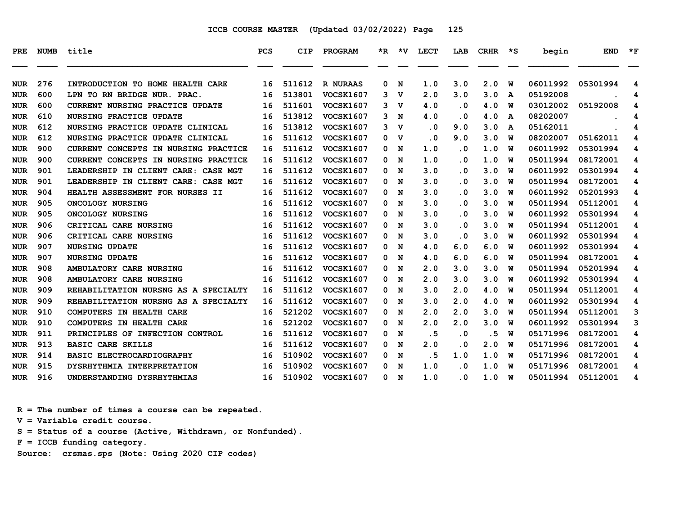| PRE.       | <b>NUMB</b> | title                                | <b>PCS</b> | <b>CIP</b> | PROGRAM          | *R. | *V          | <b>LECT</b> | LAB       | <b>CRHR</b> | ∗s | begin    | <b>END</b> | $*_{\mathbf{F}}$ |
|------------|-------------|--------------------------------------|------------|------------|------------------|-----|-------------|-------------|-----------|-------------|----|----------|------------|------------------|
| <b>NUR</b> | 276         | INTRODUCTION TO HOME HEALTH CARE     | 16         | 511612     | R NURAAS         | 0   | N           | 1.0         | 3.0       | 2.0         | W  | 06011992 | 05301994   | 4                |
| <b>NUR</b> | 600         | LPN TO RN BRIDGE NUR. PRAC           | 16         | 513801     | <b>VOCSK1607</b> | 3   | v           | 2.0         | 3.0       | 3.0         | A  | 05192008 |            | 4                |
| <b>NUR</b> | 600         | CURRENT NURSING PRACTICE UPDATE      | 16         | 511601     | <b>VOCSK1607</b> | 3   | v           | 4.0         | . 0       | 4.0         | W  | 03012002 | 05192008   | 4                |
| <b>NUR</b> | 610         | <b>NURSING PRACTICE UPDATE</b>       | 16         | 513812     | <b>VOCSK1607</b> | 3   | N           | 4.0         | . 0       | 4.0         | A  | 08202007 |            | 4                |
| <b>NUR</b> | 612         | NURSING PRACTICE UPDATE CLINICAL     | 16         | 513812     | <b>VOCSK1607</b> | 3   | v           | $\cdot$ 0   | 9.0       | 3.0         | A  | 05162011 |            | 4                |
| <b>NUR</b> | 612         | NURSING PRACTICE UPDATE CLINICAL     | 16         | 511612     | <b>VOCSK1607</b> | 0   | $\mathbf v$ | $\cdot$ 0   | 9.0       | 3.0         | W  | 08202007 | 05162011   | 4                |
| <b>NUR</b> | 900         | CURRENT CONCEPTS IN NURSING PRACTICE | 16         | 511612     | <b>VOCSK1607</b> | 0   | N           | 1.0         | $\cdot$ 0 | 1.0         | พ  | 06011992 | 05301994   | 4                |
| <b>NUR</b> | 900         | CURRENT CONCEPTS IN NURSING PRACTICE | 16         | 511612     | <b>VOCSK1607</b> | 0   | N           | 1.0         | . 0       | 1.0         | W  | 05011994 | 08172001   | 4                |
| <b>NUR</b> | 901         | LEADERSHIP IN CLIENT CARE: CASE MGT  | 16         | 511612     | <b>VOCSK1607</b> | 0   | N           | 3.0         | $\cdot$ 0 | 3.0         | W  | 06011992 | 05301994   | 4                |
| <b>NUR</b> | 901         | LEADERSHIP IN CLIENT CARE: CASE MGT  | 16         | 511612     | <b>VOCSK1607</b> | 0   | N           | 3.0         | . 0       | 3.0         | W  | 05011994 | 08172001   | 4                |
| <b>NUR</b> | 904         | HEALTH ASSESSMENT FOR NURSES II      | 16         | 511612     | VOCSK1607        | 0   | N           | 3.0         | . 0       | 3.0         | พ  | 06011992 | 05201993   | 4                |
| <b>NUR</b> | 905         | ONCOLOGY NURSING                     | 16         | 511612     | <b>VOCSK1607</b> | 0   | N           | 3.0         | . 0       | 3.0         | พ  | 05011994 | 05112001   | 4                |
| <b>NUR</b> | 905         | ONCOLOGY NURSING                     | 16         | 511612     | <b>VOCSK1607</b> | 0   | N           | 3.0         | . 0       | 3.0         | W  | 06011992 | 05301994   | 4                |
| <b>NUR</b> | 906         | CRITICAL CARE NURSING                | 16         | 511612     | VOCSK1607        | 0   | N           | 3.0         | . 0       | 3.0         | W  | 05011994 | 05112001   | 4                |
| <b>NUR</b> | 906         | CRITICAL CARE NURSING                | 16         | 511612     | VOCSK1607        | 0   | N           | 3.0         | . 0       | 3.0         | W  | 06011992 | 05301994   | 4                |
| <b>NUR</b> | 907         | <b>NURSING UPDATE</b>                | 16         | 511612     | VOCSK1607        | 0   | N           | 4.0         | 6.0       | 6.0         | พ  | 06011992 | 05301994   | 4                |
| <b>NUR</b> | 907         | <b>NURSING UPDATE</b>                | 16         | 511612     | <b>VOCSK1607</b> | 0   | N           | 4.0         | 6.0       | 6.0         | พ  | 05011994 | 08172001   | 4                |
| <b>NUR</b> | 908         | AMBULATORY CARE NURSING              | 16         | 511612     | <b>VOCSK1607</b> | 0   | N           | 2.0         | 3.0       | 3.0         | W  | 05011994 | 05201994   | 4                |
| <b>NUR</b> | 908         | AMBULATORY CARE NURSING              | 16         | 511612     | <b>VOCSK1607</b> | 0   | N           | 2.0         | 3.0       | 3.0         | W  | 06011992 | 05301994   | 4                |
| <b>NUR</b> | 909         | REHABILITATION NURSNG AS A SPECIALTY | 16         | 511612     | VOCSK1607        | 0   | N           | 3.0         | 2.0       | 4.0         | W  | 05011994 | 05112001   | 4                |
| <b>NUR</b> | 909         | REHABILITATION NURSNG AS A SPECIALTY | 16         | 511612     | <b>VOCSK1607</b> | 0   | N           | 3.0         | 2.0       | 4.0         | W  | 06011992 | 05301994   | 4                |
| <b>NUR</b> | 910         | COMPUTERS IN HEALTH CARE             | 16         | 521202     | <b>VOCSK1607</b> | 0   | N           | 2.0         | 2.0       | 3.0         | W  | 05011994 | 05112001   | 3                |
| <b>NUR</b> | 910         | COMPUTERS IN HEALTH CARE             | 16         | 521202     | <b>VOCSK1607</b> | 0   | N           | 2.0         | 2.0       | 3.0         | W  | 06011992 | 05301994   | 3                |
| <b>NUR</b> | 911         | PRINCIPLES OF INFECTION CONTROL      | 16         | 511612     | <b>VOCSK1607</b> | 0   | N           | .5          | . 0       | . 5         | W  | 05171996 | 08172001   | 4                |
| <b>NUR</b> | 913         | <b>BASIC CARE SKILLS</b>             | 16         | 511612     | <b>VOCSK1607</b> | 0   | N           | 2.0         | . 0       | 2.0         | พ  | 05171996 | 08172001   | 4                |
| <b>NUR</b> | 914         | BASIC ELECTROCARDIOGRAPHY            | 16         | 510902     | <b>VOCSK1607</b> | 0   | N           | . 5         | 1.0       | 1.0         | W  | 05171996 | 08172001   | 4                |
| <b>NUR</b> | 915         | DYSRHYTHMIA INTERPRETATION           | 16         | 510902     | <b>VOCSK1607</b> | 0   | N           | 1.0         | . 0       | 1.0         | W  | 05171996 | 08172001   | 4                |
| <b>NUR</b> | 916         | UNDERSTANDING DYSRHYTHMIAS           | 16         | 510902     | <b>VOCSK1607</b> | 0   | N           | 1.0         | . 0       | 1.0         | W  | 05011994 | 05112001   | 4                |

 **R = The number of times a course can be repeated.**

 **V = Variable credit course.**

 **S = Status of a course (Active, Withdrawn, or Nonfunded).**

 **F = ICCB funding category.**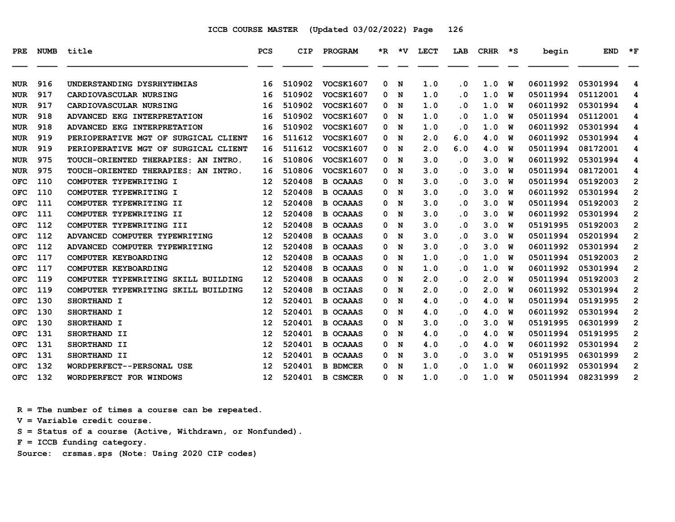| PRE.       | <b>NUMB</b> | title                                | <b>PCS</b>        | CIP    | PROGRAM          | *R. | ∗v | LECT | LAB                     | <b>CRHR</b> | *S | begin    | <b>END</b> | $*_{\mathbf{F}}$ |
|------------|-------------|--------------------------------------|-------------------|--------|------------------|-----|----|------|-------------------------|-------------|----|----------|------------|------------------|
| <b>NUR</b> | 916         | UNDERSTANDING DYSRHYTHMIAS           | 16                | 510902 | <b>VOCSK1607</b> | 0   | N  | 1.0  | . 0                     | 1.0         | W  | 06011992 | 05301994   | 4                |
| <b>NUR</b> | 917         | <b>CARDIOVASCULAR NURSING</b>        | 16                | 510902 | <b>VOCSK1607</b> | 0   | N  | 1.0  | . 0                     | 1.0         | W  | 05011994 | 05112001   | 4                |
| NUR        | 917         | CARDIOVASCULAR NURSING               | 16                | 510902 | <b>VOCSK1607</b> | 0   | N  | 1.0  | . 0                     | 1.0         | w  | 06011992 | 05301994   | 4                |
| <b>NUR</b> | 918         | ADVANCED EKG INTERPRETATION          | 16                | 510902 | <b>VOCSK1607</b> | 0   | N  | 1.0  | . 0                     | 1.0         | W  | 05011994 | 05112001   | 4                |
| <b>NUR</b> | 918         | ADVANCED EKG INTERPRETATION          | 16                | 510902 | <b>VOCSK1607</b> | 0   | N  | 1.0  | . 0                     | 1.0         | W  | 06011992 | 05301994   | 4                |
| NUR        | 919         | PERIOPERATIVE MGT OF SURGICAL CLIENT | 16                | 511612 | <b>VOCSK1607</b> | 0   | N  | 2.0  | 6.0                     | 4.0         | W  | 06011992 | 05301994   | 4                |
| <b>NUR</b> | 919         | PERIOPERATIVE MGT OF SURGICAL CLIENT | 16                | 511612 | <b>VOCSK1607</b> | 0   | N  | 2.0  | 6.0                     | 4.0         | w  | 05011994 | 08172001   | 4                |
| <b>NUR</b> | 975         | TOUCH-ORIENTED THERAPIES: AN INTRO.  | 16                | 510806 | <b>VOCSK1607</b> | 0   | N  | 3.0  | $\overline{\mathbf{0}}$ | 3.0         | W  | 06011992 | 05301994   | 4                |
| <b>NUR</b> | 975         | TOUCH-ORIENTED THERAPIES: AN INTRO.  | 16                | 510806 | <b>VOCSK1607</b> | 0   | N  | 3.0  | . 0                     | 3.0         | W  | 05011994 | 08172001   | 4                |
| <b>OFC</b> | 110         | COMPUTER TYPEWRITING I               | 12                | 520408 | <b>B OCAAAS</b>  | 0   | N  | 3.0  | . 0                     | 3.0         | W  | 05011994 | 05192003   | 2                |
| <b>OFC</b> | 110         | COMPUTER TYPEWRITING I               | 12                | 520408 | <b>B OCAAAS</b>  | 0   | N  | 3.0  | . 0                     | 3.0         | W  | 06011992 | 05301994   | $\mathbf{2}$     |
| <b>OFC</b> | 111         | COMPUTER TYPEWRITING II              | 12                | 520408 | <b>B OCAAAS</b>  | 0   | N  | 3.0  | . 0                     | 3.0         | w  | 05011994 | 05192003   | $\overline{2}$   |
| <b>OFC</b> | 111         | COMPUTER TYPEWRITING II              | 12                | 520408 | <b>B OCAAAS</b>  | 0   | N  | 3.0  | . 0                     | 3.0         | W  | 06011992 | 05301994   | $\mathbf{2}$     |
| OFC        | 112         | COMPUTER TYPEWRITING III             | 12                | 520408 | <b>B OCAAAS</b>  | 0   | N  | 3.0  | . 0                     | 3.0         | พ  | 05191995 | 05192003   | $\mathbf{2}$     |
| <b>OFC</b> | 112         | ADVANCED COMPUTER TYPEWRITING        | 12                | 520408 | <b>B OCAAAS</b>  | 0   | N  | 3.0  | . 0                     | 3.0         | W  | 05011994 | 05201994   | 2                |
| <b>OFC</b> | 112         | ADVANCED COMPUTER TYPEWRITING        | 12                | 520408 | <b>B OCAAAS</b>  | 0   | N  | 3.0  | . 0                     | 3.0         | W  | 06011992 | 05301994   | $\overline{2}$   |
| <b>OFC</b> | 117         | COMPUTER KEYBOARDING                 | 12                | 520408 | <b>B OCAAAS</b>  | 0   | N  | 1.0  | $\overline{\mathbf{0}}$ | 1.0         | w  | 05011994 | 05192003   | $\overline{2}$   |
| <b>OFC</b> | 117         | COMPUTER KEYBOARDING                 | 12                | 520408 | <b>B OCAAAS</b>  | 0   | N  | 1.0  | . 0                     | 1.0         | W  | 06011992 | 05301994   | 2                |
| OFC        | 119         | COMPUTER TYPEWRITING SKILL BUILDING  | 12                | 520408 | <b>B</b> OCAAAS  | 0   | N  | 2.0  | . 0                     | 2.0         | พ  | 05011994 | 05192003   | 2                |
| <b>OFC</b> | 119         | COMPUTER TYPEWRITING SKILL BUILDING  | 12                | 520408 | <b>B OCIAAS</b>  | 0   | N  | 2.0  | . 0                     | 2.0         | W  | 06011992 | 05301994   | 2                |
| <b>OFC</b> | 130         | SHORTHAND I                          | 12                | 520401 | <b>B OCAAAS</b>  | 0   | N  | 4.0  | . 0                     | 4.0         | พ  | 05011994 | 05191995   | $\overline{2}$   |
| <b>OFC</b> | 130         | SHORTHAND I                          | 12                | 520401 | <b>B OCAAAS</b>  | 0   | N  | 4.0  | $\overline{\mathbf{0}}$ | 4.0         | w  | 06011992 | 05301994   | $\overline{2}$   |
| OFC        | 130         | SHORTHAND I                          | 12                | 520401 | <b>B OCAAAS</b>  | 0   | N  | 3.0  | . 0                     | 3.0         | W  | 05191995 | 06301999   | 2                |
| <b>OFC</b> | 131         | SHORTHAND II                         | 12                | 520401 | <b>B OCAAAS</b>  | 0   | N  | 4.0  | . 0                     | 4.0         | W  | 05011994 | 05191995   | $\mathbf{2}$     |
| <b>OFC</b> | 131         | SHORTHAND II                         | 12                | 520401 | <b>B OCAAAS</b>  | 0   | N  | 4.0  | . 0                     | 4.0         | พ  | 06011992 | 05301994   | 2                |
| <b>OFC</b> | 131         | SHORTHAND II                         | 12                | 520401 | <b>B OCAAAS</b>  | 0   | N  | 3.0  | $\overline{\mathbf{0}}$ | 3.0         | W  | 05191995 | 06301999   | $\overline{2}$   |
| <b>OFC</b> | 132         | WORDPERFECT--PERSONAL USE            | 12                | 520401 | <b>B BDMCER</b>  | 0   | N  | 1.0  | . 0                     | 1.0         | W  | 06011992 | 05301994   | $\overline{2}$   |
| <b>OFC</b> | 132         | WORDPERFECT FOR WINDOWS              | $12 \overline{ }$ | 520401 | <b>B CSMCER</b>  | 0   | N  | 1.0  | . 0                     | 1.0         | W  | 05011994 | 08231999   | 2                |

 **R = The number of times a course can be repeated.**

 **V = Variable credit course.**

 **S = Status of a course (Active, Withdrawn, or Nonfunded).**

 **F = ICCB funding category.**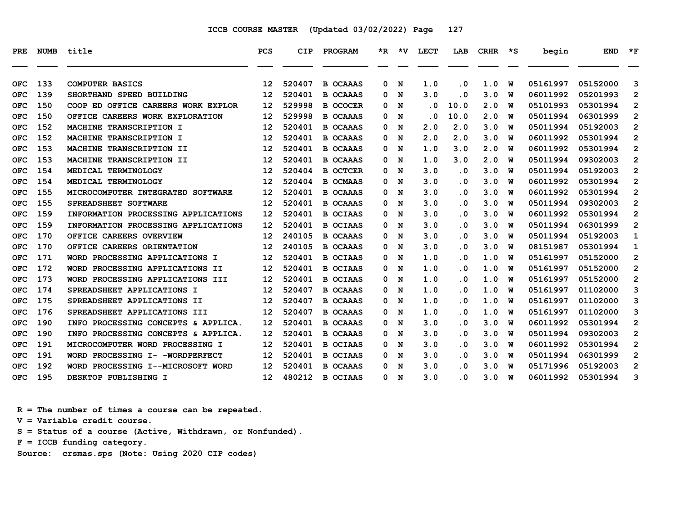| PRE        | <b>NUMB</b> | title                               | <b>PCS</b>        | <b>CIP</b> | <b>PROGRAM</b>  | $*_{\mathbf{R}}$ | ∗v | <b>LECT</b> | LAB       | <b>CRHR</b> | ∗s | begin    | <b>END</b> | $*_{\mathbf{F}}$ |
|------------|-------------|-------------------------------------|-------------------|------------|-----------------|------------------|----|-------------|-----------|-------------|----|----------|------------|------------------|
|            |             |                                     |                   |            |                 |                  |    |             |           |             |    |          |            |                  |
| <b>OFC</b> | 133         | <b>COMPUTER BASICS</b>              | $12 \overline{ }$ | 520407     | <b>B OCAAAS</b> | 0                | N  | 1.0         | $\cdot$ 0 | 1.0         | W  | 05161997 | 05152000   | 3                |
| <b>OFC</b> | 139         | SHORTHAND SPEED BUILDING            | 12                | 520401     | <b>B OCAAAS</b> | 0                | N  | 3.0         | . 0       | 3.0         | W  | 06011992 | 05201993   | $\overline{2}$   |
| OFC        | 150         | COOP ED OFFICE CAREERS WORK EXPLOR  | 12                | 529998     | <b>B OCOCER</b> | 0                | N  | $\cdot$ 0   | 10.0      | 2.0         | W  | 05101993 | 05301994   | $\mathbf{2}$     |
| <b>OFC</b> | 150         | OFFICE CAREERS WORK EXPLORATION     | 12                | 529998     | <b>B OCAAAS</b> | 0                | N  | . 0         | 10.0      | 2.0         | W  | 05011994 | 06301999   | $\mathbf{2}$     |
| <b>OFC</b> | 152         | <b>MACHINE TRANSCRIPTION I</b>      | $12 \overline{ }$ | 520401     | <b>B OCAAAS</b> | 0                | N  | 2.0         | 2.0       | 3.0         | W  | 05011994 | 05192003   | $\overline{2}$   |
| OFC        | 152         | MACHINE TRANSCRIPTION I             | 12                | 520401     | <b>B OCAAAS</b> | 0                | N  | 2.0         | 2.0       | 3.0         | W  | 06011992 | 05301994   | $\mathbf{2}$     |
| <b>OFC</b> | 153         | MACHINE TRANSCRIPTION II            | 12                | 520401     | <b>B OCAAAS</b> | 0                | N  | 1.0         | 3.0       | 2.0         | W  | 06011992 | 05301994   | $\overline{2}$   |
| <b>OFC</b> | 153         | MACHINE TRANSCRIPTION II            | 12                | 520401     | <b>B OCAAAS</b> | 0                | N  | 1.0         | 3.0       | 2.0         | W  | 05011994 | 09302003   | $\overline{2}$   |
| OFC        | 154         | MEDICAL TERMINOLOGY                 | $12 \overline{ }$ | 520404     | <b>B OCTCER</b> | 0                | N  | 3.0         | . 0       | 3.0         | W  | 05011994 | 05192003   | $\overline{2}$   |
| <b>OFC</b> | 154         | MEDICAL TERMINOLOGY                 | $12 \overline{ }$ | 520404     | <b>B OCMAAS</b> | 0                | N  | 3.0         | $\cdot$ 0 | 3.0         | W  | 06011992 | 05301994   | $\overline{2}$   |
| OFC        | 155         | MICROCOMPUTER INTEGRATED SOFTWARE   | $12 \overline{ }$ | 520401     | <b>B OCAAAS</b> | 0                | N  | 3.0         | . 0       | 3.0         | W  | 06011992 | 05301994   | $\overline{2}$   |
| <b>OFC</b> | 155         | SPREADSHEET SOFTWARE                | $12 \overline{ }$ | 520401     | <b>B OCAAAS</b> | 0                | N  | 3.0         | $\cdot$ 0 | 3.0         | W  | 05011994 | 09302003   | $\overline{2}$   |
| <b>OFC</b> | 159         | INFORMATION PROCESSING APPLICATIONS | 12                | 520401     | <b>B OCIAAS</b> | 0                | N  | 3.0         | . 0       | 3.0         | W  | 06011992 | 05301994   | $\overline{2}$   |
| <b>OFC</b> | 159         | INFORMATION PROCESSING APPLICATIONS | $12 \overline{ }$ | 520401     | <b>B OCIAAS</b> | 0                | N  | 3.0         | $\cdot$ 0 | 3.0         | W  | 05011994 | 06301999   | $\overline{2}$   |
| <b>OFC</b> | 170         | OFFICE CAREERS OVERVIEW             | $12 \overline{ }$ | 240105     | <b>B OCAAAS</b> | 0                | N  | 3.0         | $\cdot$ 0 | 3.0         | W  | 05011994 | 05192003   | 1                |
| OFC        | 170         | OFFICE CAREERS ORIENTATION          | 12                | 240105     | <b>B OCAAAS</b> | 0                | N  | 3.0         | $\cdot$ 0 | 3.0         | W  | 08151987 | 05301994   | 1                |
| <b>OFC</b> | 171         | WORD PROCESSING APPLICATIONS I      | $12 \overline{ }$ | 520401     | <b>B OCIAAS</b> | 0                | N  | 1.0         | $\cdot$ 0 | 1.0         | W  | 05161997 | 05152000   | 2                |
| <b>OFC</b> | 172         | WORD PROCESSING APPLICATIONS II     | 12                | 520401     | <b>B OCIAAS</b> | 0                | N  | 1.0         | $\cdot$ 0 | 1.0         | W  | 05161997 | 05152000   | $\mathbf{2}$     |
| <b>OFC</b> | 173         | WORD PROCESSING APPLICATIONS III    | $12 \overline{ }$ | 520401     | <b>B OCIAAS</b> | 0                | N  | 1.0         | $\cdot$ 0 | 1.0         | W  | 05161997 | 05152000   | $\overline{2}$   |
| <b>OFC</b> | 174         | SPREADSHEET APPLICATIONS I          | $12 \overline{ }$ | 520407     | <b>B OCAAAS</b> | 0                | N  | 1.0         | $\cdot$ 0 | 1.0         | W  | 05161997 | 01102000   | 3                |
| <b>OFC</b> | 175         | SPREADSHEET APPLICATIONS II         | 12                | 520407     | <b>B OCAAAS</b> | 0                | N  | 1.0         | $\cdot$ 0 | 1.0         | W  | 05161997 | 01102000   | 3                |
| <b>OFC</b> | 176         | SPREADSHEET APPLICATIONS III        | $12 \overline{ }$ | 520407     | <b>B OCAAAS</b> | 0                | N  | 1.0         | $\cdot$ 0 | 1.0         | W  | 05161997 | 01102000   | 3                |
| OFC        | 190         | INFO PROCESSING CONCEPTS & APPLICA. | $12 \overline{ }$ | 520401     | <b>B OCAAAS</b> | 0                | N  | 3.0         | $\cdot$ 0 | 3.0         | W  | 06011992 | 05301994   | 2                |
| <b>OFC</b> | 190         | INFO PROCESSING CONCEPTS & APPLICA. | $12 \overline{ }$ | 520401     | <b>B OCAAAS</b> | 0                | N  | 3.0         | $\cdot$ 0 | 3.0         | W  | 05011994 | 09302003   | $\mathbf{2}$     |
| <b>OFC</b> | 191         | MICROCOMPUTER WORD PROCESSING I     | $12 \overline{ }$ | 520401     | <b>B OCIAAS</b> | 0                | N  | 3.0         | $\cdot$ 0 | 3.0         | W  | 06011992 | 05301994   | $\overline{2}$   |
| <b>OFC</b> | 191         | WORD PROCESSING I- - WORDPERFECT    | $12 \overline{ }$ | 520401     | <b>B OCIAAS</b> | 0                | N  | 3.0         | $\cdot$ 0 | 3.0         | W  | 05011994 | 06301999   | $\mathbf{2}$     |
| <b>OFC</b> | 192         | WORD PROCESSING I--MICROSOFT WORD   | 12                | 520401     | <b>B OCAAAS</b> | 0                | N  | 3.0         | . 0       | 3.0         | W  | 05171996 | 05192003   | $\mathbf{2}$     |
| <b>OFC</b> | 195         | DESKTOP PUBLISHING I                | 12                | 480212     | <b>B OCIAAS</b> | 0                | N  | 3.0         | . 0       | 3.0         | W  | 06011992 | 05301994   | 3                |

 **R = The number of times a course can be repeated.**

 **V = Variable credit course.**

 **S = Status of a course (Active, Withdrawn, or Nonfunded).**

 **F = ICCB funding category.**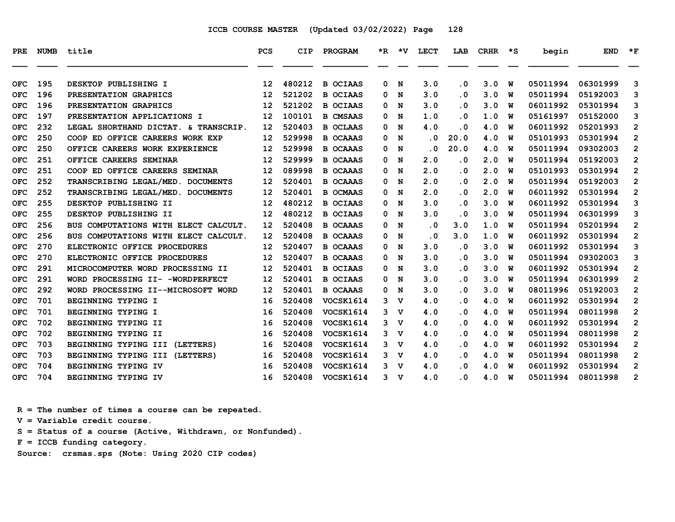| <b>PRE</b> | NUMB | title                                | <b>PCS</b> | CIP    | <b>PROGRAM</b>  |   | *R *V          | <b>LECT</b>             | LAB                     | CRHR | $\star$ s | begin    | <b>END</b> | $*_{\mathbf{F}}$ |
|------------|------|--------------------------------------|------------|--------|-----------------|---|----------------|-------------------------|-------------------------|------|-----------|----------|------------|------------------|
| <b>OFC</b> | 195  | DESKTOP PUBLISHING I                 | 12         | 480212 | <b>B OCIAAS</b> | 0 | N              | 3.0                     | . 0                     | 3.0  | W         | 05011994 | 06301999   | 3                |
| <b>OFC</b> | 196  | PRESENTATION GRAPHICS                | 12         | 521202 | <b>B OCIAAS</b> | 0 | N              | 3.0                     | $\overline{\mathbf{0}}$ | 3.0  | w         | 05011994 | 05192003   | 3                |
| <b>OFC</b> | 196  | PRESENTATION GRAPHICS                | 12         | 521202 | <b>B OCIAAS</b> | 0 | N              | 3.0                     | $\overline{\mathbf{0}}$ | 3.0  | W         | 06011992 | 05301994   | 3                |
| <b>OFC</b> | 197  | PRESENTATION APPLICATIONS I          | 12         | 100101 | <b>B CMSAAS</b> | 0 | N              | 1.0                     | . 0                     | 1.0  | พ         | 05161997 | 05152000   | 3                |
| <b>OFC</b> | 232  | LEGAL SHORTHAND DICTAT. & TRANSCRIP. | 12         | 520403 | <b>B OCLAAS</b> | 0 | N              | 4.0                     | . 0                     | 4.0  | W         | 06011992 | 05201993   | $\overline{2}$   |
| <b>OFC</b> | 250  | COOP ED OFFICE CAREERS WORK EXP      | 12         | 529998 | <b>B OCAAAS</b> | 0 | N              | $\overline{\mathbf{0}}$ | 20.0                    | 4.0  | W         | 05101993 | 05301994   | $\overline{2}$   |
| <b>OFC</b> | 250  | OFFICE CAREERS WORK EXPERIENCE       | 12         | 529998 | <b>B OCAAAS</b> | 0 | N              | . 0                     | 20.0                    | 4.0  | W         | 05011994 | 09302003   | $\overline{2}$   |
| <b>OFC</b> | 251  | OFFICE CAREERS SEMINAR               | 12         | 529999 | <b>B OCAAAS</b> | 0 | N              | 2.0                     | . 0                     | 2.0  | W         | 05011994 | 05192003   | $\overline{2}$   |
| <b>OFC</b> | 251  | COOP ED OFFICE CAREERS SEMINAR       | 12         | 089998 | <b>B OCAAAS</b> | 0 | N              | 2.0                     | . 0                     | 2.0  | พ         | 05101993 | 05301994   | $\mathbf{2}$     |
| <b>OFC</b> | 252  | TRANSCRIBING LEGAL/MED. DOCUMENTS    | 12         | 520401 | <b>B OCAAAS</b> | 0 | N              | 2.0                     | . 0                     | 2.0  | W         | 05011994 | 05192003   | $\overline{2}$   |
| <b>OFC</b> | 252  | TRANSCRIBING LEGAL/MED. DOCUMENTS    | 12         | 520401 | <b>B OCMAAS</b> | 0 | N              | 2.0                     | $\overline{\mathbf{0}}$ | 2.0  | w         | 06011992 | 05301994   | $\overline{2}$   |
| <b>OFC</b> | 255  | DESKTOP PUBLISHING II                | 12         | 480212 | <b>B OCIAAS</b> | 0 | N              | 3.0                     | $\overline{\mathbf{0}}$ | 3.0  | W         | 06011992 | 05301994   | 3                |
| <b>OFC</b> | 255  | DESKTOP PUBLISHING II                | 12         | 480212 | <b>B OCIAAS</b> | 0 | N              | 3.0                     | . 0                     | 3.0  | W         | 05011994 | 06301999   | 3                |
| <b>OFC</b> | 256  | BUS COMPUTATIONS WITH ELECT CALCULT. | 12         | 520408 | <b>B OCAAAS</b> | 0 | N              | $\cdot$ 0               | 3.0                     | 1.0  | พ         | 05011994 | 05201994   | $\mathbf{2}$     |
| <b>OFC</b> | 256  | BUS COMPUTATIONS WITH ELECT CALCULT. | 12         | 520408 | <b>B OCAAAS</b> | 0 | N              | $\cdot$ 0               | 3.0                     | 1.0  | w         | 06011992 | 05301994   | $\overline{2}$   |
| <b>OFC</b> | 270  | ELECTRONIC OFFICE PROCEDURES         | 12         | 520407 | <b>B OCAAAS</b> | 0 | N              | 3.0                     | $\cdot$ 0               | 3.0  | W         | 06011992 | 05301994   | 3                |
| <b>OFC</b> | 270  | ELECTRONIC OFFICE PROCEDURES         | 12         | 520407 | <b>B OCAAAS</b> | 0 | N              | 3.0                     | . 0                     | 3.0  | W         | 05011994 | 09302003   | 3                |
| <b>OFC</b> | 291  | MICROCOMPUTER WORD PROCESSING II     | 12         | 520401 | <b>B OCIAAS</b> | 0 | N              | 3.0                     | . 0                     | 3.0  | W         | 06011992 | 05301994   | $\overline{2}$   |
| <b>OFC</b> | 291  | WORD PROCESSING II- -WORDPERFECT     | 12         | 520401 | <b>B OCIAAS</b> | 0 | N              | 3.0                     | $\overline{\mathbf{0}}$ | 3.0  | W         | 05011994 | 06301999   | $\overline{2}$   |
| <b>OFC</b> | 292  | WORD PROCESSING II--MICROSOFT WORD   | 12         | 520401 | <b>B OCAAAS</b> | 0 | N              | 3.0                     | . 0                     | 3.0  | w         | 08011996 | 05192003   | $\overline{2}$   |
| <b>OFC</b> | 701  | BEGINNING TYPING I                   | 16         | 520408 | VOCSK1614       | 3 | $\mathbf v$    | 4.0                     | . 0                     | 4.0  | W         | 06011992 | 05301994   | $\overline{2}$   |
| <b>OFC</b> | 701  | BEGINNING TYPING I                   | 16         | 520408 | VOCSK1614       | 3 | <b>V</b>       | 4.0                     | . 0                     | 4.0  | W         | 05011994 | 08011998   | $\overline{2}$   |
| <b>OFC</b> | 702  | BEGINNING TYPING II                  | 16         | 520408 | VOCSK1614       | 3 | v              | 4.0                     | $\overline{\mathbf{0}}$ | 4.0  | W         | 06011992 | 05301994   | 2                |
| <b>OFC</b> | 702  | BEGINNING TYPING II                  | 16         | 520408 | VOCSK1614       | 3 | v              | 4.0                     | $\overline{\mathbf{0}}$ | 4.0  | พ         | 05011994 | 08011998   | $\overline{2}$   |
| <b>OFC</b> | 703  | BEGINNING TYPING III (LETTERS)       | 16         | 520408 | VOCSK1614       | 3 | v              | 4.0                     | $\overline{\mathbf{0}}$ | 4.0  | พ         | 06011992 | 05301994   | $\overline{2}$   |
| <b>OFC</b> | 703  | BEGINNING TYPING III (LETTERS)       | 16         | 520408 | VOCSK1614       | 3 | $\mathbf v$    | 4.0                     | . 0                     | 4.0  | W         | 05011994 | 08011998   | $\overline{2}$   |
| <b>OFC</b> | 704  | BEGINNING TYPING IV                  | 16         | 520408 | VOCSK1614       | 3 | v              | 4.0                     | . 0                     | 4.0  | W         | 06011992 | 05301994   | $\overline{2}$   |
| <b>OFC</b> | 704  | BEGINNING TYPING IV                  | 16         | 520408 | VOCSK1614       |   | 3 <sub>v</sub> | 4.0                     | $\overline{\mathbf{0}}$ | 4.0  | <b>W</b>  | 05011994 | 08011998   | 2                |
|            |      |                                      |            |        |                 |   |                |                         |                         |      |           |          |            |                  |

 **R = The number of times a course can be repeated.**

 **V = Variable credit course.**

 **S = Status of a course (Active, Withdrawn, or Nonfunded).**

 **F = ICCB funding category.**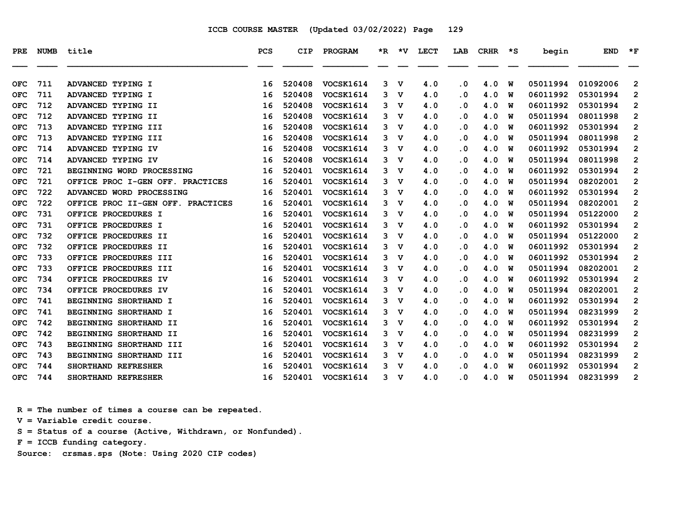| <b>PRE</b> | <b>NUMB</b> | title                             | <b>PCS</b> | <b>CIP</b> | PROGRAM          | $*_{\mathbb{R}}$ | *V.         | <b>LECT</b> | LAB       | <b>CRHR</b> | ∗s | begin    | <b>END</b> | $*_{\mathbf{F}}$ |
|------------|-------------|-----------------------------------|------------|------------|------------------|------------------|-------------|-------------|-----------|-------------|----|----------|------------|------------------|
| <b>OFC</b> | 711         | ADVANCED TYPING I                 | 16         | 520408     | VOCSK1614        | 3                | v           | 4.0         | $\cdot$ 0 | 4.0         | W  | 05011994 | 01092006   | $\overline{2}$   |
| <b>OFC</b> | 711         | ADVANCED TYPING I                 | 16         | 520408     | VOCSK1614        | 3                | v           | 4.0         | $\cdot$ 0 | 4.0         | W  | 06011992 | 05301994   | $\overline{2}$   |
| <b>OFC</b> | 712         | ADVANCED TYPING II                | 16         | 520408     | <b>VOCSK1614</b> | 3                | $\mathbf v$ | 4.0         | $\cdot$ 0 | 4.0         | W  | 06011992 | 05301994   | $\overline{2}$   |
| <b>OFC</b> | 712         | ADVANCED TYPING II                | 16         | 520408     | <b>VOCSK1614</b> | 3                | v           | 4.0         | $\cdot$ 0 | 4.0         | W  | 05011994 | 08011998   | $\mathbf{2}$     |
| <b>OFC</b> | 713         | ADVANCED TYPING III               | 16         | 520408     | VOCSK1614        | 3                | $\mathbf v$ | 4.0         | $\cdot$ 0 | 4.0         | W  | 06011992 | 05301994   | $\overline{2}$   |
| <b>OFC</b> | 713         | ADVANCED TYPING III               | 16         | 520408     | <b>VOCSK1614</b> | 3                | $\mathbf v$ | 4.0         | $\cdot$ 0 | 4.0         | W  | 05011994 | 08011998   | $\mathbf{2}$     |
| <b>OFC</b> | 714         | ADVANCED TYPING IV                | 16         | 520408     | VOCSK1614        | 3                | $\mathbf v$ | 4.0         | $\cdot$ 0 | 4.0         | W  | 06011992 | 05301994   | $\overline{2}$   |
| <b>OFC</b> | 714         | ADVANCED TYPING IV                | 16         | 520408     | VOCSK1614        | 3                | $\mathbf v$ | 4.0         | $\cdot$ 0 | 4.0         | W  | 05011994 | 08011998   | $\overline{2}$   |
| <b>OFC</b> | 721         | BEGINNING WORD PROCESSING         | 16         | 520401     | <b>VOCSK1614</b> | 3                | v           | 4.0         | . 0       | 4.0         | W  | 06011992 | 05301994   | $\mathbf{2}$     |
| <b>OFC</b> | 721         | OFFICE PROC I-GEN OFF. PRACTICES  | 16         | 520401     | VOCSK1614        | 3                | $\mathbf v$ | 4.0         | $\cdot$ 0 | 4.0         | W  | 05011994 | 08202001   | $\overline{2}$   |
| <b>OFC</b> | 722         | ADVANCED WORD PROCESSING          | 16         | 520401     | VOCSK1614        | 3                | v           | 4.0         | $\cdot$ 0 | 4.0         | W  | 06011992 | 05301994   | $\mathbf{2}$     |
| <b>OFC</b> | 722         | OFFICE PROC II-GEN OFF. PRACTICES | 16         | 520401     | VOCSK1614        | 3                | $\mathbf v$ | 4.0         | $\cdot$ 0 | 4.0         | W  | 05011994 | 08202001   | $\mathbf{2}$     |
| <b>OFC</b> | 731         | OFFICE PROCEDURES I               | 16         | 520401     | <b>VOCSK1614</b> | 3                | $\mathbf v$ | 4.0         | $\cdot$ 0 | 4.0         | W  | 05011994 | 05122000   | 2                |
| <b>OFC</b> | 731         | OFFICE PROCEDURES I               | 16         | 520401     | VOCSK1614        | 3                | v           | 4.0         | . 0       | 4.0         | W  | 06011992 | 05301994   | 2                |
| <b>OFC</b> | 732         | OFFICE PROCEDURES II              | 16         | 520401     | <b>VOCSK1614</b> | 3                | v           | 4.0         | $\cdot$ 0 | 4.0         | W  | 05011994 | 05122000   | $\overline{2}$   |
| <b>OFC</b> | 732         | OFFICE PROCEDURES II              | 16         | 520401     | <b>VOCSK1614</b> | 3                | $\mathbf v$ | 4.0         | $\cdot$ 0 | 4.0         | W  | 06011992 | 05301994   | $\mathbf{2}$     |
| <b>OFC</b> | 733         | OFFICE PROCEDURES III             | 16         | 520401     | VOCSK1614        | 3                | $\mathbf v$ | 4.0         | $\cdot$ 0 | 4.0         | W  | 06011992 | 05301994   | $\overline{2}$   |
| <b>OFC</b> | 733         | OFFICE PROCEDURES III             | 16         | 520401     | VOCSK1614        | 3                | v           | 4.0         | $\cdot$ 0 | 4.0         | W  | 05011994 | 08202001   | $\overline{2}$   |
| <b>OFC</b> | 734         | OFFICE PROCEDURES IV              | 16         | 520401     | <b>VOCSK1614</b> | 3                | $\mathbf v$ | 4.0         | $\cdot$ 0 | 4.0         | W  | 06011992 | 05301994   | $\mathbf{2}$     |
| <b>OFC</b> | 734         | OFFICE PROCEDURES IV              | 16         | 520401     | VOCSK1614        | 3                | $\mathbf v$ | 4.0         | $\cdot$ 0 | 4.0         | W  | 05011994 | 08202001   | $\overline{2}$   |
| <b>OFC</b> | 741         | BEGINNING SHORTHAND I             | 16         | 520401     | VOCSK1614        | 3                | $\mathbf v$ | 4.0         | $\cdot$ 0 | 4.0         | W  | 06011992 | 05301994   | $\overline{2}$   |
| <b>OFC</b> | 741         | BEGINNING SHORTHAND I             | 16         | 520401     | <b>VOCSK1614</b> | 3                | v           | 4.0         | $\cdot$ 0 | 4.0         | W  | 05011994 | 08231999   | $\mathbf{2}$     |
| <b>OFC</b> | 742         | BEGINNING SHORTHAND II            | 16         | 520401     | VOCSK1614        | 3                | v           | 4.0         | $\cdot$ 0 | 4.0         | W  | 06011992 | 05301994   | $\overline{2}$   |
| <b>OFC</b> | 742         | BEGINNING SHORTHAND II            | 16         | 520401     | <b>VOCSK1614</b> | 3                | v           | 4.0         | $\cdot$ 0 | 4.0         | W  | 05011994 | 08231999   | $\overline{2}$   |
| <b>OFC</b> | 743         | BEGINNING SHORTHAND III           | 16         | 520401     | <b>VOCSK1614</b> | 3                | $\mathbf v$ | 4.0         | $\cdot$ 0 | 4.0         | W  | 06011992 | 05301994   | $\overline{2}$   |
| <b>OFC</b> | 743         | BEGINNING SHORTHAND III           | 16         | 520401     | <b>VOCSK1614</b> | 3                | $\mathbf v$ | 4.0         | $\cdot$ 0 | 4.0         | W  | 05011994 | 08231999   | $\mathbf{2}$     |
| <b>OFC</b> | 744         | SHORTHAND REFRESHER               | 16         | 520401     | VOCSK1614        | 3                | v           | 4.0         | $\cdot$ 0 | 4.0         | W  | 06011992 | 05301994   | $\overline{2}$   |
| <b>OFC</b> | 744         | SHORTHAND REFRESHER               | 16         | 520401     | <b>VOCSK1614</b> | 3                | $\mathbf v$ | 4.0         | . 0       | 4.0         | W  | 05011994 | 08231999   | 2                |

 **R = The number of times a course can be repeated.**

 **V = Variable credit course.**

 **S = Status of a course (Active, Withdrawn, or Nonfunded).**

 **F = ICCB funding category.**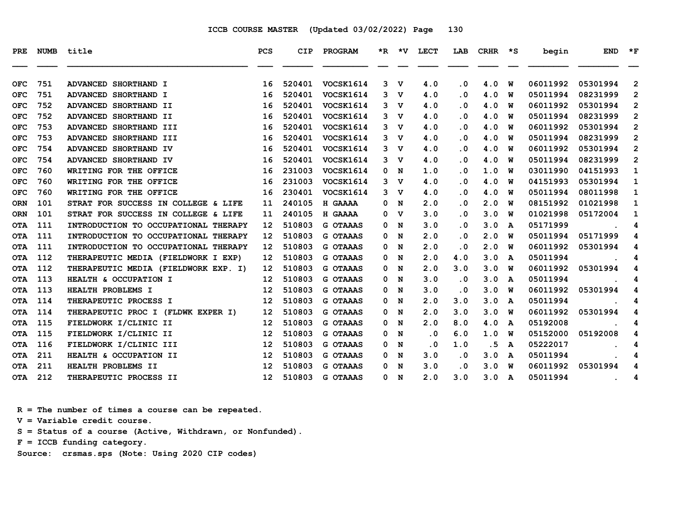| PRE        | <b>NUMB</b> | title                                | <b>PCS</b>        | <b>CIP</b> | PROGRAM          |   | $*R$ $*V$   | <b>LECT</b> | LAB       | <b>CRHR</b> | $\star$ s | begin    | <b>END</b>           | $\star_{\mathbf{F}}$ |
|------------|-------------|--------------------------------------|-------------------|------------|------------------|---|-------------|-------------|-----------|-------------|-----------|----------|----------------------|----------------------|
| <b>OFC</b> | 751         | ADVANCED SHORTHAND I                 | 16                | 520401     | VOCSK1614        | 3 | $\mathbf v$ | 4.0         | $\cdot$ 0 | 4.0         | W         | 06011992 | 05301994             | $\overline{2}$       |
| <b>OFC</b> | 751         | ADVANCED SHORTHAND I                 | 16                | 520401     | VOCSK1614        | 3 | v           | 4.0         | $\cdot$ 0 | 4.0         | W         | 05011994 | 08231999             | $\overline{2}$       |
| <b>OFC</b> | 752         | ADVANCED SHORTHAND II                | 16                | 520401     | VOCSK1614        | 3 | v           | 4.0         | . 0       | 4.0         | W         | 06011992 | 05301994             | $\overline{2}$       |
| <b>OFC</b> | 752         | ADVANCED SHORTHAND II                | 16                | 520401     | VOCSK1614        |   | 3 V         | 4.0         | $\cdot$ 0 | 4.0         | W         | 05011994 | 08231999             | $\overline{2}$       |
| <b>OFC</b> | 753         | ADVANCED SHORTHAND III               | 16                | 520401     | <b>VOCSK1614</b> | 3 | v           | 4.0         | $\cdot$ 0 | 4.0         | W         | 06011992 | 05301994             | $\overline{2}$       |
| <b>OFC</b> | 753         | ADVANCED SHORTHAND III               | 16                | 520401     | VOCSK1614        | 3 | v           | 4.0         | $\cdot$ 0 | 4.0         | W         | 05011994 | 08231999             | $\overline{2}$       |
| <b>OFC</b> | 754         | ADVANCED SHORTHAND IV                | 16                | 520401     | VOCSK1614        | 3 | $\mathbf v$ | 4.0         | $\cdot$ 0 | 4.0         | พ         | 06011992 | 05301994             | $\overline{2}$       |
| OFC        | 754         | ADVANCED SHORTHAND IV                | 16                | 520401     | VOCSK1614        | 3 | v           | 4.0         | $\cdot$ 0 | 4.0         | W         | 05011994 | 08231999             | $\overline{2}$       |
| <b>OFC</b> | 760         | WRITING FOR THE OFFICE               | 16                | 231003     | <b>VOCSK1614</b> | 0 | N           | 1.0         | $\cdot$ 0 | 1.0         | W         | 03011990 | 04151993             | 1                    |
| <b>OFC</b> | 760         | WRITING FOR THE OFFICE               | 16                | 231003     | <b>VOCSK1614</b> | 3 | v           | 4.0         | $\cdot$ 0 | 4.0         | W         | 04151993 | 05301994             | 1                    |
| <b>OFC</b> | 760         | WRITING FOR THE OFFICE               | 16                | 230401     | VOCSK1614        | 3 | v           | 4.0         | $\cdot$ 0 | 4.0         | W         | 05011994 | 08011998             | $\mathbf{1}$         |
| <b>ORN</b> | 101         | STRAT FOR SUCCESS IN COLLEGE & LIFE  | 11                | 240105     | H GAAAA          | 0 | N           | 2.0         | $\cdot$ 0 | 2.0         | พ         | 08151992 | 01021998             | 1                    |
| <b>ORN</b> | 101         | STRAT FOR SUCCESS IN COLLEGE & LIFE  | 11                | 240105     | H GAAAA          | 0 | $\mathbf v$ | 3.0         | $\cdot$ 0 | 3.0         | W         | 01021998 | 05172004             | 1                    |
| <b>OTA</b> | 111         | INTRODUCTION TO OCCUPATIONAL THERAPY | $12 \overline{ }$ | 510803     | <b>G OTAAAS</b>  | 0 | N           | 3.0         | $\cdot$ 0 | 3.0         | A         | 05171999 |                      | 4                    |
| <b>OTA</b> | 111         | INTRODUCTION TO OCCUPATIONAL THERAPY | 12                | 510803     | <b>G OTAAAS</b>  | 0 | N           | 2.0         | $\cdot$ 0 | 2.0         | W         | 05011994 | 05171999             | 4                    |
| <b>OTA</b> | 111         | INTRODUCTION TO OCCUPATIONAL THERAPY | 12                | 510803     | <b>G OTAAAS</b>  | 0 | N           | 2.0         | $\cdot$ 0 | 2.0         | พ         | 06011992 | 05301994             | 4                    |
| <b>OTA</b> | 112         | THERAPEUTIC MEDIA (FIELDWORK I EXP)  | 12                | 510803     | <b>G OTAAAS</b>  | 0 | N           | 2.0         | 4.0       | 3.0         | A         | 05011994 |                      | 4                    |
| <b>OTA</b> | 112         | THERAPEUTIC MEDIA (FIELDWORK EXP. I) | $12 \overline{ }$ | 510803     | <b>G OTAAAS</b>  | 0 | N           | 2.0         | 3.0       | 3.0         | W         | 06011992 | 05301994             | 4                    |
| <b>OTA</b> | 113         | HEALTH & OCCUPATION I                | 12                | 510803     | <b>G OTAAAS</b>  | 0 | N           | 3.0         | $\cdot$ 0 | 3.0         | A         | 05011994 |                      | 4                    |
| <b>OTA</b> | 113         | HEALTH PROBLEMS I                    | 12                | 510803     | <b>G OTAAAS</b>  | 0 | N           | 3.0         | $\cdot$ 0 | 3.0         | W         | 06011992 | 05301994             | 4                    |
| <b>OTA</b> | 114         | THERAPEUTIC PROCESS I                | 12 <sup>2</sup>   | 510803     | <b>G OTAAAS</b>  | 0 | N           | 2.0         | 3.0       | 3.0         | A         | 05011994 |                      | 4                    |
| <b>OTA</b> | 114         | THERAPEUTIC PROC I (FLDWK EXPER I)   | 12 <sup>2</sup>   | 510803     | <b>G OTAAAS</b>  | 0 | N           | 2.0         | 3.0       | 3.0         | พ         | 06011992 | 05301994             | 4                    |
| <b>OTA</b> | 115         | FIELDWORK I/CLINIC II                | 12                | 510803     | <b>G OTAAAS</b>  | 0 | N           | 2.0         | 8.0       | 4.0         | A         | 05192008 |                      | 4                    |
| <b>OTA</b> | 115         | FIELDWORK I/CLINIC II                | 12                | 510803     | <b>G OTAAAS</b>  | 0 | N           | $\cdot$ 0   | 6.0       | 1.0         | W         | 05152000 | 05192008             | 4                    |
| <b>OTA</b> | 116         | FIELDWORK I/CLINIC III               | 12                | 510803     | G OTAAAS         | 0 | N           | . 0         | 1.0       | . 5         | A         | 05222017 |                      | 4                    |
| <b>OTA</b> | 211         | HEALTH & OCCUPATION II               | 12                | 510803     | <b>G OTAAAS</b>  | 0 | N           | 3.0         | $\cdot$ 0 | 3.0         | A         | 05011994 |                      | 4                    |
| <b>OTA</b> | 211         | HEALTH PROBLEMS II                   | 12                | 510803     | <b>G OTAAAS</b>  | 0 | N           | 3.0         | $\cdot$ 0 | 3.0         | W         | 06011992 | 05301994             | 4                    |
| <b>OTA</b> | 212         | THERAPEUTIC PROCESS II               | 12 <sub>1</sub>   | 510803     | <b>G OTAAAS</b>  |   | 0 N         | 2.0         | 3.0       | 3.0         | A         | 05011994 | $\ddot{\phantom{0}}$ | 4                    |

 **R = The number of times a course can be repeated.**

 **V = Variable credit course.**

 **S = Status of a course (Active, Withdrawn, or Nonfunded).**

 **F = ICCB funding category.**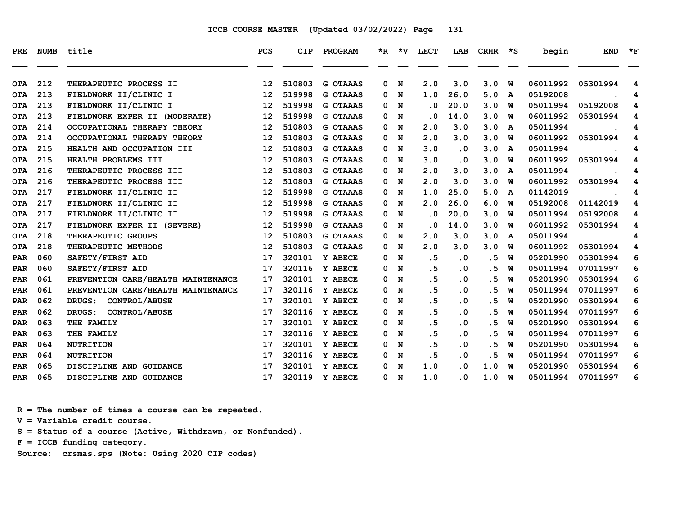| PRE.       | <b>NUMB</b> | title                              | PCS | CIP    | PROGRAM         | *R. | ∗v | <b>LECT</b> | LAB                     | <b>CRHR</b> | ∗s           | begin    | <b>END</b> | $*_{\mathbf{F}}$ |
|------------|-------------|------------------------------------|-----|--------|-----------------|-----|----|-------------|-------------------------|-------------|--------------|----------|------------|------------------|
| <b>OTA</b> | 212         | THERAPEUTIC PROCESS II             | 12  | 510803 | <b>G OTAAAS</b> | 0   | N  | 2.0         | 3.0                     | 3.0         | W            | 06011992 | 05301994   | 4                |
| <b>OTA</b> | 213         | FIELDWORK II/CLINIC I              | 12  | 519998 | <b>G OTAAAS</b> | 0   | N  | 1.0         | 26.0                    | 5.0         | $\mathbf{A}$ | 05192008 |            | 4                |
| <b>OTA</b> | 213         | FIELDWORK II/CLINIC I              | 12  | 519998 | <b>G OTAAAS</b> | 0   | N  | . 0         | 20.0                    | 3.0         | W            | 05011994 | 05192008   | 4                |
| <b>OTA</b> | 213         | FIELDWORK EXPER II (MODERATE)      | 12  | 519998 | <b>G OTAAAS</b> | 0   | N  | . 0         | 14.0                    | 3.0         | W            | 06011992 | 05301994   | 4                |
| <b>OTA</b> | 214         | OCCUPATIONAL THERAPY THEORY        | 12  | 510803 | <b>G OTAAAS</b> | 0   | N  | 2.0         | 3.0                     | 3.0         | A            | 05011994 |            | 4                |
| <b>OTA</b> | 214         | OCCUPATIONAL THERAPY THEORY        | 12  | 510803 | <b>G OTAAAS</b> | 0   | N  | 2.0         | 3.0                     | 3.0         | W            | 06011992 | 05301994   | 4                |
| <b>OTA</b> | 215         | HEALTH AND OCCUPATION III          | 12  | 510803 | <b>G OTAAAS</b> | 0   | N  | 3.0         | $\cdot$ 0               | 3.0         | A            | 05011994 |            | 4                |
| <b>OTA</b> | 215         | HEALTH PROBLEMS III                | 12  | 510803 | <b>G OTAAAS</b> | 0   | N  | 3.0         | . 0                     | 3.0         | พ            | 06011992 | 05301994   | 4                |
| <b>OTA</b> | 216         | THERAPEUTIC PROCESS III            | 12  | 510803 | <b>G OTAAAS</b> | 0   | N  | 2.0         | 3.0                     | 3.0         | A            | 05011994 |            | 4                |
| <b>OTA</b> | 216         | THERAPEUTIC PROCESS III            | 12  | 510803 | <b>G OTAAAS</b> | 0   | N  | 2.0         | 3.0                     | 3.0         | พ            | 06011992 | 05301994   | 4                |
| <b>OTA</b> | 217         | FIELDWORK II/CLINIC II             | 12  | 519998 | <b>G OTAAAS</b> | 0   | N  | 1.0         | 25.0                    | 5.0         | A            | 01142019 |            | 4                |
| <b>OTA</b> | 217         | FIELDWORK II/CLINIC II             | 12  | 519998 | <b>G OTAAAS</b> | 0   | N  | 2.0         | 26.0                    | 6.0         | w            | 05192008 | 01142019   | 4                |
| <b>OTA</b> | 217         | FIELDWORK II/CLINIC II             | 12  | 519998 | <b>G OTAAAS</b> | 0   | N  | . 0         | 20.0                    | 3.0         | W            | 05011994 | 05192008   | 4                |
| <b>OTA</b> | 217         | FIELDWORK EXPER II (SEVERE)        | 12  | 519998 | <b>G OTAAAS</b> | 0   | N  | . 0         | 14.0                    | 3.0         | W            | 06011992 | 05301994   | 4                |
| <b>OTA</b> | 218         | THERAPEUTIC GROUPS                 | 12  | 510803 | <b>G OTAAAS</b> | 0   | N  | 2.0         | 3.0                     | 3.0         | A            | 05011994 |            | 4                |
| <b>OTA</b> | 218         | THERAPEUTIC METHODS                | 12  | 510803 | <b>G OTAAAS</b> | 0   | N  | 2.0         | 3.0                     | 3.0         | W            | 06011992 | 05301994   | 4                |
| <b>PAR</b> | 060         | SAFETY/FIRST AID                   | 17  | 320101 | Y ABECE         | 0   | N  | .5          | $\cdot$ 0               | . 5         | W            | 05201990 | 05301994   | 6                |
| <b>PAR</b> | 060         | SAFETY/FIRST AID                   | 17  | 320116 | Y ABECE         | 0   | N  | .5          | $\cdot$ 0               | . 5         | W            | 05011994 | 07011997   | 6                |
| <b>PAR</b> | 061         | PREVENTION CARE/HEALTH MAINTENANCE | 17  | 320101 | Y ABECE         | 0   | N  | .5          | . 0                     | .5          | W            | 05201990 | 05301994   | 6                |
| <b>PAR</b> | 061         | PREVENTION CARE/HEALTH MAINTENANCE | 17  | 320116 | Y ABECE         | 0   | N  | . 5         | $\cdot$ 0               | . 5         | W            | 05011994 | 07011997   | 6                |
| <b>PAR</b> | 062         | DRUGS:<br>CONTROL/ABUSE            | 17  | 320101 | Y ABECE         | 0   | N  | . 5         | . 0                     | . 5         | W            | 05201990 | 05301994   | 6                |
| <b>PAR</b> | 062         | CONTROL/ABUSE<br>DRUGS:            | 17  | 320116 | Y ABECE         | 0   | N  | .5          | $\overline{\mathbf{0}}$ | . 5         | W            | 05011994 | 07011997   | 6                |
| <b>PAR</b> | 063         | THE FAMILY                         | 17  | 320101 | Y ABECE         | 0   | N  | .5          | . 0                     | .5          | W            | 05201990 | 05301994   | 6                |
| <b>PAR</b> | 063         | THE FAMILY                         | 17  | 320116 | Y ABECE         | 0   | N  | .5          | . 0                     | . 5         | W            | 05011994 | 07011997   | 6                |
| <b>PAR</b> | 064         | <b>NUTRITION</b>                   | 17  | 320101 | <b>Y ABECE</b>  | 0   | N  | .5          | . 0                     | . 5         | W            | 05201990 | 05301994   | 6                |
| <b>PAR</b> | 064         | <b>NUTRITION</b>                   | 17  | 320116 | Y ABECE         | 0   | N  | .5          | . 0                     | . 5         | W            | 05011994 | 07011997   | 6                |
| <b>PAR</b> | 065         | DISCIPLINE AND GUIDANCE            | 17  | 320101 | Y ABECE         | 0   | N  | 1.0         | $\overline{\mathbf{0}}$ | 1.0         | W            | 05201990 | 05301994   | 6                |
| <b>PAR</b> | 065         | DISCIPLINE AND GUIDANCE            | 17  | 320119 | Y ABECE         | 0   | N  | 1.0         | . 0                     | 1.0         | W            | 05011994 | 07011997   | 6                |

 **R = The number of times a course can be repeated.**

 **V = Variable credit course.**

 **S = Status of a course (Active, Withdrawn, or Nonfunded).**

 **F = ICCB funding category.**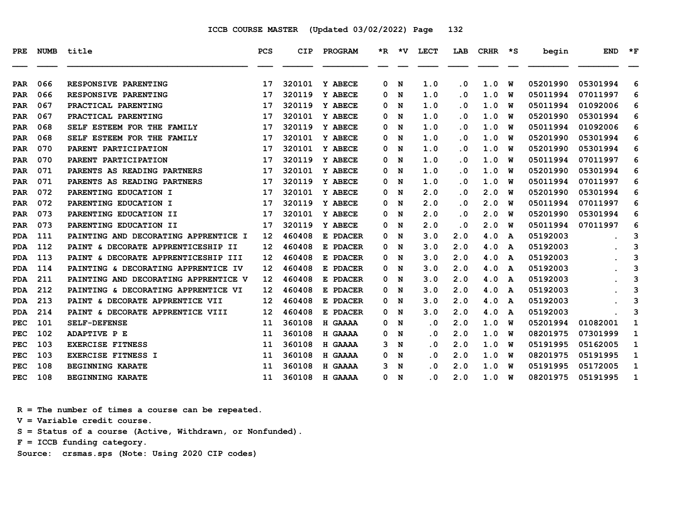| PRE.       | <b>NUMB</b> | title                                | <b>PCS</b>        | CIP    | PROGRAM  | $*_{\mathbf{R}}$ | *V | <b>LECT</b> | LAB                     | <b>CRHR</b> | ∗s | begin    | <b>END</b> | $*_{\mathbf{F}}$ |
|------------|-------------|--------------------------------------|-------------------|--------|----------|------------------|----|-------------|-------------------------|-------------|----|----------|------------|------------------|
| <b>PAR</b> | 066         | RESPONSIVE PARENTING                 | 17                | 320101 | Y ABECE  | 0                | N  | 1.0         | . 0                     | 1.0         | W  | 05201990 | 05301994   | 6                |
| <b>PAR</b> | 066         | RESPONSIVE PARENTING                 | 17                | 320119 | Y ABECE  | 0                | N  | 1.0         | . 0                     | 1.0         | พ  | 05011994 | 07011997   | 6                |
| <b>PAR</b> | 067         | PRACTICAL PARENTING                  | 17                | 320119 | Y ABECE  | 0                | N  | 1.0         | . 0                     | 1.0         | W  | 05011994 | 01092006   | 6                |
| <b>PAR</b> | 067         | PRACTICAL PARENTING                  | 17                | 320101 | Y ABECE  | 0                | N  | 1.0         | . 0                     | 1.0         | W  | 05201990 | 05301994   | 6                |
| <b>PAR</b> | 068         | SELF ESTEEM FOR THE FAMILY           | 17                | 320119 | Y ABECE  | 0                | N  | 1.0         | . 0                     | 1.0         | W  | 05011994 | 01092006   | 6                |
| <b>PAR</b> | 068         | SELF ESTEEM FOR THE FAMILY           | 17                | 320101 | Y ABECE  | 0                | N  | 1.0         | . 0                     | 1.0         | พ  | 05201990 | 05301994   | 6                |
| <b>PAR</b> | 070         | PARENT PARTICIPATION                 | 17                | 320101 | Y ABECE  | 0                | N  | 1.0         | $\overline{\mathbf{0}}$ | 1.0         | W  | 05201990 | 05301994   | 6                |
| <b>PAR</b> | 070         | PARENT PARTICIPATION                 | 17                | 320119 | Y ABECE  | 0                | N  | 1.0         | . 0                     | 1.0         | W  | 05011994 | 07011997   | 6                |
| <b>PAR</b> | 071         | PARENTS AS READING PARTNERS          | 17                | 320101 | Y ABECE  | 0                | N  | 1.0         | . 0                     | 1.0         | W  | 05201990 | 05301994   | 6                |
| <b>PAR</b> | 071         | PARENTS AS READING PARTNERS          | 17                | 320119 | Y ABECE  | 0                | N  | 1.0         | . 0                     | 1.0         | พ  | 05011994 | 07011997   | 6                |
| <b>PAR</b> | 072         | PARENTING EDUCATION I                | 17                | 320101 | Y ABECE  | 0                | N  | 2.0         | . 0                     | 2.0         | W  | 05201990 | 05301994   | 6                |
| <b>PAR</b> | 072         | PARENTING EDUCATION I                | 17                | 320119 | Y ABECE  | 0                | N  | 2.0         | . 0                     | 2.0         | W  | 05011994 | 07011997   | 6                |
| <b>PAR</b> | 073         | PARENTING EDUCATION II               | 17                | 320101 | Y ABECE  | 0                | N  | 2.0         | $\overline{\mathbf{0}}$ | 2.0         | W  | 05201990 | 05301994   | 6                |
| <b>PAR</b> | 073         | PARENTING EDUCATION II               | 17                | 320119 | Y ABECE  | 0                | N  | 2.0         | . 0                     | 2.0         | พ  | 05011994 | 07011997   | 6                |
| <b>PDA</b> | 111         | PAINTING AND DECORATING APPRENTICE I | 12                | 460408 | E PDACER | 0                | N  | 3.0         | 2.0                     | 4.0         | A  | 05192003 |            | 3                |
| <b>PDA</b> | 112         | PAINT & DECORATE APPRENTICESHIP II   | 12                | 460408 | E PDACER | 0                | N  | 3.0         | 2.0                     | 4.0         | A  | 05192003 |            | 3                |
| <b>PDA</b> | 113         | PAINT & DECORATE APPRENTICESHIP III  | $12 \overline{ }$ | 460408 | E PDACER | 0                | N  | 3.0         | 2.0                     | 4.0         | A  | 05192003 |            | 3                |
| <b>PDA</b> | 114         | PAINTING & DECORATING APPRENTICE IV  | 12                | 460408 | E PDACER | 0                | N  | 3.0         | 2.0                     | 4.0         | A  | 05192003 |            | 3                |
| <b>PDA</b> | 211         | PAINTING AND DECORATING APPRENTICE V | $12 \overline{ }$ | 460408 | E PDACER | 0                | N  | 3.0         | 2.0                     | 4.0         | A  | 05192003 |            | 3                |
| <b>PDA</b> | 212         | PAINTING & DECORATING APPRENTICE VI  | 12                | 460408 | E PDACER | 0                | N  | 3.0         | 2.0                     | 4.0         | A  | 05192003 |            | 3                |
| <b>PDA</b> | 213         | PAINT & DECORATE APPRENTICE VII      | 12                | 460408 | E PDACER | 0                | N  | 3.0         | 2.0                     | 4.0         | A  | 05192003 |            | 3                |
| <b>PDA</b> | 214         | PAINT & DECORATE APPRENTICE VIII     | 12                | 460408 | E PDACER | 0                | N  | 3.0         | 2.0                     | 4.0         | A  | 05192003 |            | 3                |
| <b>PEC</b> | 101         | <b>SELF-DEFENSE</b>                  | 11                | 360108 | H GAAAA  | 0                | N  | $\cdot$ 0   | 2.0                     | 1.0         | พ  | 05201994 | 01082001   | 1                |
| <b>PEC</b> | 102         | <b>ADAPTIVE P E</b>                  | 11                | 360108 | H GAAAA  | 0                | N  | . 0         | 2.0                     | 1.0         | พ  | 08201975 | 07301999   | 1                |
| <b>PEC</b> | 103         | <b>EXERCISE FITNESS</b>              | 11                | 360108 | H GAAAA  | 3                | N  | . 0         | 2.0                     | 1.0         | พ  | 05191995 | 05162005   | 1                |
| <b>PEC</b> | 103         | <b>EXERCISE FITNESS I</b>            | 11                | 360108 | H GAAAA  | 0                | N  | . 0         | 2.0                     | 1.0         | W  | 08201975 | 05191995   | 1                |
| <b>PEC</b> | 108         | <b>BEGINNING KARATE</b>              | 11                | 360108 | H GAAAA  | 3                | N  | . 0         | 2.0                     | 1.0         | W  | 05191995 | 05172005   | 1                |
| <b>PEC</b> | 108         | <b>BEGINNING KARATE</b>              | 11                | 360108 | H GAAAA  | 0                | N  | . 0         | 2.0                     | 1.0         | พ  | 08201975 | 05191995   | 1                |

 **R = The number of times a course can be repeated.**

 **V = Variable credit course.**

 **S = Status of a course (Active, Withdrawn, or Nonfunded).**

 **F = ICCB funding category.**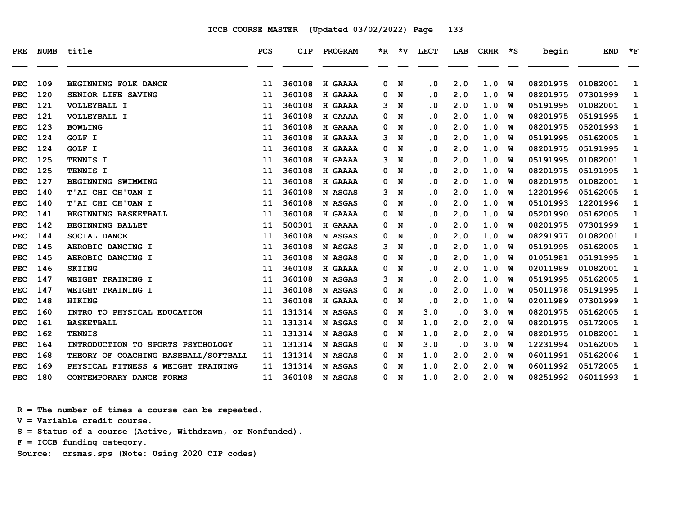| <b>PRE</b> | <b>NUMB</b> | title                                | <b>PCS</b> | <b>CIP</b> | PROGRAM        | $*_{\mathbb{R}}$ | *V. | <b>LECT</b> | LAB       | <b>CRHR</b> | *S | begin    | <b>END</b> | $*_{\mathbf{F}}$ |
|------------|-------------|--------------------------------------|------------|------------|----------------|------------------|-----|-------------|-----------|-------------|----|----------|------------|------------------|
| <b>PEC</b> | 109         | BEGINNING FOLK DANCE                 | 11         | 360108     | H GAAAA        | 0                | N   | $\cdot$ 0   | 2.0       | 1.0         | W  | 08201975 | 01082001   | 1                |
| <b>PEC</b> | 120         | SENIOR LIFE SAVING                   | 11         | 360108     | H GAAAA        | 0                | N   | $\cdot$ 0   | 2.0       | 1.0         | W  | 08201975 | 07301999   | 1                |
| <b>PEC</b> | 121         | VOLLEYBALL I                         | 11         | 360108     | H GAAAA        | з                | N   | $\cdot$ 0   | 2.0       | 1.0         | W  | 05191995 | 01082001   | 1                |
| <b>PEC</b> | 121         | VOLLEYBALL I                         | 11         | 360108     | H GAAAA        | 0                | N   | . 0         | 2.0       | 1.0         | W  | 08201975 | 05191995   | 1                |
| <b>PEC</b> | 123         | <b>BOWLING</b>                       | 11         | 360108     | H GAAAA        | 0                | N   | $\cdot$ 0   | 2.0       | 1.0         | W  | 08201975 | 05201993   | 1                |
| <b>PEC</b> | 124         | GOLF I                               | 11         | 360108     | H GAAAA        | з                | N   | . 0         | 2.0       | 1.0         | W  | 05191995 | 05162005   | 1                |
| <b>PEC</b> | 124         | GOLF I                               | 11         | 360108     | H GAAAA        | 0                | N   | $\cdot$ 0   | 2.0       | 1.0         | W  | 08201975 | 05191995   | 1                |
| <b>PEC</b> | 125         | TENNIS I                             | 11         | 360108     | H GAAAA        | з                | N   | $\cdot$ 0   | 2.0       | 1.0         | W  | 05191995 | 01082001   | 1                |
| <b>PEC</b> | 125         | TENNIS I                             | 11         | 360108     | H GAAAA        | 0                | N   | . 0         | 2.0       | 1.0         | W  | 08201975 | 05191995   | 1                |
| <b>PEC</b> | 127         | BEGINNING SWIMMING                   | 11         | 360108     | H GAAAA        | 0                | N   | $\cdot$ 0   | 2.0       | 1.0         | W  | 08201975 | 01082001   | 1                |
| <b>PEC</b> | 140         | T'AI CHI CH'UAN I                    | 11         | 360108     | N ASGAS        | 3                | N   | . 0         | 2.0       | 1.0         | W  | 12201996 | 05162005   | 1                |
| <b>PEC</b> | 140         | T'AI CHI CH'UAN I                    | 11         | 360108     | N ASGAS        | 0                | N   | $\cdot$ 0   | 2.0       | 1.0         | W  | 05101993 | 12201996   | 1                |
| <b>PEC</b> | 141         | BEGINNING BASKETBALL                 | 11         | 360108     | H GAAAA        | 0                | N   | $\cdot$ 0   | 2.0       | 1.0         | W  | 05201990 | 05162005   | 1                |
| <b>PEC</b> | 142         | <b>BEGINNING BALLET</b>              | 11         | 500301     | H GAAAA        | 0                | N   | $\cdot$ 0   | 2.0       | 1.0         | W  | 08201975 | 07301999   | 1                |
| <b>PEC</b> | 144         | <b>SOCIAL DANCE</b>                  | 11         | 360108     | N ASGAS        | 0                | N   | $\cdot$ 0   | 2.0       | 1.0         | W  | 08291977 | 01082001   | 1                |
| PEC        | 145         | AEROBIC DANCING I                    | 11         | 360108     | N ASGAS        | 3                | N   | . 0         | 2.0       | 1.0         | W  | 05191995 | 05162005   | 1                |
| <b>PEC</b> | 145         | AEROBIC DANCING I                    | 11         | 360108     | N ASGAS        | 0                | N   | $\cdot$ 0   | 2.0       | 1.0         | W  | 01051981 | 05191995   | 1                |
| <b>PEC</b> | 146         | <b>SKIING</b>                        | 11         | 360108     | H GAAAA        | 0                | N   | $\cdot$ 0   | 2.0       | 1.0         | W  | 02011989 | 01082001   | 1                |
| <b>PEC</b> | 147         | WEIGHT TRAINING I                    | 11         | 360108     | N ASGAS        | 3                | N   | $\cdot$ 0   | 2.0       | 1.0         | W  | 05191995 | 05162005   | 1                |
| <b>PEC</b> | 147         | WEIGHT TRAINING I                    | 11         | 360108     | N ASGAS        | 0                | N   | $\cdot$ 0   | 2.0       | 1.0         | W  | 05011978 | 05191995   | 1                |
| <b>PEC</b> | 148         | <b>HIKING</b>                        | 11         | 360108     | H GAAAA        | 0                | N   | $\cdot$ 0   | 2.0       | 1.0         | W  | 02011989 | 07301999   | 1                |
| <b>PEC</b> | 160         | INTRO TO PHYSICAL EDUCATION          | 11         | 131314     | N ASGAS        | 0                | N   | 3.0         | $\cdot$ 0 | 3.0         | W  | 08201975 | 05162005   | 1                |
| <b>PEC</b> | 161         | <b>BASKETBALL</b>                    | 11         | 131314     | N ASGAS        | 0                | N   | 1.0         | 2.0       | 2.0         | W  | 08201975 | 05172005   | 1                |
| <b>PEC</b> | 162         | <b>TENNIS</b>                        | 11         | 131314     | N ASGAS        | 0                | N   | 1.0         | 2.0       | 2.0         | W  | 08201975 | 01082001   | 1                |
| <b>PEC</b> | 164         | INTRODUCTION TO SPORTS PSYCHOLOGY    | 11         | 131314     | N ASGAS        | 0                | N   | 3.0         | $\cdot$ 0 | 3.0         | W  | 12231994 | 05162005   | 1                |
| <b>PEC</b> | 168         | THEORY OF COACHING BASEBALL/SOFTBALL | 11         | 131314     | <b>N ASGAS</b> | 0                | N   | 1.0         | 2.0       | 2.0         | W  | 06011991 | 05162006   | 1                |
| <b>PEC</b> | 169         | PHYSICAL FITNESS & WEIGHT TRAINING   | 11         | 131314     | N ASGAS        | 0                | N   | 1.0         | 2.0       | 2.0         | W  | 06011992 | 05172005   | 1                |
| <b>PEC</b> | 180         | CONTEMPORARY DANCE FORMS             | 11         | 360108     | N ASGAS        | 0                | N   | 1.0         | 2.0       | 2.0         | W  | 08251992 | 06011993   | 1                |

 **R = The number of times a course can be repeated.**

 **V = Variable credit course.**

 **S = Status of a course (Active, Withdrawn, or Nonfunded).**

 **F = ICCB funding category.**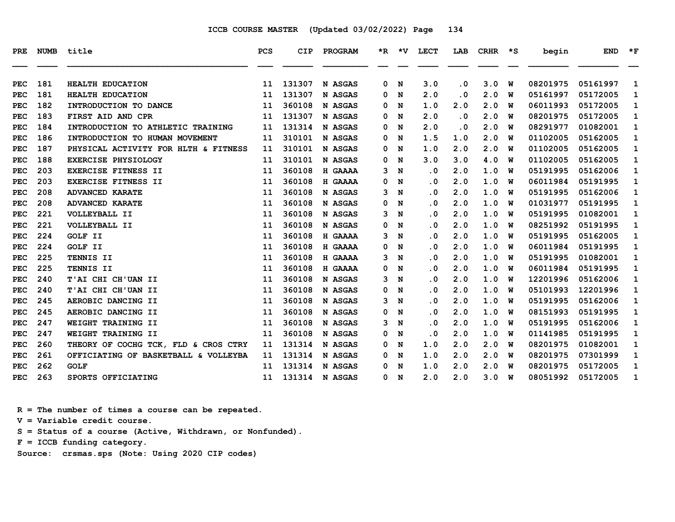| PRE         | <b>NUMB</b> | title                                | <b>PCS</b> | <b>CIP</b> | <b>PROGRAM</b> |   | $*R$ $*V$ | LECT                    | LAB                     | <b>CRHR</b> | ∗s | begin    | <b>END</b> | $*_{\mathbf{F}}$ |
|-------------|-------------|--------------------------------------|------------|------------|----------------|---|-----------|-------------------------|-------------------------|-------------|----|----------|------------|------------------|
| <b>PEC</b>  | 181         | <b>HEALTH EDUCATION</b>              | 11         | 131307     | N ASGAS        | 0 | N         | 3.0                     | . 0                     | 3.0         | W  | 08201975 | 05161997   | 1                |
| <b>PEC</b>  | 181         | <b>HEALTH EDUCATION</b>              | 11         | 131307     | N ASGAS        | 0 | N         | 2.0                     | . 0                     | 2.0         | w  | 05161997 | 05172005   | 1                |
| <b>PEC</b>  | 182         | INTRODUCTION TO DANCE                | 11         | 360108     | N ASGAS        | 0 | N         | 1.0                     | 2.0                     | 2.0         | W  | 06011993 | 05172005   | 1                |
| <b>PEC</b>  | 183         | FIRST AID AND CPR                    | 11         | 131307     | N ASGAS        | 0 | N         | 2.0                     | $\overline{\mathbf{0}}$ | 2.0         | W  | 08201975 | 05172005   | 1                |
| <b>PEC</b>  | 184         | INTRODUCTION TO ATHLETIC TRAINING    | 11         | 131314     | N ASGAS        | 0 | N         | 2.0                     | . 0                     | 2.0         | W  | 08291977 | 01082001   | 1                |
| <b>PEC</b>  | 186         | INTRODUCTION TO HUMAN MOVEMENT       | 11         | 310101     | N ASGAS        | 0 | N         | 1.5                     | 1.0                     | 2.0         | w  | 01102005 | 05162005   | 1                |
| <b>PEC</b>  | 187         | PHYSICAL ACTIVITY FOR HLTH & FITNESS | 11         | 310101     | N ASGAS        | 0 | N         | 1.0                     | 2.0                     | 2.0         | w  | 01102005 | 05162005   | 1                |
| <b>PEC</b>  | 188         | <b>EXERCISE PHYSIOLOGY</b>           | 11         | 310101     | N ASGAS        | 0 | N         | 3.0                     | 3.0                     | 4.0         | W  | 01102005 | 05162005   | 1                |
| <b>PEC</b>  | 203         | EXERCISE FITNESS II                  | 11         | 360108     | H GAAAA        | 3 | N         | . 0                     | 2.0                     | 1.0         | W  | 05191995 | 05162006   | 1                |
| <b>PEC</b>  | 203         | EXERCISE FITNESS II                  | 11         | 360108     | H GAAAA        | 0 | N         | . 0                     | 2.0                     | 1.0         | w  | 06011984 | 05191995   | 1                |
| <b>PEC</b>  | 208         | <b>ADVANCED KARATE</b>               | 11         | 360108     | N ASGAS        | 3 | N         | . 0                     | 2.0                     | 1.0         | w  | 05191995 | 05162006   | 1                |
| <b>PEC</b>  | 208         | <b>ADVANCED KARATE</b>               | 11         | 360108     | N ASGAS        | 0 | N         | . 0                     | 2.0                     | 1.0         | w  | 01031977 | 05191995   | 1                |
| ${\tt PEC}$ | 221         | VOLLEYBALL II                        | 11         | 360108     | N ASGAS        | 3 | N         | . 0                     | 2.0                     | 1.0         | W  | 05191995 | 01082001   | 1                |
| <b>PEC</b>  | 221         | VOLLEYBALL II                        | 11         | 360108     | N ASGAS        | 0 | N         | . 0                     | 2.0                     | 1.0         | พ  | 08251992 | 05191995   | 1                |
| <b>PEC</b>  | 224         | <b>GOLF II</b>                       | 11         | 360108     | H GAAAA        | 3 | N         | . 0                     | 2.0                     | 1.0         | W  | 05191995 | 05162005   | 1                |
| <b>PEC</b>  | 224         | GOLF II                              | 11         | 360108     | H GAAAA        | 0 | N         | . 0                     | 2.0                     | 1.0         | w  | 06011984 | 05191995   | 1                |
| PEC         | 225         | TENNIS II                            | 11         | 360108     | H GAAAA        | 3 | N         | . 0                     | 2.0                     | 1.0         | w  | 05191995 | 01082001   | 1                |
| <b>PEC</b>  | 225         | TENNIS II                            | 11         | 360108     | H GAAAA        | 0 | N         | . 0                     | 2.0                     | 1.0         | W  | 06011984 | 05191995   | 1                |
| <b>PEC</b>  | 240         | T'AI CHI CH'UAN II                   | 11         | 360108     | N ASGAS        | 3 | N         | . 0                     | 2.0                     | 1.0         | พ  | 12201996 | 05162006   | 1                |
| <b>PEC</b>  | 240         | T'AI CHI CH'UAN II                   | 11         | 360108     | N ASGAS        | 0 | N         | . 0                     | 2.0                     | 1.0         | w  | 05101993 | 12201996   | 1                |
| PEC         | 245         | AEROBIC DANCING II                   | 11         | 360108     | N ASGAS        | 3 | N         | . 0                     | 2.0                     | 1.0         | w  | 05191995 | 05162006   | 1                |
| <b>PEC</b>  | 245         | AEROBIC DANCING II                   | 11         | 360108     | N ASGAS        | 0 | N         | . 0                     | 2.0                     | 1.0         | W  | 08151993 | 05191995   | 1                |
| PEC         | 247         | WEIGHT TRAINING II                   | 11         | 360108     | N ASGAS        | 3 | N         | $\overline{\mathbf{0}}$ | 2.0                     | 1.0         | W  | 05191995 | 05162006   | 1                |
| <b>PEC</b>  | 247         | WEIGHT TRAINING II                   | 11         | 360108     | N ASGAS        | 0 | N         | . 0                     | 2.0                     | 1.0         | พ  | 01141985 | 05191995   | 1                |
| <b>PEC</b>  | 260         | THEORY OF COCHG TCK, FLD & CROS CTRY | 11         | 131314     | N ASGAS        | 0 | N         | 1.0                     | 2.0                     | 2.0         | W  | 08201975 | 01082001   | 1                |
| <b>PEC</b>  | 261         | OFFICIATING OF BASKETBALL & VOLLEYBA | 11         | 131314     | N ASGAS        | 0 | N         | 1.0                     | 2.0                     | 2.0         | w  | 08201975 | 07301999   | 1                |
| PEC         | 262         | <b>GOLF</b>                          | 11         | 131314     | N ASGAS        | 0 | N         | 1.0                     | 2.0                     | 2.0         | พ  | 08201975 | 05172005   | 1                |
| <b>PEC</b>  | 263         | SPORTS OFFICIATING                   | 11         | 131314     | N ASGAS        | 0 | N         | 2.0                     | 2.0                     | 3.0         | W  | 08051992 | 05172005   | 1                |

 **R = The number of times a course can be repeated.**

 **V = Variable credit course.**

 **S = Status of a course (Active, Withdrawn, or Nonfunded).**

 **F = ICCB funding category.**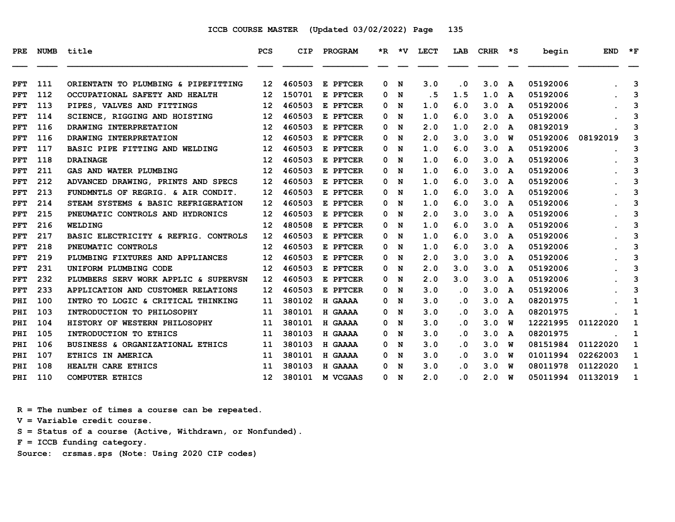| PRE | <b>NUMB</b> | title                                | <b>PCS</b>        | <b>CIP</b> | PROGRAM  |   |     | *R *V LECT | LAB                        | CRHR | $\star$ s | begin    | <b>END</b> | $*_{\mathbf{F}}$ |
|-----|-------------|--------------------------------------|-------------------|------------|----------|---|-----|------------|----------------------------|------|-----------|----------|------------|------------------|
| PFT | 111         | ORIENTATN TO PLUMBING & PIPEFITTING  | 12                | 460503     | E PFTCER | 0 | N   | 3.0        | $\cdot$ 0                  | 3.0  | A         | 05192006 |            | 3                |
| PFT | 112         | OCCUPATIONAL SAFETY AND HEALTH       | 12 <sup>2</sup>   | 150701     | E PFTCER | 0 | N   | . 5        | 1.5                        | 1.0  | A         | 05192006 |            | 3                |
| PFT | 113         | PIPES, VALVES AND FITTINGS           | 12                | 460503     | E PFTCER | 0 | N   | 1.0        | 6.0                        | 3.0  | A         | 05192006 |            | 3                |
| PFT | 114         | SCIENCE, RIGGING AND HOISTING        | 12                | 460503     | E PFTCER | 0 | N   | 1.0        | 6.0                        | 3.0  | A         | 05192006 |            | 3                |
| PFT | 116         | DRAWING INTERPRETATION               | $12 \overline{ }$ | 460503     | E PFTCER | 0 | N   | 2.0        | 1.0                        | 2.0  | A         | 08192019 |            | 3                |
| PFT | 116         | DRAWING INTERPRETATION               | 12                | 460503     | E PFTCER | 0 | N   | 2.0        | 3.0                        | 3.0  | W         | 05192006 | 08192019   | 3                |
| PFT | 117         | BASIC PIPE FITTING AND WELDING       | $12 \overline{ }$ | 460503     | E PFTCER |   | 0 N | 1.0        | 6.0                        | 3.0  | A         | 05192006 |            | 3                |
| PFT | 118         | <b>DRAINAGE</b>                      | $12 \overline{ }$ | 460503     | E PFTCER | 0 | N   | 1.0        | 6.0                        | 3.0  | A         | 05192006 |            | 3                |
| PFT | 211         | GAS AND WATER PLUMBING               | 12 <sup>2</sup>   | 460503     | E PFTCER | 0 | N   | 1.0        | 6.0                        | 3.0  | A         | 05192006 |            | 3                |
| PFT | 212         | ADVANCED DRAWING, PRINTS AND SPECS   | 12 <sup>2</sup>   | 460503     | E PFTCER | 0 | N   | 1.0        | 6.0                        | 3.0  | A         | 05192006 |            | 3                |
| PFT | 213         | FUNDMNTLS OF REGRIG. & AIR CONDIT.   | $12 \overline{ }$ | 460503     | E PFTCER | 0 | N   | 1.0        | 6.0                        | 3.0  | A         | 05192006 |            | 3                |
| PFT | 214         | STEAM SYSTEMS & BASIC REFRIGERATION  | 12 <sup>2</sup>   | 460503     | E PFTCER |   | 0 N | 1.0        | 6.0                        | 3.0  | A         | 05192006 |            | 3                |
| PFT | 215         | PNEUMATIC CONTROLS AND HYDRONICS     | 12                | 460503     | E PFTCER | 0 | N   | 2.0        | 3.0                        | 3.0  | A         | 05192006 |            | 3                |
| PFT | 216         | <b>WELDING</b>                       | $12 \overline{ }$ | 480508     | E PFTCER | 0 | N   | 1.0        | 6.0                        | 3.0  | A         | 05192006 |            | 3                |
| PFT | 217         | BASIC ELECTRICITY & REFRIG. CONTROLS | 12 <sub>1</sub>   | 460503     | E PFTCER | 0 | N   | 1.0        | 6.0                        | 3.0  | A         | 05192006 |            | 3                |
| PFT | 218         | PNEUMATIC CONTROLS                   | $12 \overline{ }$ | 460503     | E PFTCER | 0 | N   | 1.0        | 6.0                        | 3.0  | A         | 05192006 |            | 3                |
| PFT | 219         | PLUMBING FIXTURES AND APPLIANCES     | $12 \overline{ }$ | 460503     | E PFTCER |   | 0 N | 2.0        | 3.0                        | 3.0  | A         | 05192006 |            | 3                |
| PFT | 231         | UNIFORM PLUMBING CODE                | 12                | 460503     | E PFTCER | 0 | N   | 2.0        | 3.0                        | 3.0  | A         | 05192006 |            | 3                |
| PFT | 232         | PLUMBERS SERV WORK APPLIC & SUPERVSN | 12 <sup>2</sup>   | 460503     | E PFTCER | 0 | N   | 2.0        | 3.0                        | 3.0  | A         | 05192006 |            | 3                |
| PFT | 233         | APPLICATION AND CUSTOMER RELATIONS   | 12                | 460503     | E PFTCER |   | 0 N | 3.0        | $\cdot$ 0                  | 3.0  | A         | 05192006 |            | 3                |
| PHI | 100         | INTRO TO LOGIC & CRITICAL THINKING   | 11                | 380102     | H GAAAA  | 0 | N   | 3.0        | $\cdot$ 0                  | 3.0  | A         | 08201975 |            | 1                |
| PHI | 103         | INTRODUCTION TO PHILOSOPHY           | 11                | 380101     | H GAAAA  | 0 | N   | 3.0        | $\cdot$ 0                  | 3.0  | A         | 08201975 |            | 1                |
| PHI | 104         | HISTORY OF WESTERN PHILOSOPHY        | 11                | 380101     | H GAAAA  | 0 | N   | 3.0        | $\cdot$ 0                  | 3.0  | w         | 12221995 | 01122020   | 1                |
| PHI | 105         | INTRODUCTION TO ETHICS               | 11                | 380103     | H GAAAA  | 0 | N   | 3.0        | . 0                        | 3.0  | A         | 08201975 |            | 1                |
| PHI | 106         | BUSINESS & ORGANIZATIONAL ETHICS     | 11                | 380103     | H GAAAA  | 0 | N   | 3.0        | $\cdot$ 0                  | 3.0  | พ         | 08151984 | 01122020   | 1                |
| PHI | 107         | ETHICS IN AMERICA                    | 11                | 380101     | H GAAAA  | 0 | N   | 3.0        | $\cdot$ 0                  | 3.0  | W         | 01011994 | 02262003   | 1                |
| PHI | 108         | HEALTH CARE ETHICS                   | 11                | 380103     | H GAAAA  | 0 | N   | 3.0        | $\cdot$ 0                  | 3.0  | w         | 08011978 | 01122020   | $\mathbf{1}$     |
| PHI | 110         | <b>COMPUTER ETHICS</b>               | 12 <sup>2</sup>   | 380101     | M VCGAAS |   | 0 N | 2.0        | $\overline{\phantom{0}}$ . | 2.0  | <b>W</b>  | 05011994 | 01132019   | 1                |

 **R = The number of times a course can be repeated.**

 **V = Variable credit course.**

 **S = Status of a course (Active, Withdrawn, or Nonfunded).**

 **F = ICCB funding category.**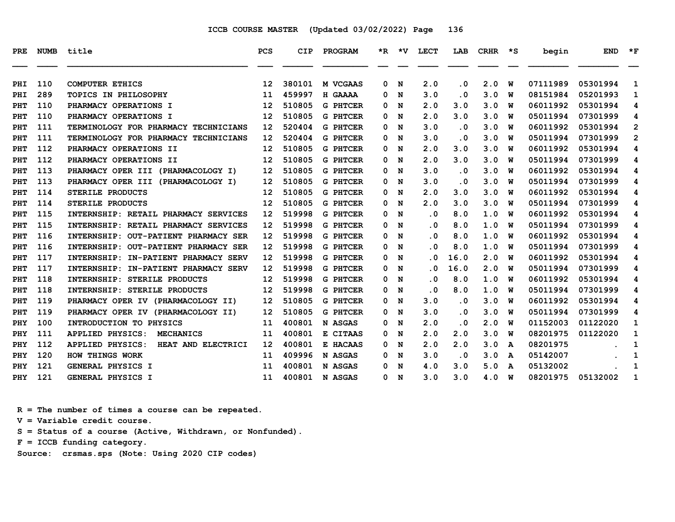| PRE | <b>NUMB</b> | title                                         | PCS               | <b>CIP</b> | PROGRAM         |   | *R *V | <b>LECT</b> | LAB       | CRHR | $\star$ s | begin    | <b>END</b> | $\star$ F      |
|-----|-------------|-----------------------------------------------|-------------------|------------|-----------------|---|-------|-------------|-----------|------|-----------|----------|------------|----------------|
| PHI | 110         | <b>COMPUTER ETHICS</b>                        | 12                | 380101     | M VCGAAS        | 0 | N     | 2.0         | $\cdot$ 0 | 2.0  | W         | 07111989 | 05301994   | 1              |
| PHI | 289         | <b>TOPICS IN PHILOSOPHY</b>                   | 11                | 459997     | H GAAAA         | 0 | N     | 3.0         | $\cdot$ 0 | 3.0  | W         | 08151984 | 05201993   | 1              |
| PHT | 110         | PHARMACY OPERATIONS I                         | 12                | 510805     | <b>G PHTCER</b> | 0 | N     | 2.0         | 3.0       | 3.0  | W         | 06011992 | 05301994   | 4              |
| PHT | 110         | PHARMACY OPERATIONS I                         | $12 \overline{ }$ | 510805     | <b>G PHTCER</b> | 0 | N     | 2.0         | 3.0       | 3.0  | W         | 05011994 | 07301999   | 4              |
| PHT | 111         | TERMINOLOGY FOR PHARMACY TECHNICIANS          | $12 \overline{ }$ | 520404     | <b>G PHTCER</b> | 0 | N     | 3.0         | $\cdot$ 0 | 3.0  | W         | 06011992 | 05301994   | $\mathbf{2}$   |
| PHT | 111         | TERMINOLOGY FOR PHARMACY TECHNICIANS          | 12                | 520404     | <b>G PHTCER</b> | 0 | N     | 3.0         | $\cdot$ 0 | 3.0  | W         | 05011994 | 07301999   | $\overline{2}$ |
| PHT | 112         | PHARMACY OPERATIONS II                        | $12 \overline{ }$ | 510805     | <b>G PHTCER</b> | 0 | N     | 2.0         | 3.0       | 3.0  | W         | 06011992 | 05301994   | 4              |
| PHT | 112         | PHARMACY OPERATIONS II                        | $12 \overline{ }$ | 510805     | <b>G PHTCER</b> | 0 | N     | 2.0         | 3.0       | 3.0  | W         | 05011994 | 07301999   | 4              |
| PHT | 113         | PHARMACY OPER III (PHARMACOLOGY I)            | $12 \overline{ }$ | 510805     | <b>G PHTCER</b> | 0 | N     | 3.0         | $\cdot$ 0 | 3.0  | W         | 06011992 | 05301994   | 4              |
| PHT | 113         | PHARMACY OPER III (PHARMACOLOGY I)            | $12 \overline{ }$ | 510805     | <b>G PHTCER</b> | 0 | N     | 3.0         | $\cdot$ 0 | 3.0  | W         | 05011994 | 07301999   | 4              |
| PHT | 114         | STERILE PRODUCTS                              | $12 \overline{ }$ | 510805     | <b>G PHTCER</b> | 0 | N     | 2.0         | 3.0       | 3.0  | W         | 06011992 | 05301994   | 4              |
| PHT | 114         | STERILE PRODUCTS                              | $12 \overline{ }$ | 510805     | <b>G PHTCER</b> | 0 | N     | 2.0         | 3.0       | 3.0  | W         | 05011994 | 07301999   | 4              |
| PHT | 115         | INTERNSHIP: RETAIL PHARMACY SERVICES          | $12 \overline{ }$ | 519998     | <b>G PHTCER</b> | 0 | N     | $\cdot$ 0   | 8.0       | 1.0  | W         | 06011992 | 05301994   | 4              |
| PHT | 115         | INTERNSHIP: RETAIL PHARMACY SERVICES          | 12                | 519998     | <b>G PHTCER</b> | 0 | N     | $\cdot$ 0   | 8.0       | 1.0  | W         | 05011994 | 07301999   | 4              |
| PHT | 116         | INTERNSHIP: OUT-PATIENT PHARMACY SER          | 12                | 519998     | <b>G PHTCER</b> | 0 | N     | $\cdot$ 0   | 8.0       | 1.0  | W         | 06011992 | 05301994   | 4              |
| PHT | 116         | INTERNSHIP: OUT-PATIENT PHARMACY SER          | 12                | 519998     | <b>G PHTCER</b> | 0 | N     | . 0         | 8.0       | 1.0  | W         | 05011994 | 07301999   | 4              |
| PHT | 117         | INTERNSHIP:<br>IN-PATIENT PHARMACY SERV       | $12 \overline{ }$ | 519998     | <b>G PHTCER</b> | 0 | N     | . 0         | 16.0      | 2.0  | W         | 06011992 | 05301994   | 4              |
| PHT | 117         | INTERNSHIP: IN-PATIENT PHARMACY SERV          | 12                | 519998     | <b>G PHTCER</b> | 0 | N     | . 0         | 16.0      | 2.0  | W         | 05011994 | 07301999   | 4              |
| PHT | 118         | INTERNSHIP: STERILE PRODUCTS                  | $12 \overline{ }$ | 519998     | <b>G PHTCER</b> | 0 | N     | $\cdot$ 0   | 8.0       | 1.0  | W         | 06011992 | 05301994   | 4              |
| PHT | 118         | INTERNSHIP: STERILE PRODUCTS                  | 12                | 519998     | <b>G PHTCER</b> | 0 | N     | . 0         | 8.0       | 1.0  | W         | 05011994 | 07301999   | 4              |
| PHT | 119         | PHARMACY OPER IV (PHARMACOLOGY II)            | 12                | 510805     | <b>G PHTCER</b> | 0 | N     | 3.0         | $\cdot$ 0 | 3.0  | W         | 06011992 | 05301994   | 4              |
| PHT | 119         | PHARMACY OPER IV (PHARMACOLOGY II)            | $12 \overline{ }$ | 510805     | <b>G PHTCER</b> | 0 | N     | 3.0         | $\cdot$ 0 | 3.0  | W         | 05011994 | 07301999   | 4              |
| PHY | 100         | INTRODUCTION TO PHYSICS                       | 11                | 400801     | N ASGAS         | 0 | N     | 2.0         | $\cdot$ 0 | 2.0  | W         | 01152003 | 01122020   | 1              |
| PHY | 111         | <b>APPLIED PHYSICS:</b><br><b>MECHANICS</b>   | 11                | 400801     | E CITAAS        | 0 | N     | 2.0         | 2.0       | 3.0  | W         | 08201975 | 01122020   | 1              |
| PHY | 112         | <b>APPLIED PHYSICS:</b><br>HEAT AND ELECTRICI | $12 \overline{ }$ | 400801     | E HACAAS        | 0 | N     | 2.0         | 2.0       | 3.0  | A         | 08201975 |            | 1              |
| PHY | 120         | HOW THINGS WORK                               | 11                | 409996     | N ASGAS         | 0 | N     | 3.0         | $\cdot$ 0 | 3.0  | A         | 05142007 |            | 1              |
| PHY | 121         | GENERAL PHYSICS I                             | 11                | 400801     | N ASGAS         | 0 | N     | 4.0         | 3.0       | 5.0  | A         | 05132002 |            | 1              |
| PHY | 121         | <b>GENERAL PHYSICS I</b>                      | 11                | 400801     | N ASGAS         | 0 | N     | 3.0         | 3.0       | 4.0  | W         | 08201975 | 05132002   | 1              |

 **R = The number of times a course can be repeated.**

 **V = Variable credit course.**

 **S = Status of a course (Active, Withdrawn, or Nonfunded).**

 **F = ICCB funding category.**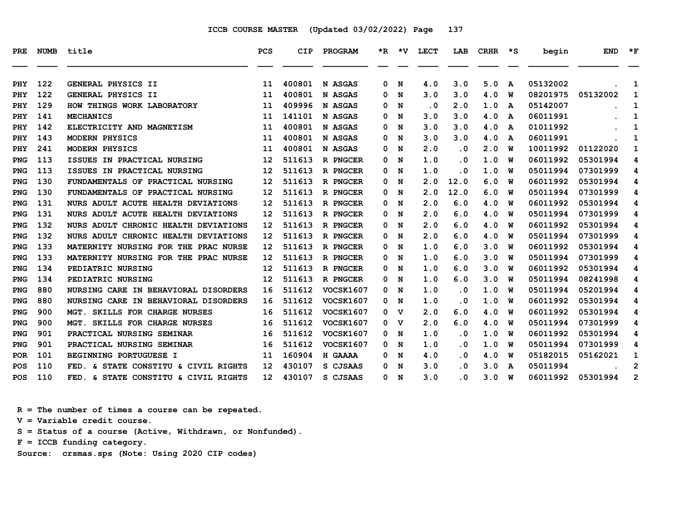| <b>PRE</b> | NUMB | title                                            | <b>PCS</b>      | CIP    | PROGRAM                   | *R.    | ∗v     | <b>LECT</b> | LAB        | <b>CRHR</b> | *S           | begin    | <b>END</b> | $*_{\mathbf{F}}$ |
|------------|------|--------------------------------------------------|-----------------|--------|---------------------------|--------|--------|-------------|------------|-------------|--------------|----------|------------|------------------|
|            | 122  |                                                  |                 | 400801 | N ASGAS                   |        |        | 4.0         |            |             |              | 05132002 |            |                  |
| <b>PHY</b> | 122  | GENERAL PHYSICS II                               | 11              | 400801 |                           | 0      | N      | 3.0         | 3.0        | 5.0<br>4.0  | A            | 08201975 |            | 1                |
| PHY        | 129  | GENERAL PHYSICS II<br>HOW THINGS WORK LABORATORY | 11              | 409996 | N ASGAS                   | 0      | N      | $\cdot$ 0   | 3.0        | 1.0         | W            | 05142007 | 05132002   | 1                |
| PHY<br>PHY | 141  | <b>MECHANICS</b>                                 | 11<br>11        | 141101 | <b>N ASGAS</b><br>N ASGAS | 0<br>0 | N<br>N | 3.0         | 2.0<br>3.0 | 4.0         | A            | 06011991 |            | 1<br>1           |
| PHY        | 142  | ELECTRICITY AND MAGNETISM                        | 11              | 400801 | N ASGAS                   | 0      | N      | 3.0         | 3.0        | 4.0         | A<br>A       | 01011992 |            | 1                |
| <b>PHY</b> | 143  | MODERN PHYSICS                                   | 11              | 400801 | N ASGAS                   | 0      | N      | 3.0         | 3.0        | 4.0         | $\mathbf{A}$ | 06011991 |            | 1                |
| PHY        | 241  | MODERN PHYSICS                                   | 11              | 400801 | N ASGAS                   | 0      | N      | 2.0         | . 0        | 2.0         | W            | 10011992 | 01122020   | 1                |
| <b>PNG</b> | 113  | ISSUES IN PRACTICAL NURSING                      | 12              | 511613 | R PNGCER                  | 0      | N      | 1.0         | . 0        | 1.0         | W            | 06011992 | 05301994   | 4                |
| <b>PNG</b> | 113  | ISSUES IN PRACTICAL NURSING                      | 12              | 511613 | R PNGCER                  | 0      | N      | 1.0         | . 0        | 1.0         | W            | 05011994 | 07301999   | 4                |
| <b>PNG</b> | 130  | FUNDAMENTALS OF PRACTICAL NURSING                | 12              | 511613 | R PNGCER                  | 0      | N      | 2.0         | 12.0       | 6.0         | W            | 06011992 | 05301994   | 4                |
| <b>PNG</b> | 130  | FUNDAMENTALS OF PRACTICAL NURSING                | 12              | 511613 | R PNGCER                  | 0      | N      | 2.0         | 12.0       | 6.0         | W            | 05011994 | 07301999   | 4                |
| <b>PNG</b> | 131  | NURS ADULT ACUTE HEALTH DEVIATIONS               | 12              | 511613 | R PNGCER                  | 0      | N      | 2.0         | 6.0        | 4.0         | W            | 06011992 | 05301994   | 4                |
| <b>PNG</b> | 131  | NURS ADULT ACUTE HEALTH DEVIATIONS               | 12              | 511613 | R PNGCER                  | 0      | N      | 2.0         | 6.0        | 4.0         | W            | 05011994 | 07301999   | 4                |
| <b>PNG</b> | 132  | NURS ADULT CHRONIC HEALTH DEVIATIONS             | 12              | 511613 | R PNGCER                  | 0      | N      | 2.0         | 6.0        | 4.0         | W            | 06011992 | 05301994   | 4                |
| <b>PNG</b> | 132  | NURS ADULT CHRONIC HEALTH DEVIATIONS             | 12              | 511613 | R PNGCER                  | 0      | N      | 2.0         | 6.0        | 4.0         | W            | 05011994 | 07301999   | 4                |
| <b>PNG</b> | 133  | MATERNITY NURSING FOR THE PRAC NURSE             | 12              | 511613 | R PNGCER                  | 0      | N      | 1.0         | 6.0        | 3.0         | W            | 06011992 | 05301994   | 4                |
| <b>PNG</b> | 133  | MATERNITY NURSING FOR THE PRAC NURSE             | 12              | 511613 | R PNGCER                  | 0      | N      | 1.0         | 6.0        | 3.0         | W            | 05011994 | 07301999   | 4                |
| <b>PNG</b> | 134  | PEDIATRIC NURSING                                | 12              | 511613 | R PNGCER                  | 0      | N      | 1.0         | 6.0        | 3.0         | W            | 06011992 | 05301994   | 4                |
| <b>PNG</b> | 134  | PEDIATRIC NURSING                                | 12              | 511613 | R PNGCER                  | 0      | N      | 1.0         | 6.0        | 3.0         | W            | 05011994 | 08241998   | 4                |
| <b>PNG</b> | 880  | NURSING CARE IN BEHAVIORAL DISORDERS             | 16              | 511612 | <b>VOCSK1607</b>          | 0      | N      | 1.0         | . 0        | 1.0         | W            | 05011994 | 05201994   | 4                |
| <b>PNG</b> | 880  | NURSING CARE IN BEHAVIORAL DISORDERS             | 16              | 511612 | <b>VOCSK1607</b>          | 0      | N      | 1.0         | . 0        | 1.0         | W            | 06011992 | 05301994   | 4                |
| <b>PNG</b> | 900  | MGT. SKILLS FOR CHARGE NURSES                    | 16              | 511612 | <b>VOCSK1607</b>          | 0      | v      | 2.0         | 6.0        | 4.0         | W            | 06011992 | 05301994   | 4                |
| <b>PNG</b> | 900  | MGT. SKILLS FOR CHARGE NURSES                    | 16              | 511612 | <b>VOCSK1607</b>          | 0      | v      | 2.0         | 6.0        | 4.0         | W            | 05011994 | 07301999   | 4                |
| <b>PNG</b> | 901  | PRACTICAL NURSING SEMINAR                        | 16              | 511612 | <b>VOCSK1607</b>          | 0      | N      | 1.0         | . 0        | 1.0         | W            | 06011992 | 05301994   | 4                |
| <b>PNG</b> | 901  | PRACTICAL NURSING SEMINAR                        | 16              | 511612 | <b>VOCSK1607</b>          | 0      | N      | 1.0         | . 0        | 1.0         | W            | 05011994 | 07301999   | 4                |
| <b>POR</b> | 101  | BEGINNING PORTUGUESE I                           | 11              | 160904 | H GAAAA                   | 0      | N      | 4.0         | . 0        | 4.0         | W            | 05182015 | 05162021   | 1                |
| <b>POS</b> | 110  | FED. & STATE CONSTITU & CIVIL RIGHTS             | 12              | 430107 | S CJSAAS                  | 0      | N      | 3.0         | . 0        | 3.0         | A            | 05011994 |            | $\mathbf{2}$     |
| <b>POS</b> | 110  | FED. & STATE CONSTITU & CIVIL RIGHTS             | 12 <sup>2</sup> | 430107 | S CJSAAS                  | 0      | N      | 3.0         | . 0        | 3.0         | W            | 06011992 | 05301994   | $\overline{2}$   |

 **R = The number of times a course can be repeated.**

 **V = Variable credit course.**

 **S = Status of a course (Active, Withdrawn, or Nonfunded).**

 **F = ICCB funding category.**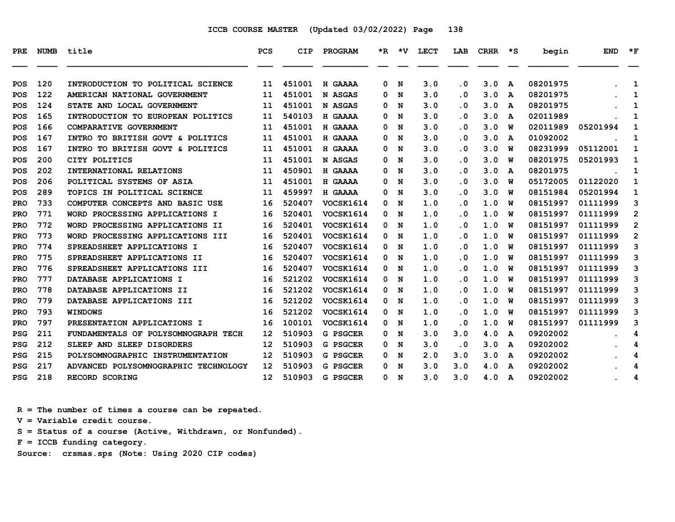| <b>PRE</b> | NUMB | title                                | <b>PCS</b>        | CIP    | PROGRAM          |   | $*R$ $*V$ | LECT | LAB                     | <b>CRHR</b> | יי≭ | begin    | <b>END</b> | $*_{\mathbf{F}}$ |
|------------|------|--------------------------------------|-------------------|--------|------------------|---|-----------|------|-------------------------|-------------|-----|----------|------------|------------------|
| POS        | 120  | INTRODUCTION TO POLITICAL SCIENCE    | 11                | 451001 | H GAAAA          | 0 | N         | 3.0  | $\cdot$ 0               | 3.0         | A   | 08201975 |            | 1                |
| <b>POS</b> | 122  | AMERICAN NATIONAL GOVERNMENT         | 11                | 451001 | N ASGAS          | 0 | N         | 3.0  | $\cdot$ 0               | 3.0         | A   | 08201975 |            | 1                |
| <b>POS</b> | 124  | STATE AND LOCAL GOVERNMENT           | 11                | 451001 | N ASGAS          | 0 | N         | 3.0  | . 0                     | 3.0         | A   | 08201975 |            | 1                |
| POS        | 165  | INTRODUCTION TO EUROPEAN POLITICS    | 11                | 540103 | H GAAAA          | 0 | N         | 3.0  | $\cdot$ 0               | 3.0         | A   | 02011989 |            | 1                |
| POS        | 166  | COMPARATIVE GOVERNMENT               | 11                | 451001 | H GAAAA          | 0 | N         | 3.0  | . 0                     | 3.0         | W   | 02011989 | 05201994   | 1                |
| <b>POS</b> | 167  | INTRO TO BRITISH GOVT & POLITICS     | 11                | 451001 | H GAAAA          | 0 | N         | 3.0  | $\cdot$ 0               | 3.0         | A   | 01092002 |            | 1                |
| <b>POS</b> | 167  | INTRO TO BRITISH GOVT & POLITICS     | 11                | 451001 | H GAAAA          | 0 | N         | 3.0  | $\cdot$ 0               | 3.0         | W   | 08231999 | 05112001   | 1                |
| POS        | 200  | CITY POLITICS                        | 11                | 451001 | N ASGAS          | 0 | N         | 3.0  | . 0                     | 3.0         | W   | 08201975 | 05201993   | 1                |
| POS        | 202  | INTERNATIONAL RELATIONS              | 11                | 450901 | H GAAAA          | 0 | N         | 3.0  | $\cdot$ 0               | 3.0         | A   | 08201975 |            | 1                |
| <b>POS</b> | 206  | <b>POLITICAL SYSTEMS OF ASIA</b>     | 11                | 451001 | H GAAAA          | 0 | N         | 3.0  | . 0                     | 3.0         | W   | 05172005 | 01122020   | 1                |
| <b>POS</b> | 289  | TOPICS IN POLITICAL SCIENCE          | 11                | 459997 | H GAAAA          | 0 | N         | 3.0  | $\cdot$ 0               | 3.0         | W   | 08151984 | 05201994   | 1                |
| <b>PRO</b> | 733  | COMPUTER CONCEPTS AND BASIC USE      | 16                | 520407 | VOCSK1614        | 0 | N         | 1.0  | . 0                     | 1.0         | W   | 08151997 | 01111999   | 3                |
| <b>PRO</b> | 771  | WORD PROCESSING APPLICATIONS I       | 16                | 520401 | VOCSK1614        | 0 | N         | 1.0  | $\cdot$ 0               | 1.0         | W   | 08151997 | 01111999   | $\overline{2}$   |
| <b>PRO</b> | 772  | WORD PROCESSING APPLICATIONS II      | 16                | 520401 | <b>VOCSK1614</b> | 0 | N         | 1.0  | . 0                     | 1.0         | W   | 08151997 | 01111999   | $\mathbf{2}$     |
| <b>PRO</b> | 773  | WORD PROCESSING APPLICATIONS III     | 16                | 520401 | VOCSK1614        | 0 | N         | 1.0  | $\cdot$ 0               | 1.0         | W   | 08151997 | 01111999   | $\mathbf{2}$     |
| <b>PRO</b> | 774  | SPREADSHEET APPLICATIONS I           | 16                | 520407 | VOCSK1614        | 0 | N         | 1.0  | $\cdot$ 0               | 1.0         | w   | 08151997 | 01111999   | 3                |
| <b>PRO</b> | 775  | <b>SPREADSHEET APPLICATIONS II</b>   | 16                | 520407 | VOCSK1614        | 0 | N         | 1.0  | $\cdot$ 0               | 1.0         | W   | 08151997 | 01111999   | 3                |
| <b>PRO</b> | 776  | SPREADSHEET APPLICATIONS III         | 16                | 520407 | VOCSK1614        | 0 | N         | 1.0  | $\cdot$ 0               | 1.0         | W   | 08151997 | 01111999   | 3                |
| <b>PRO</b> | 777  | DATABASE APPLICATIONS I              | 16                | 521202 | VOCSK1614        | 0 | N         | 1.0  | $\overline{\mathbf{0}}$ | 1.0         | W   | 08151997 | 01111999   | 3                |
| PRO        | 778  | DATABASE APPLICATIONS II             | 16                | 521202 | VOCSK1614        | 0 | N         | 1.0  | $\cdot$ 0               | 1.0         | W   | 08151997 | 01111999   | 3                |
| <b>PRO</b> | 779  | DATABASE APPLICATIONS III            | 16                | 521202 | VOCSK1614        | 0 | N         | 1.0  | $\cdot$ 0               | 1.0         | W   | 08151997 | 01111999   | 3                |
| <b>PRO</b> | 793  | <b>WINDOWS</b>                       | 16                | 521202 | VOCSK1614        | 0 | N         | 1.0  | $\cdot$ 0               | 1.0         | W   | 08151997 | 01111999   | 3                |
| <b>PRO</b> | 797  | PRESENTATION APPLICATIONS I          | 16                | 100101 | VOCSK1614        | 0 | N         | 1.0  | .0                      | 1.0         | W   | 08151997 | 01111999   | 3                |
| <b>PSG</b> | 211  | FUNDAMENTALS OF POLYSOMNOGRAPH TECH  | 12                | 510903 | G PSGCER         | 0 | N         | 3.0  | 3.0                     | 4.0         | A   | 09202002 |            | 4                |
| <b>PSG</b> | 212  | SLEEP AND SLEEP DISORDERS            | 12                | 510903 | G PSGCER         | 0 | N         | 3.0  | $\cdot$ 0               | 3.0         | A   | 09202002 |            | 4                |
| <b>PSG</b> | 215  | POLYSOMNOGRAPHIC INSTRUMENTATION     | 12                | 510903 | G PSGCER         | 0 | N         | 2.0  | 3.0                     | 3.0         | A   | 09202002 |            | 4                |
| <b>PSG</b> | 217  | ADVANCED POLYSOMNOGRAPHIC TECHNOLOGY | 12                | 510903 | G PSGCER         | 0 | N         | 3.0  | 3.0                     | 4.0         | A   | 09202002 |            | 4                |
| <b>PSG</b> | 218  | RECORD SCORING                       | $12 \overline{ }$ | 510903 | G PSGCER         | 0 | N         | 3.0  | 3.0                     | 4.0 A       |     | 09202002 |            | 4                |

 **R = The number of times a course can be repeated.**

 **V = Variable credit course.**

 **S = Status of a course (Active, Withdrawn, or Nonfunded).**

 **F = ICCB funding category.**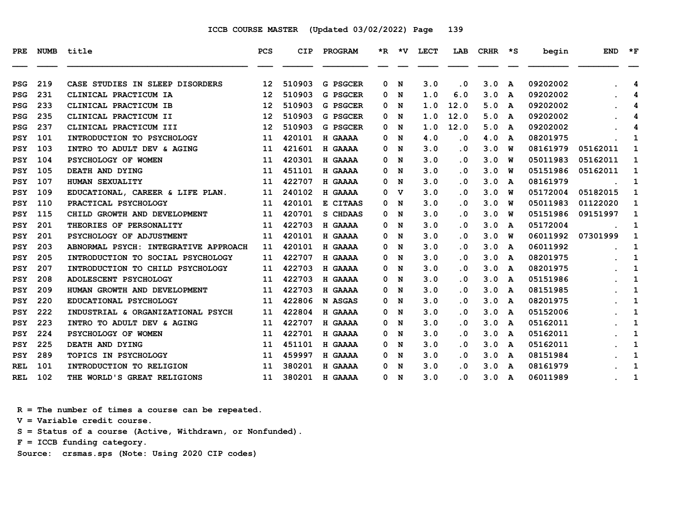| PRE        | <b>NUMB</b> | title                                | PCS | CIP    | <b>PROGRAM</b> |   | *R *V | LECT | LAB       | CRHR | ∗s | begin    | <b>END</b> | $*_{\mathbf{F}}$ |
|------------|-------------|--------------------------------------|-----|--------|----------------|---|-------|------|-----------|------|----|----------|------------|------------------|
| <b>PSG</b> | 219         | CASE STUDIES IN SLEEP DISORDERS      | 12  | 510903 | G PSGCER       | 0 | N     | 3.0  | $\cdot$ 0 | 3.0  | A  | 09202002 |            | 4                |
| <b>PSG</b> | 231         | CLINICAL PRACTICUM IA                | 12  | 510903 | G PSGCER       | 0 | N     | 1.0  | 6.0       | 3.0  | A  | 09202002 |            | 4                |
| <b>PSG</b> | 233         | CLINICAL PRACTICUM IB                | 12  | 510903 | G PSGCER       | 0 | N     | 1.0  | 12.0      | 5.0  | A  | 09202002 |            | 4                |
| <b>PSG</b> | 235         | CLINICAL PRACTICUM II                | 12  | 510903 | G PSGCER       | 0 | N     | 1.0  | 12.0      | 5.0  | A  | 09202002 |            | 4                |
| <b>PSG</b> | 237         | CLINICAL PRACTICUM III               | 12  | 510903 | G PSGCER       | 0 | N     | 1.0  | 12.0      | 5.0  | A  | 09202002 |            | 4                |
| PSY        | 101         | INTRODUCTION TO PSYCHOLOGY           | 11  | 420101 | H GAAAA        | 0 | N     | 4.0  | $\cdot$ 0 | 4.0  | A  | 08201975 |            | 1                |
| <b>PSY</b> | 103         | INTRO TO ADULT DEV & AGING           | 11  | 421601 | H GAAAA        | 0 | N     | 3.0  | $\cdot$ 0 | 3.0  | พ  | 08161979 | 05162011   | 1                |
| <b>PSY</b> | 104         | PSYCHOLOGY OF WOMEN                  | 11  | 420301 | H GAAAA        | 0 | N     | 3.0  | $\cdot$ 0 | 3.0  | W  | 05011983 | 05162011   | 1                |
| <b>PSY</b> | 105         | DEATH AND DYING                      | 11  | 451101 | H GAAAA        | 0 | N     | 3.0  | . 0       | 3.0  | พ  | 05151986 | 05162011   | 1                |
| <b>PSY</b> | 107         | HUMAN SEXUALITY                      | 11  | 422707 | H GAAAA        | 0 | N     | 3.0  | . 0       | 3.0  | A  | 08161979 |            | 1                |
| <b>PSY</b> | 109         | EDUCATIONAL, CAREER & LIFE PLAN.     | 11  | 240102 | H GAAAA        | 0 | v     | 3.0  | $\cdot$ 0 | 3.0  | w  | 05172004 | 05182015   | 1                |
| PSY        | 110         | PRACTICAL PSYCHOLOGY                 | 11  | 420101 | E CITAAS       | 0 | N     | 3.0  | $\cdot$ 0 | 3.0  | W  | 05011983 | 01122020   | 1                |
| <b>PSY</b> | 115         | CHILD GROWTH AND DEVELOPMENT         | 11  | 420701 | S CHDAAS       | 0 | N     | 3.0  | $\cdot$ 0 | 3.0  | W  | 05151986 | 09151997   | 1                |
| <b>PSY</b> | 201         | THEORIES OF PERSONALITY              | 11  | 422703 | H GAAAA        | 0 | N     | 3.0  | . 0       | 3.0  | A  | 05172004 |            | 1                |
| <b>PSY</b> | 201         | PSYCHOLOGY OF ADJUSTMENT             | 11  | 420101 | H GAAAA        | 0 | N     | 3.0  | $\cdot$ 0 | 3.0  | พ  | 06011992 | 07301999   | 1                |
| PSY        | 203         | ABNORMAL PSYCH: INTEGRATIVE APPROACH | 11  | 420101 | H GAAAA        | 0 | N     | 3.0  | .0        | 3.0  | A  | 06011992 |            | 1                |
| PSY        | 205         | INTRODUCTION TO SOCIAL PSYCHOLOGY    | 11  | 422707 | H GAAAA        | 0 | N     | 3.0  | . 0       | 3.0  | A  | 08201975 |            | 1                |
| <b>PSY</b> | 207         | INTRODUCTION TO CHILD PSYCHOLOGY     | 11  | 422703 | H GAAAA        | 0 | N     | 3.0  | $\cdot$ 0 | 3.0  | A  | 08201975 |            | 1                |
| <b>PSY</b> | 208         | ADOLESCENT PSYCHOLOGY                | 11  | 422703 | H GAAAA        | 0 | N     | 3.0  | . 0       | 3.0  | A  | 05151986 |            | 1                |
| <b>PSY</b> | 209         | HUMAN GROWTH AND DEVELOPMENT         | 11  | 422703 | H GAAAA        | 0 | N     | 3.0  | $\cdot$ 0 | 3.0  | A  | 08151985 |            | 1                |
| <b>PSY</b> | 220         | EDUCATIONAL PSYCHOLOGY               | 11  | 422806 | N ASGAS        | 0 | N     | 3.0  | $\cdot$ 0 | 3.0  | A  | 08201975 |            | 1                |
| <b>PSY</b> | 222         | INDUSTRIAL & ORGANIZATIONAL PSYCH    | 11  | 422804 | H GAAAA        | 0 | N     | 3.0  | $\cdot$ 0 | 3.0  | A  | 05152006 |            | 1                |
| <b>PSY</b> | 223         | INTRO TO ADULT DEV & AGING           | 11  | 422707 | H GAAAA        | 0 | N     | 3.0  | $\cdot$ 0 | 3.0  | A  | 05162011 |            | 1                |
| <b>PSY</b> | 224         | PSYCHOLOGY OF WOMEN                  | 11  | 422701 | H GAAAA        | 0 | N     | 3.0  | . 0       | 3.0  | A  | 05162011 |            | 1                |
| <b>PSY</b> | 225         | DEATH AND DYING                      | 11  | 451101 | H GAAAA        | 0 | N     | 3.0  | . 0       | 3.0  | A  | 05162011 |            | 1                |
| <b>PSY</b> | 289         | <b>TOPICS IN PSYCHOLOGY</b>          | 11  | 459997 | H GAAAA        | 0 | N     | 3.0  | . 0       | 3.0  | A  | 08151984 |            | 1                |
| <b>REL</b> | 101         | INTRODUCTION TO RELIGION             | 11  | 380201 | H GAAAA        | 0 | N     | 3.0  | . 0       | 3.0  | A  | 08161979 |            | 1                |
| <b>REL</b> | 102         | THE WORLD'S GREAT RELIGIONS          | 11  | 380201 | H GAAAA        | 0 | N     | 3.0  | $\cdot$ 0 | 3.0  | A  | 06011989 |            | 1                |

 **R = The number of times a course can be repeated.**

 **V = Variable credit course.**

 **S = Status of a course (Active, Withdrawn, or Nonfunded).**

 **F = ICCB funding category.**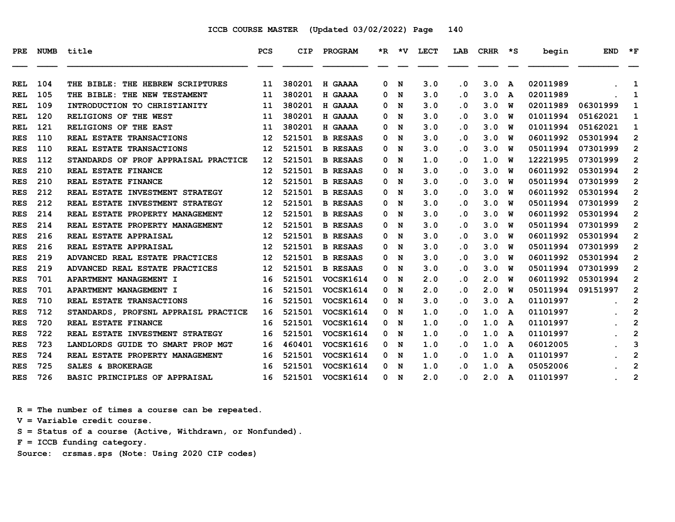| PRE        |     | NUMB title                           | <b>PCS</b> | CIP    | PROGRAM          |    |             | *R *V LECT | LAB       | $CRHR$ *S |              | begin    | <b>END</b> | $\star$ F               |
|------------|-----|--------------------------------------|------------|--------|------------------|----|-------------|------------|-----------|-----------|--------------|----------|------------|-------------------------|
| <b>REL</b> | 104 | THE BIBLE: THE HEBREW SCRIPTURES     | 11         | 380201 | H GAAAA          | 0  | N           | 3.0        | $\cdot$ 0 | 3.0       | A            | 02011989 |            | 1                       |
| <b>REL</b> | 105 | THE BIBLE: THE NEW TESTAMENT         | 11         | 380201 | H GAAAA          | 0. | N           | 3.0        | $\cdot$ 0 | 3.0       | A            | 02011989 |            | 1                       |
| REL        | 109 | INTRODUCTION TO CHRISTIANITY         | 11         | 380201 | H GAAAA          | 0  | N           | 3.0        | . 0       | 3.0       | W            | 02011989 | 06301999   | 1                       |
| <b>REL</b> | 120 | RELIGIONS OF THE WEST                | 11         | 380201 | H GAAAA          | 0  | N           | 3.0        | $\cdot$ 0 | 3.0       | W            | 01011994 | 05162021   | 1                       |
| REL        | 121 | RELIGIONS OF THE EAST                | 11         | 380201 | H GAAAA          | 0  | N           | 3.0        | . 0       | 3.0       | W            | 01011994 | 05162021   | 1                       |
| <b>RES</b> | 110 | REAL ESTATE TRANSACTIONS             | 12         | 521501 | <b>B RESAAS</b>  | 0  | N           | 3.0        | $\cdot$ 0 | 3.0       | W            | 06011992 | 05301994   | $\mathbf{2}$            |
| <b>RES</b> | 110 | REAL ESTATE TRANSACTIONS             | 12         | 521501 | <b>B RESAAS</b>  | 0  | N           | 3.0        | . 0       | 3.0       | W            | 05011994 | 07301999   | $\overline{2}$          |
| <b>RES</b> | 112 | STANDARDS OF PROF APPRAISAL PRACTICE | 12         | 521501 | <b>B RESAAS</b>  | 0  | N           | 1.0        | $\cdot$ 0 | 1.0       | W            | 12221995 | 07301999   | $\overline{2}$          |
| <b>RES</b> | 210 | REAL ESTATE FINANCE                  | 12         | 521501 | <b>B RESAAS</b>  | 0  | N           | 3.0        | $\cdot$ 0 | 3.0       | W            | 06011992 | 05301994   | $\mathbf{2}$            |
| <b>RES</b> | 210 | REAL ESTATE FINANCE                  | 12         | 521501 | <b>B RESAAS</b>  | 0  | N           | 3.0        | . 0       | 3.0       | W            | 05011994 | 07301999   | $\mathbf{2}$            |
| <b>RES</b> | 212 | REAL ESTATE INVESTMENT STRATEGY      | 12         | 521501 | <b>B RESAAS</b>  | 0  | N           | 3.0        | $\cdot$ 0 | 3.0       | W            | 06011992 | 05301994   | $\overline{2}$          |
| <b>RES</b> | 212 | REAL ESTATE INVESTMENT STRATEGY      | 12         | 521501 | <b>B RESAAS</b>  | 0  | N           | 3.0        | . 0       | 3.0       | W            | 05011994 | 07301999   | $\overline{2}$          |
| <b>RES</b> | 214 | REAL ESTATE PROPERTY MANAGEMENT      | 12         | 521501 | <b>B RESAAS</b>  | 0  | N           | 3.0        | $\cdot$ 0 | 3.0       | W            | 06011992 | 05301994   | $\mathbf{2}$            |
| <b>RES</b> | 214 | REAL ESTATE PROPERTY MANAGEMENT      | 12         | 521501 | <b>B RESAAS</b>  | 0  | N           | 3.0        | $\cdot$ 0 | 3.0       | W            | 05011994 | 07301999   | $\overline{2}$          |
| <b>RES</b> | 216 | REAL ESTATE APPRAISAL                | 12         | 521501 | <b>B RESAAS</b>  | 0  | N           | 3.0        | $\cdot$ 0 | 3.0       | W            | 06011992 | 05301994   | $\mathbf{2}$            |
| <b>RES</b> | 216 | REAL ESTATE APPRAISAL                | 12         | 521501 | <b>B RESAAS</b>  | 0  | N           | 3.0        | $\cdot$ 0 | 3.0       | W            | 05011994 | 07301999   | $\overline{2}$          |
| <b>RES</b> | 219 | ADVANCED REAL ESTATE PRACTICES       | 12         | 521501 | <b>B RESAAS</b>  | 0  | N           | 3.0        | . 0       | 3.0       | W            | 06011992 | 05301994   | $\overline{2}$          |
| <b>RES</b> | 219 | ADVANCED REAL ESTATE PRACTICES       | 12         | 521501 | <b>B RESAAS</b>  | 0  | N           | 3.0        | $\cdot$ 0 | 3.0       | W            | 05011994 | 07301999   | $\overline{2}$          |
| <b>RES</b> | 701 | APARTMENT MANAGEMENT I               | 16         | 521501 | VOCSK1614        | 0  | N           | 2.0        | . 0       | 2.0       | W            | 06011992 | 05301994   | $\overline{2}$          |
| <b>RES</b> | 701 | APARTMENT MANAGEMENT I               | 16         | 521501 | VOCSK1614        | 0  | N           | 2.0        | $\cdot$ 0 | 2.0       | W            | 05011994 | 09151997   | $\overline{2}$          |
| <b>RES</b> | 710 | REAL ESTATE TRANSACTIONS             | 16         | 521501 | VOCSK1614        | 0  | N           | 3.0        | . 0       | 3.0       | A            | 01101997 |            | $\overline{\mathbf{c}}$ |
| <b>RES</b> | 712 | STANDARDS, PROFSNL APPRAISL PRACTICE | 16         | 521501 | VOCSK1614        | 0  | $\mathbf N$ | 1.0        | $\cdot$ 0 | 1.0       | A            | 01101997 |            | $\overline{2}$          |
| <b>RES</b> | 720 | REAL ESTATE FINANCE                  | 16         | 521501 | VOCSK1614        | 0  | N           | 1.0        | $\cdot$ 0 | 1.0       | $\mathbf{A}$ | 01101997 |            | $\overline{2}$          |
| <b>RES</b> | 722 | REAL ESTATE INVESTMENT STRATEGY      | 16         | 521501 | <b>VOCSK1614</b> | 0  | N           | 1.0        | $\cdot$ 0 | 1.0       | A            | 01101997 |            | $\overline{2}$          |
| <b>RES</b> | 723 | LANDLORDS GUIDE TO SMART PROP MGT    | 16         | 460401 | VOCSK1616        |    | 0 N         | 1.0        | $\cdot$ 0 | 1.0       | A            | 06012005 |            | 3                       |
| <b>RES</b> | 724 | REAL ESTATE PROPERTY MANAGEMENT      | 16         | 521501 | VOCSK1614        | 0  | N           | 1.0        | $\cdot$ 0 | 1.0       | A            | 01101997 |            | $\overline{2}$          |
| <b>RES</b> | 725 | SALES & BROKERAGE                    | 16         | 521501 | VOCSK1614        | 0  | N           | 1.0        | . 0       | 1.0       | A            | 05052006 |            | $\mathbf{2}$            |
| <b>RES</b> | 726 | BASIC PRINCIPLES OF APPRAISAL        | 16         | 521501 | <b>VOCSK1614</b> |    | 0 N         | 2.0        | . 0       | 2.0       | A            | 01101997 |            | $\overline{2}$          |

 **R = The number of times a course can be repeated.**

 **V = Variable credit course.**

 **S = Status of a course (Active, Withdrawn, or Nonfunded).**

 **F = ICCB funding category.**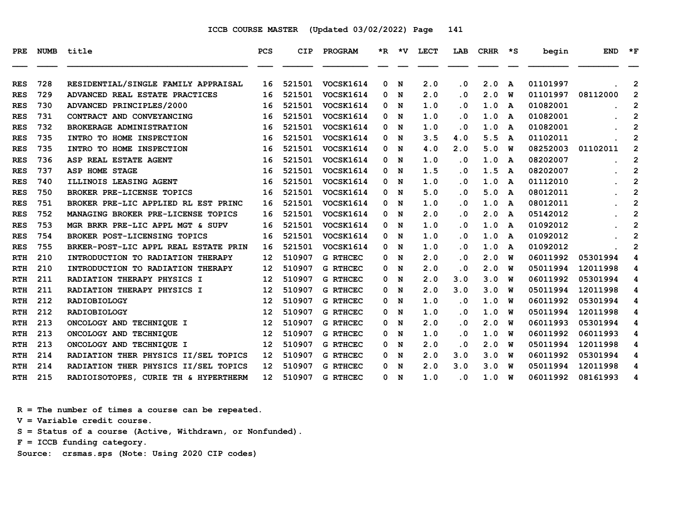| <b>PRE</b> | <b>NUMB</b> | title                                | <b>PCS</b>        | <b>CIP</b> | PROGRAM          |              | $*R$ $*V$ | <b>LECT</b> | LAB       | <b>CRHR</b> | ∗s       | begin    | <b>END</b> | $*_{\mathbf{F}}$        |
|------------|-------------|--------------------------------------|-------------------|------------|------------------|--------------|-----------|-------------|-----------|-------------|----------|----------|------------|-------------------------|
|            |             |                                      |                   |            |                  |              |           |             |           |             |          |          |            |                         |
| <b>RES</b> | 728         | RESIDENTIAL/SINGLE FAMILY APPRAISAL  | 16                | 521501     | VOCSK1614        | 0            | N         | 2.0         | $\cdot$ 0 | 2.0         | A        | 01101997 |            | 2                       |
| <b>RES</b> | 729         | ADVANCED REAL ESTATE PRACTICES       | 16                | 521501     | VOCSK1614        | 0            | N         | 2.0         | $\cdot$ 0 | 2.0         | w        | 01101997 | 08112000   | $\overline{2}$          |
| <b>RES</b> | 730         | ADVANCED PRINCIPLES/2000             | 16                | 521501     | <b>VOCSK1614</b> | 0            | N         | 1.0         | $\cdot$ 0 | 1.0         | A        | 01082001 |            | 2                       |
| <b>RES</b> | 731         | CONTRACT AND CONVEYANCING            | 16                | 521501     | VOCSK1614        | 0            | N         | 1.0         | $\cdot$ 0 | 1.0         | A        | 01082001 |            | $\overline{2}$          |
| <b>RES</b> | 732         | BROKERAGE ADMINISTRATION             | 16                | 521501     | VOCSK1614        |              | 0 N       | 1.0         | $\cdot$ 0 | 1.0         | A        | 01082001 |            | $\overline{2}$          |
| <b>RES</b> | 735         | INTRO TO HOME INSPECTION             | 16                | 521501     | <b>VOCSK1614</b> | 0            | N         | 3.5         | 4.0       | 5.5         | A        | 01102011 |            | 2                       |
| <b>RES</b> | 735         | INTRO TO HOME INSPECTION             | 16                | 521501     | <b>VOCSK1614</b> | 0            | N         | 4.0         | 2.0       | 5.0         | W        | 08252003 | 01102011   | $\mathbf{2}$            |
| <b>RES</b> | 736         | ASP REAL ESTATE AGENT                | 16                | 521501     | VOCSK1614        | 0            | N         | 1.0         | $\cdot$ 0 | 1.0         | A        | 08202007 |            | $\mathbf{2}$            |
| <b>RES</b> | 737         | ASP HOME STAGE                       | 16                | 521501     | <b>VOCSK1614</b> | 0            | N         | 1.5         | $\cdot$ 0 | 1.5         | A        | 08202007 |            | $\overline{2}$          |
| <b>RES</b> | 740         | ILLINOIS LEASING AGENT               | 16                | 521501     | <b>VOCSK1614</b> |              | 0 N       | 1.0         | $\cdot$ 0 | 1.0         | A        | 01112010 |            | $\overline{\mathbf{c}}$ |
| <b>RES</b> | 750         | <b>BROKER PRE-LICENSE TOPICS</b>     | 16                | 521501     | VOCSK1614        | 0            | N         | 5.0         | $\cdot$ 0 | 5.0         | A        | 08012011 |            | $\overline{2}$          |
| <b>RES</b> | 751         | BROKER PRE-LIC APPLIED RL EST PRINC  | 16                | 521501     | <b>VOCSK1614</b> | $\mathbf{0}$ | N         | 1.0         | $\cdot$ 0 | 1.0         | A        | 08012011 |            | $\mathbf 2$             |
| <b>RES</b> | 752         | MANAGING BROKER PRE-LICENSE TOPICS   | 16                | 521501     | <b>VOCSK1614</b> | 0            | N         | 2.0         | $\cdot$ 0 | 2.0         | A        | 05142012 |            | $\overline{2}$          |
| <b>RES</b> | 753         | MGR BRKR PRE-LIC APPL MGT & SUPV     | 16                | 521501     | VOCSK1614        | 0            | N         | 1.0         | $\cdot$ 0 | 1.0         | A        | 01092012 |            | $\mathbf{2}$            |
| <b>RES</b> | 754         | BROKER POST-LICENSING TOPICS         | 16                | 521501     | VOCSK1614        |              | 0 N       | 1.0         | $\cdot$ 0 | 1.0         | A        | 01092012 |            | $\overline{\mathbf{c}}$ |
| <b>RES</b> | 755         | BRKER-POST-LIC APPL REAL ESTATE PRIN | 16                | 521501     | VOCSK1614        | 0            | N         | 1.0         | $\cdot$ 0 | 1.0         | A        | 01092012 |            | $\mathbf{2}$            |
| <b>RTH</b> | 210         | INTRODUCTION TO RADIATION THERAPY    | 12                | 510907     | <b>G RTHCEC</b>  | 0            | N         | 2.0         | $\cdot$ 0 | 2.0         | W        | 06011992 | 05301994   | 4                       |
| <b>RTH</b> | 210         | INTRODUCTION TO RADIATION THERAPY    | 12                | 510907     | <b>G RTHCEC</b>  | 0            | N         | 2.0         | $\cdot$ 0 | 2.0         | W        | 05011994 | 12011998   | 4                       |
| <b>RTH</b> | 211         | RADIATION THERAPY PHYSICS I          | $12 \overline{ }$ | 510907     | <b>G RTHCEC</b>  | 0            | N         | 2.0         | 3.0       | 3.0         | W        | 06011992 | 05301994   | 4                       |
| <b>RTH</b> | 211         | RADIATION THERAPY PHYSICS I          | 12                | 510907     | <b>G RTHCEC</b>  | 0            | N         | 2.0         | 3.0       | 3.0         | W        | 05011994 | 12011998   | 4                       |
| <b>RTH</b> | 212         | <b>RADIOBIOLOGY</b>                  | 12                | 510907     | <b>G RTHCEC</b>  | 0            | N         | 1.0         | $\cdot$ 0 | 1.0         | W        | 06011992 | 05301994   | 4                       |
| <b>RTH</b> | 212         | <b>RADIOBIOLOGY</b>                  | 12                | 510907     | <b>G RTHCEC</b>  | 0            | N         | 1.0         | $\cdot$ 0 | 1.0         | W        | 05011994 | 12011998   | 4                       |
| <b>RTH</b> | 213         | ONCOLOGY AND TECHNIQUE I             | 12                | 510907     | <b>G RTHCEC</b>  | 0            | N         | 2.0         | $\cdot$ 0 | 2.0         | W        | 06011993 | 05301994   | 4                       |
| <b>RTH</b> | 213         | ONCOLOGY AND TECHNIQUE               | $12 \overline{ }$ | 510907     | <b>G RTHCEC</b>  | 0            | N         | 1.0         | $\cdot$ 0 | 1.0         | W        | 06011992 | 06011993   | 4                       |
| <b>RTH</b> | 213         | ONCOLOGY AND TECHNIQUE I             | 12                | 510907     | <b>G RTHCEC</b>  | 0            | N         | 2.0         | $\cdot$ 0 | 2.0         | W        | 05011994 | 12011998   | 4                       |
| <b>RTH</b> | 214         | RADIATION THER PHYSICS II/SEL TOPICS | 12                | 510907     | <b>G RTHCEC</b>  | 0            | N         | 2.0         | 3.0       | 3.0         | W        | 06011992 | 05301994   | 4                       |
| <b>RTH</b> | 214         | RADIATION THER PHYSICS II/SEL TOPICS | 12                | 510907     | <b>G RTHCEC</b>  | 0            | N         | 2.0         | 3.0       | 3.0         | W        | 05011994 | 12011998   | 4                       |
| RTH        | 215         | RADIOISOTOPES, CURIE TH & HYPERTHERM | $12 \overline{ }$ | 510907     | <b>G RTHCEC</b>  |              | 0 N       | 1.0         | $\cdot$ 0 | 1.0         | <b>W</b> | 06011992 | 08161993   | 4                       |

 **R = The number of times a course can be repeated. V = Variable credit course. S = Status of a course (Active, Withdrawn, or Nonfunded). F = ICCB funding category. Source: crsmas.sps (Note: Using 2020 CIP codes)**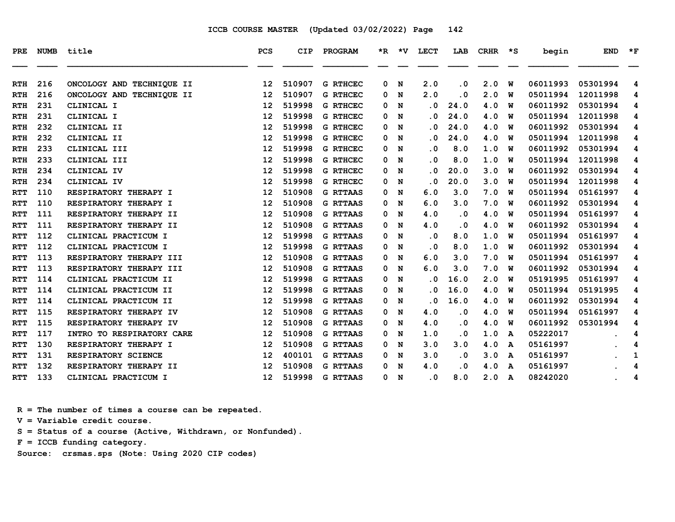| <b>PRE</b> | <b>NUMB</b> | title                     | <b>PCS</b>        | <b>CIP</b> | PROGRAM         | *R. | *V | LECT                       | LAB       | <b>CRHR</b> | ∗s | begin    | <b>END</b> | $*_{\mathbf{F}}$ |
|------------|-------------|---------------------------|-------------------|------------|-----------------|-----|----|----------------------------|-----------|-------------|----|----------|------------|------------------|
| <b>RTH</b> | 216         | ONCOLOGY AND TECHNIQUE II | 12                | 510907     | <b>G RTHCEC</b> | 0   | N  | 2.0                        | $\cdot$ 0 | 2.0         | W  | 06011993 | 05301994   | 4                |
| <b>RTH</b> | 216         | ONCOLOGY AND TECHNIQUE II | $12 \overline{ }$ | 510907     | <b>G RTHCEC</b> | 0   | N  | 2.0                        | $\cdot$ 0 | 2.0         | W  | 05011994 | 12011998   | 4                |
| <b>RTH</b> | 231         | CLINICAL I                | 12                | 519998     | <b>G RTHCEC</b> | 0   | N  | $\overline{\mathbf{0}}$    | 24.0      | 4.0         | W  | 06011992 | 05301994   | 4                |
| <b>RTH</b> | 231         | CLINICAL I                | 12                | 519998     | <b>G RTHCEC</b> | 0   | N  | $\overline{\mathbf{0}}$    | 24.0      | 4.0         | W  | 05011994 | 12011998   | 4                |
| <b>RTH</b> | 232         | CLINICAL II               | 12                | 519998     | <b>G RTHCEC</b> | 0   | N  | . 0                        | 24.0      | 4.0         | W  | 06011992 | 05301994   | 4                |
| <b>RTH</b> | 232         | CLINICAL II               | 12                | 519998     | <b>G RTHCEC</b> | 0   | N  | $\cdot$ 0                  | 24.0      | 4.0         | W  | 05011994 | 12011998   | 4                |
| <b>RTH</b> | 233         | CLINICAL III              | 12                | 519998     | <b>G RTHCEC</b> | 0   | N  | . 0                        | 8.0       | 1.0         | W  | 06011992 | 05301994   | 4                |
| <b>RTH</b> | 233         | CLINICAL III              | 12                | 519998     | <b>G RTHCEC</b> | 0   | N  | . 0                        | 8.0       | 1.0         | W  | 05011994 | 12011998   | 4                |
| <b>RTH</b> | 234         | CLINICAL IV               | 12                | 519998     | <b>G RTHCEC</b> | 0   | N  | $\cdot$ 0                  | 20.0      | 3.0         | W  | 06011992 | 05301994   | 4                |
| <b>RTH</b> | 234         | CLINICAL IV               | 12                | 519998     | <b>G RTHCEC</b> | 0   | N  | $\cdot$ 0                  | 20.0      | 3.0         | W  | 05011994 | 12011998   | 4                |
| <b>RTT</b> | 110         | RESPIRATORY THERAPY I     | 12                | 510908     | <b>G RTTAAS</b> | 0   | N  | 6.0                        | 3.0       | 7.0         | W  | 05011994 | 05161997   | 4                |
| <b>RTT</b> | 110         | RESPIRATORY THERAPY I     | 12                | 510908     | <b>G RTTAAS</b> | 0   | N  | 6.0                        | 3.0       | 7.0         | w  | 06011992 | 05301994   | 4                |
| <b>RTT</b> | 111         | RESPIRATORY THERAPY II    | $12 \overline{ }$ | 510908     | <b>G RTTAAS</b> | 0   | N  | 4.0                        | $\cdot$ 0 | 4.0         | W  | 05011994 | 05161997   | 4                |
| <b>RTT</b> | 111         | RESPIRATORY THERAPY II    | 12                | 510908     | <b>G RTTAAS</b> | 0   | N  | 4.0                        | . 0       | 4.0         | W  | 06011992 | 05301994   | 4                |
| <b>RTT</b> | 112         | CLINICAL PRACTICUM I      | 12                | 519998     | <b>G RTTAAS</b> | 0   | N  | $\cdot$ 0                  | 8.0       | 1.0         | W  | 05011994 | 05161997   | 4                |
| <b>RTT</b> | 112         | CLINICAL PRACTICUM I      | 12                | 519998     | <b>G RTTAAS</b> | 0   | N  | . 0                        | 8.0       | 1.0         | W  | 06011992 | 05301994   | 4                |
| <b>RTT</b> | 113         | RESPIRATORY THERAPY III   | 12                | 510908     | <b>G RTTAAS</b> | 0   | N  | 6.0                        | 3.0       | 7.0         | W  | 05011994 | 05161997   | 4                |
| <b>RTT</b> | 113         | RESPIRATORY THERAPY III   | 12                | 510908     | <b>G RTTAAS</b> | 0   | N  | 6.0                        | 3.0       | 7.0         | W  | 06011992 | 05301994   | 4                |
| <b>RTT</b> | 114         | CLINICAL PRACTICUM II     | 12                | 519998     | <b>G RTTAAS</b> | 0   | N  | $\cdot$ 0                  | 16.0      | 2.0         | W  | 05191995 | 05161997   | 4                |
| <b>RTT</b> | 114         | CLINICAL PRACTICUM II     | $12 \overline{ }$ | 519998     | <b>G RTTAAS</b> | 0   | N  | . 0                        | 16.0      | 4.0         | W  | 05011994 | 05191995   | 4                |
| <b>RTT</b> | 114         | CLINICAL PRACTICUM II     | 12                | 519998     | <b>G RTTAAS</b> | 0   | N  | $\cdot$ 0                  | 16.0      | 4.0         | W  | 06011992 | 05301994   | 4                |
| <b>RTT</b> | 115         | RESPIRATORY THERAPY IV    | 12                | 510908     | <b>G RTTAAS</b> | 0   | N  | 4.0                        | $\cdot$ 0 | 4.0         | W  | 05011994 | 05161997   | 4                |
| RTT        | 115         | RESPIRATORY THERAPY IV    | $12 \overline{ }$ | 510908     | <b>G RTTAAS</b> | 0   | N  | 4.0                        | $\cdot$ 0 | 4.0         | W  | 06011992 | 05301994   | 4                |
| <b>RTT</b> | 117         | INTRO TO RESPIRATORY CARE | 12                | 510908     | <b>G RTTAAS</b> | 0   | N  | 1.0                        | $\cdot$ 0 | 1.0         | A  | 05222017 |            | 4                |
| <b>RTT</b> | 130         | RESPIRATORY THERAPY I     | $12 \overline{ }$ | 510908     | <b>G RTTAAS</b> | 0   | N  | 3.0                        | 3.0       | 4.0         | A  | 05161997 |            | 4                |
| <b>RTT</b> | 131         | RESPIRATORY SCIENCE       | $12 \overline{ }$ | 400101     | <b>G RTTAAS</b> | 0   | N  | 3.0                        | $\cdot$ 0 | 3.0         | A  | 05161997 |            | 1                |
| <b>RTT</b> | 132         | RESPIRATORY THERAPY II    | 12                | 510908     | <b>G RTTAAS</b> | 0   | N  | 4.0                        | $\cdot$ 0 | 4.0         | A  | 05161997 |            | 4                |
| <b>RTT</b> | 133         | CLINICAL PRACTICUM I      | $12 \overline{ }$ | 519998     | <b>G RTTAAS</b> | 0   | N  | $\overline{\phantom{0}}$ . | 8.0       | 2.0         | A  | 08242020 |            | 4                |

 **R = The number of times a course can be repeated.**

 **V = Variable credit course.**

 **S = Status of a course (Active, Withdrawn, or Nonfunded).**

 **F = ICCB funding category.**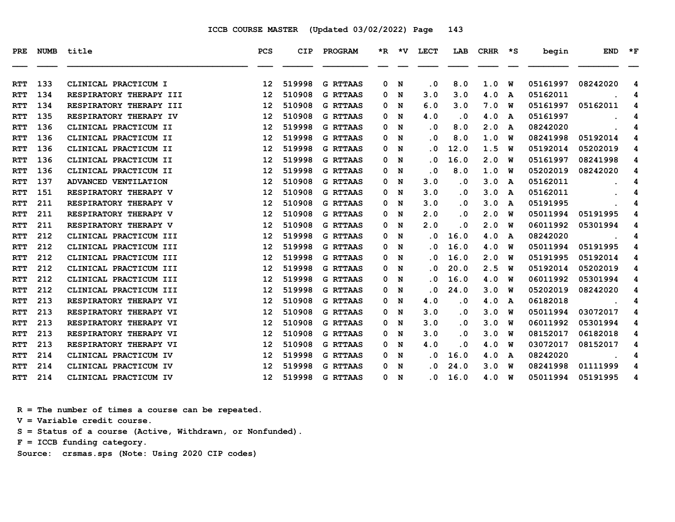| <b>PRE</b> | <b>NUMB</b> | title                   | PCS             | CIP    | PROGRAM         |   | $*R$ $*V$ | LECT | LAB       | CRHR  | $\star$ S and $\star$ | begin    | <b>END</b> | $*_{\mathbf{F}}$ |
|------------|-------------|-------------------------|-----------------|--------|-----------------|---|-----------|------|-----------|-------|-----------------------|----------|------------|------------------|
|            |             |                         |                 |        |                 |   |           |      |           |       |                       |          |            |                  |
| RTT        | 133         | CLINICAL PRACTICUM I    | 12              | 519998 | <b>G RTTAAS</b> | 0 | N         | . 0  | 8.0       | 1.0   | W                     | 05161997 | 08242020   | 4                |
| <b>RTT</b> | 134         | RESPIRATORY THERAPY III | 12              | 510908 | <b>G RTTAAS</b> | 0 | N         | 3.0  | 3.0       | 4.0   | A                     | 05162011 |            | 4                |
| <b>RTT</b> | 134         | RESPIRATORY THERAPY III | 12              | 510908 | <b>G RTTAAS</b> | 0 | N         | 6.0  | 3.0       | 7.0   | W                     | 05161997 | 05162011   | 4                |
| <b>RTT</b> | 135         | RESPIRATORY THERAPY IV  | 12              | 510908 | <b>G RTTAAS</b> | 0 | N         | 4.0  | . 0       | 4.0   | A                     | 05161997 |            | 4                |
| <b>RTT</b> | 136         | CLINICAL PRACTICUM II   | 12              | 519998 | <b>G RTTAAS</b> | 0 | N         | . 0  | 8.0       | 2.0   | A                     | 08242020 |            | 4                |
| <b>RTT</b> | 136         | CLINICAL PRACTICUM II   | 12              | 519998 | <b>G RTTAAS</b> | 0 | N         | . 0  | 8.0       | 1.0   | W                     | 08241998 | 05192014   | 4                |
| <b>RTT</b> | 136         | CLINICAL PRACTICUM II   | 12              | 519998 | <b>G RTTAAS</b> | 0 | N         | . 0  | 12.0      | 1.5   | W                     | 05192014 | 05202019   | 4                |
| <b>RTT</b> | 136         | CLINICAL PRACTICUM II   | 12              | 519998 | <b>G RTTAAS</b> | 0 | N         | . 0  | 16.0      | 2.0   | พ                     | 05161997 | 08241998   | 4                |
| <b>RTT</b> | 136         | CLINICAL PRACTICUM II   | 12              | 519998 | <b>G RTTAAS</b> | 0 | N         | . 0  | 8.0       | 1.0   | w                     | 05202019 | 08242020   | 4                |
| RTT        | 137         | ADVANCED VENTILATION    | 12              | 510908 | <b>G RTTAAS</b> | 0 | N         | 3.0  | . 0       | 3.0   | A                     | 05162011 |            | 4                |
| <b>RTT</b> | 151         | RESPIRATORY THERAPY V   | 12              | 510908 | <b>G RTTAAS</b> | 0 | N         | 3.0  | $\cdot$ 0 | 3.0   | A                     | 05162011 |            | 4                |
| RTT        | 211         | RESPIRATORY THERAPY V   | 12              | 510908 | <b>G RTTAAS</b> | 0 | N         | 3.0  | . 0       | 3.0   | A                     | 05191995 |            | 4                |
| <b>RTT</b> | 211         | RESPIRATORY THERAPY V   | 12              | 510908 | <b>G RTTAAS</b> | 0 | N         | 2.0  | . 0       | 2.0   | W                     | 05011994 | 05191995   | 4                |
| <b>RTT</b> | 211         | RESPIRATORY THERAPY V   | 12              | 510908 | <b>G RTTAAS</b> | 0 | N         | 2.0  | . 0       | 2.0   | พ                     | 06011992 | 05301994   | 4                |
| <b>RTT</b> | 212         | CLINICAL PRACTICUM III  | 12              | 519998 | <b>G RTTAAS</b> | 0 | N         | . 0  | 16.0      | 4.0   | A                     | 08242020 |            | 4                |
| <b>RTT</b> | 212         | CLINICAL PRACTICUM III  | 12              | 519998 | <b>G RTTAAS</b> | 0 | N         | . 0  | 16.0      | 4.0   | W                     | 05011994 | 05191995   | 4                |
| <b>RTT</b> | 212         | CLINICAL PRACTICUM III  | 12              | 519998 | <b>G RTTAAS</b> | 0 | N         | . 0  | 16.0      | 2.0   | W                     | 05191995 | 05192014   | 4                |
| <b>RTT</b> | 212         | CLINICAL PRACTICUM III  | 12              | 519998 | <b>G RTTAAS</b> | 0 | N         | . 0  | 20.0      | 2.5   | W                     | 05192014 | 05202019   | 4                |
| <b>RTT</b> | 212         | CLINICAL PRACTICUM III  | 12              | 519998 | <b>G RTTAAS</b> | 0 | N         | . 0  | 16.0      | 4.0   | w                     | 06011992 | 05301994   | 4                |
| <b>RTT</b> | 212         | CLINICAL PRACTICUM III  | 12              | 519998 | <b>G RTTAAS</b> | 0 | N         | . 0  | 24.0      | 3.0   | w                     | 05202019 | 08242020   | 4                |
| <b>RTT</b> | 213         | RESPIRATORY THERAPY VI  | 12              | 510908 | <b>G RTTAAS</b> | 0 | N         | 4.0  | . 0       | 4.0   | A                     | 06182018 |            | 4                |
| RTT        | 213         | RESPIRATORY THERAPY VI  | 12              | 510908 | <b>G RTTAAS</b> | 0 | N         | 3.0  | . 0       | 3.0   | w                     | 05011994 | 03072017   | 4                |
| <b>RTT</b> | 213         | RESPIRATORY THERAPY VI  | 12              | 510908 | <b>G RTTAAS</b> | 0 | N         | 3.0  | . 0       | 3.0   | W                     | 06011992 | 05301994   | 4                |
| <b>RTT</b> | 213         | RESPIRATORY THERAPY VI  | 12              | 510908 | <b>G RTTAAS</b> | 0 | N         | 3.0  | . 0       | 3.0   | พ                     | 08152017 | 06182018   | 4                |
| <b>RTT</b> | 213         | RESPIRATORY THERAPY VI  | 12              | 510908 | <b>G RTTAAS</b> | 0 | N         | 4.0  | . 0       | 4.0   | W                     | 03072017 | 08152017   | 4                |
| <b>RTT</b> | 214         | CLINICAL PRACTICUM IV   | 12              | 519998 | <b>G RTTAAS</b> | 0 | N         | . 0  | 16.0      | 4.0   | A                     | 08242020 |            | 4                |
| RTT        | 214         | CLINICAL PRACTICUM IV   | 12              | 519998 | <b>G RTTAAS</b> | 0 | N         | . 0  | 24.0      | 3.0   | w                     | 08241998 | 01111999   | 4                |
| RTT        | 214         | CLINICAL PRACTICUM IV   | 12 <sup>°</sup> | 519998 | <b>G RTTAAS</b> |   | 0 N       | . 0  | 16.0      | 4.0 W |                       | 05011994 | 05191995   | 4                |

 **R = The number of times a course can be repeated.**

 **V = Variable credit course.**

 **S = Status of a course (Active, Withdrawn, or Nonfunded).**

 **F = ICCB funding category.**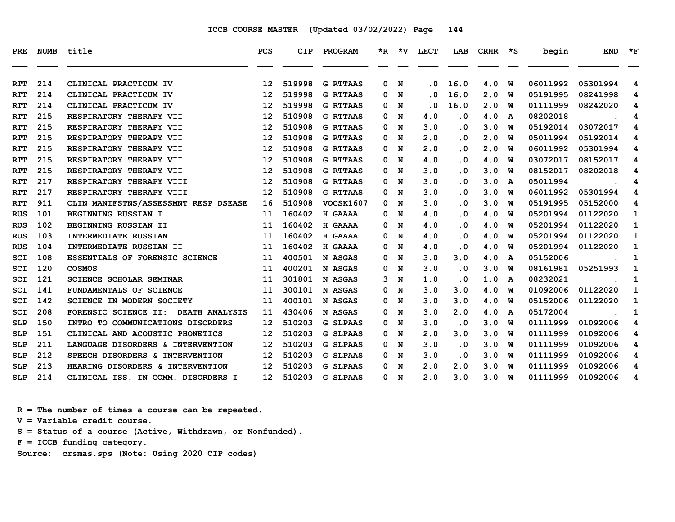| PRE        | <b>NUMB</b> | title                                | <b>PCS</b>        | <b>CIP</b> | PROGRAM         |   |     | *R *V LECT | LAB       | <b>CRHR</b> | $\star$ s | begin    | <b>END</b> | $*_{\mathbf{F}}$ |
|------------|-------------|--------------------------------------|-------------------|------------|-----------------|---|-----|------------|-----------|-------------|-----------|----------|------------|------------------|
| <b>RTT</b> | 214         | CLINICAL PRACTICUM IV                | 12                | 519998     | <b>G RTTAAS</b> | 0 | N   | . 0        | 16.0      | 4.0         | W         | 06011992 | 05301994   | 4                |
| <b>RTT</b> | 214         | CLINICAL PRACTICUM IV                | 12                | 519998     | <b>G RTTAAS</b> | 0 | N   | . 0        | 16.0      | 2.0         | พ         | 05191995 | 08241998   | 4                |
| <b>RTT</b> | 214         | CLINICAL PRACTICUM IV                | 12                | 519998     | <b>G RTTAAS</b> | 0 | N   | . 0        | 16.0      | 2.0         | พ         | 01111999 | 08242020   | 4                |
| <b>RTT</b> | 215         | RESPIRATORY THERAPY VII              | 12                | 510908     | <b>G RTTAAS</b> | 0 | N   | 4.0        | $\cdot$ 0 | 4.0         | A         | 08202018 |            | 4                |
| <b>RTT</b> | 215         | RESPIRATORY THERAPY VII              | 12                | 510908     | <b>G RTTAAS</b> | 0 | N   | 3.0        | $\cdot$ 0 | 3.0         | W         | 05192014 | 03072017   | 4                |
| <b>RTT</b> | 215         | RESPIRATORY THERAPY VII              | 12                | 510908     | <b>G RTTAAS</b> | 0 | N   | 2.0        | . 0       | 2.0         | พ         | 05011994 | 05192014   | 4                |
| <b>RTT</b> | 215         | RESPIRATORY THERAPY VII              | 12                | 510908     | <b>G RTTAAS</b> | 0 | N   | 2.0        | $\cdot$ 0 | 2.0         | พ         | 06011992 | 05301994   | 4                |
| <b>RTT</b> | 215         | RESPIRATORY THERAPY VII              | 12                | 510908     | <b>G RTTAAS</b> | 0 | N   | 4.0        | . 0       | 4.0         | W         | 03072017 | 08152017   | 4                |
| <b>RTT</b> | 215         | RESPIRATORY THERAPY VII              | 12 <sup>2</sup>   | 510908     | <b>G RTTAAS</b> | 0 | N   | 3.0        | $\cdot$ 0 | 3.0         | พ         | 08152017 | 08202018   | 4                |
| <b>RTT</b> | 217         | RESPIRATORY THERAPY VIII             | 12                | 510908     | <b>G RTTAAS</b> | 0 | N   | 3.0        | $\cdot$ 0 | 3.0         | A         | 05011994 |            | 4                |
| <b>RTT</b> | 217         | RESPIRATORY THERAPY VIII             | 12                | 510908     | <b>G RTTAAS</b> | 0 | N   | 3.0        | $\cdot$ 0 | 3.0         | พ         | 06011992 | 05301994   | 4                |
| <b>RTT</b> | 911         | CLIN MANIFSTNS/ASSESSMNT RESP DSEASE | 16                | 510908     | VOCSK1607       | 0 | N   | 3.0        | $\cdot$ 0 | 3.0         | พ         | 05191995 | 05152000   | 4                |
| <b>RUS</b> | 101         | BEGINNING RUSSIAN I                  | 11                | 160402     | H GAAAA         | 0 | N   | 4.0        | . 0       | 4.0         | W         | 05201994 | 01122020   | 1                |
| <b>RUS</b> | 102         | BEGINNING RUSSIAN II                 | 11                | 160402     | H GAAAA         | 0 | N   | 4.0        | $\cdot$ 0 | 4.0         | W         | 05201994 | 01122020   | 1                |
| <b>RUS</b> | 103         | INTERMEDIATE RUSSIAN I               | 11                | 160402     | H GAAAA         | 0 | N   | 4.0        | . 0       | 4.0         | w         | 05201994 | 01122020   | 1                |
| <b>RUS</b> | 104         | INTERMEDIATE RUSSIAN II              | 11                | 160402     | H GAAAA         | 0 | N   | 4.0        | $\cdot$ 0 | 4.0         | W         | 05201994 | 01122020   | 1                |
| SCI        | 108         | ESSENTIALS OF FORENSIC SCIENCE       | 11                | 400501     | N ASGAS         | 0 | N   | 3.0        | 3.0       | 4.0         | A         | 05152006 |            | 1                |
| SCI        | 120         | <b>COSMOS</b>                        | 11                | 400201     | N ASGAS         | 0 | N   | 3.0        | $\cdot$ 0 | 3.0         | พ         | 08161981 | 05251993   | 1                |
| SCI        | 121         | <b>SCIENCE SCHOLAR SEMINAR</b>       | 11                | 301801     | N ASGAS         | 3 | N   | 1.0        | $\cdot$ 0 | 1.0         | A         | 08232021 |            | 1                |
| SCI        | 141         | FUNDAMENTALS OF SCIENCE              | 11                | 300101     | N ASGAS         | 0 | N   | 3.0        | 3.0       | 4.0         | พ         | 01092006 | 01122020   | $\mathbf{1}$     |
| SCI        | 142         | <b>SCIENCE IN MODERN SOCIETY</b>     | 11                | 400101     | N ASGAS         | 0 | N   | 3.0        | 3.0       | 4.0         | พ         | 05152006 | 01122020   | 1                |
| SCI        | 208         | FORENSIC SCIENCE II: DEATH ANALYSIS  | 11                | 430406     | N ASGAS         | 0 | N   | 3.0        | 2.0       | 4.0         | A         | 05172004 |            | 1                |
| <b>SLP</b> | 150         | INTRO TO COMMUNICATIONS DISORDERS    | 12                | 510203     | <b>G SLPAAS</b> | 0 | N   | 3.0        | $\cdot$ 0 | 3.0         | พ         | 01111999 | 01092006   | 4                |
| <b>SLP</b> | 151         | CLINICAL AND ACOUSTIC PHONETICS      | $12 \overline{ }$ | 510203     | <b>G SLPAAS</b> | 0 | N   | 2.0        | 3.0       | 3.0         | พ         | 01111999 | 01092006   | 4                |
| <b>SLP</b> | 211         | LANGUAGE DISORDERS & INTERVENTION    | 12                | 510203     | <b>G SLPAAS</b> | 0 | N   | 3.0        | $\cdot$ 0 | 3.0         | พ         | 01111999 | 01092006   | 4                |
| <b>SLP</b> | 212         | SPEECH DISORDERS & INTERVENTION      | 12                | 510203     | <b>G SLPAAS</b> | 0 | N   | 3.0        | $\cdot$ 0 | 3.0         | W         | 01111999 | 01092006   | 4                |
| <b>SLP</b> | 213         | HEARING DISORDERS & INTERVENTION     | $12 \overline{ }$ | 510203     | <b>G SLPAAS</b> | 0 | N   | 2.0        | 2.0       | 3.0         | W         | 01111999 | 01092006   | 4                |
| <b>SLP</b> | 214         | CLINICAL ISS. IN COMM. DISORDERS I   | 12 <sup>7</sup>   | 510203     | <b>G SLPAAS</b> |   | 0 N | 2.0        | 3.0       | 3.0         | <b>W</b>  | 01111999 | 01092006   | 4                |

 **R = The number of times a course can be repeated.**

 **V = Variable credit course.**

 **S = Status of a course (Active, Withdrawn, or Nonfunded).**

 **F = ICCB funding category.**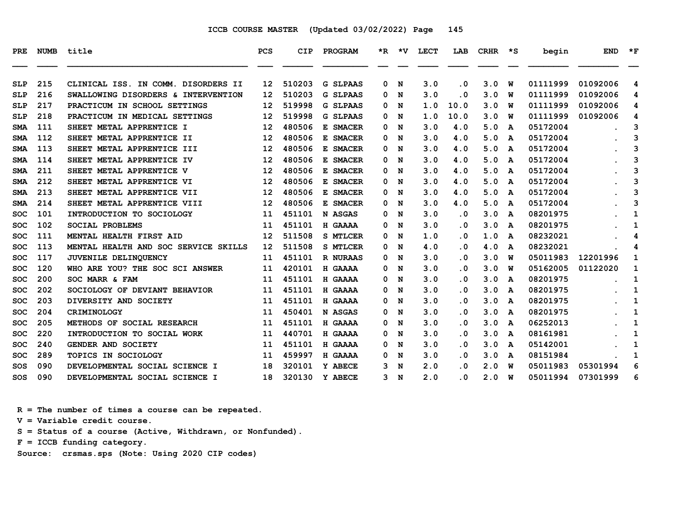| PRE        | <b>NUMB</b> | title                                | PCS               | CIP    | <b>PROGRAM</b>  |   | *R *V | LECT | LAB       | CRHR | $\star$ s | begin    | <b>END</b> | $*_{\mathbf{F}}$ |
|------------|-------------|--------------------------------------|-------------------|--------|-----------------|---|-------|------|-----------|------|-----------|----------|------------|------------------|
|            |             |                                      |                   |        |                 |   |       |      |           |      |           |          |            |                  |
| <b>SLP</b> | 215         | CLINICAL ISS. IN COMM. DISORDERS II  | 12                | 510203 | <b>G SLPAAS</b> | 0 | N     | 3.0  | $\cdot$ 0 | 3.0  | W         | 01111999 | 01092006   | 4                |
| <b>SLP</b> | 216         | SWALLOWING DISORDERS & INTERVENTION  | 12                | 510203 | <b>G SLPAAS</b> | 0 | N     | 3.0  | $\cdot$ 0 | 3.0  | W         | 01111999 | 01092006   | 4                |
| <b>SLP</b> | 217         | PRACTICUM IN SCHOOL SETTINGS         | 12                | 519998 | <b>G SLPAAS</b> | 0 | N     | 1.0  | 10.0      | 3.0  | W         | 01111999 | 01092006   | 4                |
| <b>SLP</b> | 218         | PRACTICUM IN MEDICAL SETTINGS        | 12                | 519998 | <b>G SLPAAS</b> | 0 | N     | 1.0  | 10.0      | 3.0  | W         | 01111999 | 01092006   | 4                |
| <b>SMA</b> | 111         | SHEET METAL APPRENTICE I             | 12                | 480506 | E SMACER        | 0 | N     | 3.0  | 4.0       | 5.0  | A         | 05172004 |            | 3                |
| <b>SMA</b> | 112         | SHEET METAL APPRENTICE II            | 12                | 480506 | E SMACER        | 0 | N     | 3.0  | 4.0       | 5.0  | A         | 05172004 |            | 3                |
| <b>SMA</b> | 113         | SHEET METAL APPRENTICE III           | 12                | 480506 | E SMACER        | 0 | N     | 3.0  | 4.0       | 5.0  | A         | 05172004 |            | 3                |
| <b>SMA</b> | 114         | SHEET METAL APPRENTICE IV            | 12                | 480506 | E SMACER        | 0 | N     | 3.0  | 4.0       | 5.0  | A         | 05172004 |            | 3                |
| <b>SMA</b> | 211         | SHEET METAL APPRENTICE V             | 12                | 480506 | E SMACER        | 0 | N     | 3.0  | 4.0       | 5.0  | A         | 05172004 |            | 3                |
| <b>SMA</b> | 212         | SHEET METAL APPRENTICE VI            | 12                | 480506 | E SMACER        | 0 | N     | 3.0  | 4.0       | 5.0  | A         | 05172004 |            | 3                |
| <b>SMA</b> | 213         | SHEET METAL APPRENTICE VII           | 12                | 480506 | E SMACER        | 0 | N     | 3.0  | 4.0       | 5.0  | A         | 05172004 |            | 3                |
| <b>SMA</b> | 214         | SHEET METAL APPRENTICE VIII          | 12                | 480506 | E SMACER        | 0 | N     | 3.0  | 4.0       | 5.0  | A         | 05172004 |            | 3                |
| <b>SOC</b> | 101         | INTRODUCTION TO SOCIOLOGY            | 11                | 451101 | N ASGAS         | 0 | N     | 3.0  | $\cdot$ 0 | 3.0  | A         | 08201975 |            | 1                |
| SOC        | 102         | <b>SOCIAL PROBLEMS</b>               | 11                | 451101 | H GAAAA         | 0 | N     | 3.0  | . 0       | 3.0  | A         | 08201975 |            | 1                |
| SOC        | 111         | MENTAL HEALTH FIRST AID              | $12 \overline{ }$ | 511508 | <b>S MTLCER</b> | 0 | N     | 1.0  | . 0       | 1.0  | A         | 08232021 |            | 4                |
| SOC        | 113         | MENTAL HEALTH AND SOC SERVICE SKILLS | 12                | 511508 | <b>S MTLCER</b> | 0 | N     | 4.0  | $\cdot$ 0 | 4.0  | A         | 08232021 |            | 4                |
| <b>SOC</b> | 117         | JUVENILE DELINQUENCY                 | 11                | 451101 | <b>R NURAAS</b> | 0 | N     | 3.0  | $\cdot$ 0 | 3.0  | W         | 05011983 | 12201996   | 1                |
| SOC        | 120         | WHO ARE YOU? THE SOC SCI ANSWER      | 11                | 420101 | H GAAAA         | 0 | N     | 3.0  | . 0       | 3.0  | W         | 05162005 | 01122020   | 1                |
| <b>SOC</b> | 200         | SOC MARR & FAM                       | 11                | 451101 | H GAAAA         | 0 | N     | 3.0  | . 0       | 3.0  | A         | 08201975 |            | 1                |
| SOC        | 202         | SOCIOLOGY OF DEVIANT BEHAVIOR        | 11                | 451101 | H GAAAA         | 0 | N     | 3.0  | . 0       | 3.0  | A         | 08201975 |            | 1                |
| <b>SOC</b> | 203         | DIVERSITY AND SOCIETY                | 11                | 451101 | H GAAAA         | 0 | N     | 3.0  | $\cdot$ 0 | 3.0  | A         | 08201975 |            | 1                |
| <b>SOC</b> | 204         | <b>CRIMINOLOGY</b>                   | 11                | 450401 | N ASGAS         | 0 | N     | 3.0  | $\cdot$ 0 | 3.0  | A         | 08201975 |            | 1                |
| SOC        | 205         | METHODS OF SOCIAL RESEARCH           | 11                | 451101 | H GAAAA         | 0 | N     | 3.0  | . 0       | 3.0  | A         | 06252013 |            | 1                |
| SOC        | 220         | INTRODUCTION TO SOCIAL WORK          | 11                | 440701 | H GAAAA         | 0 | N     | 3.0  | . 0       | 3.0  | A         | 08161981 |            | 1                |
| <b>SOC</b> | 240         | GENDER AND SOCIETY                   | 11                | 451101 | H GAAAA         | 0 | N     | 3.0  | . 0       | 3.0  | A         | 05142001 |            | 1                |
| SOC        | 289         | <b>TOPICS IN SOCIOLOGY</b>           | 11                | 459997 | H GAAAA         | 0 | N     | 3.0  | . 0       | 3.0  | A         | 08151984 |            | 1                |
| SOS        | 090         | DEVELOPMENTAL SOCIAL SCIENCE I       | 18                | 320101 | Y ABECE         | 3 | N     | 2.0  | . 0       | 2.0  | W         | 05011983 | 05301994   | 6                |
| SOS        | 090         | DEVELOPMENTAL SOCIAL SCIENCE I       | 18                | 320130 | Y ABECE         | 3 | N     | 2.0  | . 0       | 2.0  | W         | 05011994 | 07301999   | 6                |

 **R = The number of times a course can be repeated.**

 **V = Variable credit course.**

 **S = Status of a course (Active, Withdrawn, or Nonfunded).**

 **F = ICCB funding category.**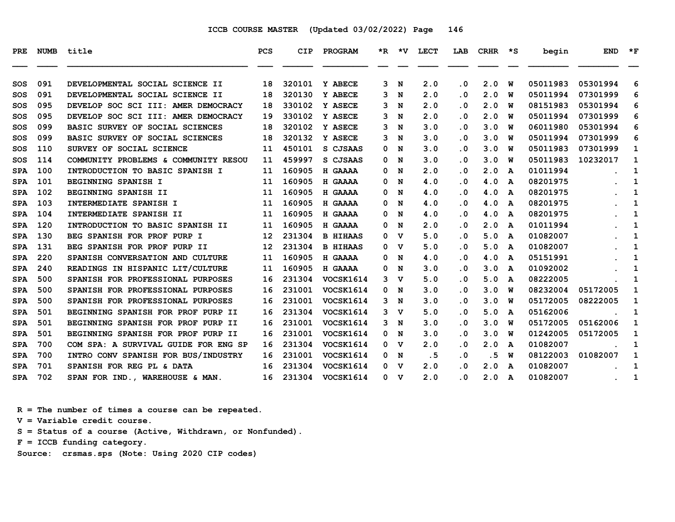| PRE        |     | NUMB title                           | <b>PCS</b>      | <b>CIP</b> | PROGRAM          |                | *R *V LECT |                         | LAB CRHR *S |                         | begin    | <b>END</b> | $\star$ F    |
|------------|-----|--------------------------------------|-----------------|------------|------------------|----------------|------------|-------------------------|-------------|-------------------------|----------|------------|--------------|
| SOS        | 091 | DEVELOPMENTAL SOCIAL SCIENCE II      | 18              | 320101     | Y ABECE          | 3 N            | 2.0        | $\cdot$ 0               | 2.0         | W                       | 05011983 | 05301994   | 6            |
| SOS        | 091 | DEVELOPMENTAL SOCIAL SCIENCE II      | 18              | 320130     | Y ABECE          | 3 <sub>N</sub> | 2.0        | $\cdot$ 0               | 2.0         | W                       | 05011994 | 07301999   | 6            |
| SOS        | 095 | DEVELOP SOC SCI III: AMER DEMOCRACY  | 18              | 330102     | Y ASECE          | 3 N            | 2.0        | $\cdot$ 0               | 2.0         | W                       | 08151983 | 05301994   | 6            |
| SOS        | 095 | DEVELOP SOC SCI III: AMER DEMOCRACY  | 19              | 330102     | Y ASECE          | 3 N            | 2.0        | $\cdot$ 0               | 2.0         | W                       | 05011994 | 07301999   | 6            |
| SOS        | 099 | BASIC SURVEY OF SOCIAL SCIENCES      | 18              | 320102     | <b>Y ASECE</b>   | 3 <sub>N</sub> | 3.0        | $\cdot$ 0               | 3.0         | W                       | 06011980 | 05301994   | 6            |
| SOS        | 099 | BASIC SURVEY OF SOCIAL SCIENCES      | 18              | 320132     | Y ASECE          | 3 <sub>N</sub> | 3.0        | $\cdot$ 0               | 3.0         | w                       | 05011994 | 07301999   | 6            |
| SOS        | 110 | SURVEY OF SOCIAL SCIENCE             | 11              | 450101     | S CJSAAS         | 0 N            | 3.0        | $\cdot$ 0               | 3.0         | W                       | 05011983 | 07301999   | 1            |
| SOS        | 114 | COMMUNITY PROBLEMS & COMMUNITY RESOU | 11              | 459997     | S CJSAAS         | 0 N            | 3.0        | $\cdot$ 0               | 3.0         | w                       | 05011983 | 10232017   | 1            |
| <b>SPA</b> | 100 | INTRODUCTION TO BASIC SPANISH I      | 11              | 160905     | H GAAAA          | 0 N            | 2.0        | $\cdot$ 0               | 2.0         | A                       | 01011994 |            | 1            |
| <b>SPA</b> | 101 | BEGINNING SPANISH I                  | 11              | 160905     | H GAAAA          | 0 N            | 4.0        | $\cdot$ 0               | 4.0         | A                       | 08201975 |            | 1            |
| <b>SPA</b> | 102 | BEGINNING SPANISH II                 | 11              | 160905     | H GAAAA          | 0 <sub>M</sub> | 4.0        | $\cdot$ 0               | 4.0         | A                       | 08201975 |            | $\mathbf{1}$ |
| <b>SPA</b> | 103 | INTERMEDIATE SPANISH I               | 11              | 160905     | H GAAAA          | 0 N            | 4.0        | $\cdot$ 0               | 4.0         | A                       | 08201975 |            | 1            |
| <b>SPA</b> | 104 | INTERMEDIATE SPANISH II              | 11              | 160905     | H GAAAA          | 0 N            | 4.0        | $\cdot$ 0               | 4.0         | A                       | 08201975 |            | 1            |
| <b>SPA</b> | 120 | INTRODUCTION TO BASIC SPANISH II     | 11              | 160905     | H GAAAA          | 0 <sub>M</sub> | 2.0        | $\cdot$ 0               | 2.0         | A                       | 01011994 |            | 1            |
| <b>SPA</b> | 130 | BEG SPANISH FOR PROF PURP I          | 12 <sup>°</sup> | 231304     | <b>B HIHAAS</b>  | 0 <sub>v</sub> | 5.0        | $\cdot$ 0               | 5.0         | A                       | 01082007 |            | 1            |
| <b>SPA</b> | 131 | BEG SPANISH FOR PROF PURP II         | 12 <sup>°</sup> | 231304     | <b>B HIHAAS</b>  | $0 \quad V$    | 5.0        | $\cdot$ 0               | 5.0         | A                       | 01082007 |            | 1            |
| <b>SPA</b> | 220 | SPANISH CONVERSATION AND CULTURE     | 11              | 160905     | H GAAAA          | 0 N            | 4.0        | $\cdot$ 0               | 4.0         | A                       | 05151991 |            | 1            |
| <b>SPA</b> | 240 | READINGS IN HISPANIC LIT/CULTURE     | 11              | 160905     | <b>H GAAAA</b>   | 0 N            | 3.0        | $\cdot$ 0               | 3.0         | A                       | 01092002 |            | 1            |
| <b>SPA</b> | 500 | SPANISH FOR PROFESSIONAL PURPOSES    | 16              | 231304     | <b>VOCSK1614</b> | $3 \mathrm{V}$ | 5.0        | $\cdot$ 0               | 5.0         | A                       | 08222005 |            | 1            |
| <b>SPA</b> | 500 | SPANISH FOR PROFESSIONAL PURPOSES    | 16              | 231001     | VOCSK1614        | 0 N            | 3.0        | $\cdot$ 0               | 3.0         | W                       | 08232004 | 05172005   | 1            |
| <b>SPA</b> | 500 | SPANISH FOR PROFESSIONAL PURPOSES    | 16              | 231001     | <b>VOCSK1614</b> | 3 N            | 3.0        | $\cdot$ 0               | 3.0         | W                       | 05172005 | 08222005   | 1            |
| <b>SPA</b> | 501 | BEGINNING SPANISH FOR PROF PURP II   | 16              | 231304     | <b>VOCSK1614</b> | $3 \mathrm{V}$ | 5.0        | $\cdot$ 0               | 5.0         | A                       | 05162006 |            | 1            |
| <b>SPA</b> | 501 | BEGINNING SPANISH FOR PROF PURP II   | 16              | 231001     | <b>VOCSK1614</b> | 3 N            | 3.0        | $\cdot$ 0               | 3.0         | W                       | 05172005 | 05162006   | 1            |
| <b>SPA</b> | 501 | BEGINNING SPANISH FOR PROF PURP II   | 16              | 231001     | <b>VOCSK1614</b> | 0 N            | 3.0        | $\cdot$ 0               | 3.0         | W                       | 01242005 | 05172005   | 1            |
| <b>SPA</b> | 700 | COM SPA: A SURVIVAL GUIDE FOR ENG SP | 16              | 231304     | <b>VOCSK1614</b> | 0 <sub>v</sub> | 2.0        | $\cdot$ 0               | 2.0         | A                       | 01082007 |            | 1            |
| <b>SPA</b> | 700 | INTRO CONV SPANISH FOR BUS/INDUSTRY  | 16              | 231001     | VOCSK1614        | 0 N            | .5         | $\cdot$ 0               | .5          | W                       | 08122003 | 01082007   | 1            |
| <b>SPA</b> | 701 | SPANISH FOR REG PL & DATA            | 16              | 231304     | <b>VOCSK1614</b> | 0 <sub>v</sub> | 2.0        | $\cdot$ 0               | 2.0         | $\overline{\mathbf{A}}$ | 01082007 |            | 1            |
| <b>SPA</b> | 702 | SPAN FOR IND., WAREHOUSE & MAN.      |                 | 16 231304  | <b>VOCSK1614</b> | 0 <sub>v</sub> | 2.0        | $\overline{\mathbf{0}}$ | 2.0 A       |                         | 01082007 |            | 1            |

 **R = The number of times a course can be repeated.**

 **V = Variable credit course.**

 **S = Status of a course (Active, Withdrawn, or Nonfunded).**

 **F = ICCB funding category.**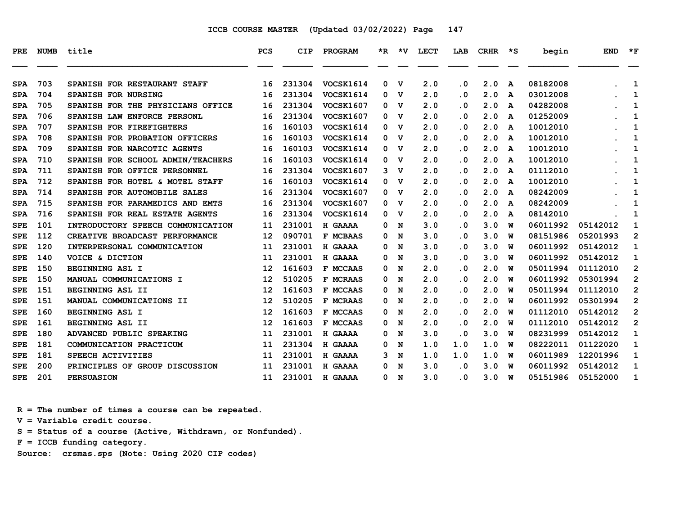| PRE        | <b>NUMB</b> | title                             | <b>PCS</b> | CIP    | PROGRAM          | $*_{\mathbf{R}}$ | ∗v | <b>LECT</b> | LAB                     | <b>CRHR</b> | ∗s | begin    | <b>END</b> | $*_{\mathbf{F}}$ |
|------------|-------------|-----------------------------------|------------|--------|------------------|------------------|----|-------------|-------------------------|-------------|----|----------|------------|------------------|
| <b>SPA</b> | 703         | SPANISH FOR RESTAURANT STAFF      | 16         | 231304 | VOCSK1614        | 0                | v  | 2.0         | $\overline{\mathbf{0}}$ | 2.0         | A  | 08182008 |            | 1                |
| <b>SPA</b> | 704         | <b>SPANISH FOR NURSING</b>        | 16         | 231304 | VOCSK1614        | 0                | v  | 2.0         | . 0                     | 2.0         | A  | 03012008 |            | 1                |
| <b>SPA</b> | 705         | SPANISH FOR THE PHYSICIANS OFFICE | 16         | 231304 | VOCSK1607        | 0                | v  | 2.0         | . 0                     | 2.0         | A  | 04282008 |            | 1                |
| <b>SPA</b> | 706         | SPANISH LAW ENFORCE PERSONL       | 16         | 231304 | <b>VOCSK1607</b> | 0                | v  | 2.0         | . 0                     | 2.0         | A  | 01252009 |            | 1                |
| <b>SPA</b> | 707         | SPANISH FOR FIREFIGHTERS          | 16         | 160103 | VOCSK1614        | 0                | v  | 2.0         | $\overline{\mathbf{0}}$ | 2.0         | A  | 10012010 |            | 1                |
| <b>SPA</b> | 708         | SPANISH FOR PROBATION OFFICERS    | 16         | 160103 | VOCSK1614        | 0                | v  | 2.0         | . 0                     | 2.0         | A  | 10012010 |            | 1                |
| <b>SPA</b> | 709         | SPANISH FOR NARCOTIC AGENTS       | 16         | 160103 | VOCSK1614        | 0                | v  | 2.0         | $\overline{\mathbf{0}}$ | 2.0         | A  | 10012010 |            | 1                |
| <b>SPA</b> | 710         | SPANISH FOR SCHOOL ADMIN/TEACHERS | 16         | 160103 | <b>VOCSK1614</b> | 0                | v  | 2.0         | . 0                     | 2.0         | A  | 10012010 |            | 1                |
| <b>SPA</b> | 711         | SPANISH FOR OFFICE PERSONNEL      | 16         | 231304 | VOCSK1607        | 3                | v  | 2.0         | . 0                     | 2.0         | A  | 01112010 |            | 1                |
| <b>SPA</b> | 712         | SPANISH FOR HOTEL & MOTEL STAFF   | 16         | 160103 | VOCSK1614        | 0                | v  | 2.0         | $\overline{\mathbf{0}}$ | 2.0         | A  | 10012010 |            | 1                |
| <b>SPA</b> | 714         | SPANISH FOR AUTOMOBILE SALES      | 16         | 231304 | <b>VOCSK1607</b> | 0                | v  | 2.0         | . 0                     | 2.0         | A  | 08242009 |            | 1                |
| <b>SPA</b> | 715         | SPANISH FOR PARAMEDICS AND EMTS   | 16         | 231304 | <b>VOCSK1607</b> | 0                | v  | 2.0         | $\cdot$ 0               | 2.0         | A  | 08242009 |            | $\mathbf{1}$     |
| <b>SPA</b> | 716         | SPANISH FOR REAL ESTATE AGENTS    | 16         | 231304 | VOCSK1614        | 0                | v  | 2.0         | . 0                     | 2.0         | A  | 08142010 |            | 1                |
| <b>SPE</b> | 101         | INTRODUCTORY SPEECH COMMUNICATION | 11         | 231001 | H GAAAA          | 0                | N  | 3.0         | $\overline{\mathbf{0}}$ | 3.0         | W  | 06011992 | 05142012   | 1                |
| <b>SPE</b> | 112         | CREATIVE BROADCAST PERFORMANCE    | 12         | 090701 | <b>F MCBAAS</b>  | 0                | N  | 3.0         | . 0                     | 3.0         | w  | 08151986 | 05201993   | $\overline{2}$   |
| <b>SPE</b> | 120         | INTERPERSONAL COMMUNICATION       | 11         | 231001 | H GAAAA          | 0                | N  | 3.0         | . 0                     | 3.0         | W  | 06011992 | 05142012   | 1                |
| <b>SPE</b> | 140         | VOICE & DICTION                   | 11         | 231001 | H GAAAA          | 0                | N  | 3.0         | . 0                     | 3.0         | W  | 06011992 | 05142012   | 1                |
| <b>SPE</b> | 150         | BEGINNING ASL I                   | 12         | 161603 | F MCCAAS         | 0                | N  | 2.0         | . 0                     | 2.0         | W  | 05011994 | 01112010   | $\overline{2}$   |
| <b>SPE</b> | 150         | MANUAL COMMUNICATIONS I           | 12         | 510205 | F MCRAAS         | 0                | N  | 2.0         | . 0                     | 2.0         | พ  | 06011992 | 05301994   | $\mathbf{2}$     |
| <b>SPE</b> | 151         | BEGINNING ASL II                  | 12         | 161603 | F MCCAAS         | 0                | N  | 2.0         | $\overline{\mathbf{0}}$ | 2.0         | W  | 05011994 | 01112010   | $\overline{2}$   |
| <b>SPE</b> | 151         | MANUAL COMMUNICATIONS II          | 12         | 510205 | <b>F MCRAAS</b>  | 0                | N  | 2.0         | $\cdot$ 0               | 2.0         | W  | 06011992 | 05301994   | $\overline{2}$   |
| <b>SPE</b> | 160         | BEGINNING ASL I                   | 12         | 161603 | F MCCAAS         | 0                | N  | 2.0         | $\overline{\mathbf{0}}$ | 2.0         | W  | 01112010 | 05142012   | $\overline{2}$   |
| <b>SPE</b> | 161         | BEGINNING ASL II                  | 12         | 161603 | F MCCAAS         | 0                | N  | 2.0         | . 0                     | 2.0         | W  | 01112010 | 05142012   | $\overline{2}$   |
| <b>SPE</b> | 180         | ADVANCED PUBLIC SPEAKING          | 11         | 231001 | H GAAAA          | 0                | N  | 3.0         | . 0                     | 3.0         | พ  | 08231999 | 05142012   | $\mathbf{1}$     |
| <b>SPE</b> | 181         | COMMUNICATION PRACTICUM           | 11         | 231304 | H GAAAA          | 0                | N  | 1.0         | 1.0                     | 1.0         | w  | 08222011 | 01122020   | 1                |
| <b>SPE</b> | 181         | SPEECH ACTIVITIES                 | 11         | 231001 | H GAAAA          | 3                | N  | 1.0         | 1.0                     | 1.0         | w  | 06011989 | 12201996   | 1                |
| <b>SPE</b> | 200         | PRINCIPLES OF GROUP DISCUSSION    | 11         | 231001 | H GAAAA          | 0                | N  | 3.0         | $\overline{\mathbf{0}}$ | 3.0         | W  | 06011992 | 05142012   | 1                |
| <b>SPE</b> | 201         | <b>PERSUASION</b>                 | 11         | 231001 | H GAAAA          | 0                | N  | 3.0         | . 0                     | 3.0         | W  | 05151986 | 05152000   | 1                |

 **R = The number of times a course can be repeated.**

 **V = Variable credit course.**

 **S = Status of a course (Active, Withdrawn, or Nonfunded).**

 **F = ICCB funding category.**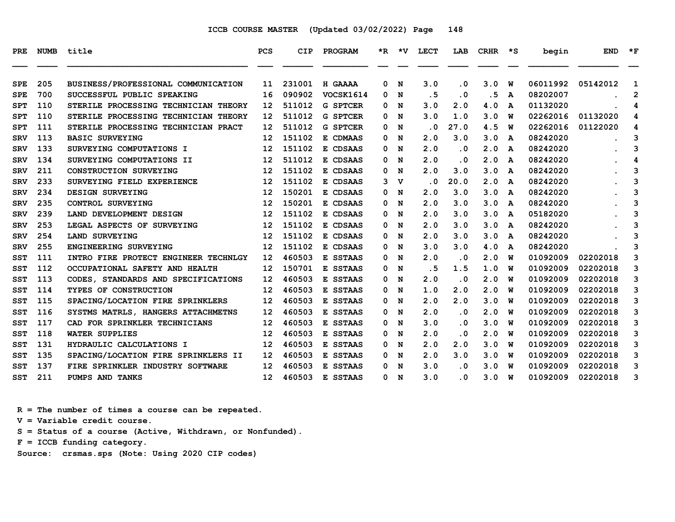| <b>PRE</b> | <b>NUMB</b> | title                                | <b>PCS</b> | CIP    | PROGRAM         | $*_{\mathbb{R}}$ | ∗v | <b>LECT</b> | LAB                     | <b>CRHR</b> | ∗s | begin    | <b>END</b> | $*_{\mathbf{F}}$ |
|------------|-------------|--------------------------------------|------------|--------|-----------------|------------------|----|-------------|-------------------------|-------------|----|----------|------------|------------------|
| <b>SPE</b> | 205         | BUSINESS/PROFESSIONAL COMMUNICATION  | 11         | 231001 | H GAAAA         | 0                | N  | 3.0         | . 0                     | 3.0         | W  | 06011992 | 05142012   | 1                |
| <b>SPE</b> | 700         | SUCCESSFUL PUBLIC SPEAKING           | 16         | 090902 | VOCSK1614       | 0                | N  | .5          | $\cdot$ 0               | . 5         | A  | 08202007 |            | $\mathbf{2}$     |
| <b>SPT</b> | 110         | STERILE PROCESSING TECHNICIAN THEORY | 12         | 511012 | <b>G SPTCER</b> | 0                | N  | 3.0         | 2.0                     | 4.0         | A  | 01132020 |            | 4                |
| <b>SPT</b> | 110         | STERILE PROCESSING TECHNICIAN THEORY | 12         | 511012 | <b>G SPTCER</b> | 0                | N  | 3.0         | 1.0                     | 3.0         | พ  | 02262016 | 01132020   | 4                |
| <b>SPT</b> | 111         | STERILE PROCESSING TECHNICIAN PRACT  | 12         | 511012 | <b>G SPTCER</b> | 0                | N  | . 0         | 27.0                    | 4.5         | w  | 02262016 | 01122020   | 4                |
| <b>SRV</b> | 113         | <b>BASIC SURVEYING</b>               | 12         | 151102 | E CDMAAS        | 0                | N  | 2.0         | 3.0                     | 3.0         | A  | 08242020 |            | 3                |
| <b>SRV</b> | 133         | SURVEYING COMPUTATIONS I             | 12         | 151102 | E CDSAAS        | 0                | N  | 2.0         | . 0                     | 2.0         | A  | 08242020 |            | 3                |
| <b>SRV</b> | 134         | SURVEYING COMPUTATIONS II            | 12         | 511012 | E CDSAAS        | 0                | N  | 2.0         | $\overline{\mathbf{0}}$ | 2.0         | A  | 08242020 |            | 4                |
| <b>SRV</b> | 211         | <b>CONSTRUCTION SURVEYING</b>        | 12         | 151102 | E CDSAAS        | 0                | N  | 2.0         | 3.0                     | 3.0         | A  | 08242020 |            | 3                |
| <b>SRV</b> | 233         | SURVEYING FIELD EXPERIENCE           | 12         | 151102 | E CDSAAS        | 3                | v  | $\cdot$ 0   | 20.0                    | 2.0         | A  | 08242020 |            | 3                |
| <b>SRV</b> | 234         | DESIGN SURVEYING                     | 12         | 150201 | E CDSAAS        | 0                | N  | 2.0         | 3.0                     | 3.0         | A  | 08242020 |            | 3                |
| <b>SRV</b> | 235         | <b>CONTROL SURVEYING</b>             | 12         | 150201 | E CDSAAS        | 0                | N  | 2.0         | 3.0                     | 3.0         | A  | 08242020 |            | 3                |
| <b>SRV</b> | 239         | LAND DEVELOPMENT DESIGN              | 12         | 151102 | E CDSAAS        | 0                | N  | 2.0         | 3.0                     | 3.0         | A  | 05182020 |            | 3                |
| <b>SRV</b> | 253         | LEGAL ASPECTS OF SURVEYING           | 12         | 151102 | E CDSAAS        | 0                | N  | 2.0         | 3.0                     | 3.0         | A  | 08242020 |            | 3                |
| <b>SRV</b> | 254         | LAND SURVEYING                       | 12         | 151102 | E CDSAAS        | 0                | N  | 2.0         | 3.0                     | 3.0         | A  | 08242020 |            | 3                |
| <b>SRV</b> | 255         | ENGINEERING SURVEYING                | 12         | 151102 | E CDSAAS        | 0                | N  | 3.0         | 3.0                     | 4.0         | A  | 08242020 |            | 3                |
| SST        | 111         | INTRO FIRE PROTECT ENGINEER TECHNLGY | 12         | 460503 | E SSTAAS        | 0                | N  | 2.0         | $\cdot$ 0               | 2.0         | W  | 01092009 | 02202018   | 3                |
| SST        | 112         | OCCUPATIONAL SAFETY AND HEALTH       | 12         | 150701 | E SSTAAS        | 0                | N  | .5          | 1.5                     | 1.0         | W  | 01092009 | 02202018   | 3                |
| SST        | 113         | CODES, STANDARDS AND SPECIFICATIONS  | 12         | 460503 | E SSTAAS        | 0                | N  | 2.0         | $\cdot$ 0               | 2.0         | พ  | 01092009 | 02202018   | 3                |
| SST        | 114         | TYPES OF CONSTRUCTION                | 12         | 460503 | E SSTAAS        | 0                | N  | 1.0         | 2.0                     | 2.0         | W  | 01092009 | 02202018   | 3                |
| SST        | 115         | SPACING/LOCATION FIRE SPRINKLERS     | 12         | 460503 | E SSTAAS        | 0                | N  | 2.0         | 2.0                     | 3.0         | W  | 01092009 | 02202018   | 3                |
| SST        | 116         | SYSTMS MATRLS, HANGERS ATTACHMETNS   | 12         | 460503 | E SSTAAS        | 0                | N  | 2.0         | . 0                     | 2.0         | w  | 01092009 | 02202018   | 3                |
| SST        | 117         | CAD FOR SPRINKLER TECHNICIANS        | 12         | 460503 | E SSTAAS        | 0                | N  | 3.0         | . 0                     | 3.0         | W  | 01092009 | 02202018   | 3                |
| SST        | 118         | <b>WATER SUPPLIES</b>                | 12         | 460503 | E SSTAAS        | 0                | N  | 2.0         | . 0                     | 2.0         | W  | 01092009 | 02202018   | 3                |
| SST        | 131         | HYDRAULIC CALCULATIONS I             | 12         | 460503 | E SSTAAS        | 0                | N  | 2.0         | 2.0                     | 3.0         | พ  | 01092009 | 02202018   | 3                |
| SST        | 135         | SPACING/LOCATION FIRE SPRINKLERS II  | 12         | 460503 | E SSTAAS        | 0                | N  | 2.0         | 3.0                     | 3.0         | W  | 01092009 | 02202018   | 3                |
| <b>SST</b> | 137         | FIRE SPRINKLER INDUSTRY SOFTWARE     | 12         | 460503 | E SSTAAS        | 0                | N  | 3.0         | . 0                     | 3.0         | W  | 01092009 | 02202018   | 3                |
| SST        | 211         | PUMPS AND TANKS                      | 12         | 460503 | E SSTAAS        | 0                | N  | 3.0         | . 0                     | 3.0         | พ  | 01092009 | 02202018   | 3                |

 **R = The number of times a course can be repeated.**

 **V = Variable credit course.**

 **S = Status of a course (Active, Withdrawn, or Nonfunded).**

 **F = ICCB funding category.**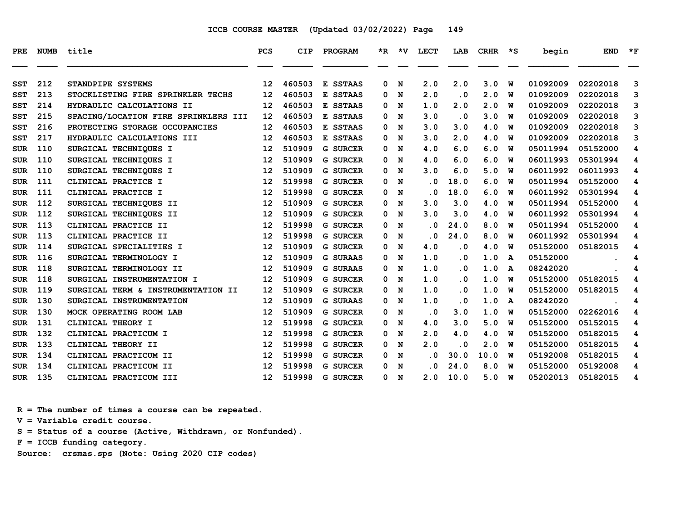| PRE        | NUMB | title                                    | <b>PCS</b>      | CIP    | <b>PROGRAM</b>  |   | *R *V | LECT                    | LAB                     | CRHR | ∗s           | begin    | <b>END</b> | $*_{\mathbf{F}}$ |
|------------|------|------------------------------------------|-----------------|--------|-----------------|---|-------|-------------------------|-------------------------|------|--------------|----------|------------|------------------|
| <b>SST</b> | 212  | STANDPIPE SYSTEMS                        | 12              | 460503 | E SSTAAS        | 0 | N     | 2.0                     | 2.0                     | 3.0  | W            | 01092009 | 02202018   | 3                |
| <b>SST</b> | 213  | <b>STOCKLISTING FIRE SPRINKLER TECHS</b> | 12              | 460503 | E SSTAAS        | 0 | N     | 2.0                     | $\overline{\mathbf{0}}$ | 2.0  | w            | 01092009 | 02202018   | 3                |
| SST        | 214  | HYDRAULIC CALCULATIONS II                | 12              | 460503 | E SSTAAS        | 0 | N     | 1.0                     | 2.0                     | 2.0  | W            | 01092009 | 02202018   | 3                |
| SST        | 215  | SPACING/LOCATION FIRE SPRINKLERS III     | 12              | 460503 | E SSTAAS        | 0 | N     | 3.0                     | $\cdot$ 0               | 3.0  | w            | 01092009 | 02202018   | 3                |
| <b>SST</b> | 216  | PROTECTING STORAGE OCCUPANCIES           | 12              | 460503 | E SSTAAS        | 0 | N     | 3.0                     | 3.0                     | 4.0  | W            | 01092009 | 02202018   | 3                |
| <b>SST</b> | 217  | HYDRAULIC CALCULATIONS III               | 12              | 460503 | E SSTAAS        | 0 | N     | 3.0                     | 2.0                     | 4.0  | W            | 01092009 | 02202018   | 3                |
| <b>SUR</b> | 110  | SURGICAL TECHNIQUES I                    | 12              | 510909 | <b>G SURCER</b> | 0 | N     | 4.0                     | 6.0                     | 6.0  | w            | 05011994 | 05152000   | 4                |
| <b>SUR</b> | 110  | SURGICAL TECHNIQUES I                    | 12              | 510909 | <b>G SURCER</b> | 0 | N     | 4.0                     | 6.0                     | 6.0  | W            | 06011993 | 05301994   | 4                |
| <b>SUR</b> | 110  | SURGICAL TECHNIQUES I                    | 12              | 510909 | <b>G SURCER</b> | 0 | N     | 3.0                     | 6.0                     | 5.0  | พ            | 06011992 | 06011993   | 4                |
| <b>SUR</b> | 111  | CLINICAL PRACTICE I                      | 12              | 519998 | <b>G SURCER</b> | 0 | N     | . 0                     | 18.0                    | 6.0  | W            | 05011994 | 05152000   | 4                |
| <b>SUR</b> | 111  | CLINICAL PRACTICE I                      | 12              | 519998 | <b>G SURCER</b> | 0 | N     | . 0                     | 18.0                    | 6.0  | w            | 06011992 | 05301994   | 4                |
| <b>SUR</b> | 112  | SURGICAL TECHNIQUES II                   | 12              | 510909 | <b>G SURCER</b> | 0 | N     | 3.0                     | 3.0                     | 4.0  | พ            | 05011994 | 05152000   | 4                |
| <b>SUR</b> | 112  | SURGICAL TECHNIQUES II                   | 12              | 510909 | <b>G SURCER</b> | 0 | N     | 3.0                     | 3.0                     | 4.0  | W            | 06011992 | 05301994   | 4                |
| <b>SUR</b> | 113  | CLINICAL PRACTICE II                     | 12              | 519998 | <b>G SURCER</b> | 0 | N     | $\overline{\mathbf{0}}$ | 24.0                    | 8.0  | พ            | 05011994 | 05152000   | 4                |
| <b>SUR</b> | 113  | CLINICAL PRACTICE II                     | 12              | 519998 | <b>G SURCER</b> | 0 | N     | . 0                     | 24.0                    | 8.0  | W            | 06011992 | 05301994   | 4                |
| <b>SUR</b> | 114  | SURGICAL SPECIALITIES I                  | 12              | 510909 | <b>G SURCER</b> | 0 | N     | 4.0                     | . 0                     | 4.0  | w            | 05152000 | 05182015   | 4                |
| <b>SUR</b> | 116  | SURGICAL TERMINOLOGY I                   | 12              | 510909 | <b>G SURAAS</b> | 0 | N     | 1.0                     | . 0                     | 1.0  | A            | 05152000 |            | 4                |
| <b>SUR</b> | 118  | SURGICAL TERMINOLOGY II                  | 12              | 510909 | <b>G SURAAS</b> | 0 | N     | 1.0                     | $\overline{\mathbf{0}}$ | 1.0  | $\mathbf{A}$ | 08242020 |            | 4                |
| <b>SUR</b> | 118  | SURGICAL INSTRUMENTATION I               | 12              | 510909 | <b>G SURCER</b> | 0 | N     | 1.0                     | . 0                     | 1.0  | พ            | 05152000 | 05182015   | 4                |
| <b>SUR</b> | 119  | SURGICAL TERM & INSTRUMENTATION II       | 12              | 510909 | <b>G SURCER</b> | 0 | N     | 1.0                     | $\overline{\mathbf{0}}$ | 1.0  | w            | 05152000 | 05182015   | 4                |
| <b>SUR</b> | 130  | SURGICAL INSTRUMENTATION                 | 12              | 510909 | <b>G SURAAS</b> | 0 | N     | 1.0                     | . 0                     | 1.0  | A            | 08242020 |            | 4                |
| <b>SUR</b> | 130  | MOCK OPERATING ROOM LAB                  | 12              | 510909 | <b>G SURCER</b> | 0 | N     | $\cdot$ 0               | 3.0                     | 1.0  | W            | 05152000 | 02262016   | 4                |
| <b>SUR</b> | 131  | CLINICAL THEORY I                        | 12              | 519998 | <b>G SURCER</b> | 0 | N     | 4.0                     | 3.0                     | 5.0  | W            | 05152000 | 05152015   | 4                |
| <b>SUR</b> | 132  | CLINICAL PRACTICUM I                     | 12              | 519998 | <b>G SURCER</b> | 0 | N     | 2.0                     | 4.0                     | 4.0  | W            | 05152000 | 05182015   | 4                |
| <b>SUR</b> | 133  | CLINICAL THEORY II                       | 12              | 519998 | <b>G SURCER</b> | 0 | N     | 2.0                     | . 0                     | 2.0  | W            | 05152000 | 05182015   | 4                |
| <b>SUR</b> | 134  | CLINICAL PRACTICUM II                    | 12              | 519998 | <b>G SURCER</b> | 0 | N     | . 0                     | 30.0                    | 10.0 | W            | 05192008 | 05182015   | 4                |
| <b>SUR</b> | 134  | CLINICAL PRACTICUM II                    | 12              | 519998 | <b>G SURCER</b> | 0 | N     | . 0                     | 24.0                    | 8.0  | W            | 05152000 | 05192008   | 4                |
| <b>SUR</b> | 135  | CLINICAL PRACTICUM III                   | 12 <sup>2</sup> | 519998 | <b>G SURCER</b> | 0 | N     | 2.0                     | 10.0                    | 5.0  | พ            | 05202013 | 05182015   | 4                |

 **R = The number of times a course can be repeated.**

 **V = Variable credit course.**

 **S = Status of a course (Active, Withdrawn, or Nonfunded).**

 **F = ICCB funding category.**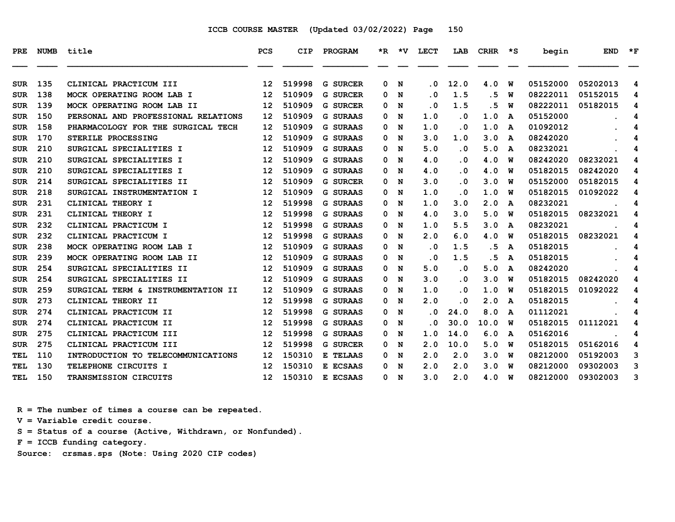| <b>PRE</b> | <b>NUMB</b> | title                               | <b>PCS</b>        | CIP    | <b>PROGRAM</b>  |   | $*R$ $*V$ | LECT | LAB       | <b>CRHR</b> | $\star$ s | begin    | <b>END</b> | $*_{\mathbf{F}}$ |
|------------|-------------|-------------------------------------|-------------------|--------|-----------------|---|-----------|------|-----------|-------------|-----------|----------|------------|------------------|
| <b>SUR</b> | 135         | CLINICAL PRACTICUM III              | 12                | 519998 | <b>G SURCER</b> | 0 | N         | . 0  | 12.0      | 4.0         | W         | 05152000 | 05202013   | 4                |
| <b>SUR</b> | 138         | MOCK OPERATING ROOM LAB I           | 12                | 510909 | <b>G SURCER</b> | 0 | N         | . 0  | 1.5       | . 5         | W         | 08222011 | 05152015   | 4                |
| <b>SUR</b> | 139         | MOCK OPERATING ROOM LAB II          | 12                | 510909 | <b>G SURCER</b> | 0 | N         | . 0  | 1.5       | . 5         | W         | 08222011 | 05182015   | 4                |
| <b>SUR</b> | 150         | PERSONAL AND PROFESSIONAL RELATIONS | $12 \overline{ }$ | 510909 | <b>G SURAAS</b> | 0 | N         | 1.0  | . 0       | 1.0         | A         | 05152000 |            | 4                |
| <b>SUR</b> | 158         | PHARMACOLOGY FOR THE SURGICAL TECH  | 12                | 510909 | <b>G SURAAS</b> | 0 | N         | 1.0  | . 0       | 1.0         | A         | 01092012 |            | 4                |
| SUR        | 170         | STERILE PROCESSING                  | 12                | 510909 | <b>G SURAAS</b> | 0 | N         | 3.0  | 1.0       | 3.0         | A         | 08242020 |            | 4                |
| <b>SUR</b> | 210         | SURGICAL SPECIALITIES I             | 12                | 510909 | <b>G SURAAS</b> | 0 | N         | 5.0  | . 0       | 5.0         | A         | 08232021 |            | 4                |
| <b>SUR</b> | 210         | SURGICAL SPECIALITIES I             | 12                | 510909 | <b>G SURAAS</b> | 0 | N         | 4.0  | . 0       | 4.0         | W         | 08242020 | 08232021   | 4                |
| <b>SUR</b> | 210         | SURGICAL SPECIALITIES I             | 12                | 510909 | <b>G SURAAS</b> | 0 | N         | 4.0  | . 0       | 4.0         | W         | 05182015 | 08242020   | 4                |
| <b>SUR</b> | 214         | SURGICAL SPECIALITIES II            | 12                | 510909 | <b>G SURCER</b> | 0 | N         | 3.0  | . 0       | 3.0         | W         | 05152000 | 05182015   | 4                |
| <b>SUR</b> | 218         | SURGICAL INSTRUMENTATION I          | 12                | 510909 | <b>G SURAAS</b> | 0 | N         | 1.0  | $\cdot$ 0 | 1.0         | ิพ        | 05182015 | 01092022   | 4                |
| <b>SUR</b> | 231         | CLINICAL THEORY I                   | 12                | 519998 | <b>G SURAAS</b> | 0 | N         | 1.0  | 3.0       | 2.0         | A         | 08232021 |            | 4                |
| <b>SUR</b> | 231         | CLINICAL THEORY I                   | 12                | 519998 | <b>G SURAAS</b> | 0 | N         | 4.0  | 3.0       | 5.0         | W         | 05182015 | 08232021   | 4                |
| <b>SUR</b> | 232         | CLINICAL PRACTICUM I                | 12                | 519998 | <b>G SURAAS</b> | 0 | N         | 1.0  | 5.5       | 3.0         | A         | 08232021 |            | 4                |
| <b>SUR</b> | 232         | CLINICAL PRACTICUM I                | 12                | 519998 | <b>G SURAAS</b> | 0 | N         | 2.0  | 6.0       | 4.0         | ิพ        | 05182015 | 08232021   | 4                |
| <b>SUR</b> | 238         | MOCK OPERATING ROOM LAB I           | 12                | 510909 | <b>G SURAAS</b> | 0 | N         | . 0  | 1.5       | . 5         | A         | 05182015 |            | 4                |
| <b>SUR</b> | 239         | MOCK OPERATING ROOM LAB II          | 12                | 510909 | <b>G SURAAS</b> | 0 | N         | . 0  | 1.5       | . 5         | A         | 05182015 |            | 4                |
| <b>SUR</b> | 254         | SURGICAL SPECIALITIES II            | 12                | 510909 | <b>G SURAAS</b> | 0 | N         | 5.0  | $\cdot$ 0 | 5.0         | A         | 08242020 |            | 4                |
| <b>SUR</b> | 254         | SURGICAL SPECIALITIES II            | 12                | 510909 | <b>G SURAAS</b> | 0 | N         | 3.0  | . 0       | 3.0         | W         | 05182015 | 08242020   | 4                |
| <b>SUR</b> | 259         | SURGICAL TERM & INSTRUMENTATION II  | 12                | 510909 | <b>G SURAAS</b> | 0 | N         | 1.0  | . 0       | 1.0         | ิพ        | 05182015 | 01092022   | 4                |
| SUR        | 273         | CLINICAL THEORY II                  | 12                | 519998 | <b>G SURAAS</b> | 0 | N         | 2.0  | . 0       | 2.0         | A         | 05182015 |            | 4                |
| <b>SUR</b> | 274         | CLINICAL PRACTICUM II               | 12                | 519998 | <b>G SURAAS</b> | 0 | N         | . 0  | 24.0      | 8.0         | A         | 01112021 |            | 4                |
| <b>SUR</b> | 274         | CLINICAL PRACTICUM II               | 12                | 519998 | <b>G SURAAS</b> | 0 | N         | . 0  | 30.0      | 10.0        | W         | 05182015 | 01112021   | 4                |
| <b>SUR</b> | 275         | CLINICAL PRACTICUM III              | $12 \overline{ }$ | 519998 | <b>G SURAAS</b> | 0 | N         | 1.0  | 14.0      | 6.0         | A         | 05162016 |            | 4                |
| <b>SUR</b> | 275         | CLINICAL PRACTICUM III              | $12 \overline{ }$ | 519998 | <b>G SURCER</b> | 0 | N         | 2.0  | 10.0      | 5.0         | ิพ        | 05182015 | 05162016   | 4                |
| TEL        | 110         | INTRODUCTION TO TELECOMMUNICATIONS  | 12                | 150310 | E TELAAS        | 0 | N         | 2.0  | 2.0       | 3.0         | ิพ        | 08212000 | 05192003   | 3                |
| <b>TEL</b> | 130         | TELEPHONE CIRCUITS I                | $12 \overline{ }$ | 150310 | E ECSAAS        | 0 | N         | 2.0  | 2.0       | 3.0         | W         | 08212000 | 09302003   | 3                |
| TEL        | 150         | TRANSMISSION CIRCUITS               | 12 <sub>1</sub>   | 150310 | E ECSAAS        | 0 | N         | 3.0  | 2.0       | 4.0 W       |           | 08212000 | 09302003   | 3                |

 **R = The number of times a course can be repeated.**

 **V = Variable credit course.**

 **S = Status of a course (Active, Withdrawn, or Nonfunded).**

 **F = ICCB funding category.**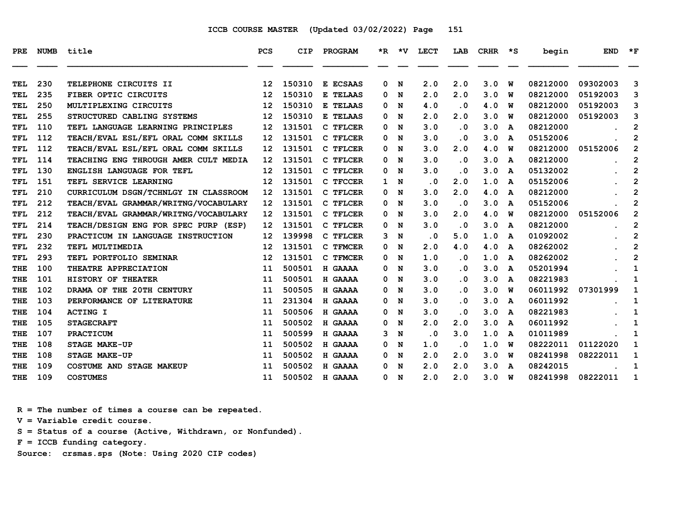| PRE               | <b>NUMB</b> | title                                | PCS      | CIP    | PROGRAM              | *R.    | ∗v     | <b>LECT</b> | LAB       | <b>CRHR</b> | *S.                     | begin    | <b>END</b> | $\star$ F      |
|-------------------|-------------|--------------------------------------|----------|--------|----------------------|--------|--------|-------------|-----------|-------------|-------------------------|----------|------------|----------------|
| <b>TEL</b>        | 230         | TELEPHONE CIRCUITS II                | 12       | 150310 | E ECSAAS             | 0      |        | 2.0         | 2.0       | 3.0         | W                       | 08212000 | 09302003   | 3              |
| <b>TEL</b>        | 235         | FIBER OPTIC CIRCUITS                 | 12       | 150310 | E TELAAS             | 0      | N<br>N | 2.0         | 2.0       | 3.0         | W                       | 08212000 | 05192003   | 3              |
| <b>TEL</b>        | 250         | MULTIPLEXING CIRCUITS                | 12       | 150310 | E TELAAS             | 0      | N      | 4.0         | . 0       | 4.0         | W                       | 08212000 | 05192003   | 3              |
| TEL               | 255         | STRUCTURED CABLING SYSTEMS           | 12       | 150310 | E TELAAS             | 0      | N      | 2.0         | 2.0       | 3.0         | พ                       | 08212000 | 05192003   | 3              |
| TFL               | 110         | TEFL LANGUAGE LEARNING PRINCIPLES    | 12       | 131501 | C TFLCER             | 0      | N      | 3.0         | . 0       | 3.0         | A                       | 08212000 |            | 2              |
|                   | 112         | TEACH/EVAL ESL/EFL ORAL COMM SKILLS  |          | 131501 | C TFLCER             | 0      |        | 3.0         | . 0       | 3.0         |                         | 05152006 |            | 2              |
| TFL<br>TFL        | 112         | TEACH/EVAL ESL/EFL ORAL COMM SKILLS  | 12<br>12 | 131501 | C TFLCER             | 0      | N<br>N | 3.0         | 2.0       | 4.0         | A<br>พ                  | 08212000 | 05152006   |                |
| <b>TFL</b>        | 114         | TEACHING ENG THROUGH AMER CULT MEDIA | 12       | 131501 | C TFLCER             | 0      | N      | 3.0         | $\cdot$ 0 | 3.0         | A                       | 08212000 |            | 2<br>2         |
| TFL               | 130         | ENGLISH LANGUAGE FOR TEFL            | 12       | 131501 | C TFLCER             | 0      | N      | 3.0         | . 0       | 3.0         |                         | 05132002 |            | $\mathbf{2}$   |
| <b>TFL</b>        | 151         | TEFL SERVICE LEARNING                | 12       | 131501 | C TFCCER             |        | N      | $\cdot$ 0   | 2.0       | 1.0         | A<br>$\mathbf{A}$       | 05152006 |            | 2              |
|                   | 210         | CURRICULUM DSGN/TCHNLGY IN CLASSROOM | 12       | 131501 |                      | 1<br>0 | N      | 3.0         | 2.0       | 4.0         |                         | 08212000 |            | 2              |
| TFL<br><b>TFL</b> | 212         | TEACH/EVAL GRAMMAR/WRITNG/VOCABULARY | 12       | 131501 | C TFLCER<br>C TFLCER | 0      | N      | 3.0         | $\cdot$ 0 | 3.0         | A<br>A                  | 05152006 |            | $\overline{2}$ |
| <b>TFL</b>        | 212         | TEACH/EVAL GRAMMAR/WRITNG/VOCABULARY | 12       | 131501 | C TFLCER             | 0      | N      | 3.0         | 2.0       | 4.0         | พ                       | 08212000 | 05152006   | $\overline{2}$ |
| TFL               | 214         | TEACH/DESIGN ENG FOR SPEC PURP (ESP) | 12       | 131501 | C TFLCER             | 0      | N      | 3.0         | $\cdot$ 0 | 3.0         | A                       | 08212000 |            | 2              |
| <b>TFL</b>        | 230         | PRACTICUM IN LANGUAGE INSTRUCTION    | 12       | 139998 | C TFLCER             | 3      | N      | $\cdot$ 0   | 5.0       | 1.0         | A                       | 01092002 |            | 2              |
| <b>TFL</b>        | 232         | TEFL MULTIMEDIA                      | 12       | 131501 | C TFMCER             | 0      | N      | 2.0         | 4.0       | 4.0         | A                       | 08262002 |            | 2              |
| <b>TFL</b>        | 293         | TEFL PORTFOLIO SEMINAR               | 12       | 131501 | C TFMCER             | 0      | N      | 1.0         | . 0       | 1.0         | A                       | 08262002 |            | $\mathbf{2}$   |
| THE               | 100         | THEATRE APPRECIATION                 | 11       | 500501 | H GAAAA              | 0      | N      | 3.0         | . 0       | 3.0         | A                       | 05201994 |            | 1              |
| THE               | 101         | HISTORY OF THEATER                   | 11       | 500501 | H GAAAA              | 0      | N      | 3.0         | $\cdot$ 0 | 3.0         | A                       | 08221983 |            | 1              |
| THE               | 102         | DRAMA OF THE 20TH CENTURY            | 11       | 500505 | H GAAAA              | 0      | N      | 3.0         | . 0       | 3.0         | พ                       | 06011992 | 07301999   | 1              |
| THE               | 103         | PERFORMANCE OF LITERATURE            | 11       | 231304 | H GAAAA              | 0      | N      | 3.0         | . 0       | 3.0         | A                       | 06011992 |            | 1              |
| THE               | 104         | <b>ACTING I</b>                      | 11       | 500506 | H GAAAA              | 0      | N      | 3.0         | . 0       | 3.0         | A                       | 08221983 |            | 1              |
| THE               | 105         | <b>STAGECRAFT</b>                    | 11       | 500502 | H GAAAA              | 0      | N      | 2.0         | 2.0       | 3.0         | $\overline{\mathbf{A}}$ | 06011992 |            | 1              |
| THE               | 107         | <b>PRACTICUM</b>                     | 11       | 500599 | H GAAAA              | з      | N      | . 0         | 3.0       | 1.0         | A                       | 01011989 |            | 1              |
| THE               | 108         | STAGE MAKE-UP                        | 11       | 500502 | H GAAAA              | 0      | N      | 1.0         | . 0       | 1.0         | w                       | 08222011 | 01122020   | 1              |
| THE               | 108         | STAGE MAKE-UP                        | 11       | 500502 | H GAAAA              | 0      | N      | 2.0         | 2.0       | 3.0         | พ                       | 08241998 | 08222011   | 1              |
| THE               | 109         | COSTUME AND STAGE MAKEUP             | 11       | 500502 | H GAAAA              | 0      | N      | 2.0         | 2.0       | 3.0         | A                       | 08242015 |            | 1              |
| THE               | 109         | <b>COSTUMES</b>                      | 11       | 500502 | H GAAAA              | 0      | N      | 2.0         | 2.0       | 3.0         | W                       | 08241998 | 08222011   | 1              |
|                   |             |                                      |          |        |                      |        |        |             |           |             |                         |          |            |                |

 **R = The number of times a course can be repeated.**

 **V = Variable credit course.**

 **S = Status of a course (Active, Withdrawn, or Nonfunded).**

 **F = ICCB funding category.**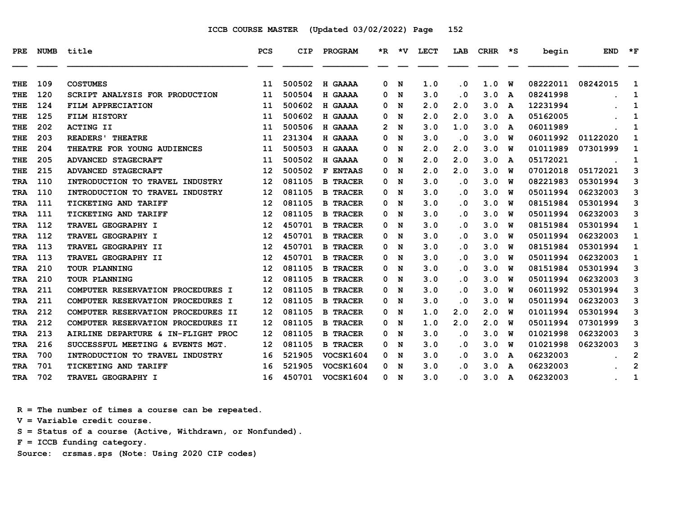| PRE.       | <b>NUMB</b> | title                              | <b>PCS</b> | <b>CIP</b> | PROGRAM          | $*_{\mathbb{R}}$ | *V | LECT | LAB                     | <b>CRHR</b> | $\star$ s | begin    | <b>END</b> | $\star$ F    |
|------------|-------------|------------------------------------|------------|------------|------------------|------------------|----|------|-------------------------|-------------|-----------|----------|------------|--------------|
| THE        | 109         | <b>COSTUMES</b>                    | 11         | 500502     | H GAAAA          | 0                | N  | 1.0  | . 0                     | 1.0         | W         | 08222011 | 08242015   | 1            |
| THE        | 120         | SCRIPT ANALYSIS FOR PRODUCTION     | 11         | 500504     | H GAAAA          | 0                | N  | 3.0  | . 0                     | 3.0         | A         | 08241998 |            | 1            |
| THE        | 124         | FILM APPRECIATION                  | 11         | 500602     | H GAAAA          | 0                | N  | 2.0  | 2.0                     | 3.0         | A         | 12231994 |            | 1            |
| THE        | 125         | FILM HISTORY                       | 11         | 500602     | H GAAAA          | 0                | N  | 2.0  | 2.0                     | 3.0         | A         | 05162005 |            | 1            |
| THE        | 202         | <b>ACTING II</b>                   | 11         | 500506     | H GAAAA          | 2                | N  | 3.0  | 1.0                     | 3.0         | A         | 06011989 |            | 1            |
| THE        | 203         | <b>READERS</b> ' THEATRE           | 11         | 231304     | H GAAAA          | 0                | N  | 3.0  | $\cdot$ 0               | 3.0         | W         | 06011992 | 01122020   | 1            |
| THE        | 204         | THEATRE FOR YOUNG AUDIENCES        | 11         | 500503     | H GAAAA          | 0                | N  | 2.0  | 2.0                     | 3.0         | w         | 01011989 | 07301999   | 1            |
| THE        | 205         | <b>ADVANCED STAGECRAFT</b>         | 11         | 500502     | H GAAAA          | 0                | N  | 2.0  | 2.0                     | 3.0         | A         | 05172021 |            | 1            |
| THE        | 215         | <b>ADVANCED STAGECRAFT</b>         | 12         | 500502     | <b>F ENTAAS</b>  | 0                | N  | 2.0  | 2.0                     | 3.0         | w         | 07012018 | 05172021   | 3            |
| <b>TRA</b> | 110         | INTRODUCTION TO TRAVEL INDUSTRY    | 12         | 081105     | <b>B TRACER</b>  | 0                | N  | 3.0  | . 0                     | 3.0         | W         | 08221983 | 05301994   | 3            |
| <b>TRA</b> | 110         | INTRODUCTION TO TRAVEL INDUSTRY    | 12         | 081105     | <b>B TRACER</b>  | 0                | N  | 3.0  | $\overline{\mathbf{0}}$ | 3.0         | W         | 05011994 | 06232003   | 3            |
| TRA        | 111         | TICKETING AND TARIFF               | 12         | 081105     | <b>B TRACER</b>  | 0                | N  | 3.0  | . 0                     | 3.0         | W         | 08151984 | 05301994   | 3            |
| TRA        | 111         | <b>TICKETING AND TARIFF</b>        | 12         | 081105     | <b>B TRACER</b>  | 0                | N  | 3.0  | . 0                     | 3.0         | w         | 05011994 | 06232003   | 3            |
| <b>TRA</b> | 112         | TRAVEL GEOGRAPHY I                 | 12         | 450701     | <b>B TRACER</b>  | 0                | N  | 3.0  | . 0                     | 3.0         | W         | 08151984 | 05301994   | 1            |
| <b>TRA</b> | 112         | TRAVEL GEOGRAPHY I                 | 12         | 450701     | <b>B TRACER</b>  | 0                | N  | 3.0  | . 0                     | 3.0         | W         | 05011994 | 06232003   | $\mathbf{1}$ |
| <b>TRA</b> | 113         | TRAVEL GEOGRAPHY II                | 12         | 450701     | <b>B TRACER</b>  | 0                | N  | 3.0  | $\overline{\mathbf{0}}$ | 3.0         | W         | 08151984 | 05301994   | 1            |
| TRA        | 113         | <b>TRAVEL GEOGRAPHY II</b>         | 12         | 450701     | <b>B TRACER</b>  | 0                | N  | 3.0  | . 0                     | 3.0         | w         | 05011994 | 06232003   | 1            |
| TRA        | 210         | TOUR PLANNING                      | 12         | 081105     | <b>B TRACER</b>  | 0                | N  | 3.0  | . 0                     | 3.0         | W         | 08151984 | 05301994   | 3            |
| <b>TRA</b> | 210         | <b>TOUR PLANNING</b>               | 12         | 081105     | <b>B TRACER</b>  | 0                | N  | 3.0  | . 0                     | 3.0         | พ         | 05011994 | 06232003   | 3            |
| <b>TRA</b> | 211         | COMPUTER RESERVATION PROCEDURES I  | 12         | 081105     | <b>B TRACER</b>  | 0                | N  | 3.0  | . 0                     | 3.0         | พ         | 06011992 | 05301994   | 3            |
| TRA        | 211         | COMPUTER RESERVATION PROCEDURES I  | 12         | 081105     | <b>B TRACER</b>  | 0                | N  | 3.0  | . 0                     | 3.0         | W         | 05011994 | 06232003   | 3            |
| TRA        | 212         | COMPUTER RESERVATION PROCEDURES II | 12         | 081105     | <b>B TRACER</b>  | 0                | N  | 1.0  | 2.0                     | 2.0         | w         | 01011994 | 05301994   | 3            |
| <b>TRA</b> | 212         | COMPUTER RESERVATION PROCEDURES II | 12         | 081105     | <b>B TRACER</b>  | 0                | N  | 1.0  | 2.0                     | 2.0         | W         | 05011994 | 07301999   | 3            |
| TRA        | 213         | AIRLINE DEPARTURE & IN-FLIGHT PROC | 12         | 081105     | <b>B TRACER</b>  | 0                | N  | 3.0  | $\overline{\mathbf{0}}$ | 3.0         | W         | 01021998 | 06232003   | 3            |
| <b>TRA</b> | 216         | SUCCESSFUL MEETING & EVENTS MGT.   | 12         | 081105     | <b>B TRACER</b>  | 0                | N  | 3.0  | $\overline{\mathbf{0}}$ | 3.0         | W         | 01021998 | 06232003   | 3            |
| <b>TRA</b> | 700         | INTRODUCTION TO TRAVEL INDUSTRY    | 16         | 521905     | VOCSK1604        | 0                | N  | 3.0  | . 0                     | 3.0         | A         | 06232003 |            | 2            |
| TRA        | 701         | TICKETING AND TARIFF               | 16         | 521905     | VOCSK1604        | 0                | N  | 3.0  | . 0                     | 3.0         | A         | 06232003 |            | $\mathbf{2}$ |
| <b>TRA</b> | 702         | TRAVEL GEOGRAPHY I                 | 16         | 450701     | <b>VOCSK1604</b> | 0 N              |    | 3.0  | $\overline{\mathbf{0}}$ | 3.0         | A         | 06232003 |            | $\mathbf{1}$ |

 **R = The number of times a course can be repeated.**

 **V = Variable credit course.**

 **S = Status of a course (Active, Withdrawn, or Nonfunded).**

 **F = ICCB funding category.**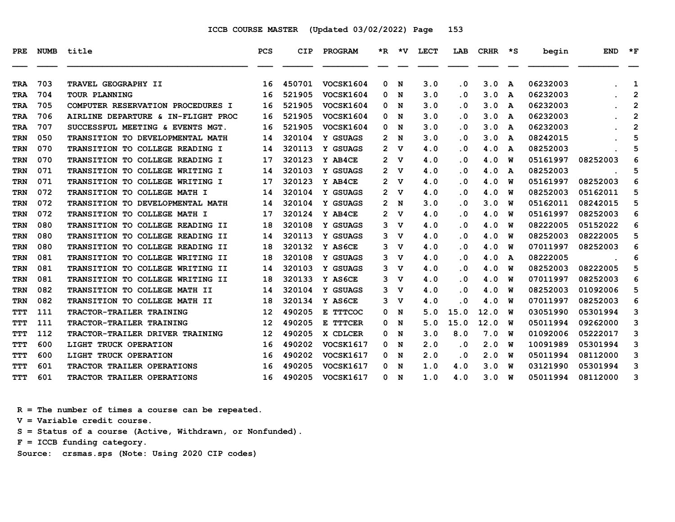| PRE        | NUMB | title                                   | <b>PCS</b> | CIP    | PROGRAM          |                       | *R *V       | LECT | LAB                     | CRHR *S |   | begin    | <b>END</b> | $*_{\mathbf{F}}$ |
|------------|------|-----------------------------------------|------------|--------|------------------|-----------------------|-------------|------|-------------------------|---------|---|----------|------------|------------------|
| <b>TRA</b> | 703  | TRAVEL GEOGRAPHY II                     | 16         | 450701 | VOCSK1604        | 0                     | N           | 3.0  | $\cdot$ 0               | 3.0     | A | 06232003 |            | 1                |
| <b>TRA</b> | 704  | TOUR PLANNING                           | 16         | 521905 | VOCSK1604        | 0                     | N           | 3.0  | $\cdot$ 0               | 3.0     | A | 06232003 |            | $\overline{2}$   |
| <b>TRA</b> | 705  | COMPUTER RESERVATION PROCEDURES I       | 16         | 521905 | VOCSK1604        | 0                     | N           | 3.0  | $\cdot$ 0               | 3.0     | A | 06232003 |            | 2                |
| <b>TRA</b> | 706  | AIRLINE DEPARTURE & IN-FLIGHT PROC      | 16         | 521905 | VOCSK1604        | 0                     | N           | 3.0  | $\cdot$ 0               | 3.0     | A | 06232003 |            | $\overline{2}$   |
| TRA        | 707  | SUCCESSFUL MEETING & EVENTS MGT.        | 16         | 521905 | VOCSK1604        | 0                     | N           | 3.0  | . 0                     | 3.0     | A | 06232003 |            | $\mathbf{2}$     |
| <b>TRN</b> | 050  | TRANSITION TO DEVELOPMENTAL MATH        | 14         | 320104 | Y GSUAGS         | $\mathbf{2}^-$        | N           | 3.0  | $\cdot$ 0               | 3.0     | A | 08242015 |            | 5                |
| <b>TRN</b> | 070  | <b>TRANSITION TO COLLEGE READING I</b>  | 14         | 320113 | Y GSUAGS         | $\mathbf{2}^-$        | v           | 4.0  | . 0                     | 4.0     | A | 08252003 |            | 5                |
| <b>TRN</b> | 070  | TRANSITION TO COLLEGE READING I         | 17         | 320123 | Y AB4CE          | $\mathbf{2}^{\prime}$ | v           | 4.0  | $\cdot$ 0               | 4.0     | W | 05161997 | 08252003   | 6                |
| <b>TRN</b> | 071  | TRANSITION TO COLLEGE WRITING I         | 14         | 320103 | Y GSUAGS         | $2 \mathrm{V}$        |             | 4.0  | $\cdot$ 0               | 4.0     | A | 08252003 |            | 5                |
| TRN        | 071  | TRANSITION TO COLLEGE WRITING I         | 17         | 320123 | Y AB4CE          | 2.                    | v           | 4.0  | . 0                     | 4.0     | W | 05161997 | 08252003   | 6                |
| <b>TRN</b> | 072  | <b>TRANSITION TO COLLEGE MATH I</b>     | 14         | 320104 | Y GSUAGS         | 2                     | v           | 4.0  | $\cdot$ 0               | 4.0     | W | 08252003 | 05162011   | 5                |
| <b>TRN</b> | 072  | <b>TRANSITION TO DEVELOPMENTAL MATH</b> | 14         | 320104 | Y GSUAGS         | $\mathbf{2}$          | N           | 3.0  | $\cdot$ 0               | 3.0     | W | 05162011 | 08242015   | 5                |
| <b>TRN</b> | 072  | TRANSITION TO COLLEGE MATH I            | 17         | 320124 | Y AB4CE          | $\mathbf{2}^{\prime}$ | v           | 4.0  | $\cdot$ 0               | 4.0     | W | 05161997 | 08252003   | 6                |
| <b>TRN</b> | 080  | TRANSITION TO COLLEGE READING II        | 18         | 320108 | Y GSUAGS         | 3                     | v           | 4.0  | . 0                     | 4.0     | W | 08222005 | 05152022   | 6                |
| TRN        | 080  | TRANSITION TO COLLEGE READING II        | 14         | 320113 | Y GSUAGS         | 3 <sub>v</sub>        |             | 4.0  | $\cdot$ 0               | 4.0     | W | 08252003 | 08222005   | 5                |
| <b>TRN</b> | 080  | TRANSITION TO COLLEGE READING II        | 18         | 320132 | Y AS6CE          | 3                     | v           | 4.0  | . 0                     | 4.0     | W | 07011997 | 08252003   | 6                |
| <b>TRN</b> | 081  | TRANSITION TO COLLEGE WRITING II        | 18         | 320108 | Y GSUAGS         | 3                     | v           | 4.0  | $\cdot$ 0               | 4.0     | A | 08222005 |            | 6                |
| TRN        | 081  | TRANSITION TO COLLEGE WRITING II        | 14         | 320103 | Y GSUAGS         | 3                     | $\mathbf v$ | 4.0  | $\cdot$ 0               | 4.0     | W | 08252003 | 08222005   | 5                |
| TRN        | 081  | TRANSITION TO COLLEGE WRITING II        | 18         | 320133 | Y AS6CE          | 3                     | v           | 4.0  | $\overline{\mathbf{0}}$ | 4.0     | W | 07011997 | 08252003   | 6                |
| <b>TRN</b> | 082  | TRANSITION TO COLLEGE MATH II           | 14         | 320104 | Y GSUAGS         | 3                     | v           | 4.0  | $\cdot$ 0               | 4.0     | W | 08252003 | 01092006   | 5                |
| <b>TRN</b> | 082  | TRANSITION TO COLLEGE MATH II           | 18         | 320134 | Y AS6CE          | 3                     | v           | 4.0  | . 0                     | 4.0     | W | 07011997 | 08252003   | 6                |
| <b>TTT</b> | 111  | TRACTOR-TRAILER TRAINING                | 12         | 490205 | E TTTCOC         | 0                     | N           | 5.0  | 15.0                    | 12.0    | W | 03051990 | 05301994   | 3                |
| TTT        | 111  | TRACTOR-TRAILER TRAINING                | 12         | 490205 | E TTTCER         | 0                     | N           | 5.0  | 15.0                    | 12.0    | W | 05011994 | 09262000   | 3                |
| <b>TTT</b> | 112  | TRACTOR-TRAILER DRIVER TRAINING         | 12         | 490205 | X CDLCER         | 0                     | N           | 3.0  | 8.0                     | 7.0     | W | 01092006 | 05222017   | 3                |
| TTT        | 600  | LIGHT TRUCK OPERATION                   | 16         | 490202 | VOCSK1617        | 0                     | N           | 2.0  | . 0                     | 2.0     | W | 10091989 | 05301994   | з                |
| TTT        | 600  | LIGHT TRUCK OPERATION                   | 16         | 490202 | VOCSK1617        | 0                     | N           | 2.0  | $\cdot$ 0               | 2.0     | W | 05011994 | 08112000   | 3                |
| <b>TTT</b> | 601  | TRACTOR TRAILER OPERATIONS              | 16         | 490205 | <b>VOCSK1617</b> | 0                     | N           | 1.0  | 4.0                     | 3.0     | W | 03121990 | 05301994   | 3                |
| TTT        | 601  | TRACTOR TRAILER OPERATIONS              | 16         | 490205 | <b>VOCSK1617</b> |                       | 0 N         | 1.0  | 4.0                     | 3.0     | W | 05011994 | 08112000   | 3                |

 **R = The number of times a course can be repeated.**

 **V = Variable credit course.**

 **S = Status of a course (Active, Withdrawn, or Nonfunded).**

 **F = ICCB funding category.**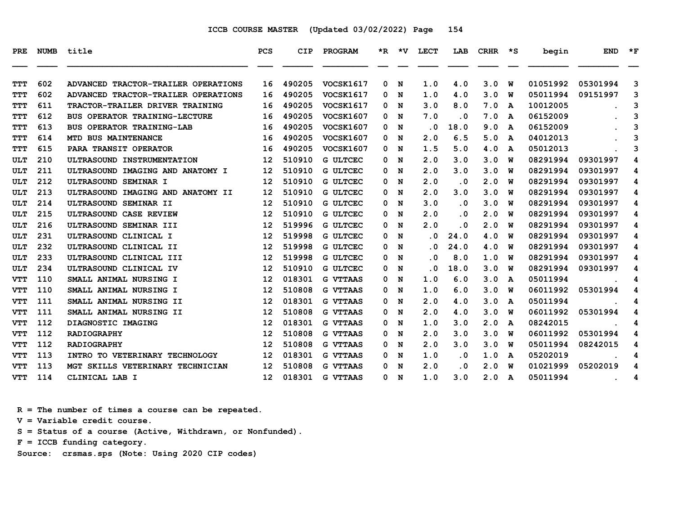| PRE.       | <b>NUMB</b> | title                                | <b>PCS</b>        | CIP    | PROGRAM          |   | $*R$ $*V$ | LECT | LAB       | CRHR | יי≭ | begin    | <b>END</b> | $*_{\mathbf{F}}$ |
|------------|-------------|--------------------------------------|-------------------|--------|------------------|---|-----------|------|-----------|------|-----|----------|------------|------------------|
|            |             |                                      |                   |        |                  |   |           |      |           |      |     |          |            |                  |
| <b>TTT</b> | 602         | ADVANCED TRACTOR-TRAILER OPERATIONS  | 16                | 490205 | <b>VOCSK1617</b> | 0 | N         | 1.0  | 4.0       | 3.0  | W   | 01051992 | 05301994   | 3                |
| <b>TTT</b> | 602         | ADVANCED TRACTOR-TRAILER OPERATIONS  | 16                | 490205 | VOCSK1617        | 0 | N         | 1.0  | 4.0       | 3.0  | w   | 05011994 | 09151997   | 3                |
| <b>TTT</b> | 611         | TRACTOR-TRAILER DRIVER TRAINING      | 16                | 490205 | <b>VOCSK1617</b> | 0 | N         | 3.0  | 8.0       | 7.0  | A   | 10012005 |            | 3                |
| TTT        | 612         | <b>BUS OPERATOR TRAINING-LECTURE</b> | 16                | 490205 | <b>VOCSK1607</b> | 0 | N         | 7.0  | . 0       | 7.0  | A   | 06152009 |            | 3                |
| TTT        | 613         | <b>BUS OPERATOR TRAINING-LAB</b>     | 16                | 490205 | <b>VOCSK1607</b> | 0 | N         | . 0  | 18.0      | 9.0  | A   | 06152009 |            | 3                |
| <b>TTT</b> | 614         | MTD BUS MAINTENANCE                  | 16                | 490205 | <b>VOCSK1607</b> | 0 | N         | 2.0  | 6.5       | 5.0  | A   | 04012013 |            | 3                |
| TTT        | 615         | PARA TRANSIT OPERATOR                | 16                | 490205 | <b>VOCSK1607</b> | 0 | N         | 1.5  | 5.0       | 4.0  | A   | 05012013 |            | 3                |
| ULT        | 210         | ULTRASOUND INSTRUMENTATION           | 12                | 510910 | <b>G ULTCEC</b>  | 0 | N         | 2.0  | 3.0       | 3.0  | W   | 08291994 | 09301997   | 4                |
| <b>ULT</b> | 211         | ULTRASOUND IMAGING AND ANATOMY I     | 12                | 510910 | <b>G ULTCEC</b>  | 0 | N         | 2.0  | 3.0       | 3.0  | W   | 08291994 | 09301997   | 4                |
| <b>ULT</b> | 212         | ULTRASOUND SEMINAR I                 | 12                | 510910 | <b>G ULTCEC</b>  | 0 | N         | 2.0  | . 0       | 2.0  | พ   | 08291994 | 09301997   | 4                |
| ULT        | 213         | ULTRASOUND IMAGING AND ANATOMY II    | 12                | 510910 | <b>G ULTCEC</b>  | 0 | N         | 2.0  | 3.0       | 3.0  | W   | 08291994 | 09301997   | 4                |
| <b>ULT</b> | 214         | ULTRASOUND SEMINAR II                | 12                | 510910 | <b>G ULTCEC</b>  | 0 | N         | 3.0  | $\cdot$ 0 | 3.0  | W   | 08291994 | 09301997   | 4                |
| ULT        | 215         | ULTRASOUND CASE REVIEW               | 12                | 510910 | G ULTCEC         | 0 | N         | 2.0  | . 0       | 2.0  | W   | 08291994 | 09301997   | 4                |
| ULT        | 216         | ULTRASOUND SEMINAR III               | 12                | 519996 | <b>G ULTCEC</b>  | 0 | N         | 2.0  | . 0       | 2.0  | W   | 08291994 | 09301997   | 4                |
| <b>ULT</b> | 231         | ULTRASOUND CLINICAL I                | 12                | 519998 | <b>G ULTCEC</b>  | 0 | N         | . 0  | 24.0      | 4.0  | พ   | 08291994 | 09301997   | 4                |
| <b>ULT</b> | 232         | ULTRASOUND CLINICAL II               | 12                | 519998 | <b>G ULTCEC</b>  | 0 | N         | . 0  | 24.0      | 4.0  | W   | 08291994 | 09301997   | 4                |
| <b>ULT</b> | 233         | ULTRASOUND CLINICAL III              | 12                | 519998 | <b>G ULTCEC</b>  | 0 | N         | . 0  | 8.0       | 1.0  | W   | 08291994 | 09301997   | 4                |
| ULT        | 234         | ULTRASOUND CLINICAL IV               | 12                | 510910 | <b>G ULTCEC</b>  | 0 | N         | . 0  | 18.0      | 3.0  | พ   | 08291994 | 09301997   | 4                |
| <b>VTT</b> | 110         | SMALL ANIMAL NURSING I               | 12                | 018301 | <b>G VTTAAS</b>  | 0 | N         | 1.0  | 6.0       | 3.0  | A   | 05011994 |            | 4                |
| <b>VTT</b> | 110         | SMALL ANIMAL NURSING I               | 12                | 510808 | <b>G VTTAAS</b>  | 0 | N         | 1.0  | 6.0       | 3.0  | W   | 06011992 | 05301994   | 4                |
| <b>VTT</b> | 111         | SMALL ANIMAL NURSING II              | 12                | 018301 | <b>G VTTAAS</b>  | 0 | N         | 2.0  | 4.0       | 3.0  | A   | 05011994 |            | 4                |
| <b>VTT</b> | 111         | SMALL ANIMAL NURSING II              | 12                | 510808 | <b>G VTTAAS</b>  | 0 | N         | 2.0  | 4.0       | 3.0  | พ   | 06011992 | 05301994   | 4                |
| <b>VTT</b> | 112         | DIAGNOSTIC IMAGING                   | 12                | 018301 | <b>G VTTAAS</b>  | 0 | N         | 1.0  | 3.0       | 2.0  | A   | 08242015 |            | 4                |
| VTT        | 112         | <b>RADIOGRAPHY</b>                   | 12                | 510808 | <b>G VTTAAS</b>  | 0 | N         | 2.0  | 3.0       | 3.0  | w   | 06011992 | 05301994   | 4                |
| <b>VTT</b> | 112         | <b>RADIOGRAPHY</b>                   | 12                | 510808 | <b>G VTTAAS</b>  | 0 | N         | 2.0  | 3.0       | 3.0  | พ   | 05011994 | 08242015   | 4                |
| <b>VTT</b> | 113         | INTRO TO VETERINARY TECHNOLOGY       | 12                | 018301 | <b>G VTTAAS</b>  | 0 | N         | 1.0  | $\cdot$ 0 | 1.0  | A   | 05202019 |            | 4                |
| VTT        | 113         | MGT SKILLS VETERINARY TECHNICIAN     | 12                | 510808 | G VTTAAS         | 0 | N         | 2.0  | . 0       | 2.0  | W   | 01021999 | 05202019   | 4                |
| <b>VTT</b> | 114         | CLINICAL LAB I                       | $12 \overline{ }$ | 018301 | <b>G VTTAAS</b>  | 0 | N         | 1.0  | 3.0       | 2.0  | A   | 05011994 |            | 4                |

 **R = The number of times a course can be repeated.**

 **V = Variable credit course.**

 **S = Status of a course (Active, Withdrawn, or Nonfunded).**

 **F = ICCB funding category.**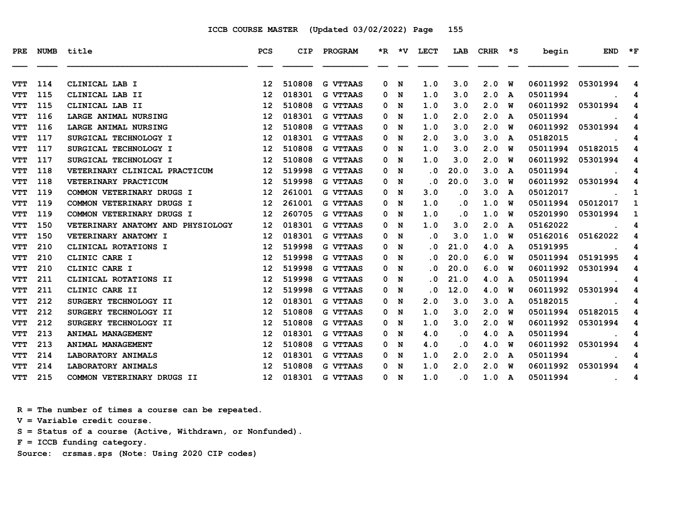| <b>PRE</b> |     | NUMB title                        | PCS               | CIP    | PROGRAM         |              |     | *R *V LECT              |           |     |              | LAB CRHR *S begin | <b>END</b>                      | $\star$ F |
|------------|-----|-----------------------------------|-------------------|--------|-----------------|--------------|-----|-------------------------|-----------|-----|--------------|-------------------|---------------------------------|-----------|
|            |     |                                   |                   |        |                 |              |     |                         |           |     |              |                   |                                 |           |
| <b>VTT</b> | 114 | CLINICAL LAB I                    | 12                | 510808 | <b>G VTTAAS</b> | 0            | N   | 1.0                     | 3.0       | 2.0 | W            | 06011992          | 05301994                        | 4         |
| <b>VTT</b> | 115 | CLINICAL LAB II                   | 12                | 018301 | <b>G VTTAAS</b> | 0            | N   | 1.0                     | 3.0       | 2.0 | A            | 05011994          |                                 | 4         |
| <b>VTT</b> | 115 | CLINICAL LAB II                   | 12                | 510808 | <b>G VTTAAS</b> | 0            | N   | 1.0                     | 3.0       | 2.0 | พ            | 06011992          | 05301994                        | 4         |
| <b>VTT</b> | 116 | LARGE ANIMAL NURSING              | 12                | 018301 | <b>G VTTAAS</b> | 0            | N   | 1.0                     | 2.0       | 2.0 | A            | 05011994          |                                 | 4         |
| <b>VTT</b> | 116 | LARGE ANIMAL NURSING              | 12                | 510808 | <b>G VTTAAS</b> | 0            | N   | 1.0                     | 3.0       | 2.0 | พ            | 06011992          | 05301994                        | 4         |
| <b>VTT</b> | 117 | SURGICAL TECHNOLOGY I             | 12 <sup>2</sup>   | 018301 | <b>G VTTAAS</b> | 0            | N   | 2.0                     | 3.0       | 3.0 | A            | 05182015          |                                 | 4         |
| <b>VTT</b> | 117 | SURGICAL TECHNOLOGY I             | 12                | 510808 | <b>G VTTAAS</b> | 0            | N   | 1.0                     | 3.0       | 2.0 | ิพ           | 05011994          | 05182015                        | 4         |
| <b>VTT</b> | 117 | SURGICAL TECHNOLOGY I             | 12                | 510808 | <b>G VTTAAS</b> | 0            | N   | 1.0                     | 3.0       | 2.0 | W            | 06011992          | 05301994                        | 4         |
| <b>VTT</b> | 118 | VETERINARY CLINICAL PRACTICUM     | 12                | 519998 | <b>G VTTAAS</b> | 0            | N   | $\cdot$ 0               | 20.0      | 3.0 | A            | 05011994          |                                 | 4         |
| <b>VTT</b> | 118 | VETERINARY PRACTICUM              | 12 <sup>2</sup>   | 519998 | <b>G VTTAAS</b> | $\mathbf{0}$ | N   | $\overline{\mathbf{0}}$ | 20.0      | 3.0 | ิพ           | 06011992          | 05301994                        | 4         |
| <b>VTT</b> | 119 | COMMON VETERINARY DRUGS I         | 12                | 261001 | <b>G VTTAAS</b> | 0            | N   | 3.0                     | . 0       | 3.0 | A            | 05012017          |                                 | 1         |
| <b>VTT</b> | 119 | COMMON VETERINARY DRUGS I         | 12                | 261001 | <b>G VTTAAS</b> | 0            | N   | 1.0                     | . 0       | 1.0 | ิพ           | 05011994          | 05012017                        | 1         |
| <b>VTT</b> | 119 | COMMON VETERINARY DRUGS I         | 12                | 260705 | <b>G VTTAAS</b> | 0            | N   | 1.0                     | $\cdot$ 0 | 1.0 | W            | 05201990          | 05301994                        | 1         |
| <b>VTT</b> | 150 | VETERINARY ANATOMY AND PHYSIOLOGY | 12                | 018301 | <b>G VTTAAS</b> | 0            | N   | 1.0                     | 3.0       | 2.0 | A            | 05162022          |                                 | 4         |
| <b>VTT</b> | 150 | VETERINARY ANATOMY I              | 12                | 018301 | <b>G VTTAAS</b> | 0            | N   | $\cdot$ 0               | 3.0       | 1.0 | ิพ           | 05162016          | 05162022                        | 4         |
| <b>VTT</b> | 210 | CLINICAL ROTATIONS I              | 12                | 519998 | <b>G VTTAAS</b> | 0            | N   | . 0                     | 21.0      | 4.0 | A            | 05191995          |                                 | 4         |
| <b>VTT</b> | 210 | CLINIC CARE I                     | $12 \overline{ }$ | 519998 | <b>G VTTAAS</b> | 0            | N   | . 0                     | 20.0      | 6.0 | พ            | 05011994          | 05191995                        | 4         |
| <b>VTT</b> | 210 | CLINIC CARE I                     | 12                | 519998 | <b>G VTTAAS</b> | 0            | N   | . 0                     | 20.0      | 6.0 | พ            | 06011992          | 05301994                        | 4         |
| <b>VTT</b> | 211 | CLINICAL ROTATIONS II             | 12                | 519998 | <b>G VTTAAS</b> | 0            | N   | . 0                     | 21.0      | 4.0 | A            | 05011994          |                                 | 4         |
| <b>VTT</b> | 211 | CLINIC CARE II                    | 12                | 519998 | <b>G VTTAAS</b> | 0            | N   | . 0                     | 12.0      | 4.0 | ิพ           | 06011992          | 05301994                        | 4         |
| <b>VTT</b> | 212 | SURGERY TECHNOLOGY II             | 12                | 018301 | <b>G VTTAAS</b> | 0            | N   | 2.0                     | 3.0       | 3.0 | A            | 05182015          |                                 | 4         |
| <b>VTT</b> | 212 | SURGERY TECHNOLOGY II             | 12                | 510808 | <b>G VTTAAS</b> | 0            | N   | 1.0                     | 3.0       | 2.0 | พ            | 05011994          | 05182015                        | 4         |
| <b>VTT</b> | 212 | SURGERY TECHNOLOGY II             | 12                | 510808 | <b>G VTTAAS</b> | 0            | N   | 1.0                     | 3.0       | 2.0 | ิพ           | 06011992          | 05301994                        | 4         |
| <b>VTT</b> | 213 | ANIMAL MANAGEMENT                 | 12                | 018301 | <b>G VTTAAS</b> | 0            | N   | 4.0                     | . 0       | 4.0 | A            | 05011994          |                                 | 4         |
| <b>VTT</b> | 213 | ANIMAL MANAGEMENT                 | 12                | 510808 | <b>G VTTAAS</b> | 0            | N   | 4.0                     | . 0       | 4.0 | ิพ           | 06011992          | 05301994                        | 4         |
| <b>VTT</b> | 214 | LABORATORY ANIMALS                | 12                | 018301 | <b>G VTTAAS</b> | 0            | N   | 1.0                     | 2.0       | 2.0 | $\mathbf{A}$ | 05011994          |                                 | 4         |
| <b>VTT</b> | 214 | <b>LABORATORY ANIMALS</b>         | 12                | 510808 | <b>G VTTAAS</b> | 0            | N   | 1.0                     | 2.0       | 2.0 | W            | 06011992          | 05301994                        | 4         |
| <b>VTT</b> | 215 | COMMON VETERINARY DRUGS II        | 12                | 018301 | <b>G VTTAAS</b> |              | 0 N | 1.0                     | $\cdot$ 0 | 1.0 | A            | 05011994          | <b>Contract Contract Street</b> | 4         |

 **R = The number of times a course can be repeated.**

 **V = Variable credit course.**

 **S = Status of a course (Active, Withdrawn, or Nonfunded).**

 **F = ICCB funding category.**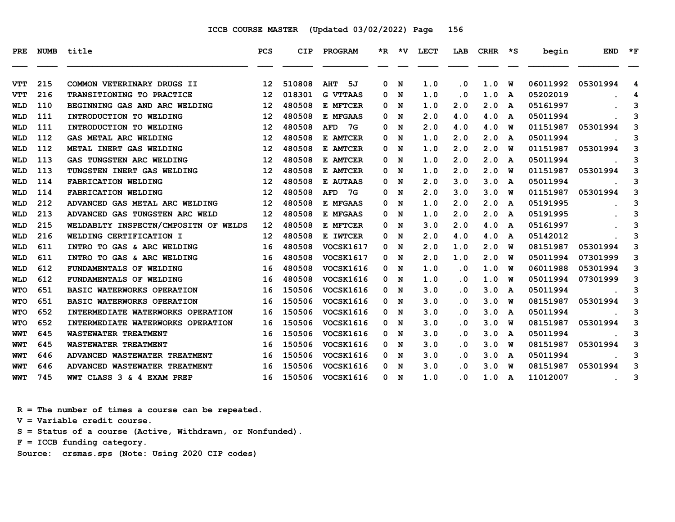| PRE        | <b>NUMB</b> | title                                | <b>PCS</b>        | <b>CIP</b> | <b>PROGRAM</b>   |   |     | *R *V LECT | LAB                     | CRHR | ∗s           | begin    | <b>END</b>       | $*_{\mathbf{F}}$ |
|------------|-------------|--------------------------------------|-------------------|------------|------------------|---|-----|------------|-------------------------|------|--------------|----------|------------------|------------------|
| <b>VTT</b> | 215         | COMMON VETERINARY DRUGS II           | 12                | 510808     | AHT<br>5J        | 0 | N   | 1.0        | . 0                     | 1.0  | W            | 06011992 | 05301994         | 4                |
| <b>VTT</b> | 216         | <b>TRANSITIONING TO PRACTICE</b>     | 12                | 018301     | <b>G VTTAAS</b>  | 0 | N   | 1.0        | $\overline{\mathbf{0}}$ | 1.0  | A            | 05202019 |                  | 4                |
| WLD        | 110         | BEGINNING GAS AND ARC WELDING        | 12                | 480508     | E MFTCER         | 0 | N   | 1.0        | 2.0                     | 2.0  | A            | 05161997 |                  | 3                |
| <b>WLD</b> | 111         | INTRODUCTION TO WELDING              | 12                | 480508     | E MFGAAS         | 0 | N   | 2.0        | 4.0                     | 4.0  | A            | 05011994 |                  | 3                |
| <b>WLD</b> | 111         | INTRODUCTION TO WELDING              | 12                | 480508     | 7G<br><b>AFD</b> | 0 | N   | 2.0        | 4.0                     | 4.0  | W            | 01151987 | 05301994         | 3                |
| <b>WLD</b> | 112         | GAS METAL ARC WELDING                | 12                | 480508     | E AMTCER         | 0 | N   | 1.0        | 2.0                     | 2.0  | A            | 05011994 |                  | 3                |
| WLD        | 112         | METAL INERT GAS WELDING              | 12                | 480508     | E AMTCER         | 0 | N   | 1.0        | 2.0                     | 2.0  | w            | 01151987 | 05301994         | 3                |
| WLD        | 113         | GAS TUNGSTEN ARC WELDING             | 12                | 480508     | E AMTCER         | 0 | N   | 1.0        | 2.0                     | 2.0  | A            | 05011994 |                  | 3                |
| <b>WLD</b> | 113         | TUNGSTEN INERT GAS WELDING           | 12                | 480508     | E AMTCER         | 0 | N   | 1.0        | 2.0                     | 2.0  | W            | 01151987 | 05301994         | 3                |
| WLD        | 114         | FABRICATION WELDING                  | 12                | 480508     | E AUTAAS         | 0 | N   | 2.0        | 3.0                     | 3.0  | A            | 05011994 |                  | 3                |
| <b>WLD</b> | 114         | FABRICATION WELDING                  | 12                | 480508     | 7G<br><b>AFD</b> | 0 | N   | 2.0        | 3.0                     | 3.0  | W            | 01151987 | 05301994         | 3                |
| <b>WLD</b> | 212         | ADVANCED GAS METAL ARC WELDING       | 12                | 480508     | E MFGAAS         | 0 | N   | 1.0        | 2.0                     | 2.0  | A            | 05191995 |                  | 3                |
| <b>WLD</b> | 213         | ADVANCED GAS TUNGSTEN ARC WELD       | 12                | 480508     | E MFGAAS         | 0 | N   | 1.0        | 2.0                     | 2.0  | A            | 05191995 |                  | 3                |
| WLD        | 215         | WELDABLTY INSPECTN/CMPOSITN OF WELDS | $12 \overline{ }$ | 480508     | E MFTCER         | 0 | N   | 3.0        | 2.0                     | 4.0  | A            | 05161997 |                  | 3                |
| <b>WLD</b> | 216         | WELDING CERTIFICATION I              | 12                | 480508     | E IWTCER         | 0 | N   | 2.0        | 4.0                     | 4.0  | A            | 05142012 |                  | 3                |
| WLD        | 611         | INTRO TO GAS & ARC WELDING           | 16                | 480508     | VOCSK1617        | 0 | N   | 2.0        | 1.0                     | 2.0  | w            | 08151987 | 05301994         | 3                |
| <b>WLD</b> | 611         | INTRO TO GAS & ARC WELDING           | 16                | 480508     | VOCSK1617        | 0 | N   | 2.0        | 1.0                     | 2.0  | w            | 05011994 | 07301999         | 3                |
| <b>WLD</b> | 612         | FUNDAMENTALS OF WELDING              | 16                | 480508     | VOCSK1616        | 0 | N   | 1.0        | $\overline{\mathbf{0}}$ | 1.0  | W            | 06011988 | 05301994         | 3                |
| WLD        | 612         | FUNDAMENTALS OF WELDING              | 16                | 480508     | VOCSK1616        | 0 | N   | 1.0        | . 0                     | 1.0  | พ            | 05011994 | 07301999         | 3                |
| <b>WTO</b> | 651         | BASIC WATERWORKS OPERATION           | 16                | 150506     | VOCSK1616        | 0 | N   | 3.0        | $\overline{\mathbf{0}}$ | 3.0  | A            | 05011994 |                  | 3                |
| <b>WTO</b> | 651         | BASIC WATERWORKS OPERATION           | 16                | 150506     | <b>VOCSK1616</b> | 0 | N   | 3.0        | . 0                     | 3.0  | w            | 08151987 | 05301994         | 3                |
| <b>WTO</b> | 652         | INTERMEDIATE WATERWORKS OPERATION    | 16                | 150506     | VOCSK1616        | 0 | N   | 3.0        | $\cdot$ 0               | 3.0  | A            | 05011994 |                  | 3                |
| <b>WTO</b> | 652         | INTERMEDIATE WATERWORKS OPERATION    | 16                | 150506     | <b>VOCSK1616</b> | 0 | N   | 3.0        | . 0                     | 3.0  | W            | 08151987 | 05301994         | 3                |
| WWT        | 645         | <b>WASTEWATER TREATMENT</b>          | 16                | 150506     | VOCSK1616        | 0 | N   | 3.0        | . 0                     | 3.0  | A            | 05011994 |                  | 3                |
| WWT        | 645         | <b>WASTEWATER TREATMENT</b>          | 16                | 150506     | <b>VOCSK1616</b> |   | 0 N | 3.0        | . 0                     | 3.0  | W            | 08151987 | 05301994         | 3                |
| <b>WWT</b> | 646         | ADVANCED WASTEWATER TREATMENT        | 16                | 150506     | VOCSK1616        | 0 | N   | 3.0        | $\cdot$ 0               | 3.0  | $\mathbf{A}$ | 05011994 |                  | 3                |
| <b>WWT</b> | 646         | ADVANCED WASTEWATER TREATMENT        | 16                | 150506     | VOCSK1616        | 0 | N   | 3.0        | . 0                     | 3.0  | W            | 08151987 | 05301994         | 3                |
| WWT        | 745         | WWT CLASS 3 & 4 EXAM PREP            | 16                | 150506     | <b>VOCSK1616</b> |   | 0 N | 1.0        | . 0                     | 1.0  | A            | 11012007 | $\sim$ 100 $\mu$ | 3                |

 **R = The number of times a course can be repeated.**

 **V = Variable credit course.**

 **S = Status of a course (Active, Withdrawn, or Nonfunded).**

 **F = ICCB funding category.**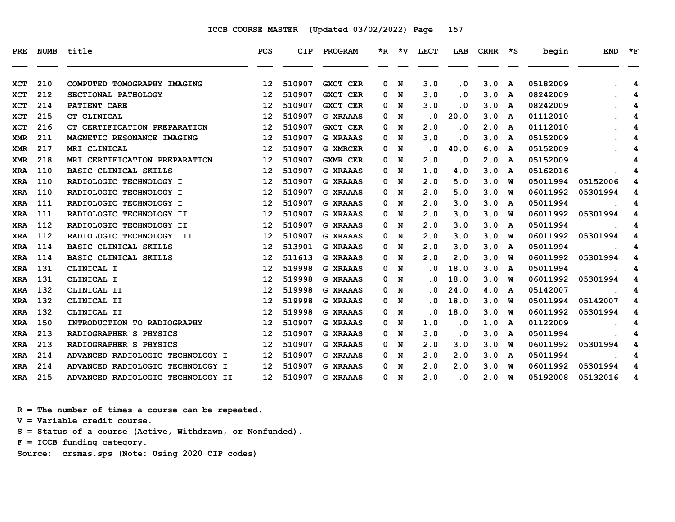| <b>PRE</b> | <b>NUMB</b> | title                             | <b>PCS</b>        | <b>CIP</b> | PROGRAM         | $\star$ R | $\star$ v | <b>LECT</b> | LAB       | <b>CRHR</b> | $\star$ s | begin    | <b>END</b> | $*_{\mathbf{F}}$ |
|------------|-------------|-----------------------------------|-------------------|------------|-----------------|-----------|-----------|-------------|-----------|-------------|-----------|----------|------------|------------------|
|            |             |                                   |                   |            |                 |           |           |             |           |             |           |          |            |                  |
| <b>XCT</b> | 210         | COMPUTED TOMOGRAPHY IMAGING       | $12 \overline{ }$ | 510907     | <b>GXCT CER</b> | 0         | N         | 3.0         | $\cdot$ 0 | 3.0         | A         | 05182009 |            | 4                |
| <b>XCT</b> | 212         | SECTIONAL PATHOLOGY               | $12 \overline{ }$ | 510907     | <b>GXCT CER</b> | 0         | N         | 3.0         | . 0       | 3.0         | A         | 08242009 |            | 4                |
| <b>XCT</b> | 214         | PATIENT CARE                      | $12 \overline{ }$ | 510907     | <b>GXCT CER</b> | 0         | N         | 3.0         | $\cdot$ 0 | 3.0         | A         | 08242009 |            | 4                |
| <b>XCT</b> | 215         | CT CLINICAL                       | $12 \overline{ }$ | 510907     | <b>G XRAAAS</b> | 0         | N         | . 0         | 20.0      | 3.0         | A         | 01112010 |            | 4                |
| XCT        | 216         | CT CERTIFICATION PREPARATION      | 12                | 510907     | <b>GXCT CER</b> | 0         | N         | 2.0         | $\cdot$ 0 | 2.0         | A         | 01112010 |            | 4                |
| <b>XMR</b> | 211         | MAGNETIC RESONANCE IMAGING        | 12                | 510907     | <b>G XRAAAS</b> | 0         | N         | 3.0         | . 0       | 3.0         | A         | 05152009 |            | 4                |
| <b>XMR</b> | 217         | MRI CLINICAL                      | $12 \overline{ }$ | 510907     | <b>G XMRCER</b> | 0         | N         | . 0         | 40.0      | 6.0         | A         | 05152009 |            | 4                |
| <b>XMR</b> | 218         | MRI CERTIFICATION PREPARATION     | 12                | 510907     | <b>GXMR CER</b> | 0         | N         | 2.0         | $\cdot$ 0 | 2.0         | A         | 05152009 |            | 4                |
| <b>XRA</b> | 110         | <b>BASIC CLINICAL SKILLS</b>      | $12 \overline{ }$ | 510907     | <b>G XRAAAS</b> | 0         | N         | 1.0         | 4.0       | 3.0         | A         | 05162016 |            | 4                |
| <b>XRA</b> | 110         | RADIOLOGIC TECHNOLOGY I           | 12                | 510907     | <b>G XRAAAS</b> | 0         | N         | 2.0         | 5.0       | 3.0         | W         | 05011994 | 05152006   | 4                |
| <b>XRA</b> | 110         | RADIOLOGIC TECHNOLOGY I           | 12                | 510907     | <b>G XRAAAS</b> | 0         | N         | 2.0         | 5.0       | 3.0         | W         | 06011992 | 05301994   | 4                |
| <b>XRA</b> | 111         | RADIOLOGIC TECHNOLOGY I           | 12                | 510907     | <b>G XRAAAS</b> | 0         | N         | 2.0         | 3.0       | 3.0         | A         | 05011994 |            | 4                |
| <b>XRA</b> | 111         | RADIOLOGIC TECHNOLOGY II          | 12                | 510907     | <b>G XRAAAS</b> | 0         | N         | 2.0         | 3.0       | 3.0         | W         | 06011992 | 05301994   | 4                |
| <b>XRA</b> | 112         | RADIOLOGIC TECHNOLOGY II          | 12                | 510907     | <b>G XRAAAS</b> | 0         | N         | 2.0         | 3.0       | 3.0         | A         | 05011994 |            | 4                |
| <b>XRA</b> | 112         | RADIOLOGIC TECHNOLOGY III         | 12                | 510907     | <b>G XRAAAS</b> | 0         | N         | 2.0         | 3.0       | 3.0         | พ         | 06011992 | 05301994   | 4                |
| <b>XRA</b> | 114         | <b>BASIC CLINICAL SKILLS</b>      | 12                | 513901     | <b>G XRAAAS</b> | 0         | N         | 2.0         | 3.0       | 3.0         | A         | 05011994 |            | 4                |
| <b>XRA</b> | 114         | <b>BASIC CLINICAL SKILLS</b>      | 12                | 511613     | <b>G XRAAAS</b> | 0         | N         | 2.0         | 2.0       | 3.0         | W         | 06011992 | 05301994   | 4                |
| <b>XRA</b> | 131         | CLINICAL I                        | 12                | 519998     | <b>G XRAAAS</b> | 0         | N         | . 0         | 18.0      | 3.0         | A         | 05011994 |            | 4                |
| <b>XRA</b> | 131         | CLINICAL I                        | 12                | 519998     | <b>G XRAAAS</b> | 0         | N         | . 0         | 18.0      | 3.0         | W         | 06011992 | 05301994   | 4                |
| <b>XRA</b> | 132         | CLINICAL II                       | $12 \overline{ }$ | 519998     | <b>G XRAAAS</b> | 0         | N         | . 0         | 24.0      | 4.0         | A         | 05142007 |            | 4                |
| <b>XRA</b> | 132         | CLINICAL II                       | 12                | 519998     | <b>G XRAAAS</b> | 0         | N         | . 0         | 18.0      | 3.0         | W         | 05011994 | 05142007   | 4                |
| <b>XRA</b> | 132         | CLINICAL II                       | 12                | 519998     | <b>G XRAAAS</b> | 0         | N         | . 0         | 18.0      | 3.0         | W         | 06011992 | 05301994   | 4                |
| <b>XRA</b> | 150         | INTRODUCTION TO RADIOGRAPHY       | $12 \overline{ }$ | 510907     | <b>G XRAAAS</b> | 0         | N         | 1.0         | . 0       | 1.0         | A         | 01122009 |            | 4                |
| <b>XRA</b> | 213         | RADIOGRAPHER'S PHYSICS            | 12                | 510907     | <b>G XRAAAS</b> | 0         | N         | 3.0         | . 0       | 3.0         | A         | 05011994 |            | 4                |
| <b>XRA</b> | 213         | RADIOGRAPHER'S PHYSICS            | 12                | 510907     | <b>G XRAAAS</b> | 0         | N         | 2.0         | 3.0       | 3.0         | พ         | 06011992 | 05301994   | 4                |
| <b>XRA</b> | 214         | ADVANCED RADIOLOGIC TECHNOLOGY I  | 12                | 510907     | <b>G XRAAAS</b> | 0         | N         | 2.0         | 2.0       | 3.0         | A         | 05011994 |            | 4                |
| <b>XRA</b> | 214         | ADVANCED RADIOLOGIC TECHNOLOGY I  | 12                | 510907     | <b>G XRAAAS</b> | 0         | N         | 2.0         | 2.0       | 3.0         | W         | 06011992 | 05301994   | 4                |
| <b>XRA</b> | 215         | ADVANCED RADIOLOGIC TECHNOLOGY II | 12                | 510907     | <b>G XRAAAS</b> | 0         | N         | 2.0         | . 0       | 2.0         | W         | 05192008 | 05132016   | 4                |

 **R = The number of times a course can be repeated.**

 **V = Variable credit course.**

 **S = Status of a course (Active, Withdrawn, or Nonfunded).**

 **F = ICCB funding category.**